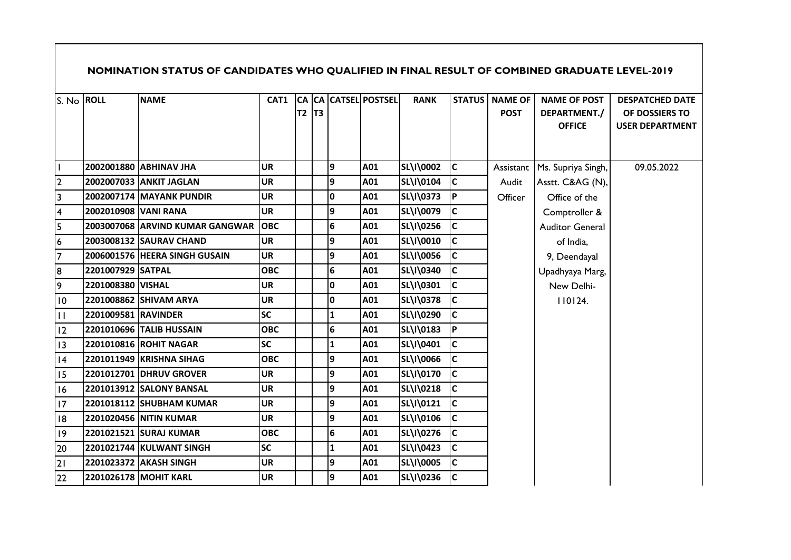|                 |                      | NOMINATION STATUS OF CANDIDATES WHO QUALIFIED IN FINAL RESULT OF COMBINED GRADUATE LEVEL-2019 |            |                |           |                 |                      |             |           |                                        |                                                      |                                                                    |
|-----------------|----------------------|-----------------------------------------------------------------------------------------------|------------|----------------|-----------|-----------------|----------------------|-------------|-----------|----------------------------------------|------------------------------------------------------|--------------------------------------------------------------------|
| S. No ROLL      |                      | <b>NAME</b>                                                                                   | CAT1       | T <sub>2</sub> | <b>T3</b> |                 | CA CA CATSEL POSTSEL | <b>RANK</b> |           | <b>STATUS   NAME OF</b><br><b>POST</b> | <b>NAME OF POST</b><br>DEPARTMENT./<br><b>OFFICE</b> | <b>DESPATCHED DATE</b><br>OF DOSSIERS TO<br><b>USER DEPARTMENT</b> |
|                 |                      | 2002001880 ABHINAV JHA                                                                        | <b>UR</b>  |                |           | 9               | A01                  | SL\I\0002   | <b>IC</b> |                                        | Assistant   Ms. Supriya Singh,                       | 09.05.2022                                                         |
| $\overline{2}$  |                      | 2002007033 ANKIT JAGLAN                                                                       | <b>UR</b>  |                |           | 9               | A01                  | SL\I\0104   | c         | Audit                                  | Asstt. C&AG (N),                                     |                                                                    |
| 3               |                      | 2002007174 MAYANK PUNDIR                                                                      | <b>UR</b>  |                |           | 0               | A01                  | SL\I\0373   | <b>P</b>  | Officer                                | Office of the                                        |                                                                    |
| 4               | 2002010908 VANI RANA |                                                                                               | <b>UR</b>  |                |           | 9               | A01                  | SL\I\0079   | c         |                                        | Comptroller &                                        |                                                                    |
| 5               |                      | 2003007068 ARVIND KUMAR GANGWAR                                                               | <b>OBC</b> |                |           | $\bf 6$         | A01                  | SL\I\0256   | lc.       |                                        | <b>Auditor General</b>                               |                                                                    |
| 6               |                      | 2003008132 SAURAV CHAND                                                                       | <b>UR</b>  |                |           | 9               | A01                  | SL\I\0010   | lc.       |                                        | of India,                                            |                                                                    |
| $\overline{7}$  |                      | 2006001576 HEERA SINGH GUSAIN                                                                 | <b>UR</b>  |                |           | 9               | A01                  | SL\I\0056   | lc.       |                                        | 9, Deendayal                                         |                                                                    |
| 8               | 2201007929 SATPAL    |                                                                                               | <b>OBC</b> |                |           | $6\overline{6}$ | A01                  | SL\I\0340   | lc.       |                                        | Upadhyaya Marg,                                      |                                                                    |
| 9               | 2201008380 VISHAL    |                                                                                               | <b>UR</b>  |                |           | 0               | A01                  | SL\I\0301   | IC.       |                                        | New Delhi-                                           |                                                                    |
| $\overline{10}$ |                      | 2201008862 SHIVAM ARYA                                                                        | <b>UR</b>  |                |           | 0               | A01                  | SL\I\0378   | lc.       |                                        | 110124.                                              |                                                                    |
| $\mathbf{H}$    | 2201009581 RAVINDER  |                                                                                               | <b>SC</b>  |                |           | $\mathbf{1}$    | A01                  | SL\I\0290   | c         |                                        |                                                      |                                                                    |
| 12              |                      | 2201010696 TALIB HUSSAIN                                                                      | <b>OBC</b> |                |           | $\bf 6$         | A01                  | SL\I\0183   | <b>P</b>  |                                        |                                                      |                                                                    |
| 3               |                      | 2201010816 ROHIT NAGAR                                                                        | <b>SC</b>  |                |           | $\mathbf{1}$    | A01                  | SL\I\0401   | lc.       |                                        |                                                      |                                                                    |
| 4               |                      | 2201011949 KRISHNA SIHAG                                                                      | <b>OBC</b> |                |           | 9               | A01                  | SL\I\0066   | lc.       |                                        |                                                      |                                                                    |
| 15              |                      | 2201012701 DHRUV GROVER                                                                       | <b>UR</b>  |                |           | 9               | A01                  | SL\I\0170   | lc.       |                                        |                                                      |                                                                    |
| 16              |                      | 2201013912 SALONY BANSAL                                                                      | <b>UR</b>  |                |           | 9               | A01                  | SL\I\0218   | <b>IC</b> |                                        |                                                      |                                                                    |
| 17              |                      | 2201018112 SHUBHAM KUMAR                                                                      | <b>UR</b>  |                |           | 9               | A01                  | SL\I\0121   | lc.       |                                        |                                                      |                                                                    |
| 18              |                      | 2201020456 NITIN KUMAR                                                                        | <b>UR</b>  |                |           | 9               | A01                  | SL\I\0106   | c         |                                        |                                                      |                                                                    |
| 9               |                      | 2201021521 SURAJ KUMAR                                                                        | <b>OBC</b> |                |           | $6\phantom{a}$  | A01                  | SL\I\0276   | lc.       |                                        |                                                      |                                                                    |
| 20              |                      | 2201021744 KULWANT SINGH                                                                      | <b>SC</b>  |                |           | $\mathbf{1}$    | A01                  | SL\I\0423   | <b>C</b>  |                                        |                                                      |                                                                    |
| 21              |                      | 2201023372 AKASH SINGH                                                                        | <b>UR</b>  |                |           | 9               | A01                  | SL\I\0005   | lc.       |                                        |                                                      |                                                                    |
| 22              |                      | 2201026178 MOHIT KARL                                                                         | <b>UR</b>  |                |           | 9               | A01                  | SL\I\0236   | lc.       |                                        |                                                      |                                                                    |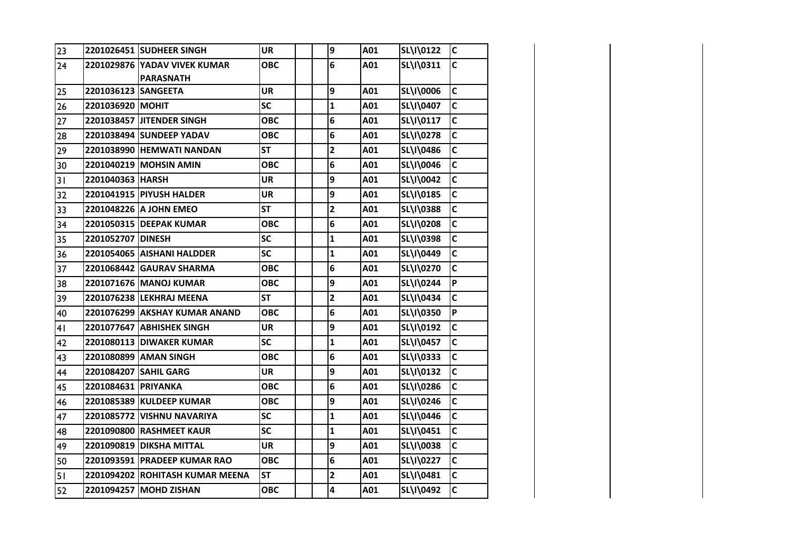| 23             |                       | 2201026451 SUDHEER SINGH                         | UR        | 9                       | A01 | SL\I\0122 | C            |
|----------------|-----------------------|--------------------------------------------------|-----------|-------------------------|-----|-----------|--------------|
| 24             |                       | 2201029876 YADAV VIVEK KUMAR<br><b>PARASNATH</b> | ОВС       | 6                       | A01 | SL\I\0311 | $\mathsf{C}$ |
| 25             | 2201036123 SANGEETA   |                                                  | UR        | 9                       | A01 | SL\I\0006 | $\mathsf{C}$ |
| 26             | 2201036920 MOHIT      |                                                  | <b>SC</b> | $\mathbf{1}$            | A01 | SL\I\0407 | C            |
| 27             |                       | 2201038457 JITENDER SINGH                        | ОВС       | 6                       | A01 | SL\I\0117 | $\mathsf{C}$ |
| 28             |                       | 2201038494 SUNDEEP YADAV                         | ОВС       | 6                       | A01 | SL\I\0278 | C            |
| 29             |                       | 2201038990 HEMWATI NANDAN                        | <b>ST</b> | $\overline{\mathbf{c}}$ | A01 | SL\I\0486 | $\mathsf{C}$ |
| 30             |                       | 2201040219 MOHSIN AMIN                           | ОВС       | 6                       | A01 | SL\I\0046 | Ċ            |
| 31             | 2201040363 HARSH      |                                                  | UR        | 9                       | A01 | SL\I\0042 | $\mathsf{C}$ |
| 32             |                       | <b>2201041915 PIYUSH HALDER</b>                  | UR        | 9                       | A01 | SL\I\0185 | $\mathsf{C}$ |
| 33             |                       | 2201048226 A JOHN EMEO                           | <b>ST</b> | $\mathbf{2}$            | A01 | SL\I\0388 | C            |
| 34             |                       | 2201050315 DEEPAK KUMAR                          | ОВС       | 6                       | A01 | SL\I\0208 | $\mathsf{C}$ |
| 35             | 2201052707 DINESH     |                                                  | <b>SC</b> | $\mathbf{1}$            | A01 | SL\I\0398 | C            |
| 36             |                       | 2201054065 AISHANI HALDDER                       | <b>SC</b> | $\mathbf{1}$            | A01 | SL\I\0449 | $\mathsf{C}$ |
| 37             |                       | 2201068442 GAURAV SHARMA                         | ОВС       | 6                       | A01 | SL\I\0270 | Ċ            |
| 38             |                       | 2201071676 MANOJ KUMAR                           | ОВС       | 9                       | A01 | SL\I\0244 | P            |
| 39             |                       | 2201076238 LEKHRAJ MEENA                         | <b>ST</b> | $\overline{\mathbf{c}}$ | A01 | SL\I\0434 | $\mathsf{C}$ |
| 40             |                       | 2201076299 AKSHAY KUMAR ANAND                    | ОВС       | 6                       | A01 | SL\I\0350 | P            |
| 4 <sub>1</sub> |                       | 2201077647 ABHISHEK SINGH                        | UR        | 9                       | A01 | SL\I\0192 | $\mathsf{C}$ |
| 42             |                       | <b>2201080113 DIWAKER KUMAR</b>                  | <b>SC</b> | $\mathbf{1}$            | A01 | SL\I\0457 | C            |
| 43             |                       | 2201080899 AMAN SINGH                            | ОВС       | 6                       | A01 | SL\I\0333 | $\mathsf{C}$ |
| 44             | 2201084207 SAHIL GARG |                                                  | UR        | 9                       | A01 | SL\I\0132 | C            |
| 45             | 2201084631 PRIYANKA   |                                                  | ОВС       | 6                       | A01 | SL\I\0286 | $\mathsf{C}$ |
| 46             |                       | 2201085389 KULDEEP KUMAR                         | ОВС       | 9                       | A01 | SL\I\0246 | $\mathsf{C}$ |
| 47             |                       | 2201085772 VISHNU NAVARIYA                       | <b>SC</b> | $\mathbf{1}$            | A01 | SL\I\0446 | C            |
| 48             |                       | <b>2201090800 RASHMEET KAUR</b>                  | <b>SC</b> | $\mathbf{1}$            | A01 | SL\I\0451 | $\mathsf{C}$ |
| 49             |                       | 2201090819   DIKSHA MITTAL                       | UR        | 9                       | A01 | SL\I\0038 | C            |
| 50             |                       | 2201093591 PRADEEP KUMAR RAO                     | ОВС       | 6                       | A01 | SL\I\0227 | $\mathsf{C}$ |
| 51             |                       | 2201094202 ROHITASH KUMAR MEENA                  | <b>ST</b> | $\overline{\mathbf{c}}$ | A01 | SL\I\0481 | $\mathsf{C}$ |
| 52             |                       | 2201094257 MOHD ZISHAN                           | ОВС       | 4                       | A01 | SL\I\0492 | Ċ            |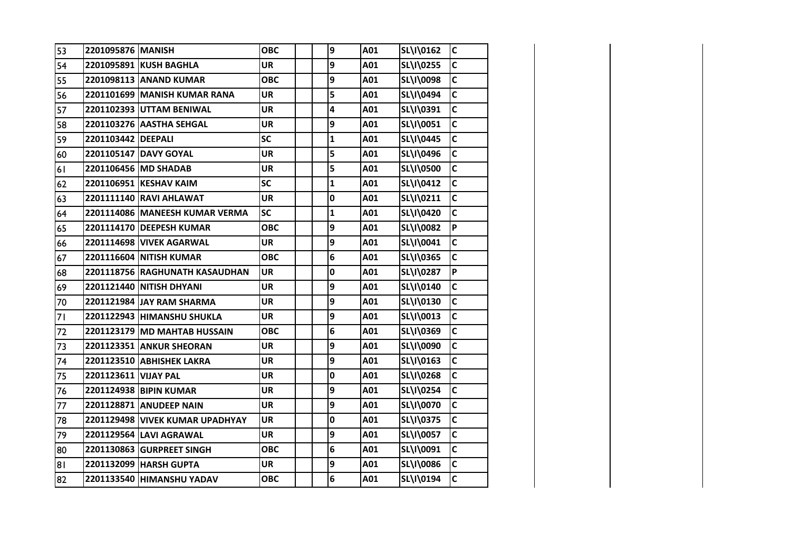| 53 | 2201095876 MANISH    |                                 | ОВС        | 9            | A01 | SL\I\0162 | $\mathsf{C}$   |
|----|----------------------|---------------------------------|------------|--------------|-----|-----------|----------------|
| 54 |                      | 2201095891 KUSH BAGHLA          | <b>UR</b>  | 9            | A01 | SL\I\0255 | $\mathsf{C}$   |
| 55 |                      | 2201098113 ANAND KUMAR          | ОВС        | 9            | A01 | SL\I\0098 | C              |
| 56 |                      | 2201101699 MANISH KUMAR RANA    | <b>UR</b>  | 5            | A01 | SL\I\0494 | $\mathsf{C}$   |
| 57 |                      | 2201102393 UTTAM BENIWAL        | UR         | 4            | A01 | SL\I\0391 | $\mathsf{C}$   |
| 58 |                      | 2201103276 AASTHA SEHGAL        | <b>UR</b>  | 9            | A01 | SL\I\0051 | $\mathsf{C}$   |
| 59 | 2201103442   DEEPALI |                                 | SC         | $\mathbf{1}$ | A01 | SL\I\0445 | C              |
| 60 |                      | 2201105147 DAVY GOYAL           | <b>UR</b>  | 5            | A01 | SL\I\0496 | $\mathbf c$    |
| 61 |                      | 2201106456 MD SHADAB            | <b>UR</b>  | 5            | A01 | SL\I\0500 | $\mathsf{C}$   |
| 62 |                      | 2201106951 KESHAV KAIM          | <b>SC</b>  | 1            | A01 | SL\I\0412 | $\mathsf{C}$   |
| 63 |                      | 2201111140 RAVI AHLAWAT         | UR         | 0            | A01 | SL\I\0211 | C              |
| 64 |                      | 2201114086 MANEESH KUMAR VERMA  | <b>SC</b>  | 1            | A01 | SL\I\0420 | $\mathsf{C}$   |
| 65 |                      | 2201114170 DEEPESH KUMAR        | ОВС        | 9            | A01 | SL\I\0082 | P              |
| 66 |                      | 2201114698 VIVEK AGARWAL        | <b>UR</b>  | 9            | A01 | SL\I\0041 | $\mathsf{C}$   |
| 67 |                      | 2201116604 NITISH KUMAR         | ОВС        | 6            | A01 | SL\I\0365 | $\mathsf{C}$   |
| 68 |                      | 2201118756 RAGHUNATH KASAUDHAN  | <b>UR</b>  | 0            | A01 | SL\I\0287 | $\overline{P}$ |
| 69 |                      | 2201121440 NITISH DHYANI        | <b>UR</b>  | 9            | A01 | SL\I\0140 | $\mathsf{C}$   |
| 70 |                      | 2201121984 JAY RAM SHARMA       | <b>UR</b>  | 9            | A01 | SL\I\0130 | $\mathsf{C}$   |
| 71 |                      | 2201122943 HIMANSHU SHUKLA      | UR         | 9            | A01 | SL\I\0013 | $\mathsf{C}$   |
| 72 |                      | 2201123179 MD MAHTAB HUSSAIN    | <b>OBC</b> | 6            | A01 | SL\I\0369 | $\mathsf{C}$   |
| 73 |                      | <b>2201123351 ANKUR SHEORAN</b> | UR         | 9            | A01 | SL\I\0090 | $\mathsf{C}$   |
| 74 |                      | 2201123510 ABHISHEK LAKRA       | <b>UR</b>  | 9            | A01 | SL\I\0163 | $\mathsf{C}$   |
| 75 | 2201123611 VIJAY PAL |                                 | <b>UR</b>  | 0            | A01 | SL\I\0268 | C              |
| 76 |                      | 2201124938 BIPIN KUMAR          | <b>UR</b>  | 9            | A01 | SL\I\0254 | $\mathsf{C}$   |
| 77 |                      | 2201128871 ANUDEEP NAIN         | <b>UR</b>  | 9            | A01 | SL\I\0070 | C              |
| 78 |                      | 2201129498 VIVEK KUMAR UPADHYAY | <b>UR</b>  | 0            | A01 | SL\I\0375 | $\mathsf{C}$   |
| 79 |                      | 2201129564 LAVI AGRAWAL         | <b>UR</b>  | 9            | A01 | SL\I\0057 | $\mathsf{C}$   |
| 80 |                      | 2201130863 GURPREET SINGH       | <b>OBC</b> | 6            | A01 | SL\I\0091 | $\mathsf{C}$   |
| 81 |                      | 2201132099 HARSH GUPTA          | UR         | 9            | A01 | SL\I\0086 | C              |
| 82 |                      | 2201133540 HIMANSHU YADAV       | <b>OBC</b> | 6            | A01 | SL\I\0194 | $\mathsf{C}$   |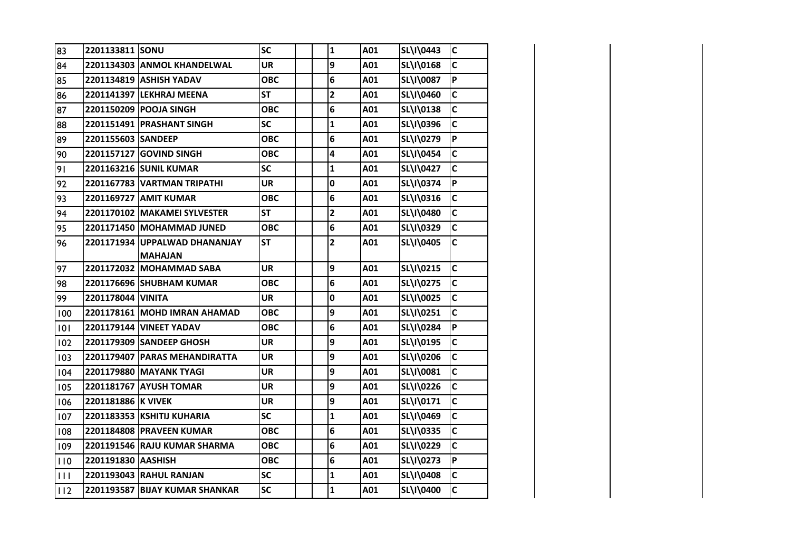| 83           | 2201133811 SONU    |                                | <b>SC</b>  |  | $\mathbf{1}$            | A01 | SL\I\0443 | $\mathbf c$    |
|--------------|--------------------|--------------------------------|------------|--|-------------------------|-----|-----------|----------------|
| 84           |                    | 2201134303 ANMOL KHANDELWAL    | <b>UR</b>  |  | 9                       | A01 | SL\I\0168 | $\mathsf{C}$   |
| 85           |                    | 2201134819 ASHISH YADAV        | <b>OBC</b> |  | $6\phantom{1}6$         | A01 | SL\I\0087 | Þ              |
| 86           |                    | 2201141397 LEKHRAJ MEENA       | <b>ST</b>  |  | $\overline{\mathbf{c}}$ | A01 | SL\I\0460 | $\mathbf c$    |
| 87           |                    | 2201150209 POOJA SINGH         | <b>OBC</b> |  | $6\phantom{1}6$         | A01 | SL\I\0138 | $\mathbf c$    |
| 88           |                    | 2201151491 PRASHANT SINGH      | <b>SC</b>  |  | $\mathbf{1}$            | A01 | SL\I\0396 | $\mathbf c$    |
| 89           | 2201155603 SANDEEP |                                | <b>OBC</b> |  | $6\phantom{1}6$         | A01 | SL\I\0279 | P              |
| 90           |                    | 2201157127 GOVIND SINGH        | <b>OBC</b> |  | 4                       | A01 | SL\I\0454 | $\mathsf{C}$   |
| 91           |                    | 2201163216 SUNIL KUMAR         | <b>SC</b>  |  | 1                       | A01 | SL\I\0427 | $\mathbf c$    |
| 92           |                    | 2201167783 VARTMAN TRIPATHI    | <b>UR</b>  |  | $\mathbf 0$             | A01 | SL\I\0374 | $\overline{P}$ |
| 93           |                    | 2201169727 AMIT KUMAR          | <b>OBC</b> |  | $\bf 6$                 | A01 | SL\I\0316 | $\mathbf c$    |
| 94           |                    | 2201170102 MAKAMEI SYLVESTER   | <b>ST</b>  |  | $\overline{\mathbf{2}}$ | A01 | SL\I\0480 | $\mathbf c$    |
| 95           |                    | 2201171450 MOHAMMAD JUNED      | <b>OBC</b> |  | 6                       | A01 | SL\I\0329 | $\mathbf c$    |
| 96           |                    | 2201171934 UPPALWAD DHANANJAY  | <b>ST</b>  |  | $\mathbf{2}$            | A01 | SL\I\0405 | $\mathsf{C}$   |
|              |                    | <b>MAHAJAN</b>                 |            |  |                         |     |           |                |
| 97           |                    | 2201172032 MOHAMMAD SABA       | <b>UR</b>  |  | 9                       | A01 | SL\I\0215 | $\mathbf c$    |
| 98           |                    | 2201176696 SHUBHAM KUMAR       | <b>OBC</b> |  | 6                       | A01 | SL\I\0275 | $\mathsf{C}$   |
| 99           | 2201178044 VINITA  |                                | <b>UR</b>  |  | $\mathbf 0$             | A01 | SL\I\0025 | $\mathbf c$    |
| 100          |                    | 2201178161 MOHD IMRAN AHAMAD   | <b>OBC</b> |  | 9                       | A01 | SL\I\0251 | $\mathbf c$    |
| 101          |                    | 2201179144 VINEET YADAV        | <b>OBC</b> |  | $6\phantom{1}6$         | A01 | SL\I\0284 | P              |
| 102          |                    | 2201179309 SANDEEP GHOSH       | <b>UR</b>  |  | 9                       | A01 | SL\I\0195 | $\mathsf{C}$   |
| 103          |                    | 2201179407 PARAS MEHANDIRATTA  | UR         |  | 9                       | A01 | SL\I\0206 | $\mathsf{C}$   |
| 104          |                    | 2201179880 MAYANK TYAGI        | <b>UR</b>  |  | 9                       | A01 | SL\I\0081 | $\mathbf c$    |
| 105          |                    | 2201181767 AYUSH TOMAR         | <b>UR</b>  |  | 9                       | A01 | SL\I\0226 | $\mathbf c$    |
| 106          | 2201181886 K VIVEK |                                | <b>UR</b>  |  | 9                       | A01 | SL\I\0171 | $\mathbf c$    |
| 107          |                    | 2201183353 KSHITIJ KUHARIA     | <b>SC</b>  |  | 1                       | A01 | SL\I\0469 | $\mathbf c$    |
| 108          |                    | 2201184808 PRAVEEN KUMAR       | <b>OBC</b> |  | $6\phantom{1}6$         | A01 | SL\I\0335 | $\mathsf{C}$   |
| 109          |                    | 2201191546  RAJU KUMAR SHARMA  | <b>OBC</b> |  | 6                       | A01 | SL\I\0229 | $\mathbf c$    |
| 110          | 2201191830 AASHISH |                                | <b>OBC</b> |  | $\bf 6$                 | A01 | SL\I\0273 | $\overline{P}$ |
| $\mathbf{H}$ |                    | 2201193043 RAHUL RANJAN        | <b>SC</b>  |  | $\mathbf{1}$            | A01 | SL\I\0408 | $\mathsf{C}$   |
| 112          |                    | 2201193587 BIJAY KUMAR SHANKAR | <b>SC</b>  |  | $\mathbf 1$             | A01 | SL\I\0400 | $\mathbf c$    |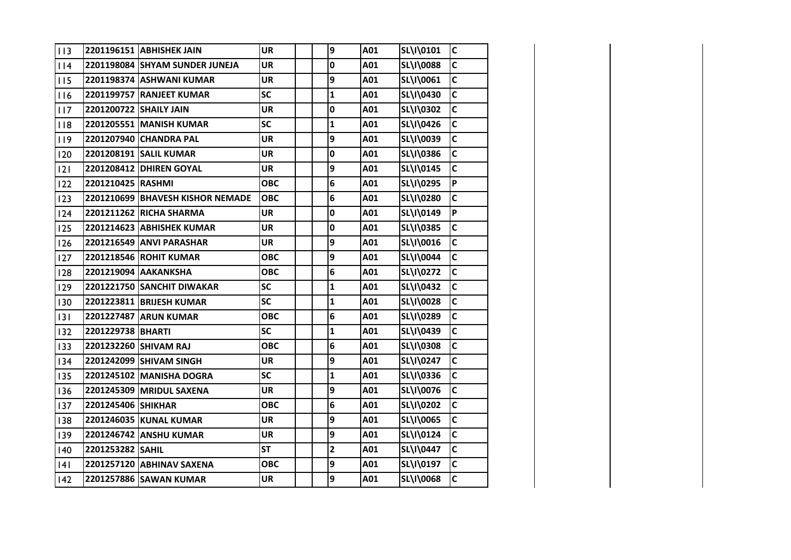| 113 |                        | 2201196151 ABHISHEK JAIN         | <b>UR</b>  | 9                       | A01 | SL\I\0101 | $\mathsf{C}$            |
|-----|------------------------|----------------------------------|------------|-------------------------|-----|-----------|-------------------------|
| 114 |                        | 2201198084 SHYAM SUNDER JUNEJA   | <b>UR</b>  | 0                       | A01 | SL\I\0088 | $\mathsf{C}$            |
| 115 |                        | 2201198374 ASHWANI KUMAR         | <b>UR</b>  | 9                       | A01 | SL\I\0061 | $\mathsf{C}$            |
| 116 |                        | 2201199757 RANJEET KUMAR         | <b>SC</b>  | $\mathbf{1}$            | A01 | SL\I\0430 | $\mathsf{C}$            |
| 117 | 2201200722 SHAILY JAIN |                                  | <b>UR</b>  | 0                       | A01 | SL\I\0302 | $\mathsf{C}$            |
| 118 |                        | 2201205551 MANISH KUMAR          | <b>SC</b>  | $\mathbf{1}$            | A01 | SL\I\0426 | $\mathsf{C}$            |
| 119 |                        | 2201207940 CHANDRA PAL           | <b>UR</b>  | 9                       | A01 | SL\I\0039 | $\mathsf{C}$            |
| 120 |                        | 2201208191 SALIL KUMAR           | <b>UR</b>  | 0                       | A01 | SL\I\0386 | $\mathsf{C}$            |
| 2   |                        | 2201208412 DHIREN GOYAL          | <b>UR</b>  | 9                       | A01 | SL\I\0145 | $\mathsf{C}$            |
| 122 | 2201210425 RASHMI      |                                  | <b>OBC</b> | 6                       | A01 | SL\I\0295 | <b>P</b>                |
| 123 |                        | 2201210699 BHAVESH KISHOR NEMADE | <b>OBC</b> | 6                       | A01 | SL\I\0280 | $\mathsf{C}$            |
| 124 |                        | 2201211262 RICHA SHARMA          | <b>UR</b>  | $\mathbf 0$             | A01 | SL\I\0149 | $\overline{P}$          |
| 125 |                        | 2201214623 ABHISHEK KUMAR        | <b>UR</b>  | $\mathbf 0$             | A01 | SL\I\0385 | $\mathsf{C}$            |
| 126 |                        | 2201216549 ANVI PARASHAR         | <b>UR</b>  | 9                       | A01 | SL\I\0016 | $\mathsf{C}$            |
| 127 |                        | 2201218546 ROHIT KUMAR           | <b>OBC</b> | 9                       | A01 | SL\I\0044 | $\overline{\mathsf{c}}$ |
| 128 |                        | 2201219094 AAKANKSHA             | <b>OBC</b> | 6                       | A01 | SL\I\0272 | $\mathsf{C}$            |
| 129 |                        | 2201221750 SANCHIT DIWAKAR       | <b>SC</b>  | $\mathbf{1}$            | A01 | SL\I\0432 | $\mathsf{C}$            |
| 130 |                        | 2201223811 BRIJESH KUMAR         | <b>SC</b>  | $\mathbf{1}$            | A01 | SL\I\0028 | $\mathsf{C}$            |
| 131 |                        | 2201227487 ARUN KUMAR            | <b>OBC</b> | 6                       | A01 | SL\I\0289 | $\overline{\mathsf{c}}$ |
| 132 | 2201229738 BHARTI      |                                  | <b>SC</b>  | $\mathbf{1}$            | A01 | SL\I\0439 | $\mathsf{C}$            |
| 133 |                        | 2201232260 SHIVAM RAJ            | <b>OBC</b> | 6                       | A01 | SL\I\0308 | $\mathsf{C}$            |
| 134 |                        | 2201242099 SHIVAM SINGH          | <b>UR</b>  | 9                       | A01 | SL\I\0247 | $\mathsf{C}$            |
| 135 |                        | 2201245102 MANISHA DOGRA         | <b>SC</b>  | $\mathbf{1}$            | A01 | SL\I\0336 | $\mathsf{C}$            |
| 136 |                        | 2201245309 MRIDUL SAXENA         | <b>UR</b>  | 9                       | A01 | SL\I\0076 | $\mathsf{C}$            |
| 137 | 2201245406 SHIKHAR     |                                  | ОВС        | 6                       | A01 | SL\I\0202 | $\mathsf{C}$            |
| 138 |                        | 2201246035 KUNAL KUMAR           | <b>UR</b>  | 9                       | A01 | SL\I\0065 | $\mathsf{C}$            |
| 139 |                        | 2201246742 ANSHU KUMAR           | <b>UR</b>  | 9                       | A01 | SL\I\0124 | $\mathsf{C}$            |
| 140 | 2201253282 SAHIL       |                                  | <b>ST</b>  | $\overline{\mathbf{c}}$ | A01 | SL\I\0447 | $\overline{\mathsf{C}}$ |
| 4   |                        | 2201257120 ABHINAV SAXENA        | <b>OBC</b> | 9                       | A01 | SL\I\0197 | $\mathsf{C}$            |
| 142 |                        | 2201257886 SAWAN KUMAR           | <b>UR</b>  | 9                       | A01 | SL\I\0068 | $\mathsf{C}$            |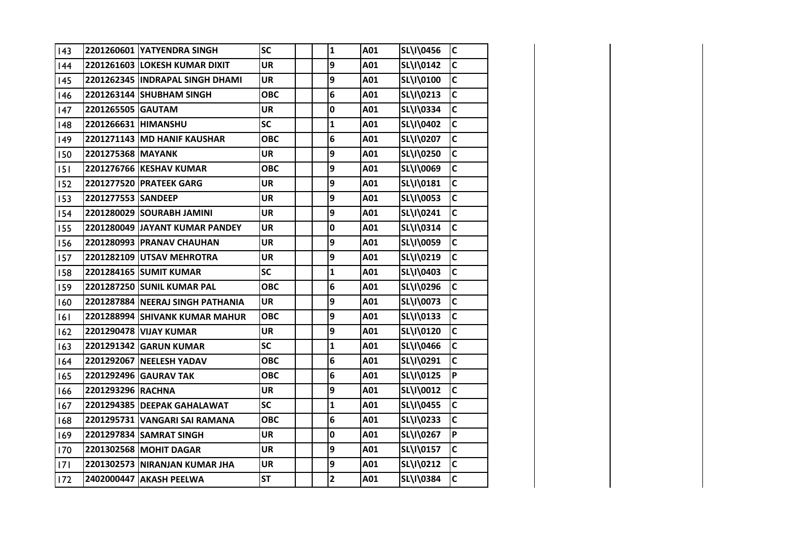| 143        |                     | 2201260601 YATYENDRA SINGH       | <b>SC</b>  | $\mathbf{1}$ | A01 | SL\I\0456 | $\mathsf{C}$ |
|------------|---------------------|----------------------------------|------------|--------------|-----|-----------|--------------|
| 144        |                     | 2201261603 LOKESH KUMAR DIXIT    | <b>UR</b>  | 9            | A01 | SL\I\0142 | $\mathsf{C}$ |
| 145        |                     | 2201262345 INDRAPAL SINGH DHAMI  | UR         | 9            | A01 | SL\I\0100 | $\mathsf{C}$ |
| 146        |                     | 2201263144 SHUBHAM SINGH         | ОВС        | 6            | A01 | SL\I\0213 | $\mathsf{C}$ |
| 147        | 2201265505 GAUTAM   |                                  | UR         | 0            | A01 | SL\I\0334 | $\mathsf{C}$ |
| 148        | 2201266631 HIMANSHU |                                  | <b>SC</b>  | $\mathbf{1}$ | A01 | SL\I\0402 | $\mathbf c$  |
| 149        |                     | 2201271143 MD HANIF KAUSHAR      | ОВС        | 6            | A01 | SL\I\0207 | $\mathsf{C}$ |
| 150        | 2201275368 MAYANK   |                                  | UR         | 9            | A01 | SL\I\0250 | $\mathbf c$  |
| 15         |                     | 2201276766 KESHAV KUMAR          | ОВС        | 9            | A01 | SL\I\0069 | $\mathsf{C}$ |
| 152        |                     | 2201277520 PRATEEK GARG          | UR         | 9            | A01 | SL\I\0181 | $\mathbf c$  |
| <b>IS3</b> | 2201277553 SANDEEP  |                                  | UR         | 9            | A01 | SL\I\0053 | C            |
| <b>I54</b> |                     | 2201280029 SOURABH JAMINI        | UR         | 9            | A01 | SL\I\0241 | $\mathsf{C}$ |
| <b>IS5</b> |                     | 2201280049 JAYANT KUMAR PANDEY   | UR         | 0            | A01 | SL\I\0314 | C            |
| <b>I56</b> |                     | 2201280993 PRANAV CHAUHAN        | <b>UR</b>  | 9            | A01 | SL\I\0059 | C            |
| <b>IS7</b> |                     | 2201282109 UTSAV MEHROTRA        | UR         | 9            | A01 | SL\I\0219 | C            |
| <b>I58</b> |                     | 2201284165 SUMIT KUMAR           | <b>SC</b>  | $\mathbf{1}$ | A01 | SL\I\0403 | $\mathsf{C}$ |
| <b>IS9</b> |                     | 2201287250 SUNIL KUMAR PAL       | <b>OBC</b> | 6            | A01 | SL\I\0296 | C            |
| 160        |                     | 2201287884 NEERAJ SINGH PATHANIA | <b>UR</b>  | 9            | A01 | SL\I\0073 | $\mathsf{C}$ |
| 16         |                     | 2201288994 SHIVANK KUMAR MAHUR   | <b>OBC</b> | 9            | A01 | SL\I\0133 | $\mathsf{C}$ |
| 162        |                     | 2201290478 VIJAY KUMAR           | <b>UR</b>  | 9            | A01 | SL\I\0120 | $\mathsf{C}$ |
| 163        |                     | 2201291342 GARUN KUMAR           | <b>SC</b>  | $\mathbf{1}$ | A01 | SL\I\0466 | C            |
| 164        |                     | 2201292067 NEELESH YADAV         | <b>OBC</b> | 6            | A01 | SL\I\0291 | $\mathsf{C}$ |
| 165        |                     | 2201292496 GAURAV TAK            | ОВС        | 6            | A01 | SL\I\0125 | P            |
| 166        | 2201293296 RACHNA   |                                  | <b>UR</b>  | 9            | A01 | SL\I\0012 | $\mathsf{C}$ |
| 167        |                     | 2201294385 DEEPAK GAHALAWAT      | SC         | $\mathbf{1}$ | A01 | SL\I\0455 | C            |
| 168        |                     | 2201295731 VANGARI SAI RAMANA    | <b>OBC</b> | 6            | A01 | SL\I\0233 | $\mathsf{C}$ |
| 169        |                     |                                  | UR         | 0            | A01 | SL\I\0267 | P            |
| 170        |                     | 2201302568 MOHIT DAGAR           | <b>UR</b>  | 9            | A01 | SL\I\0157 | $\mathsf{C}$ |
| 17         |                     | 2201302573 NIRANJAN KUMAR JHA    | UR         | 9            | A01 | SL\I\0212 | $\mathsf{C}$ |
| 172        |                     | 2402000447 AKASH PEELWA          | <b>ST</b>  | $\mathbf{2}$ | A01 | SL\I\0384 | $\mathsf{C}$ |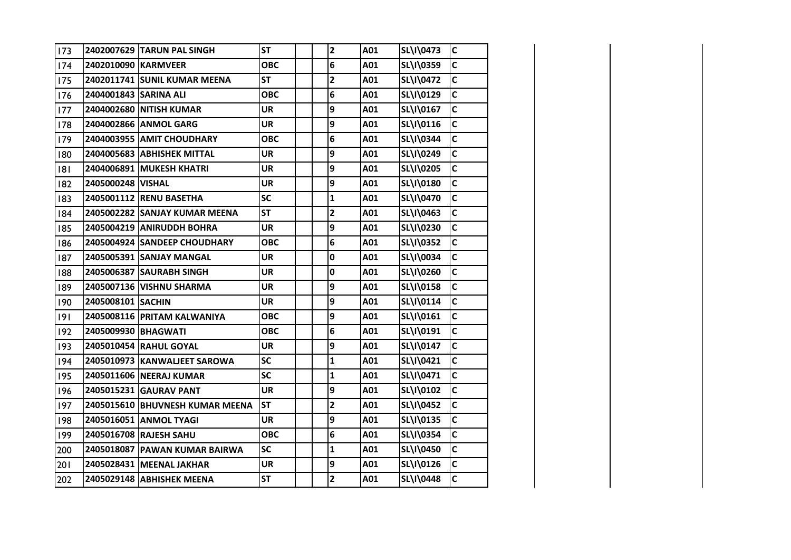| 173        |                       | 2402007629 TARUN PAL SINGH      | <b>ST</b>  | $\overline{\mathbf{2}}$ | A01 | SL\I\0473 | $\mathsf{C}$            |
|------------|-----------------------|---------------------------------|------------|-------------------------|-----|-----------|-------------------------|
| 174        | 2402010090 KARMVEER   |                                 | <b>OBC</b> | 6                       | A01 | SL\I\0359 | $\mathsf{C}$            |
| <b>I75</b> |                       | 2402011741 SUNIL KUMAR MEENA    | ST         | 2                       | A01 | SL\I\0472 | C                       |
| <b>176</b> | 2404001843 SARINA ALI |                                 | <b>OBC</b> | 6                       | A01 | SL\I\0129 | $\mathsf{C}$            |
| <b>177</b> |                       | 2404002680 NITISH KUMAR         | <b>UR</b>  | 9                       | A01 | SL\I\0167 | $\mathsf{C}$            |
| 178        |                       | 2404002866 ANMOL GARG           | <b>UR</b>  | 9                       | A01 | SL\I\0116 | $\mathsf{C}$            |
| <b>179</b> |                       | 2404003955 AMIT CHOUDHARY       | <b>OBC</b> | 6                       | A01 | SL\I\0344 | $\mathsf{C}$            |
| 180        |                       | 2404005683 ABHISHEK MITTAL      | <b>UR</b>  | 9                       | A01 | SL\I\0249 | $\mathsf{C}$            |
| 8          |                       | 2404006891 MUKESH KHATRI        | <b>UR</b>  | 9                       | A01 | SL\I\0205 | $\mathsf{C}$            |
| 182        | 2405000248 VISHAL     |                                 | <b>UR</b>  | 9                       | A01 | SL\I\0180 | $\mathsf{C}$            |
| 183        |                       | 2405001112 RENU BASETHA         | <b>SC</b>  | $\mathbf{1}$            | A01 | SL\I\0470 | $\mathsf{C}$            |
| 184        |                       | 2405002282 SANJAY KUMAR MEENA   | <b>ST</b>  | $\overline{\mathbf{c}}$ | A01 | SL\I\0463 | $\mathsf{C}$            |
| 185        |                       | 2405004219 ANIRUDDH BOHRA       | <b>UR</b>  | 9                       | A01 | SL\I\0230 | $\mathsf{C}$            |
| 186        |                       | 2405004924 SANDEEP CHOUDHARY    | <b>OBC</b> | 6                       | A01 | SL\I\0352 | $\overline{\mathsf{C}}$ |
| 187        |                       | 2405005391 SANJAY MANGAL        | <b>UR</b>  | 0                       | A01 | SL\I\0034 | $\mathsf{C}$            |
| 188        |                       | 2405006387 SAURABH SINGH        | <b>UR</b>  | 0                       | A01 | SL\I\0260 | $\mathsf{C}$            |
| 189        |                       | 2405007136 VISHNU SHARMA        | <b>UR</b>  | 9                       | A01 | SL\I\0158 | $\mathsf{C}$            |
| 190        | 2405008101 SACHIN     |                                 | <b>UR</b>  | 9                       | A01 | SL\I\0114 | $\mathsf{C}$            |
| 19         |                       | 2405008116 PRITAM KALWANIYA     | <b>OBC</b> | 9                       | A01 | SL\I\0161 | $\mathsf{C}$            |
| 192        | 2405009930 BHAGWATI   |                                 | <b>OBC</b> | 6                       | A01 | SL\I\0191 | $\mathsf{C}$            |
| 193        |                       | 2405010454 RAHUL GOYAL          | <b>UR</b>  | 9                       | A01 | SL\I\0147 | $\mathsf{C}$            |
| 194        |                       | 2405010973   KANWALJEET SAROWA  | <b>SC</b>  | $\mathbf{1}$            | A01 | SL\I\0421 | $\mathsf{C}$            |
| 195        |                       | 2405011606 NEERAJ KUMAR         | <b>SC</b>  | $\mathbf{1}$            | A01 | SL\I\0471 | $\mathsf{C}$            |
| 196        |                       | 2405015231 GAURAV PANT          | <b>UR</b>  | 9                       | A01 | SL\I\0102 | $\mathsf{C}$            |
| 197        |                       | 2405015610 BHUVNESH KUMAR MEENA | <b>ST</b>  | $\overline{\mathbf{c}}$ | A01 | SL\I\0452 | $\mathsf{C}$            |
| 198        |                       | 2405016051 ANMOL TYAGI          | <b>UR</b>  | 9                       | A01 | SL\I\0135 | $\mathsf{C}$            |
| 199        |                       | 2405016708 RAJESH SAHU          | <b>OBC</b> | 6                       | A01 | SL\I\0354 | $\mathsf{C}$            |
| 200        |                       | 2405018087 PAWAN KUMAR BAIRWA   | <b>SC</b>  | $\mathbf{1}$            | A01 | SL\I\0450 | $\mathsf{C}$            |
| 201        |                       | 2405028431 MEENAL JAKHAR        | <b>UR</b>  | 9                       | A01 | SL\I\0126 | $\mathsf{C}$            |
| 202        |                       | 2405029148 ABHISHEK MEENA       | <b>ST</b>  | $\overline{\mathbf{2}}$ | A01 | SL\I\0448 | $\mathsf{C}$            |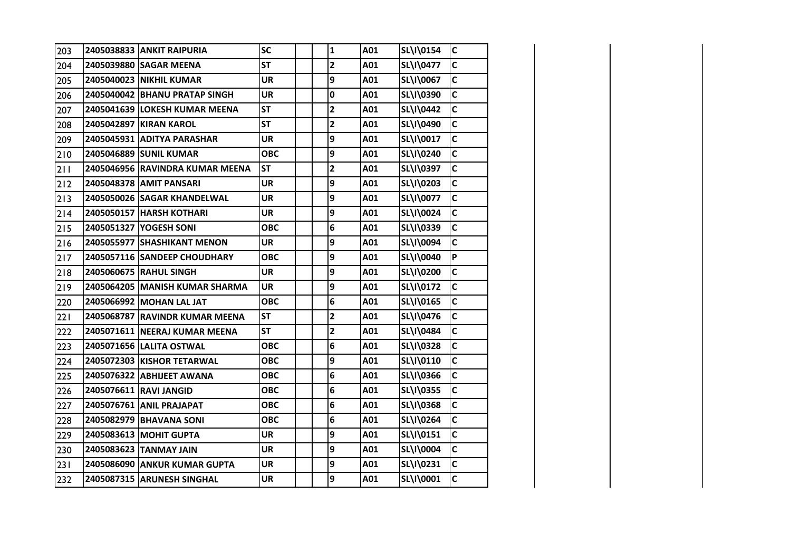| 203   | 2405038833 ANKIT RAIPURIA       | <b>SC</b>  | $\mathbf{1}$            | A01 | SL\I\0154 | $\mathsf{C}$ |
|-------|---------------------------------|------------|-------------------------|-----|-----------|--------------|
| 204   | 2405039880 SAGAR MEENA          | <b>ST</b>  | $\mathbf{2}$            | A01 | SL\I\0477 | $\mathsf{C}$ |
| 205   | 2405040023 NIKHIL KUMAR         | <b>UR</b>  | 9                       | A01 | SL\I\0067 | C            |
| 206   | 2405040042 BHANU PRATAP SINGH   | <b>UR</b>  | 0                       | A01 | SL\I\0390 | $\mathsf{C}$ |
| 207   | 2405041639 LOKESH KUMAR MEENA   | <b>ST</b>  | $\mathbf{2}$            | A01 | SL\I\0442 | $\mathsf{C}$ |
| 208   | 2405042897 KIRAN KAROL          | <b>ST</b>  | $\overline{\mathbf{2}}$ | A01 | SL\I\0490 | $\mathsf{C}$ |
| 209   | 2405045931 ADITYA PARASHAR      | <b>UR</b>  | 9                       | A01 | SL\I\0017 | $\mathsf{C}$ |
| 210   | 2405046889 SUNIL KUMAR          | <b>OBC</b> | 9                       | A01 | SL\I\0240 | $\mathsf{C}$ |
| 211   | 2405046956 RAVINDRA KUMAR MEENA | <b>ST</b>  | $\overline{\mathbf{c}}$ | A01 | SL\I\0397 | $\mathsf{C}$ |
| $212$ | 2405048378 AMIT PANSARI         | <b>UR</b>  | 9                       | A01 | SL\I\0203 | $\mathsf{C}$ |
| 213   | 2405050026 SAGAR KHANDELWAL     | <b>UR</b>  | 9                       | A01 | SL\I\0077 | $\mathsf{C}$ |
| 214   | 2405050157 HARSH KOTHARI        | <b>UR</b>  | 9                       | A01 | SL\I\0024 | $\mathsf{C}$ |
| 215   | 2405051327 YOGESH SONI          | <b>OBC</b> | 6                       | A01 | SL\I\0339 | $\mathsf{C}$ |
| 216   | 2405055977 SHASHIKANT MENON     | <b>UR</b>  | 9                       | A01 | SL\I\0094 | $\mathsf{C}$ |
| 217   | 2405057116 SANDEEP CHOUDHARY    | <b>OBC</b> | 9                       | A01 | SL\I\0040 | P            |
| 218   | 2405060675 RAHUL SINGH          | <b>UR</b>  | 9                       | A01 | SL\I\0200 | $\mathsf{C}$ |
| 219   | 2405064205 MANISH KUMAR SHARMA  | <b>UR</b>  | 9                       | A01 | SL\I\0172 | $\mathsf{C}$ |
| 220   | 2405066992 MOHAN LAL JAT        | <b>OBC</b> | 6                       | A01 | SL\I\0165 | $\mathsf{C}$ |
| 221   | 2405068787 RAVINDR KUMAR MEENA  | <b>ST</b>  | $\overline{\mathbf{c}}$ | A01 | SL\I\0476 | $\mathsf{C}$ |
| 222   | 2405071611 NEERAJ KUMAR MEENA   | <b>ST</b>  | $\overline{\mathbf{2}}$ | A01 | SL\I\0484 | $\mathsf{C}$ |
| 223   | 2405071656 LALITA OSTWAL        | <b>OBC</b> | 6                       | A01 | SL\I\0328 | $\mathsf{C}$ |
| 224   | 2405072303 KISHOR TETARWAL      | <b>OBC</b> | 9                       | A01 | SL\I\0110 | $\mathsf{C}$ |
| 225   | 2405076322 ABHIJEET AWANA       | <b>OBC</b> | 6                       | A01 | SL\I\0366 | $\mathsf{C}$ |
| 226   | 2405076611 RAVI JANGID          | <b>OBC</b> | 6                       | A01 | SL\I\0355 | $\mathsf{C}$ |
| 227   | 2405076761 ANIL PRAJAPAT        | <b>OBC</b> | 6                       | A01 | SL\I\0368 | $\mathsf{C}$ |
| 228   | 2405082979 BHAVANA SONI         | <b>OBC</b> | 6                       | A01 | SL\I\0264 | $\mathsf{C}$ |
| 229   | 2405083613 MOHIT GUPTA          | <b>UR</b>  | 9                       | A01 | SL\I\0151 | $\mathsf{C}$ |
| 230   | 2405083623 TANMAY JAIN          | <b>UR</b>  | 9                       | A01 | SL\I\0004 | $\mathsf{C}$ |
| 231   | 2405086090 ANKUR KUMAR GUPTA    | <b>UR</b>  | 9                       | A01 | SL\I\0231 | $\mathsf{C}$ |
| 232   | 2405087315 ARUNESH SINGHAL      | <b>UR</b>  | 9                       | A01 | SL\I\0001 | $\mathsf{C}$ |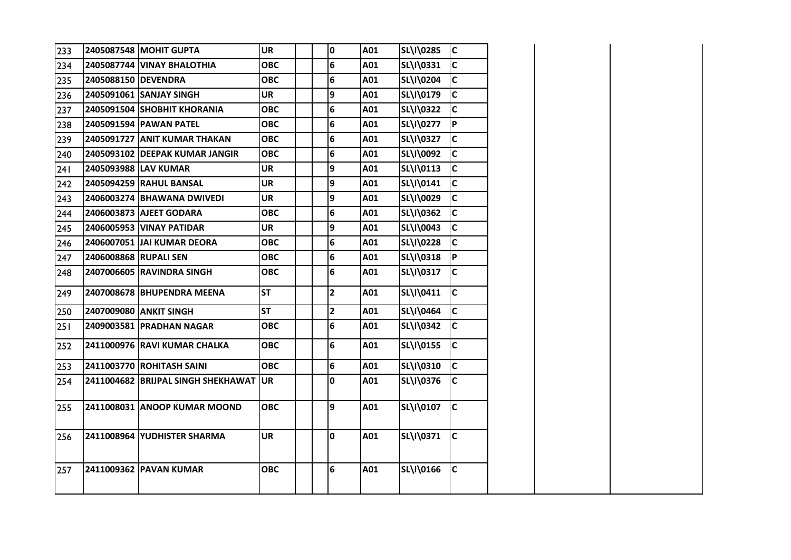| 233 |                     | 2405087548 MOHIT GUPTA             | <b>UR</b>  |  | 0                       | A01 | SL\I\0285 | lc.          |
|-----|---------------------|------------------------------------|------------|--|-------------------------|-----|-----------|--------------|
| 234 |                     | 2405087744 VINAY BHALOTHIA         | <b>OBC</b> |  | 6                       | A01 | SL\I\0331 | lc.          |
| 235 | 2405088150 DEVENDRA |                                    | <b>OBC</b> |  | 6                       | A01 | SL\I\0204 | lC.          |
| 236 |                     | 2405091061 SANJAY SINGH            | <b>UR</b>  |  | 9                       | A01 | SL\I\0179 | lc.          |
| 237 |                     | 2405091504 SHOBHIT KHORANIA        | <b>OBC</b> |  | 6                       | A01 | SL\I\0322 | lc.          |
| 238 |                     | 2405091594 PAWAN PATEL             | <b>OBC</b> |  | 6                       | A01 | SL\I\0277 | P            |
| 239 |                     | 2405091727 ANIT KUMAR THAKAN       | <b>OBC</b> |  | 6                       | A01 | SL\I\0327 | lc.          |
| 240 |                     | 2405093102 DEEPAK KUMAR JANGIR     | <b>OBC</b> |  | 6                       | A01 | SL\I\0092 | $\mathsf{C}$ |
| 241 |                     | 2405093988 LAV KUMAR               | <b>UR</b>  |  | 9                       | A01 | SL\I\0113 | $\mathsf{C}$ |
| 242 |                     | 2405094259 RAHUL BANSAL            | UR         |  | 9                       | A01 | SL\I\0141 | $\mathsf{C}$ |
| 243 |                     | 2406003274 BHAWANA DWIVEDI         | <b>UR</b>  |  | 9                       | A01 | SL\I\0029 | lc.          |
| 244 |                     | 2406003873 AJEET GODARA            | <b>OBC</b> |  | 6                       | A01 | SL\I\0362 | C            |
| 245 |                     | 2406005953 VINAY PATIDAR           | <b>UR</b>  |  | 9                       | A01 | SL\I\0043 | lc.          |
| 246 |                     | 2406007051 JAI KUMAR DEORA         | <b>OBC</b> |  | 6                       | A01 | SL\I\0228 | lc.          |
| 247 |                     | 2406008868 RUPALI SEN              | <b>OBC</b> |  | 6                       | A01 | SL\I\0318 | ∣P∶          |
| 248 |                     | 2407006605 RAVINDRA SINGH          | <b>OBC</b> |  | 6                       | A01 | SL\I\0317 | lc.          |
| 249 |                     | 2407008678 BHUPENDRA MEENA         | <b>ST</b>  |  | $\overline{2}$          | A01 | SL\I\0411 | lc.          |
| 250 |                     | 2407009080 ANKIT SINGH             | <b>ST</b>  |  | $\overline{\mathbf{2}}$ | A01 | SL\I\0464 | $\mathsf{C}$ |
| 251 |                     | 2409003581 PRADHAN NAGAR           | <b>OBC</b> |  | 6                       | A01 | SL\I\0342 | lc.          |
| 252 |                     | 2411000976 RAVI KUMAR CHALKA       | <b>OBC</b> |  | 6                       | A01 | SL\I\0155 | <b>C</b>     |
| 253 |                     | 2411003770 ROHITASH SAINI          | <b>OBC</b> |  | 6                       | A01 | SL\I\0310 | lc.          |
| 254 |                     | 2411004682 BRIJPAL SINGH SHEKHAWAT | <b>UR</b>  |  | 0                       | A01 | SL\I\0376 | lc.          |
| 255 |                     | 2411008031 ANOOP KUMAR MOOND       | <b>OBC</b> |  | 9                       | A01 | SL\I\0107 | $\mathsf{C}$ |
| 256 |                     | 2411008964 YUDHISTER SHARMA        | <b>UR</b>  |  | 0                       | A01 | SL\I\0371 | <b>C</b>     |
| 257 |                     | 2411009362 PAVAN KUMAR             | <b>OBC</b> |  | 6                       | A01 | SL\I\0166 | lc.          |
|     |                     |                                    |            |  |                         |     |           |              |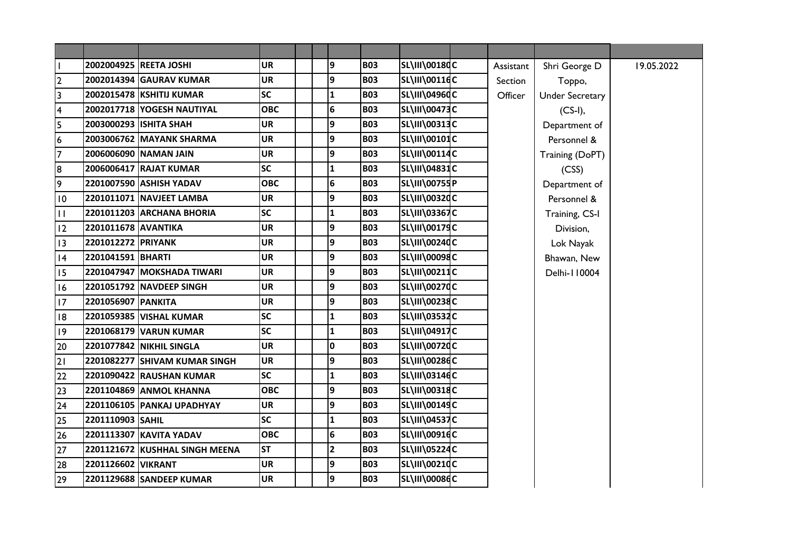| $\mathbf{I}$            |                     | 2002004925 REETA JOSHI         | <b>UR</b>  | 9               | <b>B03</b> | SL\III\00180C        | Assistant | Shri George D          | 19.05.2022 |
|-------------------------|---------------------|--------------------------------|------------|-----------------|------------|----------------------|-----------|------------------------|------------|
| $\overline{2}$          |                     | 2002014394 GAURAV KUMAR        | <b>UR</b>  | 9               | <b>B03</b> | SL\III\00116C        | Section   | Toppo,                 |            |
| $\overline{\mathbf{3}}$ |                     | 2002015478 KSHITIJ KUMAR       | <b>SC</b>  | $\mathbf{1}$    | <b>B03</b> | <b>SL\III\04960C</b> | Officer   | <b>Under Secretary</b> |            |
| $\overline{\mathbf{4}}$ |                     | 2002017718 YOGESH NAUTIYAL     | <b>OBC</b> | $6\phantom{1}6$ | <b>B03</b> | <b>SL\III\00473C</b> |           | $(CS-I),$              |            |
| 5                       |                     | 2003000293 ISHITA SHAH         | <b>UR</b>  | 9               | <b>B03</b> | <b>SL\III\00313C</b> |           | Department of          |            |
| $\boldsymbol{6}$        |                     | 2003006762 MAYANK SHARMA       | <b>UR</b>  | 9               | <b>B03</b> | SL\III\00101C        |           | Personnel &            |            |
| $\overline{7}$          |                     | 2006006090 NAMAN JAIN          | <b>UR</b>  | 9               | <b>B03</b> | <b>SL\III\00114C</b> |           | Training (DoPT)        |            |
| 8                       |                     | 2006006417 RAJAT KUMAR         | <b>SC</b>  | $\mathbf{1}$    | <b>B03</b> | <b>SL\III\04831C</b> |           | (CSS)                  |            |
| 9                       |                     | 2201007590 ASHISH YADAV        | <b>OBC</b> | 6               | <b>B03</b> | SL\III\00755P        |           | Department of          |            |
| 10                      |                     | 2201011071 NAVJEET LAMBA       | <b>UR</b>  | 9               | <b>B03</b> | <b>SL\III\00320C</b> |           | Personnel &            |            |
| $\mathbf{H}$            |                     | 2201011203 ARCHANA BHORIA      | <b>SC</b>  | $\mathbf{1}$    | <b>B03</b> | <b>SL\III\03367C</b> |           | Training, CS-I         |            |
| 12                      | 2201011678 AVANTIKA |                                | <b>UR</b>  | 9               | <b>B03</b> | <b>SL\III\00179C</b> |           | Division,              |            |
| 13                      | 2201012272 PRIYANK  |                                | <b>UR</b>  | 9               | <b>B03</b> | SL\III\00240C        |           | Lok Nayak              |            |
| 4                       | 2201041591 BHARTI   |                                | <b>UR</b>  | 9               | <b>B03</b> | <b>SL\III\00098C</b> |           | Bhawan, New            |            |
| 15                      |                     | 2201047947 MOKSHADA TIWARI     | <b>UR</b>  | 9               | <b>B03</b> | SL\III\00211C        |           | Delhi-110004           |            |
| 16                      |                     | 2201051792 NAVDEEP SINGH       | <b>UR</b>  | 9               | <b>B03</b> | SL\III\00270C        |           |                        |            |
| 17                      | 2201056907 PANKITA  |                                | <b>UR</b>  | 9               | <b>B03</b> | <b>SL\III\00238C</b> |           |                        |            |
| 8                       |                     | 2201059385 VISHAL KUMAR        | <b>SC</b>  | $\mathbf{1}$    | <b>B03</b> | <b>SL\III\03532C</b> |           |                        |            |
| 9                       |                     | 2201068179 VARUN KUMAR         | <b>SC</b>  | 1               | <b>B03</b> | <b>SL\III\04917C</b> |           |                        |            |
| 20                      |                     | 2201077842 NIKHIL SINGLA       | <b>UR</b>  | $\mathbf 0$     | <b>B03</b> | SL\III\00720C        |           |                        |            |
| 21                      |                     | 2201082277 SHIVAM KUMAR SINGH  | <b>UR</b>  | 9               | <b>B03</b> | SL\III\00286C        |           |                        |            |
| 22                      |                     | 2201090422 RAUSHAN KUMAR       | <b>SC</b>  | $\mathbf{1}$    | <b>B03</b> | SL\III\03146C        |           |                        |            |
| 23                      |                     | 2201104869 ANMOL KHANNA        | <b>OBC</b> | 9               | <b>B03</b> | <b>SL\III\00318C</b> |           |                        |            |
| 24                      |                     | 2201106105 PANKAJ UPADHYAY     | <b>UR</b>  | 9               | <b>B03</b> | SL\III\00149C        |           |                        |            |
| 25                      | 2201110903 SAHIL    |                                | <b>SC</b>  | 1               | <b>B03</b> | <b>SL\III\04537C</b> |           |                        |            |
| 26                      |                     | 2201113307 KAVITA YADAV        | <b>OBC</b> | $6\phantom{1}6$ | <b>B03</b> | SL\III\00916C        |           |                        |            |
| 27                      |                     | 2201121672 KUSHHAL SINGH MEENA | <b>ST</b>  | $\mathbf{2}$    | <b>B03</b> | <b>SL\III\05224C</b> |           |                        |            |
| 28                      | 2201126602 VIKRANT  |                                | <b>UR</b>  | $\overline{9}$  | <b>B03</b> | SL\III\00210C        |           |                        |            |
| 29                      |                     | 2201129688 SANDEEP KUMAR       | <b>UR</b>  | 9               | <b>B03</b> | <b>SL\III\00086C</b> |           |                        |            |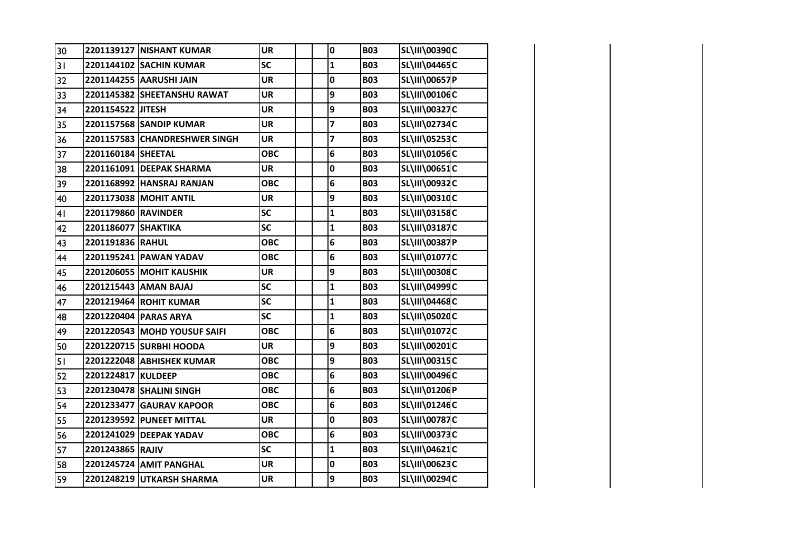| 30 |                     | 2201139127 NISHANT KUMAR        | <b>UR</b>  | 0            | <b>B03</b> | SL\III\00390C        |  |
|----|---------------------|---------------------------------|------------|--------------|------------|----------------------|--|
| 31 |                     | 2201144102 SACHIN KUMAR         | <b>SC</b>  | $\mathbf 1$  | <b>B03</b> | SL\III\04465C        |  |
| 32 |                     | 2201144255 AARUSHI JAIN         | <b>UR</b>  | 0            | <b>B03</b> | <b>SL\III\00657P</b> |  |
| 33 |                     | 2201145382 SHEETANSHU RAWAT     | <b>UR</b>  | 9            | <b>B03</b> | SL\III\00106C        |  |
| 34 | 2201154522 JITESH   |                                 | <b>UR</b>  | 9            | <b>B03</b> | SL\III\00327C        |  |
| 35 |                     | 2201157568 SANDIP KUMAR         | <b>UR</b>  | 7            | <b>B03</b> | SL\III\02734C        |  |
| 36 |                     | 2201157583 CHANDRESHWER SINGH   | <b>UR</b>  | 7            | <b>B03</b> | <b>SL\III\05253C</b> |  |
| 37 | 2201160184 SHEETAL  |                                 | <b>OBC</b> | 6            | <b>B03</b> | SL\III\01056C        |  |
| 38 |                     | 2201161091 DEEPAK SHARMA        | <b>UR</b>  | $\pmb{0}$    | <b>B03</b> | <b>SL\III\00651C</b> |  |
| 39 |                     | 2201168992 HANSRAJ RANJAN       | <b>OBC</b> | 6            | <b>B03</b> | SL\III\00932C        |  |
| 40 |                     | 2201173038 MOHIT ANTIL          | <b>UR</b>  | 9            | <b>B03</b> | SL\III\00310C        |  |
| 41 | 2201179860 RAVINDER |                                 | <b>SC</b>  | $\mathbf{1}$ | <b>B03</b> | SL\III\03158C        |  |
| 42 | 2201186077 SHAKTIKA |                                 | SC         | $\mathbf{1}$ | <b>B03</b> | <b>SL\III\03187C</b> |  |
| 43 | 2201191836 RAHUL    |                                 | <b>OBC</b> | 6            | <b>B03</b> | <b>SL\III\00387P</b> |  |
| 44 |                     | 2201195241 PAWAN YADAV          | <b>OBC</b> | 6            | <b>B03</b> | SL\III\01077C        |  |
| 45 |                     | <b>2201206055 MOHIT KAUSHIK</b> | <b>UR</b>  | 9            | <b>B03</b> | SL\III\00308C        |  |
| 46 |                     | 2201215443 AMAN BAJAJ           | SC         | $\mathbf{1}$ | <b>B03</b> | SL\III\04999C        |  |
| 47 |                     | 2201219464 ROHIT KUMAR          | <b>SC</b>  | $\mathbf{1}$ | <b>B03</b> | SL\III\04468C        |  |
| 48 |                     | 2201220404 PARAS ARYA           | SC         | $\mathbf{1}$ | <b>B03</b> | SL\III\05020C        |  |
| 49 |                     | 2201220543 MOHD YOUSUF SAIFI    | <b>OBC</b> | 6            | <b>B03</b> | SL\III\01072C        |  |
| 50 |                     | 2201220715 SURBHI HOODA         | <b>UR</b>  | 9            | <b>B03</b> | SL\III\00201C        |  |
| 51 |                     | 2201222048 ABHISHEK KUMAR       | <b>OBC</b> | 9            | <b>B03</b> | SL\III\00315C        |  |
| 52 | 2201224817 KULDEEP  |                                 | <b>OBC</b> | 6            | <b>B03</b> | SL\III\00496C        |  |
| 53 |                     | 2201230478 SHALINI SINGH        | <b>OBC</b> | 6            | <b>B03</b> | SL\III\01206P        |  |
| 54 |                     | 2201233477 GAURAV KAPOOR        | <b>OBC</b> | 6            | <b>B03</b> | SL\III\01246C        |  |
| 55 |                     | 2201239592 PUNEET MITTAL        | <b>UR</b>  | 0            | <b>B03</b> | <b>SL\III\00787C</b> |  |
| 56 |                     | 2201241029 DEEPAK YADAV         | <b>OBC</b> | 6            | <b>B03</b> | SL\III\00373C        |  |
| 57 | 2201243865 RAJIV    |                                 | <b>SC</b>  | $\mathbf{1}$ | <b>B03</b> | SL\III\04621C        |  |
| 58 |                     | 2201245724 AMIT PANGHAL         | UR         | $\pmb{0}$    | <b>B03</b> | SL\III\00623C        |  |
| 59 |                     | 2201248219 UTKARSH SHARMA       | <b>UR</b>  | 9            | <b>B03</b> | <b>SL\III\00294C</b> |  |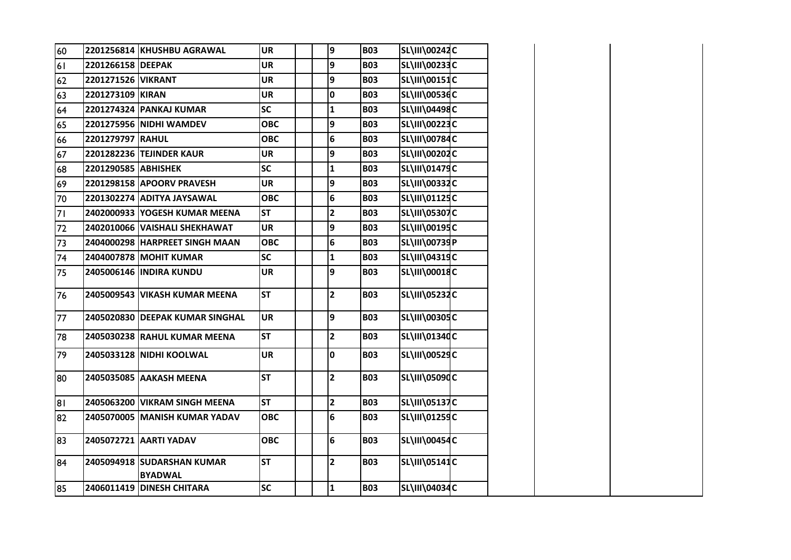| 60 |                     | 2201256814 KHUSHBU AGRAWAL                   | <b>UR</b>  |  | 9              | <b>B03</b> | SL\III\00242C        |  |
|----|---------------------|----------------------------------------------|------------|--|----------------|------------|----------------------|--|
| 61 | 2201266158 DEEPAK   |                                              | <b>UR</b>  |  | 9              | <b>B03</b> | SL\III\00233C        |  |
| 62 | 2201271526 VIKRANT  |                                              | <b>UR</b>  |  | 9              | <b>B03</b> | SL\III\00151C        |  |
| 63 | 2201273109 KIRAN    |                                              | UR         |  | 0              | <b>B03</b> | <b>SL\III\00536C</b> |  |
| 64 |                     | 2201274324 PANKAJ KUMAR                      | <b>SC</b>  |  | $\mathbf{1}$   | <b>B03</b> | <b>SL\III\04498C</b> |  |
| 65 |                     | 2201275956 NIDHI WAMDEV                      | <b>OBC</b> |  | 9              | <b>B03</b> | SL\III\00223C        |  |
| 66 | 2201279797 RAHUL    |                                              | <b>OBC</b> |  | 6              | <b>B03</b> | <b>SL\III\00784C</b> |  |
| 67 |                     | 2201282236 TEJINDER KAUR                     | <b>UR</b>  |  | 9              | <b>B03</b> | SL\III\00202C        |  |
| 68 | 2201290585 ABHISHEK |                                              | <b>SC</b>  |  | 1              | <b>B03</b> | SL\III\01479C        |  |
| 69 |                     | 2201298158 APOORV PRAVESH                    | <b>UR</b>  |  | 9              | <b>B03</b> | SL\III\00332C        |  |
| 70 |                     | 2201302274 ADITYA JAYSAWAL                   | <b>OBC</b> |  | 6              | <b>B03</b> | SL\III\01125C        |  |
| 71 |                     | 2402000933 YOGESH KUMAR MEENA                | <b>ST</b>  |  | $\mathbf{2}$   | <b>B03</b> | <b>SL\III\05307C</b> |  |
| 72 |                     | 2402010066 VAISHALI SHEKHAWAT                | <b>UR</b>  |  | 9              | <b>B03</b> | SL\III\00195C        |  |
| 73 |                     | 2404000298 HARPREET SINGH MAAN               | <b>OBC</b> |  | 6              | <b>B03</b> | <b>SL\III\00739P</b> |  |
| 74 |                     | 2404007878 MOHIT KUMAR                       | <b>SC</b>  |  | $\mathbf{1}$   | <b>B03</b> | <b>SL\III\04319C</b> |  |
| 75 |                     | 2405006146 INDIRA KUNDU                      | <b>UR</b>  |  | 9              | <b>B03</b> | <b>SL\III\00018C</b> |  |
| 76 |                     | 2405009543 VIKASH KUMAR MEENA                | <b>ST</b>  |  | $\mathbf{2}$   | <b>B03</b> | <b>SL\III\05232C</b> |  |
| 77 |                     | 2405020830 DEEPAK KUMAR SINGHAL              | <b>UR</b>  |  | $\overline{9}$ | <b>B03</b> | <b>SL\III\00305C</b> |  |
| 78 |                     | 2405030238 RAHUL KUMAR MEENA                 | <b>ST</b>  |  | 2              | <b>B03</b> | SL\III\01340C        |  |
| 79 |                     | 2405033128 NIDHI KOOLWAL                     | <b>UR</b>  |  | 0              | <b>B03</b> | <b>SL\III\00529C</b> |  |
| 80 |                     | 2405035085 AAKASH MEENA                      | <b>ST</b>  |  | $\overline{2}$ | <b>B03</b> | <b>SL\III\05090C</b> |  |
| 81 |                     | 2405063200 VIKRAM SINGH MEENA                | <b>ST</b>  |  | $\overline{2}$ | <b>B03</b> | <b>SL\III\05137C</b> |  |
| 82 |                     | 2405070005 MANISH KUMAR YADAV                | ОВС        |  | 6              | <b>B03</b> | SL\III\01259C        |  |
| 83 |                     | 2405072721 AARTI YADAV                       | <b>OBC</b> |  | 6              | <b>B03</b> | <b>SL\III\00454C</b> |  |
| 84 |                     | 2405094918 SUDARSHAN KUMAR<br><b>BYADWAL</b> | <b>ST</b>  |  | $\overline{2}$ | <b>B03</b> | <b>SL\III\05141C</b> |  |
| 85 |                     | 2406011419 DINESH CHITARA                    | <b>SC</b>  |  | $\mathbf{1}$   | <b>B03</b> | SL\III\04034C        |  |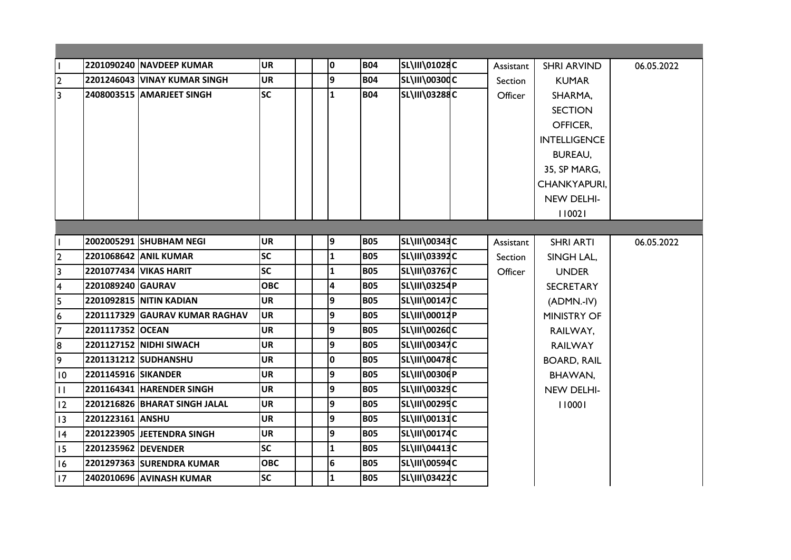|                         |                     | 2201090240 NAVDEEP KUMAR       | <b>UR</b>  |  | 0            | <b>B04</b> | <b>SL\III\01028C</b> | Assistant | <b>SHRI ARVIND</b>  | 06.05.2022 |
|-------------------------|---------------------|--------------------------------|------------|--|--------------|------------|----------------------|-----------|---------------------|------------|
| $\overline{2}$          |                     | 2201246043 VINAY KUMAR SINGH   | <b>UR</b>  |  | 9            | <b>B04</b> | <b>SL\III\00300C</b> | Section   | <b>KUMAR</b>        |            |
| $\overline{3}$          |                     | 2408003515 AMARJEET SINGH      | <b>SC</b>  |  | $\mathbf{1}$ | <b>B04</b> | <b>SL\III\03288C</b> | Officer   | SHARMA,             |            |
|                         |                     |                                |            |  |              |            |                      |           | <b>SECTION</b>      |            |
|                         |                     |                                |            |  |              |            |                      |           | OFFICER,            |            |
|                         |                     |                                |            |  |              |            |                      |           | <b>INTELLIGENCE</b> |            |
|                         |                     |                                |            |  |              |            |                      |           | <b>BUREAU,</b>      |            |
|                         |                     |                                |            |  |              |            |                      |           | 35, SP MARG,        |            |
|                         |                     |                                |            |  |              |            |                      |           | CHANKYAPURI,        |            |
|                         |                     |                                |            |  |              |            |                      |           | NEW DELHI-          |            |
|                         |                     |                                |            |  |              |            |                      |           | 110021              |            |
|                         |                     |                                |            |  |              |            |                      |           |                     |            |
|                         |                     | 2002005291 SHUBHAM NEGI        | <b>UR</b>  |  | 9            | <b>B05</b> | SL\III\00343C        | Assistant | <b>SHRI ARTI</b>    | 06.05.2022 |
| $\overline{2}$          |                     | 2201068642 ANIL KUMAR          | <b>SC</b>  |  | $\mathbf{1}$ | <b>B05</b> | SL\III\03392C        | Section   | SINGH LAL,          |            |
| $\overline{\mathbf{3}}$ |                     | <b>2201077434 VIKAS HARIT</b>  | <b>SC</b>  |  | $\mathbf{1}$ | <b>B05</b> | <b>SL\III\03767C</b> | Officer   | <b>UNDER</b>        |            |
| $\overline{\mathbf{4}}$ | 2201089240 GAURAV   |                                | <b>OBC</b> |  | 4            | <b>B05</b> | <b>SL\III\03254P</b> |           | <b>SECRETARY</b>    |            |
| $\overline{5}$          |                     | <b>2201092815 NITIN KADIAN</b> | <b>UR</b>  |  | 9            | <b>B05</b> | <b>SL\III\00147C</b> |           | (ADMN.-IV)          |            |
| $\overline{6}$          |                     | 2201117329 GAURAV KUMAR RAGHAV | <b>UR</b>  |  | 9            | <b>B05</b> | SL\III\00012P        |           | <b>MINISTRY OF</b>  |            |
| 7                       | 2201117352 OCEAN    |                                | <b>UR</b>  |  | 9            | <b>B05</b> | <b>SL\III\00260C</b> |           | RAILWAY,            |            |
| 8                       |                     | 2201127152 NIDHI SIWACH        | <b>UR</b>  |  | 9            | <b>B05</b> | <b>SL\III\00347C</b> |           | <b>RAILWAY</b>      |            |
| 9                       |                     | 2201131212 SUDHANSHU           | <b>UR</b>  |  | 0            | <b>B05</b> | <b>SL\III\00478C</b> |           | <b>BOARD, RAIL</b>  |            |
| 10                      | 2201145916 SIKANDER |                                | <b>UR</b>  |  | 9            | <b>B05</b> | SL\III\00306P        |           | BHAWAN,             |            |
| $\mathbf{H}$            |                     | 2201164341 HARENDER SINGH      | <b>UR</b>  |  | 9            | <b>B05</b> | <b>SL\III\00329C</b> |           | NEW DELHI-          |            |
| 12                      |                     | 2201216826 BHARAT SINGH JALAL  | <b>UR</b>  |  | 9            | <b>B05</b> | SL\III\00295C        |           | 110001              |            |
| 13                      | 2201223161 ANSHU    |                                | <b>UR</b>  |  | 9            | <b>B05</b> | <b>SL\III\00131C</b> |           |                     |            |
| 4                       |                     | 2201223905 JEETENDRA SINGH     | <b>UR</b>  |  | 9            | <b>B05</b> | <b>SL\III\00174C</b> |           |                     |            |
| 15                      |                     | 2201235962 DEVENDER            | <b>SC</b>  |  | $\mathbf{1}$ | <b>B05</b> | SL\III\04413C        |           |                     |            |
|                         |                     |                                |            |  |              |            |                      |           |                     |            |
| 16                      |                     | 2201297363 SURENDRA KUMAR      | <b>OBC</b> |  | 6            | <b>B05</b> | <b>SL\III\00594C</b> |           |                     |            |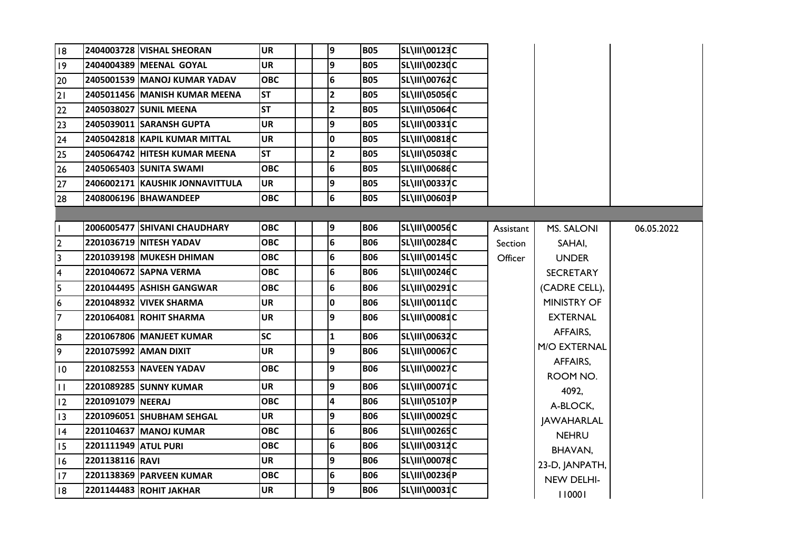| 18                      |                      | 2404003728 VISHAL SHEORAN       | <b>UR</b>  | 9               | <b>B05</b> | SL\III\00123C        |           |                    |            |
|-------------------------|----------------------|---------------------------------|------------|-----------------|------------|----------------------|-----------|--------------------|------------|
| $ 19\rangle$            |                      | 2404004389 MEENAL GOYAL         | <b>UR</b>  | 9               | <b>B05</b> | <b>SL\III\00230C</b> |           |                    |            |
| 20                      |                      | 2405001539 MANOJ KUMAR YADAV    | <b>OBC</b> | 6               | <b>B05</b> | <b>SL\III\00762C</b> |           |                    |            |
| 21                      |                      | 2405011456   MANISH KUMAR MEENA | IST        | $\mathbf{2}$    | <b>B05</b> | <b>SL\III\05056C</b> |           |                    |            |
| 22                      |                      | 2405038027 SUNIL MEENA          | <b>ST</b>  | $\mathbf{2}$    | <b>B05</b> | <b>SL\III\05064C</b> |           |                    |            |
| 23                      |                      | 2405039011 SARANSH GUPTA        | UR         | 9               | <b>B05</b> | <b>SL\III\00331C</b> |           |                    |            |
| 24                      |                      | 2405042818 KAPIL KUMAR MITTAL   | <b>UR</b>  | O               | <b>B05</b> | <b>SL\III\00818C</b> |           |                    |            |
| 25                      |                      | 2405064742 HITESH KUMAR MEENA   | <b>ST</b>  | $\mathbf{2}$    | <b>B05</b> | <b>SL\III\05038C</b> |           |                    |            |
| 26                      |                      | 2405065403 SUNITA SWAMI         | <b>OBC</b> | 6               | <b>B05</b> | <b>SL\III\00686C</b> |           |                    |            |
| 27                      |                      | 2406002171 KAUSHIK JONNAVITTULA | <b>UR</b>  | 9               | <b>B05</b> | <b>SL\III\00337C</b> |           |                    |            |
| 28                      |                      | 2408006196 BHAWANDEEP           | <b>OBC</b> | 6               | <b>B05</b> | SL\III\00603P        |           |                    |            |
|                         |                      |                                 |            |                 |            |                      |           |                    |            |
| H                       |                      | 2006005477 SHIVANI CHAUDHARY    | <b>OBC</b> | 9               | <b>B06</b> | <b>SL\III\00056C</b> | Assistant | MS. SALONI         | 06.05.2022 |
| $\overline{2}$          |                      | 2201036719 NITESH YADAV         | <b>OBC</b> | $6\overline{6}$ | <b>B06</b> | <b>SL\III\00284C</b> | Section   | SAHAI,             |            |
| $\overline{3}$          |                      | 2201039198  MUKESH DHIMAN       | <b>OBC</b> | 6               | <b>B06</b> | SL\III\00145C        | Officer   | <b>UNDER</b>       |            |
| $\overline{\mathbf{4}}$ |                      | 2201040672 SAPNA VERMA          | <b>OBC</b> | 6               | <b>B06</b> | SL\III\00246C        |           | <b>SECRETARY</b>   |            |
| 5                       |                      | 2201044495 ASHISH GANGWAR       | ОВС        | 6               | <b>B06</b> | <b>SL\III\00291C</b> |           | (CADRE CELL),      |            |
| 16                      |                      | 2201048932 VIVEK SHARMA         | <b>UR</b>  | $\mathbf 0$     | <b>B06</b> | <b>SL\III\00110C</b> |           | <b>MINISTRY OF</b> |            |
| 7                       |                      | 2201064081 ROHIT SHARMA         | <b>UR</b>  | 9               | <b>B06</b> | <b>SL\III\00081C</b> |           | <b>EXTERNAL</b>    |            |
| 8                       |                      | 2201067806 MANJEET KUMAR        | <b>SC</b>  | 1               | <b>B06</b> | SL\III\00632C        |           | AFFAIRS,           |            |
| 9                       |                      | 2201075992  AMAN DIXIT          | UR         | 9               | <b>B06</b> | <b>SL\III\00067C</b> |           | M/O EXTERNAL       |            |
| $\overline{10}$         |                      | 2201082553   NAVEEN YADAV       | <b>OBC</b> | 9               | <b>BO6</b> | <b>SL\III\00027C</b> |           | AFFAIRS,           |            |
|                         |                      |                                 |            |                 |            |                      |           | ROOM NO.           |            |
| $\mathbf{H}$            |                      | 2201089285 SUNNY KUMAR          | UR.        | 9               | <b>BO6</b> | <b>SL\III\00071C</b> |           | 4092,              |            |
| $ 12\rangle$            | 2201091079 NEERAJ    |                                 | <b>OBC</b> | 4               | <b>B06</b> | SL\III\05107P        |           | A-BLOCK,           |            |
| $ 13\rangle$            |                      | 2201096051 SHUBHAM SEHGAL       | UR         | 9               | <b>B06</b> | SL\III\00029C        |           | <b>JAWAHARLAL</b>  |            |
| 4                       |                      | 2201104637 MANOJ KUMAR          | <b>OBC</b> | 6               | <b>B06</b> | <b>SL\III\00265C</b> |           | <b>NEHRU</b>       |            |
| 15                      | 2201111949 ATUL PURI |                                 | ОВС        | $6\phantom{a}$  | <b>B06</b> | <b>SL\III\00312C</b> |           | BHAVAN,            |            |
| 16                      | 2201138116 RAVI      |                                 | <b>UR</b>  | 9               | <b>B06</b> | <b>SL\III\00078C</b> |           | 23-D, JANPATH,     |            |
| 17                      |                      | 2201138369 PARVEEN KUMAR        | <b>OBC</b> | 6               | <b>B06</b> | SL\III\00236P        |           | NEW DELHI-         |            |
| 18                      |                      | 2201144483 ROHIT JAKHAR         | UR         | 9               | <b>B06</b> | <b>SL\III\00031C</b> |           | 110001             |            |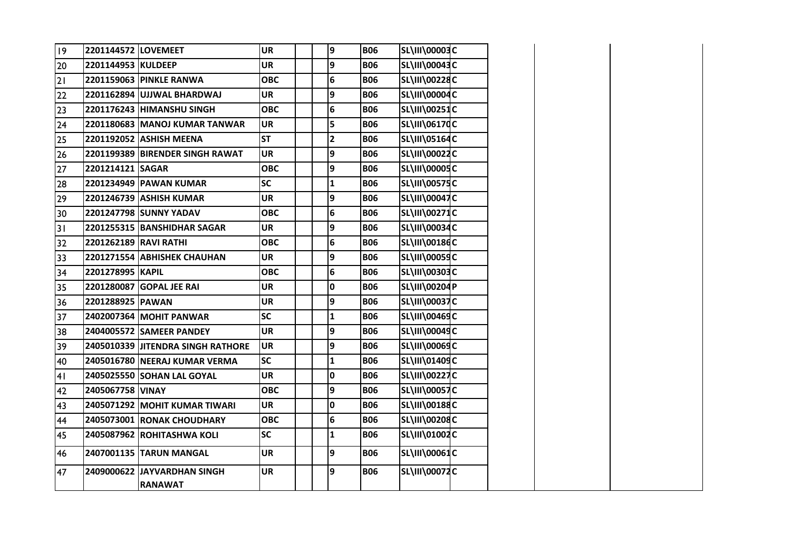| $ 9\rangle$ | 2201144572 LOVEMEET   |                                               | <b>UR</b>  |  | 9              | <b>B06</b> | <b>SL\III\00003C</b> |  |
|-------------|-----------------------|-----------------------------------------------|------------|--|----------------|------------|----------------------|--|
| 20          | 2201144953 KULDEEP    |                                               | <b>UR</b>  |  | 9              | <b>B06</b> | SL\III\00043C        |  |
| 21          |                       | 2201159063 PINKLE RANWA                       | <b>OBC</b> |  | 6              | <b>B06</b> | SL\III\00228C        |  |
| 22          |                       | 2201162894 UJJWAL BHARDWAJ                    | <b>UR</b>  |  | 9              | <b>B06</b> | SL\III\00004C        |  |
| 23          |                       | 2201176243 HIMANSHU SINGH                     | <b>OBC</b> |  | 6              | <b>B06</b> | <b>SL\III\00251C</b> |  |
| 24          |                       | 2201180683 MANOJ KUMAR TANWAR                 | <b>UR</b>  |  | 5              | <b>B06</b> | <b>SL\III\06170C</b> |  |
| 25          |                       | 2201192052 ASHISH MEENA                       | <b>ST</b>  |  | $\overline{2}$ | <b>B06</b> | SL\III\05164C        |  |
| 26          |                       | 2201199389 BIRENDER SINGH RAWAT               | <b>UR</b>  |  | 9              | <b>B06</b> | <b>SL\III\00022C</b> |  |
| 27          | 2201214121 SAGAR      |                                               | <b>OBC</b> |  | 9              | <b>B06</b> | <b>SL\III\00005C</b> |  |
| 28          |                       | 2201234949 PAWAN KUMAR                        | <b>SC</b>  |  | ${\bf 1}$      | <b>B06</b> | <b>SL\III\00575C</b> |  |
| 29          |                       | 2201246739 ASHISH KUMAR                       | <b>UR</b>  |  | 9              | <b>B06</b> | <b>SL\III\00047C</b> |  |
| 30          |                       | 2201247798 SUNNY YADAV                        | <b>OBC</b> |  | 6              | <b>B06</b> | <b>SL\III\00271C</b> |  |
| 31          |                       | 2201255315 BANSHIDHAR SAGAR                   | <b>UR</b>  |  | 9              | <b>B06</b> | <b>SL\III\00034C</b> |  |
| 32          | 2201262189 RAVI RATHI |                                               | <b>OBC</b> |  | 6              | <b>B06</b> | <b>SL\III\00186C</b> |  |
| 33          |                       | 2201271554 ABHISHEK CHAUHAN                   | <b>UR</b>  |  | 9              | <b>B06</b> | <b>SL\III\00059C</b> |  |
| 34          | 2201278995 KAPIL      |                                               | <b>OBC</b> |  | 6              | <b>B06</b> | SL\III\00303C        |  |
| 35          |                       | 2201280087 GOPAL JEE RAI                      | <b>UR</b>  |  | 0              | <b>B06</b> | SL\III\00204P        |  |
| 36          | 2201288925 PAWAN      |                                               | <b>UR</b>  |  | 9              | <b>B06</b> | <b>SL\III\00037C</b> |  |
| 37          |                       | 2402007364 MOHIT PANWAR                       | <b>SC</b>  |  | $\mathbf{1}$   | <b>B06</b> | SL\III\00469C        |  |
| 38          |                       | 2404005572 SAMEER PANDEY                      | <b>UR</b>  |  | 9              | <b>B06</b> | SL\III\00049C        |  |
| 39          |                       | 2405010339 JITENDRA SINGH RATHORE             | <b>UR</b>  |  | 9              | <b>B06</b> | <b>SL\III\00069C</b> |  |
| 40          |                       | 2405016780 NEERAJ KUMAR VERMA                 | <b>SC</b>  |  | $\mathbf{1}$   | <b>B06</b> | SL\III\01409C        |  |
| 41          |                       | 2405025550 SOHAN LAL GOYAL                    | <b>UR</b>  |  | $\mathbf 0$    | <b>B06</b> | <b>SL\III\00227C</b> |  |
| 42          | 2405067758 VINAY      |                                               | <b>OBC</b> |  | 9              | <b>B06</b> | <b>SL\III\00057C</b> |  |
| 43          |                       | 2405071292 MOHIT KUMAR TIWARI                 | <b>UR</b>  |  | $\mathbf 0$    | <b>B06</b> | <b>SL\III\00188C</b> |  |
| 44          |                       | 2405073001 RONAK CHOUDHARY                    | <b>OBC</b> |  | $\bf 6$        | <b>B06</b> | SL\III\00208C        |  |
| 45          |                       | 2405087962 ROHITASHWA KOLI                    | <b>SC</b>  |  | $\mathbf{1}$   | <b>B06</b> | SL\III\01002C        |  |
| 46          |                       | 2407001135 TARUN MANGAL                       | <b>UR</b>  |  | 9              | <b>B06</b> | SL\III\00061C        |  |
| 47          |                       | 2409000622 JAYVARDHAN SINGH<br><b>RANAWAT</b> | <b>UR</b>  |  | 9              | <b>B06</b> | SL\III\00072C        |  |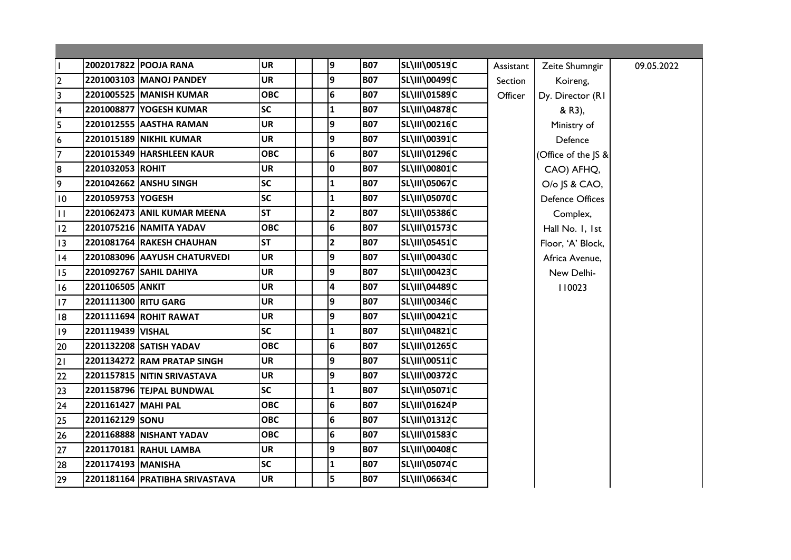| $\mathbf{I}$            |                      | 2002017822 POOJA RANA          | <b>UR</b>  | 9                       | <b>B07</b> | SL\III\00519C         | Assistant | Zeite Shumngir         | 09.05.2022 |
|-------------------------|----------------------|--------------------------------|------------|-------------------------|------------|-----------------------|-----------|------------------------|------------|
| $\overline{2}$          |                      | 2201003103 MANOJ PANDEY        | <b>UR</b>  | 9                       | <b>B07</b> | SL\III\00499C         | Section   | Koireng,               |            |
| $\overline{\mathbf{3}}$ |                      | 2201005525 MANISH KUMAR        | <b>OBC</b> | 6                       | <b>B07</b> | <b>SL\III\01589C</b>  | Officer   | Dy. Director (RI       |            |
| $\overline{\mathbf{4}}$ |                      | 2201008877 YOGESH KUMAR        | <b>SC</b>  | $\mathbf{1}$            | <b>B07</b> | <b>SL\III\04878C</b>  |           | & R3),                 |            |
| 5                       |                      | 2201012555 AASTHA RAMAN        | <b>UR</b>  | 9                       | <b>B07</b> | <b>SL\III\00216C</b>  |           | Ministry of            |            |
| $\boldsymbol{6}$        |                      | <b>2201015189 NIKHIL KUMAR</b> | <b>UR</b>  | 9                       | <b>B07</b> | SL\III\00391C         |           | Defence                |            |
| $\overline{7}$          |                      | 2201015349 HARSHLEEN KAUR      | <b>OBC</b> | 6                       | <b>B07</b> | SL\III\01296C         |           | (Office of the JS &    |            |
| 8                       | 2201032053 ROHIT     |                                | <b>UR</b>  | I٥                      | <b>B07</b> | SL\III\00801C         |           | CAO) AFHQ,             |            |
| 9                       |                      | 2201042662 ANSHU SINGH         | <b>SC</b>  | $\mathbf{1}$            | <b>B07</b> | <b>SL\III\05067C</b>  |           | O/o JS & CAO,          |            |
| $\overline{10}$         | 2201059753 YOGESH    |                                | <b>SC</b>  | $\mathbf{1}$            | <b>B07</b> | <b>SL\III\05070C</b>  |           | <b>Defence Offices</b> |            |
| $\mathbf{H}$            |                      | 2201062473 ANIL KUMAR MEENA    | <b>ST</b>  | $\overline{2}$          | <b>B07</b> | <b>SL\III\05386C</b>  |           | Complex,               |            |
| 12                      |                      | 2201075216 NAMITA YADAV        | <b>OBC</b> | 6                       | <b>B07</b> | SL\III\01573C         |           | Hall No. I, Ist        |            |
| 13                      |                      | 2201081764 RAKESH CHAUHAN      | <b>ST</b>  | $\overline{2}$          | <b>B07</b> | <b>SL\III\05451C</b>  |           | Floor, 'A' Block,      |            |
| 4                       |                      | 2201083096 AAYUSH CHATURVEDI   | <b>UR</b>  | 9                       | <b>B07</b> | SL\III\00430C         |           | Africa Avenue,         |            |
| 15                      |                      | 2201092767 SAHIL DAHIYA        | <b>UR</b>  | 9                       | <b>B07</b> | SL\III\00423C         |           | New Delhi-             |            |
| 16                      | 2201106505 ANKIT     |                                | <b>UR</b>  | $\overline{\mathbf{4}}$ | <b>B07</b> | SL\III\04489C         |           | 110023                 |            |
| 17                      | 2201111300 RITU GARG |                                | <b>UR</b>  | 9                       | <b>B07</b> | SL\III\00346C         |           |                        |            |
| 18                      |                      | 2201111694 ROHIT RAWAT         | <b>UR</b>  | 9                       | <b>B07</b> | SL\III\00421C         |           |                        |            |
| 9                       | 2201119439 VISHAL    |                                | <b>SC</b>  | $\mathbf{1}$            | <b>B07</b> | SL\III\04821C         |           |                        |            |
| 20                      |                      | 2201132208 SATISH YADAV        | <b>OBC</b> | 6                       | <b>B07</b> | SL\III\01265C         |           |                        |            |
| 21                      |                      | 2201134272 RAM PRATAP SINGH    | <b>UR</b>  | 9                       | <b>B07</b> | SL\III\00511C         |           |                        |            |
| 22                      |                      | 2201157815 NITIN SRIVASTAVA    | <b>UR</b>  | 9                       | <b>B07</b> | <b>SL\III\00372C</b>  |           |                        |            |
| 23                      |                      | 2201158796 TEJPAL BUNDWAL      | <b>SC</b>  | $\mathbf{1}$            | <b>B07</b> | <b>SL\III\05071</b> C |           |                        |            |
| 24                      | 2201161427 MAHI PAL  |                                | <b>OBC</b> | 6                       | <b>B07</b> | SL\III\01624P         |           |                        |            |
| 25                      | 2201162129 SONU      |                                | <b>OBC</b> | 6                       | <b>B07</b> | SL\III\01312C         |           |                        |            |
| 26                      |                      | 2201168888 NISHANT YADAV       | <b>OBC</b> | 6                       | <b>B07</b> | SL\III\01583C         |           |                        |            |
| 27                      |                      | 2201170181 RAHUL LAMBA         | <b>UR</b>  | 9                       | <b>B07</b> | <b>SL\III\00408C</b>  |           |                        |            |
| 28                      | 2201174193 MANISHA   |                                | <b>SC</b>  | $\mathbf{1}$            | <b>B07</b> | <b>SL\III\05074C</b>  |           |                        |            |
| 29                      |                      | 2201181164 PRATIBHA SRIVASTAVA | <b>UR</b>  | 5                       | <b>B07</b> | SL\III\06634C         |           |                        |            |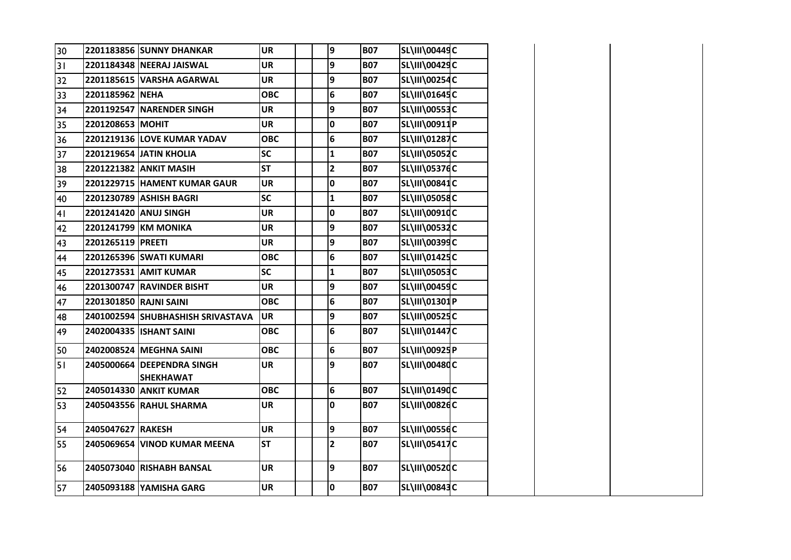| 30             |                        | 2201183856 SUNNY DHANKAR          | <b>UR</b>  |  | 9                       | <b>B07</b> | <b>SL\III\00449C</b> |  |
|----------------|------------------------|-----------------------------------|------------|--|-------------------------|------------|----------------------|--|
| 31             |                        | 2201184348 NEERAJ JAISWAL         | <b>UR</b>  |  | 9                       | <b>B07</b> | SL\III\00429C        |  |
| 32             |                        | 2201185615 VARSHA AGARWAL         | <b>UR</b>  |  | 9                       | <b>B07</b> | <b>SL\III\00254C</b> |  |
| 33             | 2201185962 NEHA        |                                   | ОВС        |  | $\bf 6$                 | <b>B07</b> | SL\III\01645C        |  |
| 34             |                        | 2201192547 NARENDER SINGH         | <b>UR</b>  |  | 9                       | <b>B07</b> | <b>SL\III\00553C</b> |  |
| 35             | 2201208653 MOHIT       |                                   | <b>UR</b>  |  | $\mathbf 0$             | <b>B07</b> | SL\III\00911P        |  |
| 36             |                        | 2201219136 LOVE KUMAR YADAV       | <b>OBC</b> |  | 6                       | <b>B07</b> | SL\III\01287C        |  |
| 37             |                        | 2201219654 JATIN KHOLIA           | <b>SC</b>  |  | $\mathbf{1}$            | <b>B07</b> | <b>SL\III\05052C</b> |  |
| 38             |                        | 2201221382 ANKIT MASIH            | <b>ST</b>  |  | $\overline{\mathbf{c}}$ | <b>B07</b> | <b>SL\III\05376C</b> |  |
| 39             |                        | 2201229715 HAMENT KUMAR GAUR      | <b>UR</b>  |  | 0                       | <b>B07</b> | <b>SL\III\00841C</b> |  |
| 40             |                        | 2201230789 ASHISH BAGRI           | <b>SC</b>  |  | $\mathbf{1}$            | <b>B07</b> | <b>SL\III\05058C</b> |  |
| 4 <sub>1</sub> |                        | 2201241420 ANUJ SINGH             | <b>UR</b>  |  | $\mathbf 0$             | <b>B07</b> | <b>SL\III\00910C</b> |  |
| 42             |                        | 2201241799 KM MONIKA              | <b>UR</b>  |  | 9                       | <b>B07</b> | <b>SL\III\00532C</b> |  |
| 43             | 2201265119 PREETI      |                                   | <b>UR</b>  |  | 9                       | <b>B07</b> | <b>SL\III\00399C</b> |  |
| 44             |                        | 2201265396 SWATI KUMARI           | <b>OBC</b> |  | 6                       | <b>B07</b> | SL\III\01425C        |  |
| 45             |                        | 2201273531 AMIT KUMAR             | <b>SC</b>  |  | $\mathbf{1}$            | <b>B07</b> | <b>SL\III\05053C</b> |  |
| 46             |                        | 2201300747 RAVINDER BISHT         | <b>UR</b>  |  | 9                       | <b>B07</b> | <b>SL\III\00459C</b> |  |
| 47             | 2201301850 RAJNI SAINI |                                   | <b>OBC</b> |  | $\bf 6$                 | <b>B07</b> | SL\III\01301P        |  |
| 48             |                        | 2401002594 SHUBHASHISH SRIVASTAVA | <b>UR</b>  |  | 9                       | <b>B07</b> | <b>SL\III\00525C</b> |  |
| 49             |                        | 2402004335 ISHANT SAINI           | <b>OBC</b> |  | $6\phantom{1}$          | <b>B07</b> | <b>SL\III\01447C</b> |  |
| 50             |                        | 2402008524 MEGHNA SAINI           | <b>OBC</b> |  | 6                       | <b>B07</b> | SL\III\00925P        |  |
| 51             |                        | 2405000664 DEEPENDRA SINGH        | <b>UR</b>  |  | 9                       | <b>B07</b> | <b>SL\III\00480C</b> |  |
|                |                        | <b>SHEKHAWAT</b>                  |            |  |                         |            |                      |  |
| 52             |                        | 2405014330 ANKIT KUMAR            | <b>OBC</b> |  | 6                       | <b>B07</b> | SL\III\01490C        |  |
| 53             |                        | 2405043556 RAHUL SHARMA           | <b>UR</b>  |  | $\mathbf 0$             | <b>B07</b> | <b>SL\III\00826C</b> |  |
| 54             | 2405047627 RAKESH      |                                   | <b>UR</b>  |  | 9                       | <b>B07</b> | <b>SL\III\00556C</b> |  |
| 55             |                        | 2405069654  VINOD KUMAR MEENA     | <b>ST</b>  |  | $\overline{\mathbf{2}}$ | <b>B07</b> | <b>SL\III\05417C</b> |  |
| 56             |                        | 2405073040 RISHABH BANSAL         | <b>UR</b>  |  | 9                       | <b>B07</b> | <b>SL\III\00520C</b> |  |
|                |                        |                                   |            |  |                         |            |                      |  |
| 57             |                        | 2405093188 YAMISHA GARG           | <b>UR</b>  |  | 0                       | <b>B07</b> | <b>SL\III\00843C</b> |  |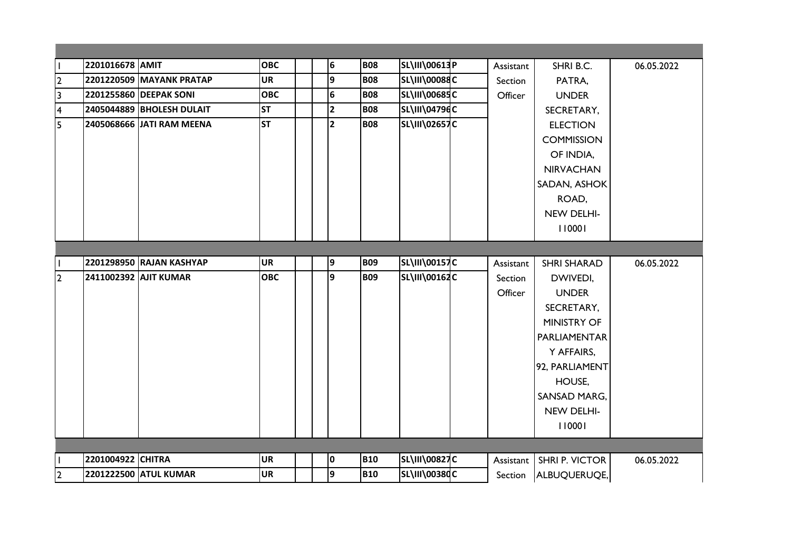| $\mathbf{I}$            | 2201016678 AMIT   |                           | <b>OBC</b> | 6              | <b>B08</b> | SL\III\00613P        | Assistant | SHRI B.C.             | 06.05.2022 |
|-------------------------|-------------------|---------------------------|------------|----------------|------------|----------------------|-----------|-----------------------|------------|
| $\overline{2}$          |                   | 2201220509 MAYANK PRATAP  | <b>UR</b>  | 9              | <b>B08</b> | <b>SL\III\00088C</b> | Section   | PATRA,                |            |
| 3                       |                   | 2201255860 DEEPAK SONI    | <b>OBC</b> | 6              | <b>B08</b> | SL\III\00685C        | Officer   | <b>UNDER</b>          |            |
| $\overline{\mathbf{4}}$ |                   | 2405044889 BHOLESH DULAIT | <b>ST</b>  | $\overline{2}$ | <b>B08</b> | SL\III\04796C        |           | SECRETARY,            |            |
| 5                       |                   | 2405068666 JATI RAM MEENA | <b>ST</b>  | $\overline{2}$ | <b>B08</b> | <b>SL\III\02657C</b> |           | <b>ELECTION</b>       |            |
|                         |                   |                           |            |                |            |                      |           | <b>COMMISSION</b>     |            |
|                         |                   |                           |            |                |            |                      |           | OF INDIA,             |            |
|                         |                   |                           |            |                |            |                      |           | <b>NIRVACHAN</b>      |            |
|                         |                   |                           |            |                |            |                      |           | SADAN, ASHOK          |            |
|                         |                   |                           |            |                |            |                      |           | ROAD,                 |            |
|                         |                   |                           |            |                |            |                      |           | NEW DELHI-            |            |
|                         |                   |                           |            |                |            |                      |           | 110001                |            |
|                         |                   |                           |            |                |            |                      |           |                       |            |
|                         |                   | 2201298950 RAJAN KASHYAP  | <b>UR</b>  | 9              | <b>B09</b> | <b>SL\III\00157C</b> | Assistant | <b>SHRI SHARAD</b>    | 06.05.2022 |
| 2                       |                   | 2411002392 AJIT KUMAR     | <b>OBC</b> | 9              | <b>B09</b> | SL\III\00162C        | Section   | DWIVEDI,              |            |
|                         |                   |                           |            |                |            |                      | Officer   | <b>UNDER</b>          |            |
|                         |                   |                           |            |                |            |                      |           | SECRETARY,            |            |
|                         |                   |                           |            |                |            |                      |           | <b>MINISTRY OF</b>    |            |
|                         |                   |                           |            |                |            |                      |           | PARLIAMENTAR          |            |
|                         |                   |                           |            |                |            |                      |           |                       |            |
|                         |                   |                           |            |                |            |                      |           | Y AFFAIRS,            |            |
|                         |                   |                           |            |                |            |                      |           | 92, PARLIAMENT        |            |
|                         |                   |                           |            |                |            |                      |           | HOUSE,                |            |
|                         |                   |                           |            |                |            |                      |           | SANSAD MARG,          |            |
|                         |                   |                           |            |                |            |                      |           | NEW DELHI-            |            |
|                         |                   |                           |            |                |            |                      |           | 110001                |            |
|                         |                   |                           |            |                |            |                      |           |                       |            |
|                         | 2201004922 CHITRA |                           | <b>UR</b>  | 0              | <b>B10</b> | <b>SL\III\00827C</b> | Assistant | <b>SHRI P. VICTOR</b> | 06.05.2022 |
| $\overline{2}$          |                   | 2201222500 ATUL KUMAR     | <b>UR</b>  | 9              | <b>B10</b> | SL\III\00380C        | Section   | ALBUQUERUQE,          |            |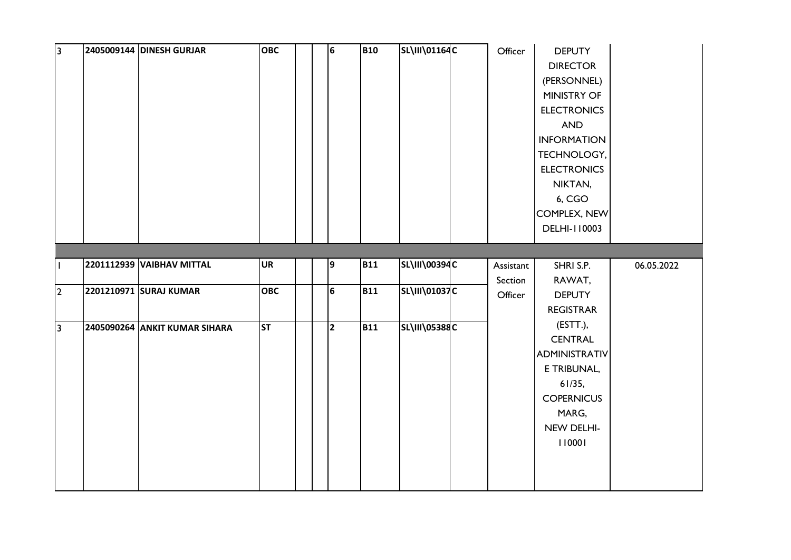| <sub>3</sub>   | 2405009144 DINESH GURJAR      | <b>OBC</b> | 6              | <b>B10</b> | SL\III\01164C        | Officer   | <b>DEPUTY</b>      |            |
|----------------|-------------------------------|------------|----------------|------------|----------------------|-----------|--------------------|------------|
|                |                               |            |                |            |                      |           | <b>DIRECTOR</b>    |            |
|                |                               |            |                |            |                      |           | (PERSONNEL)        |            |
|                |                               |            |                |            |                      |           | MINISTRY OF        |            |
|                |                               |            |                |            |                      |           | <b>ELECTRONICS</b> |            |
|                |                               |            |                |            |                      |           | AND                |            |
|                |                               |            |                |            |                      |           | <b>INFORMATION</b> |            |
|                |                               |            |                |            |                      |           | TECHNOLOGY,        |            |
|                |                               |            |                |            |                      |           | <b>ELECTRONICS</b> |            |
|                |                               |            |                |            |                      |           | NIKTAN,            |            |
|                |                               |            |                |            |                      |           | 6, CGO             |            |
|                |                               |            |                |            |                      |           | COMPLEX, NEW       |            |
|                |                               |            |                |            |                      |           | DELHI-110003       |            |
|                |                               |            |                |            |                      |           |                    |            |
|                |                               |            |                |            |                      |           |                    |            |
| $\mathbf{I}$   | 2201112939 VAIBHAV MITTAL     | <b>UR</b>  | 9              | <b>B11</b> | SL\III\00394C        | Assistant | SHRI S.P.          | 06.05.2022 |
|                | 2201210971 SURAJ KUMAR        | <b>OBC</b> | 6              | <b>B11</b> | <b>SL\III\01037C</b> | Section   | RAWAT,             |            |
| $\overline{2}$ |                               |            |                |            |                      | Officer   | <b>DEPUTY</b>      |            |
|                |                               |            |                |            |                      |           | <b>REGISTRAR</b>   |            |
| 3              | 2405090264 ANKIT KUMAR SIHARA | <b>ST</b>  | $\overline{2}$ | <b>B11</b> | <b>SL\III\05388C</b> |           | (ESTT.),           |            |
|                |                               |            |                |            |                      |           | <b>CENTRAL</b>     |            |
|                |                               |            |                |            |                      |           | ADMINISTRATIV      |            |
|                |                               |            |                |            |                      |           | E TRIBUNAL,        |            |
|                |                               |            |                |            |                      |           | 61/35,             |            |
|                |                               |            |                |            |                      |           | <b>COPERNICUS</b>  |            |
|                |                               |            |                |            |                      |           | MARG,              |            |
|                |                               |            |                |            |                      |           | NEW DELHI-         |            |
|                |                               |            |                |            |                      |           | 110001             |            |
|                |                               |            |                |            |                      |           |                    |            |
|                |                               |            |                |            |                      |           |                    |            |
|                |                               |            |                |            |                      |           |                    |            |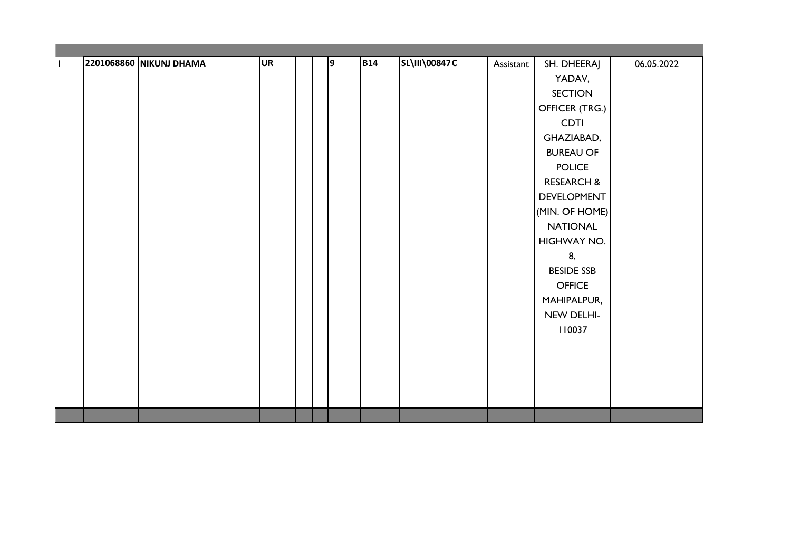|  | 2201068860 NIKUNJ DHAMA | <b>UR</b> | 9 | <b>B14</b> | SL\III\00847C | Assistant | SH. DHEERAJ           | 06.05.2022 |
|--|-------------------------|-----------|---|------------|---------------|-----------|-----------------------|------------|
|  |                         |           |   |            |               |           | YADAV,                |            |
|  |                         |           |   |            |               |           | <b>SECTION</b>        |            |
|  |                         |           |   |            |               |           | OFFICER (TRG.)        |            |
|  |                         |           |   |            |               |           | <b>CDTI</b>           |            |
|  |                         |           |   |            |               |           | GHAZIABAD,            |            |
|  |                         |           |   |            |               |           | <b>BUREAU OF</b>      |            |
|  |                         |           |   |            |               |           | <b>POLICE</b>         |            |
|  |                         |           |   |            |               |           | <b>RESEARCH &amp;</b> |            |
|  |                         |           |   |            |               |           | DEVELOPMENT           |            |
|  |                         |           |   |            |               |           | (MIN. OF HOME)        |            |
|  |                         |           |   |            |               |           | <b>NATIONAL</b>       |            |
|  |                         |           |   |            |               |           | HIGHWAY NO.           |            |
|  |                         |           |   |            |               |           | 8,                    |            |
|  |                         |           |   |            |               |           | <b>BESIDE SSB</b>     |            |
|  |                         |           |   |            |               |           | <b>OFFICE</b>         |            |
|  |                         |           |   |            |               |           | MAHIPALPUR,           |            |
|  |                         |           |   |            |               |           | NEW DELHI-            |            |
|  |                         |           |   |            |               |           | 110037                |            |
|  |                         |           |   |            |               |           |                       |            |
|  |                         |           |   |            |               |           |                       |            |
|  |                         |           |   |            |               |           |                       |            |
|  |                         |           |   |            |               |           |                       |            |
|  |                         |           |   |            |               |           |                       |            |
|  |                         |           |   |            |               |           |                       |            |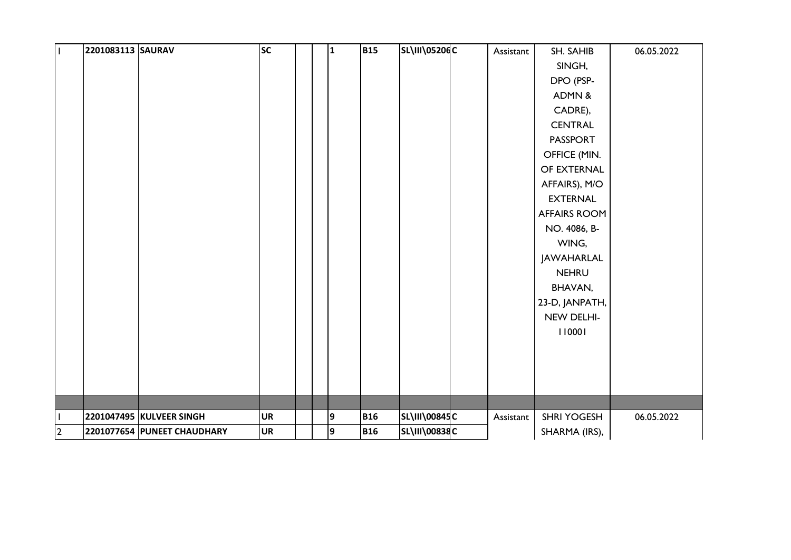| $\mathbf{I}$            | 2201083113 SAURAV |                             | SC        | 1 | <b>B15</b> | <b>SL\III\05206C</b> | Assistant | SH. SAHIB           | 06.05.2022 |
|-------------------------|-------------------|-----------------------------|-----------|---|------------|----------------------|-----------|---------------------|------------|
|                         |                   |                             |           |   |            |                      |           | SINGH,              |            |
|                         |                   |                             |           |   |            |                      |           | DPO (PSP-           |            |
|                         |                   |                             |           |   |            |                      |           | ADMN &              |            |
|                         |                   |                             |           |   |            |                      |           | CADRE),             |            |
|                         |                   |                             |           |   |            |                      |           | <b>CENTRAL</b>      |            |
|                         |                   |                             |           |   |            |                      |           | <b>PASSPORT</b>     |            |
|                         |                   |                             |           |   |            |                      |           | OFFICE (MIN.        |            |
|                         |                   |                             |           |   |            |                      |           | OF EXTERNAL         |            |
|                         |                   |                             |           |   |            |                      |           | AFFAIRS), M/O       |            |
|                         |                   |                             |           |   |            |                      |           | <b>EXTERNAL</b>     |            |
|                         |                   |                             |           |   |            |                      |           | <b>AFFAIRS ROOM</b> |            |
|                         |                   |                             |           |   |            |                      |           | NO. 4086, B-        |            |
|                         |                   |                             |           |   |            |                      |           | WING,               |            |
|                         |                   |                             |           |   |            |                      |           | JAWAHARLAL          |            |
|                         |                   |                             |           |   |            |                      |           | <b>NEHRU</b>        |            |
|                         |                   |                             |           |   |            |                      |           | BHAVAN,             |            |
|                         |                   |                             |           |   |            |                      |           | 23-D, JANPATH,      |            |
|                         |                   |                             |           |   |            |                      |           | NEW DELHI-          |            |
|                         |                   |                             |           |   |            |                      |           | 110001              |            |
|                         |                   |                             |           |   |            |                      |           |                     |            |
|                         |                   |                             |           |   |            |                      |           |                     |            |
|                         |                   |                             |           |   |            |                      |           |                     |            |
|                         |                   |                             |           |   |            |                      |           |                     |            |
|                         |                   |                             |           |   |            |                      |           |                     |            |
| $\mathbf{I}$            |                   | 2201047495 KULVEER SINGH    | <b>UR</b> | 9 | <b>B16</b> | SL\III\00845C        | Assistant | SHRI YOGESH         | 06.05.2022 |
| $\overline{\mathbf{c}}$ |                   | 2201077654 PUNEET CHAUDHARY | <b>UR</b> | 9 | <b>B16</b> | SL\III\00838C        |           | SHARMA (IRS),       |            |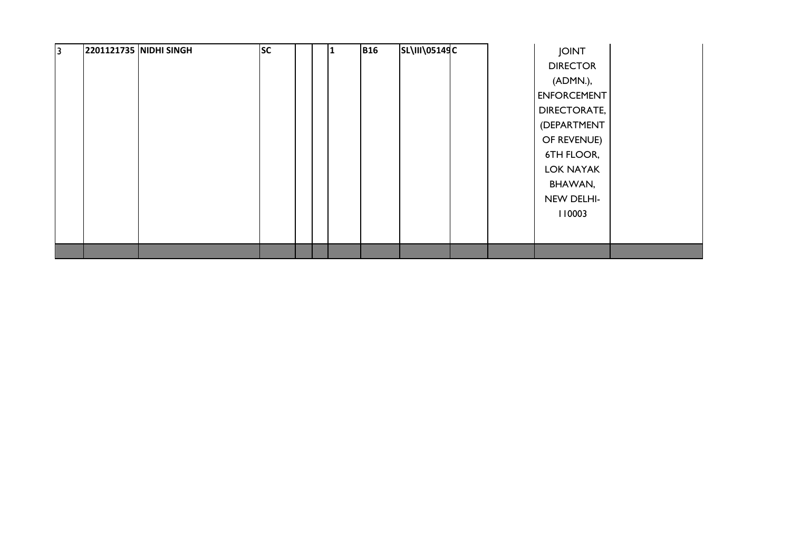| l3. | 2201121735 NIDHI SINGH | <b>SC</b> |  | 11 | <b>B16</b> | <b>SL\III\05149C</b> |  | <b>JOINT</b>        |  |
|-----|------------------------|-----------|--|----|------------|----------------------|--|---------------------|--|
|     |                        |           |  |    |            |                      |  | <b>DIRECTOR</b>     |  |
|     |                        |           |  |    |            |                      |  | (ADMN.),            |  |
|     |                        |           |  |    |            |                      |  | <b>ENFORCEMENT</b>  |  |
|     |                        |           |  |    |            |                      |  | <b>DIRECTORATE,</b> |  |
|     |                        |           |  |    |            |                      |  | (DEPARTMENT         |  |
|     |                        |           |  |    |            |                      |  | OF REVENUE)         |  |
|     |                        |           |  |    |            |                      |  | 6TH FLOOR,          |  |
|     |                        |           |  |    |            |                      |  | <b>LOK NAYAK</b>    |  |
|     |                        |           |  |    |            |                      |  | BHAWAN,             |  |
|     |                        |           |  |    |            |                      |  | NEW DELHI-          |  |
|     |                        |           |  |    |            |                      |  | 110003              |  |
|     |                        |           |  |    |            |                      |  |                     |  |
|     |                        |           |  |    |            |                      |  |                     |  |
|     |                        |           |  |    |            |                      |  |                     |  |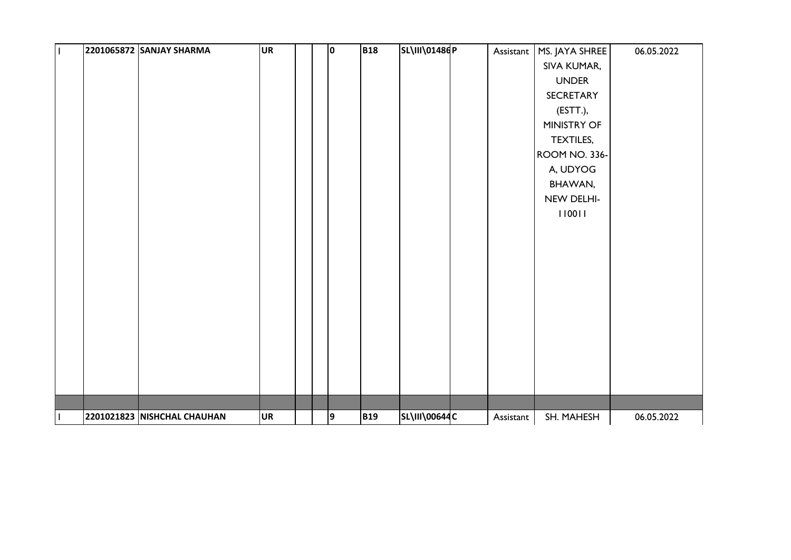| $\mathbf I$  | 2201065872 SANJAY SHARMA    | <b>UR</b> | I٥ | <b>B18</b> | SL\III\01486P        | Assistant | MS. JAYA SHREE       | 06.05.2022 |
|--------------|-----------------------------|-----------|----|------------|----------------------|-----------|----------------------|------------|
|              |                             |           |    |            |                      |           | SIVA KUMAR,          |            |
|              |                             |           |    |            |                      |           | <b>UNDER</b>         |            |
|              |                             |           |    |            |                      |           | SECRETARY            |            |
|              |                             |           |    |            |                      |           | (ESTT.),             |            |
|              |                             |           |    |            |                      |           | MINISTRY OF          |            |
|              |                             |           |    |            |                      |           | TEXTILES,            |            |
|              |                             |           |    |            |                      |           | <b>ROOM NO. 336-</b> |            |
|              |                             |           |    |            |                      |           | A, UDYOG             |            |
|              |                             |           |    |            |                      |           | BHAWAN,              |            |
|              |                             |           |    |            |                      |           | NEW DELHI-           |            |
|              |                             |           |    |            |                      |           | 110011               |            |
|              |                             |           |    |            |                      |           |                      |            |
|              |                             |           |    |            |                      |           |                      |            |
|              |                             |           |    |            |                      |           |                      |            |
|              |                             |           |    |            |                      |           |                      |            |
|              |                             |           |    |            |                      |           |                      |            |
|              |                             |           |    |            |                      |           |                      |            |
|              |                             |           |    |            |                      |           |                      |            |
|              |                             |           |    |            |                      |           |                      |            |
|              |                             |           |    |            |                      |           |                      |            |
|              |                             |           |    |            |                      |           |                      |            |
|              |                             |           |    |            |                      |           |                      |            |
|              |                             |           |    |            |                      |           |                      |            |
| $\mathbf{I}$ | 2201021823 NISHCHAL CHAUHAN | <b>UR</b> | 9  | <b>B19</b> | <b>SL\III\00644C</b> | Assistant | SH. MAHESH           | 06.05.2022 |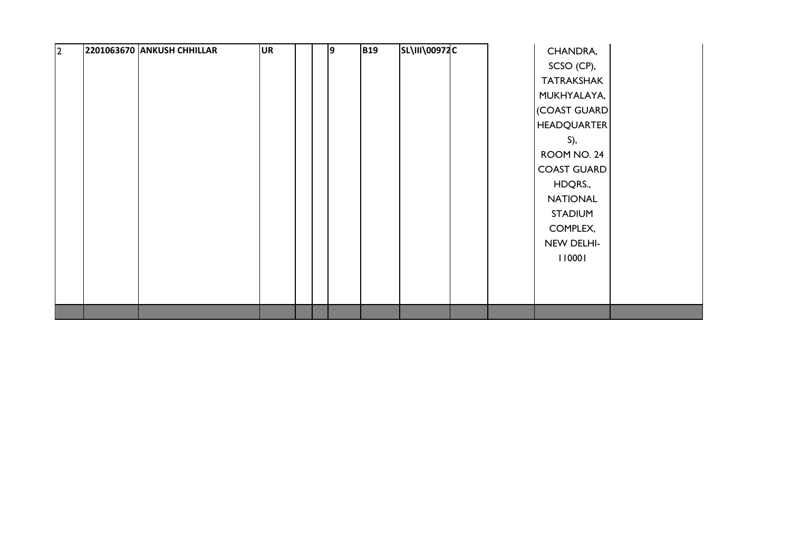| $\vert$ 2 | 2201063670 ANKUSH CHHILLAR | UR | 9 | <b>B19</b> | <b>SL\III\00972C</b> | CHANDRA,           |
|-----------|----------------------------|----|---|------------|----------------------|--------------------|
|           |                            |    |   |            |                      | SCSO (CP),         |
|           |                            |    |   |            |                      | <b>TATRAKSHAK</b>  |
|           |                            |    |   |            |                      | MUKHYALAYA,        |
|           |                            |    |   |            |                      | (COAST GUARD       |
|           |                            |    |   |            |                      | <b>HEADQUARTER</b> |
|           |                            |    |   |            |                      | $S$ ),             |
|           |                            |    |   |            |                      | ROOM NO. 24        |
|           |                            |    |   |            |                      | <b>COAST GUARD</b> |
|           |                            |    |   |            |                      | HDQRS.,            |
|           |                            |    |   |            |                      | <b>NATIONAL</b>    |
|           |                            |    |   |            |                      | <b>STADIUM</b>     |
|           |                            |    |   |            |                      | COMPLEX,           |
|           |                            |    |   |            |                      | NEW DELHI-         |
|           |                            |    |   |            |                      | 110001             |
|           |                            |    |   |            |                      |                    |
|           |                            |    |   |            |                      |                    |
|           |                            |    |   |            |                      |                    |
|           |                            |    |   |            |                      |                    |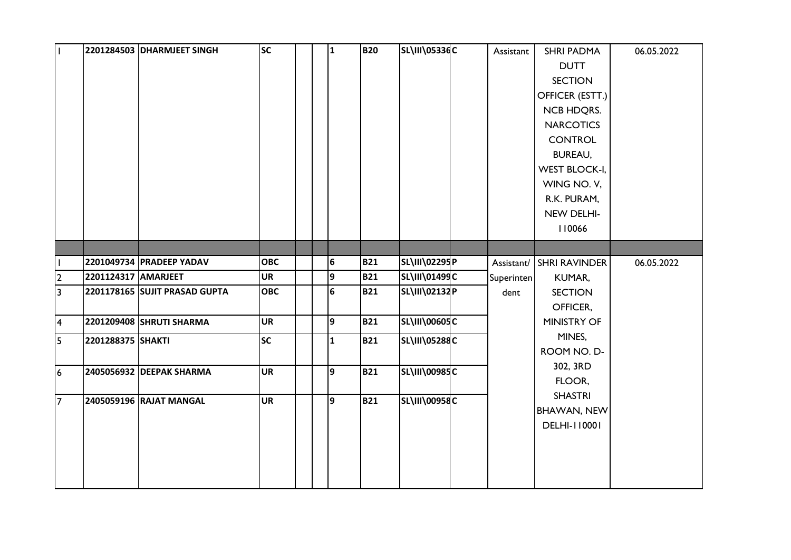| l I            |                     | 2201284503 DHARMJEET SINGH    | <b>SC</b>  | $\mathbf{1}$   | <b>B20</b> | SL\III\05336C        | Assistant  | <b>SHRI PADMA</b>        | 06.05.2022 |
|----------------|---------------------|-------------------------------|------------|----------------|------------|----------------------|------------|--------------------------|------------|
|                |                     |                               |            |                |            |                      |            | <b>DUTT</b>              |            |
|                |                     |                               |            |                |            |                      |            | <b>SECTION</b>           |            |
|                |                     |                               |            |                |            |                      |            | OFFICER (ESTT.)          |            |
|                |                     |                               |            |                |            |                      |            | <b>NCB HDQRS.</b>        |            |
|                |                     |                               |            |                |            |                      |            | <b>NARCOTICS</b>         |            |
|                |                     |                               |            |                |            |                      |            | <b>CONTROL</b>           |            |
|                |                     |                               |            |                |            |                      |            | <b>BUREAU,</b>           |            |
|                |                     |                               |            |                |            |                      |            | <b>WEST BLOCK-I,</b>     |            |
|                |                     |                               |            |                |            |                      |            | WING NO. V,              |            |
|                |                     |                               |            |                |            |                      |            | R.K. PURAM,              |            |
|                |                     |                               |            |                |            |                      |            | NEW DELHI-               |            |
|                |                     |                               |            |                |            |                      |            | 110066                   |            |
|                |                     |                               |            |                |            |                      |            |                          |            |
|                |                     | 2201049734 PRADEEP YADAV      | <b>OBC</b> | 6              | <b>B21</b> | SL\III\02295P        |            | Assistant/ SHRI RAVINDER | 06.05.2022 |
| $\overline{2}$ | 2201124317 AMARJEET |                               | <b>UR</b>  | 9              | <b>B21</b> | SL\III\01499C        | Superinten | KUMAR,                   |            |
| $\overline{3}$ |                     | 2201178165 SUJIT PRASAD GUPTA | <b>OBC</b> | $6\phantom{1}$ | <b>B21</b> | SL\III\02132P        | dent       | <b>SECTION</b>           |            |
|                |                     |                               |            |                |            |                      |            | OFFICER,                 |            |
| 4              |                     | 2201209408 SHRUTI SHARMA      | <b>UR</b>  | 9              | <b>B21</b> | SL\III\00605C        |            | <b>MINISTRY OF</b>       |            |
| $\overline{5}$ | 2201288375 SHAKTI   |                               | SC         | 1              | <b>B21</b> | <b>SL\III\05288C</b> |            | MINES,                   |            |
|                |                     |                               |            |                |            |                      |            | ROOM NO. D-              |            |
| 6              |                     | 2405056932 DEEPAK SHARMA      | <b>UR</b>  | $\overline{9}$ | <b>B21</b> | <b>SL\III\00985C</b> |            | 302, 3RD                 |            |
|                |                     |                               |            |                |            |                      |            | FLOOR,                   |            |
| 17             |                     | 2405059196 RAJAT MANGAL       | <b>UR</b>  | 9              | <b>B21</b> | SL\III\00958C        |            | <b>SHASTRI</b>           |            |
|                |                     |                               |            |                |            |                      |            | <b>BHAWAN, NEW</b>       |            |
|                |                     |                               |            |                |            |                      |            | <b>DELHI-110001</b>      |            |
|                |                     |                               |            |                |            |                      |            |                          |            |
|                |                     |                               |            |                |            |                      |            |                          |            |
|                |                     |                               |            |                |            |                      |            |                          |            |
|                |                     |                               |            |                |            |                      |            |                          |            |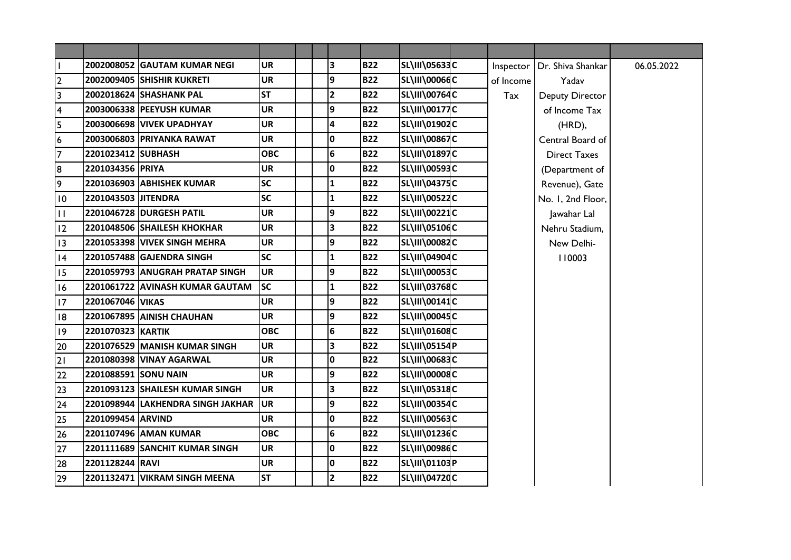|                         |                      | 2002008052 GAUTAM KUMAR NEGI      | <b>UR</b>  |  | З               | <b>B22</b> | <b>SL\III\05633C</b> | Inspector | Dr. Shiva Shankar      | 06.05.2022 |
|-------------------------|----------------------|-----------------------------------|------------|--|-----------------|------------|----------------------|-----------|------------------------|------------|
| $\mathbf{2}$            |                      | 2002009405 SHISHIR KUKRETI        | <b>UR</b>  |  | 9               | <b>B22</b> | <b>SL\III\00066C</b> | of Income | Yadav                  |            |
| $\overline{3}$          |                      | 2002018624 SHASHANK PAL           | <b>ST</b>  |  | 2               | <b>B22</b> | <b>SL\III\00764C</b> | Tax       | <b>Deputy Director</b> |            |
| $\overline{\mathbf{4}}$ |                      | 2003006338 PEEYUSH KUMAR          | <b>UR</b>  |  | 9               | <b>B22</b> | <b>SL\III\00177C</b> |           | of Income Tax          |            |
| 5                       |                      | <b>2003006698 VIVEK UPADHYAY</b>  | <b>UR</b>  |  | $\overline{a}$  | <b>B22</b> | SL\III\01902C        |           | (HRD),                 |            |
| $\boldsymbol{6}$        |                      | 2003006803 PRIYANKA RAWAT         | <b>UR</b>  |  | $\mathbf 0$     | <b>B22</b> | SL\III\00867C        |           | Central Board of       |            |
| $\overline{7}$          | 2201023412 SUBHASH   |                                   | <b>OBC</b> |  | $6\phantom{1}6$ | <b>B22</b> | SL\III\01897C        |           | <b>Direct Taxes</b>    |            |
| 8                       | 2201034356 PRIYA     |                                   | <b>UR</b>  |  | $\mathbf 0$     | <b>B22</b> | SL\III\00593C        |           | (Department of         |            |
| 9                       |                      | 2201036903 ABHISHEK KUMAR         | <b>SC</b>  |  | $\mathbf{1}$    | <b>B22</b> | <b>SL\III\04375C</b> |           | Revenue), Gate         |            |
| 10                      | 2201043503 JITENDRA  |                                   | <b>SC</b>  |  | $\mathbf{1}$    | <b>B22</b> | <b>SL\III\00522C</b> |           | No. I, 2nd Floor,      |            |
| $\mathbf{H}$            |                      | 2201046728 DURGESH PATIL          | <b>UR</b>  |  | 9               | <b>B22</b> | SL\III\00221C        |           | Jawahar Lal            |            |
| 12                      |                      | 2201048506 SHAILESH KHOKHAR       | <b>UR</b>  |  | 3               | <b>B22</b> | <b>SL\III\05106C</b> |           | Nehru Stadium,         |            |
| 13                      |                      | 2201053398 VIVEK SINGH MEHRA      | <b>UR</b>  |  | 9               | <b>B22</b> | <b>SL\III\00082C</b> |           | New Delhi-             |            |
| 4                       |                      | 2201057488 GAJENDRA SINGH         | <b>SC</b>  |  | $\mathbf{1}$    | <b>B22</b> | <b>SL\III\04904C</b> |           | 110003                 |            |
| 15                      |                      | 2201059793 ANUGRAH PRATAP SINGH   | <b>UR</b>  |  | 9               | <b>B22</b> | <b>SL\III\00053C</b> |           |                        |            |
| 16                      |                      | 2201061722 AVINASH KUMAR GAUTAM   | <b>SC</b>  |  | $\mathbf{1}$    | <b>B22</b> | <b>SL\III\03768C</b> |           |                        |            |
| 17                      | 2201067046 VIKAS     |                                   | <b>UR</b>  |  | 9               | <b>B22</b> | SL\III\00141C        |           |                        |            |
| 8                       |                      | 2201067895 AINISH CHAUHAN         | <b>UR</b>  |  | 9               | <b>B22</b> | SL\III\00045C        |           |                        |            |
| 9                       | 2201070323 KARTIK    |                                   | <b>OBC</b> |  | $6\phantom{1}6$ | <b>B22</b> | SL\III\01608C        |           |                        |            |
| 20                      |                      | 2201076529 MANISH KUMAR SINGH     | <b>UR</b>  |  | 3               | <b>B22</b> | SL\III\05154P        |           |                        |            |
| 21                      |                      | <b>2201080398 VINAY AGARWAL</b>   | <b>UR</b>  |  | $\mathbf 0$     | <b>B22</b> | SL\III\00683C        |           |                        |            |
| 22                      | 2201088591 SONU NAIN |                                   | UR         |  | 9               | <b>B22</b> | SL\III\00008C        |           |                        |            |
| 23                      |                      | 2201093123 SHAILESH KUMAR SINGH   | <b>UR</b>  |  | 3               | <b>B22</b> | SL\III\05318C        |           |                        |            |
| 24                      |                      | 2201098944 LAKHENDRA SINGH JAKHAR | <b>UR</b>  |  | 9               | <b>B22</b> | <b>SL\III\00354C</b> |           |                        |            |
| 25                      | 2201099454 ARVIND    |                                   | <b>UR</b>  |  | O               | <b>B22</b> | SL\III\00563C        |           |                        |            |
| 26                      |                      | 2201107496 AMAN KUMAR             | <b>OBC</b> |  | 6               | <b>B22</b> | SL\III\01236C        |           |                        |            |
| 27                      |                      | 2201111689 SANCHIT KUMAR SINGH    | <b>UR</b>  |  | O               | <b>B22</b> | <b>SL\III\00986C</b> |           |                        |            |
| 28                      | 2201128244 RAVI      |                                   | <b>UR</b>  |  | $\mathbf 0$     | <b>B22</b> | SL\III\01103P        |           |                        |            |
| 29                      |                      | 2201132471 VIKRAM SINGH MEENA     | <b>ST</b>  |  | $\overline{2}$  | <b>B22</b> | <b>SL\III\04720C</b> |           |                        |            |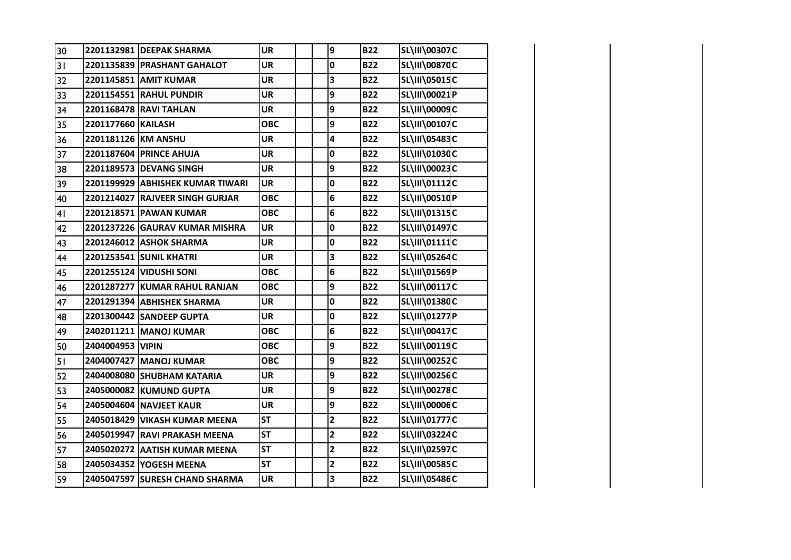| 30 |                     | 2201132981 DEEPAK SHARMA         | <b>UR</b>  | $\boldsymbol{9}$        | <b>B22</b> | SL\III\00307C        |  |
|----|---------------------|----------------------------------|------------|-------------------------|------------|----------------------|--|
| 31 |                     | 2201135839 PRASHANT GAHALOT      | <b>UR</b>  | 0                       | <b>B22</b> | <b>SL\III\00870C</b> |  |
| 32 |                     | 2201145851 AMIT KUMAR            | <b>UR</b>  | 3                       | <b>B22</b> | SL\III\05015C        |  |
| 33 |                     | 2201154551 RAHUL PUNDIR          | <b>UR</b>  | 9                       | <b>B22</b> | SL\III\00021P        |  |
| 34 |                     | 2201168478 RAVI TAHLAN           | <b>UR</b>  | 9                       | <b>B22</b> | <b>SL\III\00009C</b> |  |
| 35 | 2201177660 KAILASH  |                                  | <b>OBC</b> | 9                       | <b>B22</b> | SL\III\00107C        |  |
| 36 | 2201181126 KM ANSHU |                                  | <b>UR</b>  | 4                       | <b>B22</b> | SL\III\05483C        |  |
| 37 |                     | 2201187604 PRINCE AHUJA          | <b>UR</b>  | 0                       | <b>B22</b> | SL\III\01030C        |  |
| 38 |                     | 2201189573 DEVANG SINGH          | <b>UR</b>  | 9                       | <b>B22</b> | SL\III\00023C        |  |
| 39 |                     | 2201199929 ABHISHEK KUMAR TIWARI | <b>UR</b>  | 0                       | <b>B22</b> | SL\III\01112C        |  |
| 40 |                     | 2201214027 RAJVEER SINGH GURJAR  | <b>OBC</b> | 6                       | <b>B22</b> | SL\III\00510P        |  |
| 41 |                     | 2201218571 PAWAN KUMAR           | <b>OBC</b> | 6                       | <b>B22</b> | SL\III\01315C        |  |
| 42 |                     | 2201237226 GAURAV KUMAR MISHRA   | <b>UR</b>  | 0                       | <b>B22</b> | SL\III\01497C        |  |
| 43 |                     | <b>2201246012 ASHOK SHARMA</b>   | <b>UR</b>  | 0                       | <b>B22</b> | SL\III\01111C        |  |
| 44 |                     | 2201253541 SUNIL KHATRI          | <b>UR</b>  | 3                       | <b>B22</b> | SL\III\05264C        |  |
| 45 |                     | 2201255124 VIDUSHI SONI          | <b>OBC</b> | 6                       | <b>B22</b> | SL\III\01569P        |  |
| 46 |                     | 2201287277 KUMAR RAHUL RANJAN    | <b>OBC</b> | 9                       | <b>B22</b> | SL\III\00117C        |  |
| 47 |                     | 2201291394 ABHISHEK SHARMA       | <b>UR</b>  | 0                       | <b>B22</b> | SL\III\01380C        |  |
| 48 |                     | 2201300442 SANDEEP GUPTA         | <b>UR</b>  | 0                       | <b>B22</b> | SL\III\01277P        |  |
| 49 |                     | 2402011211 MANOJ KUMAR           | <b>OBC</b> | 6                       | <b>B22</b> | SL\III\00417C        |  |
| 50 | 2404004953 VIPIN    |                                  | <b>OBC</b> | 9                       | <b>B22</b> | SL\III\00119C        |  |
| 51 |                     | 2404007427 MANOJ KUMAR           | <b>OBC</b> | 9                       | <b>B22</b> | <b>SL\III\00252C</b> |  |
| 52 |                     | 2404008080 SHUBHAM KATARIA       | <b>UR</b>  | 9                       | <b>B22</b> | <b>SL\III\00256C</b> |  |
| 53 |                     | 2405000082 KUMUND GUPTA          | <b>UR</b>  | 9                       | <b>B22</b> | SL\III\00278C        |  |
| 54 |                     | 2405004604 NAVJEET KAUR          | <b>UR</b>  | 9                       | <b>B22</b> | <b>SL\III\00006C</b> |  |
| 55 |                     | 2405018429 VIKASH KUMAR MEENA    | <b>ST</b>  | $\overline{\mathbf{2}}$ | <b>B22</b> | <b>SL\III\01777C</b> |  |
| 56 |                     | 2405019947 RAVI PRAKASH MEENA    | <b>ST</b>  | $\overline{\mathbf{c}}$ | <b>B22</b> | SL\III\03224C        |  |
| 57 |                     | 2405020272 AATISH KUMAR MEENA    | <b>ST</b>  | $\overline{2}$          | <b>B22</b> | SL\III\02597C        |  |
| 58 |                     | 2405034352 YOGESH MEENA          | <b>ST</b>  | $\overline{\mathbf{2}}$ | <b>B22</b> | <b>SL\III\00585C</b> |  |
| 59 |                     | 2405047597 SURESH CHAND SHARMA   | <b>UR</b>  | 3                       | <b>B22</b> | <b>SL\III\05486C</b> |  |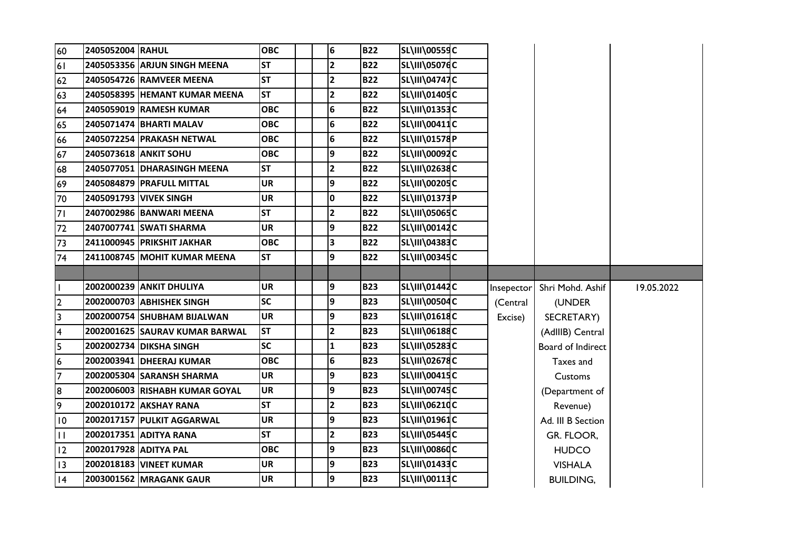| 60              | 2405052004 RAHUL      |                                | <b>OBC</b> | $6\overline{6}$         | <b>B22</b> | <b>SL\III\00559C</b> |            |                   |            |
|-----------------|-----------------------|--------------------------------|------------|-------------------------|------------|----------------------|------------|-------------------|------------|
| 61              |                       | 2405053356 ARJUN SINGH MEENA   | <b>ST</b>  | $\overline{2}$          | <b>B22</b> | <b>SL\III\05076C</b> |            |                   |            |
| 62              |                       | 2405054726 RAMVEER MEENA       | <b>ST</b>  | $\overline{\mathbf{2}}$ | <b>B22</b> | <b>SL\III\04747C</b> |            |                   |            |
| 63              |                       | 2405058395 HEMANT KUMAR MEENA  | <b>ST</b>  | $\overline{2}$          | <b>B22</b> | SL\III\01405C        |            |                   |            |
| 64              |                       | 2405059019 RAMESH KUMAR        | <b>OBC</b> | $\bf 6$                 | <b>B22</b> | SL\III\01353C        |            |                   |            |
| 65              |                       | 2405071474 BHARTI MALAV        | <b>OBC</b> | 6                       | <b>B22</b> | SL\III\00411C        |            |                   |            |
| 66              |                       | 2405072254 PRAKASH NETWAL      | <b>OBC</b> | $\bf 6$                 | <b>B22</b> | SL\III\01578P        |            |                   |            |
| 67              |                       | 2405073618 ANKIT SOHU          | <b>OBC</b> | 9                       | <b>B22</b> | SL\III\00092C        |            |                   |            |
| 68              |                       | 2405077051 DHARASINGH MEENA    | <b>ST</b>  | $\overline{\mathbf{2}}$ | <b>B22</b> | SL\III\02638C        |            |                   |            |
| 69              |                       | 2405084879 PRAFULL MITTAL      | <b>UR</b>  | 9                       | <b>B22</b> | SL\III\00205C        |            |                   |            |
| 70              |                       | 2405091793 VIVEK SINGH         | <b>UR</b>  | 0                       | <b>B22</b> | SL\III\01373P        |            |                   |            |
| 71              |                       | 2407002986 BANWARI MEENA       | <b>ST</b>  | $\mathbf{2}$            | <b>B22</b> | <b>SL\III\05065C</b> |            |                   |            |
| 72              |                       | 2407007741 SWATI SHARMA        | <b>UR</b>  | 9                       | <b>B22</b> | SL\III\00142C        |            |                   |            |
| 73              |                       | 2411000945 PRIKSHIT JAKHAR     | <b>OBC</b> | 3                       | <b>B22</b> | SL\III\04383C        |            |                   |            |
| 74              |                       | 2411008745 MOHIT KUMAR MEENA   | <b>ST</b>  | 9                       | <b>B22</b> | SL\III\00345C        |            |                   |            |
|                 |                       |                                |            |                         |            |                      |            |                   |            |
|                 |                       |                                |            |                         |            |                      |            |                   |            |
| $\mathbf{I}$    |                       | 2002000239 ANKIT DHULIYA       | <b>UR</b>  | 9                       | <b>B23</b> | SL\III\01442C        | Insepector | Shri Mohd. Ashif  | 19.05.2022 |
| $\overline{2}$  |                       | 2002000703 ABHISHEK SINGH      | <b>SC</b>  | 9                       | <b>B23</b> | <b>SL\III\00504C</b> | (Central   | (UNDER            |            |
| $\overline{3}$  |                       | 2002000754 SHUBHAM BIJALWAN    | <b>UR</b>  | 9                       | <b>B23</b> | SL\III\01618C        | Excise)    | SECRETARY)        |            |
| $\overline{4}$  |                       | 2002001625 SAURAV KUMAR BARWAL | <b>ST</b>  | 2                       | <b>B23</b> | SL\III\06188C        |            | (AdIIIB) Central  |            |
| 5               |                       | 2002002734 DIKSHA SINGH        | <b>SC</b>  | $\mathbf{1}$            | <b>B23</b> | SL\III\05283C        |            | Board of Indirect |            |
| $6\phantom{1}6$ |                       | 2002003941 DHEERAJ KUMAR       | <b>OBC</b> | $\bf 6$                 | <b>B23</b> | SL\III\02678C        |            | Taxes and         |            |
| $\overline{7}$  |                       | 2002005304 SARANSH SHARMA      | <b>UR</b>  | 9                       | <b>B23</b> | SL\III\00415C        |            | Customs           |            |
| 8               |                       | 2002006003 RISHABH KUMAR GOYAL | <b>UR</b>  | 9                       | <b>B23</b> | SL\III\00745C        |            | (Department of    |            |
| 9               |                       | 2002010172 AKSHAY RANA         | <b>ST</b>  | $\overline{\mathbf{c}}$ | <b>B23</b> | SL\III\06210C        |            | Revenue)          |            |
| 10              |                       | 2002017157 PULKIT AGGARWAL     | <b>UR</b>  | 9                       | <b>B23</b> | SL\III\01961C        |            | Ad. III B Section |            |
| $\mathbf{H}$    |                       | 2002017351 ADITYA RANA         | <b>ST</b>  | $\mathbf{2}$            | <b>B23</b> | <b>SL\III\05445C</b> |            | GR. FLOOR,        |            |
| 12              | 2002017928 ADITYA PAL |                                | <b>OBC</b> | 9                       | <b>B23</b> | <b>SL\III\00860C</b> |            | <b>HUDCO</b>      |            |
| 13              |                       | 2002018183 VINEET KUMAR        | <b>UR</b>  | 9                       | <b>B23</b> | SL\III\01433C        |            | <b>VISHALA</b>    |            |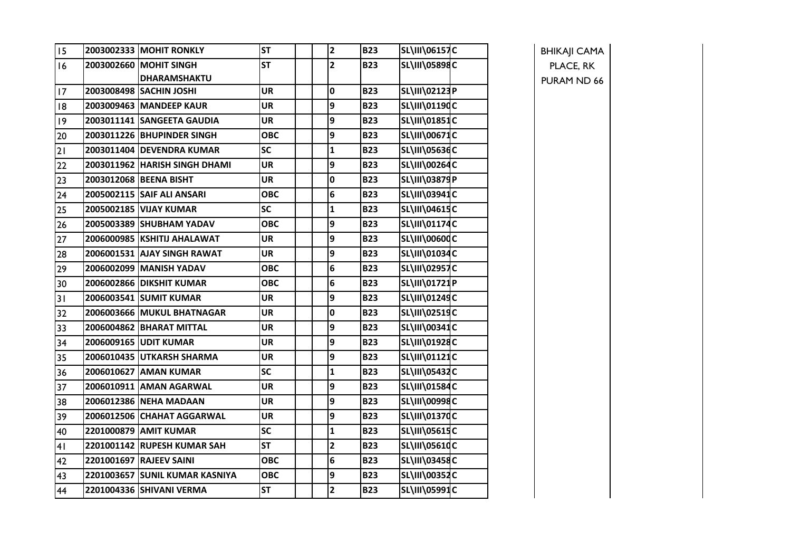| 15 | <b>2003002333 IMOHIT RONKLY</b>               | <b>ST</b>  | $\overline{2}$          | <b>B23</b> | <b>SL\III\06157C</b> |
|----|-----------------------------------------------|------------|-------------------------|------------|----------------------|
| 16 | 2003002660 MOHIT SINGH<br><b>DHARAMSHAKTU</b> | <b>ST</b>  | $\overline{2}$          | <b>B23</b> | SL\III\05898C        |
| 17 | 2003008498 SACHIN JOSHI                       | <b>UR</b>  | 0                       | <b>B23</b> | SL\III\02123P        |
| 8  | 2003009463 MANDEEP KAUR                       | <b>UR</b>  | 9                       | <b>B23</b> | SL\III\01190C        |
| 9  | 2003011141 SANGEETA GAUDIA                    | <b>UR</b>  | 9                       | <b>B23</b> | <b>SL\III\01851C</b> |
| 20 | 2003011226 BHUPINDER SINGH                    | ОВС        | 9                       | <b>B23</b> | SL\III\00671C        |
| 21 | 2003011404 DEVENDRA KUMAR                     | <b>SC</b>  | $\mathbf{1}$            | <b>B23</b> | SL\III\05636C        |
| 22 | 2003011962 HARISH SINGH DHAMI                 | <b>UR</b>  | 9                       | <b>B23</b> | <b>SL\III\00264C</b> |
| 23 | 2003012068 BEENA BISHT                        | <b>UR</b>  | 0                       | <b>B23</b> | <b>SL\III\03879P</b> |
| 24 | 2005002115 SAIF ALI ANSARI                    | <b>OBC</b> | $6\phantom{1}6$         | <b>B23</b> | <b>SL\III\03941C</b> |
| 25 | 2005002185 VIJAY KUMAR                        | <b>SC</b>  | $\mathbf{1}$            | <b>B23</b> | SL\III\04615C        |
| 26 | 2005003389 SHUBHAM YADAV                      | <b>OBC</b> | 9                       | <b>B23</b> | SL\III\01174C        |
| 27 | 2006000985 KSHITIJ AHALAWAT                   | <b>UR</b>  | 9                       | <b>B23</b> | SL\III\00600C        |
| 28 | 2006001531 AJAY SINGH RAWAT                   | <b>UR</b>  | 9                       | <b>B23</b> | SL\III\01034C        |
| 29 | 2006002099 MANISH YADAV                       | <b>OBC</b> | 6                       | <b>B23</b> | <b>SL\III\02957C</b> |
| 30 | 2006002866 DIKSHIT KUMAR                      | <b>OBC</b> | $6\phantom{1}6$         | <b>B23</b> | SL\III\01721P        |
| 31 | 2006003541 SUMIT KUMAR                        | <b>UR</b>  | 9                       | <b>B23</b> | <b>SL\III\01249C</b> |
| 32 | 2006003666 MUKUL BHATNAGAR                    | <b>UR</b>  | $\mathbf 0$             | <b>B23</b> | <b>SL\III\02519C</b> |
| 33 | 2006004862 BHARAT MITTAL                      | <b>UR</b>  | 9                       | <b>B23</b> | <b>SL\III\00341C</b> |
| 34 | 2006009165 UDIT KUMAR                         | <b>UR</b>  | 9                       | <b>B23</b> | SL\III\01928C        |
| 35 | 2006010435 UTKARSH SHARMA                     | <b>UR</b>  | 9                       | <b>B23</b> | SL\III\01121C        |
| 36 | 2006010627 AMAN KUMAR                         | <b>SC</b>  | $\mathbf{1}$            | <b>B23</b> | SL\III\05432C        |
| 37 | 2006010911 AMAN AGARWAL                       | <b>UR</b>  | 9                       | <b>B23</b> | SL\III\01584C        |
| 38 | 2006012386 NEHA MADAAN                        | <b>UR</b>  | 9                       | <b>B23</b> | SL\III\00998C        |
| 39 | 2006012506 CHAHAT AGGARWAL                    | <b>UR</b>  | 9                       | <b>B23</b> | SL\III\01370C        |
| 40 | 2201000879 AMIT KUMAR                         | <b>SC</b>  | $\mathbf{1}$            | <b>B23</b> | <b>SL\III\05615C</b> |
| 41 | 2201001142 RUPESH KUMAR SAH                   | <b>ST</b>  | $\mathbf{2}$            | <b>B23</b> | SL\III\05610C        |
| 42 | 2201001697 RAJEEV SAINI                       | <b>OBC</b> | $6\phantom{a}$          | <b>B23</b> | SL\III\03458C        |
| 43 | 2201003657 SUNIL KUMAR KASNIYA                | <b>OBC</b> | 9                       | <b>B23</b> | <b>SL\III\00352C</b> |
| 44 | 2201004336 SHIVANI VERMA                      | <b>ST</b>  | $\overline{\mathbf{2}}$ | <b>B23</b> | SL\III\05991C        |

BHIKAJI CAMA PLACE, RK PURAM ND 66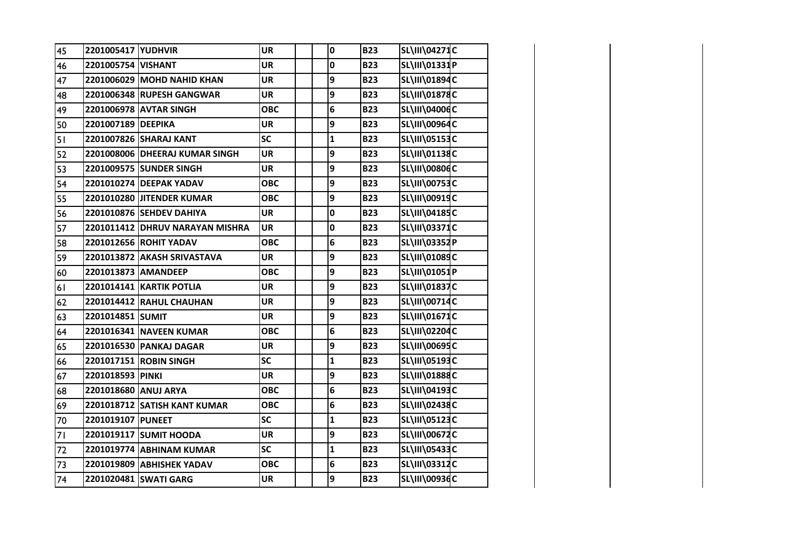| 45 | 2201005417 YUDHVIR   |                                 | <b>UR</b>  | 0            | <b>B23</b> | SL\III\04271C        |  |
|----|----------------------|---------------------------------|------------|--------------|------------|----------------------|--|
| 46 | 2201005754 VISHANT   |                                 | <b>UR</b>  | 0            | <b>B23</b> | SL\III\01331P        |  |
| 47 |                      | 2201006029 MOHD NAHID KHAN      | <b>UR</b>  | 9            | <b>B23</b> | SL\III\01894C        |  |
| 48 |                      | 2201006348 RUPESH GANGWAR       | <b>UR</b>  | 9            | <b>B23</b> | <b>SL\III\01878C</b> |  |
| 49 |                      | 2201006978 AVTAR SINGH          | <b>OBC</b> | 6            | <b>B23</b> | SL\III\04006C        |  |
| 50 | 2201007189 DEEPIKA   |                                 | <b>UR</b>  | 9            | <b>B23</b> | SL\III\00964C        |  |
| 51 |                      | 2201007826 SHARAJ KANT          | SC         | $\mathbf{1}$ | <b>B23</b> | <b>SL\III\05153C</b> |  |
| 52 |                      | 2201008006 DHEERAJ KUMAR SINGH  | <b>UR</b>  | 9            | <b>B23</b> | SL\III\01138C        |  |
| 53 |                      | 2201009575 SUNDER SINGH         | <b>UR</b>  | 9            | <b>B23</b> | SL\III\00806C        |  |
| 54 |                      | 2201010274 DEEPAK YADAV         | <b>OBC</b> | 9            | <b>B23</b> | SL\III\00753C        |  |
| 55 |                      | 2201010280 JITENDER KUMAR       | <b>OBC</b> | 9            | <b>B23</b> | SL\III\00919C        |  |
| 56 |                      | 2201010876 SEHDEV DAHIYA        | <b>UR</b>  | 0            | <b>B23</b> | SL\III\04185C        |  |
| 57 |                      | 2201011412 DHRUV NARAYAN MISHRA | <b>UR</b>  | $\pmb{0}$    | <b>B23</b> | SL\III\03371C        |  |
| 58 |                      | 2201012656 ROHIT YADAV          | <b>OBC</b> | 6            | <b>B23</b> | SL\III\03352P        |  |
| 59 |                      | 2201013872 AKASH SRIVASTAVA     | <b>UR</b>  | 9            | <b>B23</b> | SL\III\01089C        |  |
| 60 | 2201013873 AMANDEEP  |                                 | <b>OBC</b> | 9            | <b>B23</b> | SL\III\01051P        |  |
| 61 |                      | <b>2201014141 KARTIK POTLIA</b> | <b>UR</b>  | 9            | <b>B23</b> | SL\III\01837C        |  |
| 62 |                      | 2201014412 RAHUL CHAUHAN        | <b>UR</b>  | 9            | <b>B23</b> | SL\III\00714C        |  |
| 63 | 2201014851 SUMIT     |                                 | <b>UR</b>  | 9            | <b>B23</b> | SL\III\01671C        |  |
| 64 |                      | 2201016341 NAVEEN KUMAR         | <b>OBC</b> | 6            | <b>B23</b> | SL\III\02204C        |  |
| 65 |                      | 2201016530 PANKAJ DAGAR         | <b>UR</b>  | 9            | <b>B23</b> | SL\III\00695C        |  |
| 66 |                      | 2201017151 ROBIN SINGH          | <b>SC</b>  | $\mathbf{1}$ | <b>B23</b> | SL\III\05193C        |  |
| 67 | 2201018593 PINKI     |                                 | <b>UR</b>  | 9            | <b>B23</b> | SL\III\01888C        |  |
| 68 | 2201018680 ANUJ ARYA |                                 | <b>OBC</b> | 6            | <b>B23</b> | SL\III\04193C        |  |
| 69 |                      | 2201018712 SATISH KANT KUMAR    | <b>OBC</b> | 6            | <b>B23</b> | SL\III\02438C        |  |
| 70 | 2201019107 PUNEET    |                                 | SC         | $\mathbf{1}$ | <b>B23</b> | <b>SL\III\05123C</b> |  |
| 71 |                      | 2201019117 SUMIT HOODA          | <b>UR</b>  | 9            | <b>B23</b> | <b>SL\III\00672C</b> |  |
| 72 |                      | 2201019774 ABHINAM KUMAR        | SC         | $\mathbf{1}$ | <b>B23</b> | SL\III\05433C        |  |
| 73 |                      | 2201019809 ABHISHEK YADAV       | <b>OBC</b> | 6            | <b>B23</b> | SL\III\03312C        |  |
| 74 |                      | 2201020481 SWATI GARG           | <b>UR</b>  | 9            | <b>B23</b> | <b>SL\III\00936C</b> |  |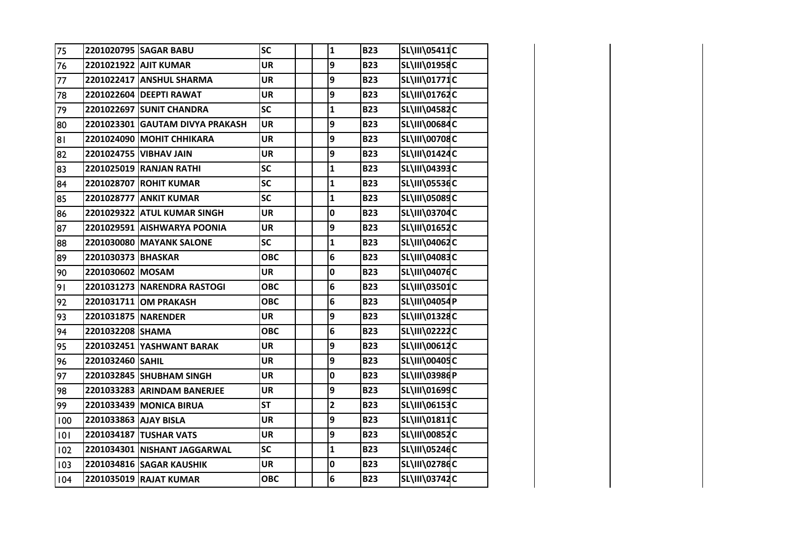| 75  |                       | 2201020795 SAGAR BABU           | SC         | $\mathbf{1}$            | <b>B23</b> | SL\III\05411C        |  |
|-----|-----------------------|---------------------------------|------------|-------------------------|------------|----------------------|--|
| 76  |                       | 2201021922 AJIT KUMAR           | <b>UR</b>  | 9                       | <b>B23</b> | SL\III\01958C        |  |
| 77  |                       | 2201022417 ANSHUL SHARMA        | <b>UR</b>  | 9                       | <b>B23</b> | SL\III\01771C        |  |
| 78  |                       | 2201022604 DEEPTI RAWAT         | <b>UR</b>  | 9                       | <b>B23</b> | SL\III\01762C        |  |
| 79  |                       | 2201022697 SUNIT CHANDRA        | SC         | $\mathbf{1}$            | <b>B23</b> | SL\III\04582C        |  |
| 80  |                       | 2201023301 GAUTAM DIVYA PRAKASH | <b>UR</b>  | 9                       | <b>B23</b> | SL\III\00684C        |  |
| 81  |                       | 2201024090 MOHIT CHHIKARA       | <b>UR</b>  | 9                       | <b>B23</b> | SL\III\00708C        |  |
| 82  |                       | 2201024755 VIBHAV JAIN          | <b>UR</b>  | 9                       | <b>B23</b> | SL\III\01424C        |  |
| 83  |                       | 2201025019 RANJAN RATHI         | SC         | $\mathbf{1}$            | <b>B23</b> | SL\III\04393C        |  |
| 84  |                       | 2201028707 ROHIT KUMAR          | <b>SC</b>  | $\mathbf{1}$            | <b>B23</b> | <b>SL\III\05536C</b> |  |
| 85  |                       | 2201028777 ANKIT KUMAR          | SC         | $\mathbf{1}$            | <b>B23</b> | SL\III\05089C        |  |
| 86  |                       | 2201029322 ATUL KUMAR SINGH     | <b>UR</b>  | 0                       | <b>B23</b> | SL\III\03704C        |  |
| 87  |                       | 2201029591 AISHWARYA POONIA     | <b>UR</b>  | 9                       | <b>B23</b> | SL\III\01652C        |  |
| 88  |                       | 2201030080 MAYANK SALONE        | <b>SC</b>  | $\mathbf{1}$            | <b>B23</b> | SL\III\04062C        |  |
| 89  | 2201030373 BHASKAR    |                                 | <b>OBC</b> | 6                       | <b>B23</b> | SL\III\04083C        |  |
| 90  | 2201030602 MOSAM      |                                 | <b>UR</b>  | 0                       | <b>B23</b> | <b>SL\III\04076C</b> |  |
| 91  |                       | 2201031273 NARENDRA RASTOGI     | <b>OBC</b> | 6                       | <b>B23</b> | SL\III\03501C        |  |
| 92  |                       | 2201031711 OM PRAKASH           | <b>OBC</b> | 6                       | <b>B23</b> | SL\III\04054P        |  |
| 93  | 2201031875 NARENDER   |                                 | <b>UR</b>  | 9                       | <b>B23</b> | SL\III\01328C        |  |
| 94  | 2201032208 SHAMA      |                                 | <b>OBC</b> | 6                       | <b>B23</b> | SL\III\02222C        |  |
| 95  |                       | 2201032451 YASHWANT BARAK       | <b>UR</b>  | 9                       | <b>B23</b> | SL\III\00612C        |  |
| 96  | 2201032460 SAHIL      |                                 | <b>UR</b>  | 9                       | <b>B23</b> | SL\III\00405C        |  |
| 97  |                       | 2201032845 SHUBHAM SINGH        | <b>UR</b>  | 0                       | <b>B23</b> | SL\III\03986P        |  |
| 98  |                       | 2201033283 ARINDAM BANERJEE     | <b>UR</b>  | 9                       | <b>B23</b> | SL\III\01699C        |  |
| 99  |                       | 2201033439 MONICA BIRUA         | <b>ST</b>  | $\overline{\mathbf{c}}$ | <b>B23</b> | SL\III\06153C        |  |
| 100 | 2201033863 AJAY BISLA |                                 | <b>UR</b>  | 9                       | <b>B23</b> | SL\III\01811C        |  |
| 101 |                       | 2201034187 TUSHAR VATS          | <b>UR</b>  | 9                       | <b>B23</b> | <b>SL\III\00852C</b> |  |
| 102 |                       | 2201034301 NISHANT JAGGARWAL    | <b>SC</b>  | $\mathbf{1}$            | <b>B23</b> | SL\III\05246C        |  |
| 103 |                       | 2201034816 SAGAR KAUSHIK        | <b>UR</b>  | 0                       | <b>B23</b> | SL\III\02786C        |  |
| 104 |                       | 2201035019 RAJAT KUMAR          | <b>OBC</b> | 6                       | <b>B23</b> | SL\III\03742C        |  |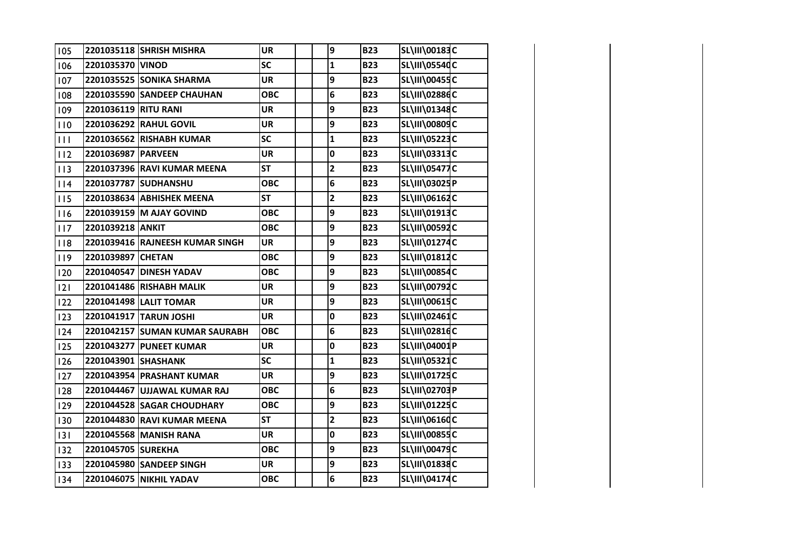| 105 |                      | 2201035118 SHRISH MISHRA        | <b>UR</b>  | 9                       | <b>B23</b> | SL\III\00183C        |  |
|-----|----------------------|---------------------------------|------------|-------------------------|------------|----------------------|--|
| 106 | 2201035370 VINOD     |                                 | <b>SC</b>  | $\mathbf{1}$            | <b>B23</b> | <b>SL\III\05540C</b> |  |
| 107 |                      | 2201035525 SONIKA SHARMA        | <b>UR</b>  | 9                       | <b>B23</b> | <b>SL\III\00455C</b> |  |
| 108 |                      | 2201035590 SANDEEP CHAUHAN      | <b>OBC</b> | 6                       | <b>B23</b> | SL\III\02886C        |  |
| 109 | 2201036119 RITU RANI |                                 | <b>UR</b>  | 9                       | <b>B23</b> | SL\III\01348C        |  |
| 110 |                      | 2201036292 RAHUL GOVIL          | <b>UR</b>  | 9                       | <b>B23</b> | <b>SL\III\00809C</b> |  |
| 111 |                      | 2201036562 RISHABH KUMAR        | SC         | $\mathbf{1}$            | <b>B23</b> | SL\III\05223C        |  |
| 112 | 2201036987 PARVEEN   |                                 | <b>UR</b>  | 0                       | <b>B23</b> | SL\III\03313C        |  |
| 113 |                      | 2201037396 RAVI KUMAR MEENA     | <b>ST</b>  | $\overline{\mathbf{c}}$ | <b>B23</b> | <b>SL\III\05477C</b> |  |
| 114 |                      | 2201037787 SUDHANSHU            | <b>OBC</b> | 6                       | <b>B23</b> | SL\III\03025P        |  |
| 115 |                      | 2201038634 ABHISHEK MEENA       | <b>ST</b>  | $\overline{\mathbf{c}}$ | <b>B23</b> | SL\III\06162C        |  |
| 116 |                      | 2201039159 M AJAY GOVIND        | <b>OBC</b> | 9                       | <b>B23</b> | SL\III\01913C        |  |
| 117 | 2201039218 ANKIT     |                                 | <b>OBC</b> | 9                       | <b>B23</b> | SL\III\00592C        |  |
| 118 |                      | 2201039416 RAJNEESH KUMAR SINGH | <b>UR</b>  | 9                       | <b>B23</b> | SL\III\01274C        |  |
| 119 | 2201039897 CHETAN    |                                 | <b>OBC</b> | 9                       | <b>B23</b> | SL\III\01812C        |  |
| 120 |                      | 2201040547 DINESH YADAV         | <b>OBC</b> | 9                       | <b>B23</b> | <b>SL\III\00854C</b> |  |
| 2   |                      | 2201041486 RISHABH MALIK        | <b>UR</b>  | 9                       | <b>B23</b> | SL\III\00792C        |  |
| 122 |                      | 2201041498 LALIT TOMAR          | <b>UR</b>  | 9                       | <b>B23</b> | <b>SL\III\00615C</b> |  |
| 123 |                      | 2201041917 TARUN JOSHI          | <b>UR</b>  | 0                       | <b>B23</b> | SL\III\02461C        |  |
| 124 |                      | 2201042157 SUMAN KUMAR SAURABH  | <b>OBC</b> | 6                       | <b>B23</b> | SL\III\02816C        |  |
| 125 |                      | 2201043277 PUNEET KUMAR         | <b>UR</b>  | 0                       | <b>B23</b> | SL\III\04001P        |  |
| 126 | 2201043901 SHASHANK  |                                 | <b>SC</b>  | $\mathbf{1}$            | <b>B23</b> | SL\III\05321C        |  |
| 127 |                      | 2201043954 PRASHANT KUMAR       | <b>UR</b>  | 9                       | <b>B23</b> | SL\III\01725C        |  |
| 128 |                      | 2201044467 UJJAWAL KUMAR RAJ    | <b>OBC</b> | 6                       | <b>B23</b> | SL\III\02703P        |  |
| 129 |                      | 2201044528 SAGAR CHOUDHARY      | <b>OBC</b> | 9                       | <b>B23</b> | SL\III\01225C        |  |
| 130 |                      | 2201044830 RAVI KUMAR MEENA     | <b>ST</b>  | $\overline{2}$          | <b>B23</b> | <b>SL\III\06160C</b> |  |
| 131 |                      | 2201045568 MANISH RANA          | <b>UR</b>  | 0                       | <b>B23</b> | <b>SL\III\00855C</b> |  |
| 132 | 2201045705 SUREKHA   |                                 | <b>OBC</b> | 9                       | <b>B23</b> | SL\III\00479C        |  |
| 133 |                      | 2201045980 SANDEEP SINGH        | <b>UR</b>  | 9                       | <b>B23</b> | SL\III\01838C        |  |
| 134 |                      | 2201046075 NIKHIL YADAV         | <b>OBC</b> | 6                       | <b>B23</b> | SL\III\04174C        |  |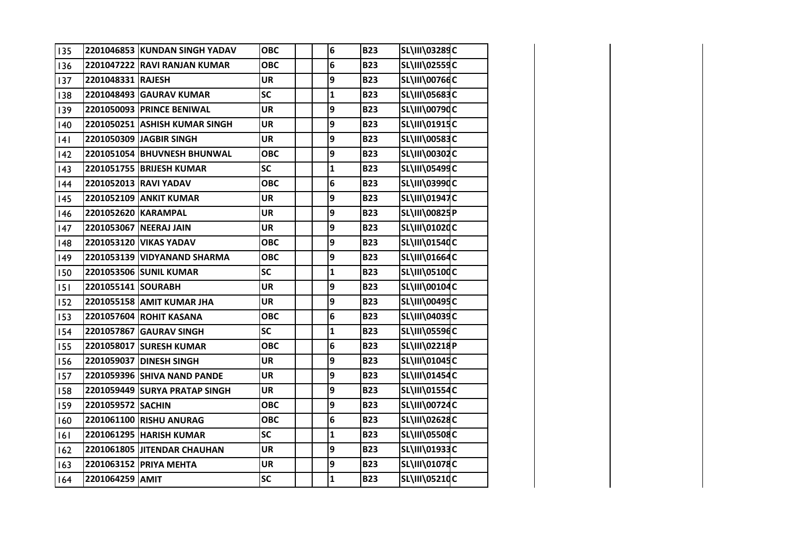| 135 |                     | 2201046853 KUNDAN SINGH YADAV | <b>OBC</b> | 6            | <b>B23</b> | SL\III\03289C        |  |
|-----|---------------------|-------------------------------|------------|--------------|------------|----------------------|--|
| 136 |                     | 2201047222 RAVI RANJAN KUMAR  | <b>OBC</b> | 6            | <b>B23</b> | <b>SL\III\02559C</b> |  |
| 137 | 2201048331 RAJESH   |                               | <b>UR</b>  | 9            | <b>B23</b> | <b>SL\III\00766C</b> |  |
| 138 |                     | 2201048493 GAURAV KUMAR       | <b>SC</b>  | $\mathbf{1}$ | <b>B23</b> | <b>SL\III\05683C</b> |  |
| 139 |                     | 2201050093 PRINCE BENIWAL     | <b>UR</b>  | 9            | <b>B23</b> | SL\III\00790C        |  |
| 140 |                     | 2201050251 ASHISH KUMAR SINGH | <b>UR</b>  | 9            | <b>B23</b> | SL\III\01915C        |  |
| 4   |                     | 2201050309 JAGBIR SINGH       | <b>UR</b>  | 9            | <b>B23</b> | <b>SL\III\00583C</b> |  |
| 142 |                     | 2201051054 BHUVNESH BHUNWAL   | <b>OBC</b> | 9            | <b>B23</b> | SL\III\00302C        |  |
| 43  |                     | 2201051755 BRIJESH KUMAR      | <b>SC</b>  | $\mathbf{1}$ | <b>B23</b> | SL\III\05499C        |  |
| 44  |                     | 2201052013 RAVI YADAV         | <b>OBC</b> | 6            | <b>B23</b> | SL\III\03990C        |  |
| 145 |                     | 2201052109 ANKIT KUMAR        | <b>UR</b>  | 9            | <b>B23</b> | SL\III\01947C        |  |
| 146 | 2201052620 KARAMPAL |                               | <b>UR</b>  | 9            | <b>B23</b> | <b>SL\III\00825P</b> |  |
| 147 |                     | 2201053067 NEERAJ JAIN        | <b>UR</b>  | 9            | <b>B23</b> | SL\III\01020C        |  |
| 148 |                     | 2201053120 VIKAS YADAV        | <b>OBC</b> | 9            | <b>B23</b> | SL\III\01540C        |  |
| 149 |                     | 2201053139 VIDYANAND SHARMA   | <b>OBC</b> | 9            | <b>B23</b> | SL\III\01664C        |  |
| 150 |                     | 2201053506 SUNIL KUMAR        | <b>SC</b>  | $\mathbf{1}$ | <b>B23</b> | <b>SL\III\05100C</b> |  |
| 151 | 2201055141 SOURABH  |                               | <b>UR</b>  | 9            | <b>B23</b> | SL\III\00104C        |  |
| 152 |                     | 2201055158 AMIT KUMAR JHA     | <b>UR</b>  | 9            | <b>B23</b> | <b>SL\III\00495C</b> |  |
| 153 |                     | 2201057604 ROHIT KASANA       | <b>OBC</b> | 6            | <b>B23</b> | SL\III\04039C        |  |
| 154 |                     | 2201057867 GAURAV SINGH       | <b>SC</b>  | $\mathbf{1}$ | <b>B23</b> | <b>SL\III\05596C</b> |  |
| 155 |                     | 2201058017 SURESH KUMAR       | <b>OBC</b> | 6            | <b>B23</b> | SL\III\02218P        |  |
| 156 |                     | 2201059037 DINESH SINGH       | <b>UR</b>  | 9            | <b>B23</b> | SL\III\01045C        |  |
| 157 |                     | 2201059396 SHIVA NAND PANDE   | <b>UR</b>  | 9            | <b>B23</b> | SL\III\01454C        |  |
| 158 |                     | 2201059449 SURYA PRATAP SINGH | <b>UR</b>  | 9            | <b>B23</b> | SL\III\01554C        |  |
| 159 | 2201059572 SACHIN   |                               | <b>OBC</b> | 9            | <b>B23</b> | SL\III\00724C        |  |
| 160 |                     | 2201061100 RISHU ANURAG       | <b>OBC</b> | 6            | <b>B23</b> | <b>SL\III\02628C</b> |  |
| 6   |                     | 2201061295 HARISH KUMAR       | <b>SC</b>  | $\mathbf{1}$ | <b>B23</b> | <b>SL\III\05508C</b> |  |
| 162 |                     | 2201061805 JITENDAR CHAUHAN   | <b>UR</b>  | 9            | <b>B23</b> | SL\III\01933C        |  |
| 163 |                     | 2201063152 PRIYA MEHTA        | <b>UR</b>  | 9            | <b>B23</b> | SL\III\01078C        |  |
| 164 | 2201064259 AMIT     |                               | <b>SC</b>  | $\mathbf 1$  | <b>B23</b> | SL\III\05210C        |  |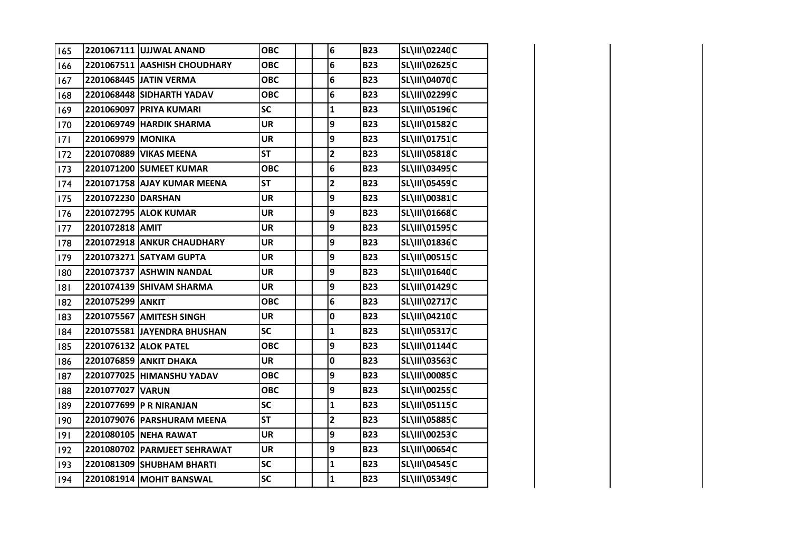| 165 |                    | 2201067111 UJJWAL ANAND      | <b>OBC</b> | 6                       | <b>B23</b> | SL\III\02240C        |  |
|-----|--------------------|------------------------------|------------|-------------------------|------------|----------------------|--|
| 166 |                    | 2201067511 AASHISH CHOUDHARY | <b>OBC</b> | 6                       | <b>B23</b> | SL\III\02625C        |  |
| 167 |                    | 2201068445 JATIN VERMA       | <b>OBC</b> | 6                       | <b>B23</b> | SL\III\04070C        |  |
| 168 |                    | 2201068448 SIDHARTH YADAV    | <b>OBC</b> | 6                       | <b>B23</b> | SL\III\02299C        |  |
| 169 |                    | 2201069097 PRIYA KUMARI      | <b>SC</b>  | $\mathbf{1}$            | <b>B23</b> | SL\III\05196C        |  |
| 170 |                    | 2201069749 HARDIK SHARMA     | <b>UR</b>  | 9                       | <b>B23</b> | SL\III\01582C        |  |
| 7   | 2201069979 MONIKA  |                              | <b>UR</b>  | 9                       | <b>B23</b> | SL\III\01751C        |  |
| 172 |                    | 2201070889 VIKAS MEENA       | <b>ST</b>  | $\overline{2}$          | <b>B23</b> | <b>SL\III\05818C</b> |  |
| 173 |                    | 2201071200 SUMEET KUMAR      | <b>OBC</b> | 6                       | <b>B23</b> | SL\III\03495C        |  |
| 174 |                    | 2201071758 AJAY KUMAR MEENA  | <b>ST</b>  | $\overline{\mathbf{2}}$ | <b>B23</b> | <b>SL\III\05459C</b> |  |
| 175 | 2201072230 DARSHAN |                              | <b>UR</b>  | 9                       | <b>B23</b> | <b>SL\III\00381C</b> |  |
| 176 |                    | 2201072795 ALOK KUMAR        | <b>UR</b>  | 9                       | <b>B23</b> | SL\III\01668C        |  |
| 177 | 2201072818 AMIT    |                              | <b>UR</b>  | 9                       | <b>B23</b> | SL\III\01595C        |  |
| 178 |                    | 2201072918 ANKUR CHAUDHARY   | <b>UR</b>  | 9                       | <b>B23</b> | SL\III\01836C        |  |
| 179 |                    | 2201073271 SATYAM GUPTA      | <b>UR</b>  | 9                       | <b>B23</b> | SL\III\00515C        |  |
| 180 |                    | 2201073737 ASHWIN NANDAL     | <b>UR</b>  | 9                       | <b>B23</b> | SL\III\01640C        |  |
| 181 |                    | 2201074139 SHIVAM SHARMA     | <b>UR</b>  | 9                       | <b>B23</b> | SL\III\01429C        |  |
| 182 | 2201075299 ANKIT   |                              | <b>OBC</b> | 6                       | <b>B23</b> | <b>SL\III\02717C</b> |  |
| 183 |                    | 2201075567 AMITESH SINGH     | <b>UR</b>  | 0                       | <b>B23</b> | SL\III\04210C        |  |
| 184 |                    | 2201075581 JAYENDRA BHUSHAN  | <b>SC</b>  | $\mathbf{1}$            | <b>B23</b> | <b>SL\III\05317C</b> |  |
| 185 |                    | 2201076132 ALOK PATEL        | <b>OBC</b> | 9                       | <b>B23</b> | SL\III\01144C        |  |
| 186 |                    | 2201076859 ANKIT DHAKA       | <b>UR</b>  | 0                       | <b>B23</b> | <b>SL\III\03563C</b> |  |
| 187 |                    | 2201077025 HIMANSHU YADAV    | <b>OBC</b> | 9                       | <b>B23</b> | <b>SL\III\00085C</b> |  |
| 188 | 2201077027 VARUN   |                              | <b>OBC</b> | 9                       | <b>B23</b> | <b>SL\III\00255C</b> |  |
| 189 |                    | 2201077699 P R NIRANJAN      | <b>SC</b>  | $\mathbf{1}$            | <b>B23</b> | SL\III\05115C        |  |
| 190 |                    | 2201079076 PARSHURAM MEENA   | <b>ST</b>  | $\overline{\mathbf{2}}$ | <b>B23</b> | <b>SL\III\05885C</b> |  |
| 9   |                    | 2201080105 NEHA RAWAT        | <b>UR</b>  | 9                       | <b>B23</b> | SL\III\00253C        |  |
| 192 |                    | 2201080702 PARMJEET SEHRAWAT | <b>UR</b>  | 9                       | <b>B23</b> | <b>SL\III\00654C</b> |  |
| 193 |                    | 2201081309 SHUBHAM BHARTI    | SC         | $\mathbf{1}$            | <b>B23</b> | SL\III\04545C        |  |
| 194 |                    | 2201081914 MOHIT BANSWAL     | <b>SC</b>  | $\mathbf{1}$            | <b>B23</b> | SL\III\05349C        |  |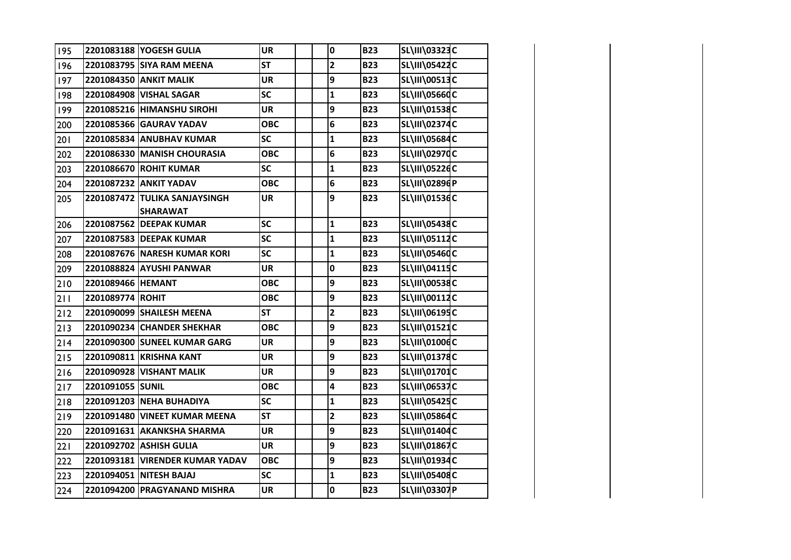| 195 |                   | 2201083188 YOGESH GULIA                          | <b>UR</b>  | 0               | <b>B23</b> | SL\III\03323C        |  |
|-----|-------------------|--------------------------------------------------|------------|-----------------|------------|----------------------|--|
| 196 |                   | 2201083795 SIYA RAM MEENA                        | <b>ST</b>  | $\mathbf{2}$    | <b>B23</b> | SL\III\05422C        |  |
| 197 |                   | 2201084350 ANKIT MALIK                           | <b>UR</b>  | 9               | <b>B23</b> | SL\III\00513C        |  |
| 198 |                   | 2201084908 VISHAL SAGAR                          | <b>SC</b>  | $\mathbf{1}$    | <b>B23</b> | <b>SL\III\05660C</b> |  |
| 199 |                   | 2201085216 HIMANSHU SIROHI                       | <b>UR</b>  | 9               | <b>B23</b> | SL\III\01538C        |  |
| 200 |                   | 2201085366 GAURAV YADAV                          | <b>OBC</b> | 6               | <b>B23</b> | SL\III\02374C        |  |
| 201 |                   | 2201085834 ANUBHAV KUMAR                         | <b>SC</b>  | $\mathbf{1}$    | <b>B23</b> | <b>SL\III\05684C</b> |  |
| 202 |                   | 2201086330 MANISH CHOURASIA                      | <b>OBC</b> | $6\phantom{1}6$ | <b>B23</b> | <b>SL\III\02970C</b> |  |
| 203 |                   | 2201086670 ROHIT KUMAR                           | <b>SC</b>  | $\mathbf{1}$    | <b>B23</b> | <b>SL\III\05226C</b> |  |
| 204 |                   | 2201087232 ANKIT YADAV                           | <b>OBC</b> | 6               | <b>B23</b> | SL\III\02896P        |  |
| 205 |                   | 2201087472 TULIKA SANJAYSINGH<br><b>SHARAWAT</b> | <b>UR</b>  | 9               | <b>B23</b> | SL\III\01536C        |  |
| 206 |                   | 2201087562 DEEPAK KUMAR                          | SC         | $\mathbf{1}$    | <b>B23</b> | <b>SL\III\05438C</b> |  |
| 207 |                   | 2201087583 DEEPAK KUMAR                          | SC         | $\mathbf{1}$    | <b>B23</b> | SL\III\05112C        |  |
| 208 |                   | 2201087676 NARESH KUMAR KORI                     | <b>SC</b>  | $\mathbf{1}$    | <b>B23</b> | SL\III\05460C        |  |
| 209 |                   | 2201088824 AYUSHI PANWAR                         | <b>UR</b>  | $\pmb{0}$       | <b>B23</b> | SL\III\04115C        |  |
| 210 | 2201089466 HEMANT |                                                  | <b>OBC</b> | 9               | <b>B23</b> | SL\III\00538C        |  |
| 211 | 2201089774 ROHIT  |                                                  | <b>OBC</b> | 9               | <b>B23</b> | SL\III\00112C        |  |
| 212 |                   | 2201090099 SHAILESH MEENA                        | <b>ST</b>  | $\mathbf{2}$    | <b>B23</b> | SL\III\06195C        |  |
| 213 |                   | 2201090234 CHANDER SHEKHAR                       | <b>OBC</b> | 9               | <b>B23</b> | SL\III\01521C        |  |
| 214 |                   | 2201090300 SUNEEL KUMAR GARG                     | <b>UR</b>  | 9               | <b>B23</b> | SL\III\01006C        |  |
| 215 |                   | 2201090811 KRISHNA KANT                          | <b>UR</b>  | 9               | <b>B23</b> | SL\III\01378C        |  |
| 216 |                   | 2201090928 VISHANT MALIK                         | <b>UR</b>  | 9               | <b>B23</b> | SL\III\01701C        |  |
| 217 | 2201091055 SUNIL  |                                                  | <b>OBC</b> | 4               | <b>B23</b> | <b>SL\III\06537C</b> |  |
| 218 |                   | 2201091203 NEHA BUHADIYA                         | <b>SC</b>  | $\mathbf{1}$    | <b>B23</b> | <b>SL\III\05425C</b> |  |
| 219 |                   | 2201091480 VINEET KUMAR MEENA                    | <b>ST</b>  | $\mathbf{2}$    | <b>B23</b> | SL\III\05864C        |  |
| 220 |                   | 2201091631 AKANKSHA SHARMA                       | <b>UR</b>  | 9               | <b>B23</b> | SL\III\01404C        |  |
| 221 |                   | 2201092702 ASHISH GULIA                          | UR         | 9               | <b>B23</b> | SL\III\01867C        |  |
| 222 |                   | 2201093181 VIRENDER KUMAR YADAV                  | <b>OBC</b> | 9               | <b>B23</b> | SL\III\01934C        |  |
| 223 |                   | 2201094051 NITESH BAJAJ                          | <b>SC</b>  | $\mathbf{1}$    | <b>B23</b> | <b>SL\III\05408C</b> |  |
| 224 |                   | 2201094200 PRAGYANAND MISHRA                     | <b>UR</b>  | $\pmb{0}$       | <b>B23</b> | SL\III\03307P        |  |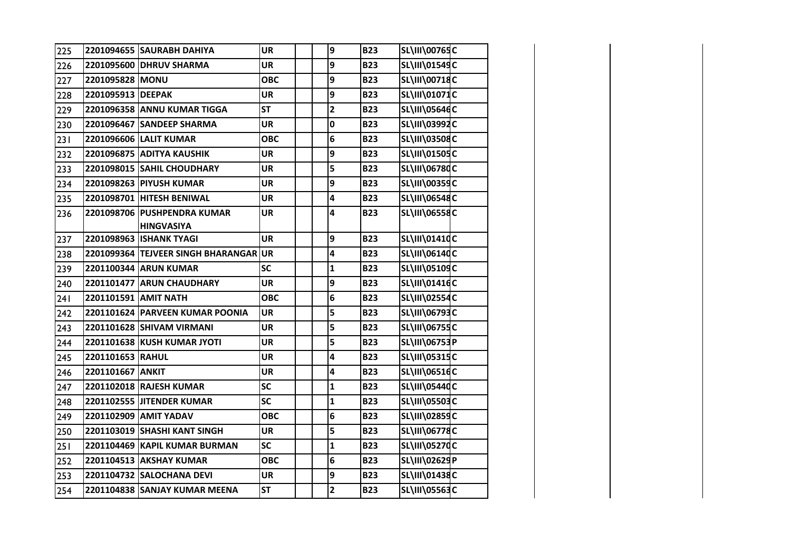| 225 |                      | 2201094655 SAURABH DAHIYA                        | <b>UR</b>  | $\boldsymbol{9}$        | <b>B23</b> | <b>SL\III\00765C</b> |  |
|-----|----------------------|--------------------------------------------------|------------|-------------------------|------------|----------------------|--|
| 226 |                      | 2201095600 DHRUV SHARMA                          | <b>UR</b>  | 9                       | <b>B23</b> | SL\III\01549C        |  |
| 227 | 2201095828 MONU      |                                                  | <b>OBC</b> | 9                       | <b>B23</b> | SL\III\00718C        |  |
| 228 | 2201095913 DEEPAK    |                                                  | <b>UR</b>  | 9                       | <b>B23</b> | SL\III\01071C        |  |
| 229 |                      | 2201096358 ANNU KUMAR TIGGA                      | <b>ST</b>  | $\overline{2}$          | <b>B23</b> | SL\III\05646C        |  |
| 230 |                      | 2201096467 SANDEEP SHARMA                        | <b>UR</b>  | 0                       | <b>B23</b> | SL\III\03992C        |  |
| 231 |                      | 2201096606 LALIT KUMAR                           | <b>OBC</b> | 6                       | <b>B23</b> | <b>SL\III\03508C</b> |  |
| 232 |                      | 2201096875 ADITYA KAUSHIK                        | <b>UR</b>  | 9                       | <b>B23</b> | SL\III\01505C        |  |
| 233 |                      | 2201098015 SAHIL CHOUDHARY                       | <b>UR</b>  | 5                       | <b>B23</b> | <b>SL\III\06780C</b> |  |
| 234 |                      | 2201098263 PIYUSH KUMAR                          | <b>UR</b>  | 9                       | <b>B23</b> | SL\III\00359C        |  |
| 235 |                      | 2201098701 HITESH BENIWAL                        | <b>UR</b>  | 4                       | <b>B23</b> | SL\III\06548C        |  |
| 236 |                      | 2201098706 PUSHPENDRA KUMAR<br><b>HINGVASIYA</b> | <b>UR</b>  | 4                       | <b>B23</b> | <b>SL\III\06558C</b> |  |
| 237 |                      | 2201098963 ISHANK TYAGI                          | <b>UR</b>  | 9                       | <b>B23</b> | SL\III\01410C        |  |
| 238 |                      | 2201099364 TEJVEER SINGH BHARANGAR               | <b>UR</b>  | 4                       | <b>B23</b> | SL\III\06140C        |  |
| 239 |                      | 2201100344 ARUN KUMAR                            | <b>SC</b>  | $\mathbf{1}$            | <b>B23</b> | SL\III\05109C        |  |
| 240 |                      | 2201101477 ARUN CHAUDHARY                        | <b>UR</b>  | 9                       | <b>B23</b> | SL\III\01416C        |  |
| 241 | 2201101591 AMIT NATH |                                                  | <b>OBC</b> | 6                       | <b>B23</b> | SL\III\02554C        |  |
| 242 |                      | 2201101624 PARVEEN KUMAR POONIA                  | <b>UR</b>  | 5                       | <b>B23</b> | SL\III\06793C        |  |
| 243 |                      | 2201101628 SHIVAM VIRMANI                        | <b>UR</b>  | 5                       | <b>B23</b> | <b>SL\III\06755C</b> |  |
| 244 |                      | 2201101638 KUSH KUMAR JYOTI                      | <b>UR</b>  | 5                       | <b>B23</b> | SL\III\06753P        |  |
| 245 | 2201101653 RAHUL     |                                                  | <b>UR</b>  | 4                       | <b>B23</b> | <b>SL\III\05315C</b> |  |
| 246 | 2201101667 ANKIT     |                                                  | <b>UR</b>  | 4                       | <b>B23</b> | SL\III\06516C        |  |
| 247 |                      | 2201102018 RAJESH KUMAR                          | <b>SC</b>  | $\mathbf{1}$            | <b>B23</b> | SL\III\05440C        |  |
| 248 |                      | 2201102555 JITENDER KUMAR                        | SC         | $\mathbf{1}$            | <b>B23</b> | <b>SL\III\05503C</b> |  |
| 249 |                      | 2201102909 AMIT YADAV                            | <b>OBC</b> | 6                       | <b>B23</b> | SL\III\02859C        |  |
| 250 |                      | 2201103019 SHASHI KANT SINGH                     | <b>UR</b>  | 5                       | <b>B23</b> | <b>SL\III\06778C</b> |  |
| 251 |                      | 2201104469 KAPIL KUMAR BURMAN                    | <b>SC</b>  | $\mathbf{1}$            | <b>B23</b> | SL\III\05270C        |  |
| 252 |                      | 2201104513 AKSHAY KUMAR                          | <b>OBC</b> | 6                       | <b>B23</b> | SL\III\02629P        |  |
| 253 |                      | 2201104732 SALOCHANA DEVI                        | <b>UR</b>  | 9                       | <b>B23</b> | SL\III\01438C        |  |
| 254 |                      | 2201104838 SANJAY KUMAR MEENA                    | <b>ST</b>  | $\overline{\mathbf{2}}$ | <b>B23</b> | <b>SL\III\05563C</b> |  |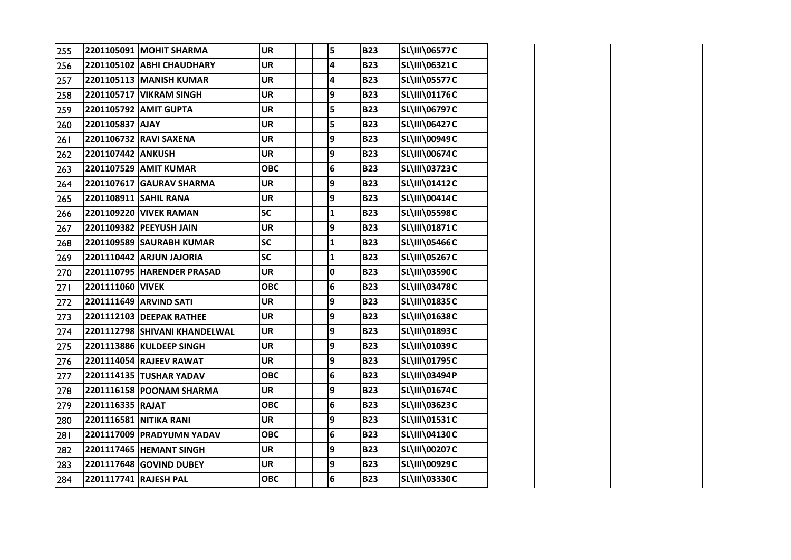| 255 |                       | 2201105091 MOHIT SHARMA       | <b>UR</b>  | 5            | <b>B23</b> | <b>SL\III\06577C</b> |  |
|-----|-----------------------|-------------------------------|------------|--------------|------------|----------------------|--|
| 256 |                       | 2201105102 ABHI CHAUDHARY     | <b>UR</b>  | 4            | <b>B23</b> | SL\III\06321C        |  |
| 257 |                       | 2201105113 MANISH KUMAR       | <b>UR</b>  | 4            | <b>B23</b> | <b>SL\III\05577C</b> |  |
| 258 |                       | 2201105717 VIKRAM SINGH       | <b>UR</b>  | 9            | <b>B23</b> | SL\III\01176C        |  |
| 259 |                       | 2201105792 AMIT GUPTA         | <b>UR</b>  | 5            | <b>B23</b> | <b>SL\III\06797C</b> |  |
| 260 | 2201105837 AJAY       |                               | <b>UR</b>  | 5            | <b>B23</b> | <b>SL\III\06427C</b> |  |
| 261 |                       | 2201106732 RAVI SAXENA        | <b>UR</b>  | 9            | <b>B23</b> | SL\III\00949C        |  |
| 262 | 2201107442 ANKUSH     |                               | <b>UR</b>  | 9            | <b>B23</b> | SL\III\00674C        |  |
| 263 |                       | 2201107529 AMIT KUMAR         | <b>OBC</b> | 6            | <b>B23</b> | <b>SL\III\03723C</b> |  |
| 264 |                       | 2201107617 GAURAV SHARMA      | <b>UR</b>  | 9            | <b>B23</b> | SL\III\01412C        |  |
| 265 |                       | 2201108911 SAHIL RANA         | <b>UR</b>  | 9            | <b>B23</b> | SL\III\00414C        |  |
| 266 | 2201109220            | <b>VIVEK RAMAN</b>            | <b>SC</b>  | $\mathbf{1}$ | <b>B23</b> | SL\III\05598C        |  |
| 267 |                       | 2201109382 PEEYUSH JAIN       | <b>UR</b>  | 9            | <b>B23</b> | SL\III\01871C        |  |
| 268 |                       | 2201109589 SAURABH KUMAR      | <b>SC</b>  | $\mathbf{1}$ | <b>B23</b> | SL\III\05466C        |  |
| 269 |                       | 2201110442 ARJUN JAJORIA      | SC         | $\mathbf{1}$ | <b>B23</b> | <b>SL\III\05267C</b> |  |
| 270 |                       | 2201110795 HARENDER PRASAD    | <b>UR</b>  | 0            | <b>B23</b> | SL\III\03590C        |  |
| 271 | 2201111060 VIVEK      |                               | <b>OBC</b> | 6            | <b>B23</b> | SL\III\03478C        |  |
| 272 |                       | 2201111649 ARVIND SATI        | <b>UR</b>  | 9            | <b>B23</b> | SL\III\01835C        |  |
| 273 |                       | 2201112103 DEEPAK RATHEE      | <b>UR</b>  | 9            | <b>B23</b> | SL\III\01638C        |  |
| 274 |                       | 2201112798 SHIVANI KHANDELWAL | <b>UR</b>  | 9            | <b>B23</b> | SL\III\01893C        |  |
| 275 |                       | 2201113886 KULDEEP SINGH      | <b>UR</b>  | 9            | <b>B23</b> | SL\III\01039C        |  |
| 276 |                       | 2201114054 RAJEEV RAWAT       | <b>UR</b>  | 9            | <b>B23</b> | SL\III\01795C        |  |
| 277 |                       | 2201114135 TUSHAR YADAV       | <b>OBC</b> | 6            | <b>B23</b> | SL\III\03494P        |  |
| 278 |                       | 2201116158 POONAM SHARMA      | <b>UR</b>  | 9            | <b>B23</b> | SL\III\01674C        |  |
| 279 | 2201116335 RAJAT      |                               | <b>OBC</b> | 6            | <b>B23</b> | SL\III\03623C        |  |
| 280 |                       | 2201116581 NITIKA RANI        | <b>UR</b>  | 9            | <b>B23</b> | SL\III\01531C        |  |
| 281 |                       | 2201117009 PRADYUMN YADAV     | <b>OBC</b> | 6            | <b>B23</b> | SL\III\04130C        |  |
| 282 |                       | 2201117465 HEMANT SINGH       | <b>UR</b>  | 9            | <b>B23</b> | SL\III\00207C        |  |
| 283 |                       | 2201117648 GOVIND DUBEY       | <b>UR</b>  | 9            | <b>B23</b> | SL\III\00929C        |  |
| 284 | 2201117741 RAJESH PAL |                               | <b>OBC</b> | 6            | <b>B23</b> | <b>SL\III\03330C</b> |  |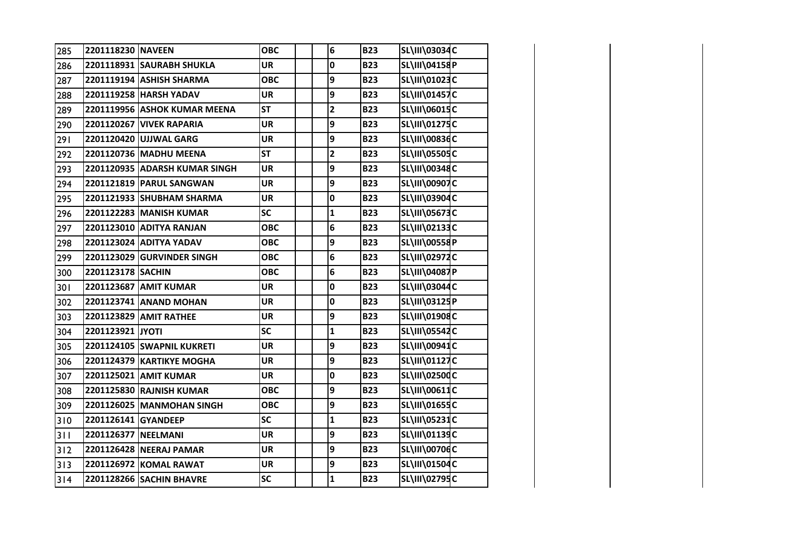| 285 | 2201118230 NAVEEN   |                                 | <b>OBC</b> | 6              | <b>B23</b> | SL\III\03034C        |  |
|-----|---------------------|---------------------------------|------------|----------------|------------|----------------------|--|
| 286 |                     | 2201118931 SAURABH SHUKLA       | <b>UR</b>  | 0              | <b>B23</b> | SL\III\04158P        |  |
| 287 |                     | 2201119194 ASHISH SHARMA        | <b>OBC</b> | 9              | <b>B23</b> | SL\III\01023C        |  |
| 288 |                     | 2201119258 HARSH YADAV          | <b>UR</b>  | 9              | <b>B23</b> | SL\III\01457C        |  |
| 289 |                     | 2201119956 ASHOK KUMAR MEENA    | <b>ST</b>  | $\overline{2}$ | <b>B23</b> | SL\III\06015C        |  |
| 290 |                     | 2201120267 VIVEK RAPARIA        | <b>UR</b>  | 9              | <b>B23</b> | SL\III\01275C        |  |
| 291 |                     | 2201120420 UJJWAL GARG          | <b>UR</b>  | 9              | <b>B23</b> | SL\III\00836C        |  |
| 292 |                     | 2201120736 MADHU MEENA          | <b>ST</b>  | $\overline{2}$ | <b>B23</b> | SL\III\05505C        |  |
| 293 |                     | 2201120935 ADARSH KUMAR SINGH   | UR         | 9              | <b>B23</b> | SL\III\00348C        |  |
| 294 |                     | 2201121819 PARUL SANGWAN        | UR         | 9              | <b>B23</b> | SL\III\00907C        |  |
| 295 |                     | 2201121933 SHUBHAM SHARMA       | UR         | 0              | <b>B23</b> | SL\III\03904C        |  |
| 296 |                     | 2201122283 MANISH KUMAR         | <b>SC</b>  | $\mathbf{1}$   | <b>B23</b> | <b>SL\III\05673C</b> |  |
| 297 |                     | 2201123010 ADITYA RANJAN        | <b>OBC</b> | 6              | <b>B23</b> | SL\III\02133C        |  |
| 298 |                     | 2201123024 ADITYA YADAV         | <b>OBC</b> | 9              | <b>B23</b> | SL\III\00558P        |  |
| 299 |                     | 2201123029 GURVINDER SINGH      | <b>OBC</b> | 6              | <b>B23</b> | SL\III\02972C        |  |
| 300 | 2201123178 SACHIN   |                                 | <b>OBC</b> | 6              | <b>B23</b> | SL\III\04087P        |  |
| 301 |                     | 2201123687 AMIT KUMAR           | <b>UR</b>  | 0              | <b>B23</b> | SL\III\03044C        |  |
| 302 |                     | 2201123741 ANAND MOHAN          | <b>UR</b>  | 0              | <b>B23</b> | SL\III\03125P        |  |
| 303 |                     | 2201123829 AMIT RATHEE          | <b>UR</b>  | 9              | <b>B23</b> | SL\III\01908C        |  |
| 304 | 2201123921 JYOTI    |                                 | <b>SC</b>  | $\mathbf{1}$   | <b>B23</b> | <b>SL\III\05542C</b> |  |
| 305 |                     | 2201124105 SWAPNIL KUKRETI      | <b>UR</b>  | 9              | <b>B23</b> | SL\III\00941C        |  |
| 306 |                     | 2201124379 KARTIKYE MOGHA       | <b>UR</b>  | 9              | <b>B23</b> | SL\III\01127C        |  |
| 307 |                     | 2201125021 AMIT KUMAR           | UR         | 0              | <b>B23</b> | SL\III\02500C        |  |
| 308 |                     | 2201125830 RAJNISH KUMAR        | <b>OBC</b> | 9              | <b>B23</b> | SL\III\00611C        |  |
| 309 |                     | 2201126025 MANMOHAN SINGH       | <b>OBC</b> | 9              | <b>B23</b> | SL\III\01655C        |  |
| 310 | 2201126141 GYANDEEP |                                 | <b>SC</b>  | $\mathbf{1}$   | <b>B23</b> | <b>SL\III\05231C</b> |  |
| 311 | 2201126377 NEELMANI |                                 | <b>UR</b>  | 9              | <b>B23</b> | SL\III\01139C        |  |
| 312 |                     | 2201126428 NEERAJ PAMAR         | <b>UR</b>  | 9              | <b>B23</b> | SL\III\00706C        |  |
| 313 |                     | 2201126972 KOMAL RAWAT          | <b>UR</b>  | 9              | <b>B23</b> | SL\III\01504C        |  |
| 314 |                     | <b>2201128266 SACHIN BHAVRE</b> | SC         | $\mathbf{1}$   | <b>B23</b> | SL\III\02795C        |  |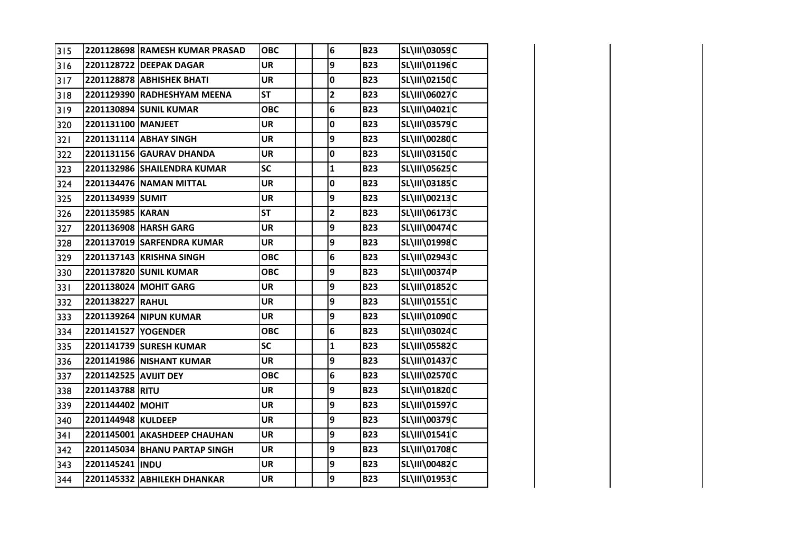| 315 |                       | 2201128698 RAMESH KUMAR PRASAD | <b>OBC</b>               | $6\phantom{a}$          | <b>B23</b> | <b>SL\III\03059C</b> |  |
|-----|-----------------------|--------------------------------|--------------------------|-------------------------|------------|----------------------|--|
| 316 |                       | 2201128722 DEEPAK DAGAR        | <b>UR</b>                | 9                       | <b>B23</b> | SL\III\01196C        |  |
| 317 |                       | 2201128878 ABHISHEK BHATI      | <b>UR</b>                | $\mathbf 0$             | <b>B23</b> | <b>SL\III\02150C</b> |  |
| 318 |                       | 2201129390 RADHESHYAM MEENA    | <b>ST</b>                | $\overline{\mathbf{2}}$ | <b>B23</b> | <b>SL\III\06027C</b> |  |
| 319 |                       | 2201130894 SUNIL KUMAR         | <b>OBC</b>               | $6\phantom{1}6$         | <b>B23</b> | SL\III\04021C        |  |
| 320 | 2201131100 MANJEET    |                                | <b>UR</b>                | $\pmb{0}$               | <b>B23</b> | SL\III\03579C        |  |
| 321 |                       | 2201131114 ABHAY SINGH         | <b>UR</b>                | 9                       | <b>B23</b> | <b>SL\III\00280C</b> |  |
| 322 |                       | 2201131156 GAURAV DHANDA       | <b>UR</b>                | $\pmb{0}$               | <b>B23</b> | SL\III\03150C        |  |
| 323 |                       | 2201132986 SHAILENDRA KUMAR    | SC                       | $\mathbf{1}$            | <b>B23</b> | <b>SL\III\05625C</b> |  |
| 324 |                       | 2201134476 NAMAN MITTAL        | <b>UR</b>                | $\mathbf 0$             | <b>B23</b> | SL\III\03185C        |  |
| 325 | 2201134939 SUMIT      |                                | <b>UR</b>                | 9                       | <b>B23</b> | SL\III\00213C        |  |
| 326 | 2201135985 KARAN      |                                | <b>ST</b>                | $\overline{\mathbf{2}}$ | <b>B23</b> | SL\III\06173C        |  |
| 327 |                       | 2201136908 HARSH GARG          | <b>UR</b>                | 9                       | <b>B23</b> | <b>SL\III\00474C</b> |  |
| 328 |                       | 2201137019 SARFENDRA KUMAR     | <b>UR</b>                | 9                       | <b>B23</b> | SL\III\01998C        |  |
| 329 |                       | 2201137143 KRISHNA SINGH       | <b>OBC</b>               | $6\phantom{1}$          | <b>B23</b> | SL\III\02943C        |  |
| 330 |                       | 2201137820 SUNIL KUMAR         | <b>OBC</b>               | 9                       | <b>B23</b> | <b>SL\III\00374P</b> |  |
| 331 |                       | 2201138024 MOHIT GARG          | <b>UR</b>                | 9                       | <b>B23</b> | SL\III\01852C        |  |
| 332 | 2201138227 RAHUL      |                                | <b>UR</b>                | 9                       | <b>B23</b> | SL\III\01551C        |  |
| 333 |                       | 2201139264 NIPUN KUMAR         | <b>UR</b>                | 9                       | <b>B23</b> | SL\III\01090C        |  |
| 334 | 2201141527 YOGENDER   |                                | <b>OBC</b>               | 6                       | <b>B23</b> | SL\III\03024C        |  |
| 335 |                       | 2201141739 SURESH KUMAR        | $\overline{\mathsf{sc}}$ | $\mathbf{1}$            | <b>B23</b> | <b>SL\III\05582C</b> |  |
| 336 |                       | 2201141986 NISHANT KUMAR       | <b>UR</b>                | 9                       | <b>B23</b> | SL\III\01437C        |  |
| 337 | 2201142525 AVIJIT DEY |                                | <b>OBC</b>               | 6                       | <b>B23</b> | <b>SL\III\02570C</b> |  |
| 338 | 2201143788 RITU       |                                | <b>UR</b>                | 9                       | <b>B23</b> | SL\III\01820C        |  |
| 339 | 2201144402 MOHIT      |                                | <b>UR</b>                | 9                       | <b>B23</b> | SL\III\01597C        |  |
| 340 | 2201144948 KULDEEP    |                                | <b>UR</b>                | 9                       | <b>B23</b> | <b>SL\III\00379C</b> |  |
| 341 |                       | 2201145001 AKASHDEEP CHAUHAN   | <b>UR</b>                | 9                       | <b>B23</b> | SL\III\01541C        |  |
| 342 |                       | 2201145034 BHANU PARTAP SINGH  | <b>UR</b>                | 9                       | <b>B23</b> | SL\III\01708C        |  |
| 343 | 2201145241 INDU       |                                | <b>UR</b>                | 9                       | <b>B23</b> | SL\III\00482C        |  |
| 344 |                       | 2201145332 ABHILEKH DHANKAR    | <b>UR</b>                | 9                       | <b>B23</b> | SL\III\01953C        |  |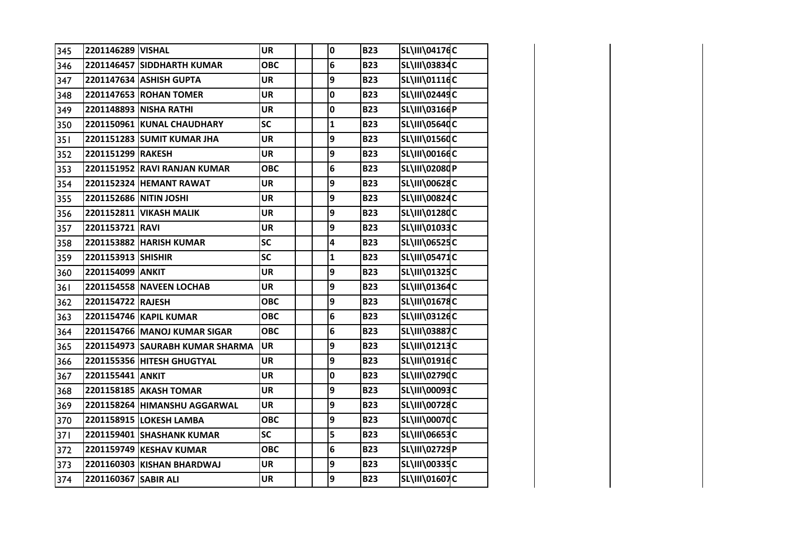| 345 | 2201146289 VISHAL      |                                 | <b>UR</b>  | $\pmb{0}$    | <b>B23</b> | SL\III\04176C        |  |
|-----|------------------------|---------------------------------|------------|--------------|------------|----------------------|--|
| 346 |                        | 2201146457 SIDDHARTH KUMAR      | <b>OBC</b> | 6            | <b>B23</b> | SL\III\03834C        |  |
| 347 |                        | 2201147634 ASHISH GUPTA         | <b>UR</b>  | 9            | <b>B23</b> | SL\III\01116C        |  |
| 348 |                        | 2201147653 ROHAN TOMER          | <b>UR</b>  | 0            | <b>B23</b> | <b>SL\III\02449C</b> |  |
| 349 |                        | 2201148893 NISHA RATHI          | <b>UR</b>  | $\mathbf 0$  | <b>B23</b> | SL\III\03166P        |  |
| 350 |                        | 2201150961 KUNAL CHAUDHARY      | SC         | $\mathbf{1}$ | <b>B23</b> | <b>SL\III\05640C</b> |  |
| 351 |                        | 2201151283 SUMIT KUMAR JHA      | <b>UR</b>  | 9            | <b>B23</b> | SL\III\01560C        |  |
| 352 | 2201151299 RAKESH      |                                 | <b>UR</b>  | 9            | <b>B23</b> | SL\III\00166C        |  |
| 353 |                        | 2201151952 RAVI RANJAN KUMAR    | <b>OBC</b> | 6            | <b>B23</b> | SL\III\02080P        |  |
| 354 |                        | 2201152324 HEMANT RAWAT         | <b>UR</b>  | 9            | <b>B23</b> | SL\III\00628C        |  |
| 355 | 2201152686 NITIN JOSHI |                                 | <b>UR</b>  | 9            | <b>B23</b> | <b>SL\III\00824C</b> |  |
| 356 |                        | 2201152811 VIKASH MALIK         | <b>UR</b>  | 9            | <b>B23</b> | SL\III\01280C        |  |
| 357 | 2201153721 RAVI        |                                 | <b>UR</b>  | 9            | <b>B23</b> | SL\III\01033C        |  |
| 358 |                        | 2201153882 HARISH KUMAR         | SC         | 4            | <b>B23</b> | <b>SL\III\06525C</b> |  |
| 359 | 2201153913 SHISHIR     |                                 | SC         | $\mathbf{1}$ | <b>B23</b> | SL\III\05471C        |  |
| 360 | 2201154099 ANKIT       |                                 | <b>UR</b>  | 9            | <b>B23</b> | SL\III\01325C        |  |
| 361 |                        | 2201154558 NAVEEN LOCHAB        | <b>UR</b>  | 9            | <b>B23</b> | SL\III\01364C        |  |
| 362 | 2201154722 RAJESH      |                                 | <b>OBC</b> | 9            | <b>B23</b> | SL\III\01678C        |  |
| 363 |                        | 2201154746 KAPIL KUMAR          | <b>OBC</b> | 6            | <b>B23</b> | <b>SL\III\03126C</b> |  |
| 364 |                        | 2201154766 MANOJ KUMAR SIGAR    | <b>OBC</b> | 6            | <b>B23</b> | <b>SL\III\03887C</b> |  |
| 365 |                        | 2201154973 SAURABH KUMAR SHARMA | <b>UR</b>  | 9            | <b>B23</b> | SL\III\01213C        |  |
| 366 |                        | 2201155356 HITESH GHUGTYAL      | <b>UR</b>  | 9            | <b>B23</b> | SL\III\01916C        |  |
| 367 | 2201155441 ANKIT       |                                 | <b>UR</b>  | 0            | <b>B23</b> | SL\III\02790C        |  |
| 368 |                        | 2201158185 AKASH TOMAR          | <b>UR</b>  | 9            | <b>B23</b> | SL\III\00093C        |  |
| 369 |                        | 2201158264 HIMANSHU AGGARWAL    | <b>UR</b>  | 9            | <b>B23</b> | <b>SL\III\00728C</b> |  |
| 370 |                        | 2201158915 LOKESH LAMBA         | <b>OBC</b> | 9            | <b>B23</b> | <b>SL\III\00070C</b> |  |
| 371 |                        | 2201159401 SHASHANK KUMAR       | SC         | 5            | <b>B23</b> | <b>SL\III\06653C</b> |  |
| 372 |                        | 2201159749 KESHAV KUMAR         | <b>OBC</b> | 6            | <b>B23</b> | SL\III\02729P        |  |
| 373 |                        | 2201160303 KISHAN BHARDWAJ      | <b>UR</b>  | 9            | <b>B23</b> | <b>SL\III\00335C</b> |  |
| 374 | 2201160367 SABIR ALI   |                                 | <b>UR</b>  | 9            | <b>B23</b> | SL\III\01607C        |  |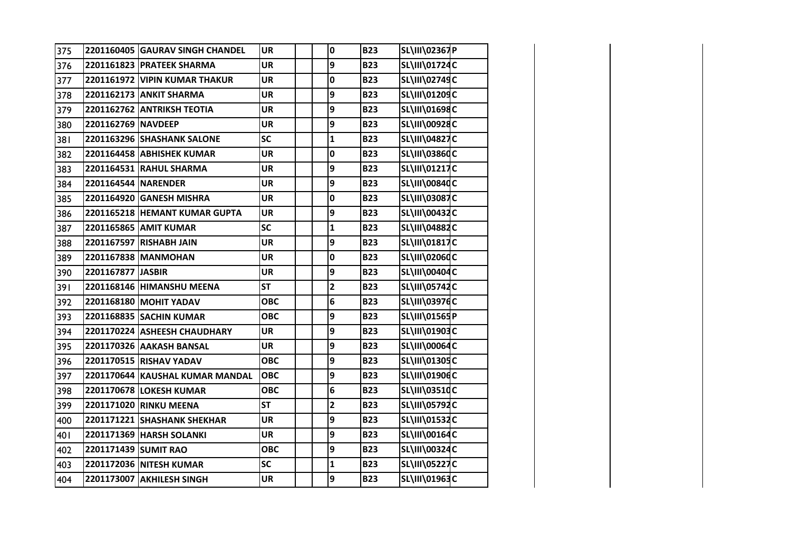| 375 |                      | 2201160405 GAURAV SINGH CHANDEL | <b>UR</b>  | 0                       | <b>B23</b> | SL\III\02367P        |  |
|-----|----------------------|---------------------------------|------------|-------------------------|------------|----------------------|--|
| 376 |                      | 2201161823 PRATEEK SHARMA       | <b>UR</b>  | 9                       | <b>B23</b> | SL\III\01724C        |  |
| 377 |                      | 2201161972 VIPIN KUMAR THAKUR   | <b>UR</b>  | 0                       | <b>B23</b> | SL\III\02749C        |  |
| 378 |                      | 2201162173 ANKIT SHARMA         | <b>UR</b>  | 9                       | <b>B23</b> | SL\III\01209C        |  |
| 379 |                      | 2201162762 ANTRIKSH TEOTIA      | UR         | 9                       | <b>B23</b> | SL\III\01698C        |  |
| 380 | 2201162769 NAVDEEP   |                                 | UR         | 9                       | <b>B23</b> | SL\III\00928C        |  |
| 381 |                      | 2201163296 SHASHANK SALONE      | SC         | $\mathbf{1}$            | <b>B23</b> | <b>SL\III\04827C</b> |  |
| 382 |                      | 2201164458 ABHISHEK KUMAR       | <b>UR</b>  | 0                       | <b>B23</b> | SL\III\03860C        |  |
| 383 |                      | 2201164531 RAHUL SHARMA         | <b>UR</b>  | 9                       | <b>B23</b> | <b>SL\III\01217C</b> |  |
| 384 | 2201164544 NARENDER  |                                 | <b>UR</b>  | 9                       | <b>B23</b> | <b>SL\III\00840C</b> |  |
| 385 |                      | 2201164920 GANESH MISHRA        | <b>UR</b>  | 0                       | <b>B23</b> | <b>SL\III\03087C</b> |  |
| 386 |                      | 2201165218 HEMANT KUMAR GUPTA   | <b>UR</b>  | 9                       | <b>B23</b> | SL\III\00432C        |  |
| 387 |                      | 2201165865 AMIT KUMAR           | SC         | $\mathbf{1}$            | <b>B23</b> | SL\III\04882C        |  |
| 388 |                      | 2201167597 RISHABH JAIN         | <b>UR</b>  | 9                       | <b>B23</b> | SL\III\01817C        |  |
| 389 |                      | 2201167838 MANMOHAN             | UR         | 0                       | <b>B23</b> | SL\III\02060C        |  |
| 390 | 2201167877 JASBIR    |                                 | <b>UR</b>  | 9                       | <b>B23</b> | SL\III\00404C        |  |
| 391 |                      | 2201168146 HIMANSHU MEENA       | <b>ST</b>  | $\overline{\mathbf{2}}$ | <b>B23</b> | SL\III\05742C        |  |
| 392 |                      | 2201168180 MOHIT YADAV          | <b>OBC</b> | 6                       | <b>B23</b> | SL\III\03976C        |  |
| 393 |                      | 2201168835 SACHIN KUMAR         | <b>OBC</b> | 9                       | <b>B23</b> | SL\III\01565P        |  |
| 394 |                      | 2201170224 ASHEESH CHAUDHARY    | <b>UR</b>  | 9                       | <b>B23</b> | SL\III\01903C        |  |
| 395 |                      | 2201170326 AAKASH BANSAL        | <b>UR</b>  | 9                       | <b>B23</b> | <b>SL\III\00064C</b> |  |
| 396 |                      | 2201170515 RISHAV YADAV         | <b>OBC</b> | 9                       | <b>B23</b> | SL\III\01305C        |  |
| 397 |                      | 2201170644 KAUSHAL KUMAR MANDAL | <b>OBC</b> | 9                       | <b>B23</b> | SL\III\01906C        |  |
| 398 |                      | 2201170678 LOKESH KUMAR         | <b>OBC</b> | 6                       | <b>B23</b> | SL\III\03510C        |  |
| 399 |                      | 2201171020 RINKU MEENA          | <b>ST</b>  | $\overline{\mathbf{c}}$ | <b>B23</b> | SL\III\05792C        |  |
| 400 |                      | 2201171221 SHASHANK SHEKHAR     | <b>UR</b>  | 9                       | <b>B23</b> | SL\III\01532C        |  |
| 401 |                      | 2201171369 HARSH SOLANKI        | <b>UR</b>  | 9                       | <b>B23</b> | SL\III\00164C        |  |
| 402 | 2201171439 SUMIT RAO |                                 | <b>OBC</b> | 9                       | <b>B23</b> | SL\III\00324C        |  |
| 403 |                      | 2201172036 NITESH KUMAR         | SC         | $\mathbf{1}$            | <b>B23</b> | <b>SL\III\05227C</b> |  |
| 404 |                      | 2201173007 AKHILESH SINGH       | <b>UR</b>  | 9                       | <b>B23</b> | SL\III\01963C        |  |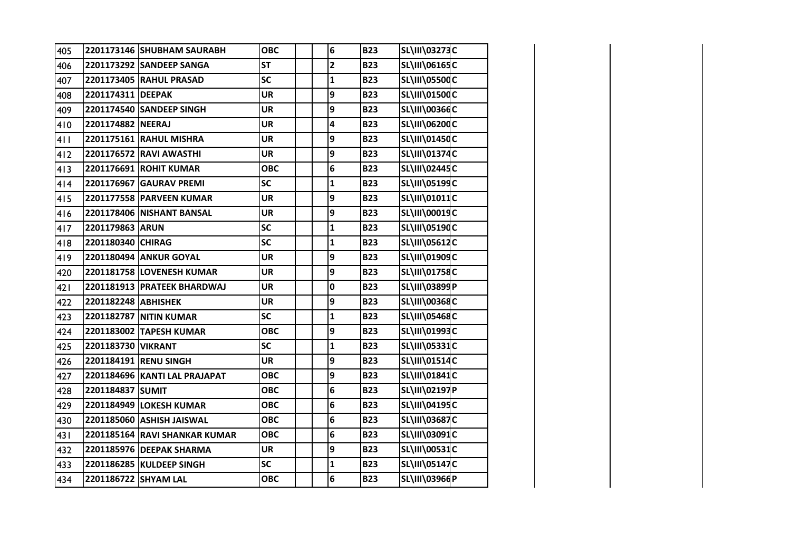| 405 |                      | 2201173146 SHUBHAM SAURABH    | <b>OBC</b> | $\bf 6$      | <b>B23</b> | <b>SL\III\03273C</b> |  |
|-----|----------------------|-------------------------------|------------|--------------|------------|----------------------|--|
| 406 |                      | 2201173292 SANDEEP SANGA      | <b>ST</b>  | $\mathbf{2}$ | <b>B23</b> | SL\III\06165C        |  |
| 407 |                      | 2201173405 RAHUL PRASAD       | <b>SC</b>  | $\mathbf{1}$ | <b>B23</b> | <b>SL\III\05500C</b> |  |
| 408 | 2201174311 DEEPAK    |                               | <b>UR</b>  | 9            | <b>B23</b> | SL\III\01500C        |  |
| 409 |                      | 2201174540 SANDEEP SINGH      | <b>UR</b>  | 9            | <b>B23</b> | SL\III\00366C        |  |
| 410 | 2201174882 NEERAJ    |                               | <b>UR</b>  | 4            | <b>B23</b> | SL\III\06200C        |  |
| 411 |                      | 2201175161 RAHUL MISHRA       | <b>UR</b>  | 9            | <b>B23</b> | SL\III\01450C        |  |
| 412 | 2201176572           | <b>RAVI AWASTHI</b>           | <b>UR</b>  | 9            | <b>B23</b> | SL\III\01374C        |  |
| 413 |                      | 2201176691 ROHIT KUMAR        | <b>OBC</b> | 6            | <b>B23</b> | SL\III\02445C        |  |
| 414 | 2201176967           | <b>GAURAV PREMI</b>           | <b>SC</b>  | $\mathbf{1}$ | <b>B23</b> | SL\III\05199C        |  |
| 415 |                      | 2201177558 PARVEEN KUMAR      | <b>UR</b>  | 9            | <b>B23</b> | SL\III\01011C        |  |
| 416 |                      | 2201178406 NISHANT BANSAL     | <b>UR</b>  | 9            | <b>B23</b> | SL\III\00019C        |  |
| 417 | 2201179863 ARUN      |                               | SC         | $\mathbf{1}$ | <b>B23</b> | SL\III\05190C        |  |
| 418 | 2201180340 CHIRAG    |                               | <b>SC</b>  | $\mathbf{1}$ | <b>B23</b> | SL\III\05612C        |  |
| 419 |                      | 2201180494 ANKUR GOYAL        | <b>UR</b>  | 9            | <b>B23</b> | SL\III\01909C        |  |
| 420 |                      | 2201181758 LOVENESH KUMAR     | <b>UR</b>  | 9            | <b>B23</b> | SL\III\01758C        |  |
| 421 |                      | 2201181913 PRATEEK BHARDWAJ   | <b>UR</b>  | $\pmb{0}$    | <b>B23</b> | SL\III\03899P        |  |
| 422 | 2201182248 ABHISHEK  |                               | <b>UR</b>  | 9            | <b>B23</b> | SL\III\00368C        |  |
| 423 |                      | 2201182787 NITIN KUMAR        | <b>SC</b>  | $\mathbf{1}$ | <b>B23</b> | SL\III\05468C        |  |
| 424 |                      | 2201183002 TAPESH KUMAR       | <b>OBC</b> | 9            | <b>B23</b> | SL\III\01993C        |  |
| 425 | 2201183730 VIKRANT   |                               | SC         | $\mathbf{1}$ | <b>B23</b> | SL\III\05331C        |  |
| 426 |                      | 2201184191 RENU SINGH         | <b>UR</b>  | 9            | <b>B23</b> | SL\III\01514C        |  |
| 427 |                      | 2201184696 KANTI LAL PRAJAPAT | <b>OBC</b> | 9            | <b>B23</b> | SL\III\01841C        |  |
| 428 | 2201184837           | <b>SUMIT</b>                  | <b>OBC</b> | 6            | <b>B23</b> | SL\III\02197P        |  |
| 429 |                      | 2201184949 LOKESH KUMAR       | <b>OBC</b> | 6            | <b>B23</b> | SL\III\04195C        |  |
| 430 |                      | 2201185060 ASHISH JAISWAL     | <b>OBC</b> | 6            | <b>B23</b> | SL\III\03687C        |  |
| 431 |                      | 2201185164 RAVI SHANKAR KUMAR | <b>OBC</b> | 6            | <b>B23</b> | SL\III\03091C        |  |
| 432 |                      | 2201185976 DEEPAK SHARMA      | <b>UR</b>  | 9            | <b>B23</b> | SL\III\00531C        |  |
| 433 |                      | 2201186285 KULDEEP SINGH      | SC         | $\mathbf{1}$ | <b>B23</b> | SL\III\05147C        |  |
| 434 | 2201186722 SHYAM LAL |                               | <b>OBC</b> | 6            | <b>B23</b> | SL\III\03966P        |  |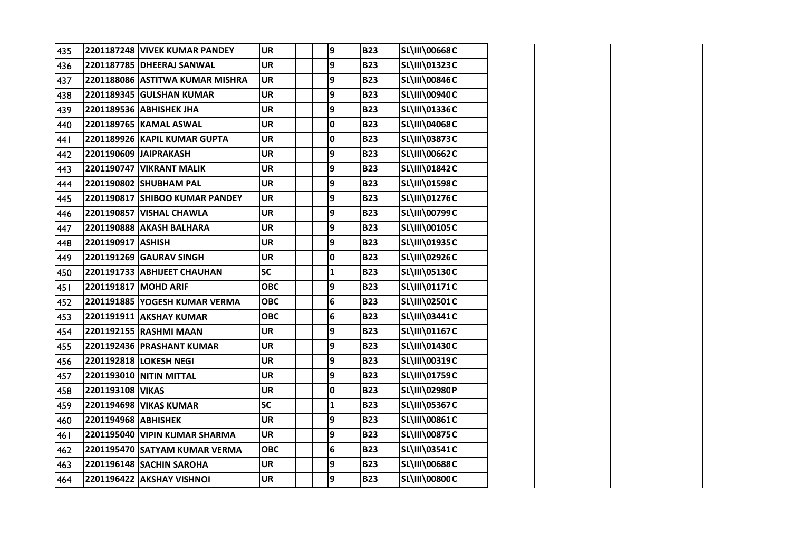| 435 |                      | 2201187248 VIVEK KUMAR PANDEY   | <b>UR</b>  | 9            | <b>B23</b> | <b>SL\III\00668C</b> |  |
|-----|----------------------|---------------------------------|------------|--------------|------------|----------------------|--|
| 436 |                      | 2201187785 DHEERAJ SANWAL       | <b>UR</b>  | 9            | <b>B23</b> | SL\III\01323C        |  |
| 437 |                      | 2201188086 ASTITWA KUMAR MISHRA | <b>UR</b>  | 9            | <b>B23</b> | <b>SL\III\00846C</b> |  |
| 438 |                      | 2201189345 GULSHAN KUMAR        | <b>UR</b>  | 9            | <b>B23</b> | <b>SL\III\00940C</b> |  |
| 439 |                      | 2201189536 ABHISHEK JHA         | <b>UR</b>  | 9            | <b>B23</b> | SL\III\01336C        |  |
| 440 |                      | 2201189765 KAMAL ASWAL          | <b>UR</b>  | 0            | <b>B23</b> | <b>SL\III\04068C</b> |  |
| 441 |                      | 2201189926 KAPIL KUMAR GUPTA    | <b>UR</b>  | $\mathbf 0$  | <b>B23</b> | <b>SL\III\03873C</b> |  |
| 442 |                      | 2201190609 JAIPRAKASH           | <b>UR</b>  | 9            | <b>B23</b> | SL\III\00662C        |  |
| 443 |                      | 2201190747 VIKRANT MALIK        | <b>UR</b>  | 9            | <b>B23</b> | SL\III\01842C        |  |
| 444 |                      | 2201190802 SHUBHAM PAL          | <b>UR</b>  | 9            | <b>B23</b> | SL\III\01598C        |  |
| 445 |                      | 2201190817 SHIBOO KUMAR PANDEY  | <b>UR</b>  | 9            | <b>B23</b> | SL\III\01276C        |  |
| 446 |                      | 2201190857 VISHAL CHAWLA        | <b>UR</b>  | 9            | <b>B23</b> | SL\III\00799C        |  |
| 447 |                      | 2201190888 AKASH BALHARA        | <b>UR</b>  | 9            | <b>B23</b> | SL\III\00105C        |  |
| 448 | 2201190917 ASHISH    |                                 | <b>UR</b>  | 9            | <b>B23</b> | SL\III\01935C        |  |
| 449 |                      | 2201191269 GAURAV SINGH         | <b>UR</b>  | 0            | <b>B23</b> | SL\III\02926C        |  |
| 450 |                      | 2201191733 ABHIJEET CHAUHAN     | <b>SC</b>  | $\mathbf{1}$ | <b>B23</b> | <b>SL\III\05130C</b> |  |
| 451 | 2201191817 MOHD ARIF |                                 | <b>OBC</b> | 9            | <b>B23</b> | SL\III\01171C        |  |
| 452 |                      | 2201191885 YOGESH KUMAR VERMA   | <b>OBC</b> | 6            | <b>B23</b> | SL\III\02501C        |  |
| 453 |                      | 2201191911 AKSHAY KUMAR         | <b>OBC</b> | 6            | <b>B23</b> | SL\III\03441C        |  |
| 454 |                      | 2201192155 RASHMI MAAN          | <b>UR</b>  | 9            | <b>B23</b> | SL\III\01167C        |  |
| 455 |                      | 2201192436 PRASHANT KUMAR       | <b>UR</b>  | 9            | <b>B23</b> | SL\III\01430C        |  |
| 456 |                      | 2201192818 LOKESH NEGI          | <b>UR</b>  | 9            | <b>B23</b> | SL\III\00319C        |  |
| 457 |                      | 2201193010 NITIN MITTAL         | <b>UR</b>  | 9            | <b>B23</b> | SL\III\01759C        |  |
| 458 | 2201193108 VIKAS     |                                 | <b>UR</b>  | 0            | <b>B23</b> | SL\III\02980P        |  |
| 459 |                      | 2201194698 VIKAS KUMAR          | SC         | $\mathbf{1}$ | <b>B23</b> | <b>SL\III\05367C</b> |  |
| 460 | 2201194968 ABHISHEK  |                                 | <b>UR</b>  | 9            | <b>B23</b> | <b>SL\III\00861C</b> |  |
| 461 |                      | 2201195040 VIPIN KUMAR SHARMA   | <b>UR</b>  | 9            | <b>B23</b> | <b>SL\III\00875C</b> |  |
| 462 |                      | 2201195470 SATYAM KUMAR VERMA   | <b>OBC</b> | 6            | <b>B23</b> | SL\III\03541C        |  |
| 463 |                      | 2201196148 SACHIN SAROHA        | <b>UR</b>  | 9            | <b>B23</b> | <b>SL\III\00688C</b> |  |
| 464 |                      | 2201196422 AKSHAY VISHNOI       | <b>UR</b>  | 9            | <b>B23</b> | <b>SL\III\00800C</b> |  |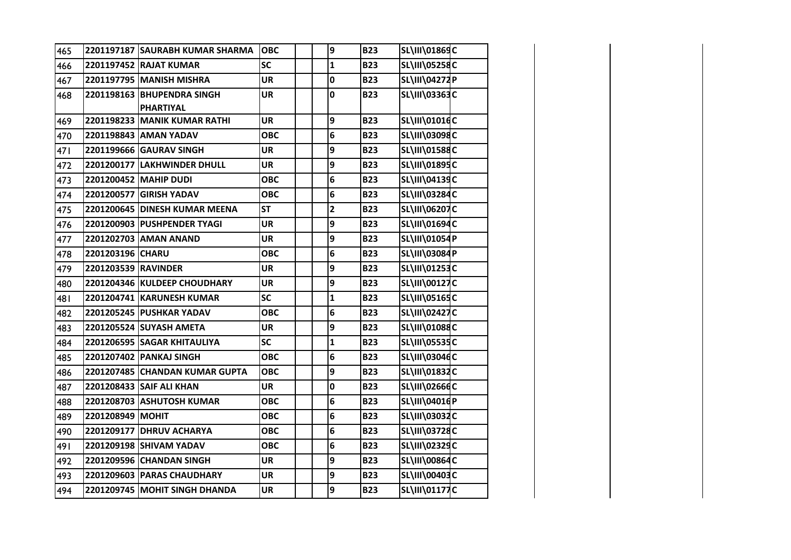| 465  |                     | 2201197187 SAURABH KUMAR SHARMA | <b>OBC</b> | 9            | <b>B23</b> | SL\III\01869C        |  |
|------|---------------------|---------------------------------|------------|--------------|------------|----------------------|--|
| 466  |                     | 2201197452 RAJAT KUMAR          | <b>SC</b>  | $\mathbf{1}$ | <b>B23</b> | <b>SL\III\05258C</b> |  |
| 467  |                     | 2201197795 MANISH MISHRA        | <b>UR</b>  | 0            | <b>B23</b> | SL\III\04272P        |  |
| 468  |                     | 2201198163 BHUPENDRA SINGH      | <b>UR</b>  | 0            | <b>B23</b> | SL\III\03363C        |  |
|      |                     | <b>PHARTIYAL</b>                |            |              |            |                      |  |
| 469  |                     | 2201198233 MANIK KUMAR RATHI    | <b>UR</b>  | 9            | <b>B23</b> | SL\III\01016C        |  |
| 470  |                     | 2201198843 AMAN YADAV           | <b>OBC</b> | 6            | <b>B23</b> | <b>SL\III\03098C</b> |  |
| 47 I |                     | 2201199666 GAURAV SINGH         | <b>UR</b>  | 9            | <b>B23</b> | SL\III\01588C        |  |
| 472  |                     | 2201200177 LAKHWINDER DHULL     | <b>UR</b>  | 9            | <b>B23</b> | SL\III\01895C        |  |
| 473  |                     | 2201200452 MAHIP DUDI           | <b>OBC</b> | 6            | <b>B23</b> | SL\III\04139C        |  |
| 474  |                     | 2201200577 GIRISH YADAV         | <b>OBC</b> | 6            | <b>B23</b> | SL\III\03284C        |  |
| 475  |                     | 2201200645 DINESH KUMAR MEENA   | <b>ST</b>  | $\mathbf{2}$ | <b>B23</b> | SL\III\06207C        |  |
| 476  |                     | 2201200903 PUSHPENDER TYAGI     | <b>UR</b>  | 9            | <b>B23</b> | SL\III\01694C        |  |
| 477  |                     | 2201202703 AMAN ANAND           | <b>UR</b>  | 9            | <b>B23</b> | SL\III\01054P        |  |
| 478  | 2201203196 CHARU    |                                 | <b>OBC</b> | 6            | <b>B23</b> | SL\III\03084P        |  |
| 479  | 2201203539 RAVINDER |                                 | <b>UR</b>  | 9            | <b>B23</b> | SL\III\01253C        |  |
| 480  |                     | 2201204346 KULDEEP CHOUDHARY    | <b>UR</b>  | 9            | <b>B23</b> | SL\III\00127C        |  |
| 481  |                     | 2201204741 KARUNESH KUMAR       | <b>SC</b>  | $\mathbf 1$  | <b>B23</b> | SL\III\05165C        |  |
| 482  |                     | 2201205245 PUSHKAR YADAV        | <b>OBC</b> | 6            | <b>B23</b> | SL\III\02427C        |  |
| 483  |                     | 2201205524 SUYASH AMETA         | <b>UR</b>  | 9            | <b>B23</b> | SL\III\01088C        |  |
| 484  |                     | 2201206595 SAGAR KHITAULIYA     | <b>SC</b>  | $\mathbf{1}$ | <b>B23</b> | <b>SL\III\05535C</b> |  |
| 485  |                     | 2201207402 PANKAJ SINGH         | <b>OBC</b> | 6            | <b>B23</b> | SL\III\03046C        |  |
| 486  |                     | 2201207485 CHANDAN KUMAR GUPTA  | <b>OBC</b> | 9            | <b>B23</b> | SL\III\01832C        |  |
| 487  |                     | 2201208433 SAIF ALI KHAN        | <b>UR</b>  | 0            | <b>B23</b> | SL\III\02666C        |  |
| 488  |                     | 2201208703 ASHUTOSH KUMAR       | <b>OBC</b> | 6            | <b>B23</b> | SL\III\04016P        |  |
| 489  | 2201208949 MOHIT    |                                 | <b>OBC</b> | 6            | <b>B23</b> | SL\III\03032C        |  |
| 490  |                     | 2201209177 DHRUV ACHARYA        | <b>OBC</b> | 6            | <b>B23</b> | <b>SL\III\03728C</b> |  |
| 491  |                     | 2201209198 SHIVAM YADAV         | <b>OBC</b> | 6            | <b>B23</b> | SL\III\02329C        |  |
| 492  |                     | 2201209596 CHANDAN SINGH        | <b>UR</b>  | 9            | <b>B23</b> | <b>SL\III\00864C</b> |  |
| 493  |                     | 2201209603   PARAS CHAUDHARY    | <b>UR</b>  | 9            | <b>B23</b> | SL\III\00403C        |  |
| 494  |                     | 2201209745 MOHIT SINGH DHANDA   | <b>UR</b>  | 9            | <b>B23</b> | SL\III\01177C        |  |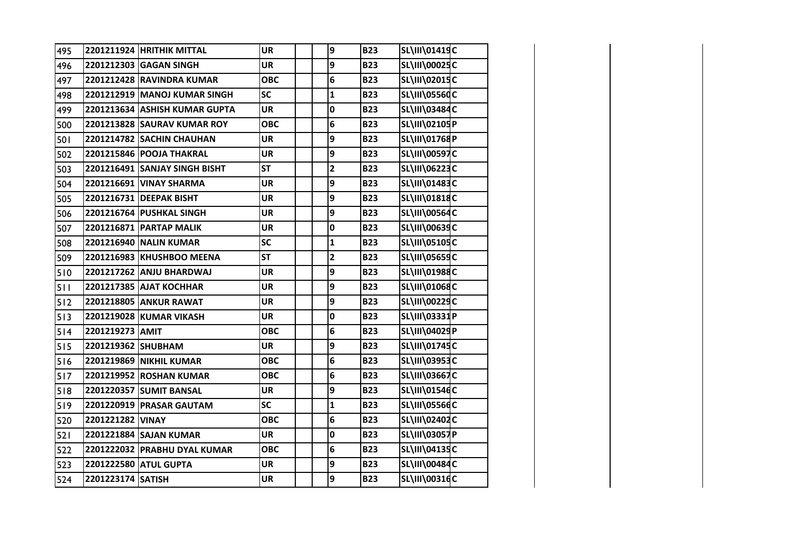| 495 |                    | 2201211924 HRITHIK MITTAL     | <b>UR</b>  | 9                       | <b>B23</b> | SL\III\01419C        |  |
|-----|--------------------|-------------------------------|------------|-------------------------|------------|----------------------|--|
| 496 |                    | 2201212303 GAGAN SINGH        | <b>UR</b>  | 9                       | <b>B23</b> | <b>SL\III\00025C</b> |  |
| 497 |                    | 2201212428 RAVINDRA KUMAR     | <b>OBC</b> | 6                       | <b>B23</b> | SL\III\02015C        |  |
| 498 |                    | 2201212919 MANOJ KUMAR SINGH  | <b>SC</b>  | $\mathbf{1}$            | <b>B23</b> | <b>SL\III\05560C</b> |  |
| 499 |                    | 2201213634 ASHISH KUMAR GUPTA | <b>UR</b>  | 0                       | <b>B23</b> | SL\III\03484C        |  |
| 500 |                    | 2201213828 SAURAV KUMAR ROY   | <b>OBC</b> | 6                       | <b>B23</b> | SL\III\02105P        |  |
| 501 |                    | 2201214782 SACHIN CHAUHAN     | <b>UR</b>  | 9                       | <b>B23</b> | SL\III\01768P        |  |
| 502 |                    | 2201215846 POOJA THAKRAL      | <b>UR</b>  | 9                       | <b>B23</b> | <b>SL\III\00597C</b> |  |
| 503 |                    | 2201216491 SANJAY SINGH BISHT | <b>ST</b>  | $\overline{\mathbf{c}}$ | <b>B23</b> | SL\III\06223C        |  |
| 504 |                    | 2201216691 VINAY SHARMA       | <b>UR</b>  | 9                       | <b>B23</b> | SL\III\01483C        |  |
| 505 |                    | 2201216731 DEEPAK BISHT       | <b>UR</b>  | 9                       | <b>B23</b> | SL\III\01818C        |  |
| 506 |                    | 2201216764 PUSHKAL SINGH      | <b>UR</b>  | 9                       | <b>B23</b> | <b>SL\III\00564C</b> |  |
| 507 |                    | 2201216871 PARTAP MALIK       | <b>UR</b>  | 0                       | <b>B23</b> | SL\III\00639C        |  |
| 508 |                    | 2201216940 NALIN KUMAR        | <b>SC</b>  | $\mathbf{1}$            | <b>B23</b> | SL\III\05105C        |  |
| 509 |                    | 2201216983 KHUSHBOO MEENA     | <b>ST</b>  | $\overline{\mathbf{c}}$ | <b>B23</b> | <b>SL\III\05659C</b> |  |
| 510 |                    | 2201217262 ANJU BHARDWAJ      | <b>UR</b>  | 9                       | <b>B23</b> | SL\III\01988C        |  |
| 511 |                    | 2201217385 AJAT KOCHHAR       | <b>UR</b>  | 9                       | <b>B23</b> | SL\III\01068C        |  |
| 512 |                    | 2201218805 ANKUR RAWAT        | <b>UR</b>  | 9                       | <b>B23</b> | SL\III\00229C        |  |
| 513 |                    | 2201219028 KUMAR VIKASH       | <b>UR</b>  | 0                       | <b>B23</b> | SL\III\03331P        |  |
| 514 | 2201219273 AMIT    |                               | <b>OBC</b> | 6                       | <b>B23</b> | SL\III\04029P        |  |
| 515 | 2201219362 SHUBHAM |                               | <b>UR</b>  | 9                       | <b>B23</b> | SL\III\01745C        |  |
| 516 |                    | 2201219869 NIKHIL KUMAR       | <b>OBC</b> | 6                       | <b>B23</b> | <b>SL\III\03953C</b> |  |
| 517 |                    | 2201219952 ROSHAN KUMAR       | <b>OBC</b> | 6                       | <b>B23</b> | <b>SL\III\03667C</b> |  |
| 518 |                    | 2201220357 SUMIT BANSAL       | <b>UR</b>  | 9                       | <b>B23</b> | SL\III\01546C        |  |
| 519 |                    | 2201220919 PRASAR GAUTAM      | SC         | $\mathbf{1}$            | <b>B23</b> | <b>SL\III\05566C</b> |  |
| 520 | 2201221282 VINAY   |                               | <b>OBC</b> | 6                       | <b>B23</b> | SL\III\02402C        |  |
| 521 |                    | 2201221884 SAJAN KUMAR        | <b>UR</b>  | 0                       | <b>B23</b> | SL\III\03057P        |  |
| 522 |                    | 2201222032 PRABHU DYAL KUMAR  | <b>OBC</b> | 6                       | <b>B23</b> | SL\III\04135C        |  |
| 523 |                    | 2201222580 ATUL GUPTA         | <b>UR</b>  | 9                       | <b>B23</b> | SL\III\00484C        |  |
| 524 | 2201223174 SATISH  |                               | <b>UR</b>  | 9                       | <b>B23</b> | SL\III\00316C        |  |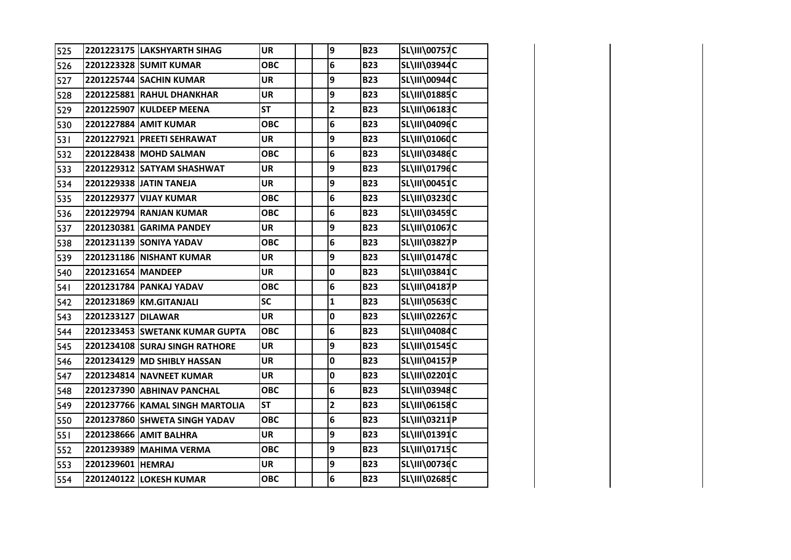| 525 |                    | 2201223175 LAKSHYARTH SIHAG     | <b>UR</b>  | 9                       | <b>B23</b> | <b>SL\III\00757C</b> |  |
|-----|--------------------|---------------------------------|------------|-------------------------|------------|----------------------|--|
| 526 |                    | 2201223328 SUMIT KUMAR          | <b>OBC</b> | $\bf 6$                 | <b>B23</b> | SL\III\03944C        |  |
| 527 |                    | 2201225744 SACHIN KUMAR         | <b>UR</b>  | 9                       | <b>B23</b> | SL\III\00944C        |  |
| 528 |                    | 2201225881 RAHUL DHANKHAR       | <b>UR</b>  | 9                       | <b>B23</b> | SL\III\01885C        |  |
| 529 |                    | 2201225907 KULDEEP MEENA        | <b>ST</b>  | $\overline{2}$          | <b>B23</b> | <b>SL\III\06183C</b> |  |
| 530 |                    | 2201227884 AMIT KUMAR           | <b>OBC</b> | 6                       | <b>B23</b> | <b>SL\III\04096C</b> |  |
| 531 |                    | 2201227921 PREETI SEHRAWAT      | <b>UR</b>  | 9                       | <b>B23</b> | SL\III\01060C        |  |
| 532 |                    | 2201228438 MOHD SALMAN          | <b>OBC</b> | 6                       | <b>B23</b> | SL\III\03486C        |  |
| 533 |                    | 2201229312 SATYAM SHASHWAT      | <b>UR</b>  | 9                       | <b>B23</b> | SL\III\01796C        |  |
| 534 |                    | 2201229338 JATIN TANEJA         | <b>UR</b>  | 9                       | <b>B23</b> | SL\III\00451C        |  |
| 535 |                    | 2201229377 VIJAY KUMAR          | <b>OBC</b> | 6                       | <b>B23</b> | SL\III\03230C        |  |
| 536 |                    | 2201229794 RANJAN KUMAR         | <b>OBC</b> | 6                       | <b>B23</b> | SL\III\03459C        |  |
| 537 |                    | 2201230381 GARIMA PANDEY        | <b>UR</b>  | 9                       | <b>B23</b> | SL\III\01067C        |  |
| 538 |                    | 2201231139 SONIYA YADAV         | <b>OBC</b> | 6                       | <b>B23</b> | <b>SL\III\03827P</b> |  |
| 539 |                    | 2201231186 NISHANT KUMAR        | <b>UR</b>  | 9                       | <b>B23</b> | SL\III\01478C        |  |
| 540 | 2201231654 MANDEEP |                                 | <b>UR</b>  | 0                       | <b>B23</b> | <b>SL\III\03841C</b> |  |
| 541 |                    | 2201231784 PANKAJ YADAV         | <b>OBC</b> | 6                       | <b>B23</b> | SL\III\04187P        |  |
| 542 |                    | 2201231869 KM.GITANJALI         | SC         | $\mathbf{1}$            | <b>B23</b> | <b>SL\III\05639C</b> |  |
| 543 | 2201233127 DILAWAR |                                 | <b>UR</b>  | 0                       | <b>B23</b> | <b>SL\III\02267C</b> |  |
| 544 |                    | 2201233453 SWETANK KUMAR GUPTA  | <b>OBC</b> | 6                       | <b>B23</b> | <b>SL\III\04084C</b> |  |
| 545 |                    | 2201234108 SURAJ SINGH RATHORE  | <b>UR</b>  | 9                       | <b>B23</b> | SL\III\01545C        |  |
| 546 |                    | 2201234129 MD SHIBLY HASSAN     | <b>UR</b>  | 0                       | <b>B23</b> | SL\III\04157P        |  |
| 547 |                    | 2201234814 NAVNEET KUMAR        | <b>UR</b>  | 0                       | <b>B23</b> | SL\III\02201C        |  |
| 548 |                    | 2201237390 ABHINAV PANCHAL      | <b>OBC</b> | 6                       | <b>B23</b> | SL\III\03948C        |  |
| 549 |                    | 2201237766 KAMAL SINGH MARTOLIA | <b>ST</b>  | $\overline{\mathbf{2}}$ | <b>B23</b> | SL\III\06158C        |  |
| 550 |                    | 2201237860 SHWETA SINGH YADAV   | <b>OBC</b> | 6                       | <b>B23</b> | SL\III\03211P        |  |
| 551 |                    | 2201238666 AMIT BALHRA          | <b>UR</b>  | 9                       | <b>B23</b> | SL\III\01391C        |  |
| 552 |                    | 2201239389 MAHIMA VERMA         | <b>OBC</b> | 9                       | <b>B23</b> | SL\III\01715C        |  |
| 553 | 2201239601 HEMRAJ  |                                 | <b>UR</b>  | 9                       | <b>B23</b> | SL\III\00736C        |  |
| 554 |                    | 2201240122 LOKESH KUMAR         | <b>OBC</b> | $6\phantom{1}$          | <b>B23</b> | <b>SL\III\02685C</b> |  |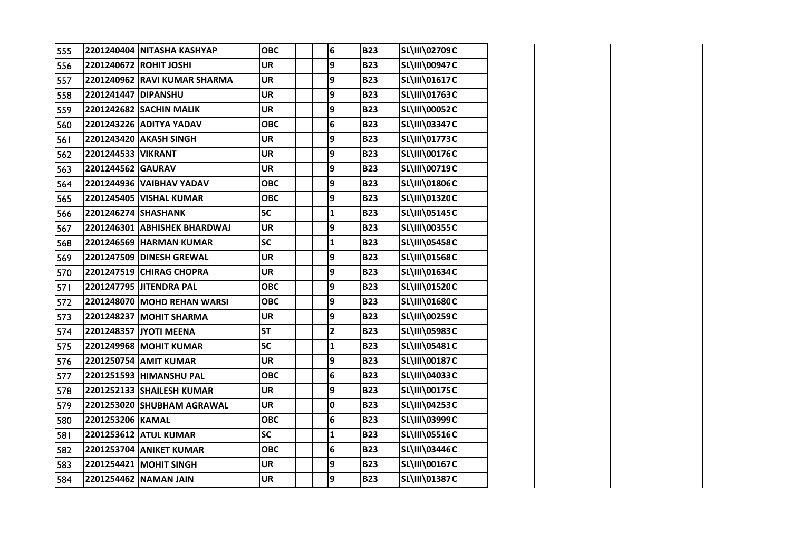| 555        |                     | 2201240404 NITASHA KASHYAP   | <b>OBC</b> | 6                       | <b>B23</b> | SL\III\02709C        |  |
|------------|---------------------|------------------------------|------------|-------------------------|------------|----------------------|--|
| 556        |                     | 2201240672 ROHIT JOSHI       | <b>UR</b>  | 9                       | <b>B23</b> | SL\III\00947C        |  |
| 557        |                     | 2201240962 RAVI KUMAR SHARMA | <b>UR</b>  | 9                       | <b>B23</b> | SL\III\01617C        |  |
| 558        | 2201241447 DIPANSHU |                              | <b>UR</b>  | 9                       | <b>B23</b> | SL\III\01763C        |  |
| 559        |                     | 2201242682 SACHIN MALIK      | UR         | 9                       | <b>B23</b> | SL\III\00052C        |  |
| 560        |                     | 2201243226 ADITYA YADAV      | <b>OBC</b> | 6                       | <b>B23</b> | SL\III\03347C        |  |
| 561        |                     | 2201243420 AKASH SINGH       | <b>UR</b>  | 9                       | <b>B23</b> | SL\III\01773C        |  |
| 562        | 2201244533 VIKRANT  |                              | <b>UR</b>  | 9                       | <b>B23</b> | SL\III\00176C        |  |
| 563        | 2201244562 GAURAV   |                              | <b>UR</b>  | 9                       | <b>B23</b> | <b>SL\III\00719C</b> |  |
| 564        |                     | 2201244936 VAIBHAV YADAV     | <b>OBC</b> | 9                       | <b>B23</b> | SL\III\01806C        |  |
| 565        |                     | 2201245405 VISHAL KUMAR      | <b>OBC</b> | 9                       | <b>B23</b> | SL\III\01320C        |  |
| 566        | 2201246274 SHASHANK |                              | <b>SC</b>  | $\mathbf{1}$            | <b>B23</b> | SL\III\05145C        |  |
| 567        |                     | 2201246301 ABHISHEK BHARDWAJ | <b>UR</b>  | 9                       | <b>B23</b> | SL\III\00355C        |  |
| 568        |                     | 2201246569 HARMAN KUMAR      | <b>SC</b>  | $\mathbf{1}$            | <b>B23</b> | SL\III\05458C        |  |
| 569        |                     | 2201247509 DINESH GREWAL     | UR         | 9                       | <b>B23</b> | SL\III\01568C        |  |
| 570        |                     | 2201247519 CHIRAG CHOPRA     | <b>UR</b>  | 9                       | <b>B23</b> | SL\III\01634C        |  |
| <b>571</b> |                     | 2201247795 JITENDRA PAL      | <b>OBC</b> | 9                       | <b>B23</b> | SL\III\01520C        |  |
| 572        |                     | 2201248070 MOHD REHAN WARSI  | <b>OBC</b> | 9                       | <b>B23</b> | SL\III\01680C        |  |
| 573        |                     | 2201248237 MOHIT SHARMA      | <b>UR</b>  | 9                       | <b>B23</b> | SL\III\00259C        |  |
| 574        |                     | 2201248357 JYOTI MEENA       | <b>ST</b>  | $\overline{\mathbf{2}}$ | <b>B23</b> | SL\III\05983C        |  |
| 575        |                     | 2201249968 MOHIT KUMAR       | SC         | $\mathbf{1}$            | <b>B23</b> | SL\III\05481C        |  |
| 576        |                     | 2201250754 AMIT KUMAR        | <b>UR</b>  | 9                       | <b>B23</b> | SL\III\00187C        |  |
| 577        |                     | 2201251593 HIMANSHU PAL      | <b>OBC</b> | 6                       | <b>B23</b> | SL\III\04033C        |  |
| 578        |                     | 2201252133 SHAILESH KUMAR    | <b>UR</b>  | 9                       | <b>B23</b> | SL\III\00175C        |  |
| 579        |                     | 2201253020 SHUBHAM AGRAWAL   | <b>UR</b>  | 0                       | <b>B23</b> | SL\III\04253C        |  |
| 580        | 2201253206 KAMAL    |                              | <b>OBC</b> | 6                       | <b>B23</b> | SL\III\03999C        |  |
| 581        |                     | 2201253612 ATUL KUMAR        | <b>SC</b>  | $\mathbf{1}$            | <b>B23</b> | SL\III\05516C        |  |
| 582        |                     | 2201253704 ANIKET KUMAR      | <b>OBC</b> | 6                       | <b>B23</b> | SL\III\03446C        |  |
| 583        |                     | 2201254421 MOHIT SINGH       | <b>UR</b>  | 9                       | <b>B23</b> | SL\III\00167C        |  |
| 584        |                     | 2201254462 NAMAN JAIN        | <b>UR</b>  | 9                       | <b>B23</b> | <b>SL\III\01387C</b> |  |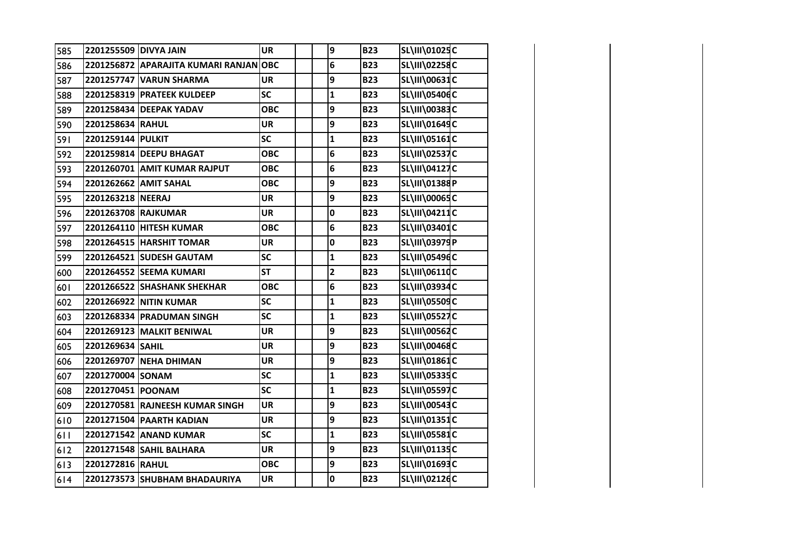| 585 | 2201255509 DIVYA JAIN |                                       | <b>UR</b>  | 9                       | <b>B23</b> | SL\III\01025C        |  |
|-----|-----------------------|---------------------------------------|------------|-------------------------|------------|----------------------|--|
| 586 |                       | 2201256872 APARAJITA KUMARI RANJANOBC |            | 6                       | <b>B23</b> | SL\III\02258C        |  |
| 587 |                       | 2201257747 VARUN SHARMA               | <b>UR</b>  | 9                       | <b>B23</b> | <b>SL\III\00631C</b> |  |
| 588 |                       | 2201258319 PRATEEK KULDEEP            | <b>SC</b>  | $\mathbf{1}$            | <b>B23</b> | <b>SL\III\05406C</b> |  |
| 589 |                       | 2201258434 DEEPAK YADAV               | <b>OBC</b> | 9                       | <b>B23</b> | SL\III\00383C        |  |
| 590 | 2201258634 RAHUL      |                                       | <b>UR</b>  | 9                       | <b>B23</b> | SL\III\01649C        |  |
| 591 | 2201259144 PULKIT     |                                       | SC         | $\mathbf{1}$            | <b>B23</b> | SL\III\05161C        |  |
| 592 |                       | 2201259814 DEEPU BHAGAT               | <b>OBC</b> | 6                       | <b>B23</b> | <b>SL\III\02537C</b> |  |
| 593 |                       | 2201260701 AMIT KUMAR RAJPUT          | <b>OBC</b> | 6                       | <b>B23</b> | SL\III\04127C        |  |
| 594 |                       | 2201262662 AMIT SAHAL                 | <b>OBC</b> | 9                       | <b>B23</b> | SL\III\01388P        |  |
| 595 | 2201263218 NEERAJ     |                                       | <b>UR</b>  | 9                       | <b>B23</b> | <b>SL\III\00065C</b> |  |
| 596 | 2201263708 RAJKUMAR   |                                       | <b>UR</b>  | 0                       | <b>B23</b> | SL\III\04211C        |  |
| 597 |                       | 2201264110 HITESH KUMAR               | <b>OBC</b> | 6                       | <b>B23</b> | SL\III\03401C        |  |
| 598 |                       | 2201264515 HARSHIT TOMAR              | <b>UR</b>  | 0                       | <b>B23</b> | SL\III\03979P        |  |
| 599 |                       | 2201264521 SUDESH GAUTAM              | SC         | $\mathbf{1}$            | <b>B23</b> | SL\III\05496C        |  |
| 600 |                       | 2201264552 SEEMA KUMARI               | <b>ST</b>  | $\overline{\mathbf{2}}$ | <b>B23</b> | SL\III\06110C        |  |
| 601 |                       | 2201266522 SHASHANK SHEKHAR           | <b>OBC</b> | 6                       | <b>B23</b> | SL\III\03934C        |  |
| 602 |                       | 2201266922 NITIN KUMAR                | SC         | $\mathbf{1}$            | <b>B23</b> | <b>SL\III\05509C</b> |  |
| 603 |                       | 2201268334 PRADUMAN SINGH             | SC         | $\mathbf{1}$            | <b>B23</b> | <b>SL\III\05527C</b> |  |
| 604 |                       | 2201269123 MALKIT BENIWAL             | <b>UR</b>  | 9                       | <b>B23</b> | <b>SL\III\00562C</b> |  |
| 605 | 2201269634 SAHIL      |                                       | <b>UR</b>  | 9                       | <b>B23</b> | SL\III\00468C        |  |
| 606 |                       | 2201269707 NEHA DHIMAN                | <b>UR</b>  | 9                       | <b>B23</b> | SL\III\01861C        |  |
| 607 | 2201270004 SONAM      |                                       | SC         | $\mathbf{1}$            | <b>B23</b> | SL\III\05335C        |  |
| 608 | 2201270451 POONAM     |                                       | SC         | $\mathbf{1}$            | <b>B23</b> | <b>SL\III\05597C</b> |  |
| 609 |                       | 2201270581 RAJNEESH KUMAR SINGH       | <b>UR</b>  | 9                       | <b>B23</b> | <b>SL\III\00543C</b> |  |
| 610 |                       | 2201271504 PAARTH KADIAN              | <b>UR</b>  | 9                       | <b>B23</b> | SL\III\01351C        |  |
| 611 |                       | 2201271542 ANAND KUMAR                | <b>SC</b>  | $\mathbf{1}$            | <b>B23</b> | <b>SL\III\05581C</b> |  |
| 612 |                       | 2201271548 SAHIL BALHARA              | <b>UR</b>  | 9                       | <b>B23</b> | SL\III\01135C        |  |
| 613 | 2201272816 RAHUL      |                                       | <b>OBC</b> | 9                       | <b>B23</b> | SL\III\01693C        |  |
| 614 |                       | 2201273573 SHUBHAM BHADAURIYA         | <b>UR</b>  | 0                       | <b>B23</b> | SL\III\02126C        |  |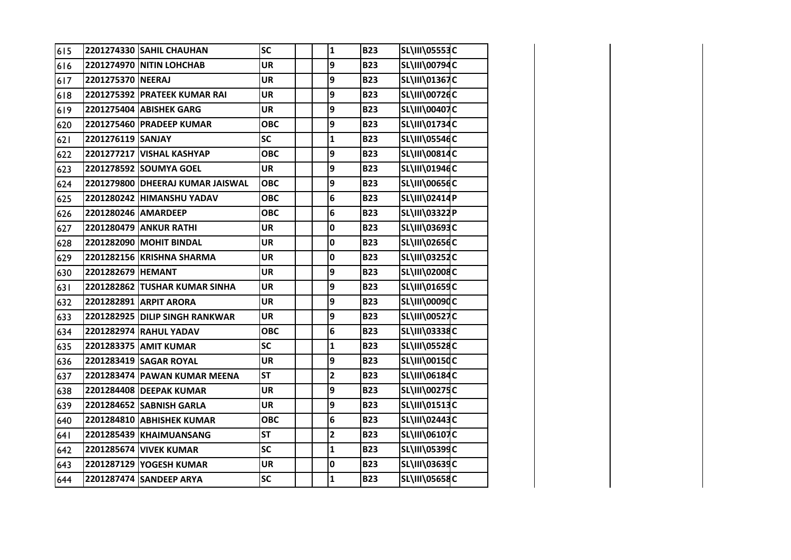| 615 |                     | 2201274330 SAHIL CHAUHAN         | SC         | $\mathbf{1}$            | <b>B23</b> | <b>SL\III\05553C</b> |  |
|-----|---------------------|----------------------------------|------------|-------------------------|------------|----------------------|--|
| 616 |                     | 2201274970 NITIN LOHCHAB         | <b>UR</b>  | 9                       | <b>B23</b> | SL\III\00794C        |  |
| 617 | 2201275370 NEERAJ   |                                  | <b>UR</b>  | 9                       | <b>B23</b> | SL\III\01367C        |  |
| 618 |                     | 2201275392 PRATEEK KUMAR RAI     | <b>UR</b>  | 9                       | <b>B23</b> | SL\III\00726C        |  |
| 619 |                     | 2201275404 ABISHEK GARG          | UR         | 9                       | <b>B23</b> | SL\III\00407C        |  |
| 620 |                     | 2201275460 PRADEEP KUMAR         | <b>OBC</b> | 9                       | <b>B23</b> | SL\III\01734C        |  |
| 621 | 2201276119 SANJAY   |                                  | SC         | $\mathbf{1}$            | <b>B23</b> | <b>SL\III\05546C</b> |  |
| 622 |                     | 2201277217 VISHAL KASHYAP        | <b>OBC</b> | 9                       | <b>B23</b> | <b>SL\III\00814C</b> |  |
| 623 |                     | 2201278592 SOUMYA GOEL           | <b>UR</b>  | 9                       | <b>B23</b> | SL\III\01946C        |  |
| 624 |                     | 2201279800 DHEERAJ KUMAR JAISWAL | <b>OBC</b> | 9                       | <b>B23</b> | <b>SL\III\00656C</b> |  |
| 625 |                     | 2201280242 HIMANSHU YADAV        | <b>OBC</b> | 6                       | <b>B23</b> | SL\III\02414P        |  |
| 626 | 2201280246 AMARDEEP |                                  | <b>OBC</b> | 6                       | <b>B23</b> | SL\III\03322P        |  |
| 627 |                     | 2201280479 ANKUR RATHI           | <b>UR</b>  | 0                       | <b>B23</b> | SL\III\03693C        |  |
| 628 |                     | 2201282090 MOHIT BINDAL          | <b>UR</b>  | 0                       | <b>B23</b> | SL\III\02656C        |  |
| 629 |                     | 2201282156 KRISHNA SHARMA        | UR         | 0                       | <b>B23</b> | SL\III\03252C        |  |
| 630 | 2201282679 HEMANT   |                                  | <b>UR</b>  | 9                       | <b>B23</b> | SL\III\02008C        |  |
| 631 |                     | 2201282862 TUSHAR KUMAR SINHA    | <b>UR</b>  | 9                       | <b>B23</b> | SL\III\01659C        |  |
| 632 |                     | 2201282891 ARPIT ARORA           | <b>UR</b>  | 9                       | <b>B23</b> | SL\III\00090C        |  |
| 633 |                     | 2201282925 DILIP SINGH RANKWAR   | UR         | 9                       | <b>B23</b> | <b>SL\III\00527C</b> |  |
| 634 |                     | 2201282974 RAHUL YADAV           | <b>OBC</b> | 6                       | <b>B23</b> | <b>SL\III\03338C</b> |  |
| 635 |                     | 2201283375 AMIT KUMAR            | SC         | $\mathbf{1}$            | <b>B23</b> | <b>SL\III\05528C</b> |  |
| 636 |                     | 2201283419 SAGAR ROYAL           | <b>UR</b>  | 9                       | <b>B23</b> | <b>SL\III\00150C</b> |  |
| 637 |                     | 2201283474 PAWAN KUMAR MEENA     | <b>ST</b>  | $\overline{\mathbf{2}}$ | <b>B23</b> | SL\III\06184C        |  |
| 638 |                     | 2201284408 DEEPAK KUMAR          | <b>UR</b>  | 9                       | <b>B23</b> | <b>SL\III\00275C</b> |  |
| 639 |                     | 2201284652 SABNISH GARLA         | <b>UR</b>  | 9                       | <b>B23</b> | SL\III\01513C        |  |
| 640 |                     | 2201284810 ABHISHEK KUMAR        | <b>OBC</b> | 6                       | <b>B23</b> | SL\III\02443C        |  |
| 641 |                     | 2201285439 KHAIMUANSANG          | <b>ST</b>  | $\overline{\mathbf{c}}$ | <b>B23</b> | SL\III\06107C        |  |
| 642 |                     | 2201285674 VIVEK KUMAR           | <b>SC</b>  | $\mathbf{1}$            | <b>B23</b> | SL\III\05399C        |  |
| 643 |                     | 2201287129 YOGESH KUMAR          | <b>UR</b>  | 0                       | <b>B23</b> | SL\III\03639C        |  |
| 644 |                     | 2201287474 SANDEEP ARYA          | SC         | $\mathbf 1$             | <b>B23</b> | <b>SL\III\05658C</b> |  |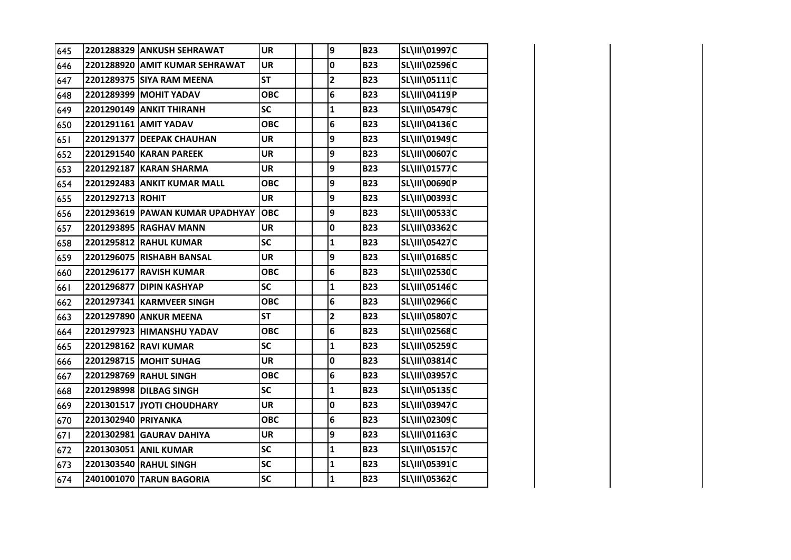| 645 |                     | 2201288329 ANKUSH SEHRAWAT      | <b>UR</b>  | 9            | <b>B23</b> | SL\III\01997C        |  |
|-----|---------------------|---------------------------------|------------|--------------|------------|----------------------|--|
| 646 |                     | 2201288920 AMIT KUMAR SEHRAWAT  | <b>UR</b>  | 0            | <b>B23</b> | SL\III\02596C        |  |
| 647 |                     | 2201289375 SIYA RAM MEENA       | <b>ST</b>  | $\mathbf{2}$ | <b>B23</b> | SL\III\05111C        |  |
| 648 |                     | 2201289399 MOHIT YADAV          | <b>OBC</b> | 6            | <b>B23</b> | SL\III\04119P        |  |
| 649 |                     | 2201290149 ANKIT THIRANH        | SC         | $\mathbf{1}$ | <b>B23</b> | SL\III\05479C        |  |
| 650 |                     | 2201291161 AMIT YADAV           | <b>OBC</b> | 6            | <b>B23</b> | SL\III\04136C        |  |
| 651 |                     | 2201291377 DEEPAK CHAUHAN       | <b>UR</b>  | 9            | <b>B23</b> | SL\III\01949C        |  |
| 652 |                     | 2201291540 KARAN PAREEK         | <b>UR</b>  | 9            | <b>B23</b> | <b>SL\III\00607C</b> |  |
| 653 |                     | 2201292187 KARAN SHARMA         | <b>UR</b>  | 9            | <b>B23</b> | SL\III\01577C        |  |
| 654 |                     | 2201292483 ANKIT KUMAR MALL     | <b>OBC</b> | 9            | <b>B23</b> | SL\III\00690P        |  |
| 655 | 2201292713 ROHIT    |                                 | <b>UR</b>  | 9            | <b>B23</b> | SL\III\00393C        |  |
| 656 |                     | 2201293619 PAWAN KUMAR UPADHYAY | <b>OBC</b> | 9            | <b>B23</b> | <b>SL\III\00533C</b> |  |
| 657 |                     | 2201293895 RAGHAV MANN          | <b>UR</b>  | 0            | <b>B23</b> | SL\III\03362C        |  |
| 658 |                     | 2201295812 RAHUL KUMAR          | <b>SC</b>  | $\mathbf{1}$ | <b>B23</b> | <b>SL\III\05427C</b> |  |
| 659 |                     | 2201296075 RISHABH BANSAL       | <b>UR</b>  | 9            | <b>B23</b> | SL\III\01685C        |  |
| 660 |                     | 2201296177 RAVISH KUMAR         | <b>OBC</b> | 6            | <b>B23</b> | SL\III\02530C        |  |
| 661 |                     | 2201296877 DIPIN KASHYAP        | <b>SC</b>  | $\mathbf{1}$ | <b>B23</b> | SL\III\05146C        |  |
| 662 |                     | 2201297341 KARMVEER SINGH       | <b>OBC</b> | 6            | <b>B23</b> | SL\III\02966C        |  |
| 663 |                     | 2201297890 ANKUR MEENA          | <b>ST</b>  | $\mathbf{2}$ | <b>B23</b> | <b>SL\III\05807C</b> |  |
| 664 |                     | 2201297923 HIMANSHU YADAV       | <b>OBC</b> | 6            | <b>B23</b> | <b>SL\III\02568C</b> |  |
| 665 |                     | 2201298162 RAVI KUMAR           | <b>SC</b>  | $\mathbf{1}$ | <b>B23</b> | <b>SL\III\05259C</b> |  |
| 666 |                     | 2201298715 MOHIT SUHAG          | <b>UR</b>  | 0            | <b>B23</b> | SL\III\03814C        |  |
| 667 |                     | 2201298769 RAHUL SINGH          | <b>OBC</b> | 6            | <b>B23</b> | SL\III\03957C        |  |
| 668 |                     | 2201298998 DILBAG SINGH         | SC         | $\mathbf{1}$ | <b>B23</b> | SL\III\05135C        |  |
| 669 |                     | 2201301517 JYOTI CHOUDHARY      | <b>UR</b>  | 0            | <b>B23</b> | SL\III\03947C        |  |
| 670 | 2201302940 PRIYANKA |                                 | <b>OBC</b> | 6            | <b>B23</b> | SL\III\02309C        |  |
| 671 |                     | 2201302981 GAURAV DAHIYA        | <b>UR</b>  | 9            | <b>B23</b> | SL\III\01163C        |  |
| 672 |                     | 2201303051 ANIL KUMAR           | SC         | $\mathbf{1}$ | <b>B23</b> | <b>SL\III\05157C</b> |  |
| 673 |                     | 2201303540 RAHUL SINGH          | SC         | $\mathbf 1$  | <b>B23</b> | SL\III\05391C        |  |
| 674 |                     | 2401001070 TARUN BAGORIA        | <b>SC</b>  | $\mathbf{1}$ | <b>B23</b> | SL\III\05362C        |  |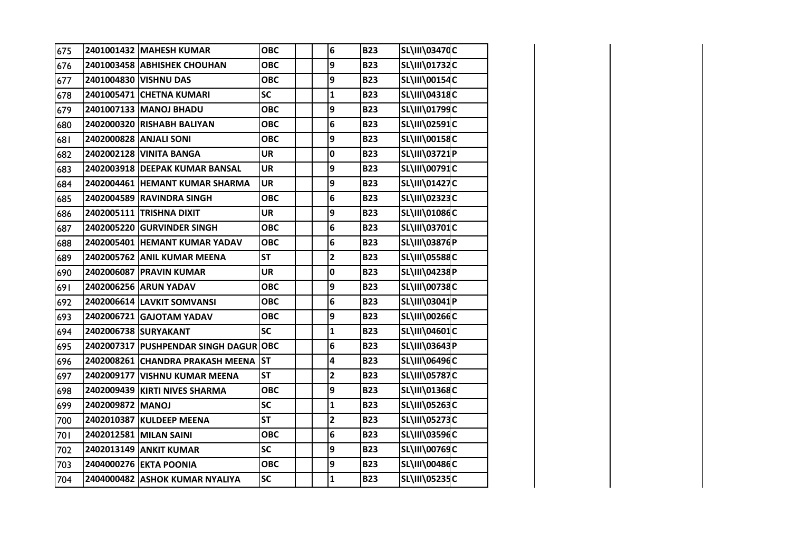| 675 |                  | 2401001432 MAHESH KUMAR               | <b>OBC</b> | 6                       | <b>B23</b> | <b>SL\III\03470C</b> |  |
|-----|------------------|---------------------------------------|------------|-------------------------|------------|----------------------|--|
| 676 |                  | 2401003458 ABHISHEK CHOUHAN           | <b>OBC</b> | 9                       | <b>B23</b> | SL\III\01732C        |  |
| 677 |                  | 2401004830 VISHNU DAS                 | <b>OBC</b> | 9                       | <b>B23</b> | SL\III\00154C        |  |
| 678 |                  | 2401005471 CHETNA KUMARI              | <b>SC</b>  | $\mathbf{1}$            | <b>B23</b> | SL\III\04318C        |  |
| 679 |                  | 2401007133 MANOJ BHADU                | <b>OBC</b> | 9                       | <b>B23</b> | SL\III\01799C        |  |
| 680 |                  | 2402000320 RISHABH BALIYAN            | <b>OBC</b> | 6                       | <b>B23</b> | SL\III\02591C        |  |
| 681 |                  | 2402000828 ANJALI SONI                | <b>OBC</b> | 9                       | <b>B23</b> | SL\III\00158C        |  |
| 682 |                  | 2402002128 VINITA BANGA               | <b>UR</b>  | 0                       | <b>B23</b> | SL\III\03721P        |  |
| 683 |                  | 2402003918 DEEPAK KUMAR BANSAL        | <b>UR</b>  | 9                       | <b>B23</b> | SL\III\00791C        |  |
| 684 |                  | 2402004461 HEMANT KUMAR SHARMA        | <b>UR</b>  | 9                       | <b>B23</b> | SL\III\01427C        |  |
| 685 |                  | 2402004589 RAVINDRA SINGH             | <b>OBC</b> | 6                       | <b>B23</b> | SL\III\02323C        |  |
| 686 |                  | 2402005111 TRISHNA DIXIT              | <b>UR</b>  | 9                       | <b>B23</b> | SL\III\01086C        |  |
| 687 |                  | 2402005220 GURVINDER SINGH            | <b>OBC</b> | 6                       | <b>B23</b> | SL\III\03701C        |  |
| 688 |                  | 2402005401 HEMANT KUMAR YADAV         | <b>OBC</b> | 6                       | <b>B23</b> | <b>SL\III\03876P</b> |  |
| 689 |                  | 2402005762 ANIL KUMAR MEENA           | <b>ST</b>  | $\overline{\mathbf{2}}$ | <b>B23</b> | <b>SL\III\05588C</b> |  |
| 690 |                  | 2402006087 PRAVIN KUMAR               | <b>UR</b>  | 0                       | <b>B23</b> | SL\III\04238P        |  |
| 691 |                  | 2402006256 ARUN YADAV                 | <b>OBC</b> | 9                       | <b>B23</b> | SL\III\00738C        |  |
| 692 |                  | 2402006614 LAVKIT SOMVANSI            | <b>OBC</b> | 6                       | <b>B23</b> | SL\III\03041P        |  |
| 693 |                  | 2402006721 GAJOTAM YADAV              | <b>OBC</b> | 9                       | <b>B23</b> | SL\III\00266C        |  |
| 694 |                  | 2402006738 SURYAKANT                  | <b>SC</b>  | $\mathbf{1}$            | <b>B23</b> | SL\III\04601C        |  |
| 695 |                  | 2402007317 PUSHPENDAR SINGH DAGUR OBC |            | 6                       | <b>B23</b> | SL\III\03643P        |  |
| 696 |                  | 2402008261 CHANDRA PRAKASH MEENA ST   |            | 4                       | <b>B23</b> | SL\III\06496C        |  |
| 697 |                  | 2402009177 VISHNU KUMAR MEENA         | <b>ST</b>  | $\overline{\mathbf{2}}$ | <b>B23</b> | <b>SL\III\05787C</b> |  |
| 698 |                  | 2402009439 KIRTI NIVES SHARMA         | <b>OBC</b> | 9                       | <b>B23</b> | SL\III\01368C        |  |
| 699 | 2402009872 MANOJ |                                       | SC         | $\mathbf 1$             | <b>B23</b> | <b>SL\III\05263C</b> |  |
| 700 |                  | 2402010387 KULDEEP MEENA              | <b>ST</b>  | $\overline{\mathbf{2}}$ | <b>B23</b> | <b>SL\III\05273C</b> |  |
| 701 |                  | 2402012581 MILAN SAINI                | <b>OBC</b> | 6                       | <b>B23</b> | SL\III\03596C        |  |
| 702 |                  | 2402013149 ANKIT KUMAR                | SC         | 9                       | <b>B23</b> | SL\III\00769C        |  |
| 703 |                  | 2404000276 EKTA POONIA                | <b>OBC</b> | 9                       | <b>B23</b> | <b>SL\III\00486C</b> |  |
| 704 |                  | 2404000482 ASHOK KUMAR NYALIYA        | <b>SC</b>  | $\mathbf{1}$            | <b>B23</b> | <b>SL\III\05235C</b> |  |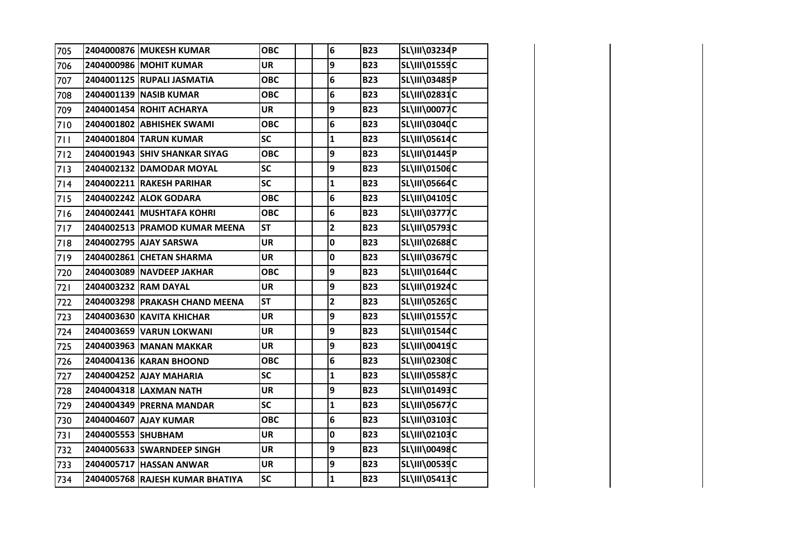| 705 |                    | 2404000876 MUKESH KUMAR         | <b>OBC</b> | $6\phantom{1}$          | <b>B23</b> | SL\III\03234P        |  |
|-----|--------------------|---------------------------------|------------|-------------------------|------------|----------------------|--|
| 706 |                    | 2404000986 MOHIT KUMAR          | <b>UR</b>  | 9                       | <b>B23</b> | SL\III\01559C        |  |
| 707 |                    | 2404001125 RUPALI JASMATIA      | <b>OBC</b> | 6                       | <b>B23</b> | SL\III\03485P        |  |
| 708 |                    | 2404001139 NASIB KUMAR          | <b>OBC</b> | 6                       | <b>B23</b> | SL\III\02831C        |  |
| 709 |                    | 2404001454 ROHIT ACHARYA        | <b>UR</b>  | 9                       | <b>B23</b> | <b>SL\III\00077C</b> |  |
| 710 |                    | 2404001802 ABHISHEK SWAMI       | <b>OBC</b> | 6                       | <b>B23</b> | <b>SL\III\03040C</b> |  |
| 711 |                    | 2404001804 TARUN KUMAR          | <b>SC</b>  | $\mathbf{1}$            | <b>B23</b> | SL\III\05614C        |  |
| 712 |                    | 2404001943 SHIV SHANKAR SIYAG   | <b>OBC</b> | 9                       | <b>B23</b> | SL\III\01445P        |  |
| 713 |                    | 2404002132 DAMODAR MOYAL        | <b>SC</b>  | 9                       | <b>B23</b> | SL\III\01506C        |  |
| 714 |                    | 2404002211 RAKESH PARIHAR       | <b>SC</b>  | $\mathbf{1}$            | <b>B23</b> | <b>SL\III\05664C</b> |  |
| 715 |                    | 2404002242 ALOK GODARA          | <b>OBC</b> | 6                       | <b>B23</b> | SL\III\04105C        |  |
| 716 |                    | 2404002441 MUSHTAFA KOHRI       | <b>OBC</b> | 6                       | <b>B23</b> | <b>SL\III\03777C</b> |  |
| 717 |                    | 2404002513 PRAMOD KUMAR MEENA   | <b>ST</b>  | $\overline{\mathbf{2}}$ | <b>B23</b> | SL\III\05793C        |  |
| 718 |                    | 2404002795 AJAY SARSWA          | <b>UR</b>  | 0                       | <b>B23</b> | <b>SL\III\02688C</b> |  |
| 719 |                    | 2404002861 CHETAN SHARMA        | <b>UR</b>  | $\mathbf 0$             | <b>B23</b> | <b>SL\III\03679C</b> |  |
| 720 |                    | 2404003089 NAVDEEP JAKHAR       | <b>OBC</b> | 9                       | <b>B23</b> | SL\III\01644C        |  |
| 721 |                    | 2404003232 RAM DAYAL            | <b>UR</b>  | 9                       | <b>B23</b> | SL\III\01924C        |  |
| 722 |                    | 2404003298 PRAKASH CHAND MEENA  | <b>ST</b>  | $\overline{\mathbf{2}}$ | <b>B23</b> | <b>SL\III\05265C</b> |  |
| 723 |                    | 2404003630 KAVITA KHICHAR       | <b>UR</b>  | 9                       | <b>B23</b> | SL\III\01557C        |  |
| 724 |                    | 2404003659 VARUN LOKWANI        | <b>UR</b>  | 9                       | <b>B23</b> | SL\III\01544C        |  |
| 725 |                    | 2404003963 MANAN MAKKAR         | <b>UR</b>  | 9                       | <b>B23</b> | SL\III\00419C        |  |
| 726 |                    | 2404004136 KARAN BHOOND         | <b>OBC</b> | 6                       | <b>B23</b> | SL\III\02308C        |  |
| 727 |                    | 2404004252 AJAY MAHARIA         | <b>SC</b>  | $\mathbf{1}$            | <b>B23</b> | <b>SL\III\05587C</b> |  |
| 728 |                    | 2404004318 LAXMAN NATH          | <b>UR</b>  | 9                       | <b>B23</b> | SL\III\01493C        |  |
| 729 |                    | 2404004349 PRERNA MANDAR        | SC         | $\mathbf{1}$            | <b>B23</b> | <b>SL\III\05677C</b> |  |
| 730 |                    | 2404004607 AJAY KUMAR           | <b>OBC</b> | 6                       | <b>B23</b> | SL\III\03103C        |  |
| 731 | 2404005553 SHUBHAM |                                 | <b>UR</b>  | $\mathbf 0$             | <b>B23</b> | SL\III\02103C        |  |
| 732 |                    | 2404005633 SWARNDEEP SINGH      | <b>UR</b>  | 9                       | <b>B23</b> | SL\III\00498C        |  |
| 733 |                    | 2404005717 HASSAN ANWAR         | <b>UR</b>  | 9                       | <b>B23</b> | SL\III\00539C        |  |
| 734 |                    | 2404005768 RAJESH KUMAR BHATIYA | SC         | $\mathbf{1}$            | <b>B23</b> | SL\III\05413C        |  |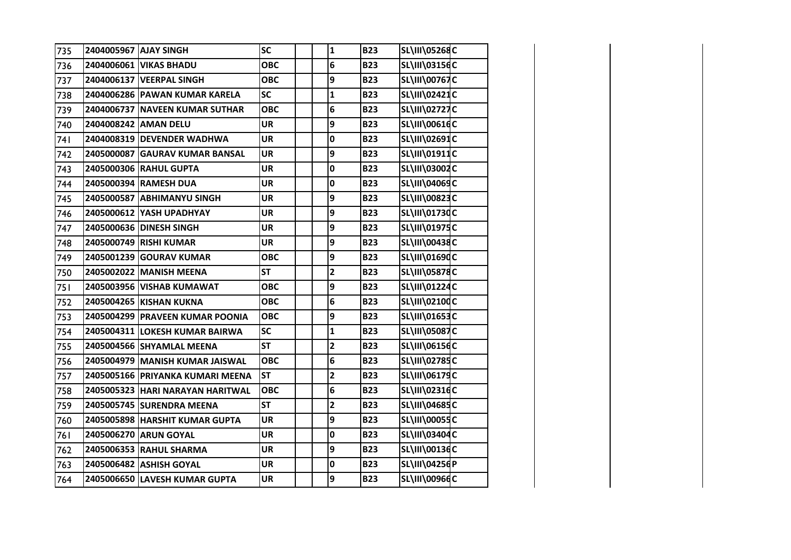| 735 | 2404005967 AJAY SINGH |                                  | <b>SC</b>  | $\mathbf{1}$            | <b>B23</b> | <b>SL\III\05268C</b> |  |
|-----|-----------------------|----------------------------------|------------|-------------------------|------------|----------------------|--|
| 736 |                       | 2404006061 VIKAS BHADU           | <b>OBC</b> | 6                       | <b>B23</b> | SL\III\03156C        |  |
| 737 |                       | 2404006137 VEERPAL SINGH         | <b>OBC</b> | 9                       | <b>B23</b> | <b>SL\III\00767C</b> |  |
| 738 |                       | 2404006286 PAWAN KUMAR KARELA    | <b>SC</b>  | $\mathbf{1}$            | <b>B23</b> | <b>SL\III\02421C</b> |  |
| 739 |                       | 2404006737 NAVEEN KUMAR SUTHAR   | <b>OBC</b> | 6                       | <b>B23</b> | <b>SL\III\02727C</b> |  |
| 740 |                       | 2404008242 AMAN DELU             | <b>UR</b>  | 9                       | <b>B23</b> | SL\III\00616C        |  |
| 741 |                       | 2404008319 DEVENDER WADHWA       | <b>UR</b>  | 0                       | <b>B23</b> | SL\III\02691C        |  |
| 742 |                       | 2405000087 GAURAV KUMAR BANSAL   | <b>UR</b>  | 9                       | <b>B23</b> | SL\III\01911C        |  |
| 743 |                       | 2405000306 RAHUL GUPTA           | <b>UR</b>  | 0                       | <b>B23</b> | SL\III\03002C        |  |
| 744 |                       | 2405000394 RAMESH DUA            | <b>UR</b>  | 0                       | <b>B23</b> | SL\III\04069C        |  |
| 745 |                       | 2405000587 ABHIMANYU SINGH       | <b>UR</b>  | 9                       | <b>B23</b> | SL\III\00823C        |  |
| 746 |                       | 2405000612 YASH UPADHYAY         | <b>UR</b>  | 9                       | <b>B23</b> | SL\III\01730C        |  |
| 747 |                       | 2405000636 DINESH SINGH          | <b>UR</b>  | 9                       | <b>B23</b> | SL\III\01975C        |  |
| 748 |                       | 2405000749 RISHI KUMAR           | <b>UR</b>  | 9                       | <b>B23</b> | SL\III\00438C        |  |
| 749 |                       | 2405001239 GOURAV KUMAR          | <b>OBC</b> | 9                       | <b>B23</b> | SL\III\01690C        |  |
| 750 |                       | 2405002022 MANISH MEENA          | <b>ST</b>  | $\overline{\mathbf{c}}$ | <b>B23</b> | <b>SL\III\05878C</b> |  |
| 751 |                       | 2405003956 VISHAB KUMAWAT        | <b>OBC</b> | 9                       | <b>B23</b> | SL\III\01224C        |  |
| 752 |                       | 2405004265 KISHAN KUKNA          | <b>OBC</b> | 6                       | <b>B23</b> | SL\III\02100C        |  |
| 753 |                       | 2405004299 PRAVEEN KUMAR POONIA  | <b>OBC</b> | 9                       | <b>B23</b> | SL\III\01653C        |  |
| 754 |                       | 2405004311 LOKESH KUMAR BAIRWA   | <b>SC</b>  | $\mathbf{1}$            | <b>B23</b> | <b>SL\III\05087C</b> |  |
| 755 |                       | 2405004566 SHYAMLAL MEENA        | <b>ST</b>  | $\overline{\mathbf{2}}$ | <b>B23</b> | SL\III\06156C        |  |
| 756 |                       | 2405004979 MANISH KUMAR JAISWAL  | <b>OBC</b> | 6                       | <b>B23</b> | SL\III\02785C        |  |
| 757 |                       | 2405005166 PRIYANKA KUMARI MEENA | <b>ST</b>  | $\overline{\mathbf{2}}$ | <b>B23</b> | SL\III\06179C        |  |
| 758 |                       | 2405005323 HARI NARAYAN HARITWAL | <b>OBC</b> | 6                       | <b>B23</b> | SL\III\02316C        |  |
| 759 |                       | 2405005745 SURENDRA MEENA        | <b>ST</b>  | 2                       | <b>B23</b> | SL\III\04685C        |  |
| 760 |                       | 2405005898 HARSHIT KUMAR GUPTA   | <b>UR</b>  | 9                       | <b>B23</b> | SL\III\00055C        |  |
| 761 |                       | 2405006270 ARUN GOYAL            | <b>UR</b>  | 0                       | <b>B23</b> | SL\III\03404C        |  |
| 762 |                       | 2405006353 RAHUL SHARMA          | <b>UR</b>  | 9                       | <b>B23</b> | SL\III\00136C        |  |
| 763 |                       | 2405006482 ASHISH GOYAL          | <b>UR</b>  | 0                       | <b>B23</b> | SL\III\04256P        |  |
| 764 |                       | 2405006650 LAVESH KUMAR GUPTA    | <b>UR</b>  | 9                       | <b>B23</b> | SL\III\00966C        |  |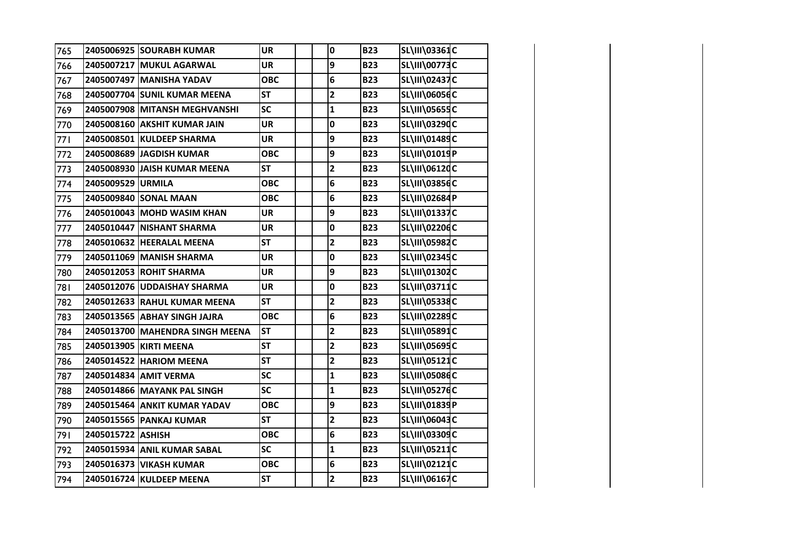| 765 |                   | 2405006925 SOURABH KUMAR        | <b>UR</b>  | 0                       | <b>B23</b> | SL\III\03361C        |  |
|-----|-------------------|---------------------------------|------------|-------------------------|------------|----------------------|--|
| 766 |                   | 2405007217 MUKUL AGARWAL        | <b>UR</b>  | 9                       | <b>B23</b> | <b>SL\III\00773C</b> |  |
| 767 |                   | 2405007497 MANISHA YADAV        | <b>OBC</b> | 6                       | <b>B23</b> | <b>SL\III\02437C</b> |  |
| 768 |                   | 2405007704 SUNIL KUMAR MEENA    | <b>ST</b>  | $\overline{2}$          | <b>B23</b> | <b>SL\III\06056C</b> |  |
| 769 |                   | 2405007908 MITANSH MEGHVANSHI   | SC         | $\mathbf{1}$            | <b>B23</b> | <b>SL\III\05655C</b> |  |
| 770 |                   | 2405008160 AKSHIT KUMAR JAIN    | <b>UR</b>  | 0                       | <b>B23</b> | <b>SL\III\03290C</b> |  |
| 771 |                   | 2405008501 KULDEEP SHARMA       | <b>UR</b>  | 9                       | <b>B23</b> | SL\III\01489C        |  |
| 772 |                   | 2405008689 JAGDISH KUMAR        | <b>OBC</b> | 9                       | <b>B23</b> | SL\III\01019P        |  |
| 773 |                   | 2405008930 JAISH KUMAR MEENA    | <b>ST</b>  | $\overline{\mathbf{c}}$ | <b>B23</b> | SL\III\06120C        |  |
| 774 | 2405009529 URMILA |                                 | <b>OBC</b> | 6                       | <b>B23</b> | SL\III\03856C        |  |
| 775 |                   | 2405009840 SONAL MAAN           | <b>OBC</b> | 6                       | <b>B23</b> | SL\III\02684P        |  |
| 776 |                   | 2405010043 MOHD WASIM KHAN      | <b>UR</b>  | 9                       | <b>B23</b> | SL\III\01337C        |  |
| 777 |                   | 2405010447 NISHANT SHARMA       | <b>UR</b>  | 0                       | <b>B23</b> | SL\III\02206C        |  |
| 778 |                   | 2405010632 HEERALAL MEENA       | <b>ST</b>  | $\overline{2}$          | <b>B23</b> | <b>SL\III\05982C</b> |  |
| 779 |                   | 2405011069 MANISH SHARMA        | <b>UR</b>  | $\mathbf 0$             | <b>B23</b> | <b>SL\III\02345C</b> |  |
| 780 |                   | 2405012053 ROHIT SHARMA         | <b>UR</b>  | 9                       | <b>B23</b> | SL\III\01302C        |  |
| 781 |                   | 2405012076 UDDAISHAY SHARMA     | <b>UR</b>  | $\mathbf 0$             | <b>B23</b> | SL\III\03711C        |  |
| 782 |                   | 2405012633 RAHUL KUMAR MEENA    | <b>ST</b>  | $\overline{\mathbf{2}}$ | <b>B23</b> | <b>SL\III\05338C</b> |  |
| 783 |                   | 2405013565 ABHAY SINGH JAJRA    | <b>OBC</b> | 6                       | <b>B23</b> | SL\III\02289C        |  |
| 784 |                   | 2405013700 MAHENDRA SINGH MEENA | <b>ST</b>  | $\overline{\mathbf{2}}$ | <b>B23</b> | SL\III\05891C        |  |
| 785 |                   | 2405013905 KIRTI MEENA          | <b>ST</b>  | $\overline{\mathbf{2}}$ | <b>B23</b> | SL\III\05695C        |  |
| 786 |                   | 2405014522 HARIOM MEENA         | <b>ST</b>  | $\mathbf{2}$            | <b>B23</b> | SL\III\05121C        |  |
| 787 |                   | 2405014834 AMIT VERMA           | SC         | $\mathbf{1}$            | <b>B23</b> | <b>SL\III\05086C</b> |  |
| 788 |                   | 2405014866 MAYANK PAL SINGH     | SC         | $\mathbf{1}$            | <b>B23</b> | <b>SL\III\05276C</b> |  |
| 789 |                   | 2405015464 ANKIT KUMAR YADAV    | <b>OBC</b> | 9                       | <b>B23</b> | SL\III\01839P        |  |
| 790 |                   | 2405015565 PANKAJ KUMAR         | <b>ST</b>  | $\overline{2}$          | <b>B23</b> | <b>SL\III\06043C</b> |  |
| 791 | 2405015722 ASHISH |                                 | <b>OBC</b> | 6                       | <b>B23</b> | SL\III\03309C        |  |
| 792 |                   | 2405015934 ANIL KUMAR SABAL     | <b>SC</b>  | $\mathbf{1}$            | <b>B23</b> | SL\III\05211C        |  |
| 793 |                   | 2405016373 VIKASH KUMAR         | <b>OBC</b> | 6                       | <b>B23</b> | SL\III\02121C        |  |
| 794 |                   | 2405016724 KULDEEP MEENA        | <b>ST</b>  | $\overline{\mathbf{2}}$ | <b>B23</b> | <b>SL\III\06167C</b> |  |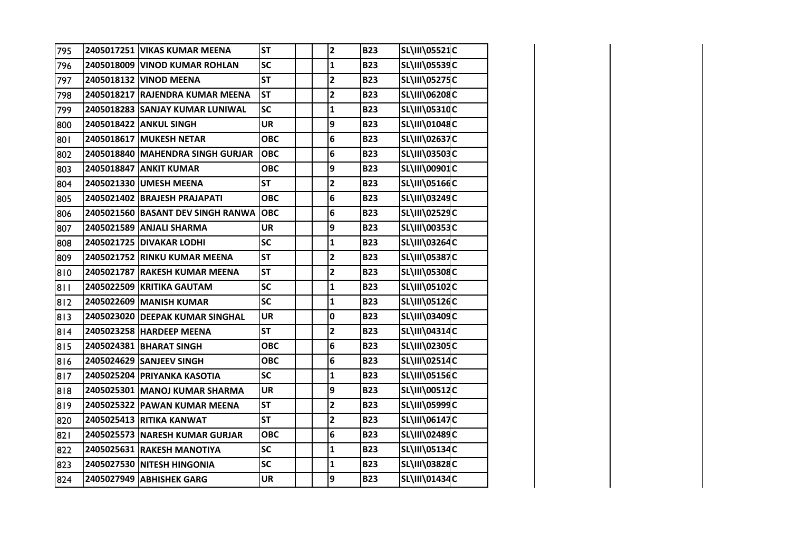| 795 | 2405017251 VIKAS KUMAR MEENA      | <b>ST</b>  | $\mathbf{2}$            | <b>B23</b> | SL\III\05521C        |  |
|-----|-----------------------------------|------------|-------------------------|------------|----------------------|--|
| 796 | 2405018009 VINOD KUMAR ROHLAN     | SC         | $\mathbf{1}$            | <b>B23</b> | SL\III\05539C        |  |
| 797 | 2405018132 VINOD MEENA            | <b>ST</b>  | $\overline{\mathbf{c}}$ | <b>B23</b> | SL\III\05275C        |  |
| 798 | 2405018217 RAJENDRA KUMAR MEENA   | <b>ST</b>  | $\overline{\mathbf{2}}$ | <b>B23</b> | SL\III\06208C        |  |
| 799 | 2405018283 SANJAY KUMAR LUNIWAL   | <b>SC</b>  | $\mathbf{1}$            | <b>B23</b> | SL\III\05310C        |  |
| 800 | 2405018422 ANKUL SINGH            | <b>UR</b>  | 9                       | <b>B23</b> | SL\III\01048C        |  |
| 801 | 2405018617 MUKESH NETAR           | <b>OBC</b> | 6                       | <b>B23</b> | SL\III\02637C        |  |
| 802 | 2405018840 MAHENDRA SINGH GURJAR  | <b>OBC</b> | 6                       | <b>B23</b> | <b>SL\III\03503C</b> |  |
| 803 | 2405018847 ANKIT KUMAR            | <b>OBC</b> | 9                       | <b>B23</b> | <b>SL\III\00901C</b> |  |
| 804 | 2405021330 UMESH MEENA            | <b>ST</b>  | $\overline{\mathbf{2}}$ | <b>B23</b> | <b>SL\III\05166C</b> |  |
| 805 | 2405021402 BRAJESH PRAJAPATI      | <b>OBC</b> | 6                       | <b>B23</b> | SL\III\03249C        |  |
| 806 | 2405021560 BASANT DEV SINGH RANWA | <b>OBC</b> | 6                       | <b>B23</b> | SL\III\02529C        |  |
| 807 | 2405021589 ANJALI SHARMA          | <b>UR</b>  | 9                       | <b>B23</b> | SL\III\00353C        |  |
| 808 | 2405021725 DIVAKAR LODHI          | <b>SC</b>  | $\mathbf{1}$            | <b>B23</b> | SL\III\03264C        |  |
| 809 | 2405021752 RINKU KUMAR MEENA      | <b>ST</b>  | $\mathbf{2}$            | <b>B23</b> | <b>SL\III\05387C</b> |  |
| 810 | 2405021787 RAKESH KUMAR MEENA     | <b>ST</b>  | $\overline{\mathbf{c}}$ | <b>B23</b> | SL\III\05308C        |  |
| 811 | 2405022509 KRITIKA GAUTAM         | <b>SC</b>  | $\mathbf{1}$            | <b>B23</b> | SL\III\05102C        |  |
| 812 | 2405022609 MANISH KUMAR           | <b>SC</b>  | $\mathbf{1}$            | <b>B23</b> | SL\III\05126C        |  |
| 813 | 2405023020 DEEPAK KUMAR SINGHAL   | <b>UR</b>  | 0                       | <b>B23</b> | SL\III\03409C        |  |
| 814 | 2405023258 HARDEEP MEENA          | <b>ST</b>  | $\overline{\mathbf{c}}$ | <b>B23</b> | SL\III\04314C        |  |
| 815 | 2405024381 BHARAT SINGH           | <b>OBC</b> | 6                       | <b>B23</b> | SL\III\02305C        |  |
| 816 | 2405024629 SANJEEV SINGH          | <b>OBC</b> | 6                       | <b>B23</b> | SL\III\02514C        |  |
| 817 | 2405025204 PRIYANKA KASOTIA       | <b>SC</b>  | $\mathbf{1}$            | <b>B23</b> | <b>SL\III\0515dC</b> |  |
| 818 | 2405025301 MANOJ KUMAR SHARMA     | <b>UR</b>  | 9                       | <b>B23</b> | <b>SL\III\00512C</b> |  |
| 819 | 2405025322 PAWAN KUMAR MEENA      | <b>ST</b>  | $\overline{\mathbf{2}}$ | <b>B23</b> | <b>SL\III\05999C</b> |  |
| 820 | 2405025413 RITIKA KANWAT          | <b>ST</b>  | $\overline{\mathbf{2}}$ | <b>B23</b> | <b>SL\III\06147C</b> |  |
| 821 | 2405025573 NARESH KUMAR GURJAR    | <b>OBC</b> | 6                       | <b>B23</b> | SL\III\02489C        |  |
| 822 | 2405025631 RAKESH MANOTIYA        | <b>SC</b>  | $\mathbf{1}$            | <b>B23</b> | SL\III\05134C        |  |
| 823 | 2405027530 NITESH HINGONIA        | SC         | $\mathbf{1}$            | <b>B23</b> | SL\III\03828C        |  |
| 824 | 2405027949 ABHISHEK GARG          | <b>UR</b>  | 9                       | <b>B23</b> | SL\III\01434C        |  |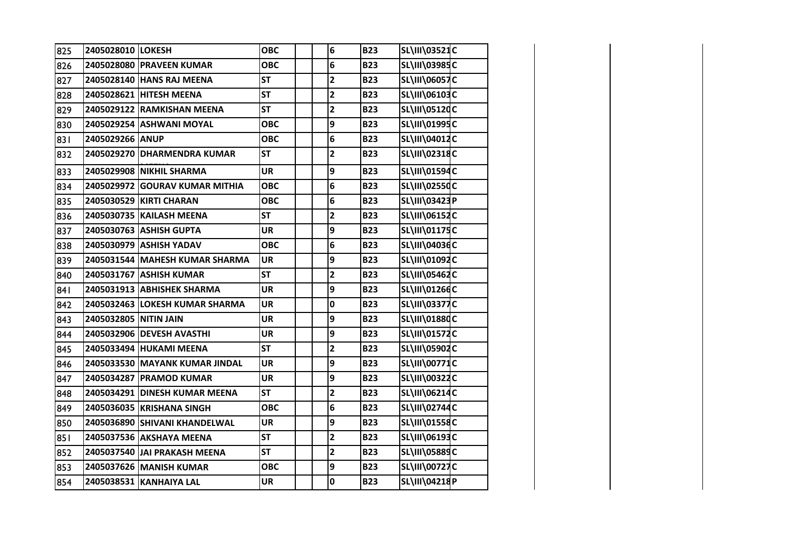| 825 | 2405028010 LOKESH     |                                | <b>OBC</b> | 6                       | <b>B23</b> | SL\III\03521C        |  |
|-----|-----------------------|--------------------------------|------------|-------------------------|------------|----------------------|--|
| 826 |                       | 2405028080 PRAVEEN KUMAR       | <b>OBC</b> | 6                       | <b>B23</b> | SL\III\03985C        |  |
| 827 |                       | 2405028140 HANS RAJ MEENA      | <b>ST</b>  | $\overline{2}$          | <b>B23</b> | <b>SL\III\06057C</b> |  |
| 828 |                       | 2405028621 HITESH MEENA        | <b>ST</b>  | $\overline{\mathbf{c}}$ | <b>B23</b> | SL\III\06103C        |  |
| 829 |                       | 2405029122 RAMKISHAN MEENA     | <b>ST</b>  | $\overline{\mathbf{c}}$ | <b>B23</b> | SL\III\05120C        |  |
| 830 |                       | 2405029254 ASHWANI MOYAL       | <b>OBC</b> | 9                       | <b>B23</b> | SL\III\01995C        |  |
| 831 | 2405029266 ANUP       |                                | <b>OBC</b> | 6                       | <b>B23</b> | SL\III\04012C        |  |
| 832 | 2405029270            | <b>DHARMENDRA KUMAR</b>        | <b>ST</b>  | $\overline{\mathbf{c}}$ | <b>B23</b> | SL\III\02318C        |  |
| 833 |                       | 2405029908 NIKHIL SHARMA       | <b>UR</b>  | 9                       | <b>B23</b> | SL\III\01594C        |  |
| 834 |                       | 2405029972 GOURAV KUMAR MITHIA | <b>OBC</b> | 6                       | <b>B23</b> | SL\III\02550C        |  |
| 835 |                       | 2405030529 KIRTI CHARAN        | <b>OBC</b> | 6                       | <b>B23</b> | SL\III\03423P        |  |
| 836 |                       | 2405030735 KAILASH MEENA       | <b>ST</b>  | $\overline{\mathbf{c}}$ | <b>B23</b> | SL\III\06152C        |  |
| 837 |                       | 2405030763 ASHISH GUPTA        | UR         | 9                       | <b>B23</b> | SL\III\01175C        |  |
| 838 |                       | 2405030979 ASHISH YADAV        | <b>OBC</b> | 6                       | <b>B23</b> | SL\III\04036C        |  |
| 839 |                       | 2405031544 MAHESH KUMAR SHARMA | UR         | 9                       | <b>B23</b> | SL\III\01092C        |  |
| 840 |                       | 2405031767 ASHISH KUMAR        | <b>ST</b>  | $\overline{\mathbf{2}}$ | <b>B23</b> | SL\III\05462C        |  |
| 841 |                       | 2405031913 ABHISHEK SHARMA     | <b>UR</b>  | 9                       | <b>B23</b> | SL\III\01266C        |  |
| 842 |                       | 2405032463 LOKESH KUMAR SHARMA | <b>UR</b>  | 0                       | <b>B23</b> | <b>SL\III\03377C</b> |  |
| 843 | 2405032805 NITIN JAIN |                                | UR         | 9                       | <b>B23</b> | <b>SL\III\01880C</b> |  |
| 844 |                       | 2405032906 DEVESH AVASTHI      | <b>UR</b>  | 9                       | <b>B23</b> | SL\III\01572C        |  |
| 845 |                       | 2405033494 HUKAMI MEENA        | <b>ST</b>  | $\mathbf{2}$            | <b>B23</b> | SL\III\05902C        |  |
| 846 |                       | 2405033530 MAYANK KUMAR JINDAL | <b>UR</b>  | 9                       | <b>B23</b> | SL\III\00771C        |  |
| 847 |                       | 2405034287 PRAMOD KUMAR        | <b>UR</b>  | 9                       | <b>B23</b> | SL\III\00322C        |  |
| 848 |                       | 2405034291 DINESH KUMAR MEENA  | <b>ST</b>  | $\mathbf{2}$            | <b>B23</b> | SL\III\06214C        |  |
| 849 |                       | 2405036035 KRISHANA SINGH      | <b>OBC</b> | 6                       | <b>B23</b> | SL\III\02744C        |  |
| 850 |                       | 2405036890 SHIVANI KHANDELWAL  | <b>UR</b>  | 9                       | <b>B23</b> | SL\III\01558C        |  |
| 851 |                       | 2405037536 AKSHAYA MEENA       | <b>ST</b>  | $\overline{2}$          | <b>B23</b> | SL\III\06193C        |  |
| 852 |                       | 2405037540 JAI PRAKASH MEENA   | <b>ST</b>  | $\overline{2}$          | <b>B23</b> | <b>SL\III\05889C</b> |  |
| 853 |                       | 2405037626 MANISH KUMAR        | <b>OBC</b> | 9                       | <b>B23</b> | <b>SL\III\00727C</b> |  |
| 854 |                       | 2405038531 KANHAIYA LAL        | <b>UR</b>  | 0                       | <b>B23</b> | SL\III\04218P        |  |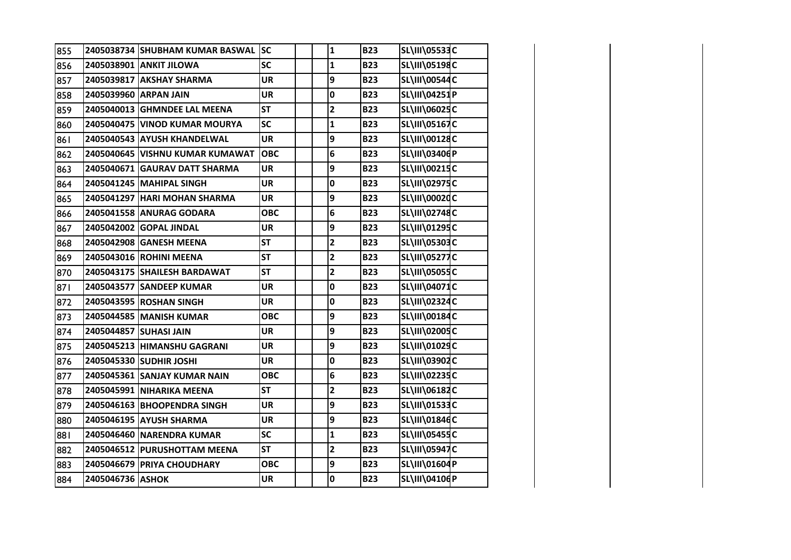| 855 |                  | 2405038734 SHUBHAM KUMAR BASWAL SC |            | $\mathbf 1$             | <b>B23</b> | SL\III\05533C        |  |
|-----|------------------|------------------------------------|------------|-------------------------|------------|----------------------|--|
| 856 |                  | 2405038901 ANKIT JILOWA            | <b>SC</b>  | $\mathbf{1}$            | <b>B23</b> | SL\III\05198C        |  |
| 857 |                  | 2405039817 AKSHAY SHARMA           | <b>UR</b>  | 9                       | <b>B23</b> | SL\III\00544C        |  |
| 858 |                  | 2405039960 ARPAN JAIN              | <b>UR</b>  | $\mathbf 0$             | <b>B23</b> | SL\III\04251P        |  |
| 859 |                  | 2405040013 GHMNDEE LAL MEENA       | <b>ST</b>  | $\overline{2}$          | <b>B23</b> | SL\III\06025C        |  |
| 860 |                  | 2405040475 VINOD KUMAR MOURYA      | <b>SC</b>  | $\mathbf{1}$            | <b>B23</b> | SL\III\05167C        |  |
| 861 |                  | 2405040543 AYUSH KHANDELWAL        | <b>UR</b>  | 9                       | <b>B23</b> | SL\III\00128C        |  |
| 862 |                  | 2405040645 VISHNU KUMAR KUMAWAT    | <b>OBC</b> | 6                       | <b>B23</b> | SL\III\03406P        |  |
| 863 |                  | 2405040671 GAURAV DATT SHARMA      | <b>UR</b>  | 9                       | <b>B23</b> | SL\III\00215C        |  |
| 864 |                  | 2405041245 MAHIPAL SINGH           | <b>UR</b>  | 0                       | <b>B23</b> | SL\III\02975C        |  |
| 865 |                  | 2405041297 HARI MOHAN SHARMA       | <b>UR</b>  | 9                       | <b>B23</b> | SL\III\00020C        |  |
| 866 |                  | 2405041558 ANURAG GODARA           | <b>OBC</b> | 6                       | <b>B23</b> | <b>SL\III\02748C</b> |  |
| 867 |                  | 2405042002 GOPAL JINDAL            | <b>UR</b>  | 9                       | <b>B23</b> | SL\III\01295C        |  |
| 868 |                  | 2405042908 GANESH MEENA            | <b>ST</b>  | $\overline{\mathbf{2}}$ | <b>B23</b> | SL\III\05303C        |  |
| 869 |                  | 2405043016 ROHINI MEENA            | <b>ST</b>  | $\overline{\mathbf{2}}$ | <b>B23</b> | <b>SL\III\05277C</b> |  |
| 870 |                  | 2405043175 SHAILESH BARDAWAT       | <b>ST</b>  | $\overline{\mathbf{2}}$ | <b>B23</b> | <b>SL\III\05055C</b> |  |
| 871 |                  | 2405043577 SANDEEP KUMAR           | <b>UR</b>  | 0                       | <b>B23</b> | SL\III\04071C        |  |
| 872 |                  | 2405043595 ROSHAN SINGH            | <b>UR</b>  | 0                       | <b>B23</b> | SL\III\02324C        |  |
| 873 |                  | 2405044585 MANISH KUMAR            | <b>OBC</b> | 9                       | <b>B23</b> | SL\III\00184C        |  |
| 874 |                  | 2405044857 SUHASI JAIN             | <b>UR</b>  | 9                       | <b>B23</b> | SL\III\02005C        |  |
| 875 |                  | 2405045213 HIMANSHU GAGRANI        | <b>UR</b>  | 9                       | <b>B23</b> | SL\III\01029C        |  |
| 876 |                  | 2405045330 SUDHIR JOSHI            | <b>UR</b>  | 0                       | <b>B23</b> | SL\III\03902C        |  |
| 877 |                  | 2405045361 SANJAY KUMAR NAIN       | <b>OBC</b> | 6                       | <b>B23</b> | <b>SL\III\02235C</b> |  |
| 878 |                  | 2405045991 NIHARIKA MEENA          | <b>ST</b>  | $\overline{\mathbf{2}}$ | <b>B23</b> | SL\III\06182C        |  |
| 879 |                  | 2405046163 BHOOPENDRA SINGH        | <b>UR</b>  | 9                       | <b>B23</b> | SL\III\01533C        |  |
| 880 |                  | 2405046195 AYUSH SHARMA            | <b>UR</b>  | 9                       | <b>B23</b> | SL\III\01846C        |  |
| 881 |                  | 2405046460 NARENDRA KUMAR          | <b>SC</b>  | $\mathbf{1}$            | <b>B23</b> | SL\III\05455C        |  |
| 882 |                  | 2405046512 PURUSHOTTAM MEENA       | <b>ST</b>  | $\overline{\mathbf{2}}$ | <b>B23</b> | SL\III\05947C        |  |
| 883 |                  | 2405046679 PRIYA CHOUDHARY         | <b>OBC</b> | 9                       | <b>B23</b> | SL\III\01604P        |  |
| 884 | 2405046736 ASHOK |                                    | <b>UR</b>  | 0                       | <b>B23</b> | SL\III\04106P        |  |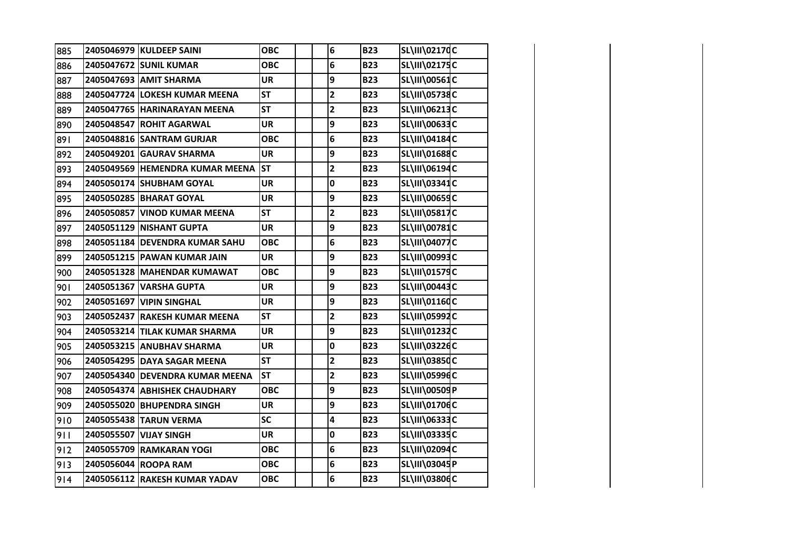| 885 | 2405046979 KULDEEP SAINI        | <b>OBC</b> | 6                       | <b>B23</b> | SL\III\02170C        |  |
|-----|---------------------------------|------------|-------------------------|------------|----------------------|--|
| 886 | 2405047672 SUNIL KUMAR          | <b>OBC</b> | 6                       | <b>B23</b> | SL\III\02175C        |  |
| 887 | 2405047693 AMIT SHARMA          | <b>UR</b>  | 9                       | <b>B23</b> | SL\III\00561C        |  |
| 888 | 2405047724 LOKESH KUMAR MEENA   | <b>ST</b>  | $\overline{\mathbf{2}}$ | <b>B23</b> | <b>SL\III\05738C</b> |  |
| 889 | 2405047765 HARINARAYAN MEENA    | <b>ST</b>  | $\overline{2}$          | <b>B23</b> | SL\III\06213C        |  |
| 890 | 2405048547 ROHIT AGARWAL        | <b>UR</b>  | 9                       | <b>B23</b> | SL\III\00633C        |  |
| 891 | 2405048816 SANTRAM GURJAR       | <b>OBC</b> | 6                       | <b>B23</b> | SL\III\04184C        |  |
| 892 | 2405049201 GAURAV SHARMA        | <b>UR</b>  | 9                       | <b>B23</b> | SL\III\01688C        |  |
| 893 | 2405049569 HEMENDRA KUMAR MEENA | <b>ST</b>  | $\overline{\mathbf{c}}$ | <b>B23</b> | SL\III\06194C        |  |
| 894 | 2405050174 SHUBHAM GOYAL        | <b>UR</b>  | 0                       | <b>B23</b> | SL\III\03341C        |  |
| 895 | 2405050285 BHARAT GOYAL         | <b>UR</b>  | 9                       | <b>B23</b> | <b>SL\III\00659C</b> |  |
| 896 | 2405050857 VINOD KUMAR MEENA    | <b>ST</b>  | $\overline{\mathbf{2}}$ | <b>B23</b> | <b>SL\III\05817C</b> |  |
| 897 | 2405051129 NISHANT GUPTA        | UR         | 9                       | <b>B23</b> | <b>SL\III\00781C</b> |  |
| 898 | 2405051184 DEVENDRA KUMAR SAHU  | <b>OBC</b> | 6                       | <b>B23</b> | <b>SL\III\04077C</b> |  |
| 899 | 2405051215 PAWAN KUMAR JAIN     | <b>UR</b>  | 9                       | <b>B23</b> | SL\III\00993C        |  |
| 900 | 2405051328 MAHENDAR KUMAWAT     | <b>OBC</b> | 9                       | <b>B23</b> | SL\III\01579C        |  |
| 901 | 2405051367 VARSHA GUPTA         | <b>UR</b>  | 9                       | <b>B23</b> | SL\III\00443C        |  |
| 902 | 2405051697 VIPIN SINGHAL        | <b>UR</b>  | 9                       | <b>B23</b> | SL\III\01160C        |  |
| 903 | 2405052437 RAKESH KUMAR MEENA   | <b>ST</b>  | $\overline{\mathbf{c}}$ | <b>B23</b> | SL\III\05992C        |  |
| 904 | 2405053214 TILAK KUMAR SHARMA   | <b>UR</b>  | 9                       | <b>B23</b> | SL\III\01232C        |  |
| 905 | 2405053215 ANUBHAV SHARMA       | <b>UR</b>  | 0                       | <b>B23</b> | SL\III\03226C        |  |
| 906 | 2405054295 DAYA SAGAR MEENA     | <b>ST</b>  | $\mathbf{2}$            | <b>B23</b> | SL\III\03850C        |  |
| 907 | 2405054340 DEVENDRA KUMAR MEENA | <b>ST</b>  | $\overline{\mathbf{c}}$ | <b>B23</b> | <b>SL\III\05996C</b> |  |
| 908 | 2405054374 ABHISHEK CHAUDHARY   | <b>OBC</b> | 9                       | <b>B23</b> | SL\III\00509P        |  |
| 909 | 2405055020 BHUPENDRA SINGH      | UR         | 9                       | <b>B23</b> | SL\III\01706C        |  |
| 910 | 2405055438 TARUN VERMA          | <b>SC</b>  | 4                       | <b>B23</b> | SL\III\06333C        |  |
| 911 | 2405055507 VIJAY SINGH          | <b>UR</b>  | 0                       | <b>B23</b> | SL\III\03335C        |  |
| 912 | 2405055709 RAMKARAN YOGI        | <b>OBC</b> | 6                       | <b>B23</b> | SL\III\02094C        |  |
| 913 | 2405056044 ROOPA RAM            | <b>OBC</b> | 6                       | <b>B23</b> | SL\III\03045P        |  |
| 914 | 2405056112 RAKESH KUMAR YADAV   | <b>OBC</b> | 6                       | <b>B23</b> | SL\III\03806C        |  |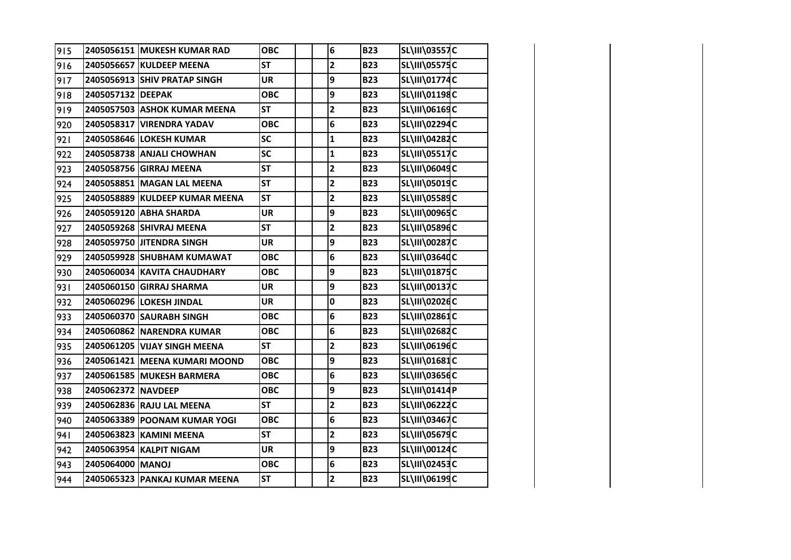| 915 |                    | 2405056151 MUKESH KUMAR RAD    | <b>OBC</b> | 6                       | <b>B23</b> | <b>SL\III\03557C</b> |  |
|-----|--------------------|--------------------------------|------------|-------------------------|------------|----------------------|--|
| 916 |                    | 2405056657 KULDEEP MEENA       | <b>ST</b>  | $\overline{\mathbf{2}}$ | <b>B23</b> | <b>SL\III\05575C</b> |  |
| 917 |                    | 2405056913 SHIV PRATAP SINGH   | <b>UR</b>  | 9                       | <b>B23</b> | SL\III\01774C        |  |
| 918 | 2405057132 DEEPAK  |                                | <b>OBC</b> | 9                       | <b>B23</b> | SL\III\01198C        |  |
| 919 |                    | 2405057503 ASHOK KUMAR MEENA   | <b>ST</b>  | $\overline{\mathbf{2}}$ | <b>B23</b> | SL\III\06169C        |  |
| 920 |                    | 2405058317 VIRENDRA YADAV      | <b>OBC</b> | 6                       | <b>B23</b> | SL\III\02294C        |  |
| 921 |                    | 2405058646 LOKESH KUMAR        | <b>SC</b>  | $\mathbf{1}$            | <b>B23</b> | SL\III\04282C        |  |
| 922 |                    | 2405058738 ANJALI CHOWHAN      | <b>SC</b>  | $\mathbf{1}$            | <b>B23</b> | <b>SL\III\05517C</b> |  |
| 923 |                    | 2405058756 GIRRAJ MEENA        | <b>ST</b>  | $\mathbf{2}$            | <b>B23</b> | SL\III\06049C        |  |
| 924 |                    | 2405058851 MAGAN LAL MEENA     | <b>ST</b>  | $\overline{\mathbf{2}}$ | <b>B23</b> | SL\III\05019C        |  |
| 925 |                    | 2405058889 KULDEEP KUMAR MEENA | <b>ST</b>  | $\overline{\mathbf{c}}$ | <b>B23</b> | <b>SL\III\05589C</b> |  |
| 926 |                    | 2405059120 ABHA SHARDA         | <b>UR</b>  | 9                       | <b>B23</b> | SL\III\00965C        |  |
| 927 |                    | 2405059268 SHIVRAJ MEENA       | <b>ST</b>  | $\overline{\mathbf{2}}$ | <b>B23</b> | SL\III\05896C        |  |
| 928 |                    | 2405059750 JITENDRA SINGH      | <b>UR</b>  | 9                       | <b>B23</b> | <b>SL\III\00287C</b> |  |
| 929 |                    | 2405059928 SHUBHAM KUMAWAT     | <b>OBC</b> | 6                       | <b>B23</b> | SL\III\03640C        |  |
| 930 |                    | 2405060034 KAVITA CHAUDHARY    | <b>OBC</b> | 9                       | <b>B23</b> | SL\III\01875C        |  |
| 931 |                    | 2405060150 GIRRAJ SHARMA       | <b>UR</b>  | 9                       | <b>B23</b> | SL\III\00137C        |  |
| 932 |                    | 2405060296 LOKESH JINDAL       | <b>UR</b>  | 0                       | <b>B23</b> | SL\III\02026C        |  |
| 933 |                    | 2405060370 SAURABH SINGH       | <b>OBC</b> | 6                       | <b>B23</b> | SL\III\02861C        |  |
| 934 |                    | 2405060862 NARENDRA KUMAR      | <b>OBC</b> | 6                       | <b>B23</b> | SL\III\02682C        |  |
| 935 |                    | 2405061205 VIJAY SINGH MEENA   | <b>ST</b>  | $\mathbf{2}$            | <b>B23</b> | SL\III\06196C        |  |
| 936 |                    | 2405061421 MEENA KUMARI MOOND  | <b>OBC</b> | 9                       | <b>B23</b> | SL\III\01681C        |  |
| 937 |                    | 2405061585 MUKESH BARMERA      | <b>OBC</b> | 6                       | <b>B23</b> | SL\III\03656C        |  |
| 938 | 2405062372 NAVDEEP |                                | <b>OBC</b> | 9                       | <b>B23</b> | SL\III\01414P        |  |
| 939 |                    | 2405062836 RAJU LAL MEENA      | <b>ST</b>  | $\mathbf{2}$            | <b>B23</b> | SL\III\06222C        |  |
| 940 |                    | 2405063389 POONAM KUMAR YOGI   | <b>OBC</b> | 6                       | <b>B23</b> | SL\III\03467C        |  |
| 941 |                    | 2405063823 KAMINI MEENA        | <b>ST</b>  | $\overline{\mathbf{2}}$ | <b>B23</b> | SL\III\05679C        |  |
| 942 |                    | 2405063954 KALPIT NIGAM        | <b>UR</b>  | 9                       | <b>B23</b> | SL\III\00124C        |  |
| 943 | 2405064000 MANOJ   |                                | <b>OBC</b> | 6                       | <b>B23</b> | SL\III\02453C        |  |
| 944 |                    | 2405065323 PANKAJ KUMAR MEENA  | <b>ST</b>  | $\mathbf{2}$            | <b>B23</b> | SL\III\06199C        |  |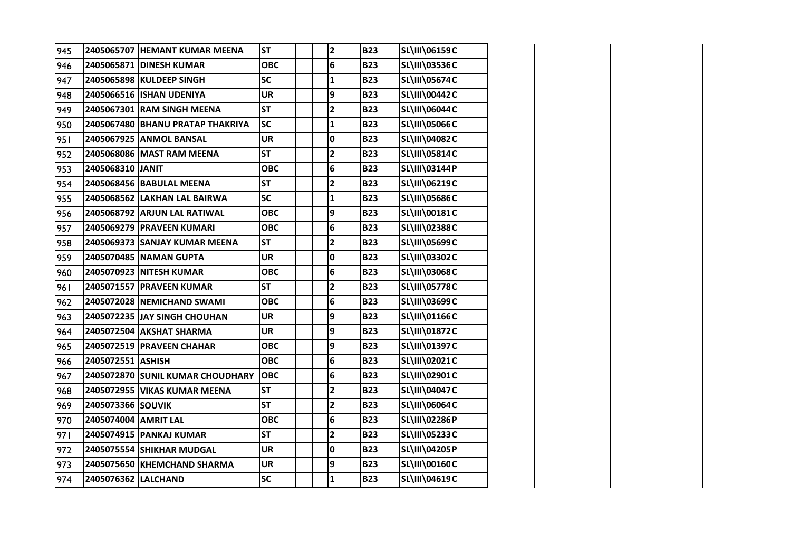| 945 |                      | 2405065707 HEMANT KUMAR MEENA    | <b>ST</b>  | $\overline{\mathbf{c}}$ | <b>B23</b> | SL\III\06159C        |  |
|-----|----------------------|----------------------------------|------------|-------------------------|------------|----------------------|--|
| 946 |                      | 2405065871 DINESH KUMAR          | <b>OBC</b> | 6                       | <b>B23</b> | <b>SL\III\03536C</b> |  |
| 947 |                      | 2405065898 KULDEEP SINGH         | <b>SC</b>  | $\mathbf{1}$            | <b>B23</b> | <b>SL\III\05674C</b> |  |
| 948 |                      | 2405066516 ISHAN UDENIYA         | <b>UR</b>  | 9                       | <b>B23</b> | SL\III\00442C        |  |
| 949 |                      | 2405067301 RAM SINGH MEENA       | <b>ST</b>  | $\overline{\mathbf{c}}$ | <b>B23</b> | SL\III\06044C        |  |
| 950 |                      | 2405067480 BHANU PRATAP THAKRIYA | <b>SC</b>  | $\mathbf{1}$            | <b>B23</b> | <b>SL\III\05066C</b> |  |
| 951 |                      | 2405067925 ANMOL BANSAL          | <b>UR</b>  | 0                       | <b>B23</b> | SL\III\04082C        |  |
| 952 |                      | 2405068086 MAST RAM MEENA        | <b>ST</b>  | $\overline{\mathbf{c}}$ | <b>B23</b> | SL\III\05814C        |  |
| 953 | 2405068310 JANIT     |                                  | <b>OBC</b> | 6                       | <b>B23</b> | SL\III\03144P        |  |
| 954 |                      | 2405068456 BABULAL MEENA         | <b>ST</b>  | $\overline{\mathbf{2}}$ | <b>B23</b> | SL\III\06219C        |  |
| 955 |                      | 2405068562 LAKHAN LAL BAIRWA     | SC         | $\mathbf{1}$            | <b>B23</b> | <b>SL\III\05686C</b> |  |
| 956 |                      | 2405068792 ARJUN LAL RATIWAL     | <b>OBC</b> | 9                       | <b>B23</b> | <b>SL\III\00181C</b> |  |
| 957 |                      | 2405069279 PRAVEEN KUMARI        | <b>OBC</b> | 6                       | <b>B23</b> | SL\III\02388C        |  |
| 958 |                      | 2405069373 SANJAY KUMAR MEENA    | <b>ST</b>  | $\overline{2}$          | <b>B23</b> | <b>SL\III\05699C</b> |  |
| 959 |                      | 2405070485 NAMAN GUPTA           | <b>UR</b>  | 0                       | <b>B23</b> | SL\III\03302C        |  |
| 960 |                      | 2405070923 NITESH KUMAR          | <b>OBC</b> | 6                       | <b>B23</b> | <b>SL\III\03068C</b> |  |
| 961 |                      | 2405071557 PRAVEEN KUMAR         | <b>ST</b>  | $\overline{\mathbf{2}}$ | <b>B23</b> | <b>SL\III\05778C</b> |  |
| 962 |                      | 2405072028 NEMICHAND SWAMI       | <b>OBC</b> | 6                       | <b>B23</b> | SL\III\03699C        |  |
| 963 |                      | 2405072235 JAY SINGH CHOUHAN     | <b>UR</b>  | 9                       | <b>B23</b> | SL\III\01166C        |  |
| 964 |                      | 2405072504 AKSHAT SHARMA         | <b>UR</b>  | 9                       | <b>B23</b> | SL\III\01872C        |  |
| 965 |                      | 2405072519 PRAVEEN CHAHAR        | <b>OBC</b> | 9                       | <b>B23</b> | SL\III\01397C        |  |
| 966 | 2405072551 ASHISH    |                                  | <b>OBC</b> | 6                       | <b>B23</b> | SL\III\02021C        |  |
| 967 |                      | 2405072870 SUNIL KUMAR CHOUDHARY | <b>OBC</b> | 6                       | <b>B23</b> | SL\III\02901C        |  |
| 968 |                      | 2405072955 VIKAS KUMAR MEENA     | <b>ST</b>  | $\overline{\mathbf{c}}$ | <b>B23</b> | SL\III\04047C        |  |
| 969 | 2405073366 SOUVIK    |                                  | <b>ST</b>  | $\overline{\mathbf{c}}$ | <b>B23</b> | SL\III\06064C        |  |
| 970 | 2405074004 AMRIT LAL |                                  | <b>OBC</b> | 6                       | <b>B23</b> | SL\III\02286P        |  |
| 971 |                      | 2405074915 PANKAJ KUMAR          | <b>ST</b>  | $\overline{\mathbf{c}}$ | <b>B23</b> | SL\III\05233C        |  |
| 972 |                      | 2405075554 SHIKHAR MUDGAL        | <b>UR</b>  | 0                       | <b>B23</b> | SL\III\04205P        |  |
| 973 |                      | 2405075650 KHEMCHAND SHARMA      | <b>UR</b>  | 9                       | <b>B23</b> | SL\III\00160C        |  |
| 974 | 2405076362 LALCHAND  |                                  | SC         | $\mathbf{1}$            | <b>B23</b> | SL\III\04619C        |  |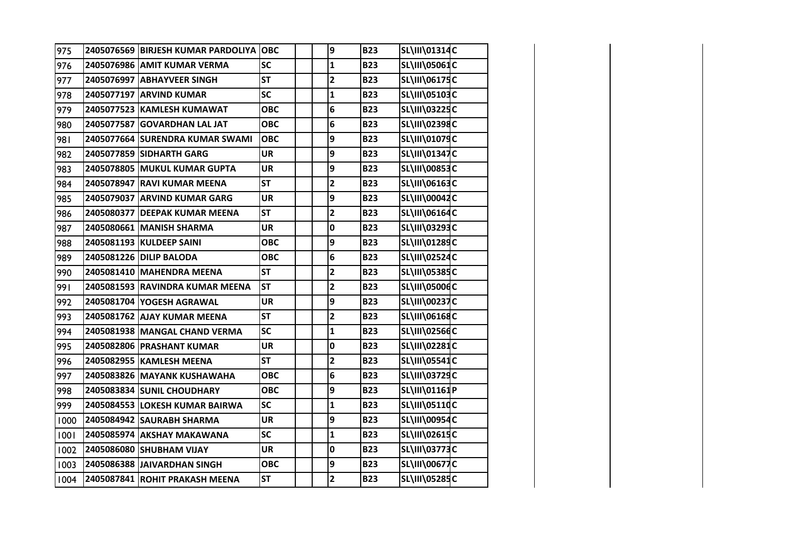| 975  | 2405076569 BIRJESH KUMAR PARDOLIYA OBC |            | 9                       | <b>B23</b> | SL\III\01314C        |  |
|------|----------------------------------------|------------|-------------------------|------------|----------------------|--|
| 976  | 2405076986 AMIT KUMAR VERMA            | <b>SC</b>  | $\mathbf{1}$            | <b>B23</b> | <b>SL\III\05061C</b> |  |
| 977  | 2405076997 ABHAYVEER SINGH             | <b>ST</b>  | 2                       | <b>B23</b> | SL\III\06175C        |  |
| 978  | 2405077197 ARVIND KUMAR                | SC         | $\mathbf{1}$            | <b>B23</b> | SL\III\05103C        |  |
| 979  | 2405077523 KAMLESH KUMAWAT             | <b>OBC</b> | 6                       | <b>B23</b> | SL\III\03225C        |  |
| 980  | 2405077587 GOVARDHAN LAL JAT           | <b>OBC</b> | 6                       | <b>B23</b> | SL\III\02398C        |  |
| 981  | 2405077664 SURENDRA KUMAR SWAMI        | <b>OBC</b> | 9                       | <b>B23</b> | SL\III\01079C        |  |
| 982  | 2405077859 SIDHARTH GARG               | <b>UR</b>  | 9                       | <b>B23</b> | SL\III\01347C        |  |
| 983  | 2405078805 MUKUL KUMAR GUPTA           | <b>UR</b>  | 9                       | <b>B23</b> | <b>SL\III\00853C</b> |  |
| 984  | 2405078947 RAVI KUMAR MEENA            | <b>ST</b>  | $\overline{\mathbf{c}}$ | <b>B23</b> | SL\III\06163C        |  |
| 985  | 2405079037 ARVIND KUMAR GARG           | <b>UR</b>  | 9                       | <b>B23</b> | <b>SL\III\00042C</b> |  |
| 986  | 2405080377 DEEPAK KUMAR MEENA          | <b>ST</b>  | $\overline{\mathbf{c}}$ | <b>B23</b> | SL\III\06164C        |  |
| 987  | 2405080661 MANISH SHARMA               | <b>UR</b>  | 0                       | <b>B23</b> | SL\III\03293C        |  |
| 988  | 2405081193 KULDEEP SAINI               | <b>OBC</b> | 9                       | <b>B23</b> | SL\III\01289C        |  |
| 989  | 2405081226 DILIP BALODA                | <b>OBC</b> | 6                       | <b>B23</b> | SL\III\02524C        |  |
| 990  | 2405081410 MAHENDRA MEENA              | <b>ST</b>  | 2                       | <b>B23</b> | SL\III\05385C        |  |
| 991  | 2405081593 RAVINDRA KUMAR MEENA        | <b>ST</b>  | 2                       | <b>B23</b> | SL\III\05006C        |  |
| 992  | 2405081704 YOGESH AGRAWAL              | <b>UR</b>  | 9                       | <b>B23</b> | SL\III\00237C        |  |
| 993  | 2405081762 AJAY KUMAR MEENA            | <b>ST</b>  | 2                       | <b>B23</b> | SL\III\06168C        |  |
| 994  | 2405081938 MANGAL CHAND VERMA          | <b>SC</b>  | $\mathbf{1}$            | <b>B23</b> | SL\III\02566C        |  |
| 995  | 2405082806 PRASHANT KUMAR              | <b>UR</b>  | 0                       | <b>B23</b> | <b>SL\III\02281C</b> |  |
| 996  | 2405082955 KAMLESH MEENA               | <b>ST</b>  | $\overline{\mathbf{2}}$ | <b>B23</b> | SL\III\05541C        |  |
| 997  | 2405083826 MAYANK KUSHAWAHA            | <b>OBC</b> | 6                       | <b>B23</b> | <b>SL\III\03729C</b> |  |
| 998  | 2405083834 SUNIL CHOUDHARY             | <b>OBC</b> | 9                       | <b>B23</b> | SL\III\01161P        |  |
| 999  | 2405084553 LOKESH KUMAR BAIRWA         | <b>SC</b>  | $\mathbf{1}$            | <b>B23</b> | <b>SL\III\05110C</b> |  |
| 1000 | 2405084942 SAURABH SHARMA              | <b>UR</b>  | 9                       | <b>B23</b> | <b>SL\III\00954C</b> |  |
| 1001 | 2405085974 AKSHAY MAKAWANA             | <b>SC</b>  | $\mathbf{1}$            | <b>B23</b> | SL\III\02615C        |  |
| 1002 | 2405086080 SHUBHAM VIJAY               | <b>UR</b>  | 0                       | <b>B23</b> | <b>SL\III\03773C</b> |  |
| 1003 | 2405086388 JAIVARDHAN SINGH            | <b>OBC</b> | 9                       | <b>B23</b> | <b>SL\III\00677C</b> |  |
| 1004 | 2405087841 ROHIT PRAKASH MEENA         | <b>ST</b>  | $\overline{\mathbf{c}}$ | <b>B23</b> | SL\III\05285C        |  |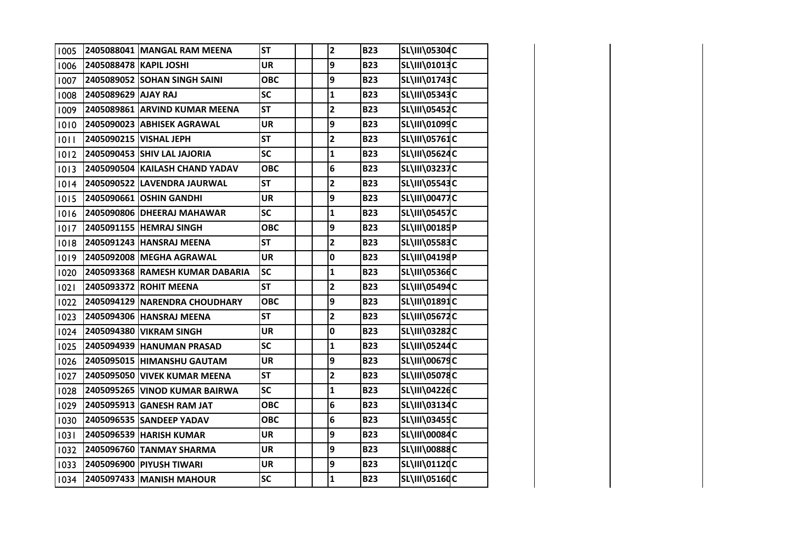| 1005 |                        | 2405088041 MANGAL RAM MEENA     | <b>ST</b>  | $\overline{\mathbf{c}}$ | <b>B23</b> | SL\III\05304C        |  |
|------|------------------------|---------------------------------|------------|-------------------------|------------|----------------------|--|
| 1006 | 2405088478 KAPIL JOSHI |                                 | <b>UR</b>  | 9                       | <b>B23</b> | SL\III\01013C        |  |
| 1007 |                        | 2405089052 SOHAN SINGH SAINI    | <b>OBC</b> | 9                       | <b>B23</b> | SL\III\01743C        |  |
| 1008 | 2405089629 AJAY RAJ    |                                 | <b>SC</b>  | $\mathbf{1}$            | <b>B23</b> | SL\III\05343C        |  |
| 1009 |                        | 2405089861 ARVIND KUMAR MEENA   | <b>ST</b>  | $\overline{\mathbf{c}}$ | <b>B23</b> | SL\III\05452C        |  |
| 1010 |                        | 2405090023 ABHISEK AGRAWAL      | <b>UR</b>  | 9                       | <b>B23</b> | SL\III\01099C        |  |
| 1011 |                        | 2405090215 VISHAL JEPH          | <b>ST</b>  | $\overline{\mathbf{c}}$ | <b>B23</b> | SL\III\05761C        |  |
| 1012 |                        | 2405090453 SHIV LAL JAJORIA     | <b>SC</b>  | $\mathbf{1}$            | <b>B23</b> | SL\III\05624C        |  |
| 1013 |                        | 2405090504 KAILASH CHAND YADAV  | <b>OBC</b> | 6                       | <b>B23</b> | <b>SL\III\03237C</b> |  |
| 1014 |                        | 2405090522 LAVENDRA JAURWAL     | <b>ST</b>  | $\overline{\mathbf{2}}$ | <b>B23</b> | <b>SL\III\05543C</b> |  |
| 1015 |                        | 2405090661 OSHIN GANDHI         | <b>UR</b>  | 9                       | <b>B23</b> | <b>SL\III\00477C</b> |  |
| 1016 |                        | 2405090806 DHEERAJ MAHAWAR      | <b>SC</b>  | $\mathbf{1}$            | <b>B23</b> | <b>SL\III\05457C</b> |  |
| 1017 |                        | 2405091155 HEMRAJ SINGH         | <b>OBC</b> | 9                       | <b>B23</b> | SL\III\00185P        |  |
| 1018 |                        | 2405091243 HANSRAJ MEENA        | <b>ST</b>  | $\overline{\mathbf{2}}$ | <b>B23</b> | <b>SL\III\05583C</b> |  |
| 1019 |                        | 2405092008 MEGHA AGRAWAL        | <b>UR</b>  | 0                       | <b>B23</b> | SL\III\04198P        |  |
| 1020 |                        | 2405093368 RAMESH KUMAR DABARIA | <b>SC</b>  | $\mathbf{1}$            | <b>B23</b> | <b>SL\III\05366C</b> |  |
| 1021 |                        | 2405093372 ROHIT MEENA          | <b>ST</b>  | $\overline{\mathbf{c}}$ | <b>B23</b> | SL\III\05494C        |  |
| 1022 |                        | 2405094129 NARENDRA CHOUDHARY   | <b>OBC</b> | 9                       | <b>B23</b> | SL\III\01891C        |  |
| 1023 |                        | 2405094306 HANSRAJ MEENA        | <b>ST</b>  | $\overline{\mathbf{2}}$ | <b>B23</b> | <b>SL\III\05672C</b> |  |
| 1024 |                        | 2405094380 VIKRAM SINGH         | <b>UR</b>  | 0                       | <b>B23</b> | <b>SL\III\03282C</b> |  |
| 1025 |                        | 2405094939 HANUMAN PRASAD       | SC         | $\mathbf{1}$            | <b>B23</b> | SL\III\05244C        |  |
| 1026 |                        | 2405095015 HIMANSHU GAUTAM      | <b>UR</b>  | 9                       | <b>B23</b> | <b>SL\III\00679C</b> |  |
| 1027 |                        | 2405095050 VIVEK KUMAR MEENA    | <b>ST</b>  | $\overline{\mathbf{2}}$ | <b>B23</b> | <b>SL\III\05078C</b> |  |
| 1028 |                        | 2405095265 VINOD KUMAR BAIRWA   | SC         | $\mathbf{1}$            | <b>B23</b> | SL\III\04226C        |  |
| 1029 |                        | 2405095913 GANESH RAM JAT       | <b>OBC</b> | 6                       | <b>B23</b> | SL\III\03134C        |  |
| 1030 |                        | 2405096535 SANDEEP YADAV        | <b>OBC</b> | 6                       | <b>B23</b> | <b>SL\III\03455C</b> |  |
| 1031 |                        | 2405096539 HARISH KUMAR         | <b>UR</b>  | 9                       | <b>B23</b> | <b>SL\III\00084C</b> |  |
| 1032 |                        | 2405096760 TANMAY SHARMA        | <b>UR</b>  | 9                       | <b>B23</b> | <b>SL\III\00888C</b> |  |
| 1033 |                        | 2405096900 PIYUSH TIWARI        | <b>UR</b>  | 9                       | <b>B23</b> | SL\III\01120C        |  |
| 1034 |                        | 2405097433 MANISH MAHOUR        | SC         | $\mathbf 1$             | <b>B23</b> | <b>SL\III\05160C</b> |  |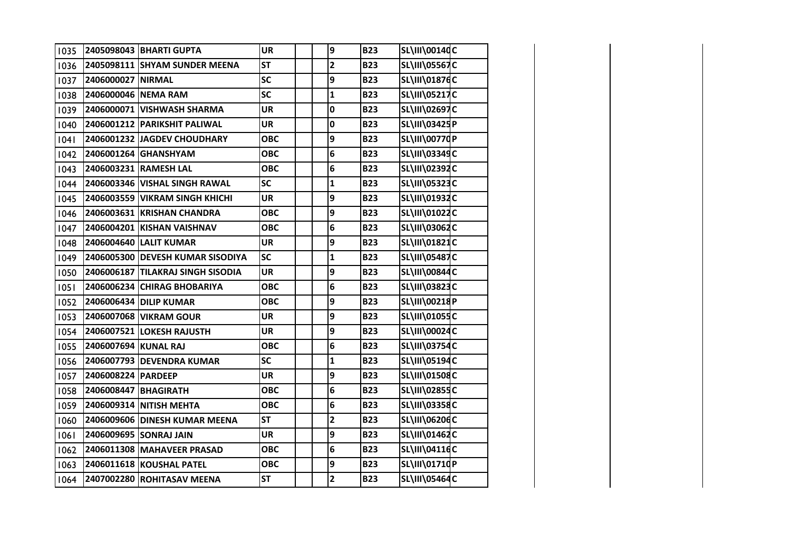| 1035 |                      | 2405098043   BHARTI GUPTA         | <b>UR</b>  | 9                       | <b>B23</b> | SL\III\00140C        |  |
|------|----------------------|-----------------------------------|------------|-------------------------|------------|----------------------|--|
| 1036 |                      | 2405098111 SHYAM SUNDER MEENA     | <b>ST</b>  | $\overline{\mathbf{c}}$ | <b>B23</b> | <b>SL\III\05567C</b> |  |
| 1037 | 2406000027 NIRMAL    |                                   | SC         | 9                       | <b>B23</b> | SL\III\01876C        |  |
| 1038 | 2406000046 NEMA RAM  |                                   | <b>SC</b>  | $\mathbf{1}$            | <b>B23</b> | SL\III\05217C        |  |
| 1039 |                      | 2406000071 VISHWASH SHARMA        | <b>UR</b>  | 0                       | <b>B23</b> | SL\III\02697C        |  |
| 1040 |                      | 2406001212 PARIKSHIT PALIWAL      | <b>UR</b>  | 0                       | <b>B23</b> | SL\III\03425P        |  |
| 04   |                      | 2406001232 JAGDEV CHOUDHARY       | ОВС        | 9                       | <b>B23</b> | SL\III\00770P        |  |
| 1042 |                      | 2406001264 GHANSHYAM              | <b>OBC</b> | 6                       | <b>B23</b> | SL\III\03349C        |  |
| 1043 |                      | 2406003231 RAMESH LAL             | <b>OBC</b> | 6                       | <b>B23</b> | SL\III\02392C        |  |
| 1044 |                      | 2406003346 VISHAL SINGH RAWAL     | <b>SC</b>  | $\mathbf{1}$            | <b>B23</b> | <b>SL\III\05323C</b> |  |
| 1045 |                      | 2406003559 VIKRAM SINGH KHICHI    | <b>UR</b>  | 9                       | <b>B23</b> | SL\III\01932C        |  |
| 1046 |                      | 2406003631 KRISHAN CHANDRA        | <b>OBC</b> | 9                       | <b>B23</b> | SL\III\01022C        |  |
| 1047 |                      | 2406004201 KISHAN VAISHNAV        | <b>OBC</b> | 6                       | <b>B23</b> | SL\III\03062C        |  |
| 1048 |                      | 2406004640 LALIT KUMAR            | <b>UR</b>  | 9                       | <b>B23</b> | SL\III\01821C        |  |
| 1049 |                      | 2406005300 DEVESH KUMAR SISODIYA  | <b>SC</b>  | $\mathbf{1}$            | <b>B23</b> | SL\III\05487C        |  |
| 1050 |                      | 2406006187 TILAKRAJ SINGH SISODIA | <b>UR</b>  | 9                       | <b>B23</b> | SL\III\00844C        |  |
| 1051 |                      | 2406006234 CHIRAG BHOBARIYA       | <b>OBC</b> | 6                       | <b>B23</b> | SL\III\03823C        |  |
| 1052 |                      | 2406006434 DILIP KUMAR            | <b>OBC</b> | 9                       | <b>B23</b> | SL\III\00218P        |  |
| 1053 |                      | 2406007068 VIKRAM GOUR            | <b>UR</b>  | 9                       | <b>B23</b> | SL\III\01055C        |  |
| 1054 |                      | 2406007521 LOKESH RAJUSTH         | <b>UR</b>  | 9                       | <b>B23</b> | SL\III\00024C        |  |
| 1055 | 2406007694 KUNAL RAJ |                                   | <b>OBC</b> | 6                       | <b>B23</b> | SL\III\03754C        |  |
| 1056 |                      | 2406007793 DEVENDRA KUMAR         | <b>SC</b>  | $\mathbf{1}$            | <b>B23</b> | SL\III\05194C        |  |
| 1057 | 2406008224 PARDEEP   |                                   | <b>UR</b>  | 9                       | <b>B23</b> | SL\III\01508C        |  |
| 1058 | 2406008447 BHAGIRATH |                                   | <b>OBC</b> | 6                       | <b>B23</b> | SL\III\02855C        |  |
| 1059 |                      | 2406009314 NITISH MEHTA           | <b>OBC</b> | 6                       | <b>B23</b> | <b>SL\III\03358C</b> |  |
| 1060 |                      | 2406009606 DINESH KUMAR MEENA     | <b>ST</b>  | $\overline{\mathbf{2}}$ | <b>B23</b> | SL\III\06206C        |  |
| 1061 |                      | 2406009695 SONRAJ JAIN            | <b>UR</b>  | 9                       | <b>B23</b> | SL\III\01462C        |  |
| 1062 |                      | 2406011308 MAHAVEER PRASAD        | <b>OBC</b> | 6                       | <b>B23</b> | SL\III\04116C        |  |
| 1063 |                      | 2406011618 KOUSHAL PATEL          | <b>OBC</b> | 9                       | <b>B23</b> | SL\III\01710P        |  |
| 1064 |                      | 2407002280 ROHITASAV MEENA        | <b>ST</b>  | $\mathbf{2}$            | <b>B23</b> | SL\III\05464C        |  |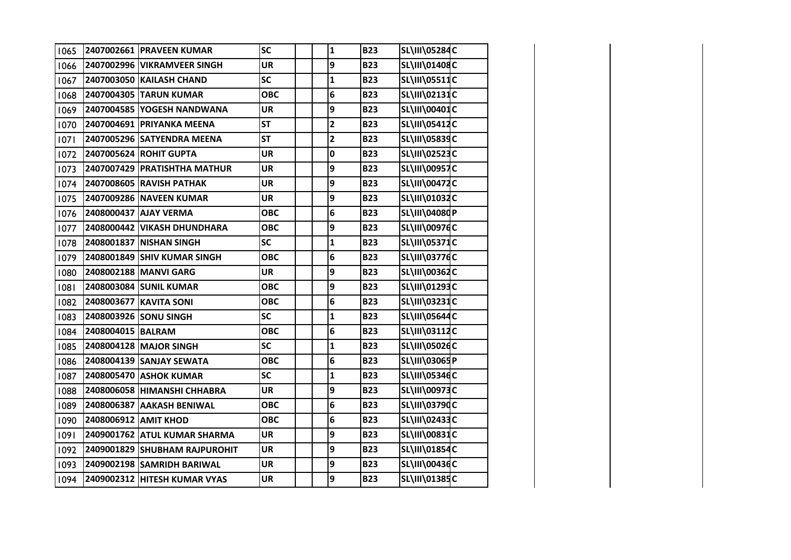| 1065 |                      | 2407002661 PRAVEEN KUMAR      | SC                       | $\mathbf{1}$            | <b>B23</b> | <b>SL\III\05284C</b> |  |
|------|----------------------|-------------------------------|--------------------------|-------------------------|------------|----------------------|--|
| 1066 |                      | 2407002996 VIKRAMVEER SINGH   | <b>UR</b>                | 9                       | <b>B23</b> | SL\III\01408C        |  |
| 1067 |                      | 2407003050 KAILASH CHAND      | SC                       | $\mathbf{1}$            | <b>B23</b> | SL\III\05511C        |  |
| 1068 |                      | 2407004305 TARUN KUMAR        | <b>OBC</b>               | 6                       | <b>B23</b> | SL\III\02131C        |  |
| 1069 |                      | 2407004585 YOGESH NANDWANA    | <b>UR</b>                | 9                       | <b>B23</b> | SL\III\00401C        |  |
| 1070 |                      | 2407004691 PRIYANKA MEENA     | <b>ST</b>                | $\overline{2}$          | <b>B23</b> | SL\III\05412C        |  |
| 1071 |                      | 2407005296 SATYENDRA MEENA    | <b>ST</b>                | $\overline{\mathbf{c}}$ | <b>B23</b> | SL\III\05839C        |  |
| 1072 |                      | 2407005624 ROHIT GUPTA        | <b>UR</b>                | 0                       | <b>B23</b> | SL\III\02523C        |  |
| 1073 |                      | 2407007429 PRATISHTHA MATHUR  | <b>UR</b>                | 9                       | <b>B23</b> | <b>SL\III\00957C</b> |  |
| 1074 |                      | 2407008605 RAVISH PATHAK      | <b>UR</b>                | 9                       | <b>B23</b> | <b>SL\III\00472C</b> |  |
| 1075 |                      | 2407009286 NAVEEN KUMAR       | <b>UR</b>                | 9                       | <b>B23</b> | SL\III\01032C        |  |
| 1076 |                      | 2408000437 AJAY VERMA         | <b>OBC</b>               | 6                       | <b>B23</b> | SL\III\04080P        |  |
| 1077 |                      | 2408000442 VIKASH DHUNDHARA   | <b>OBC</b>               | 9                       | <b>B23</b> | <b>SL\III\00976C</b> |  |
| 1078 |                      | 2408001837 NISHAN SINGH       | SC                       | $\mathbf{1}$            | <b>B23</b> | SL\III\05371C        |  |
| 1079 |                      | 2408001849 SHIV KUMAR SINGH   | <b>OBC</b>               | 6                       | <b>B23</b> | <b>SL\III\03776C</b> |  |
| 1080 |                      | 2408002188 MANVI GARG         | <b>UR</b>                | 9                       | <b>B23</b> | SL\III\00362C        |  |
| 1081 |                      | 2408003084 SUNIL KUMAR        | <b>OBC</b>               | 9                       | <b>B23</b> | SL\III\01293C        |  |
| 1082 |                      | 2408003677 KAVITA SONI        | <b>OBC</b>               | 6                       | <b>B23</b> | SL\III\03231C        |  |
| 1083 |                      | 2408003926 SONU SINGH         | $\overline{\mathsf{sc}}$ | $\mathbf{1}$            | <b>B23</b> | SL\III\05644C        |  |
| 1084 | 2408004015 BALRAM    |                               | <b>OBC</b>               | 6                       | <b>B23</b> | SL\III\03112C        |  |
| 1085 |                      | 2408004128 MAJOR SINGH        | $\overline{\mathsf{sc}}$ | $\mathbf{1}$            | <b>B23</b> | SL\III\05026C        |  |
| 1086 |                      | 2408004139 SANJAY SEWATA      | <b>OBC</b>               | 6                       | <b>B23</b> | SL\III\03065P        |  |
| 1087 |                      | 2408005470 ASHOK KUMAR        | SC                       | $\mathbf{1}$            | <b>B23</b> | SL\III\05346C        |  |
| 1088 |                      | 2408006058 HIMANSHI CHHABRA   | <b>UR</b>                | 9                       | <b>B23</b> | SL\III\00973C        |  |
| 1089 |                      | 2408006387 AAKASH BENIWAL     | <b>OBC</b>               | 6                       | <b>B23</b> | SL\III\03790C        |  |
| 1090 | 2408006912 AMIT KHOD |                               | <b>OBC</b>               | 6                       | <b>B23</b> | SL\III\02433C        |  |
| 1091 |                      | 2409001762 ATUL KUMAR SHARMA  | <b>UR</b>                | 9                       | <b>B23</b> | SL\III\00831C        |  |
| 1092 |                      | 2409001829 SHUBHAM RAJPUROHIT | <b>UR</b>                | 9                       | <b>B23</b> | SL\III\01854C        |  |
| 1093 |                      | 2409002198 SAMRIDH BARIWAL    | <b>UR</b>                | 9                       | <b>B23</b> | SL\III\00436C        |  |
| 1094 |                      | 2409002312 HITESH KUMAR VYAS  | <b>UR</b>                | 9                       | <b>B23</b> | SL\III\01385C        |  |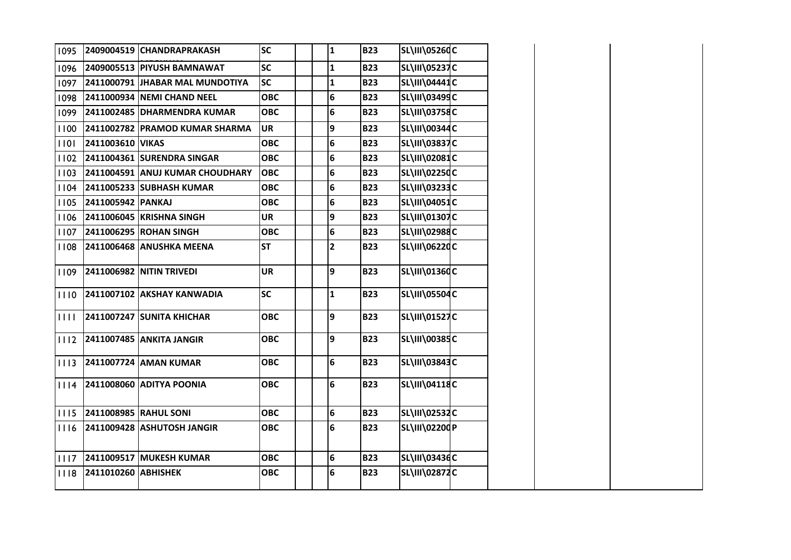| 1095 |                     | 2409004519 CHANDRAPRAKASH        | <b>SC</b>  | $\mathbf{1}$            | <b>B23</b> | <b>SL\III\05260C</b> |  |
|------|---------------------|----------------------------------|------------|-------------------------|------------|----------------------|--|
| 1096 |                     | 2409005513 PIYUSH BAMNAWAT       | <b>SC</b>  | $\mathbf{1}$            | <b>B23</b> | <b>SL\III\05237C</b> |  |
| 1097 |                     | 2411000791 JHABAR MAL MUNDOTIYA  | <b>SC</b>  | $\mathbf{1}$            | <b>B23</b> | SL\III\04441C        |  |
| 1098 |                     | 2411000934 NEMI CHAND NEEL       | <b>OBC</b> | 6                       | <b>B23</b> | SL\III\03499C        |  |
| 1099 |                     | 2411002485 DHARMENDRA KUMAR      | <b>OBC</b> | 6                       | <b>B23</b> | <b>SL\III\03758C</b> |  |
| 1100 |                     | 2411002782 PRAMOD KUMAR SHARMA   | <b>UR</b>  | 9                       | <b>B23</b> | <b>SL\III\00344C</b> |  |
| 1101 | 2411003610 VIKAS    |                                  | <b>OBC</b> | 6                       | <b>B23</b> | SL\III\03837C        |  |
| 1102 |                     | 2411004361 SURENDRA SINGAR       | <b>OBC</b> | 6                       | <b>B23</b> | <b>SL\III\02081C</b> |  |
| 1103 |                     | 2411004591 ANUJ KUMAR CHOUDHARY  | <b>OBC</b> | 6                       | <b>B23</b> | SL\III\0225dC        |  |
| 1104 |                     | 2411005233 SUBHASH KUMAR         | <b>OBC</b> | 6                       | <b>B23</b> | <b>SL\III\03233C</b> |  |
| 1105 | 2411005942 PANKAJ   |                                  | <b>OBC</b> | 6                       | <b>B23</b> | SL\III\04051C        |  |
| 1106 |                     | 2411006045 KRISHNA SINGH         | <b>UR</b>  | 9                       | <b>B23</b> | <b>SL\III\01307C</b> |  |
| 1107 |                     | 2411006295 ROHAN SINGH           | <b>OBC</b> | 6                       | <b>B23</b> | SL\III\02988C        |  |
| 1108 |                     | 2411006468 ANUSHKA MEENA         | <b>ST</b>  | $\overline{\mathbf{c}}$ | <b>B23</b> | SL\III\06220C        |  |
| 1109 |                     | 2411006982 NITIN TRIVEDI         | <b>UR</b>  | 9                       | <b>B23</b> | SL\III\01360C        |  |
| 1110 |                     | 2411007102 AKSHAY KANWADIA       | <b>SC</b>  | $\mathbf{1}$            | <b>B23</b> | <b>SL\III\05504C</b> |  |
| 1111 |                     | <b>2411007247 SUNITA KHICHAR</b> | <b>OBC</b> | 9                       | <b>B23</b> | SL\III\01527C        |  |
| 1112 |                     | 2411007485 ANKITA JANGIR         | <b>OBC</b> | 9                       | <b>B23</b> | SL\III\00385C        |  |
| 1113 |                     | 2411007724 AMAN KUMAR            | <b>OBC</b> | 6                       | <b>B23</b> | <b>SL\III\03843C</b> |  |
| 1114 |                     | <b>2411008060 ADITYA POONIA</b>  | <b>OBC</b> | 6                       | <b>B23</b> | SL\III\04118C        |  |
| 1115 |                     | 2411008985 RAHUL SONI            | <b>OBC</b> | 6                       | <b>B23</b> | SL\III\02532C        |  |
| 1116 |                     | 2411009428 ASHUTOSH JANGIR       | ОВС        | 6                       | <b>B23</b> | SL\III\02200P        |  |
| 1117 |                     | 2411009517 MUKESH KUMAR          | <b>OBC</b> | 6                       | <b>B23</b> | <b>SL\III\03436C</b> |  |
| 1118 | 2411010260 ABHISHEK |                                  | <b>OBC</b> | 6                       | <b>B23</b> | <b>SL\III\02872C</b> |  |
|      |                     |                                  |            |                         |            |                      |  |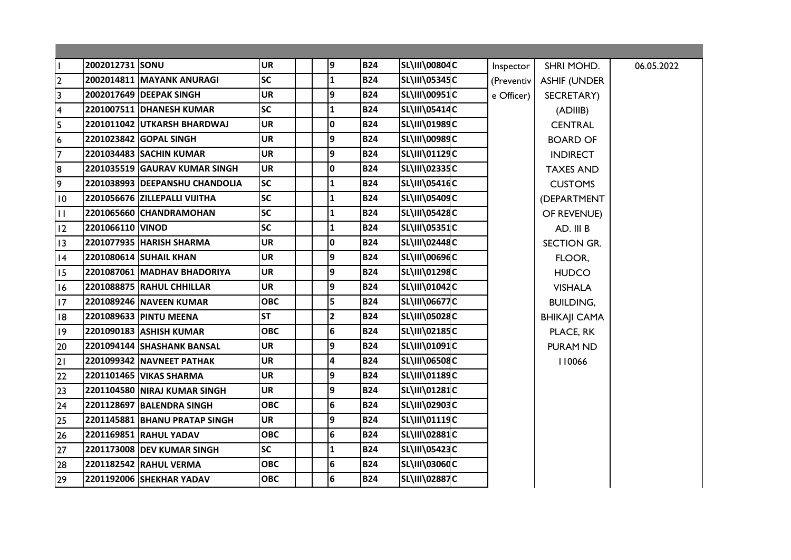| $\mathbf{I}$            | 2002012731 SONU  |                                | <b>UR</b>  | 9                       | <b>B24</b> | SL\III\00804C        | Inspector  | SHRI MOHD.          | 06.05.2022 |
|-------------------------|------------------|--------------------------------|------------|-------------------------|------------|----------------------|------------|---------------------|------------|
| $\overline{2}$          |                  | 2002014811 MAYANK ANURAGI      | <b>SC</b>  | $\mathbf{1}$            | <b>B24</b> | <b>SL\III\05345C</b> | (Preventiv | <b>ASHIF (UNDER</b> |            |
| $\overline{\mathbf{3}}$ |                  | 2002017649 DEEPAK SINGH        | <b>UR</b>  | 9                       | <b>B24</b> | <b>SL\III\00951C</b> | e Officer) | SECRETARY)          |            |
| $\overline{\mathbf{4}}$ |                  | 2201007511 DHANESH KUMAR       | <b>SC</b>  | 1                       | <b>B24</b> | <b>SL\III\05414C</b> |            | (ADIIIB)            |            |
| 5                       |                  | 2201011042 UTKARSH BHARDWAJ    | <b>UR</b>  | $\mathbf 0$             | <b>B24</b> | SL\III\01989C        |            | <b>CENTRAL</b>      |            |
| $6\overline{6}$         |                  | 2201023842 GOPAL SINGH         | <b>UR</b>  | 9                       | <b>B24</b> | SL\III\00989C        |            | <b>BOARD OF</b>     |            |
| $\overline{7}$          |                  | 2201034483 SACHIN KUMAR        | <b>UR</b>  | 9                       | <b>B24</b> | SL\III\01129C        |            | <b>INDIRECT</b>     |            |
| 8                       |                  | 2201035519 GAURAV KUMAR SINGH  | <b>UR</b>  | 0                       | <b>B24</b> | SL\III\02335C        |            | <b>TAXES AND</b>    |            |
| 9                       |                  | 2201038993 DEEPANSHU CHANDOLIA | <b>SC</b>  | $\mathbf{1}$            | <b>B24</b> | SL\III\05416C        |            | <b>CUSTOMS</b>      |            |
| 10                      |                  | 2201056676 ZILLEPALLI VIJITHA  | <b>SC</b>  | $\mathbf{1}$            | <b>B24</b> | SL\III\05409C        |            | (DEPARTMENT         |            |
| $\mathbf{H}$            |                  | 2201065660 CHANDRAMOHAN        | <b>SC</b>  | $\mathbf{1}$            | <b>B24</b> | <b>SL\III\05428C</b> |            | OF REVENUE)         |            |
| 12                      | 2201066110 VINOD |                                | <b>SC</b>  | $\mathbf{1}$            | <b>B24</b> | <b>SL\III\05351C</b> |            | AD. III B           |            |
| 13                      |                  | 2201077935 HARISH SHARMA       | <b>UR</b>  | $\overline{\mathbf{0}}$ | <b>B24</b> | SL\III\02448C        |            | SECTION GR.         |            |
| 4                       |                  | 2201080614 SUHAIL KHAN         | <b>UR</b>  | 9                       | <b>B24</b> | <b>SL\III\00696C</b> |            | FLOOR,              |            |
| 15                      |                  | 2201087061 MADHAV BHADORIYA    | <b>UR</b>  | 9                       | <b>B24</b> | SL\III\01298C        |            | <b>HUDCO</b>        |            |
| 16                      |                  | 2201088875 RAHUL CHHILLAR      | <b>UR</b>  | 9                       | <b>B24</b> | SL\III\01042C        |            | <b>VISHALA</b>      |            |
| 17                      |                  | 2201089246 NAVEEN KUMAR        | <b>OBC</b> | 5                       | <b>B24</b> | <b>SL\III\06677C</b> |            | <b>BUILDING,</b>    |            |
| 8                       |                  | 2201089633 PINTU MEENA         | <b>ST</b>  | $\overline{2}$          | <b>B24</b> | <b>SL\III\05028C</b> |            | <b>BHIKAJI CAMA</b> |            |
| 9                       |                  | 2201090183 ASHISH KUMAR        | <b>OBC</b> | 6                       | <b>B24</b> | <b>SL\III\02185C</b> |            | PLACE, RK           |            |
| 20                      |                  | 2201094144 SHASHANK BANSAL     | <b>UR</b>  | 9                       | <b>B24</b> | SL\III\01091C        |            | <b>PURAM ND</b>     |            |
| 21                      |                  | 2201099342 NAVNEET PATHAK      | <b>UR</b>  | $\overline{\mathbf{4}}$ | <b>B24</b> | <b>SL\III\06508C</b> |            | 110066              |            |
| 22                      |                  | 2201101465 VIKAS SHARMA        | <b>UR</b>  | 9                       | <b>B24</b> | <b>SL\III\01189C</b> |            |                     |            |
| 23                      |                  | 2201104580 NIRAJ KUMAR SINGH   | <b>UR</b>  | 9                       | <b>B24</b> | <b>SL\III\01281C</b> |            |                     |            |
| 24                      |                  | 2201128697 BALENDRA SINGH      | <b>OBC</b> | $6\phantom{a}$          | <b>B24</b> | SL\III\02903C        |            |                     |            |
| 25                      |                  | 2201145881 BHANU PRATAP SINGH  | <b>UR</b>  | 9                       | <b>B24</b> | <b>SL\III\01119C</b> |            |                     |            |
| 26                      |                  | 2201169851 RAHUL YADAV         | <b>OBC</b> | 6                       | <b>B24</b> | <b>SL\III\02881C</b> |            |                     |            |
| 27                      |                  | 2201173008 DEV KUMAR SINGH     | <b>SC</b>  | $\mathbf{1}$            | <b>B24</b> | <b>SL\III\05423C</b> |            |                     |            |
| 28                      |                  | 2201182542 RAHUL VERMA         | <b>OBC</b> | 6                       | <b>B24</b> | <b>SL\III\03060C</b> |            |                     |            |
| 29                      |                  | 2201192006 SHEKHAR YADAV       | <b>OBC</b> | 6                       | <b>B24</b> | <b>SL\III\02887C</b> |            |                     |            |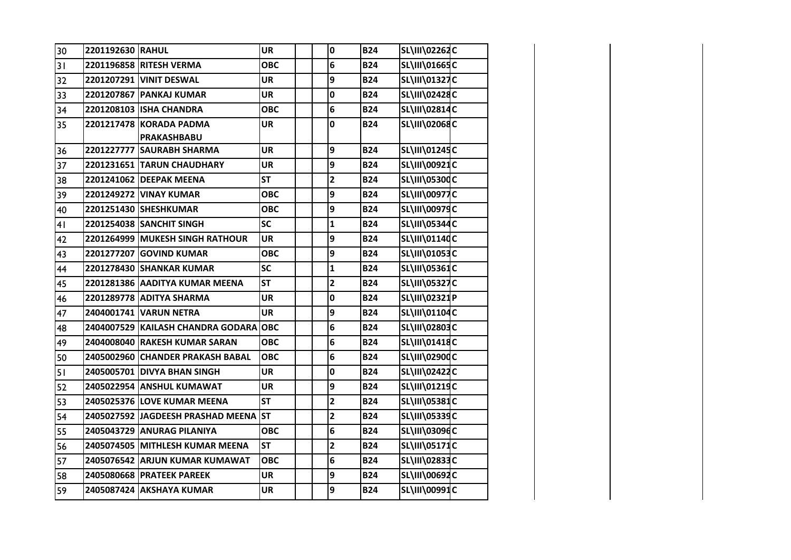| SL\III\01665C<br><b>B24</b><br>2201196858 RITESH VERMA<br><b>OBC</b><br>6<br>31<br>SL\III\01327C<br>9<br>2201207291 VINIT DESWAL<br><b>B24</b><br>32<br><b>UR</b><br>SL\III\02428C<br>33<br>2201207867 PANKAJ KUMAR<br>$\mathbf 0$<br><b>B24</b><br>UR<br>SL\III\02814C<br>2201208103 ISHA CHANDRA<br>6<br><b>B24</b><br>34<br><b>OBC</b><br>SL\III\02068C<br>2201217478 KORADA PADMA<br>$\mathbf 0$<br><b>B24</b><br>35<br><b>UR</b><br>PRAKASHBABU<br>9<br>SL\III\01245C<br>2201227777 SAURABH SHARMA<br><b>UR</b><br><b>B24</b><br>36<br>SL\III\00921C<br>9<br>37<br>2201231651 TARUN CHAUDHARY<br><b>UR</b><br><b>B24</b><br>$\overline{\mathbf{2}}$<br><b>ST</b><br><b>SL\III\05300C</b><br>38<br><b>B24</b><br>2201241062 DEEPAK MEENA<br>9<br><b>SL\III\00977C</b><br>39<br>2201249272 VINAY KUMAR<br><b>B24</b><br><b>OBC</b><br><b>SL\III\00979C</b><br>9<br>2201251430 SHESHKUMAR<br><b>OBC</b><br><b>B24</b><br>40<br>$\mathbf{1}$<br>SL\III\05344C<br>2201254038 SANCHIT SINGH<br><b>SC</b><br><b>B24</b><br>41<br>9<br>SL\III\01140C<br><b>UR</b><br><b>B24</b><br>2201264999 MUKESH SINGH RATHOUR<br>42<br>9<br>SL\III\01053C<br><b>OBC</b><br><b>B24</b><br>43<br>2201277207 GOVIND KUMAR<br>SL\III\05361C<br><b>SC</b><br><b>B24</b><br>44<br>2201278430 SHANKAR KUMAR<br>$\mathbf{1}$<br><b>SL\III\05327C</b><br>$\overline{\mathbf{c}}$<br>2201281386 AADITYA KUMAR MEENA<br><b>ST</b><br><b>B24</b><br>45<br>$\mathbf 0$<br><b>B24</b><br>SL\III\02321P<br>2201289778 ADITYA SHARMA<br><b>UR</b><br>46<br>9<br>SL\III\01104C<br>2404001741 VARUN NETRA<br><b>UR</b><br><b>B24</b><br>47<br>SL\III\02803C<br>6<br>2404007529 KAILASH CHANDRA GODARA OBC<br><b>B24</b><br>48<br>SL\III\01418C<br>6<br>2404008040 RAKESH KUMAR SARAN<br><b>OBC</b><br><b>B24</b><br>49<br>SL\III\02900C<br><b>B24</b><br>2405002960 CHANDER PRAKASH BABAL<br><b>OBC</b><br>6<br>50<br>$\mathbf 0$<br>SL\III\02422C<br>51<br>2405005701 DIVYA BHAN SINGH<br><b>B24</b><br><b>UR</b><br>SL\III\01219C<br>9<br><b>B24</b><br>52<br>2405022954 ANSHUL KUMAWAT<br><b>UR</b><br>$\overline{\mathbf{2}}$<br><b>SL\III\05381C</b><br><b>ST</b><br>53<br>2405025376 LOVE KUMAR MEENA<br><b>B24</b><br>$\overline{\mathbf{2}}$<br>SL\III\05339C<br>54<br>2405027592 JAGDEESH PRASHAD MEENA ST<br><b>B24</b><br>SL\III\03096C<br>2405043729 ANURAG PILANIYA<br>6<br><b>B24</b><br>55<br><b>OBC</b><br>$\overline{\mathbf{2}}$<br><b>ST</b><br>SL\III\05171C<br>2405074505 MITHLESH KUMAR MEENA<br><b>B24</b><br>56<br>SL\III\02833C<br>6<br>57<br>2405076542 ARJUN KUMAR KUMAWAT<br><b>OBC</b><br><b>B24</b><br>SL\III\00692C<br><b>UR</b><br>9<br><b>B24</b><br>58<br>2405080668 PRATEEK PAREEK | 30 | 2201192630 RAHUL | <b>UR</b> | $\mathbf 0$ | <b>B24</b> | SL\III\02262C |  |
|---------------------------------------------------------------------------------------------------------------------------------------------------------------------------------------------------------------------------------------------------------------------------------------------------------------------------------------------------------------------------------------------------------------------------------------------------------------------------------------------------------------------------------------------------------------------------------------------------------------------------------------------------------------------------------------------------------------------------------------------------------------------------------------------------------------------------------------------------------------------------------------------------------------------------------------------------------------------------------------------------------------------------------------------------------------------------------------------------------------------------------------------------------------------------------------------------------------------------------------------------------------------------------------------------------------------------------------------------------------------------------------------------------------------------------------------------------------------------------------------------------------------------------------------------------------------------------------------------------------------------------------------------------------------------------------------------------------------------------------------------------------------------------------------------------------------------------------------------------------------------------------------------------------------------------------------------------------------------------------------------------------------------------------------------------------------------------------------------------------------------------------------------------------------------------------------------------------------------------------------------------------------------------------------------------------------------------------------------------------------------------------------------------------------------------------------------------------------------------------------------------------------------------------------------------------------------------------------------------------------------------------------------------------------------------------|----|------------------|-----------|-------------|------------|---------------|--|
|                                                                                                                                                                                                                                                                                                                                                                                                                                                                                                                                                                                                                                                                                                                                                                                                                                                                                                                                                                                                                                                                                                                                                                                                                                                                                                                                                                                                                                                                                                                                                                                                                                                                                                                                                                                                                                                                                                                                                                                                                                                                                                                                                                                                                                                                                                                                                                                                                                                                                                                                                                                                                                                                                       |    |                  |           |             |            |               |  |
|                                                                                                                                                                                                                                                                                                                                                                                                                                                                                                                                                                                                                                                                                                                                                                                                                                                                                                                                                                                                                                                                                                                                                                                                                                                                                                                                                                                                                                                                                                                                                                                                                                                                                                                                                                                                                                                                                                                                                                                                                                                                                                                                                                                                                                                                                                                                                                                                                                                                                                                                                                                                                                                                                       |    |                  |           |             |            |               |  |
|                                                                                                                                                                                                                                                                                                                                                                                                                                                                                                                                                                                                                                                                                                                                                                                                                                                                                                                                                                                                                                                                                                                                                                                                                                                                                                                                                                                                                                                                                                                                                                                                                                                                                                                                                                                                                                                                                                                                                                                                                                                                                                                                                                                                                                                                                                                                                                                                                                                                                                                                                                                                                                                                                       |    |                  |           |             |            |               |  |
|                                                                                                                                                                                                                                                                                                                                                                                                                                                                                                                                                                                                                                                                                                                                                                                                                                                                                                                                                                                                                                                                                                                                                                                                                                                                                                                                                                                                                                                                                                                                                                                                                                                                                                                                                                                                                                                                                                                                                                                                                                                                                                                                                                                                                                                                                                                                                                                                                                                                                                                                                                                                                                                                                       |    |                  |           |             |            |               |  |
|                                                                                                                                                                                                                                                                                                                                                                                                                                                                                                                                                                                                                                                                                                                                                                                                                                                                                                                                                                                                                                                                                                                                                                                                                                                                                                                                                                                                                                                                                                                                                                                                                                                                                                                                                                                                                                                                                                                                                                                                                                                                                                                                                                                                                                                                                                                                                                                                                                                                                                                                                                                                                                                                                       |    |                  |           |             |            |               |  |
|                                                                                                                                                                                                                                                                                                                                                                                                                                                                                                                                                                                                                                                                                                                                                                                                                                                                                                                                                                                                                                                                                                                                                                                                                                                                                                                                                                                                                                                                                                                                                                                                                                                                                                                                                                                                                                                                                                                                                                                                                                                                                                                                                                                                                                                                                                                                                                                                                                                                                                                                                                                                                                                                                       |    |                  |           |             |            |               |  |
|                                                                                                                                                                                                                                                                                                                                                                                                                                                                                                                                                                                                                                                                                                                                                                                                                                                                                                                                                                                                                                                                                                                                                                                                                                                                                                                                                                                                                                                                                                                                                                                                                                                                                                                                                                                                                                                                                                                                                                                                                                                                                                                                                                                                                                                                                                                                                                                                                                                                                                                                                                                                                                                                                       |    |                  |           |             |            |               |  |
|                                                                                                                                                                                                                                                                                                                                                                                                                                                                                                                                                                                                                                                                                                                                                                                                                                                                                                                                                                                                                                                                                                                                                                                                                                                                                                                                                                                                                                                                                                                                                                                                                                                                                                                                                                                                                                                                                                                                                                                                                                                                                                                                                                                                                                                                                                                                                                                                                                                                                                                                                                                                                                                                                       |    |                  |           |             |            |               |  |
|                                                                                                                                                                                                                                                                                                                                                                                                                                                                                                                                                                                                                                                                                                                                                                                                                                                                                                                                                                                                                                                                                                                                                                                                                                                                                                                                                                                                                                                                                                                                                                                                                                                                                                                                                                                                                                                                                                                                                                                                                                                                                                                                                                                                                                                                                                                                                                                                                                                                                                                                                                                                                                                                                       |    |                  |           |             |            |               |  |
|                                                                                                                                                                                                                                                                                                                                                                                                                                                                                                                                                                                                                                                                                                                                                                                                                                                                                                                                                                                                                                                                                                                                                                                                                                                                                                                                                                                                                                                                                                                                                                                                                                                                                                                                                                                                                                                                                                                                                                                                                                                                                                                                                                                                                                                                                                                                                                                                                                                                                                                                                                                                                                                                                       |    |                  |           |             |            |               |  |
|                                                                                                                                                                                                                                                                                                                                                                                                                                                                                                                                                                                                                                                                                                                                                                                                                                                                                                                                                                                                                                                                                                                                                                                                                                                                                                                                                                                                                                                                                                                                                                                                                                                                                                                                                                                                                                                                                                                                                                                                                                                                                                                                                                                                                                                                                                                                                                                                                                                                                                                                                                                                                                                                                       |    |                  |           |             |            |               |  |
|                                                                                                                                                                                                                                                                                                                                                                                                                                                                                                                                                                                                                                                                                                                                                                                                                                                                                                                                                                                                                                                                                                                                                                                                                                                                                                                                                                                                                                                                                                                                                                                                                                                                                                                                                                                                                                                                                                                                                                                                                                                                                                                                                                                                                                                                                                                                                                                                                                                                                                                                                                                                                                                                                       |    |                  |           |             |            |               |  |
|                                                                                                                                                                                                                                                                                                                                                                                                                                                                                                                                                                                                                                                                                                                                                                                                                                                                                                                                                                                                                                                                                                                                                                                                                                                                                                                                                                                                                                                                                                                                                                                                                                                                                                                                                                                                                                                                                                                                                                                                                                                                                                                                                                                                                                                                                                                                                                                                                                                                                                                                                                                                                                                                                       |    |                  |           |             |            |               |  |
|                                                                                                                                                                                                                                                                                                                                                                                                                                                                                                                                                                                                                                                                                                                                                                                                                                                                                                                                                                                                                                                                                                                                                                                                                                                                                                                                                                                                                                                                                                                                                                                                                                                                                                                                                                                                                                                                                                                                                                                                                                                                                                                                                                                                                                                                                                                                                                                                                                                                                                                                                                                                                                                                                       |    |                  |           |             |            |               |  |
|                                                                                                                                                                                                                                                                                                                                                                                                                                                                                                                                                                                                                                                                                                                                                                                                                                                                                                                                                                                                                                                                                                                                                                                                                                                                                                                                                                                                                                                                                                                                                                                                                                                                                                                                                                                                                                                                                                                                                                                                                                                                                                                                                                                                                                                                                                                                                                                                                                                                                                                                                                                                                                                                                       |    |                  |           |             |            |               |  |
|                                                                                                                                                                                                                                                                                                                                                                                                                                                                                                                                                                                                                                                                                                                                                                                                                                                                                                                                                                                                                                                                                                                                                                                                                                                                                                                                                                                                                                                                                                                                                                                                                                                                                                                                                                                                                                                                                                                                                                                                                                                                                                                                                                                                                                                                                                                                                                                                                                                                                                                                                                                                                                                                                       |    |                  |           |             |            |               |  |
|                                                                                                                                                                                                                                                                                                                                                                                                                                                                                                                                                                                                                                                                                                                                                                                                                                                                                                                                                                                                                                                                                                                                                                                                                                                                                                                                                                                                                                                                                                                                                                                                                                                                                                                                                                                                                                                                                                                                                                                                                                                                                                                                                                                                                                                                                                                                                                                                                                                                                                                                                                                                                                                                                       |    |                  |           |             |            |               |  |
|                                                                                                                                                                                                                                                                                                                                                                                                                                                                                                                                                                                                                                                                                                                                                                                                                                                                                                                                                                                                                                                                                                                                                                                                                                                                                                                                                                                                                                                                                                                                                                                                                                                                                                                                                                                                                                                                                                                                                                                                                                                                                                                                                                                                                                                                                                                                                                                                                                                                                                                                                                                                                                                                                       |    |                  |           |             |            |               |  |
|                                                                                                                                                                                                                                                                                                                                                                                                                                                                                                                                                                                                                                                                                                                                                                                                                                                                                                                                                                                                                                                                                                                                                                                                                                                                                                                                                                                                                                                                                                                                                                                                                                                                                                                                                                                                                                                                                                                                                                                                                                                                                                                                                                                                                                                                                                                                                                                                                                                                                                                                                                                                                                                                                       |    |                  |           |             |            |               |  |
|                                                                                                                                                                                                                                                                                                                                                                                                                                                                                                                                                                                                                                                                                                                                                                                                                                                                                                                                                                                                                                                                                                                                                                                                                                                                                                                                                                                                                                                                                                                                                                                                                                                                                                                                                                                                                                                                                                                                                                                                                                                                                                                                                                                                                                                                                                                                                                                                                                                                                                                                                                                                                                                                                       |    |                  |           |             |            |               |  |
|                                                                                                                                                                                                                                                                                                                                                                                                                                                                                                                                                                                                                                                                                                                                                                                                                                                                                                                                                                                                                                                                                                                                                                                                                                                                                                                                                                                                                                                                                                                                                                                                                                                                                                                                                                                                                                                                                                                                                                                                                                                                                                                                                                                                                                                                                                                                                                                                                                                                                                                                                                                                                                                                                       |    |                  |           |             |            |               |  |
|                                                                                                                                                                                                                                                                                                                                                                                                                                                                                                                                                                                                                                                                                                                                                                                                                                                                                                                                                                                                                                                                                                                                                                                                                                                                                                                                                                                                                                                                                                                                                                                                                                                                                                                                                                                                                                                                                                                                                                                                                                                                                                                                                                                                                                                                                                                                                                                                                                                                                                                                                                                                                                                                                       |    |                  |           |             |            |               |  |
|                                                                                                                                                                                                                                                                                                                                                                                                                                                                                                                                                                                                                                                                                                                                                                                                                                                                                                                                                                                                                                                                                                                                                                                                                                                                                                                                                                                                                                                                                                                                                                                                                                                                                                                                                                                                                                                                                                                                                                                                                                                                                                                                                                                                                                                                                                                                                                                                                                                                                                                                                                                                                                                                                       |    |                  |           |             |            |               |  |
|                                                                                                                                                                                                                                                                                                                                                                                                                                                                                                                                                                                                                                                                                                                                                                                                                                                                                                                                                                                                                                                                                                                                                                                                                                                                                                                                                                                                                                                                                                                                                                                                                                                                                                                                                                                                                                                                                                                                                                                                                                                                                                                                                                                                                                                                                                                                                                                                                                                                                                                                                                                                                                                                                       |    |                  |           |             |            |               |  |
|                                                                                                                                                                                                                                                                                                                                                                                                                                                                                                                                                                                                                                                                                                                                                                                                                                                                                                                                                                                                                                                                                                                                                                                                                                                                                                                                                                                                                                                                                                                                                                                                                                                                                                                                                                                                                                                                                                                                                                                                                                                                                                                                                                                                                                                                                                                                                                                                                                                                                                                                                                                                                                                                                       |    |                  |           |             |            |               |  |
|                                                                                                                                                                                                                                                                                                                                                                                                                                                                                                                                                                                                                                                                                                                                                                                                                                                                                                                                                                                                                                                                                                                                                                                                                                                                                                                                                                                                                                                                                                                                                                                                                                                                                                                                                                                                                                                                                                                                                                                                                                                                                                                                                                                                                                                                                                                                                                                                                                                                                                                                                                                                                                                                                       |    |                  |           |             |            |               |  |
|                                                                                                                                                                                                                                                                                                                                                                                                                                                                                                                                                                                                                                                                                                                                                                                                                                                                                                                                                                                                                                                                                                                                                                                                                                                                                                                                                                                                                                                                                                                                                                                                                                                                                                                                                                                                                                                                                                                                                                                                                                                                                                                                                                                                                                                                                                                                                                                                                                                                                                                                                                                                                                                                                       |    |                  |           |             |            |               |  |
|                                                                                                                                                                                                                                                                                                                                                                                                                                                                                                                                                                                                                                                                                                                                                                                                                                                                                                                                                                                                                                                                                                                                                                                                                                                                                                                                                                                                                                                                                                                                                                                                                                                                                                                                                                                                                                                                                                                                                                                                                                                                                                                                                                                                                                                                                                                                                                                                                                                                                                                                                                                                                                                                                       |    |                  |           |             |            |               |  |
|                                                                                                                                                                                                                                                                                                                                                                                                                                                                                                                                                                                                                                                                                                                                                                                                                                                                                                                                                                                                                                                                                                                                                                                                                                                                                                                                                                                                                                                                                                                                                                                                                                                                                                                                                                                                                                                                                                                                                                                                                                                                                                                                                                                                                                                                                                                                                                                                                                                                                                                                                                                                                                                                                       |    |                  |           |             |            |               |  |
| 2405087424 AKSHAYA KUMAR                                                                                                                                                                                                                                                                                                                                                                                                                                                                                                                                                                                                                                                                                                                                                                                                                                                                                                                                                                                                                                                                                                                                                                                                                                                                                                                                                                                                                                                                                                                                                                                                                                                                                                                                                                                                                                                                                                                                                                                                                                                                                                                                                                                                                                                                                                                                                                                                                                                                                                                                                                                                                                                              | 59 |                  | <b>UR</b> | 9           | <b>B24</b> | SL\III\00991C |  |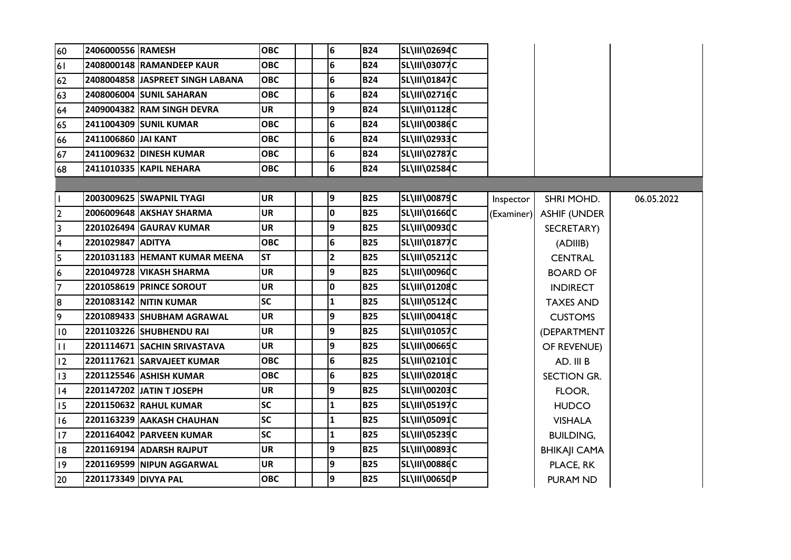| 60              | 2406000556 RAMESH    |                                   | <b>OBC</b> | 6                       | <b>B24</b> | SL\III\02694C        |            |                     |            |
|-----------------|----------------------|-----------------------------------|------------|-------------------------|------------|----------------------|------------|---------------------|------------|
| 61              |                      | 2408000148 RAMANDEEP KAUR         | <b>OBC</b> | $6\overline{6}$         | <b>B24</b> | <b>SL\III\03077C</b> |            |                     |            |
| 62              |                      | 2408004858 JJASPREET SINGH LABANA | <b>OBC</b> | $6\overline{6}$         | <b>B24</b> | SL\III\01847C        |            |                     |            |
| 63              |                      | 2408006004 SUNIL SAHARAN          | <b>OBC</b> | 6                       | <b>B24</b> | <b>SL\III\02716C</b> |            |                     |            |
| 64              |                      | 2409004382 RAM SINGH DEVRA        | <b>UR</b>  | 9                       | <b>B24</b> | SL\III\01128C        |            |                     |            |
| 65              |                      | 2411004309 SUNIL KUMAR            | <b>OBC</b> | 6                       | <b>B24</b> | SL\III\00386C        |            |                     |            |
| 66              | 2411006860 JAI KANT  |                                   | <b>OBC</b> | 6                       | <b>B24</b> | SL\III\02933C        |            |                     |            |
| 67              |                      | 2411009632 DINESH KUMAR           | <b>OBC</b> | 6                       | <b>B24</b> | <b>SL\III\02787C</b> |            |                     |            |
| 68              |                      | 2411010335 KAPIL NEHARA           | <b>OBC</b> | $6\overline{6}$         | <b>B24</b> | SL\III\02584C        |            |                     |            |
|                 |                      |                                   |            |                         |            |                      |            |                     |            |
| $\mathbf{I}$    |                      | 2003009625 SWAPNIL TYAGI          | <b>UR</b>  | 9                       | <b>B25</b> | <b>SL\III\00879C</b> | Inspector  | SHRI MOHD.          | 06.05.2022 |
| $\overline{2}$  |                      | 2006009648 AKSHAY SHARMA          | <b>UR</b>  | 0                       | <b>B25</b> | SL\III\01660C        | (Examiner) | <b>ASHIF (UNDER</b> |            |
| $\overline{3}$  |                      | 2201026494 GAURAV KUMAR           | <b>UR</b>  | 9                       | <b>B25</b> | SL\III\00930C        |            | SECRETARY)          |            |
| $\overline{4}$  | 2201029847 ADITYA    |                                   | <b>OBC</b> | $6\overline{6}$         | <b>B25</b> | <b>SL\III\01877C</b> |            | (ADIIIB)            |            |
| $\overline{5}$  |                      | 2201031183 HEMANT KUMAR MEENA     | <b>ST</b>  | $\overline{\mathbf{2}}$ | <b>B25</b> | <b>SL\III\05212C</b> |            | <b>CENTRAL</b>      |            |
| $6\overline{6}$ |                      | 2201049728 VIKASH SHARMA          | <b>UR</b>  | 9                       | <b>B25</b> | <b>SL\III\00960C</b> |            | <b>BOARD OF</b>     |            |
| $\overline{7}$  |                      | <b>2201058619 PRINCE SOROUT</b>   | <b>UR</b>  | 0                       | <b>B25</b> | SL\III\01208C        |            | <b>INDIRECT</b>     |            |
| 8               |                      | 2201083142 NITIN KUMAR            | <b>SC</b>  | $\mathbf{1}$            | <b>B25</b> | SL\III\05124C        |            | <b>TAXES AND</b>    |            |
| 9               |                      | 2201089433 SHUBHAM AGRAWAL        | <b>UR</b>  | 9                       | <b>B25</b> | SL\III\00418C        |            | <b>CUSTOMS</b>      |            |
| 10              |                      | 2201103226 SHUBHENDU RAI          | <b>UR</b>  | 9                       | <b>B25</b> | <b>SL\III\01057C</b> |            | (DEPARTMENT         |            |
| $\overline{11}$ |                      | 2201114671 SACHIN SRIVASTAVA      | <b>UR</b>  | 9                       | <b>B25</b> | SL\III\00665C        |            | OF REVENUE)         |            |
| $ 12\rangle$    |                      | 2201117621 SARVAJEET KUMAR        | <b>OBC</b> | 6                       | <b>B25</b> | SL\III\02101C        |            | AD. III B           |            |
| $ 13\rangle$    |                      | 2201125546 ASHISH KUMAR           | <b>OBC</b> | 6                       | <b>B25</b> | <b>SL\III\02018C</b> |            | SECTION GR.         |            |
| 4               |                      | 2201147202 JATIN T JOSEPH         | <b>UR</b>  | 9                       | <b>B25</b> | SL\III\00203C        |            | FLOOR,              |            |
| 15              |                      | 2201150632 RAHUL KUMAR            | <b>SC</b>  | $\mathbf{1}$            | <b>B25</b> | <b>SL\III\05197C</b> |            | <b>HUDCO</b>        |            |
| <b>16</b>       |                      | 2201163239 AAKASH CHAUHAN         | <b>SC</b>  | 1                       | <b>B25</b> | <b>SL\III\05091C</b> |            | <b>VISHALA</b>      |            |
| 17              |                      | 2201164042 PARVEEN KUMAR          | <b>SC</b>  | $\mathbf{1}$            | <b>B25</b> | <b>SL\III\05239C</b> |            | <b>BUILDING,</b>    |            |
| 18              |                      | 2201169194 ADARSH RAJPUT          | <b>UR</b>  | 9                       | <b>B25</b> | <b>SL\III\00893C</b> |            | <b>BHIKAJI CAMA</b> |            |
| $ 19\rangle$    |                      | 2201169599 NIPUN AGGARWAL         | <b>UR</b>  | 9                       | <b>B25</b> | <b>SL\III\00886C</b> |            | PLACE, RK           |            |
| 20              | 2201173349 DIVYA PAL |                                   | <b>OBC</b> | 9                       | <b>B25</b> | SL\III\00650P        |            | PURAM ND            |            |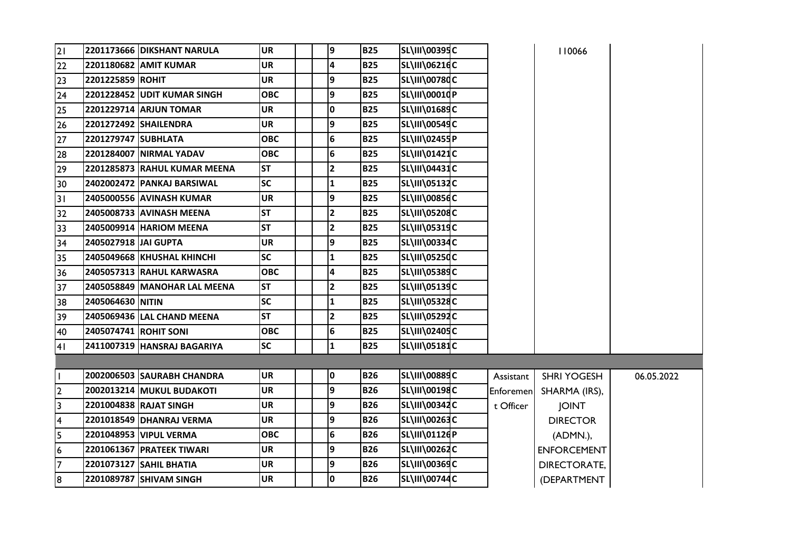| 21                      |                       | 2201173666 DIKSHANT NARULA    | <b>UR</b>  | 9 | <b>B25</b> | <b>SL\III\00395C</b> |           | 110066              |            |
|-------------------------|-----------------------|-------------------------------|------------|---|------------|----------------------|-----------|---------------------|------------|
| 22                      |                       | 2201180682 AMIT KUMAR         | <b>UR</b>  | 4 | <b>B25</b> | SL\III\06216C        |           |                     |            |
| 23                      | 2201225859 ROHIT      |                               | <b>UR</b>  | 9 | <b>B25</b> | <b>SL\III\00780C</b> |           |                     |            |
| 24                      |                       | 2201228452 UDIT KUMAR SINGH   | <b>OBC</b> | 9 | <b>B25</b> | SL\III\00010P        |           |                     |            |
| $\overline{25}$         |                       | <b>2201229714 ARJUN TOMAR</b> | <b>UR</b>  | 0 | <b>B25</b> | SL\III\01689C        |           |                     |            |
| 26                      |                       | 2201272492 SHAILENDRA         | <b>UR</b>  | 9 | <b>B25</b> | <b>SL\III\00549C</b> |           |                     |            |
| 27                      | 2201279747 SUBHLATA   |                               | <b>OBC</b> | 6 | <b>B25</b> | SL\III\02455P        |           |                     |            |
| 28                      |                       | 2201284007   NIRMAL YADAV     | <b>OBC</b> | 6 | <b>B25</b> | <b>SL\III\01421C</b> |           |                     |            |
| 29                      |                       | 2201285873 RAHUL KUMAR MEENA  | <b>ST</b>  | 2 | <b>B25</b> | <b>SL\III\04431C</b> |           |                     |            |
| 30                      |                       | 2402002472 PANKAJ BARSIWAL    | <b>SC</b>  | 1 | <b>B25</b> | <b>SL\III\05132C</b> |           |                     |            |
| $\overline{31}$         |                       | 2405000556 AVINASH KUMAR      | UR         | 9 | <b>B25</b> | <b>SL\III\00856C</b> |           |                     |            |
| 32                      |                       | 2405008733 AVINASH MEENA      | <b>ST</b>  | 2 | <b>B25</b> | <b>SL\III\05208C</b> |           |                     |            |
| 33                      |                       | 2405009914 HARIOM MEENA       | <b>ST</b>  | 2 | <b>B25</b> | <b>SL\III\05319C</b> |           |                     |            |
| 34                      | 2405027918 JAI GUPTA  |                               | <b>UR</b>  | 9 | <b>B25</b> | SL\III\00334C        |           |                     |            |
| 35                      |                       | 2405049668 KHUSHAL KHINCHI    | <b>SC</b>  | 1 | <b>B25</b> | <b>SL\III\05250C</b> |           |                     |            |
| 36                      |                       | 2405057313 RAHUL KARWASRA     | <b>OBC</b> | 4 | <b>B25</b> | <b>SL\III\05389C</b> |           |                     |            |
| 37                      |                       | 2405058849 MANOHAR LAL MEENA  | <b>ST</b>  | 2 | <b>B25</b> | <b>SL\III\05139C</b> |           |                     |            |
| 38                      | 2405064630 NITIN      |                               | <b>SC</b>  | 1 | <b>B25</b> | <b>SL\III\05328C</b> |           |                     |            |
| 39                      |                       | 2405069436 LAL CHAND MEENA    | <b>ST</b>  | 2 | <b>B25</b> | SL\III\05292C        |           |                     |            |
| 40                      | 2405074741 ROHIT SONI |                               | <b>OBC</b> | 6 | <b>B25</b> | SL\III\02405C        |           |                     |            |
| 41                      |                       | 2411007319 HANSRAJ BAGARIYA   | <b>SC</b>  | 1 | <b>B25</b> | <b>SL\III\05181C</b> |           |                     |            |
|                         |                       |                               |            |   |            |                      |           |                     |            |
| H                       |                       | 2002006503 SAURABH CHANDRA    | <b>UR</b>  | 0 | <b>B26</b> | <b>SL\III\00889C</b> | Assistant | <b>SHRI YOGESH</b>  | 06.05.2022 |
| $\overline{2}$          |                       | 2002013214 MUKUL BUDAKOTI     | <b>UR</b>  | 9 | <b>B26</b> | SL\III\00198C        | Enforemen | SHARMA (IRS),       |            |
| $\overline{3}$          |                       | 2201004838 RAJAT SINGH        | <b>UR</b>  | 9 | <b>B26</b> | SL\III\00342C        | t Officer | <b>JOINT</b>        |            |
| $\overline{\mathbf{4}}$ |                       | 2201018549 DHANRAJ VERMA      | <b>UR</b>  | 9 | <b>B26</b> | SL\III\00263C        |           | <b>DIRECTOR</b>     |            |
| $\overline{5}$          |                       | 2201048953 VIPUL VERMA        | <b>OBC</b> | 6 | <b>B26</b> | SL\III\01126P        |           | (ADMN.),            |            |
| $6\phantom{.}6$         |                       | 2201061367 PRATEEK TIWARI     | <b>UR</b>  | 9 | <b>B26</b> | SL\III\00262C        |           | <b>ENFORCEMENT</b>  |            |
| $\overline{7}$          |                       | 2201073127 SAHIL BHATIA       | <b>UR</b>  | 9 | <b>B26</b> | <b>SL\III\00369C</b> |           | <b>DIRECTORATE,</b> |            |
| 8                       |                       | 2201089787 SHIVAM SINGH       | <b>UR</b>  | 0 | <b>B26</b> | <b>SL\III\00744C</b> |           | (DEPARTMENT         |            |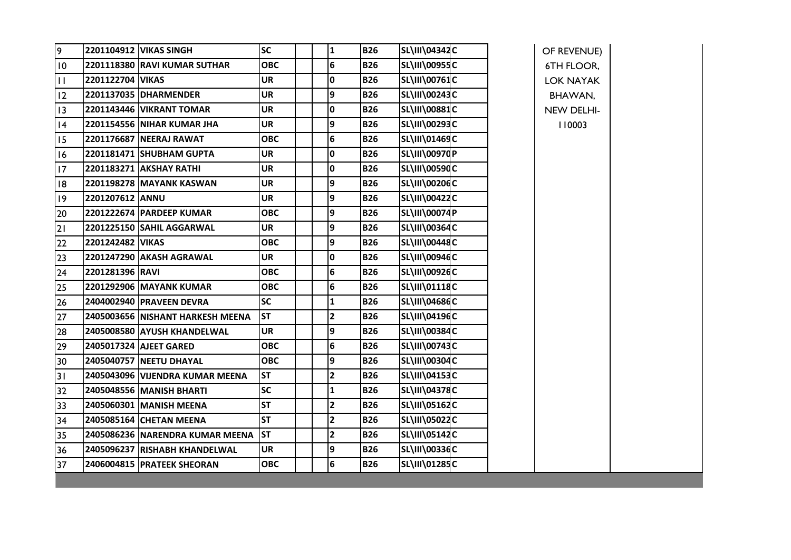| 9            |                  | 2201104912 VIKAS SINGH           | <b>SC</b>  | 1                       | <b>B26</b> | <b>SL\III\04342C</b> | OF REVENUE)       |  |
|--------------|------------------|----------------------------------|------------|-------------------------|------------|----------------------|-------------------|--|
| 10           |                  | 2201118380 RAVI KUMAR SUTHAR     | <b>OBC</b> | $6\phantom{1}6$         | <b>B26</b> | SL\III\00955C        | <b>6TH FLOOR,</b> |  |
| $\mathbf{H}$ | 2201122704 VIKAS |                                  | <b>UR</b>  | 10                      | <b>B26</b> | SL\III\00761C        | <b>LOK NAYAK</b>  |  |
| 12           |                  | 2201137035 DHARMENDER            | <b>UR</b>  | 9                       | <b>B26</b> | <b>SL\III\00243C</b> | BHAWAN,           |  |
| 3            |                  | 2201143446 VIKRANT TOMAR         | <b>UR</b>  | $\mathbf 0$             | <b>B26</b> | <b>SL\III\00881C</b> | NEW DELHI-        |  |
| 4            |                  | 2201154556 NIHAR KUMAR JHA       | <b>UR</b>  | 9                       | <b>B26</b> | SL\III\00293C        | 110003            |  |
| 15           |                  | 2201176687 NEERAJ RAWAT          | <b>OBC</b> | $6\phantom{1}6$         | <b>B26</b> | SL\III\01469C        |                   |  |
| 16           |                  | 2201181471 SHUBHAM GUPTA         | <b>UR</b>  | $\mathbf 0$             | <b>B26</b> | SL\III\00970P        |                   |  |
| 17           |                  | 2201183271 AKSHAY RATHI          | <b>UR</b>  | $\mathbf 0$             | <b>B26</b> | SL\III\0059dC        |                   |  |
| 18           |                  | <b>2201198278 MAYANK KASWAN</b>  | <b>UR</b>  | 9                       | <b>B26</b> | SL\III\00206C        |                   |  |
| 9            | 2201207612 ANNU  |                                  | <b>UR</b>  | 9                       | <b>B26</b> | <b>SL\III\00422C</b> |                   |  |
| 20           |                  | 2201222674 PARDEEP KUMAR         | <b>OBC</b> | 9                       | <b>B26</b> | <b>SL\III\00074P</b> |                   |  |
| 21           |                  | 2201225150 SAHIL AGGARWAL        | <b>UR</b>  | 9                       | <b>B26</b> | SL\III\00364C        |                   |  |
| 22           | 2201242482 VIKAS |                                  | <b>OBC</b> | 9                       | <b>B26</b> | SL\III\00448C        |                   |  |
| 23           |                  | 2201247290 AKASH AGRAWAL         | <b>UR</b>  | I٥                      | <b>B26</b> | SL\III\00946C        |                   |  |
| 24           | 2201281396 RAVI  |                                  | <b>OBC</b> | $6\phantom{1}6$         | <b>B26</b> | SL\III\00926C        |                   |  |
| 25           |                  | 2201292906 MAYANK KUMAR          | <b>OBC</b> | $6\phantom{1}6$         | <b>B26</b> | SL\III\01118C        |                   |  |
| 26           |                  | 2404002940 PRAVEEN DEVRA         | <b>SC</b>  | $\mathbf{1}$            | <b>B26</b> | <b>SL\III\04686C</b> |                   |  |
| 27           |                  | 2405003656 NISHANT HARKESH MEENA | <b>ST</b>  | $\overline{\mathbf{2}}$ | <b>B26</b> | SL\III\04196C        |                   |  |
| 28           |                  | 2405008580 AYUSH KHANDELWAL      | UR         | 9                       | <b>B26</b> | SL\III\00384C        |                   |  |
| 29           |                  | 2405017324 AJEET GARED           | <b>OBC</b> | $6\phantom{1}6$         | <b>B26</b> | <b>SL\III\00743C</b> |                   |  |
| 30           |                  | 2405040757 NEETU DHAYAL          | <b>OBC</b> | 9                       | <b>B26</b> | SL\III\00304C        |                   |  |
| 31           |                  | 2405043096 VIJENDRA KUMAR MEENA  | <b>ST</b>  | $\overline{\mathbf{2}}$ | <b>B26</b> | <b>SL\III\04153C</b> |                   |  |
| 32           |                  | 2405048556 MANISH BHARTI         | <b>SC</b>  | 1                       | <b>B26</b> | <b>SL\III\04378C</b> |                   |  |
| 33           |                  | 2405060301 MANISH MEENA          | <b>ST</b>  | $\overline{\mathbf{2}}$ | <b>B26</b> | <b>SL\III\05162C</b> |                   |  |
| 34           |                  | 2405085164 CHETAN MEENA          | <b>ST</b>  | $\overline{\mathbf{2}}$ | <b>B26</b> | SL\III\05022C        |                   |  |
| 35           |                  | 2405086236 NARENDRA KUMAR MEENA  | <b>ST</b>  | $\overline{\mathbf{2}}$ | <b>B26</b> | <b>SL\III\05142C</b> |                   |  |
| 36           |                  | 2405096237 RISHABH KHANDELWAL    | <b>UR</b>  | 9                       | <b>B26</b> | <b>SL\III\00336C</b> |                   |  |
| 37           |                  | 2406004815 PRATEEK SHEORAN       | <b>OBC</b> | $6\phantom{1}6$         | <b>B26</b> | SL\III\01285C        |                   |  |
|              |                  |                                  |            |                         |            |                      |                   |  |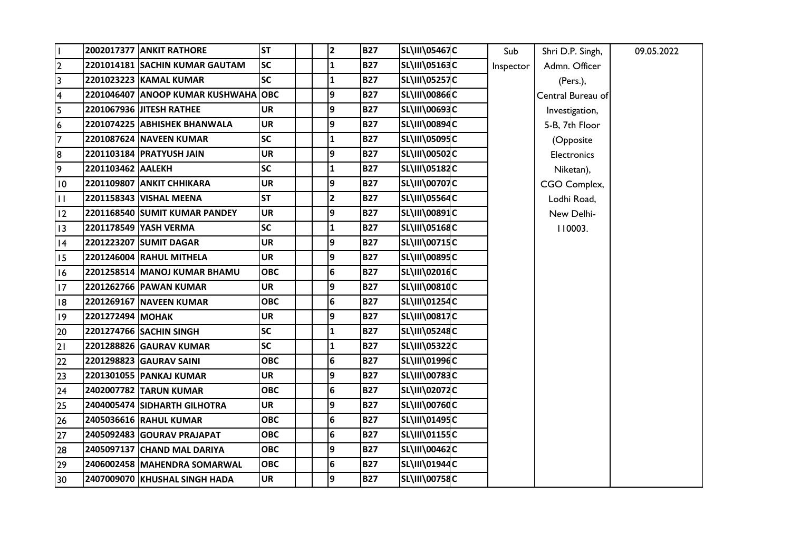|                         |                   | <b>2002017377 ANKIT RATHORE</b> | <b>ST</b>  | $\mathbf{2}$ | <b>B27</b> | <b>SL\III\05467C</b> | Sub       | Shri D.P. Singh,   | 09.05.2022 |
|-------------------------|-------------------|---------------------------------|------------|--------------|------------|----------------------|-----------|--------------------|------------|
| 2                       |                   | 2201014181 SACHIN KUMAR GAUTAM  | <b>SC</b>  | $\mathbf{1}$ | <b>B27</b> | <b>SL\III\05163C</b> | Inspector | Admn. Officer      |            |
| $\overline{\mathbf{3}}$ |                   | 2201023223 KAMAL KUMAR          | <b>SC</b>  | 1            | <b>B27</b> | <b>SL\III\05257C</b> |           | (Pers.),           |            |
| $\overline{\mathbf{4}}$ |                   | 2201046407 ANOOP KUMAR KUSHWAHA | <b>OBC</b> | 9            | <b>B27</b> | SL\III\00866C        |           | Central Bureau of  |            |
| 5                       |                   | 2201067936 JITESH RATHEE        | <b>UR</b>  | 9            | <b>B27</b> | SL\III\00693C        |           | Investigation,     |            |
| 6                       |                   | 2201074225 ABHISHEK BHANWALA    | <b>UR</b>  | 9            | <b>B27</b> | SL\III\00894C        |           | 5-B, 7th Floor     |            |
| 7                       |                   | 2201087624 NAVEEN KUMAR         | <b>SC</b>  | 1            | <b>B27</b> | <b>SL\III\05095C</b> |           | (Opposite          |            |
| 8                       |                   | 2201103184 PRATYUSH JAIN        | <b>UR</b>  | 9            | <b>B27</b> | SL\III\00502C        |           | <b>Electronics</b> |            |
| $\overline{9}$          | 2201103462 AALEKH |                                 | <b>SC</b>  | 1            | <b>B27</b> | SL\III\05182C        |           | Niketan),          |            |
| $\overline{10}$         |                   | 2201109807 ANKIT CHHIKARA       | <b>UR</b>  | 9            | <b>B27</b> | SL\III\00707C        |           | CGO Complex,       |            |
| $\mathbf{H}$            |                   | 2201158343 VISHAL MEENA         | <b>ST</b>  | 2            | <b>B27</b> | <b>SL\III\05564C</b> |           | Lodhi Road,        |            |
| $ 12\rangle$            |                   | 2201168540 SUMIT KUMAR PANDEY   | <b>UR</b>  | 9            | <b>B27</b> | <b>SL\III\00891C</b> |           | New Delhi-         |            |
| 13                      |                   | 2201178549 YASH VERMA           | <b>SC</b>  | $\mathbf{1}$ | <b>B27</b> | SL\III\05168C        |           | 110003.            |            |
| 4                       |                   | 2201223207 SUMIT DAGAR          | <b>UR</b>  | 9            | <b>B27</b> | <b>SL\III\00715C</b> |           |                    |            |
| 15                      |                   | 2201246004 RAHUL MITHELA        | <b>UR</b>  | 9            | <b>B27</b> | SL\III\00895C        |           |                    |            |
| 16                      |                   | 2201258514 MANOJ KUMAR BHAMU    | <b>OBC</b> | 6            | <b>B27</b> | <b>SL\III\02016C</b> |           |                    |            |
| 17                      |                   | 2201262766 PAWAN KUMAR          | <b>UR</b>  | 9            | <b>B27</b> | <b>SL\III\00810C</b> |           |                    |            |
| 18                      |                   | 2201269167 NAVEEN KUMAR         | <b>OBC</b> | 6            | <b>B27</b> | SL\III\01254C        |           |                    |            |
| $ 19\rangle$            | 2201272494 MOHAK  |                                 | <b>UR</b>  | 9            | <b>B27</b> | <b>SL\III\00817C</b> |           |                    |            |
| 20                      |                   | 2201274766 SACHIN SINGH         | <b>SC</b>  | 1            | <b>B27</b> | SL\III\05248C        |           |                    |            |
| $\overline{21}$         |                   | 2201288826 GAURAV KUMAR         | <b>SC</b>  | $\mathbf{1}$ | <b>B27</b> | SL\III\05322C        |           |                    |            |
| 22                      |                   | 2201298823 GAURAV SAINI         | <b>OBC</b> | 6            | <b>B27</b> | SL\III\01996C        |           |                    |            |
| 23                      |                   | 2201301055 PANKAJ KUMAR         | <b>UR</b>  | 9            | <b>B27</b> | SL\III\00783C        |           |                    |            |
| 24                      |                   | 2402007782 TARUN KUMAR          | <b>OBC</b> | 6            | <b>B27</b> | SL\III\02072C        |           |                    |            |
| 25                      |                   | 2404005474 SIDHARTH GILHOTRA    | <b>UR</b>  | 9            | <b>B27</b> | <b>SL\III\00760C</b> |           |                    |            |
| 26                      |                   | 2405036616 RAHUL KUMAR          | <b>OBC</b> | 6            | <b>B27</b> | SL\III\01495C        |           |                    |            |
| 27                      |                   | 2405092483 GOURAV PRAJAPAT      | <b>OBC</b> | 6            | <b>B27</b> | SL\III\01155C        |           |                    |            |
| 28                      |                   | 2405097137 CHAND MAL DARIYA     | <b>OBC</b> | 9            | <b>B27</b> | SL\III\00462C        |           |                    |            |
| 29                      |                   | 2406002458 MAHENDRA SOMARWAL    | <b>OBC</b> | 6            | <b>B27</b> | SL\III\01944C        |           |                    |            |
| 30                      |                   | 2407009070 KHUSHAL SINGH HADA   | <b>UR</b>  | 9            | <b>B27</b> | <b>SL\III\00758C</b> |           |                    |            |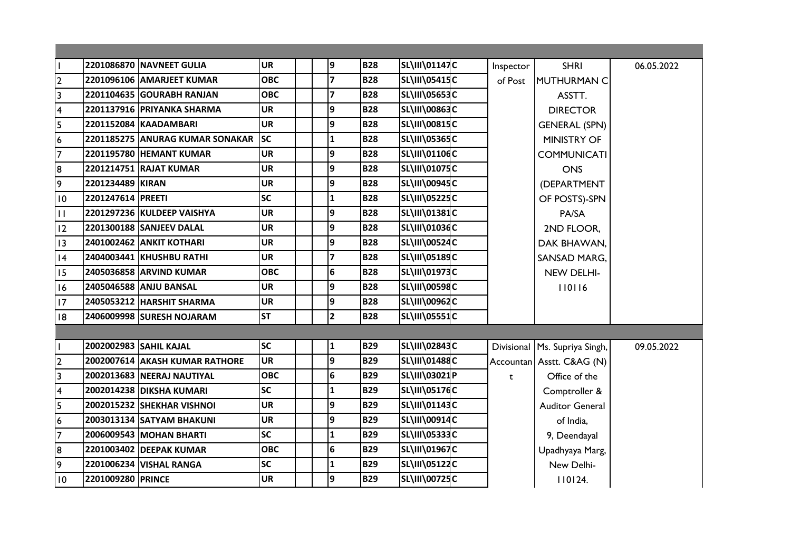| l I                     |                   | 2201086870 NAVNEET GULIA        | <b>UR</b>  | 9                       | <b>B28</b> | SL\III\01147C        | Inspector | <b>SHRI</b>                     | 06.05.2022 |
|-------------------------|-------------------|---------------------------------|------------|-------------------------|------------|----------------------|-----------|---------------------------------|------------|
| $\overline{2}$          |                   | 2201096106 AMARJEET KUMAR       | <b>OBC</b> | $\overline{z}$          | <b>B28</b> | SL\III\05415C        | of Post   | MUTHURMAN C                     |            |
| $\overline{\mathbf{3}}$ |                   | 2201104635 GOURABH RANJAN       | <b>OBC</b> | 7                       | <b>B28</b> | <b>SL\III\05653C</b> |           | ASSTT.                          |            |
| $\overline{\mathbf{4}}$ |                   | 2201137916 PRIYANKA SHARMA      | <b>UR</b>  | 9                       | <b>B28</b> | SL\III\00863C        |           | <b>DIRECTOR</b>                 |            |
| $\overline{5}$          |                   | 2201152084 KAADAMBARI           | <b>UR</b>  | 9                       | <b>B28</b> | <b>SL\III\00815C</b> |           | <b>GENERAL (SPN)</b>            |            |
| $\boldsymbol{6}$        |                   | 2201185275 ANURAG KUMAR SONAKAR | <b>SC</b>  | 1                       | <b>B28</b> | <b>SL\III\05365C</b> |           | <b>MINISTRY OF</b>              |            |
| $\overline{7}$          |                   | <b>2201195780 HEMANT KUMAR</b>  | <b>UR</b>  | 9                       | <b>B28</b> | SL\III\01106C        |           | <b>COMMUNICATI</b>              |            |
| 8                       |                   | 2201214751 RAJAT KUMAR          | <b>UR</b>  | 9                       | <b>B28</b> | SL\III\01075C        |           | <b>ONS</b>                      |            |
| ا م                     | 2201234489 KIRAN  |                                 | <b>UR</b>  | 9                       | <b>B28</b> | <b>SL\III\00945C</b> |           | (DEPARTMENT                     |            |
| $\overline{10}$         | 2201247614 PREETI |                                 | <b>SC</b>  | 1                       | <b>B28</b> | SL\III\05225C        |           | OF POSTS)-SPN                   |            |
| $\mathbf{H}$            |                   | 2201297236 KULDEEP VAISHYA      | <b>UR</b>  | 9                       | <b>B28</b> | <b>SL\III\01381C</b> |           | PA/SA                           |            |
| 12                      |                   | 2201300188 SANJEEV DALAL        | <b>UR</b>  | 9                       | <b>B28</b> | SL\III\01036C        |           | 2ND FLOOR,                      |            |
| $ 13\rangle$            |                   | <b>2401002462 ANKIT KOTHARI</b> | <b>UR</b>  | 9                       | <b>B28</b> | <b>SL\III\00524C</b> |           | DAK BHAWAN,                     |            |
| 14                      |                   | 2404003441 KHUSHBU RATHI        | <b>UR</b>  | 7                       | <b>B28</b> | SL\III\05189C        |           | <b>SANSAD MARG,</b>             |            |
| <b>I5</b>               |                   | 2405036858 ARVIND KUMAR         | <b>OBC</b> | 6                       | <b>B28</b> | <b>SL\III\01973C</b> |           | NEW DELHI-                      |            |
| <sup>16</sup>           |                   | 2405046588 ANJU BANSAL          | <b>UR</b>  | 9                       | <b>B28</b> | SL\III\00598C        |           | 110116                          |            |
| 17                      |                   | 2405053212 HARSHIT SHARMA       | <b>UR</b>  | 9                       | <b>B28</b> | <b>SL\III\00962C</b> |           |                                 |            |
| 18                      |                   | 2406009998 SURESH NOJARAM       | <b>ST</b>  | $\overline{\mathbf{c}}$ | <b>B28</b> | <b>SL\III\05551C</b> |           |                                 |            |
|                         |                   |                                 |            |                         |            |                      |           |                                 |            |
| L                       |                   | 2002002983 SAHIL KAJAL          | <b>SC</b>  | $\mathbf 1$             | <b>B29</b> | SL\III\02843C        |           | Divisional   Ms. Supriya Singh, | 09.05.2022 |
| $\overline{2}$          |                   | 2002007614 AKASH KUMAR RATHORE  | <b>UR</b>  | 9                       | <b>B29</b> | <b>SL\III\01488C</b> |           | Accountan Asstt. C&AG (N)       |            |
| س                       |                   | 2002013683 NEERAJ NAUTIYAL      | <b>OBC</b> | 6                       | <b>B29</b> | SL\III\03021P        | t         | Office of the                   |            |
| $\overline{\mathbf{4}}$ |                   | 2002014238 DIKSHA KUMARI        | <b>SC</b>  | 1                       | <b>B29</b> | <b>SL\III\05176C</b> |           | Comptroller &                   |            |
| $\overline{\mathbf{5}}$ |                   | 2002015232 SHEKHAR VISHNOI      | <b>UR</b>  | 9                       | <b>B29</b> | SL\III\01143C        |           | <b>Auditor General</b>          |            |
| $\bullet$               |                   | 2003013134 SATYAM BHAKUNI       | UR         | 9                       | <b>B29</b> | <b>SL\III\00914C</b> |           | of India,                       |            |
| $\overline{7}$          |                   | 2006009543 MOHAN BHARTI         | <b>SC</b>  | 1                       | <b>B29</b> | SL\III\05333C        |           | 9, Deendayal                    |            |
| $\overline{\mathbf{8}}$ |                   | 2201003402 DEEPAK KUMAR         | <b>OBC</b> | 6                       | <b>B29</b> | <b>SL\III\01967C</b> |           | Upadhyaya Marg,                 |            |
| 9                       |                   | 2201006234 VISHAL RANGA         | <b>SC</b>  | 1                       | <b>B29</b> | SL\III\05122C        |           | New Delhi-                      |            |
| 10                      | 2201009280 PRINCE |                                 | <b>UR</b>  | 9                       | <b>B29</b> | <b>SL\III\00725C</b> |           | 110124.                         |            |
|                         |                   |                                 |            |                         |            |                      |           |                                 |            |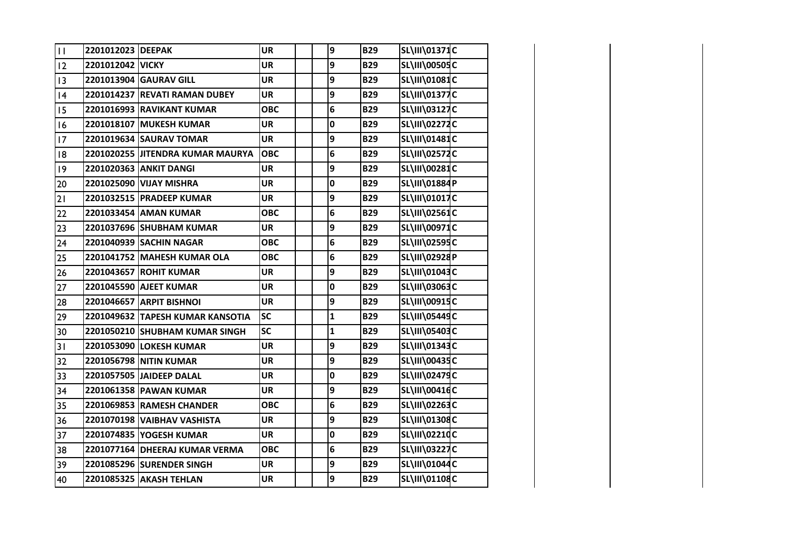| $\mathbf{H}$ | 2201012023 DEEPAK |                                  | <b>UR</b>  | 9              | <b>B29</b> | SL\III\01371C        |  |
|--------------|-------------------|----------------------------------|------------|----------------|------------|----------------------|--|
| 12           | 2201012042 VICKY  |                                  | <b>UR</b>  | 9              | <b>B29</b> | <b>SL\III\00505C</b> |  |
| 13           |                   | 2201013904 GAURAV GILL           | <b>UR</b>  | 9              | <b>B29</b> | SL\III\01081C        |  |
| 4            |                   | 2201014237 REVATI RAMAN DUBEY    | <b>UR</b>  | 9              | <b>B29</b> | SL\III\01377C        |  |
| 15           |                   | 2201016993 RAVIKANT KUMAR        | <b>OBC</b> | 6              | <b>B29</b> | SL\III\03127C        |  |
| 16           |                   | 2201018107 MUKESH KUMAR          | UR         | $\mathbf 0$    | <b>B29</b> | <b>SL\III\02272C</b> |  |
| 17           |                   | 2201019634 SAURAV TOMAR          | <b>UR</b>  | 9              | <b>B29</b> | SL\III\01481C        |  |
| 18           |                   | 2201020255 JITENDRA KUMAR MAURYA | <b>OBC</b> | 6              | <b>B29</b> | SL\III\02572C        |  |
| 9            |                   | 2201020363 ANKIT DANGI           | <b>UR</b>  | 9              | <b>B29</b> | <b>SL\III\00281C</b> |  |
| 20           |                   | 2201025090 VIJAY MISHRA          | <b>UR</b>  | $\mathbf 0$    | <b>B29</b> | SL\III\01884P        |  |
| 21           |                   | 2201032515 PRADEEP KUMAR         | <b>UR</b>  | 9              | <b>B29</b> | SL\III\01017C        |  |
| 22           |                   | 2201033454 AMAN KUMAR            | <b>OBC</b> | 6              | <b>B29</b> | SL\III\02561C        |  |
| 23           |                   | 2201037696 SHUBHAM KUMAR         | <b>UR</b>  | 9              | <b>B29</b> | SL\III\00971C        |  |
| 24           |                   | 2201040939 SACHIN NAGAR          | <b>OBC</b> | $\bf 6$        | <b>B29</b> | SL\III\02595C        |  |
| 25           |                   | 2201041752 MAHESH KUMAR OLA      | <b>OBC</b> | 6              | <b>B29</b> | SL\III\02928P        |  |
| 26           |                   | 2201043657 ROHIT KUMAR           | <b>UR</b>  | 9              | <b>B29</b> | SL\III\01043C        |  |
| 27           |                   | 2201045590 AJEET KUMAR           | <b>UR</b>  | 0              | <b>B29</b> | SL\III\03063C        |  |
| 28           |                   | 2201046657 ARPIT BISHNOI         | <b>UR</b>  | 9              | <b>B29</b> | SL\III\00915C        |  |
| 29           |                   | 2201049632 TAPESH KUMAR KANSOTIA | <b>SC</b>  | $\mathbf 1$    | <b>B29</b> | SL\III\05449C        |  |
| 30           |                   | 2201050210 SHUBHAM KUMAR SINGH   | <b>SC</b>  | $\mathbf{1}$   | <b>B29</b> | SL\III\05403C        |  |
| 31           |                   | 2201053090 LOKESH KUMAR          | <b>UR</b>  | 9              | <b>B29</b> | SL\III\01343C        |  |
| 32           |                   | 2201056798 NITIN KUMAR           | <b>UR</b>  | 9              | <b>B29</b> | SL\III\00435C        |  |
| 33           |                   | 2201057505 JAIDEEP DALAL         | <b>UR</b>  | $\mathbf 0$    | <b>B29</b> | SL\III\02479C        |  |
| 34           |                   | 2201061358 PAWAN KUMAR           | <b>UR</b>  | 9              | <b>B29</b> | SL\III\00416C        |  |
| 35           |                   | 2201069853 RAMESH CHANDER        | <b>OBC</b> | 6              | <b>B29</b> | SL\III\02263C        |  |
| 36           |                   | 2201070198 VAIBHAV VASHISTA      | <b>UR</b>  | 9              | <b>B29</b> | SL\III\01308C        |  |
| 37           |                   | 2201074835 YOGESH KUMAR          | <b>UR</b>  | 0              | <b>B29</b> | SL\III\02210C        |  |
| 38           |                   | 2201077164 DHEERAJ KUMAR VERMA   | ОВС        | $6\phantom{1}$ | <b>B29</b> | SL\III\03227C        |  |
| 39           |                   | 2201085296 SURENDER SINGH        | <b>UR</b>  | 9              | <b>B29</b> | SL\III\01044C        |  |
| 40           |                   | 2201085325 AKASH TEHLAN          | <b>UR</b>  | 9              | <b>B29</b> | SL\III\01108C        |  |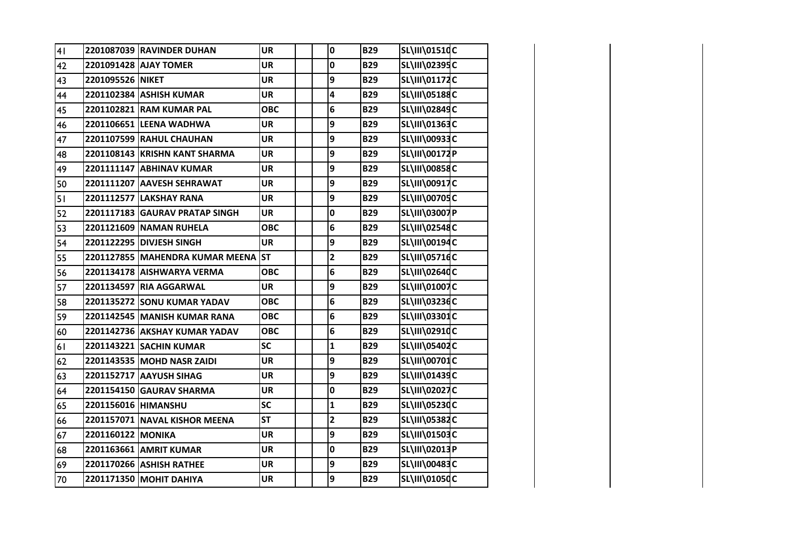| 41 |                     | 2201087039 RAVINDER DUHAN          | <b>UR</b>  | $\mathbf 0$             | <b>B29</b> | SL\III\01510C        |  |
|----|---------------------|------------------------------------|------------|-------------------------|------------|----------------------|--|
| 42 |                     | 2201091428 AJAY TOMER              | <b>UR</b>  | $\mathbf 0$             | <b>B29</b> | SL\III\02395C        |  |
| 43 | 2201095526 NIKET    |                                    | <b>UR</b>  | 9                       | <b>B29</b> | SL\III\01172C        |  |
| 44 |                     | 2201102384 ASHISH KUMAR            | <b>UR</b>  | 4                       | <b>B29</b> | SL\III\05188C        |  |
| 45 |                     | 2201102821 RAM KUMAR PAL           | <b>OBC</b> | 6                       | <b>B29</b> | SL\III\02849C        |  |
| 46 |                     | 2201106651 LEENA WADHWA            | <b>UR</b>  | 9                       | <b>B29</b> | SL\III\01363C        |  |
| 47 |                     | 2201107599 RAHUL CHAUHAN           | <b>UR</b>  | 9                       | <b>B29</b> | SL\III\00933C        |  |
| 48 |                     | 2201108143 KRISHN KANT SHARMA      | <b>UR</b>  | 9                       | <b>B29</b> | SL\III\00172P        |  |
| 49 |                     | 2201111147 ABHINAV KUMAR           | <b>UR</b>  | 9                       | <b>B29</b> | <b>SL\III\00858C</b> |  |
| 50 |                     | 2201111207 AAVESH SEHRAWAT         | <b>UR</b>  | 9                       | <b>B29</b> | SL\III\00917C        |  |
| 51 |                     | 2201112577 LAKSHAY RANA            | <b>UR</b>  | 9                       | <b>B29</b> | <b>SL\III\00705C</b> |  |
| 52 |                     | 2201117183 GAURAV PRATAP SINGH     | <b>UR</b>  | 0                       | <b>B29</b> | SL\III\03007P        |  |
| 53 |                     | 2201121609 NAMAN RUHELA            | <b>OBC</b> | 6                       | <b>B29</b> | SL\III\02548C        |  |
| 54 |                     | 2201122295 DIVJESH SINGH           | <b>UR</b>  | 9                       | <b>B29</b> | SL\III\00194C        |  |
| 55 |                     | 2201127855 MAHENDRA KUMAR MEENA ST |            | $\overline{\mathbf{c}}$ | <b>B29</b> | SL\III\05716C        |  |
| 56 |                     | 2201134178 AISHWARYA VERMA         | <b>OBC</b> | 6                       | <b>B29</b> | SL\III\02640C        |  |
| 57 |                     | 2201134597 RIA AGGARWAL            | <b>UR</b>  | 9                       | <b>B29</b> | SL\III\01007C        |  |
| 58 |                     | 2201135272 SONU KUMAR YADAV        | <b>OBC</b> | 6                       | <b>B29</b> | SL\III\03236C        |  |
| 59 |                     | 2201142545 MANISH KUMAR RANA       | <b>OBC</b> | 6                       | <b>B29</b> | SL\III\03301C        |  |
| 60 |                     | 2201142736 AKSHAY KUMAR YADAV      | <b>OBC</b> | 6                       | <b>B29</b> | SL\III\02910C        |  |
| 61 |                     | 2201143221 SACHIN KUMAR            | <b>SC</b>  | $\mathbf{1}$            | <b>B29</b> | SL\III\05402C        |  |
| 62 |                     | 2201143535 MOHD NASR ZAIDI         | <b>UR</b>  | 9                       | <b>B29</b> | SL\III\00701C        |  |
| 63 |                     | 2201152717 AAYUSH SIHAG            | <b>UR</b>  | 9                       | <b>B29</b> | SL\III\01439C        |  |
| 64 |                     | 2201154150 GAURAV SHARMA           | <b>UR</b>  | 0                       | <b>B29</b> | SL\III\02027C        |  |
| 65 | 2201156016 HIMANSHU |                                    | SC         | $\mathbf{1}$            | <b>B29</b> | <b>SL\III\05230C</b> |  |
| 66 |                     | 2201157071 NAVAL KISHOR MEENA      | <b>ST</b>  | $\overline{2}$          | <b>B29</b> | SL\III\05382C        |  |
| 67 | 2201160122 MONIKA   |                                    | <b>UR</b>  | 9                       | <b>B29</b> | SL\III\01503C        |  |
| 68 |                     | 2201163661 AMRIT KUMAR             | <b>UR</b>  | 0                       | <b>B29</b> | SL\III\02013P        |  |
| 69 |                     | 2201170266 ASHISH RATHEE           | <b>UR</b>  | 9                       | <b>B29</b> | SL\III\00483C        |  |
| 70 |                     | 2201171350 MOHIT DAHIYA            | <b>UR</b>  | 9                       | <b>B29</b> | SL\III\01050C        |  |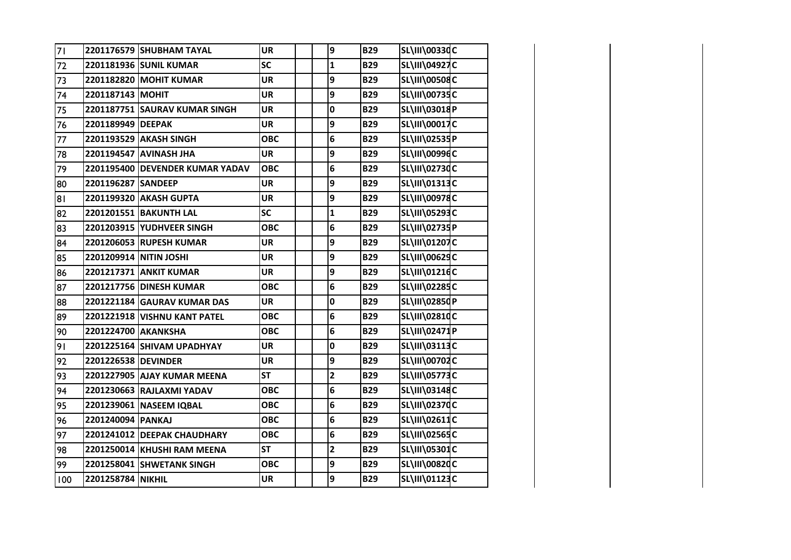| 71   |                     | 2201176579 SHUBHAM TAYAL        | <b>UR</b>  | 9              | <b>B29</b> | <b>SL\III\00330C</b> |  |
|------|---------------------|---------------------------------|------------|----------------|------------|----------------------|--|
| 72   |                     | 2201181936 SUNIL KUMAR          | SC         | $\mathbf{1}$   | <b>B29</b> | SL\III\04927C        |  |
| 73   |                     | 2201182820 MOHIT KUMAR          | <b>UR</b>  | 9              | <b>B29</b> | <b>SL\III\00508C</b> |  |
| 74   | 2201187143 MOHIT    |                                 | <b>UR</b>  | 9              | <b>B29</b> | <b>SL\III\00735C</b> |  |
| 75   |                     | 2201187751 SAURAV KUMAR SINGH   | <b>UR</b>  | 0              | <b>B29</b> | SL\III\03018P        |  |
| 76   | 2201189949 DEEPAK   |                                 | <b>UR</b>  | 9              | <b>B29</b> | <b>SL\III\00017C</b> |  |
| $77$ |                     | 2201193529 AKASH SINGH          | <b>OBC</b> | 6              | <b>B29</b> | SL\III\02535P        |  |
| 78   |                     | 2201194547 AVINASH JHA          | <b>UR</b>  | 9              | <b>B29</b> | <b>SL\III\00996C</b> |  |
| 79   |                     | 2201195400 DEVENDER KUMAR YADAV | <b>OBC</b> | 6              | <b>B29</b> | <b>SL\III\02730C</b> |  |
| 80   | 2201196287 SANDEEP  |                                 | <b>UR</b>  | 9              | <b>B29</b> | SL\III\01313C        |  |
| 81   |                     | 2201199320 AKASH GUPTA          | <b>UR</b>  | 9              | <b>B29</b> | <b>SL\III\00978C</b> |  |
| 82   |                     | 2201201551 BAKUNTH LAL          | <b>SC</b>  | $\mathbf{1}$   | <b>B29</b> | SL\III\05293C        |  |
| 83   |                     | 2201203915 YUDHVEER SINGH       | <b>OBC</b> | 6              | <b>B29</b> | SL\III\02735P        |  |
| 84   |                     | 2201206053 RUPESH KUMAR         | <b>UR</b>  | 9              | <b>B29</b> | SL\III\01207C        |  |
| 85   |                     | 2201209914 NITIN JOSHI          | <b>UR</b>  | 9              | <b>B29</b> | SL\III\00629C        |  |
| 86   |                     | 2201217371 ANKIT KUMAR          | <b>UR</b>  | 9              | <b>B29</b> | SL\III\01216C        |  |
| 87   |                     | 2201217756 DINESH KUMAR         | <b>OBC</b> | 6              | <b>B29</b> | SL\III\02285C        |  |
| 88   |                     | 2201221184 GAURAV KUMAR DAS     | <b>UR</b>  | 0              | <b>B29</b> | SL\III\02850P        |  |
| 89   |                     | 2201221918 VISHNU KANT PATEL    | <b>OBC</b> | 6              | <b>B29</b> | SL\III\02810C        |  |
| 90   | 2201224700 AKANKSHA |                                 | <b>OBC</b> | 6              | <b>B29</b> | SL\III\02471P        |  |
| 91   |                     | 2201225164 SHIVAM UPADHYAY      | <b>UR</b>  | $\pmb{0}$      | <b>B29</b> | SL\III\03113C        |  |
| 92   | 2201226538 DEVINDER |                                 | <b>UR</b>  | 9              | <b>B29</b> | <b>SL\III\00702C</b> |  |
| 93   |                     | 2201227905 AJAY KUMAR MEENA     | <b>ST</b>  | $\overline{2}$ | <b>B29</b> | <b>SL\III\05773C</b> |  |
| 94   |                     | 2201230663 RAJLAXMI YADAV       | <b>OBC</b> | 6              | <b>B29</b> | SL\III\03148C        |  |
| 95   |                     | 2201239061 NASEEM IQBAL         | <b>OBC</b> | 6              | <b>B29</b> | <b>SL\III\02370C</b> |  |
| 96   | 2201240094 PANKAJ   |                                 | <b>OBC</b> | 6              | <b>B29</b> | SL\III\02611C        |  |
| 97   |                     | 2201241012 DEEPAK CHAUDHARY     | <b>OBC</b> | 6              | <b>B29</b> | SL\III\02565C        |  |
| 98   |                     | 2201250014 KHUSHI RAM MEENA     | <b>ST</b>  | $\overline{2}$ | <b>B29</b> | SL\III\05301C        |  |
| 99   |                     | 2201258041 SHWETANK SINGH       | <b>OBC</b> | 9              | <b>B29</b> | SL\III\00820C        |  |
| 100  | 2201258784 NIKHIL   |                                 | <b>UR</b>  | 9              | <b>B29</b> | SL\III\01123C        |  |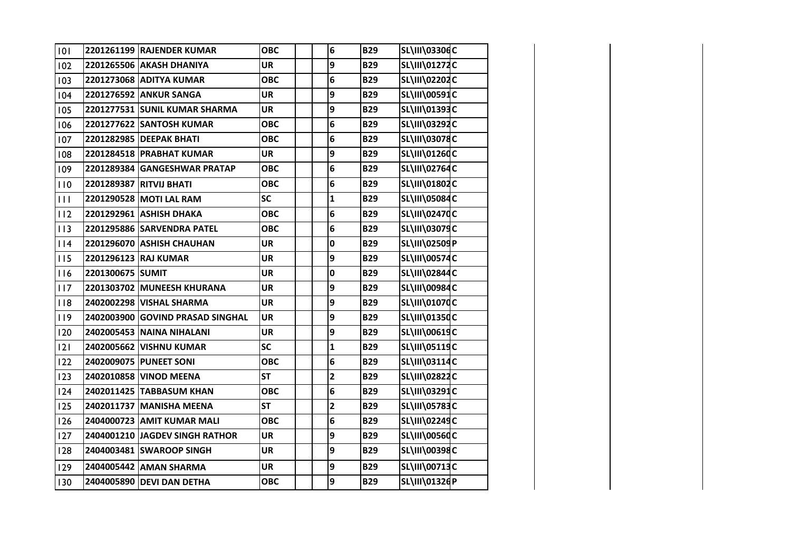| 101          |                  | 2201261199 RAJENDER KUMAR        | <b>OBC</b> | 6                       | <b>B29</b> | SL\III\03306C        |  |
|--------------|------------------|----------------------------------|------------|-------------------------|------------|----------------------|--|
| 102          |                  | 2201265506 AKASH DHANIYA         | <b>UR</b>  | 9                       | <b>B29</b> | SL\III\01272C        |  |
| 103          |                  | 2201273068 ADITYA KUMAR          | <b>OBC</b> | 6                       | <b>B29</b> | SL\III\02202C        |  |
| 104          |                  | 2201276592 ANKUR SANGA           | <b>UR</b>  | 9                       | <b>B29</b> | SL\III\00591C        |  |
| 105          |                  | 2201277531 SUNIL KUMAR SHARMA    | <b>UR</b>  | 9                       | <b>B29</b> | SL\III\01393C        |  |
| 106          |                  | 2201277622 SANTOSH KUMAR         | <b>OBC</b> | 6                       | <b>B29</b> | SL\III\03292C        |  |
| 107          |                  | 2201282985 DEEPAK BHATI          | <b>OBC</b> | 6                       | <b>B29</b> | SL\III\03078C        |  |
| 108          |                  | 2201284518 PRABHAT KUMAR         | <b>UR</b>  | 9                       | <b>B29</b> | SL\III\01260C        |  |
| 109          |                  | 2201289384 GANGESHWAR PRATAP     | <b>OBC</b> | 6                       | <b>B29</b> | <b>SL\III\02764C</b> |  |
| 110          |                  | 2201289387 RITVIJ BHATI          | <b>OBC</b> | 6                       | <b>B29</b> | SL\III\01802C        |  |
| $\mathbf{H}$ |                  | 2201290528 MOTI LAL RAM          | SC         | $\mathbf{1}$            | <b>B29</b> | SL\III\05084C        |  |
| 112          |                  | 2201292961 ASHISH DHAKA          | <b>OBC</b> | 6                       | <b>B29</b> | <b>SL\III\02470C</b> |  |
| 113          |                  | 2201295886 SARVENDRA PATEL       | <b>OBC</b> | 6                       | <b>B29</b> | SL\III\03079C        |  |
| 114          |                  | 2201296070 ASHISH CHAUHAN        | <b>UR</b>  | $\pmb{0}$               | <b>B29</b> | SL\III\02509P        |  |
| 115          |                  | 2201296123 RAJ KUMAR             | <b>UR</b>  | 9                       | <b>B29</b> | <b>SL\III\00574C</b> |  |
| 116          | 2201300675 SUMIT |                                  | UR         | 0                       | <b>B29</b> | SL\III\02844C        |  |
| 117          |                  | 2201303702 MUNEESH KHURANA       | <b>UR</b>  | 9                       | <b>B29</b> | SL\III\00984C        |  |
| 118          |                  | 2402002298 VISHAL SHARMA         | <b>UR</b>  | 9                       | <b>B29</b> | SL\III\01070C        |  |
| 119          |                  | 2402003900 GOVIND PRASAD SINGHAL | <b>UR</b>  | 9                       | <b>B29</b> | SL\III\01350C        |  |
| 120          |                  | 2402005453 NAINA NIHALANI        | UR         | 9                       | <b>B29</b> | SL\III\00619C        |  |
| 2            |                  | 2402005662 VISHNU KUMAR          | <b>SC</b>  | $\mathbf{1}$            | <b>B29</b> | SL\III\05119C        |  |
| 122          |                  | 2402009075 PUNEET SONI           | <b>OBC</b> | 6                       | <b>B29</b> | SL\III\03114C        |  |
| 123          |                  | 2402010858 VINOD MEENA           | <b>ST</b>  | $\overline{\mathbf{c}}$ | <b>B29</b> | SL\III\02822C        |  |
| 124          |                  | 2402011425 TABBASUM KHAN         | <b>OBC</b> | 6                       | <b>B29</b> | SL\III\03291C        |  |
| 125          |                  | 2402011737 MANISHA MEENA         | <b>ST</b>  | $\overline{\mathbf{c}}$ | <b>B29</b> | SL\III\05783C        |  |
| 126          |                  | 2404000723 AMIT KUMAR MALI       | <b>OBC</b> | 6                       | <b>B29</b> | SL\III\02249C        |  |
| 127          |                  | 2404001210 JAGDEV SINGH RATHOR   | <b>UR</b>  | 9                       | <b>B29</b> | <b>SL\III\00560C</b> |  |
| 128          |                  | 2404003481 SWAROOP SINGH         | <b>UR</b>  | 9                       | <b>B29</b> | SL\III\00398C        |  |
| 129          |                  | 2404005442 AMAN SHARMA           | <b>UR</b>  | 9                       | <b>B29</b> | SL\III\00713C        |  |
| 130          |                  | 2404005890 DEVI DAN DETHA        | <b>OBC</b> | 9                       | <b>B29</b> | SL\III\01326P        |  |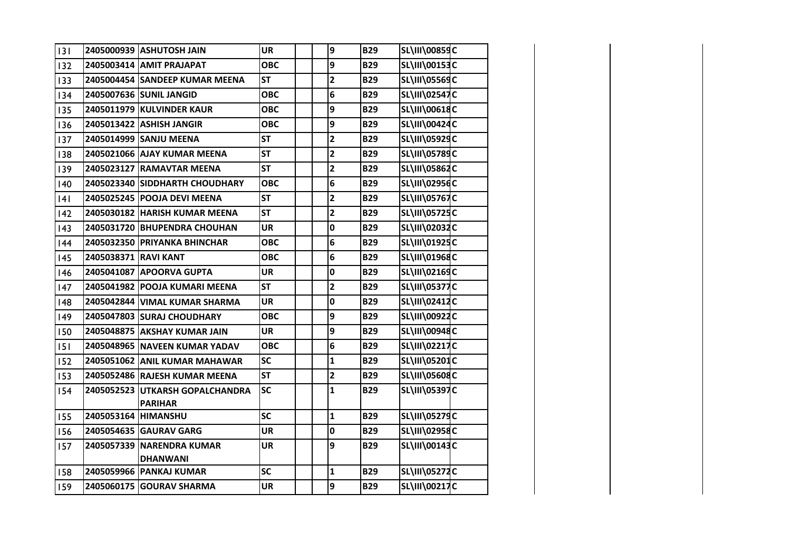| 3   |                      | 2405000939 ASHUTOSH JAIN       | <b>UR</b>  | 9                       | <b>B29</b> | <b>SL\III\00859C</b> |  |
|-----|----------------------|--------------------------------|------------|-------------------------|------------|----------------------|--|
| 132 |                      | 2405003414 AMIT PRAJAPAT       | <b>OBC</b> | 9                       | <b>B29</b> | <b>SL\III\00153C</b> |  |
| 133 |                      | 2405004454 SANDEEP KUMAR MEENA | <b>ST</b>  | $\overline{2}$          | <b>B29</b> | <b>SL\III\05569C</b> |  |
| 134 |                      | 2405007636 SUNIL JANGID        | <b>OBC</b> | 6                       | <b>B29</b> | <b>SL\III\02547C</b> |  |
| 135 |                      | 2405011979 KULVINDER KAUR      | <b>OBC</b> | 9                       | <b>B29</b> | SL\III\00618C        |  |
| 136 |                      | 2405013422 ASHISH JANGIR       | <b>OBC</b> | 9                       | <b>B29</b> | <b>SL\III\00424C</b> |  |
| 137 |                      | 2405014999 SANJU MEENA         | <b>ST</b>  | $\overline{\mathbf{2}}$ | <b>B29</b> | SL\III\05929C        |  |
| 138 |                      | 2405021066 AJAY KUMAR MEENA    | <b>ST</b>  | $\mathbf{2}$            | <b>B29</b> | SL\III\05789C        |  |
| 139 |                      | 2405023127 RAMAVTAR MEENA      | <b>ST</b>  | $\overline{\mathbf{2}}$ | <b>B29</b> | SL\III\05862C        |  |
| 140 |                      | 2405023340 SIDDHARTH CHOUDHARY | <b>OBC</b> | 6                       | <b>B29</b> | SL\III\02956C        |  |
| 4   |                      | 2405025245 POOJA DEVI MEENA    | <b>ST</b>  | $\overline{2}$          | <b>B29</b> | <b>SL\III\05767C</b> |  |
| 142 |                      | 2405030182 HARISH KUMAR MEENA  | <b>ST</b>  | $\overline{2}$          | <b>B29</b> | <b>SL\III\05725C</b> |  |
| 143 |                      | 2405031720 BHUPENDRA CHOUHAN   | <b>UR</b>  | 0                       | <b>B29</b> | SL\III\02032C        |  |
| 144 |                      | 2405032350 PRIYANKA BHINCHAR   | <b>OBC</b> | 6                       | <b>B29</b> | SL\III\01925C        |  |
| 145 | 2405038371 RAVI KANT |                                | <b>OBC</b> | $\bf 6$                 | <b>B29</b> | SL\III\01968C        |  |
| 146 |                      | 2405041087 APOORVA GUPTA       | <b>UR</b>  | $\pmb{0}$               | <b>B29</b> | SL\III\02169C        |  |
| 147 |                      | 2405041982 POOJA KUMARI MEENA  | <b>ST</b>  | $\overline{\mathbf{c}}$ | <b>B29</b> | <b>SL\III\05377C</b> |  |
| 148 |                      | 2405042844 VIMAL KUMAR SHARMA  | <b>UR</b>  | $\mathbf 0$             | <b>B29</b> | SL\III\02412C        |  |
| 149 |                      | 2405047803 SURAJ CHOUDHARY     | <b>OBC</b> | 9                       | <b>B29</b> | SL\III\00922C        |  |
| 150 |                      | 2405048875 AKSHAY KUMAR JAIN   | <b>UR</b>  | 9                       | <b>B29</b> | <b>SL\III\00948C</b> |  |
| 151 |                      | 2405048965 NAVEEN KUMAR YADAV  | <b>OBC</b> | 6                       | <b>B29</b> | SL\III\02217C        |  |
| 152 |                      | 2405051062 ANIL KUMAR MAHAWAR  | <b>SC</b>  | $\mathbf{1}$            | <b>B29</b> | SL\III\05201C        |  |
| 153 |                      | 2405052486 RAJESH KUMAR MEENA  | <b>ST</b>  | $\overline{\mathbf{2}}$ | <b>B29</b> | SL\III\05608C        |  |
| 154 | 2405052523           | UTKARSH GOPALCHANDRA           | <b>SC</b>  | $\mathbf{1}$            | <b>B29</b> | <b>SL\III\05397C</b> |  |
|     |                      | <b>PARIHAR</b>                 |            |                         |            |                      |  |
| 155 | 2405053164 HIMANSHU  |                                | SC         | $\overline{\mathbf{1}}$ | <b>B29</b> | <b>SL\III\05279C</b> |  |
| 156 |                      | 2405054635 GAURAV GARG         | <b>UR</b>  | $\mathbf 0$             | <b>B29</b> | SL\III\02958C        |  |
| 157 |                      | 2405057339 NARENDRA KUMAR      | <b>UR</b>  | 9                       | <b>B29</b> | SL\III\00143C        |  |
|     |                      | <b>DHANWANI</b>                |            |                         |            |                      |  |
| 158 |                      | 2405059966 PANKAJ KUMAR        | SC         | $\mathbf{1}$            | <b>B29</b> | <b>SL\III\05272C</b> |  |
| 159 |                      | 2405060175 GOURAV SHARMA       | <b>UR</b>  | 9                       | <b>B29</b> | SL\III\00217C        |  |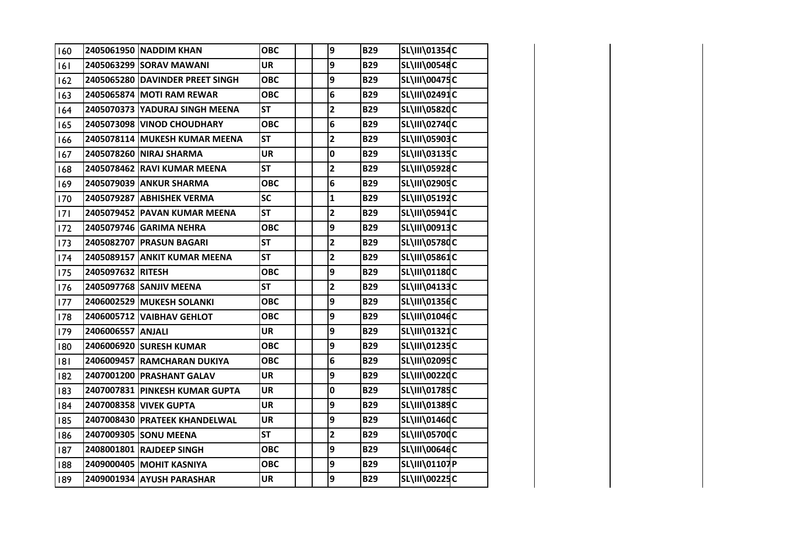| 160 |                   | 2405061950 NADDIM KHAN          | <b>OBC</b> | 9                       | <b>B29</b> | SL\III\01354C |  |
|-----|-------------------|---------------------------------|------------|-------------------------|------------|---------------|--|
| 6   |                   | 2405063299 SORAV MAWANI         | <b>UR</b>  | 9                       | <b>B29</b> | SL\III\00548C |  |
| 162 |                   | 2405065280 DAVINDER PREET SINGH | <b>OBC</b> | 9                       | <b>B29</b> | SL\III\00475C |  |
| 163 |                   | 2405065874 MOTI RAM REWAR       | <b>OBC</b> | 6                       | <b>B29</b> | SL\III\02491C |  |
| 164 |                   | 2405070373 YADURAJ SINGH MEENA  | <b>ST</b>  | $\overline{\mathbf{c}}$ | <b>B29</b> | SL\III\05820C |  |
| 165 |                   | 2405073098 VINOD CHOUDHARY      | <b>OBC</b> | 6                       | <b>B29</b> | SL\III\02740C |  |
| 166 |                   | 2405078114 MUKESH KUMAR MEENA   | <b>ST</b>  | $\overline{\mathbf{c}}$ | <b>B29</b> | SL\III\05903C |  |
| 167 |                   | 2405078260 NIRAJ SHARMA         | <b>UR</b>  | 0                       | <b>B29</b> | SL\III\03135C |  |
| 168 |                   | 2405078462 RAVI KUMAR MEENA     | <b>ST</b>  | $\overline{\mathbf{c}}$ | <b>B29</b> | SL\III\05928C |  |
| 169 |                   | 2405079039 ANKUR SHARMA         | <b>OBC</b> | 6                       | <b>B29</b> | SL\III\02905C |  |
| 170 |                   | 2405079287 ABHISHEK VERMA       | SC         | $\mathbf{1}$            | <b>B29</b> | SL\III\05192C |  |
| 7   |                   | 2405079452 PAVAN KUMAR MEENA    | <b>ST</b>  | $\overline{\mathbf{c}}$ | <b>B29</b> | SL\III\05941C |  |
| 172 |                   | 2405079746 GARIMA NEHRA         | <b>OBC</b> | 9                       | <b>B29</b> | SL\III\00913C |  |
| 173 |                   | 2405082707 PRASUN BAGARI        | <b>ST</b>  | $\mathbf{2}$            | <b>B29</b> | SL\III\05780C |  |
| 174 |                   | 2405089157 ANKIT KUMAR MEENA    | <b>ST</b>  | $\overline{\mathbf{c}}$ | <b>B29</b> | SL\III\05861C |  |
| 175 | 2405097632 RITESH |                                 | <b>OBC</b> | 9                       | <b>B29</b> | SL\III\01180C |  |
| 176 |                   | 2405097768 SANJIV MEENA         | <b>ST</b>  | $\overline{\mathbf{c}}$ | <b>B29</b> | SL\III\04133C |  |
| 177 |                   | 2406002529 MUKESH SOLANKI       | <b>OBC</b> | 9                       | <b>B29</b> | SL\III\01356C |  |
| 178 |                   | 2406005712 VAIBHAV GEHLOT       | <b>OBC</b> | 9                       | <b>B29</b> | SL\III\01046C |  |
| 179 | 2406006557 ANJALI |                                 | <b>UR</b>  | 9                       | <b>B29</b> | SL\III\01321C |  |
| 180 |                   | 2406006920 SURESH KUMAR         | <b>OBC</b> | 9                       | <b>B29</b> | SL\III\01235C |  |
| 8   |                   | 2406009457 RAMCHARAN DUKIYA     | <b>OBC</b> | 6                       | <b>B29</b> | SL\III\02095C |  |
| 182 |                   | 2407001200 PRASHANT GALAV       | <b>UR</b>  | 9                       | <b>B29</b> | SL\III\00220C |  |
| 183 |                   | 2407007831 PINKESH KUMAR GUPTA  | <b>UR</b>  | 0                       | <b>B29</b> | SL\III\01785C |  |
| 184 |                   | 2407008358 VIVEK GUPTA          | <b>UR</b>  | 9                       | <b>B29</b> | SL\III\01389C |  |
| 185 |                   | 2407008430 PRATEEK KHANDELWAL   | <b>UR</b>  | 9                       | <b>B29</b> | SL\III\01460C |  |
| 186 |                   | 2407009305 SONU MEENA           | <b>ST</b>  | $\overline{\mathbf{c}}$ | <b>B29</b> | SL\III\05700C |  |
| 187 |                   | 2408001801 RAJDEEP SINGH        | <b>OBC</b> | 9                       | <b>B29</b> | SL\III\00646C |  |
| 188 |                   | 2409000405 MOHIT KASNIYA        | <b>OBC</b> | 9                       | <b>B29</b> | SL\III\01107P |  |
| 189 |                   | 2409001934 AYUSH PARASHAR       | <b>UR</b>  | 9                       | <b>B29</b> | SL\III\00225C |  |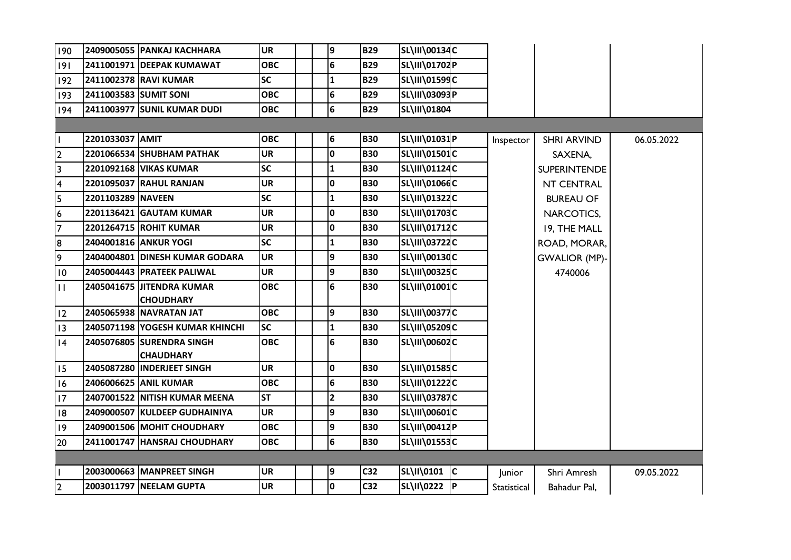| 190                     |                   | 2409005055  PANKAJ KACHHARA                    | <b>UR</b>  | 9                       | <b>B29</b>      | SL\III\00134C        |             |                      |            |
|-------------------------|-------------------|------------------------------------------------|------------|-------------------------|-----------------|----------------------|-------------|----------------------|------------|
| 9                       |                   | 2411001971 DEEPAK KUMAWAT                      | <b>OBC</b> | $6\phantom{a}$          | <b>B29</b>      | SL\III\01702P        |             |                      |            |
| 192                     |                   | 2411002378 RAVI KUMAR                          | <b>SC</b>  | $\mathbf{1}$            | <b>B29</b>      | SL\III\01599C        |             |                      |            |
| 193                     |                   | 2411003583 SUMIT SONI                          | <b>OBC</b> | 6                       | <b>B29</b>      | SL\III\03093P        |             |                      |            |
| 194                     |                   | 2411003977 SUNIL KUMAR DUDI                    | <b>OBC</b> | $6\overline{6}$         | <b>B29</b>      | SL\III\01804         |             |                      |            |
|                         |                   |                                                |            |                         |                 |                      |             |                      |            |
| $\mathbf{I}$            | 2201033037 AMIT   |                                                | <b>OBC</b> | 6                       | <b>B30</b>      | SL\III\01031P        | Inspector   | <b>SHRI ARVIND</b>   | 06.05.2022 |
| 2                       |                   | 2201066534 SHUBHAM PATHAK                      | <b>UR</b>  | 0                       | <b>B30</b>      | SL\III\01501C        |             | SAXENA,              |            |
| $\overline{\mathbf{3}}$ |                   | 2201092168 VIKAS KUMAR                         | <b>SC</b>  | 1                       | <b>B30</b>      | SL\III\01124C        |             | <b>SUPERINTENDE</b>  |            |
| $\overline{4}$          |                   | 2201095037 RAHUL RANJAN                        | <b>UR</b>  | 0                       | <b>B30</b>      | SL\III\01066C        |             | NT CENTRAL           |            |
| 5                       | 2201103289 NAVEEN |                                                | <b>SC</b>  | 1                       | <b>B30</b>      | SL\III\01322C        |             | <b>BUREAU OF</b>     |            |
| $6\overline{6}$         |                   | 2201136421 GAUTAM KUMAR                        | <b>UR</b>  | 0                       | <b>B30</b>      | SL\III\01703C        |             | NARCOTICS,           |            |
| $\overline{7}$          |                   | 2201264715 ROHIT KUMAR                         | <b>UR</b>  | I٥                      | <b>B30</b>      | SL\III\01712C        |             | 19, THE MALL         |            |
| 8                       |                   | 2404001816 ANKUR YOGI                          | <b>SC</b>  | $\mathbf{1}$            | <b>B30</b>      | <b>SL\III\03722C</b> |             | ROAD, MORAR,         |            |
| 9                       |                   | 2404004801 DINESH KUMAR GODARA                 | <b>UR</b>  | 9                       | <b>B30</b>      | SL\III\00130C        |             | <b>GWALIOR (MP)-</b> |            |
| 10                      |                   | 2405004443 PRATEEK PALIWAL                     | <b>UR</b>  | 9                       | <b>B30</b>      | SL\III\00325C        |             | 4740006              |            |
| $\mathbf{H}$            |                   | 2405041675 JJITENDRA KUMAR<br><b>CHOUDHARY</b> | <b>OBC</b> | 6                       | <b>B30</b>      | SL\III\01001C        |             |                      |            |
| 12                      |                   | 2405065938 NAVRATAN JAT                        | <b>OBC</b> | 9                       | <b>B30</b>      | SL\III\00377C        |             |                      |            |
| 13                      |                   | 2405071198 YOGESH KUMAR KHINCHI                | <b>SC</b>  | $\overline{\mathbf{1}}$ | <b>B30</b>      | SL\III\05209C        |             |                      |            |
| 4                       |                   | 2405076805 SURENDRA SINGH                      | <b>OBC</b> | 6                       | <b>B30</b>      | <b>SL\III\00602C</b> |             |                      |            |
|                         |                   | <b>CHAUDHARY</b>                               |            |                         |                 |                      |             |                      |            |
| 15                      |                   | 2405087280 INDERJEET SINGH                     | <b>UR</b>  | I٥                      | <b>B30</b>      | SL\III\01585C        |             |                      |            |
| 16                      |                   | 2406006625 ANIL KUMAR                          | <b>OBC</b> | 6                       | <b>B30</b>      | <b>SL\III\01222C</b> |             |                      |            |
| 17                      |                   | 2407001522 NITISH KUMAR MEENA                  | <b>ST</b>  | $\overline{2}$          | <b>B30</b>      | <b>SL\III\03787C</b> |             |                      |            |
| 8                       |                   | 2409000507 KULDEEP GUDHAINIYA                  | <b>UR</b>  | 9                       | <b>B30</b>      | SL\III\00601C        |             |                      |            |
| 9                       |                   | 2409001506 MOHIT CHOUDHARY                     | <b>OBC</b> | 9                       | <b>B30</b>      | SL\III\00412P        |             |                      |            |
| 20                      |                   | 2411001747 HANSRAJ CHOUDHARY                   | <b>OBC</b> | 6                       | <b>B30</b>      | SL\III\01553C        |             |                      |            |
|                         |                   |                                                |            |                         |                 |                      |             |                      |            |
| $\mathbf{I}$            |                   | 2003000663 MANPREET SINGH                      | <b>UR</b>  | 9                       | C <sub>32</sub> | SL\II\0101 C         | Junior      | Shri Amresh          | 09.05.2022 |
| 2                       |                   | 2003011797 NEELAM GUPTA                        | <b>UR</b>  | O                       | C <sub>32</sub> | SL\II\0222 P         | Statistical | Bahadur Pal,         |            |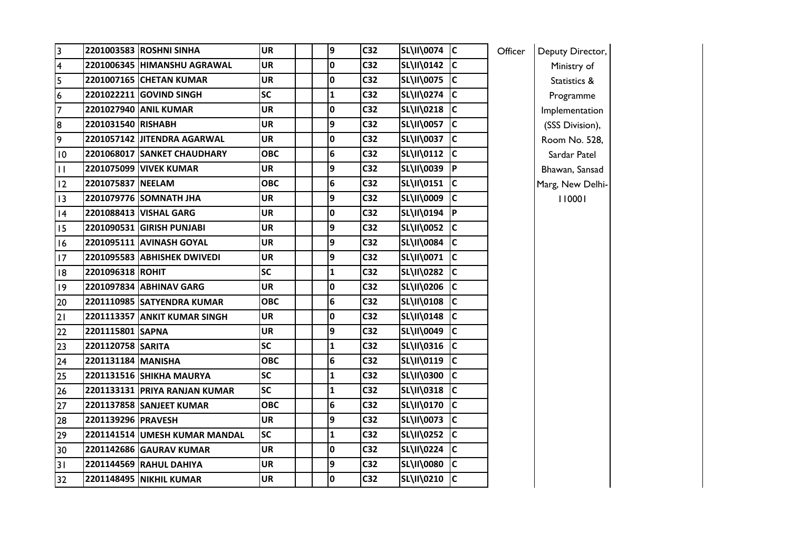| $\overline{\mathbf{3}}$ |                    | 2201003583 ROSHNI SINHA        | <b>UR</b>  |  | 9            | C <sub>32</sub> | SL\II\0074 C      |                         | Officer | Deputy Director, |
|-------------------------|--------------------|--------------------------------|------------|--|--------------|-----------------|-------------------|-------------------------|---------|------------------|
| $\overline{\mathbf{4}}$ |                    | 2201006345 HIMANSHU AGRAWAL    | <b>UR</b>  |  | 0            | C <sub>32</sub> | SL\II\0142 C      |                         |         | Ministry of      |
| 5                       |                    | 2201007165 CHETAN KUMAR        | UR         |  | 0            | C <sub>32</sub> | SL\II\0075 C      |                         |         | Statistics &     |
| 6                       |                    | 2201022211 GOVIND SINGH        | <b>SC</b>  |  | $\mathbf{1}$ | C <sub>32</sub> | SL\II\0274        | c                       |         | Programme        |
| $\overline{7}$          |                    | 2201027940 ANIL KUMAR          | UR         |  | 0            | C <sub>32</sub> | SL\II\0218 C      |                         |         | Implementation   |
| 8                       | 2201031540 RISHABH |                                | <b>UR</b>  |  | 9            | C <sub>32</sub> | SL\II\0057 C      |                         |         | (SSS Division),  |
| 9                       |                    | 2201057142 JITENDRA AGARWAL    | UR         |  | 0            | C <sub>32</sub> | SL\II\0037 C      |                         |         | Room No. 528,    |
| 10                      |                    | 2201068017 SANKET CHAUDHARY    | <b>OBC</b> |  | 6            | C <sub>32</sub> | SL\II\0112        | <b>IC</b>               |         | Sardar Patel     |
| $\mathbf{H}$            |                    | 2201075099 VIVEK KUMAR         | UR         |  | 9            | C <sub>32</sub> | SL\II\0039 P      |                         |         | Bhawan, Sansad   |
| 12                      | 2201075837 NEELAM  |                                | <b>OBC</b> |  | 6            | C <sub>32</sub> | SL\II\0151 C      |                         |         | Marg, New Delhi- |
| 13                      |                    | 2201079776 SOMNATH JHA         | UR         |  | 9            | C <sub>32</sub> | SL\II\0009        | lc.                     |         | 110001           |
| 4                       |                    | 2201088413 VISHAL GARG         | <b>UR</b>  |  | 0            | C <sub>32</sub> | SL\II\0194        | P                       |         |                  |
| 15                      |                    | 2201090531 GIRISH PUNJABI      | UR         |  | 9            | C <sub>32</sub> | SL\II\0052 C      |                         |         |                  |
| 16                      |                    | 2201095111 AVINASH GOYAL       | <b>UR</b>  |  | 9            | C <sub>32</sub> | <b>SL\II\0084</b> | $\overline{\mathsf{c}}$ |         |                  |
| 17                      |                    | 2201095583 ABHISHEK DWIVEDI    | UR         |  | 9            | C <sub>32</sub> | SL\II\0071 C      |                         |         |                  |
| 8                       | 2201096318 ROHIT   |                                | <b>SC</b>  |  | $\mathbf{1}$ | C <sub>32</sub> | SL\II\0282        | <b>IC</b>               |         |                  |
| 9                       |                    | 2201097834 ABHINAV GARG        | <b>UR</b>  |  | 0            | C <sub>32</sub> | SL\II\0206 C      |                         |         |                  |
| 20                      |                    | 2201110985 SATYENDRA KUMAR     | <b>OBC</b> |  | 6            | C <sub>32</sub> | SL\II\0108        | c                       |         |                  |
| 21                      |                    | 2201113357 ANKIT KUMAR SINGH   | UR         |  | 0            | C <sub>32</sub> | SL\II\0148 C      |                         |         |                  |
| 22                      | 2201115801 SAPNA   |                                | <b>UR</b>  |  | 9            | C <sub>32</sub> | SL\II\0049        | $\overline{\mathsf{c}}$ |         |                  |
| 23                      | 2201120758 SARITA  |                                | <b>SC</b>  |  | $\mathbf{1}$ | C <sub>32</sub> | SL\II\0316 C      |                         |         |                  |
| 24                      | 2201131184 MANISHA |                                | <b>OBC</b> |  | 6            | C <sub>32</sub> | SL\II\0119        | c                       |         |                  |
| 25                      |                    | 2201131516 SHIKHA MAURYA       | <b>SC</b>  |  | $\mathbf{1}$ | C <sub>32</sub> | SL\II\0300        | c                       |         |                  |
| 26                      |                    | 2201133131 PRIYA RANJAN KUMAR  | <b>SC</b>  |  | $\mathbf{1}$ | C <sub>32</sub> | SL\II\0318        | $\overline{c}$          |         |                  |
| 27                      |                    | 2201137858 SANJEET KUMAR       | <b>OBC</b> |  | 6            | C <sub>32</sub> | SL\II\0170 C      |                         |         |                  |
| 28                      | 2201139296 PRAVESH |                                | <b>UR</b>  |  | 9            | C <sub>32</sub> | <b>SL\II\0073</b> | <b>IC</b>               |         |                  |
| 29                      |                    | 2201141514 UMESH KUMAR MANDAL  | <b>SC</b>  |  | $\mathbf{1}$ | C <sub>32</sub> | SL\II\0252 C      |                         |         |                  |
| 30                      |                    | 2201142686 GAURAV KUMAR        | <b>UR</b>  |  | 0            | C <sub>32</sub> | SL\II\0224        | c                       |         |                  |
| 31                      |                    | 2201144569 RAHUL DAHIYA        | UR         |  | 9            | C <sub>32</sub> | SL\II\0080        | $\overline{\mathsf{c}}$ |         |                  |
| 32                      |                    | <b>2201148495 NIKHIL KUMAR</b> | <b>UR</b>  |  | 0            | C <sub>32</sub> | SL\II\0210 C      |                         |         |                  |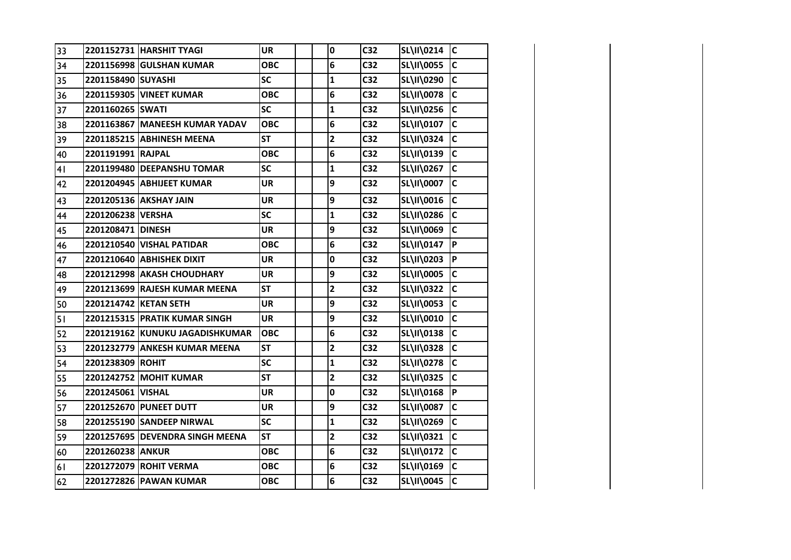| 33 |                    | 2201152731 HARSHIT TYAGI        | <b>UR</b>  | $\pmb{0}$               | C <sub>32</sub> | <b>SL\II\0214</b> | IС           |
|----|--------------------|---------------------------------|------------|-------------------------|-----------------|-------------------|--------------|
| 34 |                    | 2201156998 GULSHAN KUMAR        | <b>OBC</b> | 6                       | C <sub>32</sub> | <b>SL\II\0055</b> | C            |
| 35 | 2201158490 SUYASHI |                                 | <b>SC</b>  | $\mathbf{1}$            | C <sub>32</sub> | SL\II\0290        | $\mathsf{C}$ |
| 36 |                    | 2201159305 VINEET KUMAR         | <b>OBC</b> | 6                       | C <sub>32</sub> | <b>SL\II\0078</b> | $\mathsf{C}$ |
| 37 | 2201160265 SWATI   |                                 | SC         | $\mathbf 1$             | C <sub>32</sub> | SL\II\0256        | $\mathsf{C}$ |
| 38 |                    | 2201163867 MANEESH KUMAR YADAV  | <b>OBC</b> | 6                       | C <sub>32</sub> | SL\II\0107        | $\mathsf{C}$ |
| 39 |                    | 2201185215 ABHINESH MEENA       | <b>ST</b>  | $\mathbf{2}$            | C <sub>32</sub> | <b>SL\II\0324</b> | $\mathsf{C}$ |
| 40 | 2201191991 RAJPAL  |                                 | ОВС        | 6                       | C <sub>32</sub> | SL\II\0139        | C            |
| 41 |                    | 2201199480 DEEPANSHU TOMAR      | <b>SC</b>  | $\mathbf{1}$            | C <sub>32</sub> | SL\II\0267        | $\mathsf{C}$ |
| 42 |                    | 2201204945 ABHIJEET KUMAR       | <b>UR</b>  | 9                       | C32             | <b>SL\II\0007</b> | C            |
| 43 |                    | 2201205136 AKSHAY JAIN          | UR         | 9                       | C <sub>32</sub> | SL\II\0016        | $\mathsf{C}$ |
| 44 | 2201206238 VERSHA  |                                 | <b>SC</b>  | $\mathbf{1}$            | C <sub>32</sub> | SL\II\0286        | $\mathsf{C}$ |
| 45 | 2201208471 DINESH  |                                 | <b>UR</b>  | 9                       | C <sub>32</sub> | SL\II\0069        | C            |
| 46 |                    | 2201210540 VISHAL PATIDAR       | <b>OBC</b> | 6                       | C <sub>32</sub> | <b>SL\II\0147</b> | <b>P</b>     |
| 47 |                    | 2201210640 ABHISHEK DIXIT       | <b>UR</b>  | 0                       | C <sub>32</sub> | SL\II\0203        | P            |
| 48 |                    | 2201212998 AKASH CHOUDHARY      | <b>UR</b>  | 9                       | C <sub>32</sub> | <b>SL\II\0005</b> | $\mathsf{C}$ |
| 49 |                    | 2201213699 RAJESH KUMAR MEENA   | <b>ST</b>  | $\mathbf{2}$            | C <sub>32</sub> | <b>SL\II\0322</b> | C            |
| 50 |                    | 2201214742 KETAN SETH           | <b>UR</b>  | 9                       | C <sub>32</sub> | <b>SL\II\0053</b> | $\mathsf{C}$ |
| 51 |                    | 2201215315 PRATIK KUMAR SINGH   | <b>UR</b>  | 9                       | C <sub>32</sub> | SL\II\0010        | C            |
| 52 |                    | 2201219162 KUNUKU JAGADISHKUMAR | <b>OBC</b> | 6                       | C <sub>32</sub> | SL\II\0138        | C            |
| 53 |                    | 2201232779 ANKESH KUMAR MEENA   | <b>ST</b>  | $\overline{\mathbf{c}}$ | C <sub>32</sub> | <b>SL\II\0328</b> | C            |
| 54 | 2201238309 ROHIT   |                                 | <b>SC</b>  | $\mathbf{1}$            | C <sub>32</sub> | <b>SL\II\0278</b> | C            |
| 55 |                    | 2201242752 MOHIT KUMAR          | <b>ST</b>  | $\overline{\mathbf{c}}$ | C <sub>32</sub> | SL\II\0325        | C            |
| 56 | 2201245061 VISHAL  |                                 | <b>UR</b>  | 0                       | C <sub>32</sub> | SL\II\0168        | <b>P</b>     |
| 57 |                    | 2201252670 PUNEET DUTT          | <b>UR</b>  | 9                       | C <sub>32</sub> | <b>SL\II\0087</b> | C            |
| 58 |                    | 2201255190 SANDEEP NIRWAL       | <b>SC</b>  | $\mathbf 1$             | C32             | SL\II\0269        | C            |
| 59 |                    | 2201257695 DEVENDRA SINGH MEENA | <b>ST</b>  | $\overline{\mathbf{c}}$ | C <sub>32</sub> | SL\II\0321        | $\mathsf{C}$ |
| 60 | 2201260238 ANKUR   |                                 | <b>OBC</b> | 6                       | C <sub>32</sub> | <b>SL\II\0172</b> | C            |
| 61 |                    | 2201272079 ROHIT VERMA          | <b>OBC</b> | 6                       | C <sub>32</sub> | SL\II\0169        | C            |
| 62 |                    | 2201272826 PAWAN KUMAR          | <b>OBC</b> | 6                       | C <sub>32</sub> | SL\II\0045        | $\mathbf c$  |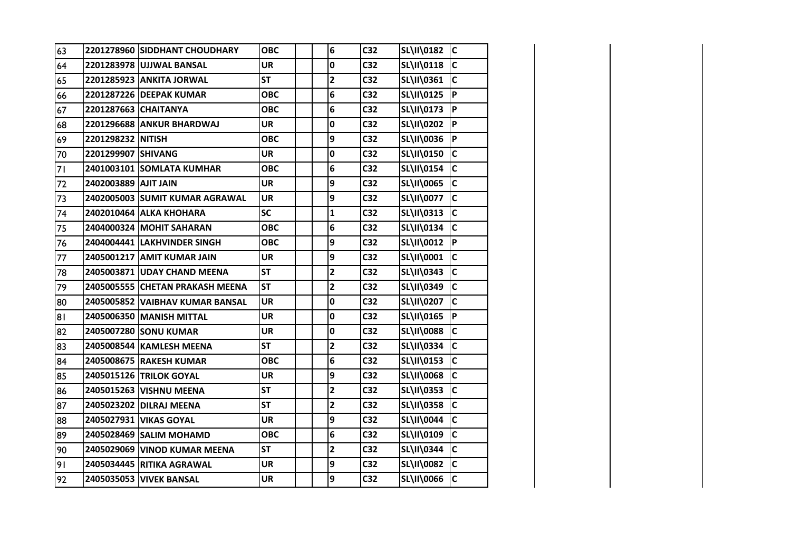| 63 |                      | 2201278960 SIDDHANT CHOUDHARY   | <b>OBC</b> | 6                       | C32             | SL\II\0182        | <b>C</b>     |
|----|----------------------|---------------------------------|------------|-------------------------|-----------------|-------------------|--------------|
| 64 |                      | 2201283978 UJJWAL BANSAL        | <b>UR</b>  | $\mathbf 0$             | C <sub>32</sub> | SL\II\0118        | $\mathsf{C}$ |
| 65 |                      | 2201285923 ANKITA JORWAL        | <b>ST</b>  | $\mathbf{2}$            | C <sub>32</sub> | SL\II\0361        | $\mathbf{C}$ |
| 66 |                      | 2201287226 DEEPAK KUMAR         | <b>OBC</b> | 6                       | C <sub>32</sub> | SL\II\0125        | lP.          |
| 67 | 2201287663 CHAITANYA |                                 | <b>OBC</b> | 6                       | C <sub>32</sub> | SL\II\0173        | P            |
| 68 |                      | 2201296688 ANKUR BHARDWAJ       | <b>UR</b>  | $\mathbf 0$             | C <sub>32</sub> | SL\II\0202        | P            |
| 69 | 2201298232 NITISH    |                                 | <b>OBC</b> | 9                       | C <sub>32</sub> | SL\II\0036        | P            |
| 70 | 2201299907 SHIVANG   |                                 | <b>UR</b>  | $\mathbf 0$             | C <sub>32</sub> | <b>SL\II\0150</b> | $\mathsf{C}$ |
| 71 |                      | 2401003101 SOMLATA KUMHAR       | <b>OBC</b> | 6                       | C <sub>32</sub> | SL\II\0154        | $\mathsf{C}$ |
| 72 | 2402003889 AJIT JAIN |                                 | <b>UR</b>  | 9                       | C32             | <b>SL\II\0065</b> | $\mathsf{C}$ |
| 73 |                      | 2402005003 SUMIT KUMAR AGRAWAL  | <b>UR</b>  | 9                       | C <sub>32</sub> | <b>SL\II\0077</b> | C            |
| 74 |                      | 2402010464 ALKA KHOHARA         | <b>SC</b>  | $\mathbf{1}$            | C <sub>32</sub> | SL\II\0313        | C            |
| 75 |                      | 2404000324 MOHIT SAHARAN        | <b>OBC</b> | 6                       | C <sub>32</sub> | SL\II\0134        | C            |
| 76 |                      | 2404004441 LAKHVINDER SINGH     | <b>OBC</b> | 9                       | C32             | SL\II\0012        | ∣P∶          |
| 77 |                      | 2405001217 AMIT KUMAR JAIN      | <b>UR</b>  | 9                       | C <sub>32</sub> | SL\II\0001        | $\mathsf{C}$ |
| 78 |                      | 2405003871 UDAY CHAND MEENA     | <b>ST</b>  | $\overline{\mathbf{2}}$ | C <sub>32</sub> | SL\II\0343        | $\mathsf{C}$ |
| 79 |                      | 2405005555 CHETAN PRAKASH MEENA | <b>ST</b>  | $\mathbf{2}$            | C32             | SL\II\0349        | C            |
| 80 |                      | 2405005852 VAIBHAV KUMAR BANSAL | <b>UR</b>  | $\mathbf 0$             | C32             | <b>SL\II\0207</b> | C            |
| 81 |                      | 2405006350 MANISH MITTAL        | <b>UR</b>  | 0                       | C32             | SL\II\0165        | P            |
| 82 |                      | 2405007280 SONU KUMAR           | <b>UR</b>  | $\mathbf 0$             | C <sub>32</sub> | <b>SL\II\0088</b> | $\mathsf{C}$ |
| 83 |                      | 2405008544 KAMLESH MEENA        | <b>ST</b>  | $\mathbf{2}$            | C <sub>32</sub> | SL\II\0334        | $\mathsf{C}$ |
| 84 |                      | 2405008675 RAKESH KUMAR         | <b>OBC</b> | 6                       | C <sub>32</sub> | SL\II\0153        | $\mathsf{C}$ |
| 85 |                      | 2405015126 TRILOK GOYAL         | <b>UR</b>  | 9                       | C <sub>32</sub> | <b>SL\II\0068</b> | $\mathsf{C}$ |
| 86 |                      | 2405015263 VISHNU MEENA         | <b>ST</b>  | $\overline{\mathbf{2}}$ | C <sub>32</sub> | SL\II\0353        | $\mathsf{C}$ |
| 87 |                      | 2405023202 DILRAJ MEENA         | <b>ST</b>  | $\mathbf{2}$            | C <sub>32</sub> | SL\II\0358        | $\mathsf{C}$ |
| 88 |                      | 2405027931 VIKAS GOYAL          | <b>UR</b>  | 9                       | C32             | <b>SL\II\0044</b> | $\mathsf{C}$ |
| 89 |                      | 2405028469 SALIM MOHAMD         | <b>OBC</b> | 6                       | C <sub>32</sub> | SL\II\0109        | C            |
| 90 |                      | 2405029069 VINOD KUMAR MEENA    | <b>ST</b>  | $\overline{\mathbf{2}}$ | C <sub>32</sub> | SL\II\0344        | $\mathsf{C}$ |
| 91 |                      | 2405034445 RITIKA AGRAWAL       | <b>UR</b>  | 9                       | C <sub>32</sub> | <b>SL\II\0082</b> | C            |
| 92 |                      | 2405035053 VIVEK BANSAL         | <b>UR</b>  | 9                       | C <sub>32</sub> | <b>SL\II\0066</b> | $\mathbf c$  |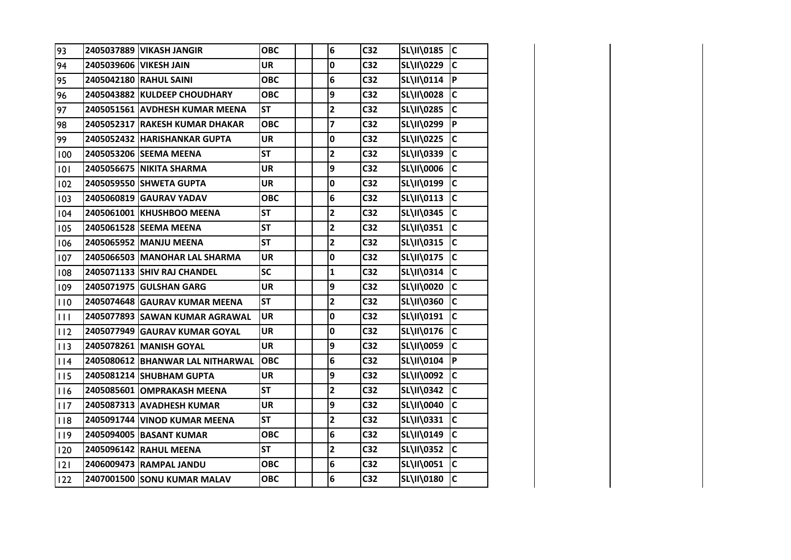| 93  | 2405037889   VIKASH JANGIR       | ОВС        | 6                       | C <sub>32</sub> | SL\II\0185        | <b>C</b>       |
|-----|----------------------------------|------------|-------------------------|-----------------|-------------------|----------------|
| 94  | 2405039606 VIKESH JAIN           | UR         | 0                       | C <sub>32</sub> | <b>SL\II\0229</b> | C              |
| 95  | 2405042180 RAHUL SAINI           | <b>OBC</b> | 6                       | C <sub>32</sub> | SL\II\0114        | P              |
| 96  | 2405043882 KULDEEP CHOUDHARY     | <b>OBC</b> | 9                       | C <sub>32</sub> | <b>SL\II\0028</b> | C              |
| 97  | 2405051561 AVDHESH KUMAR MEENA   | <b>ST</b>  | $\overline{\mathbf{c}}$ | C <sub>32</sub> | <b>SL\II\0285</b> | C              |
| 98  | 2405052317 RAKESH KUMAR DHAKAR   | <b>OBC</b> | $\overline{\mathbf{z}}$ | C <sub>32</sub> | SL\II\0299        | $\overline{P}$ |
| 99  | 2405052432 HARISHANKAR GUPTA     | <b>UR</b>  | 0                       | C <sub>32</sub> | SL\II\0225        | C              |
| 100 | 2405053206 SEEMA MEENA           | <b>ST</b>  | 2                       | C <sub>32</sub> | SL\II\0339        | $\mathsf{C}$   |
| 101 | 2405056675 NIKITA SHARMA         | <b>UR</b>  | 9                       | C <sub>32</sub> | SL\II\0006        | C              |
| 102 | 2405059550 SHWETA GUPTA          | <b>UR</b>  | 0                       | C32             | SL\II\0199        | $\mathsf{C}$   |
| 103 | 2405060819 GAURAV YADAV          | <b>OBC</b> | 6                       | C <sub>32</sub> | SL\II\0113        | C              |
| 104 | 2405061001 KHUSHBOO MEENA        | <b>ST</b>  | $\mathbf{2}$            | C <sub>32</sub> | <b>SL\II\0345</b> | $\mathsf{C}$   |
| 105 | 2405061528 SEEMA MEENA           | <b>ST</b>  | $\overline{\mathbf{c}}$ | C <sub>32</sub> | SL\II\0351        | C              |
| 106 | 2405065952 MANJU MEENA           | <b>ST</b>  | $\mathbf{2}$            | C32             | <b>SL\II\0315</b> | IC.            |
| 107 | 2405066503 MANOHAR LAL SHARMA    | <b>UR</b>  | $\mathbf 0$             | C <sub>32</sub> | SL\II\0175        | C              |
| 108 | 2405071133 SHIV RAJ CHANDEL      | <b>SC</b>  | $\mathbf{1}$            | C <sub>32</sub> | SL\II\0314        | C              |
| 109 | 2405071975 GULSHAN GARG          | <b>UR</b>  | 9                       | C <sub>32</sub> | <b>SL\II\0020</b> | C              |
| 110 | 2405074648 GAURAV KUMAR MEENA    | <b>ST</b>  | $\mathbf{2}$            | C <sub>32</sub> | <b>SL\II\0360</b> | C              |
| 111 | 2405077893 SAWAN KUMAR AGRAWAL   | <b>UR</b>  | 0                       | C <sub>32</sub> | SL\II\0191        | C              |
| 112 | 2405077949 GAURAV KUMAR GOYAL    | <b>UR</b>  | 0                       | C <sub>32</sub> | SL\II\0176        | C              |
| 113 | 2405078261 MANISH GOYAL          | <b>UR</b>  | 9                       | C <sub>32</sub> | <b>SL\II\0059</b> | C              |
| 114 | 2405080612 BHANWAR LAL NITHARWAL | <b>OBC</b> | 6                       | C32             | SL\II\0104        | ļР.            |
| 115 | 2405081214 SHUBHAM GUPTA         | <b>UR</b>  | 9                       | C <sub>32</sub> | SL\II\0092        | $\mathsf{C}$   |
| 116 | 2405085601 OMPRAKASH MEENA       | <b>ST</b>  | $\mathbf{2}$            | C <sub>32</sub> | <b>SL\II\0342</b> | $\mathsf{C}$   |
| 117 | 2405087313 AVADHESH KUMAR        | <b>UR</b>  | 9                       | C <sub>32</sub> | <b>SL\II\0040</b> | C              |
| 118 | 2405091744 VINOD KUMAR MEENA     | <b>ST</b>  | $\overline{\mathbf{c}}$ | C <sub>32</sub> | SL\II\0331        | C              |
| 119 | 2405094005 BASANT KUMAR          | <b>OBC</b> | 6                       | C <sub>32</sub> | SL\II\0149        | C              |
| 120 | 2405096142 RAHUL MEENA           | <b>ST</b>  | $\mathbf{2}$            | C <sub>32</sub> | <b>SL\II\0352</b> | $\mathsf{C}$   |
| 2   | 2406009473 RAMPAL JANDU          | <b>OBC</b> | 6                       | C <sub>32</sub> | <b>SL\II\0051</b> | C              |
| 122 | 2407001500 SONU KUMAR MALAV      | <b>OBC</b> | 6                       | C <sub>32</sub> | SL\II\0180        | $\mathsf{C}$   |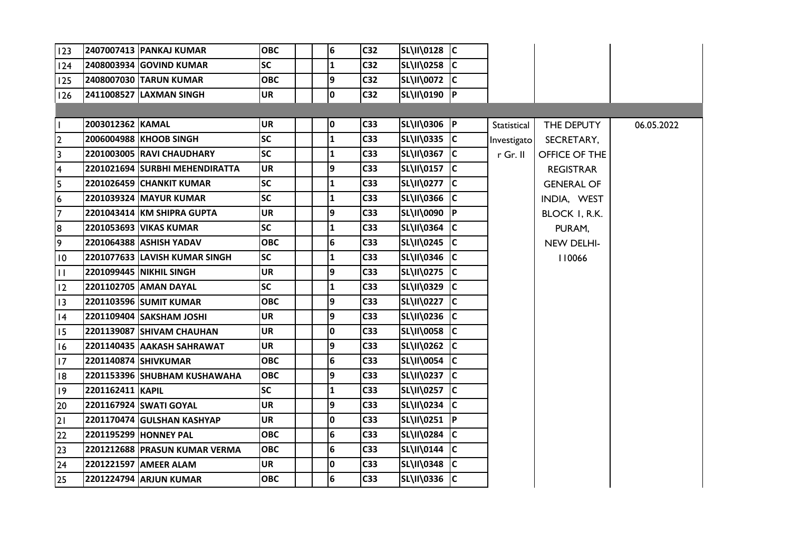| 123            |                  | 2407007413 PANKAJ KUMAR        | <b>OBC</b> | 6               | C <sub>32</sub> | SL\II\0128 C |             |                   |            |
|----------------|------------------|--------------------------------|------------|-----------------|-----------------|--------------|-------------|-------------------|------------|
| 124            |                  | 2408003934 GOVIND KUMAR        | <b>SC</b>  | $\mathbf{1}$    | C <sub>32</sub> | SL\II\0258 C |             |                   |            |
| 125            |                  | 2408007030 TARUN KUMAR         | <b>OBC</b> | 9               | C <sub>32</sub> | SL\II\0072 C |             |                   |            |
| 126            |                  | 2411008527 LAXMAN SINGH        | <b>UR</b>  | $\mathbf 0$     | C <sub>32</sub> | SL\II\0190 P |             |                   |            |
|                |                  |                                |            |                 |                 |              |             |                   |            |
| Ш              | 2003012362 KAMAL |                                | <b>UR</b>  | 0               | C33             | SL\II\0306 P | Statistical | THE DEPUTY        | 06.05.2022 |
| $\overline{2}$ |                  | 2006004988 KHOOB SINGH         | <b>SC</b>  | $\mathbf{1}$    | C <sub>33</sub> | SL\II\0335 C | Investigato | SECRETARY,        |            |
| 3              |                  | 2201003005 RAVI CHAUDHARY      | <b>SC</b>  | $\mathbf{1}$    | C33             | SL\II\0367 C | $r$ Gr. II  | OFFICE OF THE     |            |
| 4              |                  | 2201021694 SURBHI MEHENDIRATTA | <b>UR</b>  | 9               | C <sub>33</sub> | SL\II\0157 C |             | <b>REGISTRAR</b>  |            |
| 5              |                  | 2201026459 CHANKIT KUMAR       | <b>SC</b>  | $\mathbf{1}$    | C33             | SL\II\0277 C |             | <b>GENERAL OF</b> |            |
| 6              |                  | 2201039324 MAYUR KUMAR         | <b>SC</b>  | $\mathbf{1}$    | C <sub>33</sub> | SL\II\0366 C |             | INDIA, WEST       |            |
| $\overline{7}$ |                  | 2201043414 KM SHIPRA GUPTA     | <b>UR</b>  | 9               | C <sub>33</sub> |              |             | BLOCK I, R.K.     |            |
| 8              |                  | <b>2201053693 VIKAS KUMAR</b>  | <b>SC</b>  | $\mathbf{1}$    | C <sub>33</sub> | SL\II\0364 C |             | PURAM,            |            |
| 9              |                  | 2201064388 ASHISH YADAV        | <b>OBC</b> | 6               | C <sub>33</sub> | SL\II\0245 C |             | NEW DELHI-        |            |
| 10             |                  | 2201077633 LAVISH KUMAR SINGH  | <b>SC</b>  | $\mathbf{1}$    | C <sub>33</sub> | SL\II\0346 C |             | 110066            |            |
| $\vert \vert$  |                  | 2201099445  NIKHIL SINGH       | <b>UR</b>  | 9               | C <sub>33</sub> | SL\II\0275 C |             |                   |            |
| 12             |                  | 2201102705 AMAN DAYAL          | <b>SC</b>  | $\mathbf{1}$    | C <sub>33</sub> | SL\II\0329 C |             |                   |            |
| $ 13\rangle$   |                  | 2201103596 SUMIT KUMAR         | <b>OBC</b> | 9               | C <sub>33</sub> | SL\II\0227 C |             |                   |            |
| 4              |                  | 2201109404 SAKSHAM JOSHI       | UR         | 9               | C <sub>33</sub> | SL\II\0236 C |             |                   |            |
| 15             |                  | 2201139087 SHIVAM CHAUHAN      | <b>UR</b>  | $\mathbf 0$     | C <sub>33</sub> | SL\II\0058 C |             |                   |            |
| 16             |                  | 2201140435 AAKASH SAHRAWAT     | UR         | 9               | C <sub>33</sub> | SL\II\0262 C |             |                   |            |
| 17             |                  | 2201140874 SHIVKUMAR           | <b>OBC</b> | $6\phantom{1}6$ | C <sub>33</sub> | SL\II\0054 C |             |                   |            |
| 8              |                  | 2201153396 SHUBHAM KUSHAWAHA   | <b>OBC</b> | 9               | C <sub>33</sub> | SL\II\0237 C |             |                   |            |
| 9              | 2201162411 KAPIL |                                | <b>SC</b>  | 1               | C <sub>33</sub> | SL\II\0257 C |             |                   |            |
| 20             |                  | 2201167924 SWATI GOYAL         | <b>UR</b>  | 9               | C <sub>33</sub> | SL\II\0234 C |             |                   |            |
| 21             |                  | 2201170474 GULSHAN KASHYAP     | <b>UR</b>  | $\mathbf 0$     | C <sub>33</sub> | SL\II\0251 P |             |                   |            |
| 22             |                  | 2201195299 HONNEY PAL          | <b>OBC</b> | $\bf 6$         | C <sub>33</sub> | SL\II\0284 C |             |                   |            |
| 23             |                  | 2201212688 PRASUN KUMAR VERMA  | <b>OBC</b> | 6               | C <sub>33</sub> | SL\II\0144 C |             |                   |            |
| 24             |                  | 2201221597 AMEER ALAM          | <b>UR</b>  | $\mathbf 0$     | C <sub>33</sub> | SL\II\0348 C |             |                   |            |
| 25             |                  | 2201224794 ARJUN KUMAR         | <b>OBC</b> | $6\phantom{1}6$ | C <sub>33</sub> | SL\II\0336 C |             |                   |            |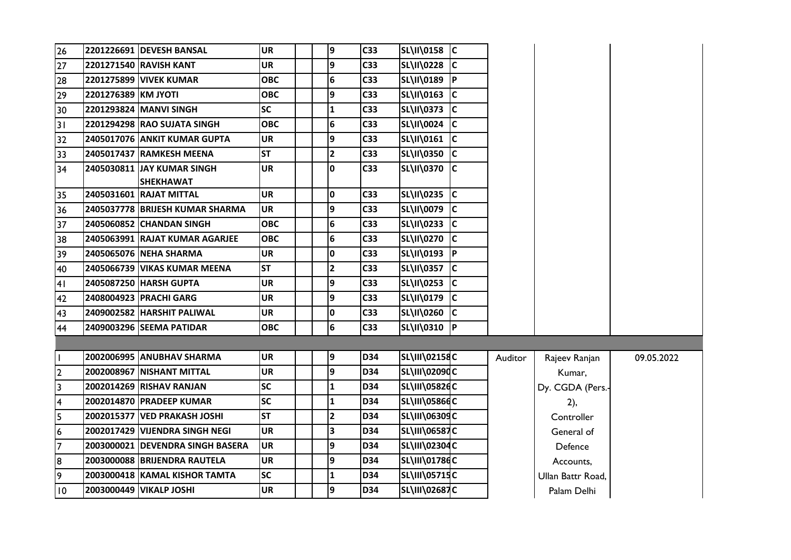| $\overline{26}$         |                     | 2201226691 DEVESH BANSAL                        | <b>UR</b>  | 9            | C33             | SL\II\0158 C         |           |         |                   |            |
|-------------------------|---------------------|-------------------------------------------------|------------|--------------|-----------------|----------------------|-----------|---------|-------------------|------------|
| 27                      |                     |                                                 | <b>UR</b>  | 9            | C <sub>33</sub> | SL\II\0228           | IC        |         |                   |            |
| 28                      |                     | <b>2201275899 VIVEK KUMAR</b>                   | <b>OBC</b> | 6            | C <sub>33</sub> | SL\II\0189 P         |           |         |                   |            |
| 29                      | 2201276389 KM JYOTI |                                                 | <b>OBC</b> | 9            | C33             | SL\II\0163           | c         |         |                   |            |
| 30                      |                     | 2201293824 MANVI SINGH                          | <b>SC</b>  | $\mathbf{1}$ | C33             | SL\II\0373 C         |           |         |                   |            |
| $\overline{31}$         |                     | 2201294298 RAO SUJATA SINGH                     | <b>OBC</b> | 6            | C33             | SL\II\0024 C         |           |         |                   |            |
| 32                      |                     | 2405017076 ANKIT KUMAR GUPTA                    | <b>UR</b>  | 9            | C33             | SL\II\0161 C         |           |         |                   |            |
| 33                      |                     | 2405017437 RAMKESH MEENA                        | <b>ST</b>  | $\mathbf{2}$ | C33             | SL\II\0350 C         |           |         |                   |            |
| 34                      |                     | 2405030811 IJAY KUMAR SINGH<br><b>SHEKHAWAT</b> | <b>UR</b>  | $\mathbf{0}$ | C <sub>33</sub> | SL\II\0370           | IС        |         |                   |            |
| 35                      |                     | 2405031601 RAJAT MITTAL                         | <b>UR</b>  | 0            | C33             |                      |           |         |                   |            |
| 36                      |                     | 2405037778 BRIJESH KUMAR SHARMA                 | <b>UR</b>  | 9            | C33             | SL\II\0079           | c         |         |                   |            |
| 37                      |                     | 2405060852 CHANDAN SINGH                        | <b>OBC</b> | 6            | C33             | SL\II\0233 C         |           |         |                   |            |
| 38                      |                     | 2405063991 RAJAT KUMAR AGARJEE                  | <b>OBC</b> | 6            | C <sub>33</sub> | SL\II\0270           | IС        |         |                   |            |
| 39                      |                     | 2405065076 NEHA SHARMA                          | <b>UR</b>  | 0            | C <sub>33</sub> | SL\II\0193           | <u>Ір</u> |         |                   |            |
| 40                      |                     | 2405066739 VIKAS KUMAR MEENA                    | <b>ST</b>  | $\mathbf{2}$ | C33             | SL\II\0357 C         |           |         |                   |            |
| 41                      |                     | 2405087250 HARSH GUPTA                          | <b>UR</b>  | 9            | C33             | SL\II\0253           | c         |         |                   |            |
| 42                      |                     | 2408004923 PRACHI GARG                          | <b>UR</b>  | 9            | C33             | SL\II\0179 C         |           |         |                   |            |
| 43                      |                     | 2409002582 HARSHIT PALIWAL                      | <b>UR</b>  | 0            | C33             | SL\II\0260           | c         |         |                   |            |
| 44                      |                     | 2409003296 SEEMA PATIDAR                        | <b>OBC</b> | 6            | C33             | SL\II\0310           | P         |         |                   |            |
|                         |                     |                                                 |            |              |                 |                      |           |         |                   |            |
| L                       |                     | 2002006995 ANUBHAV SHARMA                       | <b>UR</b>  | 9            | <b>D34</b>      | SL\III\02158C        |           | Auditor | Rajeev Ranjan     | 09.05.2022 |
| $\overline{2}$          |                     | 2002008967 NISHANT MITTAL                       | <b>UR</b>  | 9            | D34             | SL\III\02090C        |           |         | Kumar,            |            |
| $\overline{\mathbf{3}}$ |                     | 2002014269 RISHAV RANJAN                        | <b>SC</b>  | $\mathbf{1}$ | D34             | SL\III\05826C        |           |         | Dy. CGDA (Pers.-  |            |
| $\overline{4}$          |                     | 2002014870 PRADEEP KUMAR                        | <b>SC</b>  | $\mathbf{1}$ | <b>D34</b>      | SL\III\05866C        |           |         | 2),               |            |
| $\overline{5}$          |                     | 2002015377 VED PRAKASH JOSHI                    | <b>ST</b>  | $\mathbf{2}$ | D34             | SL\III\06309C        |           |         | Controller        |            |
| 6                       |                     | 2002017429 VIJENDRA SINGH NEGI                  | <b>UR</b>  | 3            | <b>D34</b>      | <b>SL\III\06587C</b> |           |         | General of        |            |
| $\overline{7}$          |                     | 2003000021 IDEVENDRA SINGH BASERA               | <b>UR</b>  | 9            | D34             | SL\III\02304C        |           |         | Defence           |            |
| 8                       |                     | 2003000088 BRIJENDRA RAUTELA                    | <b>UR</b>  | 9            | D34             | SL\III\01786C        |           |         | Accounts,         |            |
| $\overline{\mathsf{e}}$ |                     | 2003000418   KAMAL KISHOR TAMTA                 | <b>SC</b>  | 1            | D34             | SL\III\05715C        |           |         | Ullan Battr Road, |            |
| 10                      |                     | 2003000449 VIKALP JOSHI                         | <b>UR</b>  | 9            | <b>D34</b>      | <b>SL\III\02687C</b> |           |         | Palam Delhi       |            |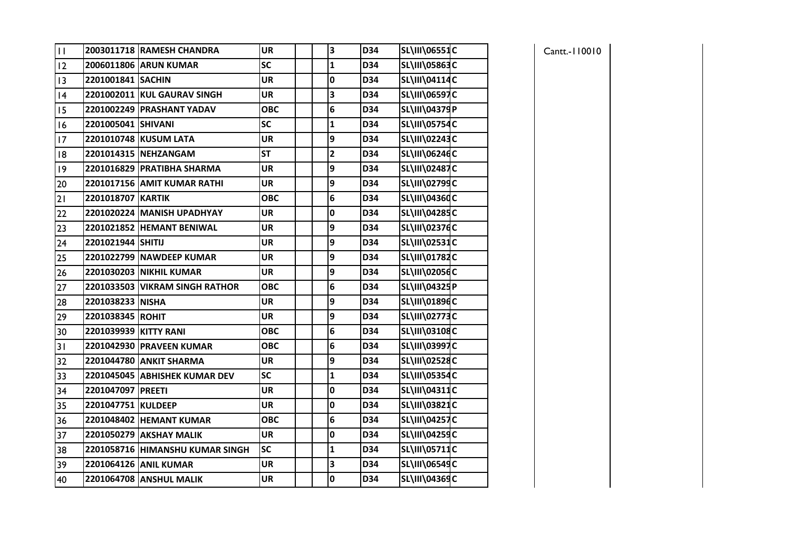| $\overline{11}$ |                       | 2003011718 RAMESH CHANDRA       | <b>UR</b>  | 3                       | D34 | SL\III\06551C        |  |
|-----------------|-----------------------|---------------------------------|------------|-------------------------|-----|----------------------|--|
| 12              |                       | 2006011806 ARUN KUMAR           | SC         | $\mathbf{1}$            | D34 | SL\III\05863C        |  |
| 13              | 2201001841 SACHIN     |                                 | <b>UR</b>  | 0                       | D34 | SL\III\04114C        |  |
| 4               |                       | 2201002011 KUL GAURAV SINGH     | <b>UR</b>  | 3                       | D34 | SL\III\06597C        |  |
| 15              |                       | 2201002249 PRASHANT YADAV       | <b>OBC</b> | 6                       | D34 | SL\III\04379P        |  |
| 16              | 2201005041 SHIVANI    |                                 | <b>SC</b>  | 1                       | D34 | <b>SL\III\05754C</b> |  |
| 17              |                       | 2201010748 KUSUM LATA           | <b>UR</b>  | 9                       | D34 | SL\III\02243C        |  |
| 18              |                       | 2201014315 NEHZANGAM            | <b>ST</b>  | $\overline{\mathbf{c}}$ | D34 | SL\III\06246C        |  |
| 19              |                       | 2201016829 PRATIBHA SHARMA      | <b>UR</b>  | 9                       | D34 | SL\III\02487C        |  |
| 20              |                       | 2201017156 AMIT KUMAR RATHI     | <b>UR</b>  | 9                       | D34 | SL\III\02799C        |  |
| 21              | 2201018707 KARTIK     |                                 | <b>OBC</b> | 6                       | D34 | SL\III\04360C        |  |
| 22              |                       | 2201020224 MANISH UPADHYAY      | <b>UR</b>  | $\mathbf 0$             | D34 | SL\III\04285C        |  |
| 23              |                       | 2201021852 HEMANT BENIWAL       | <b>UR</b>  | 9                       | D34 | SL\III\02376C        |  |
| 24              | 2201021944 SHITIJ     |                                 | <b>UR</b>  | 9                       | D34 | SL\III\02531C        |  |
| 25              |                       | 2201022799 NAWDEEP KUMAR        | <b>UR</b>  | 9                       | D34 | SL\III\01782C        |  |
| 26              |                       | 2201030203 NIKHIL KUMAR         | <b>UR</b>  | 9                       | D34 | SL\III\02056C        |  |
| 27              |                       | 2201033503 VIKRAM SINGH RATHOR  | <b>OBC</b> | 6                       | D34 | SL\III\04325P        |  |
| 28              | 2201038233 NISHA      |                                 | <b>UR</b>  | 9                       | D34 | SL\III\01896C        |  |
| 29              | 2201038345 ROHIT      |                                 | <b>UR</b>  | 9                       | D34 | SL\III\02773C        |  |
| 30              | 2201039939 KITTY RANI |                                 | <b>OBC</b> | 6                       | D34 | SL\III\03108C        |  |
| 31              |                       | 2201042930 PRAVEEN KUMAR        | <b>OBC</b> | 6                       | D34 | SL\III\03997C        |  |
| 32              |                       | 2201044780 ANKIT SHARMA         | <b>UR</b>  | 9                       | D34 | SL\III\02528C        |  |
| 33              |                       | 2201045045 ABHISHEK KUMAR DEV   | <b>SC</b>  | $\mathbf{1}$            | D34 | SL\III\05354C        |  |
| 34              | 2201047097 PREETI     |                                 | <b>UR</b>  | 0                       | D34 | SL\III\04311C        |  |
| 35              | 2201047751 KULDEEP    |                                 | <b>UR</b>  | 0                       | D34 | SL\III\03821C        |  |
| 36              |                       | 2201048402 HEMANT KUMAR         | <b>OBC</b> | 6                       | D34 | SL\III\04257C        |  |
| 37              |                       | 2201050279 AKSHAY MALIK         | <b>UR</b>  | 0                       | D34 | SL\III\04259C        |  |
| 38              |                       | 2201058716 HIMANSHU KUMAR SINGH | SC         | $\mathbf{1}$            | D34 | SL\III\05711C        |  |
| 39              |                       | 2201064126 ANIL KUMAR           | <b>UR</b>  | 3                       | D34 | SL\III\06549C        |  |
| 40              |                       | 2201064708 ANSHUL MALIK         | <b>UR</b>  | $\mathbf 0$             | D34 | SL\III\04369C        |  |

| Cantt.-110010 |  |  |
|---------------|--|--|
|---------------|--|--|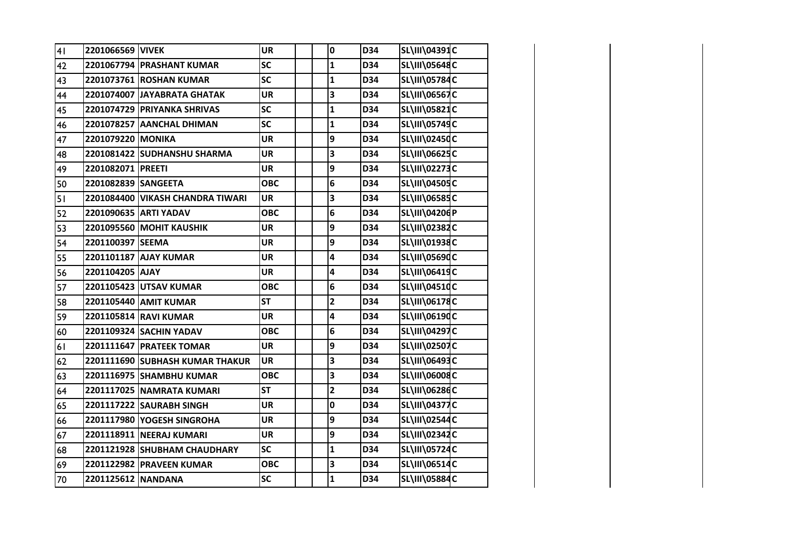| 41 | 2201066569 VIVEK    |                                  | <b>UR</b>  | $\pmb{0}$               | D34 | SL\III\04391C        |  |
|----|---------------------|----------------------------------|------------|-------------------------|-----|----------------------|--|
| 42 |                     | 2201067794 PRASHANT KUMAR        | SC         | $\mathbf{1}$            | D34 | SL\III\05648C        |  |
| 43 |                     | 2201073761 ROSHAN KUMAR          | <b>SC</b>  | $\mathbf{1}$            | D34 | SL\III\05784C        |  |
| 44 |                     | 2201074007 JAYABRATA GHATAK      | <b>UR</b>  | 3                       | D34 | <b>SL\III\06567C</b> |  |
| 45 |                     | 2201074729 PRIYANKA SHRIVAS      | <b>SC</b>  | $\mathbf{1}$            | D34 | SL\III\05821C        |  |
| 46 |                     | 2201078257 AANCHAL DHIMAN        | SC         | $\mathbf{1}$            | D34 | SL\III\05749C        |  |
| 47 | 2201079220 MONIKA   |                                  | <b>UR</b>  | 9                       | D34 | SL\III\02450C        |  |
| 48 |                     | 2201081422 SUDHANSHU SHARMA      | <b>UR</b>  | 3                       | D34 | SL\III\06625C        |  |
| 49 | 2201082071 PREETI   |                                  | <b>UR</b>  | 9                       | D34 | SL\III\02273C        |  |
| 50 | 2201082839 SANGEETA |                                  | <b>OBC</b> | 6                       | D34 | SL\III\04505C        |  |
| 51 |                     | 2201084400 VIKASH CHANDRA TIWARI | <b>UR</b>  | 3                       | D34 | SL\III\06585C        |  |
| 52 |                     | 2201090635 ARTI YADAV            | <b>OBC</b> | 6                       | D34 | SL\III\04206P        |  |
| 53 |                     | 2201095560 MOHIT KAUSHIK         | <b>UR</b>  | 9                       | D34 | SL\III\02382C        |  |
| 54 | 2201100397 SEEMA    |                                  | <b>UR</b>  | 9                       | D34 | SL\III\01938C        |  |
| 55 |                     | 2201101187 AJAY KUMAR            | <b>UR</b>  | 4                       | D34 | SL\III\05690C        |  |
| 56 | 2201104205 AJAY     |                                  | <b>UR</b>  | 4                       | D34 | SL\III\06419C        |  |
| 57 |                     | 2201105423 UTSAV KUMAR           | <b>OBC</b> | 6                       | D34 | SL\III\04510C        |  |
| 58 |                     | 2201105440 AMIT KUMAR            | <b>ST</b>  | $\mathbf{2}$            | D34 | SL\III\06178C        |  |
| 59 |                     | 2201105814 RAVI KUMAR            | UR         | 4                       | D34 | SL\III\06190C        |  |
| 60 |                     | 2201109324 SACHIN YADAV          | <b>OBC</b> | 6                       | D34 | SL\III\04297C        |  |
| 61 |                     | 2201111647 PRATEEK TOMAR         | <b>UR</b>  | 9                       | D34 | SL\III\02507C        |  |
| 62 |                     | 2201111690 SUBHASH KUMAR THAKUR  | <b>UR</b>  | 3                       | D34 | SL\III\06493C        |  |
| 63 |                     | 2201116975 SHAMBHU KUMAR         | <b>OBC</b> | 3                       | D34 | SL\III\06008C        |  |
| 64 |                     | 2201117025 NAMRATA KUMARI        | <b>ST</b>  | $\overline{\mathbf{2}}$ | D34 | SL\III\06286C        |  |
| 65 |                     | 2201117222 SAURABH SINGH         | <b>UR</b>  | 0                       | D34 | <b>SL\III\04377C</b> |  |
| 66 |                     | 2201117980 YOGESH SINGROHA       | <b>UR</b>  | 9                       | D34 | SL\III\02544C        |  |
| 67 |                     | 2201118911 NEERAJ KUMARI         | <b>UR</b>  | 9                       | D34 | SL\III\02342C        |  |
| 68 |                     | 2201121928 SHUBHAM CHAUDHARY     | <b>SC</b>  | $\mathbf 1$             | D34 | <b>SL\III\05724C</b> |  |
| 69 |                     | 2201122982 PRAVEEN KUMAR         | <b>OBC</b> | 3                       | D34 | SL\III\06514C        |  |
| 70 | 2201125612 NANDANA  |                                  | <b>SC</b>  | $\mathbf 1$             | D34 | SL\III\05884C        |  |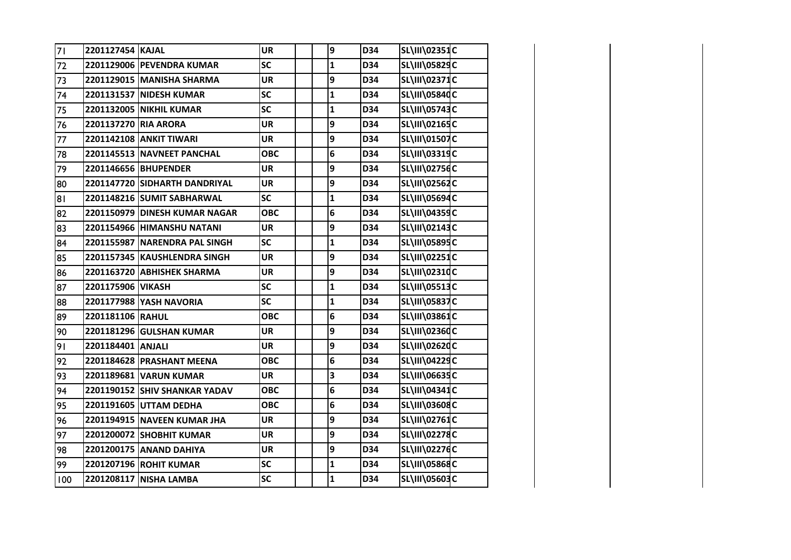| 71   | 2201127454 KAJAL     |                                 | <b>UR</b>  | 9            | D34 | SL\III\02351C        |  |
|------|----------------------|---------------------------------|------------|--------------|-----|----------------------|--|
| 72   |                      | 2201129006 PEVENDRA KUMAR       | <b>SC</b>  | $\mathbf{1}$ | D34 | SL\III\05829C        |  |
| 73   |                      | 2201129015 MANISHA SHARMA       | <b>UR</b>  | 9            | D34 | SL\III\02371C        |  |
| 74   |                      | 2201131537 NIDESH KUMAR         | <b>SC</b>  | $\mathbf{1}$ | D34 | SL\III\05840C        |  |
| 75   |                      | 2201132005 NIKHIL KUMAR         | <b>SC</b>  | $\mathbf{1}$ | D34 | SL\III\05743C        |  |
| 76   | 2201137270 RIA ARORA |                                 | <b>UR</b>  | 9            | D34 | SL\III\02165C        |  |
| $77$ |                      | 2201142108 ANKIT TIWARI         | <b>UR</b>  | 9            | D34 | SL\III\01507C        |  |
| 78   |                      | 2201145513 NAVNEET PANCHAL      | <b>OBC</b> | 6            | D34 | SL\III\03319C        |  |
| 79   |                      | 2201146656 BHUPENDER            | <b>UR</b>  | 9            | D34 | SL\III\02756C        |  |
| 80   |                      | 2201147720 SIDHARTH DANDRIYAL   | <b>UR</b>  | 9            | D34 | SL\III\02562C        |  |
| 81   |                      | 2201148216 SUMIT SABHARWAL      | <b>SC</b>  | $\mathbf{1}$ | D34 | SL\III\05694C        |  |
| 82   |                      | 2201150979 DINESH KUMAR NAGAR   | <b>OBC</b> | 6            | D34 | SL\III\04359C        |  |
| 83   |                      | 2201154966 HIMANSHU NATANI      | <b>UR</b>  | 9            | D34 | <b>SL\III\02143C</b> |  |
| 84   |                      | 2201155987 NARENDRA PAL SINGH   | <b>SC</b>  | $\mathbf 1$  | D34 | SL\III\05895C        |  |
| 85   |                      | 2201157345 KAUSHLENDRA SINGH    | <b>UR</b>  | 9            | D34 | SL\III\02251C        |  |
| 86   |                      | 2201163720 ABHISHEK SHARMA      | <b>UR</b>  | 9            | D34 | SL\III\02310C        |  |
| 87   | 2201175906 VIKASH    |                                 | SC         | $\mathbf 1$  | D34 | <b>SL\III\05513C</b> |  |
| 88   |                      | 2201177988 YASH NAVORIA         | <b>SC</b>  | $\mathbf{1}$ | D34 | <b>SL\III\05837C</b> |  |
| 89   | 2201181106 RAHUL     |                                 | <b>OBC</b> | 6            | D34 | SL\III\03861C        |  |
| 90   |                      | 2201181296 GULSHAN KUMAR        | <b>UR</b>  | 9            | D34 | SL\III\02360C        |  |
| 91   | 2201184401 ANJALI    |                                 | <b>UR</b>  | 9            | D34 | SL\III\02620C        |  |
| 92   |                      | 2201184628 PRASHANT MEENA       | <b>OBC</b> | 6            | D34 | SL\III\04229C        |  |
| 93   |                      | 2201189681 VARUN KUMAR          | <b>UR</b>  | 3            | D34 | SL\III\06635C        |  |
| 94   |                      | 2201190152 SHIV SHANKAR YADAV   | <b>OBC</b> | 6            | D34 | SL\III\04341C        |  |
| 95   |                      | 2201191605 UTTAM DEDHA          | <b>OBC</b> | 6            | D34 | SL\III\03608C        |  |
| 96   |                      | 2201194915 NAVEEN KUMAR JHA     | <b>UR</b>  | 9            | D34 | SL\III\02761C        |  |
| 97   |                      | <b>2201200072 SHOBHIT KUMAR</b> | <b>UR</b>  | 9            | D34 | <b>SL\III\02278C</b> |  |
| 98   |                      | 2201200175 ANAND DAHIYA         | <b>UR</b>  | 9            | D34 | <b>SL\III\02276C</b> |  |
| 99   |                      | 2201207196 ROHIT KUMAR          | SC         | $\mathbf 1$  | D34 | SL\III\05868C        |  |
| 100  |                      | 2201208117 NISHA LAMBA          | <b>SC</b>  | $\mathbf{1}$ | D34 | SL\III\05603C        |  |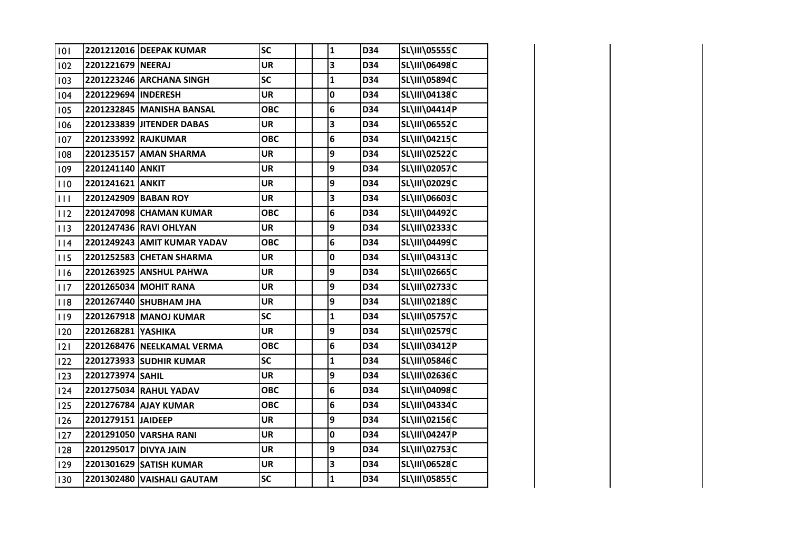| 101 |                       | 2201212016 DEEPAK KUMAR     | <b>SC</b>  | $\mathbf{1}$ | D34 | <b>SL\III\05555C</b> |  |
|-----|-----------------------|-----------------------------|------------|--------------|-----|----------------------|--|
| 102 | 2201221679 NEERAJ     |                             | <b>UR</b>  | 3            | D34 | SL\III\06498C        |  |
| 103 |                       | 2201223246 ARCHANA SINGH    | <b>SC</b>  | $\mathbf{1}$ | D34 | SL\III\05894C        |  |
| 104 | 2201229694 INDERESH   |                             | <b>UR</b>  | 0            | D34 | SL\III\04138C        |  |
| 105 |                       | 2201232845 MANISHA BANSAL   | <b>OBC</b> | 6            | D34 | SL\III\04414P        |  |
| 106 |                       | 2201233839 JITENDER DABAS   | <b>UR</b>  | 3            | D34 | <b>SL\III\06552C</b> |  |
| 107 | 2201233992 RAJKUMAR   |                             | <b>OBC</b> | 6            | D34 | SL\III\04215C        |  |
| 108 |                       | 2201235157 AMAN SHARMA      | <b>UR</b>  | 9            | D34 | SL\III\02522C        |  |
| 109 | 2201241140 ANKIT      |                             | <b>UR</b>  | 9            | D34 | <b>SL\III\02057C</b> |  |
| 110 | 2201241621 ANKIT      |                             | <b>UR</b>  | 9            | D34 | SL\III\02029C        |  |
| 111 |                       | 2201242909 BABAN ROY        | <b>UR</b>  | 3            | D34 | SL\III\06603C        |  |
| 112 |                       | 2201247098 CHAMAN KUMAR     | <b>OBC</b> | 6            | D34 | SL\III\04492C        |  |
| 113 |                       | 2201247436 RAVI OHLYAN      | <b>UR</b>  | 9            | D34 | SL\III\02333C        |  |
| 114 |                       | 2201249243 AMIT KUMAR YADAV | <b>OBC</b> | 6            | D34 | SL\III\04499C        |  |
| 115 |                       | 2201252583 CHETAN SHARMA    | <b>UR</b>  | 0            | D34 | SL\III\04313C        |  |
| 116 |                       | 2201263925 ANSHUL PAHWA     | <b>UR</b>  | 9            | D34 | SL\III\02665C        |  |
| 117 |                       | 2201265034 MOHIT RANA       | <b>UR</b>  | 9            | D34 | SL\III\02733C        |  |
| 118 |                       | 2201267440 SHUBHAM JHA      | <b>UR</b>  | 9            | D34 | SL\III\02189C        |  |
| 119 |                       | 2201267918 MANOJ KUMAR      | <b>SC</b>  | $\mathbf{1}$ | D34 | <b>SL\III\05757C</b> |  |
| 120 | 2201268281 YASHIKA    |                             | <b>UR</b>  | 9            | D34 | SL\III\02579C        |  |
| 2   |                       | 2201268476 NEELKAMAL VERMA  | <b>OBC</b> | 6            | D34 | SL\III\03412P        |  |
| 122 |                       | 2201273933 SUDHIR KUMAR     | SC         | $\mathbf{1}$ | D34 | SL\III\05846C        |  |
| 123 | 2201273974 SAHIL      |                             | <b>UR</b>  | 9            | D34 | SL\III\02636C        |  |
| 124 |                       | 2201275034 RAHUL YADAV      | <b>OBC</b> | 6            | D34 | SL\III\04098C        |  |
| 125 |                       | 2201276784 AJAY KUMAR       | <b>OBC</b> | 6            | D34 | SL\III\04334C        |  |
| 126 | 2201279151 JAIDEEP    |                             | <b>UR</b>  | 9            | D34 | SL\III\02156C        |  |
| 127 |                       | 2201291050 VARSHA RANI      | <b>UR</b>  | 0            | D34 | SL\III\04247P        |  |
| 128 | 2201295017 DIVYA JAIN |                             | <b>UR</b>  | 9            | D34 | <b>SL\III\02753C</b> |  |
| 129 |                       | 2201301629 SATISH KUMAR     | <b>UR</b>  | 3            | D34 | SL\III\06528C        |  |
| 130 |                       | 2201302480 VAISHALI GAUTAM  | <b>SC</b>  | $\mathbf{1}$ | D34 | <b>SL\III\05855C</b> |  |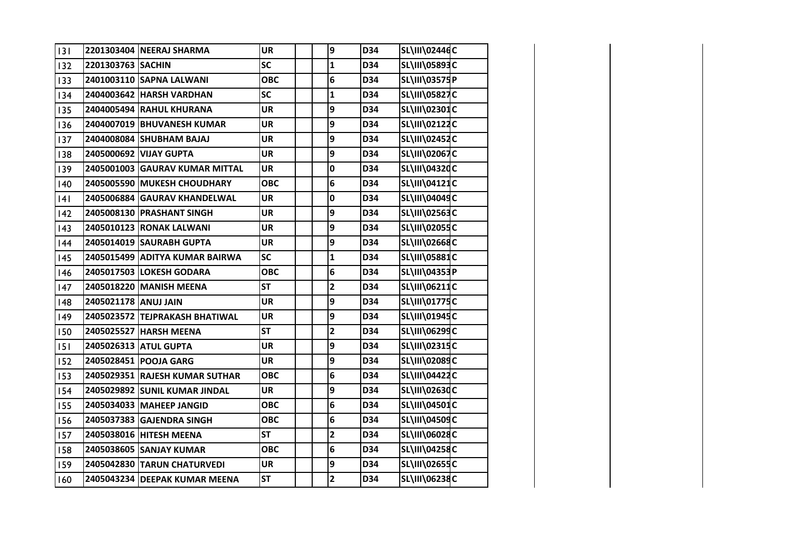| 3   |                      | 2201303404 NEERAJ SHARMA       | <b>UR</b>  | 9                       | D34 | SL\III\02446C        |  |
|-----|----------------------|--------------------------------|------------|-------------------------|-----|----------------------|--|
| 132 | 2201303763 SACHIN    |                                | <b>SC</b>  | $\mathbf 1$             | D34 | SL\III\05893C        |  |
| 133 |                      | 2401003110 SAPNA LALWANI       | <b>OBC</b> | 6                       | D34 | <b>SL\III\03575P</b> |  |
| 134 |                      | 2404003642 HARSH VARDHAN       | <b>SC</b>  | $\mathbf{1}$            | D34 | <b>SL\III\05827C</b> |  |
| 135 |                      | 2404005494 RAHUL KHURANA       | <b>UR</b>  | 9                       | D34 | SL\III\02301C        |  |
| 136 |                      | 2404007019 BHUVANESH KUMAR     | <b>UR</b>  | 9                       | D34 | SL\III\02122C        |  |
| 137 |                      | 2404008084 SHUBHAM BAJAJ       | <b>UR</b>  | 9                       | D34 | SL\III\02452C        |  |
| 138 |                      | 2405000692 VIJAY GUPTA         | <b>UR</b>  | 9                       | D34 | SL\III\02067C        |  |
| 139 |                      | 2405001003 GAURAV KUMAR MITTAL | <b>UR</b>  | $\mathbf 0$             | D34 | SL\III\04320C        |  |
| 140 |                      | 2405005590 MUKESH CHOUDHARY    | <b>OBC</b> | 6                       | D34 | SL\III\04121C        |  |
| 4   |                      | 2405006884 GAURAV KHANDELWAL   | <b>UR</b>  | $\mathbf 0$             | D34 | SL\III\04049C        |  |
| 142 |                      | 2405008130 PRASHANT SINGH      | <b>UR</b>  | 9                       | D34 | SL\III\02563C        |  |
| 143 |                      | 2405010123 RONAK LALWANI       | <b>UR</b>  | 9                       | D34 | <b>SL\III\02055C</b> |  |
| 144 |                      | 2405014019 SAURABH GUPTA       | <b>UR</b>  | 9                       | D34 | SL\III\02668C        |  |
| 145 |                      | 2405015499 ADITYA KUMAR BAIRWA | <b>SC</b>  | $\mathbf{1}$            | D34 | <b>SL\III\05881C</b> |  |
| 146 |                      | 2405017503 LOKESH GODARA       | <b>OBC</b> | 6                       | D34 | SL\III\04353P        |  |
| 147 |                      | 2405018220 MANISH MEENA        | <b>ST</b>  | $\overline{\mathbf{c}}$ | D34 | SL\III\06211C        |  |
| 148 | 2405021178 ANUJ JAIN |                                | <b>UR</b>  | 9                       | D34 | SL\III\01775C        |  |
| 149 |                      | 2405023572 TEJPRAKASH BHATIWAL | <b>UR</b>  | 9                       | D34 | SL\III\01945C        |  |
| 150 |                      | 2405025527 HARSH MEENA         | <b>ST</b>  | $\overline{\mathbf{2}}$ | D34 | SL\III\06299C        |  |
| 151 |                      | 2405026313 ATUL GUPTA          | <b>UR</b>  | 9                       | D34 | SL\III\02315C        |  |
| 152 |                      | 2405028451 POOJA GARG          | <b>UR</b>  | 9                       | D34 | SL\III\02089C        |  |
| 153 |                      | 2405029351 RAJESH KUMAR SUTHAR | <b>OBC</b> | 6                       | D34 | SL\III\04422C        |  |
| 154 |                      | 2405029892 SUNIL KUMAR JINDAL  | <b>UR</b>  | 9                       | D34 | SL\III\02630C        |  |
| 155 |                      | 2405034033 MAHEEP JANGID       | <b>OBC</b> | 6                       | D34 | SL\III\04501C        |  |
| 156 |                      | 2405037383 GAJENDRA SINGH      | <b>OBC</b> | 6                       | D34 | SL\III\04509C        |  |
| 157 |                      | 2405038016 HITESH MEENA        | <b>ST</b>  | $\overline{\mathbf{c}}$ | D34 | SL\III\06028C        |  |
| 158 |                      | 2405038605 SANJAY KUMAR        | <b>OBC</b> | 6                       | D34 | SL\III\04258C        |  |
| 159 |                      | 2405042830 TARUN CHATURVEDI    | <b>UR</b>  | 9                       | D34 | SL\III\02655C        |  |
| 160 |                      | 2405043234 DEEPAK KUMAR MEENA  | <b>ST</b>  | $\overline{\mathbf{2}}$ | D34 | SL\III\06238C        |  |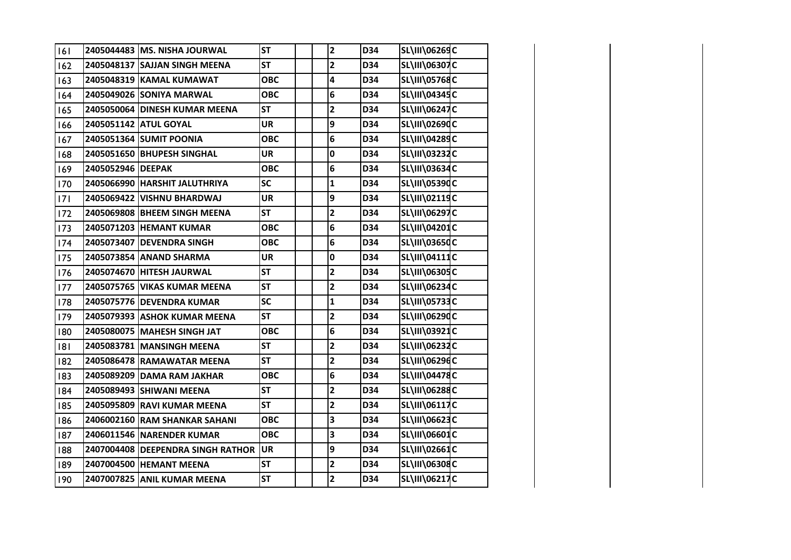| 6   |                   | 2405044483 MS. NISHA JOURWAL      | <b>ST</b>  | $\mathbf{2}$            | D34 | SL\III\06269C        |  |
|-----|-------------------|-----------------------------------|------------|-------------------------|-----|----------------------|--|
| 162 |                   | 2405048137 SAJJAN SINGH MEENA     | <b>ST</b>  | $\mathbf{2}$            | D34 | SL\III\06307C        |  |
| 163 |                   | 2405048319 KAMAL KUMAWAT          | <b>OBC</b> | 4                       | D34 | SL\III\05768C        |  |
| 164 |                   | 2405049026 SONIYA MARWAL          | <b>OBC</b> | 6                       | D34 | SL\III\04345C        |  |
| 165 |                   | 2405050064 DINESH KUMAR MEENA     | <b>ST</b>  | $\overline{\mathbf{c}}$ | D34 | SL\III\06247C        |  |
| 166 |                   | 2405051142 ATUL GOYAL             | <b>UR</b>  | 9                       | D34 | SL\III\02690C        |  |
| 167 |                   | 2405051364 SUMIT POONIA           | <b>OBC</b> | 6                       | D34 | SL\III\04289C        |  |
| 168 |                   | 2405051650 BHUPESH SINGHAL        | <b>UR</b>  | 0                       | D34 | SL\III\03232C        |  |
| 169 | 2405052946 DEEPAK |                                   | <b>OBC</b> | 6                       | D34 | SL\III\03634C        |  |
| 170 |                   | 2405066990 HARSHIT JALUTHRIYA     | <b>SC</b>  | $\mathbf{1}$            | D34 | SL\III\05390C        |  |
| 7   |                   | 2405069422 VISHNU BHARDWAJ        | <b>UR</b>  | 9                       | D34 | SL\III\02119C        |  |
| 172 |                   | 2405069808 BHEEM SINGH MEENA      | <b>ST</b>  | $\mathbf{2}$            | D34 | SL\III\06297C        |  |
| 173 |                   | 2405071203 HEMANT KUMAR           | <b>OBC</b> | 6                       | D34 | SL\III\04201C        |  |
| 174 |                   | 2405073407 DEVENDRA SINGH         | <b>OBC</b> | 6                       | D34 | SL\III\03650C        |  |
| 175 |                   | 2405073854 ANAND SHARMA           | <b>UR</b>  | 0                       | D34 | SL\III\04111C        |  |
| 176 |                   | 2405074670 HITESH JAURWAL         | <b>ST</b>  | $\overline{\mathbf{2}}$ | D34 | SL\III\06305C        |  |
| 177 |                   | 2405075765 VIKAS KUMAR MEENA      | <b>ST</b>  | $\mathbf{2}$            | D34 | <b>SL\III\06234C</b> |  |
| 178 |                   | 2405075776 DEVENDRA KUMAR         | <b>SC</b>  | $\mathbf{1}$            | D34 | SL\III\05733C        |  |
| 179 |                   | 2405079393 ASHOK KUMAR MEENA      | <b>ST</b>  | $\mathbf{2}$            | D34 | SL\III\06290C        |  |
| 180 |                   | 2405080075 MAHESH SINGH JAT       | <b>OBC</b> | 6                       | D34 | SL\III\03921C        |  |
| 181 |                   | 2405083781 MANSINGH MEENA         | <b>ST</b>  | $\mathbf{2}$            | D34 | SL\III\06232C        |  |
| 182 |                   | 2405086478 RAMAWATAR MEENA        | <b>ST</b>  | $\mathbf{2}$            | D34 | SL\III\06296C        |  |
| 183 |                   | 2405089209 DAMA RAM JAKHAR        | <b>OBC</b> | 6                       | D34 | <b>SL\III\04478C</b> |  |
| 184 |                   | 2405089493 SHIWANI MEENA          | <b>ST</b>  | $\mathbf{2}$            | D34 | SL\III\06288C        |  |
| 185 |                   | 2405095809 RAVI KUMAR MEENA       | <b>ST</b>  | $\overline{\mathbf{2}}$ | D34 | SL\III\06117C        |  |
| 186 |                   | 2406002160 RAM SHANKAR SAHANI     | <b>OBC</b> | 3                       | D34 | SL\III\06623C        |  |
| 187 |                   | 2406011546 NARENDER KUMAR         | <b>OBC</b> | 3                       | D34 | SL\III\06601C        |  |
| 188 |                   | 2407004408 DEEPENDRA SINGH RATHOR | <b>UR</b>  | 9                       | D34 | SL\III\02661C        |  |
| 189 |                   | 2407004500 HEMANT MEENA           | <b>ST</b>  | $\mathbf{2}$            | D34 | SL\III\06308C        |  |
| 190 |                   | 2407007825 ANIL KUMAR MEENA       | <b>ST</b>  | $\overline{\mathbf{c}}$ | D34 | SL\III\06217C        |  |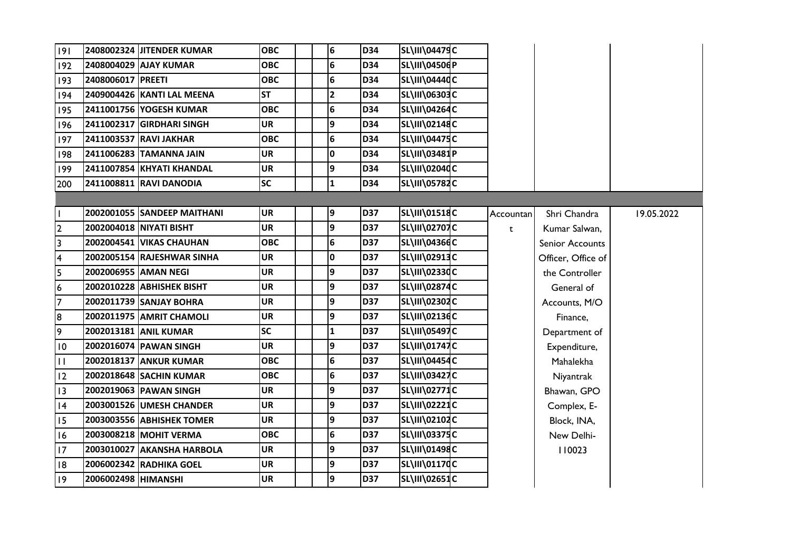| 9                       |                      | 2408002324 JITENDER KUMAR   | <b>OBC</b> |  | 6               | <b>D34</b> | <b>SL\III\04479C</b>  |           |                    |            |
|-------------------------|----------------------|-----------------------------|------------|--|-----------------|------------|-----------------------|-----------|--------------------|------------|
| 192                     |                      | 2408004029 AJAY KUMAR       | <b>OBC</b> |  | $6\overline{6}$ | D34        | SL\III\04506P         |           |                    |            |
| 193                     | 2408006017 PREETI    |                             | <b>OBC</b> |  | 6               | <b>D34</b> | <b>SL\III\04440C</b>  |           |                    |            |
| 194                     |                      | 2409004426 KANTI LAL MEENA  | <b>ST</b>  |  | $\overline{2}$  | <b>D34</b> | SL\III\06303C         |           |                    |            |
| 195                     |                      | 2411001756 YOGESH KUMAR     | <b>OBC</b> |  | $6\overline{6}$ | D34        | <b>SL\III\04264C</b>  |           |                    |            |
| 196                     |                      | 2411002317 GIRDHARI SINGH   | <b>UR</b>  |  | 9               | D34        | <b>SL\III\02148C</b>  |           |                    |            |
| 197                     |                      | 2411003537 RAVI JAKHAR      | <b>OBC</b> |  | $6\overline{6}$ | <b>D34</b> | <b>SL\III\04475C</b>  |           |                    |            |
| 198                     |                      | 2411006283 TAMANNA JAIN     | <b>UR</b>  |  | I٥              | D34        | SL\III\03481P         |           |                    |            |
| 199                     |                      | 2411007854 KHYATI KHANDAL   | <b>UR</b>  |  | 9               | D34        | <b>SL\III\02040C</b>  |           |                    |            |
| 200                     |                      | 2411008811 RAVI DANODIA     | <b>SC</b>  |  | $\mathbf{1}$    | D34        | <b>SL\III\05782C</b>  |           |                    |            |
|                         |                      |                             |            |  |                 |            |                       |           |                    |            |
| I.                      |                      | 2002001055 SANDEEP MAITHANI | UR         |  | 9               | D37        | <b>SL\III\01518C</b>  | Accountan | Shri Chandra       | 19.05.2022 |
| $\overline{2}$          |                      | 2002004018 NIYATI BISHT     | <b>UR</b>  |  | 9               | <b>D37</b> | SL\III\02707C         | t         | Kumar Salwan,      |            |
| سا                      |                      | 2002004541 VIKAS CHAUHAN    | <b>OBC</b> |  | $6\overline{6}$ | <b>D37</b> | <b>SL\III\04366C</b>  |           | Senior Accounts    |            |
| $\overline{\mathbf{4}}$ |                      | 2002005154 RAJESHWAR SINHA  | <b>UR</b>  |  | $\mathbf 0$     | <b>D37</b> | SL\III\02913C         |           | Officer, Office of |            |
| $\overline{\mathbf{5}}$ |                      | 2002006955 AMAN NEGI        | <b>UR</b>  |  | 9               | <b>D37</b> | <b>SL\III\02330C</b>  |           | the Controller     |            |
| $\boldsymbol{6}$        |                      | 2002010228 ABHISHEK BISHT   | UR         |  | 9               | <b>D37</b> | <b>SL\III\02874C</b>  |           | General of         |            |
| $\overline{7}$          |                      | 2002011739 SANJAY BOHRA     | <b>UR</b>  |  | 9               | D37        | SL\III\02302C         |           | Accounts, M/O      |            |
| 8                       |                      | 2002011975 AMRIT CHAMOLI    | UR         |  | 9               | <b>D37</b> | <b>SL\III\02136C</b>  |           | Finance,           |            |
| $\overline{9}$          |                      | 2002013181 ANIL KUMAR       | <b>SC</b>  |  | $\mathbf{1}$    | <b>D37</b> | <b>SL\III\05497C</b>  |           | Department of      |            |
| 10                      |                      | 2002016074 PAWAN SINGH      | UR         |  | 9               | <b>D37</b> | SL\III\01747C         |           | Expenditure,       |            |
| $\mathbf{H}$            |                      | 2002018137 ANKUR KUMAR      | <b>OBC</b> |  | 6               | <b>D37</b> | <b>SL\III\04454C</b>  |           | Mahalekha          |            |
| 12                      |                      | 2002018648 SACHIN KUMAR     | <b>OBC</b> |  | $6\overline{6}$ | <b>D37</b> | <b>SL\III\03427C</b>  |           | Niyantrak          |            |
| 13                      |                      | 2002019063 PAWAN SINGH      | <b>UR</b>  |  | 9               | D37        | <b>SL\III\02771C</b>  |           | Bhawan, GPO        |            |
| 14                      |                      | 2003001526 UMESH CHANDER    | <b>UR</b>  |  | 9               | <b>D37</b> | <b>SL\III\02221</b> C |           | Complex, E-        |            |
| <sup>15</sup>           |                      | 2003003556 ABHISHEK TOMER   | <b>UR</b>  |  | 9               | <b>D37</b> | SL\III\02102C         |           | Block, INA,        |            |
| 16                      |                      | 2003008218 MOHIT VERMA      | <b>OBC</b> |  | 6               | <b>D37</b> | <b>SL\III\03375C</b>  |           | New Delhi-         |            |
| $\overline{17}$         |                      | 2003010027 AKANSHA HARBOLA  | <b>UR</b>  |  | 9               | <b>D37</b> | <b>SL\III\01498C</b>  |           | 110023             |            |
| 18                      |                      | 2006002342 RADHIKA GOEL     | <b>UR</b>  |  | 9               | D37        | SL\III\01170C         |           |                    |            |
| 9                       | 2006002498  HIMANSHI |                             | <b>UR</b>  |  | 9               | <b>D37</b> | SL\III\02651C         |           |                    |            |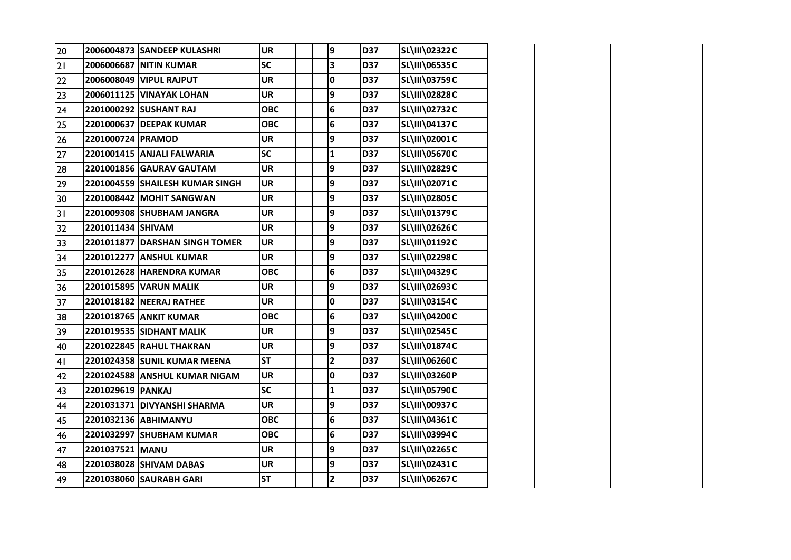| 20 |                   | 2006004873 SANDEEP KULASHRI     | <b>UR</b>  | 9                       | D37 | SL\III\02322C        |  |
|----|-------------------|---------------------------------|------------|-------------------------|-----|----------------------|--|
| 21 |                   | 2006006687 NITIN KUMAR          | <b>SC</b>  | 3                       | D37 | SL\III\06535C        |  |
| 22 |                   | 2006008049 VIPUL RAJPUT         | <b>UR</b>  | 0                       | D37 | SL\III\03759C        |  |
| 23 |                   | 2006011125 VINAYAK LOHAN        | <b>UR</b>  | 9                       | D37 | SL\III\02828C        |  |
| 24 |                   | 2201000292 SUSHANT RAJ          | <b>OBC</b> | 6                       | D37 | SL\III\02732C        |  |
| 25 |                   | 2201000637 DEEPAK KUMAR         | <b>OBC</b> | $\bf 6$                 | D37 | SL\III\04137C        |  |
| 26 | 2201000724 PRAMOD |                                 | <b>UR</b>  | 9                       | D37 | SL\III\02001C        |  |
| 27 |                   | 2201001415 ANJALI FALWARIA      | <b>SC</b>  | $\mathbf{1}$            | D37 | SL\III\05670C        |  |
| 28 |                   | 2201001856 GAURAV GAUTAM        | <b>UR</b>  | 9                       | D37 | SL\III\02829C        |  |
| 29 |                   | 2201004559 SHAILESH KUMAR SINGH | <b>UR</b>  | 9                       | D37 | SL\III\02071C        |  |
| 30 |                   | 2201008442 MOHIT SANGWAN        | <b>UR</b>  | 9                       | D37 | SL\III\02805C        |  |
| 31 |                   | 2201009308 SHUBHAM JANGRA       | <b>UR</b>  | 9                       | D37 | SL\III\01379C        |  |
| 32 | 2201011434 SHIVAM |                                 | <b>UR</b>  | 9                       | D37 | SL\III\02626C        |  |
| 33 |                   | 2201011877 DARSHAN SINGH TOMER  | <b>UR</b>  | 9                       | D37 | SL\III\01192C        |  |
| 34 |                   | 2201012277 ANSHUL KUMAR         | <b>UR</b>  | 9                       | D37 | SL\III\02298C        |  |
| 35 |                   | 2201012628 HARENDRA KUMAR       | <b>OBC</b> | 6                       | D37 | SL\III\04329C        |  |
| 36 |                   | 2201015895 VARUN MALIK          | <b>UR</b>  | 9                       | D37 | SL\III\02693C        |  |
| 37 |                   | 2201018182 NEERAJ RATHEE        | <b>UR</b>  | $\mathbf 0$             | D37 | SL\III\03154C        |  |
| 38 |                   | 2201018765 ANKIT KUMAR          | <b>OBC</b> | 6                       | D37 | SL\III\04200C        |  |
| 39 |                   | 2201019535 SIDHANT MALIK        | <b>UR</b>  | 9                       | D37 | SL\III\02545C        |  |
| 40 |                   | 2201022845 RAHUL THAKRAN        | <b>UR</b>  | 9                       | D37 | SL\III\01874C        |  |
| 41 |                   | 2201024358 SUNIL KUMAR MEENA    | <b>ST</b>  | $\overline{\mathbf{2}}$ | D37 | SL\III\06260C        |  |
| 42 |                   | 2201024588 ANSHUL KUMAR NIGAM   | <b>UR</b>  | $\mathbf 0$             | D37 | SL\III\03260P        |  |
| 43 | 2201029619 PANKAJ |                                 | <b>SC</b>  | $\mathbf{1}$            | D37 | SL\III\05790C        |  |
| 44 |                   | 2201031371 DIVYANSHI SHARMA     | <b>UR</b>  | 9                       | D37 | <b>SL\III\00937C</b> |  |
| 45 |                   | 2201032136 ABHIMANYU            | <b>OBC</b> | 6                       | D37 | SL\III\04361C        |  |
| 46 |                   | 2201032997 SHUBHAM KUMAR        | <b>OBC</b> | 6                       | D37 | SL\III\03994C        |  |
| 47 | 2201037521 MANU   |                                 | <b>UR</b>  | 9                       | D37 | SL\III\02265C        |  |
| 48 |                   | 2201038028 SHIVAM DABAS         | UR         | 9                       | D37 | SL\III\02431C        |  |
| 49 |                   | 2201038060 SAURABH GARI         | <b>ST</b>  | $\overline{\mathbf{2}}$ | D37 | SL\III\06267C        |  |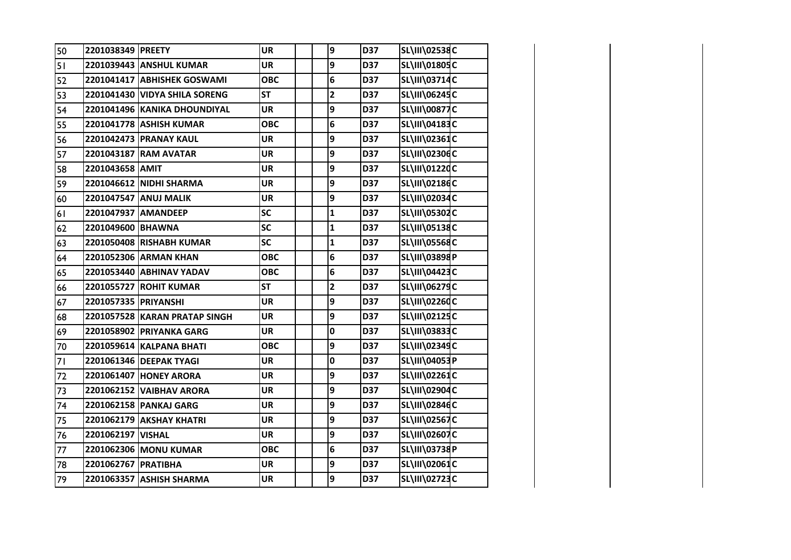| 50 | 2201038349 PREETY    |                               | <b>UR</b>  | 9                       | D37 | SL\III\02538C        |  |
|----|----------------------|-------------------------------|------------|-------------------------|-----|----------------------|--|
| 51 |                      | 2201039443 ANSHUL KUMAR       | <b>UR</b>  | 9                       | D37 | SL\III\01805C        |  |
| 52 |                      | 2201041417 ABHISHEK GOSWAMI   | <b>OBC</b> | 6                       | D37 | SL\III\03714C        |  |
| 53 |                      | 2201041430 VIDYA SHILA SORENG | <b>ST</b>  | $\mathbf{2}$            | D37 | SL\III\06245C        |  |
| 54 |                      | 2201041496 KANIKA DHOUNDIYAL  | <b>UR</b>  | 9                       | D37 | <b>SL\III\00877C</b> |  |
| 55 |                      | 2201041778 ASHISH KUMAR       | <b>OBC</b> | 6                       | D37 | SL\III\04183C        |  |
| 56 |                      | 2201042473 PRANAY KAUL        | <b>UR</b>  | 9                       | D37 | <b>SL\III\02361C</b> |  |
| 57 |                      | 2201043187 RAM AVATAR         | <b>UR</b>  | 9                       | D37 | SL\III\02306C        |  |
| 58 | 2201043658 AMIT      |                               | <b>UR</b>  | 9                       | D37 | SL\III\01220C        |  |
| 59 |                      | 2201046612 NIDHI SHARMA       | <b>UR</b>  | 9                       | D37 | <b>SL\III\02186C</b> |  |
| 60 |                      | 2201047547 ANUJ MALIK         | <b>UR</b>  | 9                       | D37 | SL\III\02034C        |  |
| 61 | 2201047937 AMANDEEP  |                               | <b>SC</b>  | $\mathbf 1$             | D37 | SL\III\05302C        |  |
| 62 | 2201049600 BHAWNA    |                               | <b>SC</b>  | $\mathbf{1}$            | D37 | <b>SL\III\05138C</b> |  |
| 63 |                      | 2201050408 RISHABH KUMAR      | <b>SC</b>  | $\mathbf 1$             | D37 | <b>SL\III\05568C</b> |  |
| 64 |                      | 2201052306 ARMAN KHAN         | <b>OBC</b> | 6                       | D37 | <b>SL\III\03898P</b> |  |
| 65 |                      | 2201053440 ABHINAV YADAV      | <b>OBC</b> | 6                       | D37 | SL\III\04423C        |  |
| 66 |                      | 2201055727 ROHIT KUMAR        | <b>ST</b>  | $\overline{\mathbf{c}}$ | D37 | SL\III\06279C        |  |
| 67 | 2201057335 PRIYANSHI |                               | <b>UR</b>  | 9                       | D37 | <b>SL\III\02260C</b> |  |
| 68 |                      | 2201057528 KARAN PRATAP SINGH | <b>UR</b>  | 9                       | D37 | SL\III\02125C        |  |
| 69 |                      | 2201058902 PRIYANKA GARG      | <b>UR</b>  | 0                       | D37 | SL\III\03833C        |  |
| 70 |                      | 2201059614 KALPANA BHATI      | <b>OBC</b> | 9                       | D37 | SL\III\02349C        |  |
| 71 |                      | 2201061346 DEEPAK TYAGI       | <b>UR</b>  | 0                       | D37 | SL\III\04053P        |  |
| 72 |                      | 2201061407 HONEY ARORA        | <b>UR</b>  | 9                       | D37 | SL\III\02261C        |  |
| 73 |                      | 2201062152 VAIBHAV ARORA      | <b>UR</b>  | 9                       | D37 | SL\III\02904C        |  |
| 74 |                      | 2201062158 PANKAJ GARG        | <b>UR</b>  | 9                       | D37 | SL\III\02846C        |  |
| 75 |                      | 2201062179 AKSHAY KHATRI      | <b>UR</b>  | 9                       | D37 | <b>SL\III\02567C</b> |  |
| 76 | 2201062197 VISHAL    |                               | <b>UR</b>  | 9                       | D37 | SL\III\02607C        |  |
| 77 |                      | 2201062306 MONU KUMAR         | <b>OBC</b> | 6                       | D37 | SL\III\03738P        |  |
| 78 | 2201062767 PRATIBHA  |                               | <b>UR</b>  | 9                       | D37 | SL\III\02061C        |  |
| 79 |                      | 2201063357 ASHISH SHARMA      | <b>UR</b>  | 9                       | D37 | SL\III\02723C        |  |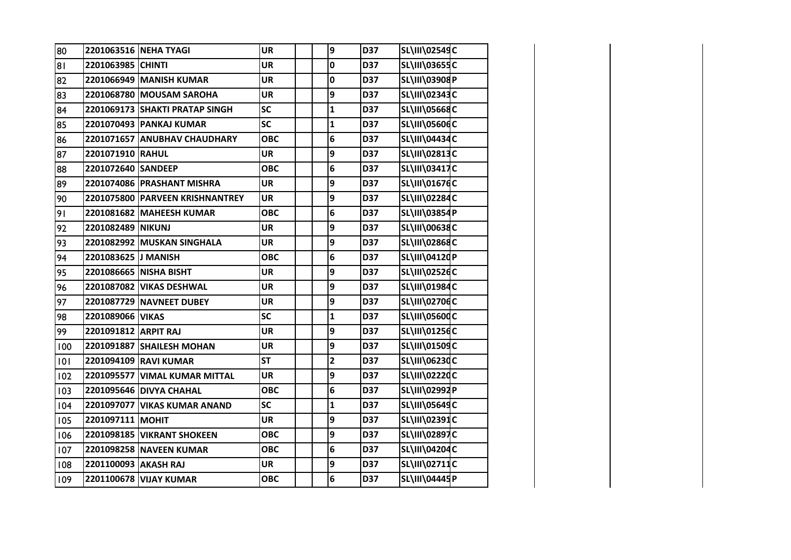| 80  |                      | 2201063516 NEHA TYAGI           | <b>UR</b>  | 9                       | D37 | SL\III\02549C        |  |
|-----|----------------------|---------------------------------|------------|-------------------------|-----|----------------------|--|
| 81  | 2201063985 CHINTI    |                                 | <b>UR</b>  | $\mathbf 0$             | D37 | SL\III\03655C        |  |
| 82  |                      | 2201066949 MANISH KUMAR         | <b>UR</b>  | 0                       | D37 | SL\III\03908P        |  |
| 83  |                      | 2201068780 MOUSAM SAROHA        | <b>UR</b>  | 9                       | D37 | SL\III\02343C        |  |
| 84  |                      | 2201069173 SHAKTI PRATAP SINGH  | SC         | $\mathbf{1}$            | D37 | SL\III\05668C        |  |
| 85  |                      | 2201070493 PANKAJ KUMAR         | SC         | $\mathbf{1}$            | D37 | SL\III\05606C        |  |
| 86  |                      | 2201071657 ANUBHAV CHAUDHARY    | <b>OBC</b> | 6                       | D37 | SL\III\04434C        |  |
| 87  | 2201071910 RAHUL     |                                 | <b>UR</b>  | 9                       | D37 | SL\III\02813C        |  |
| 88  | 2201072640 SANDEEP   |                                 | <b>OBC</b> | 6                       | D37 | SL\III\03417C        |  |
| 89  |                      | 2201074086 PRASHANT MISHRA      | <b>UR</b>  | 9                       | D37 | SL\III\01676C        |  |
| 90  |                      | 2201075800 PARVEEN KRISHNANTREY | <b>UR</b>  | 9                       | D37 | SL\III\02284C        |  |
| 91  |                      | 2201081682 MAHEESH KUMAR        | <b>OBC</b> | 6                       | D37 | SL\III\03854P        |  |
| 92  | 2201082489 NIKUNJ    |                                 | <b>UR</b>  | 9                       | D37 | SL\III\00638C        |  |
| 93  |                      | 2201082992 MUSKAN SINGHALA      | <b>UR</b>  | 9                       | D37 | SL\III\02868C        |  |
| 94  | 2201083625 J MANISH  |                                 | <b>OBC</b> | 6                       | D37 | SL\III\04120P        |  |
| 95  |                      | 2201086665 NISHA BISHT          | <b>UR</b>  | 9                       | D37 | SL\III\02526C        |  |
| 96  |                      | 2201087082 VIKAS DESHWAL        | <b>UR</b>  | 9                       | D37 | SL\III\01984C        |  |
| 97  |                      | 2201087729 NAVNEET DUBEY        | <b>UR</b>  | 9                       | D37 | SL\III\02706C        |  |
| 98  | 2201089066 VIKAS     |                                 | <b>SC</b>  | $\mathbf{1}$            | D37 | <b>SL\III\05600C</b> |  |
| 99  | 2201091812 ARPIT RAJ |                                 | <b>UR</b>  | 9                       | D37 | SL\III\01256C        |  |
| 100 |                      | 2201091887 SHAILESH MOHAN       | <b>UR</b>  | 9                       | D37 | SL\III\01509C        |  |
| 101 |                      | 2201094109 RAVI KUMAR           | <b>ST</b>  | $\overline{\mathbf{2}}$ | D37 | SL\III\06230C        |  |
| 102 |                      | 2201095577 VIMAL KUMAR MITTAL   | <b>UR</b>  | 9                       | D37 | SL\III\02220C        |  |
| 103 |                      | 2201095646 DIVYA CHAHAL         | <b>OBC</b> | 6                       | D37 | SL\III\02992P        |  |
| 104 |                      | 2201097077 VIKAS KUMAR ANAND    | <b>SC</b>  | $\mathbf{1}$            | D37 | SL\III\05649C        |  |
| 105 | 2201097111 MOHIT     |                                 | <b>UR</b>  | 9                       | D37 | SL\III\02391C        |  |
| 106 |                      | 2201098185 VIKRANT SHOKEEN      | <b>OBC</b> | 9                       | D37 | SL\III\02897C        |  |
| 107 |                      | 2201098258 NAVEEN KUMAR         | <b>OBC</b> | 6                       | D37 | SL\III\04204C        |  |
| 108 | 2201100093 AKASH RAJ |                                 | <b>UR</b>  | 9                       | D37 | SL\III\02711C        |  |
| 109 |                      | 2201100678 VIJAY KUMAR          | <b>OBC</b> | $6\phantom{1}$          | D37 | SL\III\04445P        |  |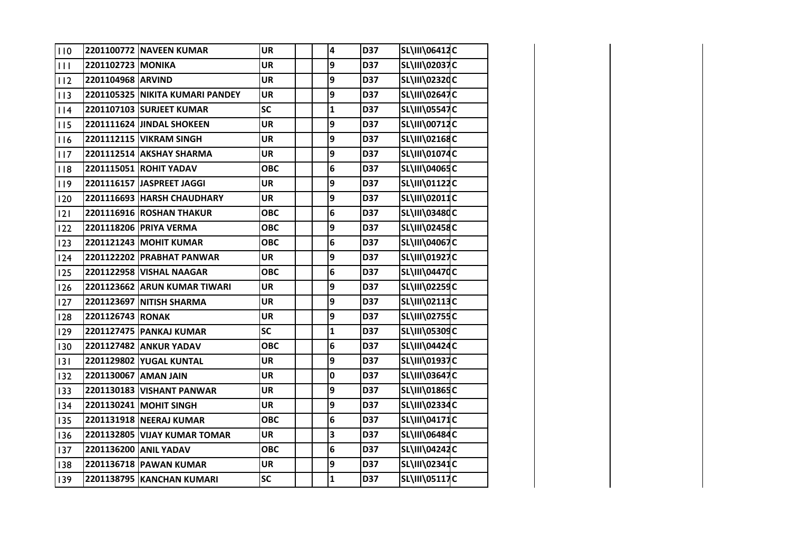| 110        |                      | 2201100772 NAVEEN KUMAR         | <b>UR</b>  | 4              | D37 | SL\III\06412C        |  |
|------------|----------------------|---------------------------------|------------|----------------|-----|----------------------|--|
| 111        | 2201102723 MONIKA    |                                 | <b>UR</b>  | 9              | D37 | SL\III\02037C        |  |
| 112        | 2201104968 ARVIND    |                                 | <b>UR</b>  | 9              | D37 | SL\III\02320C        |  |
| 113        |                      | 2201105325 NIKITA KUMARI PANDEY | <b>UR</b>  | 9              | D37 | SL\III\02647C        |  |
| 114        |                      | 2201107103 SURJEET KUMAR        | <b>SC</b>  | $\mathbf 1$    | D37 | <b>SL\III\05547C</b> |  |
| 115        |                      | 2201111624 JINDAL SHOKEEN       | <b>UR</b>  | 9              | D37 | SL\III\00712C        |  |
| 16         |                      | 2201112115 VIKRAM SINGH         | <b>UR</b>  | 9              | D37 | SL\III\02168C        |  |
| 117        |                      | 2201112514 AKSHAY SHARMA        | <b>UR</b>  | 9              | D37 | SL\III\01074C        |  |
| 8          |                      | 2201115051 ROHIT YADAV          | <b>OBC</b> | 6              | D37 | SL\III\04065C        |  |
| 119        |                      | 2201116157 JASPREET JAGGI       | <b>UR</b>  | 9              | D37 | SL\III\01122C        |  |
| 120        |                      | 2201116693 HARSH CHAUDHARY      | <b>UR</b>  | 9              | D37 | SL\III\02011C        |  |
| 12         |                      | 2201116916 ROSHAN THAKUR        | <b>OBC</b> | $\bf 6$        | D37 | SL\III\03480C        |  |
| 122        |                      | 2201118206 PRIYA VERMA          | <b>OBC</b> | 9              | D37 | SL\III\02458C        |  |
| 123        |                      | 2201121243 MOHIT KUMAR          | <b>OBC</b> | 6              | D37 | <b>SL\III\04067C</b> |  |
| 124        |                      | 2201122202 PRABHAT PANWAR       | <b>UR</b>  | 9              | D37 | SL\III\01927C        |  |
| 125        |                      | 2201122958 VISHAL NAAGAR        | <b>OBC</b> | 6              | D37 | <b>SL\III\04470C</b> |  |
| 126        |                      | 2201123662 ARUN KUMAR TIWARI    | <b>UR</b>  | 9              | D37 | <b>SL\III\02259C</b> |  |
| 127        |                      | 2201123697 NITISH SHARMA        | <b>UR</b>  | 9              | D37 | <b>SL\III\02113C</b> |  |
| 128        | 2201126743 RONAK     |                                 | <b>UR</b>  | 9              | D37 | SL\III\02755C        |  |
| 129        |                      | 2201127475 PANKAJ KUMAR         | <b>SC</b>  | $\mathbf{1}$   | D37 | <b>SL\III\05309C</b> |  |
| 130        |                      | 2201127482 ANKUR YADAV          | <b>OBC</b> | $6\phantom{a}$ | D37 | <b>SL\III\04424C</b> |  |
| 131        |                      | 2201129802 YUGAL KUNTAL         | <b>UR</b>  | $\overline{9}$ | D37 | SL\III\01937C        |  |
| <b>132</b> | 2201130067 AMAN JAIN |                                 | <b>UR</b>  | $\mathbf 0$    | D37 | SL\III\03647C        |  |
| <b>133</b> |                      | 2201130183 VISHANT PANWAR       | <b>UR</b>  | 9              | D37 | SL\III\01865C        |  |
| 134        |                      | 2201130241 MOHIT SINGH          | <b>UR</b>  | 9              | D37 | SL\III\02334C        |  |
| <b>135</b> |                      | 2201131918 NEERAJ KUMAR         | <b>OBC</b> | 6              | D37 | SL\III\04171C        |  |
| 136        |                      | 2201132805 VIJAY KUMAR TOMAR    | <b>UR</b>  | 3              | D37 | SL\III\06484C        |  |
| <b>137</b> |                      | 2201136200 ANIL YADAV           | <b>OBC</b> | 6              | D37 | SL\III\04242C        |  |
| 138        |                      | 2201136718 PAWAN KUMAR          | <b>UR</b>  | 9              | D37 | SL\III\02341C        |  |
| 139        |                      | 2201138795 KANCHAN KUMARI       | <b>SC</b>  | $\mathbf{1}$   | D37 | <b>SL\III\05117C</b> |  |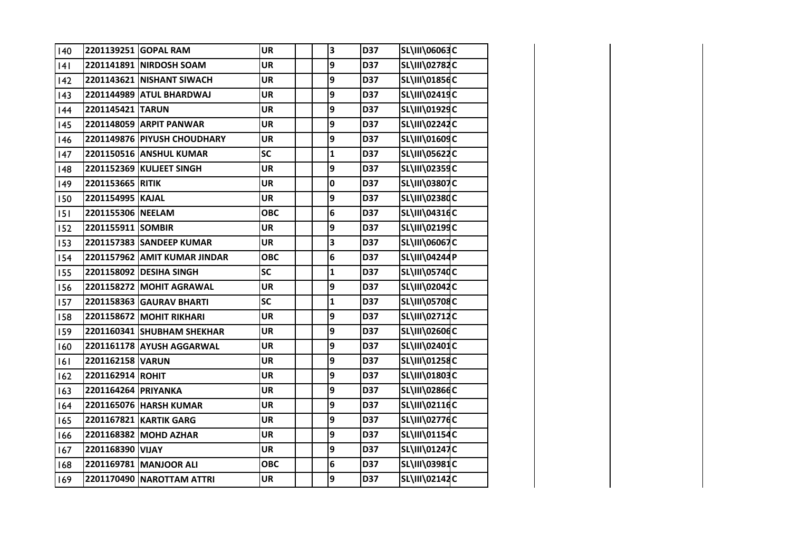| 140 |                     | 2201139251 GOPAL RAM         | <b>UR</b>  | 3            | D37 | SL\III\06063C        |  |
|-----|---------------------|------------------------------|------------|--------------|-----|----------------------|--|
| 4   |                     | 2201141891 NIRDOSH SOAM      | <b>UR</b>  | 9            | D37 | SL\III\02782C        |  |
| 142 |                     | 2201143621 NISHANT SIWACH    | <b>UR</b>  | 9            | D37 | SL\III\01856C        |  |
| 43  |                     | 2201144989 ATUL BHARDWAJ     | <b>UR</b>  | 9            | D37 | SL\III\02419C        |  |
| 44  | 2201145421 TARUN    |                              | <b>UR</b>  | 9            | D37 | SL\III\01929C        |  |
| 145 |                     | 2201148059 ARPIT PANWAR      | <b>UR</b>  | 9            | D37 | SL\III\02242C        |  |
| 146 |                     | 2201149876 PIYUSH CHOUDHARY  | <b>UR</b>  | 9            | D37 | SL\III\01609C        |  |
| 147 |                     | 2201150516 ANSHUL KUMAR      | <b>SC</b>  | $\mathbf{1}$ | D37 | SL\III\05622C        |  |
| 148 |                     | 2201152369 KULJEET SINGH     | <b>UR</b>  | 9            | D37 | SL\III\02359C        |  |
| 149 | 2201153665 RITIK    |                              | <b>UR</b>  | 0            | D37 | SL\III\03807C        |  |
| 150 | 2201154995 KAJAL    |                              | <b>UR</b>  | 9            | D37 | SL\III\02380C        |  |
| 151 | 2201155306 NEELAM   |                              | <b>OBC</b> | 6            | D37 | SL\III\04316C        |  |
| 152 | 2201155911 SOMBIR   |                              | <b>UR</b>  | 9            | D37 | SL\III\02199C        |  |
| 153 |                     | 2201157383 SANDEEP KUMAR     | <b>UR</b>  | 3            | D37 | SL\III\06067C        |  |
| 154 |                     | 2201157962 AMIT KUMAR JINDAR | <b>OBC</b> | 6            | D37 | SL\III\04244P        |  |
| 155 |                     | 2201158092 DESIHA SINGH      | <b>SC</b>  | $\mathbf{1}$ | D37 | SL\III\05740C        |  |
| 156 |                     | 2201158272 MOHIT AGRAWAL     | <b>UR</b>  | 9            | D37 | SL\III\02042C        |  |
| 157 |                     | 2201158363 GAURAV BHARTI     | <b>SC</b>  | $\mathbf 1$  | D37 | <b>SL\III\05708C</b> |  |
| 158 |                     | 2201158672 MOHIT RIKHARI     | <b>UR</b>  | 9            | D37 | SL\III\02712C        |  |
| 159 |                     | 2201160341 SHUBHAM SHEKHAR   | <b>UR</b>  | 9            | D37 | SL\III\02606C        |  |
| 160 |                     | 2201161178 AYUSH AGGARWAL    | UR         | 9            | D37 | SL\III\02401C        |  |
| 6   | 2201162158 VARUN    |                              | <b>UR</b>  | 9            | D37 | SL\III\01258C        |  |
| 162 | 2201162914 ROHIT    |                              | <b>UR</b>  | 9            | D37 | SL\III\01803C        |  |
| 163 | 2201164264 PRIYANKA |                              | <b>UR</b>  | 9            | D37 | SL\III\02866C        |  |
| 164 |                     | 2201165076 HARSH KUMAR       | <b>UR</b>  | 9            | D37 | SL\III\02116C        |  |
| 165 |                     | 2201167821 KARTIK GARG       | <b>UR</b>  | 9            | D37 | SL\III\02776C        |  |
| 166 |                     | 2201168382 MOHD AZHAR        | <b>UR</b>  | 9            | D37 | SL\III\01154C        |  |
| 167 | 2201168390 VIJAY    |                              | <b>UR</b>  | 9            | D37 | SL\III\01247C        |  |
| 168 |                     | 2201169781 MANJOOR ALI       | <b>OBC</b> | 6            | D37 | SL\III\03981C        |  |
| 169 |                     | 2201170490 NAROTTAM ATTRI    | <b>UR</b>  | 9            | D37 | SL\III\02142C        |  |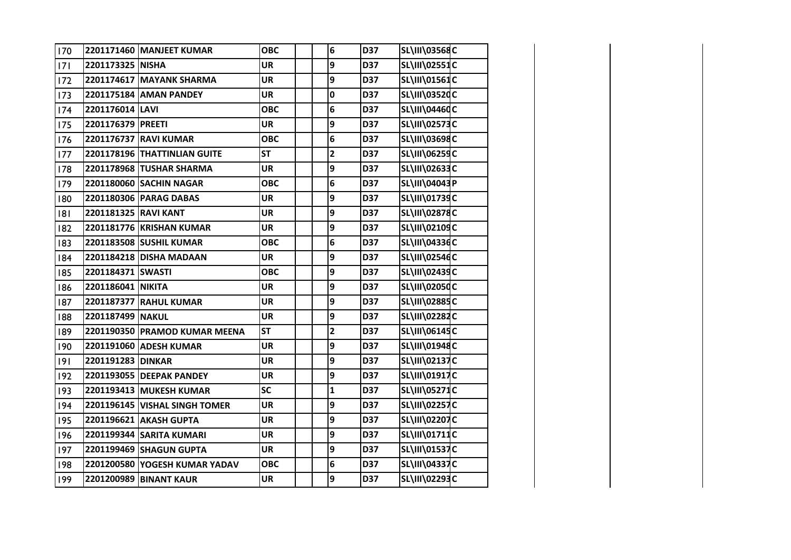| 170 |                      | 2201171460 MANJEET KUMAR      | <b>OBC</b> | 6                       | D37 | <b>SL\III\03568C</b> |  |
|-----|----------------------|-------------------------------|------------|-------------------------|-----|----------------------|--|
| 7   | 2201173325 NISHA     |                               | <b>UR</b>  | 9                       | D37 | SL\III\02551C        |  |
| 172 |                      | 2201174617 MAYANK SHARMA      | <b>UR</b>  | 9                       | D37 | SL\III\01561C        |  |
| 173 |                      | 2201175184 AMAN PANDEY        | <b>UR</b>  | 0                       | D37 | SL\III\03520C        |  |
| 174 | 2201176014 LAVI      |                               | <b>OBC</b> | 6                       | D37 | SL\III\04460C        |  |
| 175 | 2201176379 PREETI    |                               | <b>UR</b>  | 9                       | D37 | SL\III\02573C        |  |
| 176 |                      | 2201176737 RAVI KUMAR         | <b>OBC</b> | 6                       | D37 | SL\III\03698C        |  |
| 177 |                      | 2201178196 THATTINLIAN GUITE  | <b>ST</b>  | $\overline{\mathbf{2}}$ | D37 | SL\III\06259C        |  |
| 178 |                      | 2201178968 TUSHAR SHARMA      | <b>UR</b>  | 9                       | D37 | SL\III\02633C        |  |
| 179 |                      | 2201180060 SACHIN NAGAR       | <b>OBC</b> | 6                       | D37 | SL\III\04043P        |  |
| 180 |                      | 2201180306 PARAG DABAS        | <b>UR</b>  | 9                       | D37 | SL\III\01739C        |  |
| 181 | 2201181325 RAVI KANT |                               | <b>UR</b>  | 9                       | D37 | SL\III\02878C        |  |
| 182 |                      | 2201181776 KRISHAN KUMAR      | <b>UR</b>  | 9                       | D37 | SL\III\02109C        |  |
| 183 |                      | 2201183508 SUSHIL KUMAR       | <b>OBC</b> | 6                       | D37 | SL\III\04336C        |  |
| 184 |                      | 2201184218 DISHA MADAAN       | <b>UR</b>  | 9                       | D37 | SL\III\02546C        |  |
| 185 | 2201184371 SWASTI    |                               | <b>OBC</b> | 9                       | D37 | SL\III\02439C        |  |
| 186 | 2201186041 NIKITA    |                               | UR         | 9                       | D37 | SL\III\02050C        |  |
| 187 |                      | 2201187377 RAHUL KUMAR        | <b>UR</b>  | 9                       | D37 | SL\III\02885C        |  |
| 188 | 2201187499 NAKUL     |                               | <b>UR</b>  | 9                       | D37 | SL\III\02282C        |  |
| 189 |                      | 2201190350 PRAMOD KUMAR MEENA | <b>ST</b>  | $\overline{\mathbf{2}}$ | D37 | SL\III\06145C        |  |
| 190 |                      | 2201191060 ADESH KUMAR        | <b>UR</b>  | 9                       | D37 | SL\III\01948C        |  |
| 9   | 2201191283 DINKAR    |                               | <b>UR</b>  | 9                       | D37 | SL\III\02137C        |  |
| 192 |                      | 2201193055 DEEPAK PANDEY      | <b>UR</b>  | 9                       | D37 | SL\III\01917C        |  |
| 193 |                      | 2201193413 MUKESH KUMAR       | SC         | $\mathbf{1}$            | D37 | SL\III\05271C        |  |
| 194 |                      | 2201196145 VISHAL SINGH TOMER | <b>UR</b>  | 9                       | D37 | <b>SL\III\02257C</b> |  |
| 195 |                      | 2201196621 AKASH GUPTA        | <b>UR</b>  | 9                       | D37 | SL\III\02207C        |  |
| 196 |                      | 2201199344 SARITA KUMARI      | <b>UR</b>  | 9                       | D37 | SL\III\01711C        |  |
| 197 |                      | 2201199469 SHAGUN GUPTA       | <b>UR</b>  | 9                       | D37 | SL\III\01537C        |  |
| 198 |                      | 2201200580 YOGESH KUMAR YADAV | <b>OBC</b> | 6                       | D37 | SL\III\04337C        |  |
| 199 |                      | 2201200989 BINANT KAUR        | <b>UR</b>  | 9                       | D37 | SL\III\02293C        |  |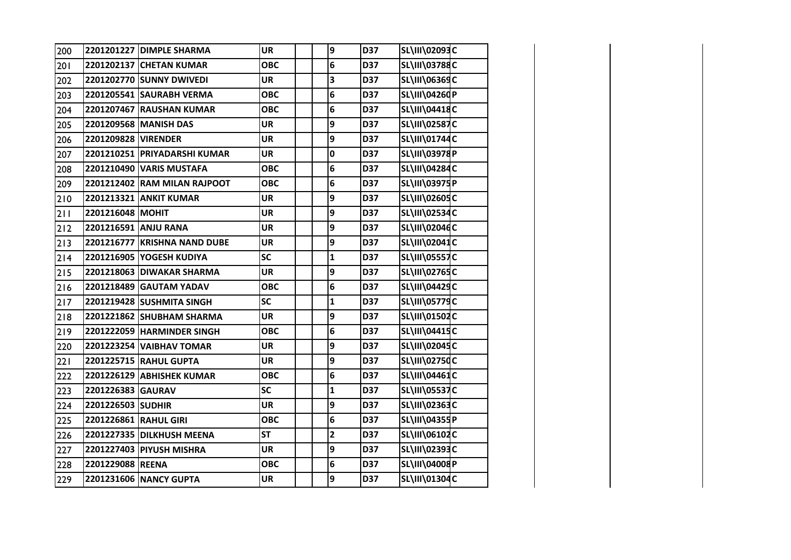| 200   |                       | 2201201227 DIMPLE SHARMA     | <b>UR</b>  | 9                       | D37 | SL\III\02093C        |  |
|-------|-----------------------|------------------------------|------------|-------------------------|-----|----------------------|--|
| 201   |                       | 2201202137 CHETAN KUMAR      | <b>OBC</b> | 6                       | D37 | <b>SL\III\03788C</b> |  |
| 202   |                       | 2201202770 SUNNY DWIVEDI     | <b>UR</b>  | 3                       | D37 | SL\III\06369C        |  |
| 203   |                       | 2201205541 SAURABH VERMA     | <b>OBC</b> | 6                       | D37 | SL\III\04260P        |  |
| 204   |                       | 2201207467 RAUSHAN KUMAR     | <b>OBC</b> | 6                       | D37 | SL\III\04418C        |  |
| 205   |                       | 2201209568 MANISH DAS        | <b>UR</b>  | 9                       | D37 | <b>SL\III\02587C</b> |  |
| 206   | 2201209828 VIRENDER   |                              | <b>UR</b>  | 9                       | D37 | SL\III\01744C        |  |
| 207   |                       | 2201210251 PRIYADARSHI KUMAR | <b>UR</b>  | 0                       | D37 | SL\III\03978P        |  |
| 208   |                       | 2201210490 VARIS MUSTAFA     | <b>OBC</b> | 6                       | D37 | SL\III\04284C        |  |
| 209   |                       | 2201212402 RAM MILAN RAJPOOT | <b>OBC</b> | 6                       | D37 | SL\III\03975P        |  |
| 210   |                       | 2201213321 ANKIT KUMAR       | <b>UR</b>  | 9                       | D37 | SL\III\02605C        |  |
| 211   | 2201216048 MOHIT      |                              | <b>UR</b>  | 9                       | D37 | <b>SL\III\02534C</b> |  |
| $212$ |                       | 2201216591 ANJU RANA         | <b>UR</b>  | 9                       | D37 | SL\III\02046C        |  |
| 213   |                       | 2201216777 KRISHNA NAND DUBE | <b>UR</b>  | 9                       | D37 | SL\III\02041C        |  |
| 214   |                       | 2201216905 YOGESH KUDIYA     | SC         | $\mathbf{1}$            | D37 | <b>SL\III\05557C</b> |  |
| $215$ |                       | 2201218063 DIWAKAR SHARMA    | <b>UR</b>  | 9                       | D37 | <b>SL\III\02765C</b> |  |
| 216   |                       | 2201218489 GAUTAM YADAV      | <b>OBC</b> | 6                       | D37 | <b>SL\III\04429C</b> |  |
| $217$ |                       | 2201219428 SUSHMITA SINGH    | SC         | $\mathbf{1}$            | D37 | <b>SL\III\05779C</b> |  |
| 218   |                       | 2201221862 SHUBHAM SHARMA    | <b>UR</b>  | 9                       | D37 | SL\III\01502C        |  |
| 219   |                       | 2201222059 HARMINDER SINGH   | <b>OBC</b> | 6                       | D37 | <b>SL\III\04415C</b> |  |
| 220   |                       | 2201223254 VAIBHAV TOMAR     | <b>UR</b>  | 9                       | D37 | SL\III\02045C        |  |
| 221   |                       | 2201225715 RAHUL GUPTA       | <b>UR</b>  | 9                       | D37 | <b>SL\III\02750C</b> |  |
| 222   |                       | 2201226129 ABHISHEK KUMAR    | <b>OBC</b> | 6                       | D37 | SL\III\04461C        |  |
| 223   | 2201226383 GAURAV     |                              | <b>SC</b>  | $\mathbf{1}$            | D37 | <b>SL\III\05537C</b> |  |
| 224   | 2201226503 SUDHIR     |                              | <b>UR</b>  | 9                       | D37 | SL\III\02363C        |  |
| 225   | 2201226861 RAHUL GIRI |                              | <b>OBC</b> | 6                       | D37 | SL\III\04355P        |  |
| 226   |                       | 2201227335 DILKHUSH MEENA    | <b>ST</b>  | $\overline{\mathbf{c}}$ | D37 | SL\III\06102C        |  |
| 227   |                       | 2201227403 PIYUSH MISHRA     | <b>UR</b>  | 9                       | D37 | SL\III\02393C        |  |
| 228   | 2201229088 REENA      |                              | <b>OBC</b> | 6                       | D37 | SL\III\04008P        |  |
| 229   |                       | 2201231606 NANCY GUPTA       | <b>UR</b>  | 9                       | D37 | SL\III\01304C        |  |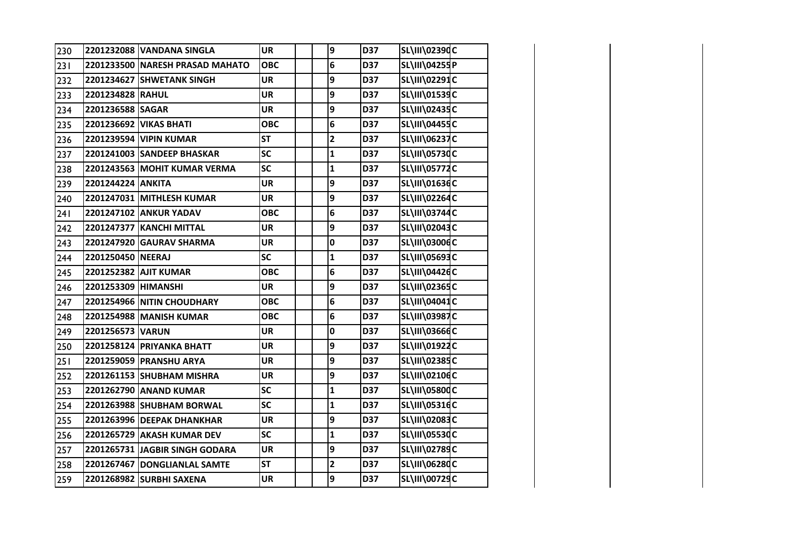| 230 |                     | 2201232088 VANDANA SINGLA       | <b>UR</b>  | 9              | D37        | SL\III\02390C        |  |
|-----|---------------------|---------------------------------|------------|----------------|------------|----------------------|--|
| 231 |                     | 2201233500 NARESH PRASAD MAHATO | <b>OBC</b> | 6              | D37        | SL\III\04255P        |  |
| 232 |                     | 2201234627 SHWETANK SINGH       | <b>UR</b>  | 9              | <b>D37</b> | SL\III\02291C        |  |
| 233 | 2201234828 RAHUL    |                                 | <b>UR</b>  | 9              | D37        | SL\III\01539C        |  |
| 234 | 2201236588 SAGAR    |                                 | <b>UR</b>  | 9              | D37        | SL\III\02435C        |  |
| 235 |                     | 2201236692 VIKAS BHATI          | <b>OBC</b> | 6              | D37        | SL\III\04455C        |  |
| 236 |                     | 2201239594 VIPIN KUMAR          | <b>ST</b>  | $\mathbf{2}$   | D37        | <b>SL\III\06237C</b> |  |
| 237 |                     | 2201241003 SANDEEP BHASKAR      | <b>SC</b>  | $\mathbf{1}$   | D37        | SL\III\05730C        |  |
| 238 |                     | 2201243563 MOHIT KUMAR VERMA    | <b>SC</b>  | $\mathbf 1$    | D37        | <b>SL\III\05772C</b> |  |
| 239 | 2201244224 ANKITA   |                                 | <b>UR</b>  | 9              | D37        | SL\III\01636C        |  |
| 240 |                     | 2201247031 MITHLESH KUMAR       | <b>UR</b>  | 9              | D37        | <b>SL\III\02264C</b> |  |
| 241 |                     | 2201247102 ANKUR YADAV          | <b>OBC</b> | 6              | D37        | SL\III\03744C        |  |
| 242 |                     | 2201247377 KANCHI MITTAL        | UR         | 9              | D37        | SL\III\02043C        |  |
| 243 |                     | 2201247920 GAURAV SHARMA        | <b>UR</b>  | $\mathbf 0$    | D37        | SL\III\03006C        |  |
| 244 | 2201250450 NEERAJ   |                                 | <b>SC</b>  | $\mathbf{1}$   | D37        | SL\III\05693C        |  |
| 245 |                     | 2201252382 AJIT KUMAR           | <b>OBC</b> | 6              | D37        | SL\III\04426C        |  |
| 246 | 2201253309 HIMANSHI |                                 | UR         | 9              | D37        | SL\III\02365C        |  |
| 247 |                     | 2201254966 NITIN CHOUDHARY      | <b>OBC</b> | 6              | D37        | SL\III\04041C        |  |
| 248 |                     | 2201254988 MANISH KUMAR         | <b>OBC</b> | 6              | D37        | SL\III\03987C        |  |
| 249 | 2201256573 VARUN    |                                 | <b>UR</b>  | 0              | D37        | SL\III\03666C        |  |
| 250 |                     | 2201258124 PRIYANKA BHATT       | <b>UR</b>  | 9              | D37        | SL\III\01922C        |  |
| 251 |                     | 2201259059 PRANSHU ARYA         | <b>UR</b>  | 9              | D37        | SL\III\02385C        |  |
| 252 |                     | 2201261153 SHUBHAM MISHRA       | <b>UR</b>  | 9              | D37        | SL\III\02106C        |  |
| 253 |                     | 2201262790 ANAND KUMAR          | <b>SC</b>  | $\mathbf{1}$   | D37        | SL\III\05800C        |  |
| 254 |                     | 2201263988 SHUBHAM BORWAL       | SC         | $\mathbf{1}$   | D37        | SL\III\05316C        |  |
| 255 |                     | 2201263996 DEEPAK DHANKHAR      | <b>UR</b>  | 9              | D37        | SL\III\02083C        |  |
| 256 |                     | 2201265729 AKASH KUMAR DEV      | <b>SC</b>  | $\mathbf{1}$   | D37        | SL\III\05530C        |  |
| 257 |                     | 2201265731 JAGBIR SINGH GODARA  | <b>UR</b>  | 9              | D37        | SL\III\02789C        |  |
| 258 |                     | 2201267467 DONGLIANLAL SAMTE    | <b>ST</b>  | $\mathbf{2}$   | D37        | <b>SL\III\06280C</b> |  |
| 259 |                     | 2201268982 SURBHI SAXENA        | <b>UR</b>  | $\overline{9}$ | D37        | SL\III\00729C        |  |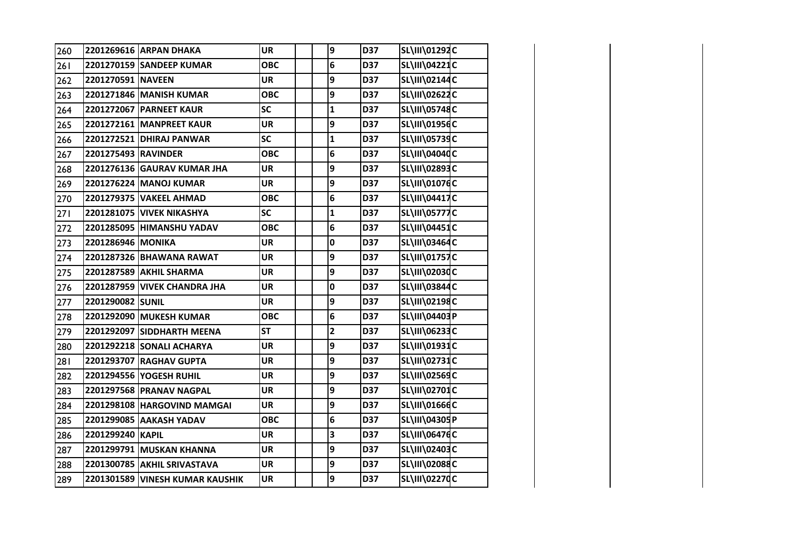| 260 |                     | 2201269616 ARPAN DHAKA           | <b>UR</b>  | 9              | D37        | SL\III\01292C        |  |
|-----|---------------------|----------------------------------|------------|----------------|------------|----------------------|--|
| 261 |                     | 2201270159 SANDEEP KUMAR         | <b>OBC</b> | 6              | D37        | SL\III\04221C        |  |
| 262 | 2201270591 NAVEEN   |                                  | <b>UR</b>  | 9              | D37        | SL\III\02144C        |  |
| 263 |                     | 2201271846 MANISH KUMAR          | <b>OBC</b> | 9              | D37        | SL\III\02622C        |  |
| 264 |                     | 2201272067 PARNEET KAUR          | <b>SC</b>  | $\mathbf{1}$   | D37        | SL\III\05748C        |  |
| 265 |                     | 2201272161 MANPREET KAUR         | <b>UR</b>  | 9              | D37        | SL\III\01956C        |  |
| 266 |                     | 2201272521 DHIRAJ PANWAR         | SC         | $\mathbf{1}$   | D37        | SL\III\05739C        |  |
| 267 | 2201275493 RAVINDER |                                  | <b>OBC</b> | 6              | D37        | SL\III\04040C        |  |
| 268 |                     | 2201276136 GAURAV KUMAR JHA      | <b>UR</b>  | 9              | D37        | SL\III\02893C        |  |
| 269 |                     | 2201276224 MANOJ KUMAR           | <b>UR</b>  | 9              | D37        | SL\III\01076C        |  |
| 270 |                     | 2201279375 VAKEEL AHMAD          | <b>OBC</b> | 6              | D37        | <b>SL\III\04417C</b> |  |
| 271 |                     | <b>2201281075 VIVEK NIKASHYA</b> | <b>SC</b>  | $\mathbf{1}$   | D37        | <b>SL\III\05777C</b> |  |
| 272 |                     | 2201285095 HIMANSHU YADAV        | <b>OBC</b> | 6              | D37        | SL\III\04451C        |  |
| 273 | 2201286946 MONIKA   |                                  | <b>UR</b>  | $\mathbf 0$    | D37        | SL\III\03464C        |  |
| 274 |                     | 2201287326 BHAWANA RAWAT         | UR         | 9              | D37        | SL\III\01757C        |  |
| 275 |                     | 2201287589 AKHIL SHARMA          | <b>UR</b>  | 9              | D37        | SL\III\02030C        |  |
| 276 |                     | 2201287959 VIVEK CHANDRA JHA     | UR         | 0              | D37        | SL\III\03844C        |  |
| 277 | 2201290082 SUNIL    |                                  | <b>UR</b>  | 9              | D37        | SL\III\02198C        |  |
| 278 |                     | 2201292090 MUKESH KUMAR          | <b>OBC</b> | 6              | D37        | SL\III\04403P        |  |
| 279 |                     | 2201292097 SIDDHARTH MEENA       | <b>ST</b>  | $\mathbf{2}$   | D37        | SL\III\06233C        |  |
| 280 |                     | 2201292218 SONALI ACHARYA        | UR         | 9              | D37        | SL\III\01931C        |  |
| 281 |                     | 2201293707 RAGHAV GUPTA          | <b>UR</b>  | 9              | D37        | <b>SL\III\02731C</b> |  |
| 282 |                     | 2201294556 YOGESH RUHIL          | UR         | 9              | <b>D37</b> | SL\III\02569C        |  |
| 283 |                     | 2201297568 PRANAV NAGPAL         | <b>UR</b>  | 9              | D37        | SL\III\02701C        |  |
| 284 |                     | 2201298108 HARGOVIND MAMGAI      | <b>UR</b>  | 9              | D37        | SL\III\01666C        |  |
| 285 |                     | 2201299085 AAKASH YADAV          | <b>OBC</b> | 6              | D37        | SL\III\04305P        |  |
| 286 | 2201299240 KAPIL    |                                  | <b>UR</b>  | 3              | D37        | SL\III\06476C        |  |
| 287 |                     | 2201299791 MUSKAN KHANNA         | <b>UR</b>  | 9              | D37        | SL\III\02403C        |  |
| 288 |                     | 2201300785 AKHIL SRIVASTAVA      | <b>UR</b>  | 9              | D37        | SL\III\02088C        |  |
| 289 |                     | 2201301589 VINESH KUMAR KAUSHIK  | <b>UR</b>  | $\overline{9}$ | D37        | SL\III\02270C        |  |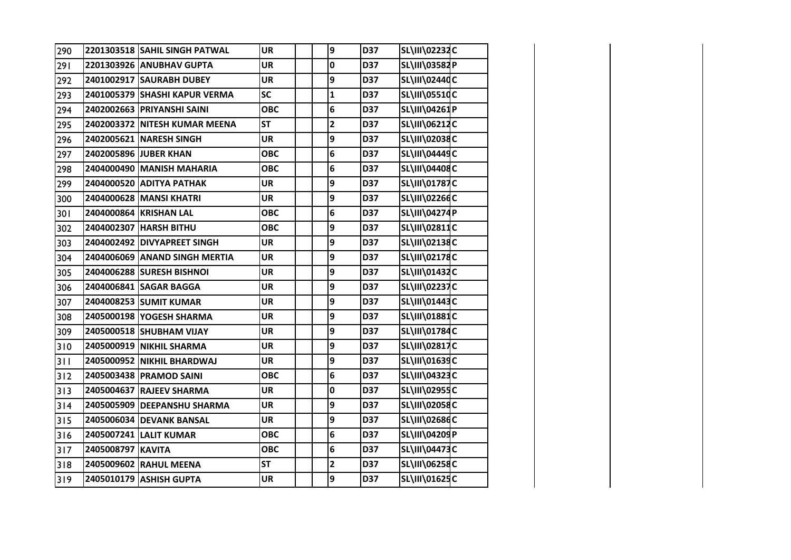| 290 |                   | 2201303518 SAHIL SINGH PATWAL | <b>UR</b>  | 9            | D37 | SL\III\02232C        |  |
|-----|-------------------|-------------------------------|------------|--------------|-----|----------------------|--|
| 291 |                   | 2201303926 ANUBHAV GUPTA      | <b>UR</b>  | $\mathbf 0$  | D37 | SL\III\03582P        |  |
| 292 |                   | 2401002917 SAURABH DUBEY      | <b>UR</b>  | 9            | D37 | SL\III\02440C        |  |
| 293 |                   | 2401005379 SHASHI KAPUR VERMA | <b>SC</b>  | $\mathbf{1}$ | D37 | SL\III\05510C        |  |
| 294 |                   | 2402002663 PRIYANSHI SAINI    | <b>OBC</b> | 6            | D37 | SL\III\04261P        |  |
| 295 |                   | 2402003372 NITESH KUMAR MEENA | <b>ST</b>  | $\mathbf{2}$ | D37 | SL\III\06212C        |  |
| 296 |                   | 2402005621 NARESH SINGH       | UR         | 9            | D37 | SL\III\02038C        |  |
| 297 |                   | 2402005896 JUBER KHAN         | <b>OBC</b> | 6            | D37 | SL\III\04449C        |  |
| 298 |                   | 2404000490 MANISH MAHARIA     | <b>OBC</b> | 6            | D37 | SL\III\04408C        |  |
| 299 |                   | 2404000520 ADITYA PATHAK      | <b>UR</b>  | 9            | D37 | <b>SL\III\01787C</b> |  |
| 300 |                   | 2404000628 MANSI KHATRI       | <b>UR</b>  | 9            | D37 | SL\III\02266C        |  |
| 301 |                   | 2404000864 KRISHAN LAL        | <b>OBC</b> | 6            | D37 | SL\III\04274P        |  |
| 302 |                   | 2404002307 HARSH BITHU        | <b>OBC</b> | 9            | D37 | SL\III\02811C        |  |
| 303 |                   | 2404002492 DIVYAPREET SINGH   | <b>UR</b>  | 9            | D37 | SL\III\02138C        |  |
| 304 |                   | 2404006069 ANAND SINGH MERTIA | <b>UR</b>  | 9            | D37 | SL\III\02178C        |  |
| 305 |                   | 2404006288 SURESH BISHNOI     | <b>UR</b>  | 9            | D37 | SL\III\01432C        |  |
| 306 |                   | 2404006841 SAGAR BAGGA        | <b>UR</b>  | 9            | D37 | SL\III\02237C        |  |
| 307 |                   | 2404008253 SUMIT KUMAR        | <b>UR</b>  | 9            | D37 | SL\III\01443C        |  |
| 308 |                   | 2405000198 YOGESH SHARMA      | <b>UR</b>  | 9            | D37 | SL\III\01881C        |  |
| 309 |                   | 2405000518 SHUBHAM VIJAY      | <b>UR</b>  | 9            | D37 | SL\III\01784C        |  |
| 310 |                   | 2405000919 NIKHIL SHARMA      | <b>UR</b>  | 9            | D37 | SL\III\02817C        |  |
| 311 |                   | 2405000952 NIKHIL BHARDWAJ    | <b>UR</b>  | 9            | D37 | SL\III\01639C        |  |
| 312 |                   | 2405003438 PRAMOD SAINI       | <b>OBC</b> | 6            | D37 | SL\III\04323C        |  |
| 313 |                   | 2405004637 RAJEEV SHARMA      | <b>UR</b>  | 0            | D37 | SL\III\02955C        |  |
| 314 |                   | 2405005909 DEEPANSHU SHARMA   | <b>UR</b>  | 9            | D37 | SL\III\02058C        |  |
| 315 |                   | 2405006034 DEVANK BANSAL      | <b>UR</b>  | 9            | D37 | SL\III\02686C        |  |
| 316 |                   | 2405007241 LALIT KUMAR        | <b>OBC</b> | 6            | D37 | SL\III\04209P        |  |
| 317 | 2405008797 KAVITA |                               | <b>OBC</b> | 6            | D37 | SL\III\04473C        |  |
| 318 |                   | 2405009602 RAHUL MEENA        | <b>ST</b>  | $\mathbf{2}$ | D37 | SL\III\06258C        |  |
| 319 |                   | 2405010179 ASHISH GUPTA       | <b>UR</b>  | 9            | D37 | SL\III\01625C        |  |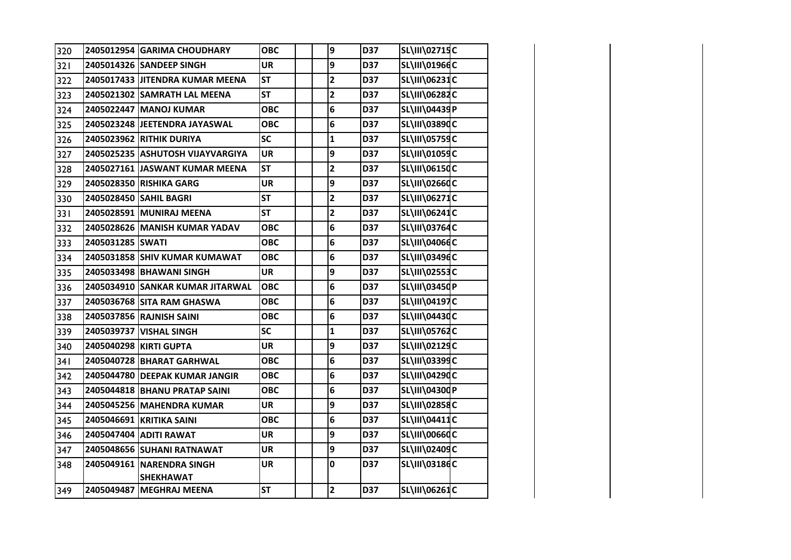| 320 |                  | 2405012954 GARIMA CHOUDHARY               | <b>OBC</b> | 9                       | D37 | <b>SL\III\02715C</b> |  |
|-----|------------------|-------------------------------------------|------------|-------------------------|-----|----------------------|--|
| 321 |                  | 2405014326 SANDEEP SINGH                  | <b>UR</b>  | 9                       | D37 | SL\III\01966C        |  |
| 322 |                  | 2405017433 JITENDRA KUMAR MEENA           | <b>ST</b>  | $\overline{\mathbf{c}}$ | D37 | SL\III\06231C        |  |
| 323 |                  | 2405021302 SAMRATH LAL MEENA              | <b>ST</b>  | $\mathbf{2}$            | D37 | <b>SL\III\06282C</b> |  |
| 324 |                  | 2405022447 MANOJ KUMAR                    | <b>OBC</b> | 6                       | D37 | SL\III\04439P        |  |
| 325 |                  | 2405023248 JEETENDRA JAYASWAL             | <b>OBC</b> | 6                       | D37 | SL\III\03890C        |  |
| 326 |                  | 2405023962 RITHIK DURIYA                  | SC         | $\mathbf{1}$            | D37 | <b>SL\III\05759C</b> |  |
| 327 |                  | 2405025235 ASHUTOSH VIJAYVARGIYA          | <b>UR</b>  | 9                       | D37 | SL\III\01059C        |  |
| 328 |                  | 2405027161 JASWANT KUMAR MEENA            | <b>ST</b>  | $\overline{2}$          | D37 | SL\III\06150C        |  |
| 329 |                  | 2405028350 RISHIKA GARG                   | <b>UR</b>  | 9                       | D37 | SL\III\02660C        |  |
| 330 |                  | 2405028450 SAHIL BAGRI                    | <b>ST</b>  | $\overline{2}$          | D37 | SL\III\06271C        |  |
| 331 |                  | 2405028591 MUNIRAJ MEENA                  | <b>ST</b>  | $\overline{\mathbf{c}}$ | D37 | SL\III\06241C        |  |
| 332 |                  | 2405028626 MANISH KUMAR YADAV             | <b>OBC</b> | 6                       | D37 | SL\III\03764C        |  |
| 333 | 2405031285 SWATI |                                           | <b>OBC</b> | 6                       | D37 | SL\III\04066C        |  |
| 334 |                  | 2405031858 SHIV KUMAR KUMAWAT             | <b>OBC</b> | 6                       | D37 | SL\III\03496C        |  |
| 335 |                  | 2405033498 BHAWANI SINGH                  | <b>UR</b>  | 9                       | D37 | SL\III\02553C        |  |
| 336 |                  | 2405034910 SANKAR KUMAR JITARWAL          | <b>OBC</b> | 6                       | D37 | SL\III\03450P        |  |
| 337 |                  | 2405036768 SITA RAM GHASWA                | <b>OBC</b> | 6                       | D37 | SL\III\04197C        |  |
| 338 |                  | 2405037856 RAJNISH SAINI                  | <b>OBC</b> | 6                       | D37 | SL\III\04430C        |  |
| 339 |                  | 2405039737 VISHAL SINGH                   | <b>SC</b>  | $\mathbf{1}$            | D37 | <b>SL\III\05762C</b> |  |
| 340 |                  | 2405040298 KIRTI GUPTA                    | <b>UR</b>  | 9                       | D37 | SL\III\02129C        |  |
| 341 |                  | 2405040728 BHARAT GARHWAL                 | <b>OBC</b> | 6                       | D37 | SL\III\03399C        |  |
| 342 |                  | 2405044780 DEEPAK KUMAR JANGIR            | <b>OBC</b> | 6                       | D37 | SL\III\04290C        |  |
| 343 |                  | 2405044818 BHANU PRATAP SAINI             | <b>OBC</b> | 6                       | D37 | SL\III\04300P        |  |
| 344 |                  | 2405045256 MAHENDRA KUMAR                 | <b>UR</b>  | 9                       | D37 | <b>SL\III\02858C</b> |  |
| 345 |                  | 2405046691 KRITIKA SAINI                  | <b>OBC</b> | 6                       | D37 | SL\III\04411C        |  |
| 346 |                  | 2405047404 ADITI RAWAT                    | <b>UR</b>  | 9                       | D37 | <b>SL\III\00660C</b> |  |
| 347 |                  | 2405048656 SUHANI RATNAWAT                | <b>UR</b>  | 9                       | D37 | SL\III\02409C        |  |
| 348 | 2405049161       | <b>NARENDRA SINGH</b><br><b>SHEKHAWAT</b> | <b>UR</b>  | 0                       | D37 | SL\III\03186C        |  |
| 349 |                  | 2405049487 MEGHRAJ MEENA                  | <b>ST</b>  | $\overline{\mathbf{2}}$ | D37 | SL\III\06261C        |  |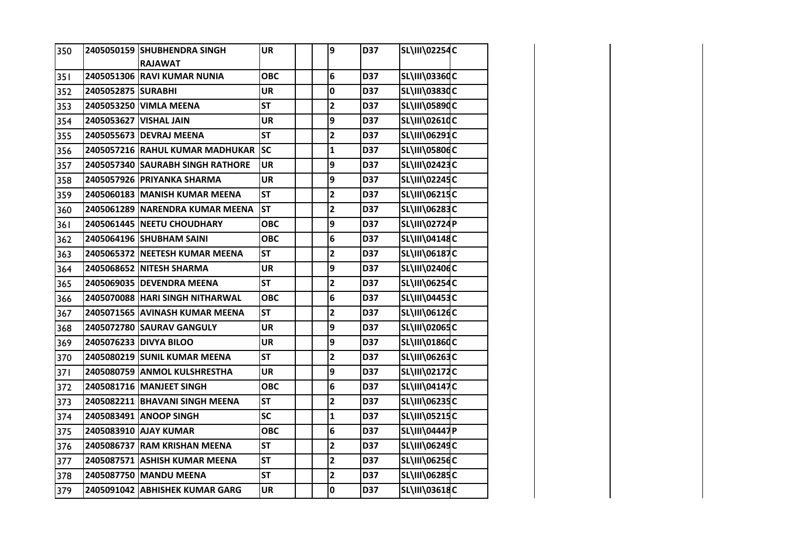| 350 |                    | 2405050159 SHUBHENDRA SINGH      | <b>UR</b>  | 9                       | D37 | <b>SL\III\02254C</b> |  |
|-----|--------------------|----------------------------------|------------|-------------------------|-----|----------------------|--|
|     |                    | <b>RAJAWAT</b>                   |            |                         |     |                      |  |
| 351 |                    | 2405051306 RAVI KUMAR NUNIA      | <b>OBC</b> | 6                       | D37 | <b>SL\III\03360C</b> |  |
| 352 | 2405052875 SURABHI |                                  | <b>UR</b>  | $\mathbf 0$             | D37 | <b>SL\III\03830C</b> |  |
| 353 |                    | 2405053250 VIMLA MEENA           | <b>ST</b>  | $\mathbf 2$             | D37 | SL\III\05890C        |  |
| 354 |                    | 2405053627 VISHAL JAIN           | <b>UR</b>  | 9                       | D37 | SL\III\02610C        |  |
| 355 |                    | 2405055673 DEVRAJ MEENA          | <b>ST</b>  | $\overline{\mathbf{c}}$ | D37 | SL\III\06291C        |  |
| 356 |                    | 2405057216 RAHUL KUMAR MADHUKAR  | <b>SC</b>  | $\mathbf 1$             | D37 | <b>SL\III\05806C</b> |  |
| 357 |                    | 2405057340 SAURABH SINGH RATHORE | <b>UR</b>  | 9                       | D37 | SL\III\02423C        |  |
| 358 |                    | 2405057926 PRIYANKA SHARMA       | <b>UR</b>  | 9                       | D37 | SL\III\02245C        |  |
| 359 |                    | 2405060183 MANISH KUMAR MEENA    | <b>ST</b>  | $\overline{\mathbf{2}}$ | D37 | <b>SL\III\06215C</b> |  |
| 360 |                    | 2405061289 NARENDRA KUMAR MEENA  | <b>ST</b>  | $\mathbf{2}$            | D37 | SL\III\06283C        |  |
| 361 |                    | 2405061445 NEETU CHOUDHARY       | <b>OBC</b> | 9                       | D37 | <b>SL\III\02724P</b> |  |
| 362 |                    | 2405064196 SHUBHAM SAINI         | <b>OBC</b> | 6                       | D37 | <b>SL\III\04148C</b> |  |
| 363 |                    | 2405065372 NEETESH KUMAR MEENA   | <b>ST</b>  | $\overline{\mathbf{c}}$ | D37 | SL\III\06187C        |  |
| 364 |                    | 2405068652 NITESH SHARMA         | <b>UR</b>  | 9                       | D37 | SL\III\02406C        |  |
| 365 |                    | 2405069035 DEVENDRA MEENA        | <b>ST</b>  | $\overline{\mathbf{2}}$ | D37 | SL\III\06254C        |  |
| 366 |                    | 2405070088 HARI SINGH NITHARWAL  | <b>OBC</b> | 6                       | D37 | <b>SL\III\04453C</b> |  |
| 367 |                    | 2405071565 AVINASH KUMAR MEENA   | <b>ST</b>  | $\mathbf{2}$            | D37 | SL\III\06126C        |  |
| 368 |                    | 2405072780 SAURAV GANGULY        | <b>UR</b>  | 9                       | D37 | SL\III\02065C        |  |
| 369 |                    | 2405076233 DIVYA BILOO           | <b>UR</b>  | 9                       | D37 | SL\III\01860C        |  |
| 370 |                    | 2405080219 SUNIL KUMAR MEENA     | <b>ST</b>  | $\overline{\mathbf{c}}$ | D37 | SL\III\06263C        |  |
| 371 |                    | 2405080759 ANMOL KULSHRESTHA     | <b>UR</b>  | 9                       | D37 | SL\III\02172C        |  |
| 372 |                    | 2405081716 MANJEET SINGH         | <b>OBC</b> | 6                       | D37 | SL\III\04147C        |  |
| 373 |                    | 2405082211 BHAVANI SINGH MEENA   | <b>ST</b>  | $\overline{\mathbf{c}}$ | D37 | SL\III\06235C        |  |
| 374 |                    | 2405083491 ANOOP SINGH           | <b>SC</b>  | $\mathbf{1}$            | D37 | SL\III\05215C        |  |
| 375 |                    | 2405083910 AJAY KUMAR            | <b>OBC</b> | $6\phantom{1}$          | D37 | SL\III\04447P        |  |
| 376 |                    | 2405086737 RAM KRISHAN MEENA     | <b>ST</b>  | $\mathbf{2}$            | D37 | SL\III\06249C        |  |
| 377 |                    | 2405087571 ASHISH KUMAR MEENA    | <b>ST</b>  | $\overline{\mathbf{2}}$ | D37 | <b>SL\III\06256C</b> |  |
| 378 |                    | 2405087750 MANDU MEENA           | <b>ST</b>  | $\mathbf{2}$            | D37 | SL\III\06285C        |  |
| 379 |                    | 2405091042 ABHISHEK KUMAR GARG   | <b>UR</b>  | $\mathbf 0$             | D37 | SL\III\03618C        |  |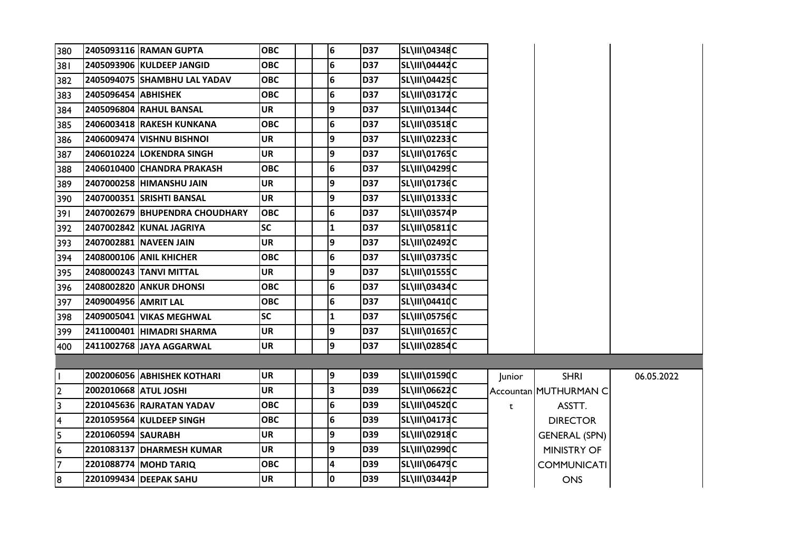| 380                     |                       | 2405093116 RAMAN GUPTA          | <b>OBC</b> | 6               | <b>D37</b> | <b>SL\III\04348C</b> |        |                       |            |
|-------------------------|-----------------------|---------------------------------|------------|-----------------|------------|----------------------|--------|-----------------------|------------|
| 381                     |                       | 2405093906 KULDEEP JANGID       | <b>OBC</b> | $6\phantom{1}6$ | <b>D37</b> | <b>SL\III\04442C</b> |        |                       |            |
| 382                     |                       | 2405094075 SHAMBHU LAL YADAV    | ОВС        | 6               | <b>D37</b> | <b>SL\III\04425C</b> |        |                       |            |
| 383                     | 2405096454 ABHISHEK   |                                 | ОВС        | 6               | <b>D37</b> | <b>SL\III\03172C</b> |        |                       |            |
| 384                     |                       | <b>2405096804 IRAHUL BANSAL</b> | UR         | 9               | <b>D37</b> | SL\III\01344C        |        |                       |            |
| 385                     |                       | 2406003418 RAKESH KUNKANA       | <b>OBC</b> | 6               | <b>D37</b> | <b>SL\III\03518C</b> |        |                       |            |
| 386                     |                       | 2406009474 VISHNU BISHNOI       | <b>UR</b>  | 9               | <b>D37</b> | <b>SL\III\02233C</b> |        |                       |            |
| 387                     |                       | 2406010224 LOKENDRA SINGH       | <b>UR</b>  | 9               | <b>D37</b> | SL\III\01765C        |        |                       |            |
| 388                     |                       | 2406010400 CHANDRA PRAKASH      | <b>OBC</b> | $\bf 6$         | <b>D37</b> | SL\III\04299C        |        |                       |            |
| 389                     |                       | 2407000258 HIMANSHU JAIN        | <b>UR</b>  | 9               | <b>D37</b> | SL\III\01736C        |        |                       |            |
| 390                     |                       | 2407000351 SRISHTI BANSAL       | <b>UR</b>  | 9               | <b>D37</b> | SL\III\01333C        |        |                       |            |
| 391                     |                       | 2407002679 BHUPENDRA CHOUDHARY  | <b>OBC</b> | 6               | <b>D37</b> | <b>SL\III\03574P</b> |        |                       |            |
| 392                     |                       | 2407002842 KUNAL JAGRIYA        | <b>SC</b>  | $\mathbf{1}$    | <b>D37</b> | SL\III\05811C        |        |                       |            |
| 393                     |                       | 2407002881 NAVEEN JAIN          | <b>UR</b>  | 9               | <b>D37</b> | <b>SL\III\02492C</b> |        |                       |            |
| 394                     |                       | 2408000106 ANIL KHICHER         | <b>OBC</b> | 6               | <b>D37</b> | <b>SL\III\03735C</b> |        |                       |            |
| 395                     |                       | 2408000243 TANVI MITTAL         | <b>UR</b>  | 9               | <b>D37</b> | SL\III\01555C        |        |                       |            |
| 396                     |                       | 2408002820 ANKUR DHONSI         | <b>OBC</b> | 6               | <b>D37</b> | SL\III\03434C        |        |                       |            |
| 397                     | 2409004956 AMRIT LAL  |                                 | <b>OBC</b> | 6               | <b>D37</b> | SL\III\04410C        |        |                       |            |
| 398                     |                       | 2409005041 VIKAS MEGHWAL        | <b>SC</b>  | $\mathbf{1}$    | <b>D37</b> | <b>SL\III\05756C</b> |        |                       |            |
| 399                     |                       | 2411000401 HIMADRI SHARMA       | <b>UR</b>  | 9               | <b>D37</b> | <b>SL\III\01657C</b> |        |                       |            |
| 400                     |                       | 2411002768 JAYA AGGARWAL        | <b>UR</b>  | 9               | <b>D37</b> | SL\III\02854C        |        |                       |            |
|                         |                       |                                 |            |                 |            |                      |        |                       |            |
| I.                      |                       | 2002006056 ABHISHEK KOTHARI     | <b>UR</b>  | 9               | <b>D39</b> | SL\III\01590C        | Junior | <b>SHRI</b>           | 06.05.2022 |
| $\overline{2}$          | 2002010668 ATUL JOSHI |                                 | <b>UR</b>  | 3               | <b>D39</b> | <b>SL\III\06622C</b> |        | Accountan MUTHURMAN C |            |
| سا                      |                       | 2201045636 RAJRATAN YADAV       | <b>OBC</b> | 6               | <b>D39</b> | SL\III\04520C        | t      | ASSTT.                |            |
| $\overline{\mathbf{4}}$ |                       | 2201059564 KULDEEP SINGH        | <b>OBC</b> | 6               | <b>D39</b> | <b>SL\III\04173C</b> |        | <b>DIRECTOR</b>       |            |
| $\overline{5}$          | 2201060594 SAURABH    |                                 | <b>UR</b>  | 9               | <b>D39</b> | SL\III\02918C        |        | <b>GENERAL (SPN)</b>  |            |
| $\overline{6}$          |                       | 2201083137 DHARMESH KUMAR       | <b>UR</b>  | 9               | <b>D39</b> | SL\III\02990C        |        | <b>MINISTRY OF</b>    |            |
| $\overline{7}$          |                       | 2201088774 MOHD TARIQ           | ОВС        | 4               | <b>D39</b> | <b>SL\III\06479C</b> |        | <b>COMMUNICATI</b>    |            |
| 8                       |                       | 2201099434 DEEPAK SAHU          | <b>UR</b>  | $\mathbf 0$     | <b>D39</b> | SL\III\03442P        |        | <b>ONS</b>            |            |
|                         |                       |                                 |            |                 |            |                      |        |                       |            |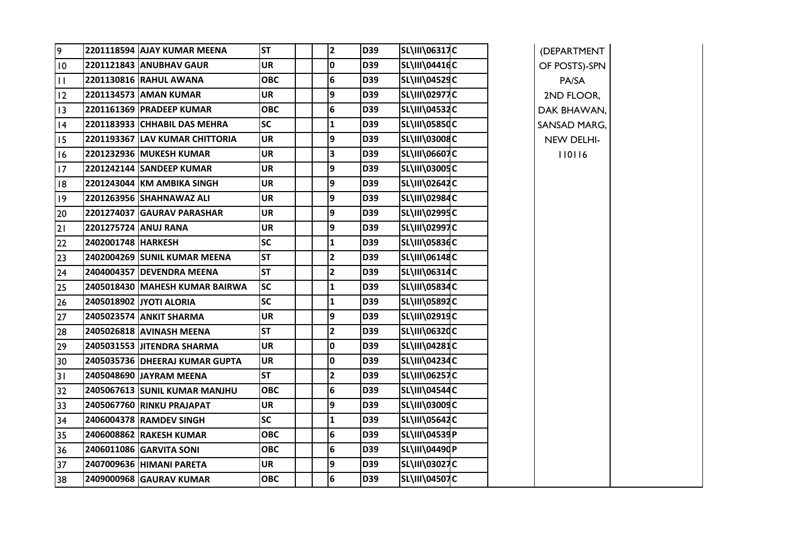| 9               |                      | 2201118594 AJAY KUMAR MEENA    | <b>ST</b>  | $\mathbf{2}$ | <b>D39</b> | <b>SL\III\06317C</b> | (DEPARTMENT   |
|-----------------|----------------------|--------------------------------|------------|--------------|------------|----------------------|---------------|
| 10              |                      | 2201121843 ANUBHAV GAUR        | <b>UR</b>  | 0            | D39        | <b>SL\III\04416C</b> | OF POSTS)-SPN |
| $\mathbf{H}$    |                      | 2201130816 RAHUL AWANA         | <b>OBC</b> | 6            | D39        | <b>SL\III\04529C</b> | PA/SA         |
| 12              |                      | 2201134573 AMAN KUMAR          | <b>UR</b>  | 9            | <b>D39</b> | <b>SL\III\02977C</b> | 2ND FLOOR,    |
| $\overline{13}$ |                      | 2201161369 PRADEEP KUMAR       | <b>OBC</b> | 6            | D39        | <b>SL\III\04532C</b> | DAK BHAWAN,   |
| 4               |                      | 2201183933 CHHABIL DAS MEHRA   | <b>SC</b>  | 1            | <b>D39</b> | <b>SL\III\05850C</b> | SANSAD MARG,  |
| 15              |                      | 2201193367 LAV KUMAR CHITTORIA | UR         | 9            | D39        | SL\III\03008C        | NEW DELHI-    |
| 16              |                      | 2201232936 MUKESH KUMAR        | <b>UR</b>  | 3            | <b>D39</b> | <b>SL\III\06607C</b> | 110116        |
| 17              |                      | 2201242144 SANDEEP KUMAR       | UR         | 9            | D39        | <b>SL\III\03005C</b> |               |
| 8               |                      | 2201243044 KM AMBIKA SINGH     | <b>UR</b>  | 9            | D39        | SL\III\02642C        |               |
| 9               |                      | 2201263956 SHAHNAWAZ ALI       | UR         | 9            | D39        | SL\III\02984C        |               |
| 20              |                      | 2201274037 GAURAV PARASHAR     | <b>UR</b>  | 9            | D39        | <b>SL\III\02995C</b> |               |
| 21              | 2201275724 ANUJ RANA |                                | <b>UR</b>  | 9            | D39        | <b>SL\III\02997C</b> |               |
| 22              | 2402001748 HARKESH   |                                | <b>SC</b>  | $\mathbf{1}$ | D39        | <b>SL\III\05836C</b> |               |
| 23              |                      | 2402004269 SUNIL KUMAR MEENA   | <b>ST</b>  | 2            | D39        | <b>SL\III\06148C</b> |               |
| 24              |                      | 2404004357 DEVENDRA MEENA      | <b>ST</b>  | $\mathbf{2}$ | D39        | <b>SL\III\06314C</b> |               |
| 25              |                      | 2405018430 MAHESH KUMAR BAIRWA | <b>SC</b>  | 1            | D39        | <b>SL\III\05834C</b> |               |
| 26              |                      | 2405018902 JYOTI ALORIA        | <b>SC</b>  | 1            | D39        | SL\III\05892C        |               |
| 27              |                      | 2405023574 ANKIT SHARMA        | <b>UR</b>  | 9            | D39        | SL\III\02919C        |               |
| 28              |                      | 2405026818 AVINASH MEENA       | <b>ST</b>  | $\mathbf{2}$ | D39        | SL\III\0632dC        |               |
| 29              |                      | 2405031553 JITENDRA SHARMA     | <b>UR</b>  | 0            | D39        | SL\III\04281C        |               |
| 30              |                      | 2405035736 DHEERAJ KUMAR GUPTA | <b>UR</b>  | 0            | D39        | <b>SL\III\04234C</b> |               |
| 31              |                      | 2405048690 JAYRAM MEENA        | <b>ST</b>  | $\mathbf{2}$ | D39        | <b>SL\III\06257C</b> |               |
| 32              |                      | 2405067613 SUNIL KUMAR MANJHU  | <b>OBC</b> | 6            | D39        | <b>SL\III\04544C</b> |               |
| 33              |                      | 2405067760 RINKU PRAJAPAT      | <b>UR</b>  | 9            | D39        | SL\III\03009C        |               |
| 34              |                      | 2406004378 RAMDEV SINGH        | <b>SC</b>  | 1            | D39        | <b>SL\III\05642C</b> |               |
| 35              |                      | 2406008862 RAKESH KUMAR        | <b>OBC</b> | 6            | D39        | SL\III\04539P        |               |
| 36              |                      | 2406011086 GARVITA SONI        | <b>OBC</b> | 6            | D39        | SL\III\04490P        |               |
| 37              |                      | 2407009636 HIMANI PARETA       | <b>UR</b>  | 9            | <b>D39</b> | <b>SL\III\03027C</b> |               |
| 38              |                      | 2409000968 GAURAV KUMAR        | <b>OBC</b> | 6            | D39        | <b>SL\III\04507C</b> |               |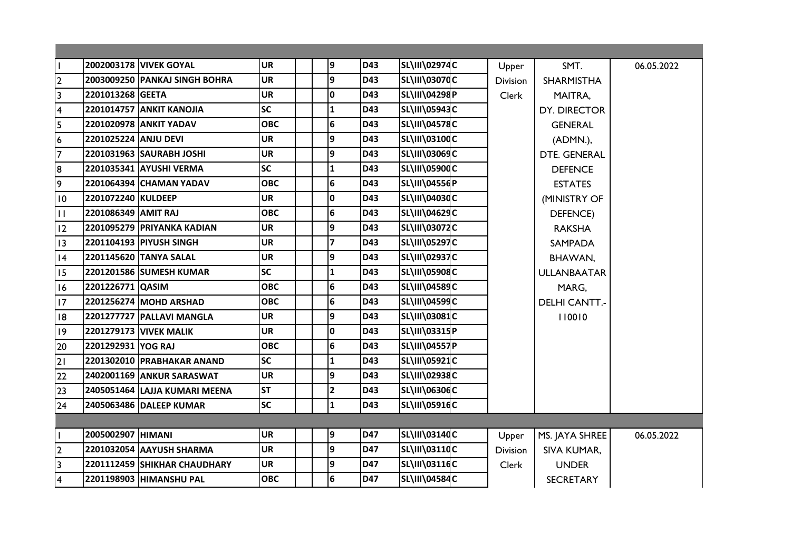| H.                                   |                      | <b>2002003178 VIVEK GOYAL</b>   | <b>UR</b>  | 9               | <b>D43</b> | SL\III\02974C        | Upper           | SMT.                 | 06.05.2022 |
|--------------------------------------|----------------------|---------------------------------|------------|-----------------|------------|----------------------|-----------------|----------------------|------------|
| $\overline{2}$                       |                      | 2003009250 PANKAJ SINGH BOHRA   | <b>UR</b>  | $\overline{9}$  | D43        | SL\III\03070C        | <b>Division</b> | <b>SHARMISTHA</b>    |            |
| $\overline{\mathbf{3}}$              | 2201013268 GEETA     |                                 | <b>UR</b>  | 0               | <b>D43</b> | SL\III\04298P        | Clerk           | MAITRA,              |            |
| $\overline{\mathbf{4}}$              |                      | <b>2201014757 ANKIT KANOJIA</b> | <b>SC</b>  | 1               | D43        | SL\III\05943C        |                 | DY. DIRECTOR         |            |
| $\overline{\overline{\overline{5}}}$ |                      | 2201020978 ANKIT YADAV          | <b>OBC</b> | $6\phantom{1}6$ | <b>D43</b> | <b>SL\III\04578C</b> |                 | <b>GENERAL</b>       |            |
| $\overline{6}$                       | 2201025224 ANJU DEVI |                                 | <b>UR</b>  | $\overline{9}$  | D43        | SL\III\03100C        |                 | (ADMN.),             |            |
| $\overline{7}$                       |                      | 2201031963 SAURABH JOSHI        | <b>UR</b>  | 9               | <b>D43</b> | <b>SL\III\03069C</b> |                 | DTE. GENERAL         |            |
| $\overline{8}$                       |                      | 2201035341 AYUSHI VERMA         | <b>SC</b>  | 1               | D43        | SL\III\05900C        |                 | <b>DEFENCE</b>       |            |
| $\overline{9}$                       |                      | 2201064394 CHAMAN YADAV         | <b>OBC</b> | $6\phantom{1}6$ | <b>D43</b> | SL\III\04556P        |                 | <b>ESTATES</b>       |            |
| 10                                   | 2201072240 KULDEEP   |                                 | <b>UR</b>  | 0               | D43        | <b>SL\III\04030C</b> |                 | (MINISTRY OF         |            |
| $\vert \vert$                        | 2201086349 AMIT RAJ  |                                 | <b>OBC</b> | $6\phantom{1}6$ | D43        | <b>SL\III\04629C</b> |                 | <b>DEFENCE</b> )     |            |
| 12                                   |                      | 2201095279 PRIYANKA KADIAN      | <b>UR</b>  | 9               | <b>D43</b> | <b>SL\III\03072C</b> |                 | <b>RAKSHA</b>        |            |
| $ 13\rangle$                         |                      | 2201104193 PIYUSH SINGH         | <b>UR</b>  | 7               | D43        | <b>SL\III\05297C</b> |                 | <b>SAMPADA</b>       |            |
| 14                                   |                      | 2201145620 TANYA SALAL          | <b>UR</b>  | 9               | <b>D43</b> | <b>SL\III\02937C</b> |                 | BHAWAN,              |            |
| 15                                   |                      | 2201201586 SUMESH KUMAR         | <b>SC</b>  | 1               | D43        | <b>SL\III\05908C</b> |                 | <b>ULLANBAATAR</b>   |            |
| 16                                   | 2201226771 QASIM     |                                 | <b>OBC</b> | 6               | <b>D43</b> | <b>SL\III\04589C</b> |                 | MARG,                |            |
| 17                                   |                      | 2201256274 MOHD ARSHAD          | <b>OBC</b> | $6\phantom{1}6$ | D43        | <b>SL\III\04599C</b> |                 | <b>DELHI CANTT.-</b> |            |
| 18                                   |                      | 2201277727 PALLAVI MANGLA       | <b>UR</b>  | 9               | <b>D43</b> | SL\III\03081C        |                 | 110010               |            |
| 19                                   |                      | <b>2201279173 VIVEK MALIK</b>   | <b>UR</b>  | $\mathbf 0$     | D43        | SL\III\03315P        |                 |                      |            |
| 20                                   | 2201292931 YOG RAJ   |                                 | <b>OBC</b> | 6               | <b>D43</b> | SL\III\04557P        |                 |                      |            |
| $\overline{21}$                      |                      | 2201302010 PRABHAKAR ANAND      | <b>SC</b>  | 1               | D43        | <b>SL\III\05921C</b> |                 |                      |            |
| 22                                   |                      | 2402001169 ANKUR SARASWAT       | <b>UR</b>  | 9               | <b>D43</b> | <b>SL\III\02938C</b> |                 |                      |            |
| 23                                   |                      | 2405051464 LAJJA KUMARI MEENA   | <b>ST</b>  | $\mathbf{2}$    | D43        | <b>SL\III\06306C</b> |                 |                      |            |
| 24                                   |                      | 2405063486 DALEEP KUMAR         | <b>SC</b>  | $\mathbf{1}$    | <b>D43</b> | SL\III\05916C        |                 |                      |            |
|                                      |                      |                                 |            |                 |            |                      |                 |                      |            |
| L                                    | 2005002907 HIMANI    |                                 | <b>UR</b>  | 9               | D47        | SL\III\03140C        | Upper           | MS. JAYA SHREE       | 06.05.2022 |
| $\overline{2}$                       |                      | 2201032054 AAYUSH SHARMA        | <b>UR</b>  | 9               | <b>D47</b> | <b>SL\III\03110C</b> | <b>Division</b> | SIVA KUMAR,          |            |
| س                                    |                      | 2201112459 SHIKHAR CHAUDHARY    | <b>UR</b>  | 9               | <b>D47</b> | <b>SL\III\03116C</b> | Clerk           | <b>UNDER</b>         |            |
| $\overline{4}$                       |                      | 2201198903 HIMANSHU PAL         | <b>OBC</b> | 6               | <b>D47</b> | <b>SL\III\04584C</b> |                 | <b>SECRETARY</b>     |            |
|                                      |                      |                                 |            |                 |            |                      |                 |                      |            |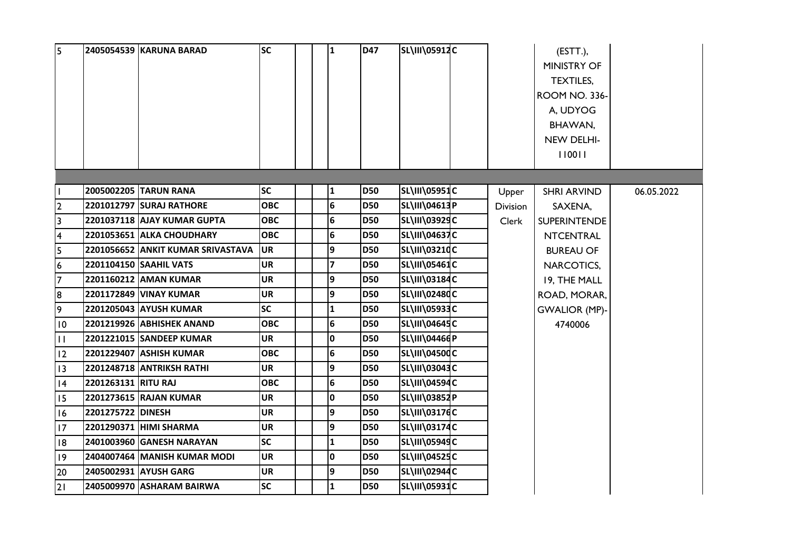| 5                       |                     | 2405054539 KARUNA BARAD           | <b>SC</b>  | $\mathbf{1}$            | <b>D47</b> | <b>SL\III\05912C</b>  |                 | $ESTT$ .),<br><b>MINISTRY OF</b><br>TEXTILES,<br><b>ROOM NO. 336-</b><br>A, UDYOG<br>BHAWAN,<br>NEW DELHI-<br>110011 |            |
|-------------------------|---------------------|-----------------------------------|------------|-------------------------|------------|-----------------------|-----------------|----------------------------------------------------------------------------------------------------------------------|------------|
|                         |                     |                                   |            |                         |            |                       |                 |                                                                                                                      |            |
|                         |                     | 2005002205 TARUN RANA             | <b>SC</b>  | 1                       | <b>D50</b> | <b>SL\III\05951C</b>  | Upper           | <b>SHRI ARVIND</b>                                                                                                   | 06.05.2022 |
| $\overline{2}$          |                     | 2201012797 SURAJ RATHORE          | <b>OBC</b> | $6\phantom{1}6$         | <b>D50</b> | SL\III\04613P         | <b>Division</b> | SAXENA,                                                                                                              |            |
| $\overline{3}$          |                     | 2201037118 AJAY KUMAR GUPTA       | <b>OBC</b> | $\bf 6$                 | <b>D50</b> | SL\III\03929C         | Clerk           | <b>SUPERINTENDE</b>                                                                                                  |            |
| $\overline{\mathbf{4}}$ |                     | 2201053651 ALKA CHOUDHARY         | <b>OBC</b> | $\bf 6$                 | <b>D50</b> | <b>SL\III\04637C</b>  |                 | <b>NTCENTRAL</b>                                                                                                     |            |
| 5                       |                     | 2201056652 ANKIT KUMAR SRIVASTAVA | <b>UR</b>  | 9                       | <b>D50</b> | <b>SL\III\03210C</b>  |                 | <b>BUREAU OF</b>                                                                                                     |            |
| $6\phantom{.}6$         |                     | 2201104150 SAAHIL VATS            | <b>UR</b>  | $\overline{\mathbf{z}}$ | <b>D50</b> | <b>SL\III\05461C</b>  |                 | NARCOTICS,                                                                                                           |            |
| 7                       |                     | 2201160212 AMAN KUMAR             | <b>UR</b>  | 9                       | <b>D50</b> | <b>SL\III\03184C</b>  |                 | 19, THE MALL                                                                                                         |            |
| 8                       |                     | 2201172849 VINAY KUMAR            | UR         | 9                       | <b>D50</b> | <b>SL\III\02480C</b>  |                 | ROAD, MORAR,                                                                                                         |            |
| 9                       |                     | 2201205043  AYUSH KUMAR           | <b>SC</b>  | 1                       | <b>D50</b> | <b>SL\III\05933C</b>  |                 | <b>GWALIOR (MP)-</b>                                                                                                 |            |
| $\overline{10}$         |                     | 2201219926 ABHISHEK ANAND         | <b>OBC</b> | 6                       | <b>D50</b> | <b>SL\III\04645C</b>  |                 | 4740006                                                                                                              |            |
| $\overline{11}$         |                     | 2201221015 SANDEEP KUMAR          | <b>UR</b>  | $\mathbf 0$             | <b>D50</b> | SL\III\04466 <b>P</b> |                 |                                                                                                                      |            |
| $ 12\rangle$            |                     | 2201229407 ASHISH KUMAR           | <b>OBC</b> | $\bf 6$                 | <b>D50</b> | SL\III\04500C         |                 |                                                                                                                      |            |
| $ 13\rangle$            |                     | 2201248718 ANTRIKSH RATHI         | <b>UR</b>  | 9                       | <b>D50</b> | <b>SL\III\03043C</b>  |                 |                                                                                                                      |            |
| 4                       | 2201263131 RITU RAJ |                                   | ОВС        | $\bf 6$                 | <b>D50</b> | <b>SL\III\04594C</b>  |                 |                                                                                                                      |            |
| 15                      |                     | 2201273615 RAJAN KUMAR            | <b>UR</b>  | $\mathbf 0$             | <b>D50</b> | <b>SL\III\03852P</b>  |                 |                                                                                                                      |            |
| 16                      | 2201275722 DINESH   |                                   | <b>UR</b>  | 9                       | <b>D50</b> | <b>SL\III\03176C</b>  |                 |                                                                                                                      |            |
| 17                      |                     | 2201290371 HIMI SHARMA            | <b>UR</b>  | 9                       | <b>D50</b> | <b>SL\III\03174C</b>  |                 |                                                                                                                      |            |
| 18                      |                     | 2401003960 GANESH NARAYAN         | SC         | 1                       | <b>D50</b> | <b>SL\III\05949C</b>  |                 |                                                                                                                      |            |
| $ 19\rangle$            |                     | 2404007464 MANISH KUMAR MODI      | <b>UR</b>  | $\mathbf 0$             | <b>D50</b> | <b>SL\III\04525C</b>  |                 |                                                                                                                      |            |
| 20                      |                     | 2405002931 AYUSH GARG             | <b>UR</b>  | 9                       | <b>D50</b> | <b>SL\III\02944C</b>  |                 |                                                                                                                      |            |
| 2                       |                     | 2405009970 ASHARAM BAIRWA         | <b>SC</b>  | $\mathbf{1}$            | <b>D50</b> | <b>SL\III\05931C</b>  |                 |                                                                                                                      |            |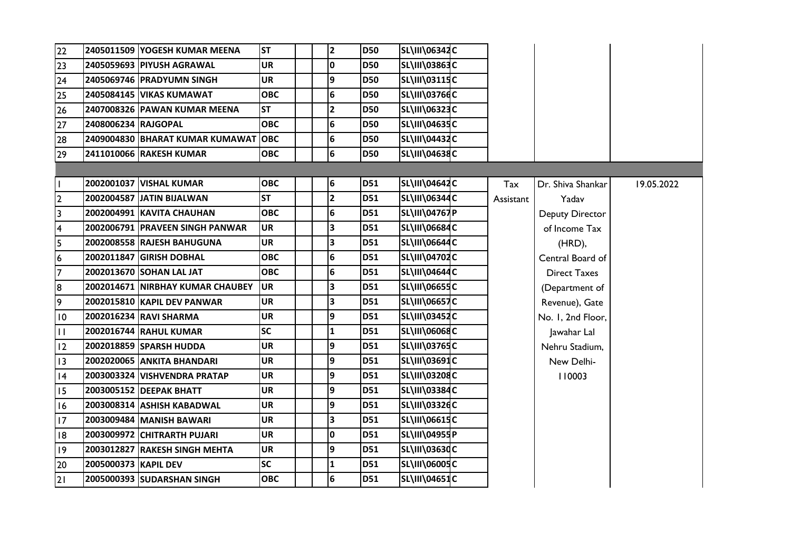| 22                      |                      | 2405011509 YOGESH KUMAR MEENA    | <b>ST</b>  | $\overline{\mathbf{2}}$ | <b>D50</b> | SL\III\06342C        |           |                     |            |
|-------------------------|----------------------|----------------------------------|------------|-------------------------|------------|----------------------|-----------|---------------------|------------|
| 23                      |                      | 2405059693 PIYUSH AGRAWAL        | <b>UR</b>  | 0                       | <b>D50</b> | SL\III\03863C        |           |                     |            |
| 24                      |                      | 2405069746 PRADYUMN SINGH        | <b>UR</b>  | 9                       | <b>D50</b> | <b>SL\III\03115C</b> |           |                     |            |
| 25                      |                      | 2405084145 VIKAS KUMAWAT         | <b>OBC</b> | 6                       | <b>D50</b> | <b>SL\III\03766C</b> |           |                     |            |
| 26                      |                      | 2407008326 PAWAN KUMAR MEENA     | <b>ST</b>  | 2                       | <b>D50</b> | SL\III\06323C        |           |                     |            |
| 27                      | 2408006234 RAJGOPAL  |                                  | <b>OBC</b> | 6                       | <b>D50</b> | SL\III\04635C        |           |                     |            |
| 28                      |                      | 2409004830 BHARAT KUMAR KUMAWAT  | <b>OBC</b> | 6                       | <b>D50</b> | <b>SL\III\04432C</b> |           |                     |            |
| 29                      |                      | 2411010066 RAKESH KUMAR          | <b>OBC</b> | 6                       | <b>D50</b> | SL\III\04638C        |           |                     |            |
|                         |                      |                                  |            |                         |            |                      |           |                     |            |
| $\mathbf{I}$            |                      | 2002001037 VISHAL KUMAR          | <b>OBC</b> | 6                       | <b>D51</b> | SL\III\04642C        | Tax       | Dr. Shiva Shankar   | 19.05.2022 |
| 2                       |                      | 2002004587 JATIN BIJALWAN        | <b>ST</b>  | 2                       | <b>D51</b> | SL\III\06344C        | Assistant | Yadav               |            |
| $\overline{\mathbf{3}}$ |                      | 2002004991 KAVITA CHAUHAN        | <b>OBC</b> | 6                       | <b>D51</b> | SL\III\04767P        |           | Deputy Director     |            |
| $\overline{\mathbf{4}}$ |                      | 2002006791 PRAVEEN SINGH PANWAR  | <b>UR</b>  | 3                       | <b>D51</b> | <b>SL\III\06684C</b> |           | of Income Tax       |            |
| $\overline{5}$          |                      | 2002008558 RAJESH BAHUGUNA       | <b>UR</b>  | 3                       | <b>D51</b> | SL\III\06644C        |           | (HRD),              |            |
| $6\overline{6}$         |                      | 2002011847 GIRISH DOBHAL         | <b>OBC</b> | 6                       | <b>D51</b> | SL\III\04702C        |           | Central Board of    |            |
| 7                       |                      | 2002013670 SOHAN LAL JAT         | <b>OBC</b> | 6                       | D51        | SL\III\04644C        |           | <b>Direct Taxes</b> |            |
| 8                       |                      | 2002014671 NIRBHAY KUMAR CHAUBEY | <b>UR</b>  | 3                       | <b>D51</b> | <b>SL\III\06655C</b> |           | (Department of      |            |
| 9                       |                      | 2002015810 KAPIL DEV PANWAR      | <b>UR</b>  | 3                       | <b>D51</b> | <b>SL\III\06657C</b> |           | Revenue), Gate      |            |
| 10                      |                      | 2002016234 RAVI SHARMA           | <b>UR</b>  | 9                       | <b>D51</b> | SL\III\03452C        |           | No. I, 2nd Floor,   |            |
| $\vert \vert \vert$     |                      | 2002016744 RAHUL KUMAR           | <b>SC</b>  | 1                       | <b>D51</b> | <b>SL\III\06068C</b> |           | Jawahar Lal         |            |
| 12                      |                      | 2002018859 SPARSH HUDDA          | <b>UR</b>  | 9                       | <b>D51</b> | SL\III\03765C        |           | Nehru Stadium,      |            |
| 13                      |                      | 2002020065 ANKITA BHANDARI       | <b>UR</b>  | 9                       | <b>D51</b> | SL\III\03691C        |           | New Delhi-          |            |
| 4                       |                      | 2003003324 VISHVENDRA PRATAP     | <b>UR</b>  | 9                       | <b>D51</b> | <b>SL\III\03208C</b> |           | 110003              |            |
| 15                      |                      | 2003005152 DEEPAK BHATT          | <b>UR</b>  | 9                       | <b>D51</b> | SL\III\03384C        |           |                     |            |
| 16                      |                      | 2003008314 ASHISH KABADWAL       | <b>UR</b>  | 9                       | <b>D51</b> | SL\III\03326C        |           |                     |            |
| 17                      |                      | 2003009484 MANISH BAWARI         | <b>UR</b>  | 3                       | D51        | <b>SL\III\06615C</b> |           |                     |            |
| 8                       |                      | 2003009972 CHITRARTH PUJARI      | <b>UR</b>  | 0                       | <b>D51</b> | SL\III\04955P        |           |                     |            |
| 9                       |                      | 2003012827 RAKESH SINGH MEHTA    | <b>UR</b>  | 9                       | D51        | <b>SL\III\03630C</b> |           |                     |            |
| 20                      | 2005000373 KAPIL DEV |                                  | <b>SC</b>  | 1                       | <b>D51</b> | SL\III\06005C        |           |                     |            |
| 21                      |                      | 2005000393 SUDARSHAN SINGH       | <b>OBC</b> | 6                       | <b>D51</b> | SL\III\04651C        |           |                     |            |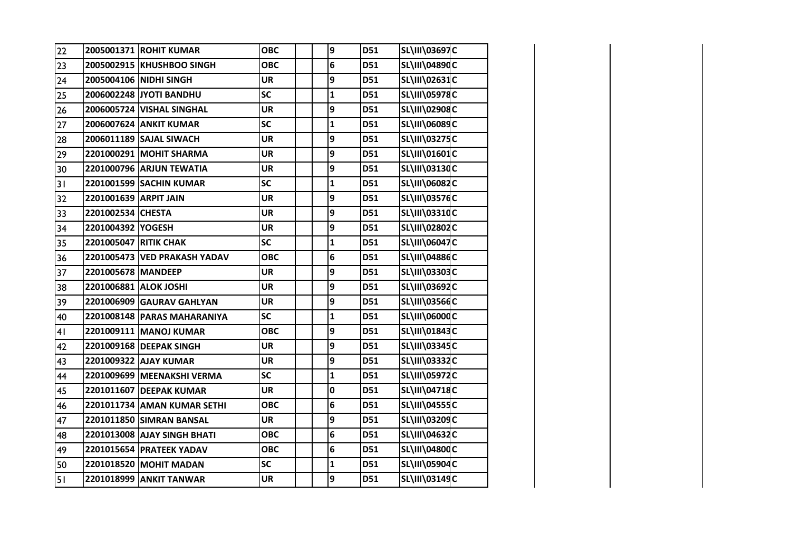| 22 |                              | 2005001371 ROHIT KUMAR       | <b>OBC</b> | 9              | D51 | SL\III\03697C        |  |
|----|------------------------------|------------------------------|------------|----------------|-----|----------------------|--|
| 23 |                              | 2005002915 KHUSHBOO SINGH    | <b>OBC</b> | $6\phantom{1}$ | D51 | SL\III\04890C        |  |
| 24 |                              | 2005004106 NIDHI SINGH       | <b>UR</b>  | 9              | D51 | SL\III\02631C        |  |
| 25 |                              | 2006002248 JYOTI BANDHU      | <b>SC</b>  | $\mathbf{1}$   | D51 | SL\III\05978C        |  |
| 26 |                              | 2006005724 VISHAL SINGHAL    | <b>UR</b>  | 9              | D51 | SL\III\02908C        |  |
| 27 |                              | 2006007624 ANKIT KUMAR       | <b>SC</b>  | $\mathbf{1}$   | D51 | SL\III\06089C        |  |
| 28 |                              | 2006011189 SAJAL SIWACH      | <b>UR</b>  | 9              | D51 | SL\III\03275C        |  |
| 29 |                              | 2201000291 MOHIT SHARMA      | <b>UR</b>  | 9              | D51 | SL\III\01601C        |  |
| 30 |                              | 2201000796 ARJUN TEWATIA     | <b>UR</b>  | 9              | D51 | SL\III\03130C        |  |
| 31 |                              | 2201001599 SACHIN KUMAR      | <b>SC</b>  | $\mathbf 1$    | D51 | SL\III\06082C        |  |
| 32 | 2201001639 ARPIT JAIN        |                              | <b>UR</b>  | 9              | D51 | SL\III\03576C        |  |
| 33 | 2201002534 CHESTA            |                              | <b>UR</b>  | 9              | D51 | SL\III\03310C        |  |
| 34 | 2201004392 YOGESH            |                              | <b>UR</b>  | 9              | D51 | SL\III\02802C        |  |
| 35 | <b>2201005047 RITIK CHAK</b> |                              | <b>SC</b>  | $\mathbf 1$    | D51 | SL\III\06047C        |  |
| 36 |                              | 2201005473 VED PRAKASH YADAV | <b>OBC</b> | 6              | D51 | SL\III\04886C        |  |
| 37 | 2201005678 MANDEEP           |                              | <b>UR</b>  | 9              | D51 | SL\III\03303C        |  |
| 38 | 2201006881 ALOK JOSHI        |                              | <b>UR</b>  | 9              | D51 | SL\III\03692C        |  |
| 39 |                              | 2201006909 GAURAV GAHLYAN    | <b>UR</b>  | 9              | D51 | SL\III\03566C        |  |
| 40 |                              | 2201008148 PARAS MAHARANIYA  | <b>SC</b>  | $\mathbf 1$    | D51 | <b>SL\III\06000C</b> |  |
| 41 |                              | 2201009111 MANOJ KUMAR       | <b>OBC</b> | 9              | D51 | SL\III\01843C        |  |
| 42 |                              | 2201009168 DEEPAK SINGH      | <b>UR</b>  | 9              | D51 | SL\III\03345C        |  |
| 43 |                              | 2201009322 AJAY KUMAR        | <b>UR</b>  | 9              | D51 | SL\III\03332C        |  |
| 44 |                              | 2201009699 MEENAKSHI VERMA   | <b>SC</b>  | $\mathbf{1}$   | D51 | <b>SL\III\05972C</b> |  |
| 45 |                              | 2201011607 DEEPAK KUMAR      | <b>UR</b>  | $\mathbf 0$    | D51 | SL\III\04718C        |  |
| 46 |                              | 2201011734 AMAN KUMAR SETHI  | <b>OBC</b> | 6              | D51 | <b>SL\III\04555C</b> |  |
| 47 |                              | 2201011850 SIMRAN BANSAL     | <b>UR</b>  | 9              | D51 | SL\III\03209C        |  |
| 48 |                              | 2201013008 AJAY SINGH BHATI  | <b>OBC</b> | 6              | D51 | SL\III\04632C        |  |
| 49 |                              | 2201015654 PRATEEK YADAV     | <b>OBC</b> | 6              | D51 | SL\III\04800C        |  |
| 50 |                              | 2201018520 MOHIT MADAN       | SC         | $\mathbf 1$    | D51 | SL\III\05904C        |  |
| 51 |                              | 2201018999 ANKIT TANWAR      | <b>UR</b>  | 9              | D51 | SL\III\03149C        |  |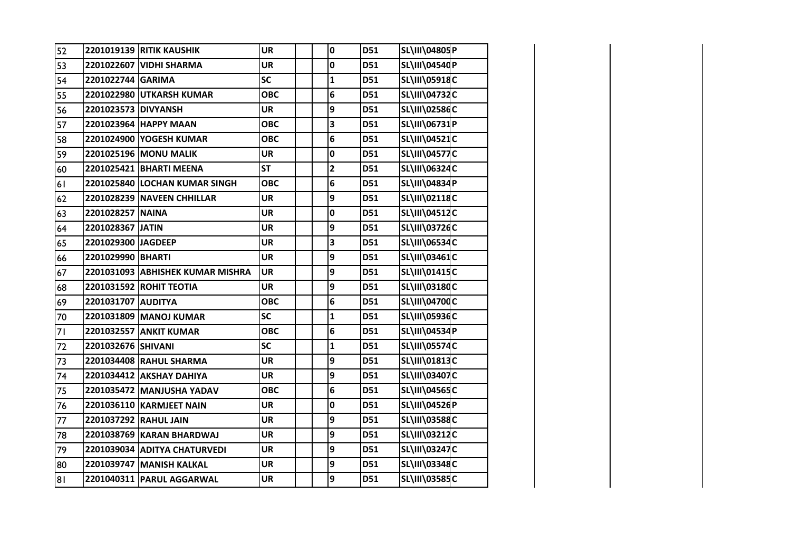| 52 |                     | <b>2201019139 RITIK KAUSHIK</b>  | <b>UR</b>  | 0                       | D51        | SL\III\04805P        |  |
|----|---------------------|----------------------------------|------------|-------------------------|------------|----------------------|--|
| 53 |                     | 2201022607 VIDHI SHARMA          | <b>UR</b>  | 0                       | D51        | SL\III\04540P        |  |
| 54 | 2201022744 GARIMA   |                                  | <b>SC</b>  | $\mathbf{1}$            | <b>D51</b> | SL\III\05918C        |  |
| 55 |                     | 2201022980 UTKARSH KUMAR         | <b>OBC</b> | 6                       | D51        | SL\III\04732C        |  |
| 56 | 2201023573 DIVYANSH |                                  | <b>UR</b>  | 9                       | D51        | SL\III\02586C        |  |
| 57 |                     | 2201023964 HAPPY MAAN            | <b>OBC</b> | 3                       | D51        | SL\III\06731P        |  |
| 58 |                     | 2201024900 YOGESH KUMAR          | <b>OBC</b> | 6                       | D51        | SL\III\04521C        |  |
| 59 |                     | 2201025196 MONU MALIK            | <b>UR</b>  | $\pmb{0}$               | D51        | <b>SL\III\04577C</b> |  |
| 60 |                     | 2201025421 BHARTI MEENA          | <b>ST</b>  | $\overline{\mathbf{c}}$ | D51        | SL\III\06324C        |  |
| 61 |                     | 2201025840 LOCHAN KUMAR SINGH    | <b>OBC</b> | 6                       | D51        | SL\III\04834P        |  |
| 62 |                     | 2201028239 NAVEEN CHHILLAR       | <b>UR</b>  | 9                       | D51        | SL\III\02118C        |  |
| 63 | 2201028257          | <b>NAINA</b>                     | <b>UR</b>  | 0                       | D51        | SL\III\04512C        |  |
| 64 | 2201028367 JATIN    |                                  | <b>UR</b>  | 9                       | D51        | SL\III\03726C        |  |
| 65 | 2201029300 JAGDEEP  |                                  | <b>UR</b>  | 3                       | D51        | SL\III\06534C        |  |
| 66 | 2201029990 BHARTI   |                                  | <b>UR</b>  | 9                       | D51        | SL\III\03461C        |  |
| 67 |                     | 2201031093 ABHISHEK KUMAR MISHRA | <b>UR</b>  | 9                       | D51        | SL\III\01415C        |  |
| 68 |                     | 2201031592 ROHIT TEOTIA          | <b>UR</b>  | 9                       | D51        | SL\III\03180C        |  |
| 69 | 2201031707 AUDITYA  |                                  | <b>OBC</b> | 6                       | D51        | SL\III\04700C        |  |
| 70 |                     | 2201031809 MANOJ KUMAR           | SC         | $\mathbf{1}$            | D51        | SL\III\05936C        |  |
| 71 |                     | 2201032557 ANKIT KUMAR           | <b>OBC</b> | 6                       | D51        | SL\III\04534P        |  |
| 72 | 2201032676 SHIVANI  |                                  | SC         | $\mathbf{1}$            | D51        | <b>SL\III\05574C</b> |  |
| 73 |                     | 2201034408 RAHUL SHARMA          | <b>UR</b>  | 9                       | D51        | SL\III\01813C        |  |
| 74 |                     | 2201034412 AKSHAY DAHIYA         | <b>UR</b>  | 9                       | D51        | SL\III\03407C        |  |
| 75 |                     | 2201035472 MANJUSHA YADAV        | <b>OBC</b> | 6                       | D51        | SL\III\04565C        |  |
| 76 |                     | 2201036110 KARMJEET NAIN         | <b>UR</b>  | 0                       | D51        | SL\III\04526P        |  |
| 77 |                     | 2201037292 RAHUL JAIN            | UR         | 9                       | D51        | SL\III\03588C        |  |
| 78 |                     | 2201038769 KARAN BHARDWAJ        | <b>UR</b>  | 9                       | D51        | SL\III\03212C        |  |
| 79 |                     | 2201039034 ADITYA CHATURVEDI     | <b>UR</b>  | 9                       | D51        | SL\III\03247C        |  |
| 80 |                     | 2201039747 MANISH KALKAL         | <b>UR</b>  | 9                       | D51        | SL\III\03348C        |  |
| 8  |                     | 2201040311 PARUL AGGARWAL        | <b>UR</b>  | 9                       | D51        | SL\III\03585C        |  |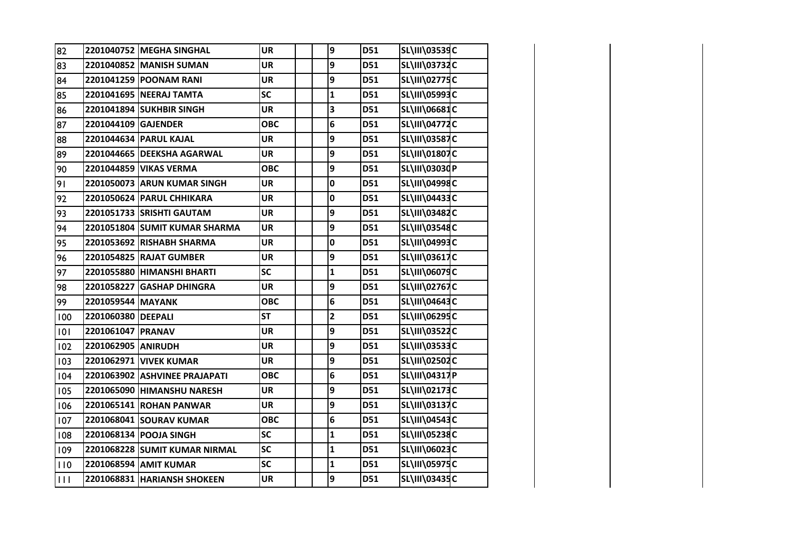| 82  |                     | 2201040752 MEGHA SINGHAL      | <b>UR</b>  | 9                       | D51 | SL\III\03539C        |  |
|-----|---------------------|-------------------------------|------------|-------------------------|-----|----------------------|--|
| 83  |                     | 2201040852 MANISH SUMAN       | <b>UR</b>  | 9                       | D51 | <b>SL\III\03732C</b> |  |
| 84  |                     | 2201041259 POONAM RANI        | <b>UR</b>  | 9                       | D51 | <b>SL\III\02775C</b> |  |
| 85  |                     | 2201041695 NEERAJ TAMTA       | <b>SC</b>  | $\mathbf{1}$            | D51 | SL\III\05993C        |  |
| 86  |                     | 2201041894 SUKHBIR SINGH      | <b>UR</b>  | 3                       | D51 | SL\III\06681C        |  |
| 87  | 2201044109 GAJENDER |                               | <b>OBC</b> | 6                       | D51 | SL\III\04772C        |  |
| 88  |                     | 2201044634 PARUL KAJAL        | <b>UR</b>  | 9                       | D51 | <b>SL\III\03587C</b> |  |
| 89  |                     | 2201044665 DEEKSHA AGARWAL    | <b>UR</b>  | 9                       | D51 | SL\III\01807C        |  |
| 90  |                     | 2201044859 VIKAS VERMA        | <b>OBC</b> | 9                       | D51 | SL\III\03030P        |  |
| 91  |                     | 2201050073 ARUN KUMAR SINGH   | <b>UR</b>  | $\pmb{0}$               | D51 | SL\III\04998C        |  |
| 92  |                     | 2201050624 PARUL CHHIKARA     | <b>UR</b>  | $\mathbf 0$             | D51 | SL\III\04433C        |  |
| 93  |                     | 2201051733 SRISHTI GAUTAM     | <b>UR</b>  | 9                       | D51 | SL\III\03482C        |  |
| 94  |                     | 2201051804 SUMIT KUMAR SHARMA | <b>UR</b>  | 9                       | D51 | SL\III\03548C        |  |
| 95  |                     | 2201053692 RISHABH SHARMA     | <b>UR</b>  | 0                       | D51 | SL\III\04993C        |  |
| 96  |                     | 2201054825 RAJAT GUMBER       | <b>UR</b>  | 9                       | D51 | SL\III\03617C        |  |
| 97  |                     | 2201055880 HIMANSHI BHARTI    | <b>SC</b>  | $\mathbf{1}$            | D51 | SL\III\06079C        |  |
| 98  |                     | 2201058227 GASHAP DHINGRA     | <b>UR</b>  | 9                       | D51 | <b>SL\III\02767C</b> |  |
| 99  | 2201059544 MAYANK   |                               | <b>OBC</b> | 6                       | D51 | SL\III\04643C        |  |
| 100 | 2201060380 DEEPALI  |                               | <b>ST</b>  | $\overline{\mathbf{2}}$ | D51 | SL\III\06295C        |  |
| 101 | 2201061047 PRANAV   |                               | <b>UR</b>  | 9                       | D51 | SL\III\03522C        |  |
| 102 | 2201062905 ANIRUDH  |                               | <b>UR</b>  | 9                       | D51 | SL\III\03533C        |  |
| 103 |                     | 2201062971 VIVEK KUMAR        | <b>UR</b>  | 9                       | D51 | SL\III\02502C        |  |
| 104 |                     | 2201063902 ASHVINEE PRAJAPATI | <b>OBC</b> | 6                       | D51 | SL\III\04317P        |  |
| 105 |                     | 2201065090 HIMANSHU NARESH    | <b>UR</b>  | 9                       | D51 | <b>SL\III\02173C</b> |  |
| 106 |                     | 2201065141 ROHAN PANWAR       | <b>UR</b>  | 9                       | D51 | <b>SL\III\03137C</b> |  |
| 107 |                     | 2201068041 SOURAV KUMAR       | <b>OBC</b> | 6                       | D51 | SL\III\04543C        |  |
| 108 |                     | 2201068134 POOJA SINGH        | <b>SC</b>  | 1                       | D51 | SL\III\05238C        |  |
| 109 |                     | 2201068228 SUMIT KUMAR NIRMAL | SC         | $\mathbf{1}$            | D51 | SL\III\06023C        |  |
| 110 |                     | 2201068594 AMIT KUMAR         | SC         | $\mathbf{1}$            | D51 | <b>SL\III\05975C</b> |  |
| 111 |                     | 2201068831 HARIANSH SHOKEEN   | <b>UR</b>  | 9                       | D51 | SL\III\03435C        |  |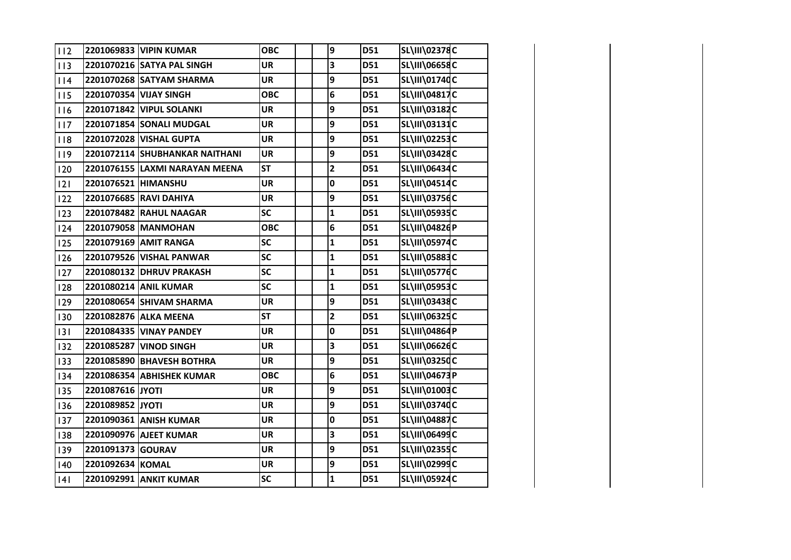| 112 |                     | 2201069833 VIPIN KUMAR         | <b>OBC</b>               | 9                       | D51 | <b>SL\III\02378C</b> |  |
|-----|---------------------|--------------------------------|--------------------------|-------------------------|-----|----------------------|--|
| 113 |                     | 2201070216 SATYA PAL SINGH     | <b>UR</b>                | 3                       | D51 | <b>SL\III\06658C</b> |  |
| 114 |                     | 2201070268 SATYAM SHARMA       | <b>UR</b>                | 9                       | D51 | SL\III\01740C        |  |
| 115 |                     | 2201070354 VIJAY SINGH         | <b>OBC</b>               | 6                       | D51 | SL\III\04817C        |  |
| 116 |                     | 2201071842 VIPUL SOLANKI       | <b>UR</b>                | 9                       | D51 | SL\III\03182C        |  |
| 117 |                     | 2201071854 SONALI MUDGAL       | <b>UR</b>                | 9                       | D51 | <b>SL\III\03131C</b> |  |
| 118 |                     | 2201072028 VISHAL GUPTA        | <b>UR</b>                | 9                       | D51 | <b>SL\III\02253C</b> |  |
| 119 |                     | 2201072114 SHUBHANKAR NAITHANI | <b>UR</b>                | 9                       | D51 | SL\III\03428C        |  |
| 120 |                     | 2201076155 LAXMI NARAYAN MEENA | <b>ST</b>                | $\overline{\mathbf{2}}$ | D51 | SL\III\06434C        |  |
| 2   | 2201076521 HIMANSHU |                                | <b>UR</b>                | 0                       | D51 | <b>SL\III\04514C</b> |  |
| 122 |                     | 2201076685 RAVI DAHIYA         | <b>UR</b>                | 9                       | D51 | <b>SL\III\03756C</b> |  |
| 123 |                     | 2201078482 RAHUL NAAGAR        | <b>SC</b>                | $\mathbf{1}$            | D51 | SL\III\05935C        |  |
| 124 |                     | 2201079058 MANMOHAN            | <b>OBC</b>               | 6                       | D51 | SL\III\04826P        |  |
| 125 |                     | 2201079169 AMIT RANGA          | SC                       | $\mathbf{1}$            | D51 | <b>SL\III\05974C</b> |  |
| 126 |                     | 2201079526 VISHAL PANWAR       | SC                       | $\mathbf{1}$            | D51 | SL\III\05883C        |  |
| 127 |                     | 2201080132 DHRUV PRAKASH       | SC                       | $\mathbf{1}$            | D51 | <b>SL\III\05776C</b> |  |
| 128 |                     | 2201080214 ANIL KUMAR          | $\overline{\mathsf{sc}}$ | $\mathbf{1}$            | D51 | <b>SL\III\05953C</b> |  |
| 129 |                     | 2201080654 SHIVAM SHARMA       | <b>UR</b>                | 9                       | D51 | SL\III\03438C        |  |
| 130 |                     | 2201082876 ALKA MEENA          | <b>ST</b>                | $\overline{\mathbf{2}}$ | D51 | <b>SL\III\06325C</b> |  |
| 3   |                     | 2201084335 VINAY PANDEY        | <b>UR</b>                | 0                       | D51 | <b>SL\III\04864P</b> |  |
| 132 |                     | 2201085287 VINOD SINGH         | <b>UR</b>                | 3                       | D51 | SL\III\06626C        |  |
| 133 |                     | 2201085890 BHAVESH BOTHRA      | <b>UR</b>                | 9                       | D51 | <b>SL\III\03250C</b> |  |
| 134 |                     | 2201086354 ABHISHEK KUMAR      | <b>OBC</b>               | 6                       | D51 | SL\III\04673P        |  |
| 135 | 2201087616 JYOTI    |                                | <b>UR</b>                | 9                       | D51 | SL\III\01003C        |  |
| 136 | 2201089852 JYOTI    |                                | <b>UR</b>                | 9                       | D51 | SL\III\03740C        |  |
| 137 |                     | 2201090361 ANISH KUMAR         | <b>UR</b>                | 0                       | D51 | <b>SL\III\04887C</b> |  |
| 138 |                     | 2201090976 AJEET KUMAR         | <b>UR</b>                | 3                       | D51 | SL\III\06499C        |  |
| 139 | 2201091373 GOURAV   |                                | <b>UR</b>                | 9                       | D51 | <b>SL\III\02355C</b> |  |
| 140 | 2201092634 KOMAL    |                                | <b>UR</b>                | 9                       | D51 | SL\III\02999C        |  |
| 4   |                     | 2201092991 ANKIT KUMAR         | SC                       | $\mathbf{1}$            | D51 | <b>SL\III\05924C</b> |  |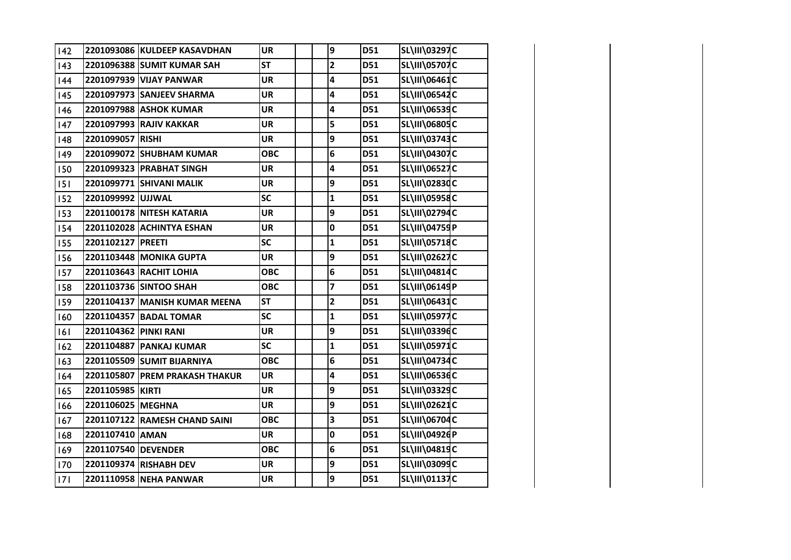| 142 |                       | 2201093086 KULDEEP KASAVDHAN   | <b>UR</b>  | 9                       | D51 | SL\III\03297C        |  |
|-----|-----------------------|--------------------------------|------------|-------------------------|-----|----------------------|--|
| 143 |                       | 2201096388 SUMIT KUMAR SAH     | <b>ST</b>  | $\overline{\mathbf{2}}$ | D51 | <b>SL\III\05707C</b> |  |
| 144 |                       | 2201097939 VIJAY PANWAR        | <b>UR</b>  | 4                       | D51 | SL\III\06461C        |  |
| 145 |                       | 2201097973 SANJEEV SHARMA      | <b>UR</b>  | 4                       | D51 | <b>SL\III\06542C</b> |  |
| 146 |                       | <b>2201097988 ASHOK KUMAR</b>  | <b>UR</b>  | 4                       | D51 | SL\III\06539C        |  |
| 147 |                       | 2201097993 RAJIV KAKKAR        | <b>UR</b>  | 5                       | D51 | <b>SL\III\06805C</b> |  |
| 148 | 2201099057 RISHI      |                                | <b>UR</b>  | 9                       | D51 | <b>SL\III\03743C</b> |  |
| 149 |                       | 2201099072 SHUBHAM KUMAR       | <b>OBC</b> | 6                       | D51 | SL\III\04307C        |  |
| 150 |                       | 2201099323 PRABHAT SINGH       | <b>UR</b>  | 4                       | D51 | <b>SL\III\06527C</b> |  |
| 151 |                       | 2201099771 SHIVANI MALIK       | <b>UR</b>  | 9                       | D51 | SL\III\02830C        |  |
| 152 | 2201099992 UJJWAL     |                                | <b>SC</b>  | $\mathbf{1}$            | D51 | SL\III\05958C        |  |
| 153 |                       | 2201100178 NITESH KATARIA      | <b>UR</b>  | 9                       | D51 | SL\III\02794C        |  |
| 154 |                       | 2201102028 ACHINTYA ESHAN      | <b>UR</b>  | 0                       | D51 | SL\III\04759P        |  |
| 155 | 2201102127 PREETI     |                                | <b>SC</b>  | $\mathbf{1}$            | D51 | <b>SL\III\05718C</b> |  |
| 156 |                       | <b>2201103448 MONIKA GUPTA</b> | <b>UR</b>  | 9                       | D51 | SL\III\02627C        |  |
| 157 |                       | 2201103643 RACHIT LOHIA        | <b>OBC</b> | 6                       | D51 | <b>SL\III\04814C</b> |  |
| 158 |                       | 2201103736 SINTOO SHAH         | <b>OBC</b> | 7                       | D51 | SL\III\06149P        |  |
| 159 |                       | 2201104137 MANISH KUMAR MEENA  | <b>ST</b>  | $\overline{\mathbf{c}}$ | D51 | SL\III\06431C        |  |
| 160 |                       | 2201104357 BADAL TOMAR         | <b>SC</b>  | $\mathbf{1}$            | D51 | <b>SL\III\05977C</b> |  |
| 6   | 2201104362 PINKI RANI |                                | <b>UR</b>  | 9                       | D51 | SL\III\03396C        |  |
| 162 |                       | 2201104887 PANKAJ KUMAR        | <b>SC</b>  | 1                       | D51 | SL\III\05971C        |  |
| 163 |                       | 2201105509 SUMIT BIJARNIYA     | <b>OBC</b> | 6                       | D51 | SL\III\04734C        |  |
| 164 |                       | 2201105807 PREM PRAKASH THAKUR | <b>UR</b>  | 4                       | D51 | SL\III\06536C        |  |
| 165 | 2201105985 KIRTI      |                                | <b>UR</b>  | 9                       | D51 | SL\III\03329C        |  |
| 166 | 2201106025 MEGHNA     |                                | <b>UR</b>  | 9                       | D51 | <b>SL\III\02621C</b> |  |
| 167 |                       | 2201107122 RAMESH CHAND SAINI  | <b>OBC</b> | 3                       | D51 | SL\III\06704C        |  |
| 168 | 2201107410 AMAN       |                                | <b>UR</b>  | 0                       | D51 | SL\III\04926P        |  |
| 169 | 2201107540 DEVENDER   |                                | <b>OBC</b> | 6                       | D51 | SL\III\04819C        |  |
| 170 |                       | 2201109374 RISHABH DEV         | <b>UR</b>  | 9                       | D51 | SL\III\03099C        |  |
| 7   |                       | 2201110958 NEHA PANWAR         | <b>UR</b>  | 9                       | D51 | SL\III\01137C        |  |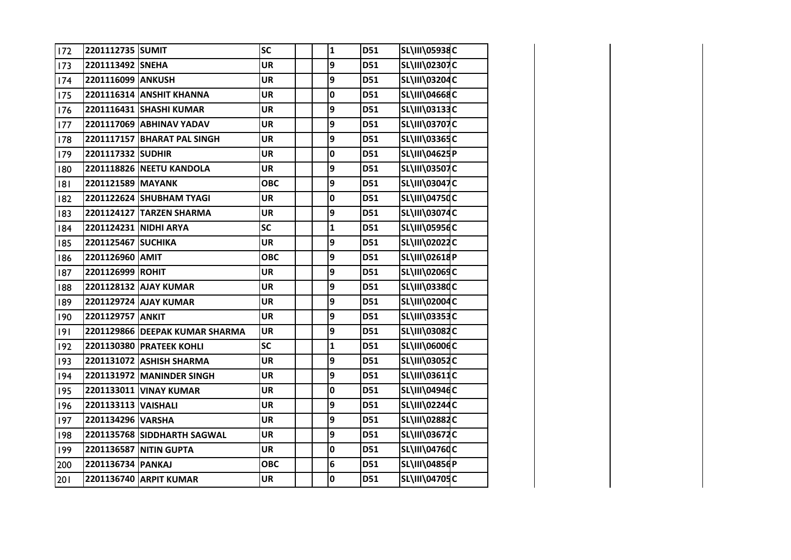| 172 | 2201112735 SUMIT    |                                | <b>SC</b>  | $\mathbf 1$  | D51 | <b>SL\III\05938C</b> |  |
|-----|---------------------|--------------------------------|------------|--------------|-----|----------------------|--|
| 173 | 2201113492 SNEHA    |                                | <b>UR</b>  | 9            | D51 | <b>SL\III\02307C</b> |  |
| 174 | 2201116099 ANKUSH   |                                | <b>UR</b>  | 9            | D51 | SL\III\03204C        |  |
| 175 |                     | 2201116314 ANSHIT KHANNA       | <b>UR</b>  | $\mathbf 0$  | D51 | SL\III\04668C        |  |
| 176 |                     | 2201116431 SHASHI KUMAR        | <b>UR</b>  | 9            | D51 | SL\III\03133C        |  |
| 177 |                     | 2201117069 ABHINAV YADAV       | <b>UR</b>  | 9            | D51 | SL\III\03707C        |  |
| 178 |                     | 2201117157 BHARAT PAL SINGH    | <b>UR</b>  | 9            | D51 | SL\III\03365C        |  |
| 179 | 2201117332 SUDHIR   |                                | <b>UR</b>  | 0            | D51 | SL\III\04625P        |  |
| 180 |                     | 2201118826 NEETU KANDOLA       | <b>UR</b>  | 9            | D51 | <b>SL\III\03507C</b> |  |
| 8   | 2201121589 MAYANK   |                                | <b>OBC</b> | 9            | D51 | SL\III\03047C        |  |
| 182 |                     | 2201122624 SHUBHAM TYAGI       | <b>UR</b>  | $\mathbf 0$  | D51 | <b>SL\III\04750C</b> |  |
| 183 |                     | 2201124127 TARZEN SHARMA       | <b>UR</b>  | 9            | D51 | SL\III\03074C        |  |
| 184 |                     | 2201124231 NIDHI ARYA          | SC         | $\mathbf{1}$ | D51 | SL\III\05956C        |  |
| 185 | 2201125467 SUCHIKA  |                                | <b>UR</b>  | 9            | D51 | SL\III\02022C        |  |
| 186 | 2201126960 AMIT     |                                | <b>OBC</b> | 9            | D51 | SL\III\02618P        |  |
| 187 | 2201126999 ROHIT    |                                | <b>UR</b>  | 9            | D51 | SL\III\02069C        |  |
| 188 |                     | 2201128132 AJAY KUMAR          | <b>UR</b>  | 9            | D51 | <b>SL\III\03380C</b> |  |
| 189 |                     | 2201129724 AJAY KUMAR          | UR         | 9            | D51 | SL\III\02004C        |  |
| 190 | 2201129757 ANKIT    |                                | <b>UR</b>  | 9            | D51 | SL\III\03353C        |  |
| 9   |                     | 2201129866 DEEPAK KUMAR SHARMA | <b>UR</b>  | 9            | D51 | SL\III\03082C        |  |
| 192 |                     | 2201130380 PRATEEK KOHLI       | SC         | 1            | D51 | SL\III\06006C        |  |
| 193 |                     | 2201131072 ASHISH SHARMA       | <b>UR</b>  | 9            | D51 | SL\III\03052C        |  |
| 194 |                     | 2201131972 MANINDER SINGH      | <b>UR</b>  | 9            | D51 | SL\III\03611C        |  |
| 195 |                     | 2201133011 VINAY KUMAR         | <b>UR</b>  | 0            | D51 | SL\III\04946C        |  |
| 196 | 2201133113 VAISHALI |                                | UR         | 9            | D51 | <b>SL\III\02244C</b> |  |
| 197 | 2201134296 VARSHA   |                                | <b>UR</b>  | 9            | D51 | SL\III\02882C        |  |
| 198 |                     | 2201135768 SIDDHARTH SAGWAL    | <b>UR</b>  | 9            | D51 | SL\III\03672C        |  |
| 199 |                     | 2201136587 NITIN GUPTA         | <b>UR</b>  | 0            | D51 | SL\III\04760C        |  |
| 200 | 2201136734 PANKAJ   |                                | <b>OBC</b> | 6            | D51 | SL\III\04856P        |  |
| 201 |                     | 2201136740 ARPIT KUMAR         | <b>UR</b>  | 0            | D51 | SL\III\04705C        |  |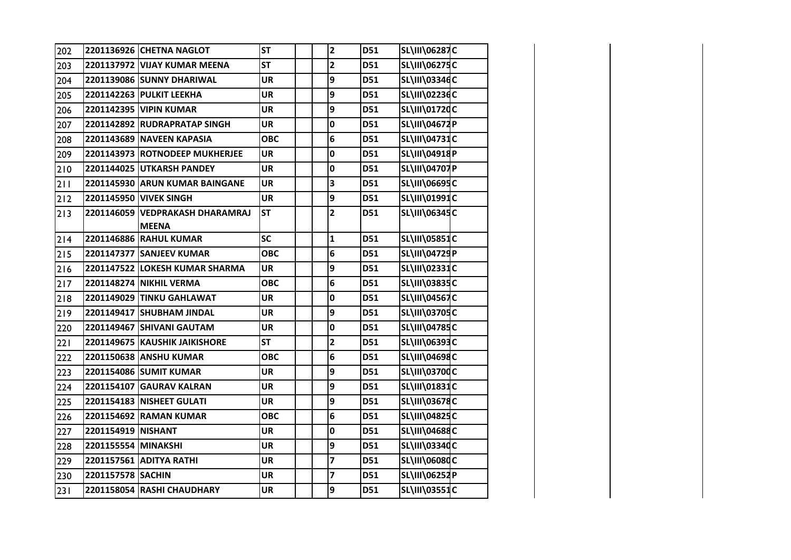| 202   |                     | 2201136926 CHETNA NAGLOT                        | <b>ST</b>  | $\mathbf{2}$            | D51        | <b>SL\III\06287C</b> |  |
|-------|---------------------|-------------------------------------------------|------------|-------------------------|------------|----------------------|--|
| 203   |                     | 2201137972 VIJAY KUMAR MEENA                    | <b>ST</b>  | $\mathbf{2}$            | D51        | SL\III\06275C        |  |
| 204   |                     | 2201139086 SUNNY DHARIWAL                       | <b>UR</b>  | 9                       | D51        | SL\III\03346C        |  |
| 205   |                     | 2201142263 PULKIT LEEKHA                        | UR         | 9                       | D51        | SL\III\02236C        |  |
| 206   |                     | 2201142395 VIPIN KUMAR                          | UR         | 9                       | D51        | SL\III\01720C        |  |
| 207   |                     | 2201142892 RUDRAPRATAP SINGH                    | <b>UR</b>  | 0                       | D51        | SL\III\04672P        |  |
| 208   |                     | 2201143689 NAVEEN KAPASIA                       | <b>OBC</b> | 6                       | D51        | SL\III\04731C        |  |
| 209   |                     | 2201143973 ROTNODEEP MUKHERJEE                  | UR         | 0                       | D51        | SL\III\04918P        |  |
| 210   |                     | 2201144025 UTKARSH PANDEY                       | <b>UR</b>  | 0                       | D51        | SL\III\04707P        |  |
| 211   |                     | 2201145930 ARUN KUMAR BAINGANE                  | <b>UR</b>  | 3                       | D51        | SL\III\06695C        |  |
| $212$ |                     | 2201145950 VIVEK SINGH                          | <b>UR</b>  | 9                       | D51        | SL\III\01991C        |  |
| 213   |                     | 2201146059 VEDPRAKASH DHARAMRAJ<br><b>MEENA</b> | <b>ST</b>  | $\overline{\mathbf{2}}$ | D51        | SL\III\06345C        |  |
| 214   |                     | 2201146886 RAHUL KUMAR                          | SC         | $\mathbf{1}$            | D51        | SL\III\05851C        |  |
| $215$ |                     | 2201147377 SANJEEV KUMAR                        | <b>OBC</b> | 6                       | D51        | SL\III\04729P        |  |
| 216   |                     | 2201147522 LOKESH KUMAR SHARMA                  | <b>UR</b>  | 9                       | D51        | SL\III\02331C        |  |
| 217   |                     | 2201148274 NIKHIL VERMA                         | <b>OBC</b> | 6                       | D51        | SL\III\03835C        |  |
| 218   |                     | 2201149029 TINKU GAHLAWAT                       | <b>UR</b>  | 0                       | D51        | SL\III\04567C        |  |
| 219   |                     | 2201149417 SHUBHAM JINDAL                       | UR         | 9                       | <b>D51</b> | <b>SL\III\03705C</b> |  |
| 220   |                     | 2201149467 SHIVANI GAUTAM                       | <b>UR</b>  | 0                       | D51        | <b>SL\III\04785C</b> |  |
| 221   |                     | 2201149675 KAUSHIK JAIKISHORE                   | <b>ST</b>  | $\mathbf{2}$            | D51        | SL\III\06393C        |  |
| 222   |                     | 2201150638 ANSHU KUMAR                          | <b>OBC</b> | 6                       | D51        | SL\III\04698C        |  |
| 223   |                     | 2201154086 SUMIT KUMAR                          | <b>UR</b>  | 9                       | D51        | SL\III\03700C        |  |
| 224   |                     | 2201154107 GAURAV KALRAN                        | <b>UR</b>  | 9                       | D51        | SL\III\01831C        |  |
| 225   |                     | 2201154183 NISHEET GULATI                       | <b>UR</b>  | 9                       | D51        | SL\III\03678C        |  |
| 226   |                     | 2201154692 RAMAN KUMAR                          | <b>OBC</b> | 6                       | D51        | SL\III\04825C        |  |
| 227   | 2201154919 NISHANT  |                                                 | <b>UR</b>  | $\mathbf 0$             | D51        | SL\III\04688C        |  |
| 228   | 2201155554 MINAKSHI |                                                 | UR         | 9                       | D51        | SL\III\03340C        |  |
| 229   |                     | 2201157561 ADITYA RATHI                         | <b>UR</b>  | $\overline{\mathbf{z}}$ | D51        | SL\III\06080C        |  |
| 230   | 2201157578 SACHIN   |                                                 | UR         | 7                       | D51        | SL\III\06252P        |  |
| 231   |                     | 2201158054 RASHI CHAUDHARY                      | <b>UR</b>  | 9                       | D51        | <b>SL\III\03551C</b> |  |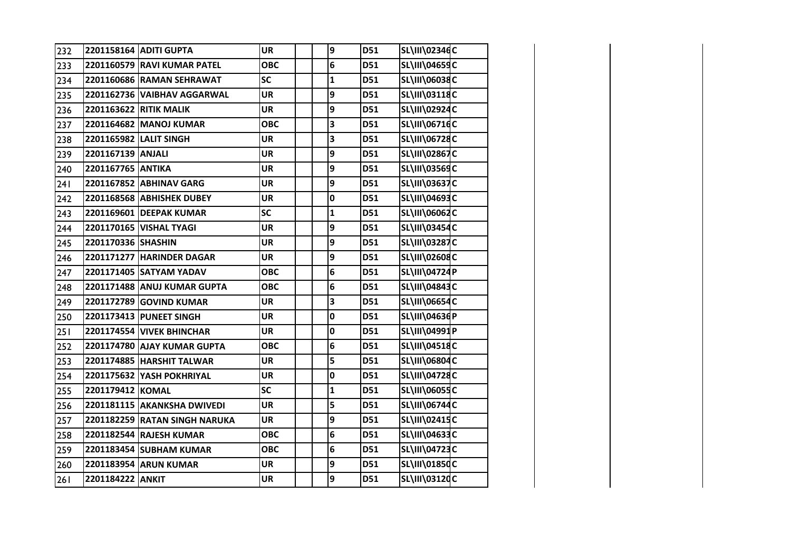| 232 |                    | 2201158164 ADITI GUPTA           | <b>UR</b>  | 9            | D51        | SL\III\02346C        |  |
|-----|--------------------|----------------------------------|------------|--------------|------------|----------------------|--|
| 233 |                    | 2201160579 RAVI KUMAR PATEL      | <b>OBC</b> | 6            | D51        | SL\III\04659C        |  |
| 234 |                    | 2201160686 RAMAN SEHRAWAT        | <b>SC</b>  | $\mathbf{1}$ | D51        | SL\III\06038C        |  |
| 235 |                    | 2201162736 VAIBHAV AGGARWAL      | <b>UR</b>  | 9            | D51        | SL\III\03118C        |  |
| 236 |                    | 2201163622 RITIK MALIK           | <b>UR</b>  | 9            | D51        | SL\III\02924C        |  |
| 237 |                    | 2201164682 MANOJ KUMAR           | <b>OBC</b> | 3            | D51        | SL\III\06716C        |  |
| 238 |                    | 2201165982 LALIT SINGH           | UR         | 3            | D51        | SL\III\06728C        |  |
| 239 | 2201167139 ANJALI  |                                  | <b>UR</b>  | 9            | D51        | <b>SL\III\02867C</b> |  |
| 240 | 2201167765 ANTIKA  |                                  | <b>UR</b>  | 9            | D51        | <b>SL\III\03569C</b> |  |
| 241 |                    | 2201167852 ABHINAV GARG          | <b>UR</b>  | 9            | D51        | <b>SL\III\03637C</b> |  |
| 242 |                    | 2201168568 ABHISHEK DUBEY        | <b>UR</b>  | 0            | D51        | SL\III\04693C        |  |
| 243 |                    | 2201169601 DEEPAK KUMAR          | <b>SC</b>  | $\mathbf{1}$ | D51        | SL\III\06062C        |  |
| 244 |                    | 2201170165 VISHAL TYAGI          | <b>UR</b>  | 9            | D51        | SL\III\03454C        |  |
| 245 | 2201170336 SHASHIN |                                  | <b>UR</b>  | 9            | D51        | SL\III\03287C        |  |
| 246 |                    | 2201171277 HARINDER DAGAR        | UR         | 9            | D51        | SL\III\02608C        |  |
| 247 |                    | 2201171405 SATYAM YADAV          | <b>OBC</b> | 6            | D51        | SL\III\04724P        |  |
| 248 |                    | 2201171488 ANUJ KUMAR GUPTA      | <b>OBC</b> | 6            | D51        | SL\III\04843C        |  |
| 249 |                    | 2201172789 GOVIND KUMAR          | <b>UR</b>  | 3            | D51        | SL\III\06654C        |  |
| 250 |                    | 2201173413 PUNEET SINGH          | UR         | 0            | D51        | SL\III\04636P        |  |
| 251 |                    | <b>2201174554 VIVEK BHINCHAR</b> | <b>UR</b>  | 0            | D51        | SL\III\04991P        |  |
| 252 |                    | 2201174780 AJAY KUMAR GUPTA      | <b>OBC</b> | 6            | D51        | SL\III\04518C        |  |
| 253 |                    | 2201174885 HARSHIT TALWAR        | <b>UR</b>  | 5            | <b>D51</b> | SL\III\06804C        |  |
| 254 |                    | 2201175632 YASH POKHRIYAL        | <b>UR</b>  | 0            | D51        | <b>SL\III\04728C</b> |  |
| 255 | 2201179412 KOMAL   |                                  | <b>SC</b>  | $\mathbf{1}$ | D51        | <b>SL\III\06055C</b> |  |
| 256 |                    | 2201181115 AKANKSHA DWIVEDI      | <b>UR</b>  | 5            | D51        | <b>SL\III\06744C</b> |  |
| 257 |                    | 2201182259 RATAN SINGH NARUKA    | <b>UR</b>  | 9            | D51        | SL\III\02415C        |  |
| 258 |                    | 2201182544 RAJESH KUMAR          | <b>OBC</b> | 6            | D51        | SL\III\04633C        |  |
| 259 |                    | 2201183454 SUBHAM KUMAR          | <b>OBC</b> | 6            | D51        | SL\III\04723C        |  |
| 260 |                    | 2201183954 ARUN KUMAR            | <b>UR</b>  | 9            | D51        | SL\III\01850C        |  |
| 261 | 2201184222 ANKIT   |                                  | <b>UR</b>  | 9            | D51        | SL\III\03120C        |  |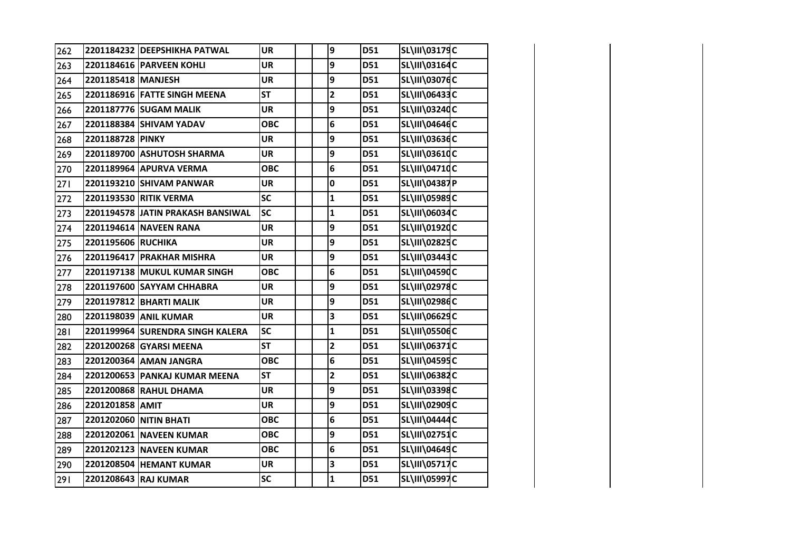| 262 |                    | 2201184232 DEEPSHIKHA PATWAL      | <b>UR</b>  | 9                       | D51        | SL\III\03179C        |  |
|-----|--------------------|-----------------------------------|------------|-------------------------|------------|----------------------|--|
| 263 |                    | 2201184616 PARVEEN KOHLI          | <b>UR</b>  | 9                       | <b>D51</b> | SL\III\03164C        |  |
| 264 | 2201185418 MANJESH |                                   | <b>UR</b>  | 9                       | D51        | <b>SL\III\03076C</b> |  |
| 265 |                    | 2201186916 FATTE SINGH MEENA      | <b>ST</b>  | $\overline{\mathbf{c}}$ | D51        | SL\III\06433C        |  |
| 266 |                    | 2201187776 SUGAM MALIK            | <b>UR</b>  | 9                       | D51        | SL\III\03240C        |  |
| 267 |                    | 2201188384 SHIVAM YADAV           | <b>OBC</b> | 6                       | D51        | SL\III\04646C        |  |
| 268 | 2201188728 PINKY   |                                   | <b>UR</b>  | 9                       | D51        | SL\III\03636C        |  |
| 269 |                    | 2201189700 ASHUTOSH SHARMA        | <b>UR</b>  | 9                       | D51        | SL\III\03610C        |  |
| 270 |                    | 2201189964 APURVA VERMA           | <b>OBC</b> | 6                       | D51        | SL\III\04710C        |  |
| 271 |                    | 2201193210 SHIVAM PANWAR          | <b>UR</b>  | 0                       | D51        | <b>SL\III\04387P</b> |  |
| 272 |                    | 2201193530 RITIK VERMA            | <b>SC</b>  | $\mathbf{1}$            | D51        | SL\III\05989C        |  |
| 273 |                    | 2201194578 JATIN PRAKASH BANSIWAL | <b>SC</b>  | $\mathbf{1}$            | D51        | SL\III\06034C        |  |
| 274 |                    | 2201194614 NAVEEN RANA            | <b>UR</b>  | 9                       | D51        | SL\III\01920C        |  |
| 275 | 2201195606 RUCHIKA |                                   | <b>UR</b>  | 9                       | D51        | <b>SL\III\02825C</b> |  |
| 276 |                    | 2201196417 PRAKHAR MISHRA         | <b>UR</b>  | 9                       | D51        | SL\III\03443C        |  |
| 277 |                    | 2201197138 MUKUL KUMAR SINGH      | <b>OBC</b> | 6                       | D51        | <b>SL\III\04590C</b> |  |
| 278 |                    | 2201197600 SAYYAM CHHABRA         | <b>UR</b>  | 9                       | D51        | <b>SL\III\02978C</b> |  |
| 279 |                    | 2201197812 BHARTI MALIK           | <b>UR</b>  | 9                       | D51        | <b>SL\III\02986C</b> |  |
| 280 |                    | 2201198039 ANIL KUMAR             | <b>UR</b>  | 3                       | D51        | SL\III\06629C        |  |
| 281 |                    | 2201199964 SURENDRA SINGH KALERA  | SC         | $\mathbf{1}$            | D51        | <b>SL\III\05506C</b> |  |
| 282 |                    | 2201200268 GYARSI MEENA           | <b>ST</b>  | $\overline{\mathbf{c}}$ | D51        | SL\III\06371C        |  |
| 283 |                    | 2201200364 AMAN JANGRA            | <b>OBC</b> | 6                       | D51        | SL\III\04595C        |  |
| 284 |                    | 2201200653 PANKAJ KUMAR MEENA     | <b>ST</b>  | $\overline{\mathbf{c}}$ | D51        | SL\III\06382C        |  |
| 285 |                    | 2201200868 RAHUL DHAMA            | <b>UR</b>  | 9                       | D51        | SL\III\03398C        |  |
| 286 | 2201201858 AMIT    |                                   | <b>UR</b>  | 9                       | D51        | SL\III\02909C        |  |
| 287 |                    | 2201202060 NITIN BHATI            | <b>OBC</b> | 6                       | D51        | SL\III\04444C        |  |
| 288 |                    | 2201202061 NAVEEN KUMAR           | <b>OBC</b> | 9                       | D51        | SL\III\02751C        |  |
| 289 |                    | 2201202123 NAVEEN KUMAR           | <b>OBC</b> | 6                       | D51        | SL\III\04649C        |  |
| 290 |                    | 2201208504 HEMANT KUMAR           | <b>UR</b>  | 3                       | D51        | <b>SL\III\05717C</b> |  |
| 291 |                    | 2201208643 RAJ KUMAR              | SC         | $\mathbf{1}$            | D51        | <b>SL\III\05997C</b> |  |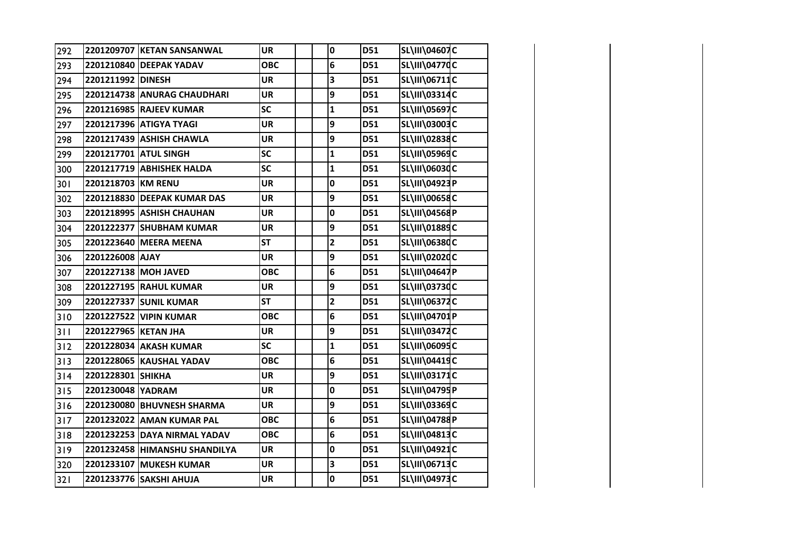| 292 |                      | 2201209707 KETAN SANSANWAL    | <b>UR</b>  | 0            | D51        | SL\III\04607C        |  |
|-----|----------------------|-------------------------------|------------|--------------|------------|----------------------|--|
| 293 |                      | 2201210840 DEEPAK YADAV       | <b>OBC</b> | 6            | D51        | <b>SL\III\04770C</b> |  |
| 294 | 2201211992 DINESH    |                               | <b>UR</b>  | 3            | D51        | SL\III\06711C        |  |
| 295 |                      | 2201214738 ANURAG CHAUDHARI   | <b>UR</b>  | 9            | D51        | SL\III\03314C        |  |
| 296 |                      | 2201216985 RAJEEV KUMAR       | SC         | $\mathbf{1}$ | D51        | SL\III\05697C        |  |
| 297 |                      | 2201217396 ATIGYA TYAGI       | <b>UR</b>  | 9            | D51        | SL\III\03003C        |  |
| 298 |                      | 2201217439 ASHISH CHAWLA      | <b>UR</b>  | 9            | D51        | SL\III\02838C        |  |
| 299 |                      | 2201217701 ATUL SINGH         | <b>SC</b>  | $\mathbf{1}$ | D51        | SL\III\05969C        |  |
| 300 |                      | 2201217719 ABHISHEK HALDA     | SC         | $\mathbf{1}$ | D51        | SL\III\06030C        |  |
| 301 | 2201218703 KM RENU   |                               | <b>UR</b>  | 0            | D51        | SL\III\04923P        |  |
| 302 |                      | 2201218830 DEEPAK KUMAR DAS   | <b>UR</b>  | 9            | D51        | SL\III\00658C        |  |
| 303 |                      | 2201218995 ASHISH CHAUHAN     | <b>UR</b>  | 0            | D51        | SL\III\04568P        |  |
| 304 |                      | 2201222377 SHUBHAM KUMAR      | <b>UR</b>  | 9            | D51        | SL\III\01889C        |  |
| 305 |                      | 2201223640 MEERA MEENA        | <b>ST</b>  | $\mathbf{2}$ | D51        | SL\III\06380C        |  |
| 306 | 2201226008 AJAY      |                               | <b>UR</b>  | 9            | <b>D51</b> | SL\III\02020C        |  |
| 307 |                      | 2201227138 MOH JAVED          | <b>OBC</b> | 6            | D51        | SL\III\04647P        |  |
| 308 |                      | 2201227195 RAHUL KUMAR        | <b>UR</b>  | 9            | D51        | SL\III\03730C        |  |
| 309 |                      | 2201227337 SUNIL KUMAR        | <b>ST</b>  | $\mathbf{2}$ | D51        | SL\III\06372C        |  |
| 310 |                      | 2201227522 VIPIN KUMAR        | <b>OBC</b> | 6            | D51        | SL\III\04701P        |  |
| 311 | 2201227965 KETAN JHA |                               | <b>UR</b>  | 9            | D51        | SL\III\03472C        |  |
| 312 |                      | 2201228034 AKASH KUMAR        | SC         | $\mathbf{1}$ | D51        | SL\III\06095C        |  |
| 313 |                      | 2201228065 KAUSHAL YADAV      | <b>OBC</b> | 6            | D51        | SL\III\04419C        |  |
| 314 | 2201228301 SHIKHA    |                               | <b>UR</b>  | 9            | D51        | SL\III\03171C        |  |
| 315 | 2201230048 YADRAM    |                               | <b>UR</b>  | 0            | D51        | SL\III\04795P        |  |
| 316 |                      | 2201230080 BHUVNESH SHARMA    | <b>UR</b>  | 9            | D51        | <b>SL\III\03369C</b> |  |
| 317 |                      | 2201232022 AMAN KUMAR PAL     | <b>OBC</b> | 6            | D51        | SL\III\04788P        |  |
| 318 |                      | 2201232253 DAYA NIRMAL YADAV  | <b>OBC</b> | 6            | D51        | SL\III\04813C        |  |
| 319 |                      | 2201232458 HIMANSHU SHANDILYA | <b>UR</b>  | 0            | D51        | SL\III\04921C        |  |
| 320 |                      | 2201233107 MUKESH KUMAR       | UR         | 3            | D51        | SL\III\06713C        |  |
| 321 |                      | 2201233776 SAKSHI AHUJA       | <b>UR</b>  | 0            | D51        | <b>SL\III\04973C</b> |  |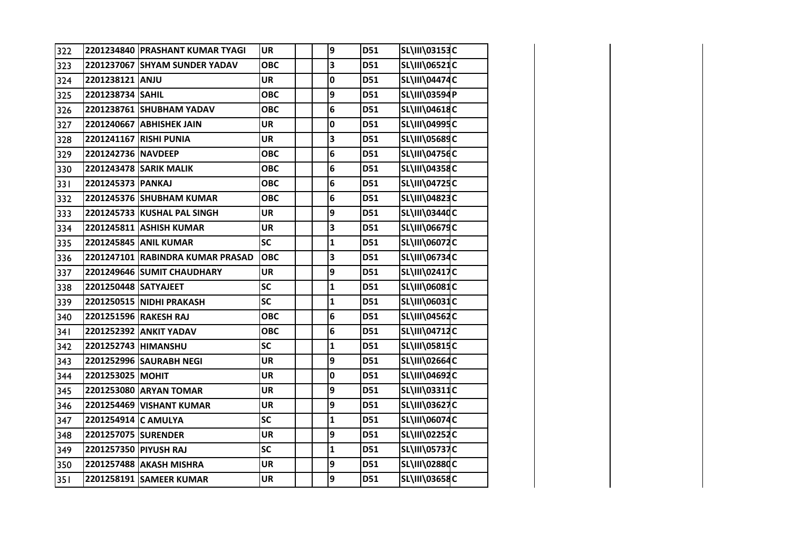| 322 |                       | 2201234840 PRASHANT KUMAR TYAGI  | <b>UR</b>  | 9            | D51 | SL\III\03153C        |  |
|-----|-----------------------|----------------------------------|------------|--------------|-----|----------------------|--|
| 323 |                       | 2201237067 SHYAM SUNDER YADAV    | <b>OBC</b> | 3            | D51 | SL\III\06521C        |  |
| 324 | 2201238121 ANJU       |                                  | UR         | 0            | D51 | SL\III\04474C        |  |
| 325 | 2201238734 SAHIL      |                                  | <b>OBC</b> | 9            | D51 | SL\III\03594P        |  |
| 326 |                       | 2201238761 SHUBHAM YADAV         | <b>OBC</b> | 6            | D51 | SL\III\04618C        |  |
| 327 |                       | 2201240667 ABHISHEK JAIN         | <b>UR</b>  | 0            | D51 | SL\III\04995C        |  |
| 328 |                       | 2201241167 RISHI PUNIA           | <b>UR</b>  | 3            | D51 | SL\III\05689C        |  |
| 329 | 2201242736 NAVDEEP    |                                  | <b>OBC</b> | 6            | D51 | SL\III\04756C        |  |
| 330 |                       | 2201243478 SARIK MALIK           | <b>OBC</b> | 6            | D51 | SL\III\04358C        |  |
| 331 | 2201245373 PANKAJ     |                                  | <b>OBC</b> | 6            | D51 | SL\III\04725C        |  |
| 332 |                       | 2201245376 SHUBHAM KUMAR         | <b>OBC</b> | 6            | D51 | SL\III\04823C        |  |
| 333 |                       | 2201245733 KUSHAL PAL SINGH      | <b>UR</b>  | 9            | D51 | SL\III\03440C        |  |
| 334 |                       | 2201245811 ASHISH KUMAR          | <b>UR</b>  | 3            | D51 | SL\III\06679C        |  |
| 335 |                       | 2201245845 ANIL KUMAR            | <b>SC</b>  | $\mathbf{1}$ | D51 | SL\III\06072C        |  |
| 336 |                       | 2201247101 RABINDRA KUMAR PRASAD | <b>OBC</b> | 3            | D51 | SL\III\06734C        |  |
| 337 |                       | 2201249646 SUMIT CHAUDHARY       | <b>UR</b>  | 9            | D51 | <b>SL\III\02417C</b> |  |
| 338 | 2201250448 SATYAJEET  |                                  | <b>SC</b>  | $\mathbf{1}$ | D51 | SL\III\06081C        |  |
| 339 |                       | 2201250515 NIDHI PRAKASH         | <b>SC</b>  | $\mathbf{1}$ | D51 | SL\III\06031C        |  |
| 340 |                       | 2201251596 RAKESH RAJ            | <b>OBC</b> | 6            | D51 | SL\III\04562C        |  |
| 341 |                       | 2201252392 ANKIT YADAV           | <b>OBC</b> | 6            | D51 | SL\III\04712C        |  |
| 342 | 2201252743 HIMANSHU   |                                  | <b>SC</b>  | 1            | D51 | <b>SL\III\05815C</b> |  |
| 343 |                       | 2201252996 SAURABH NEGI          | <b>UR</b>  | 9            | D51 | SL\III\02664C        |  |
| 344 | 2201253025 MOHIT      |                                  | <b>UR</b>  | 0            | D51 | SL\III\04692C        |  |
| 345 |                       | 2201253080 ARYAN TOMAR           | <b>UR</b>  | 9            | D51 | SL\III\03311C        |  |
| 346 |                       | 2201254469 VISHANT KUMAR         | <b>UR</b>  | 9            | D51 | SL\III\03627C        |  |
| 347 | 2201254914 C AMULYA   |                                  | <b>SC</b>  | $\mathbf{1}$ | D51 | SL\III\06074C        |  |
| 348 | 2201257075 SURENDER   |                                  | <b>UR</b>  | 9            | D51 | SL\III\02252C        |  |
| 349 | 2201257350 PIYUSH RAJ |                                  | <b>SC</b>  | $\mathbf{1}$ | D51 | <b>SL\III\05737C</b> |  |
| 350 |                       | 2201257488 AKASH MISHRA          | <b>UR</b>  | 9            | D51 | <b>SL\III\02880C</b> |  |
| 351 |                       | 2201258191 SAMEER KUMAR          | <b>UR</b>  | 9            | D51 | SL\III\03658C        |  |

**SRIVASTAVA**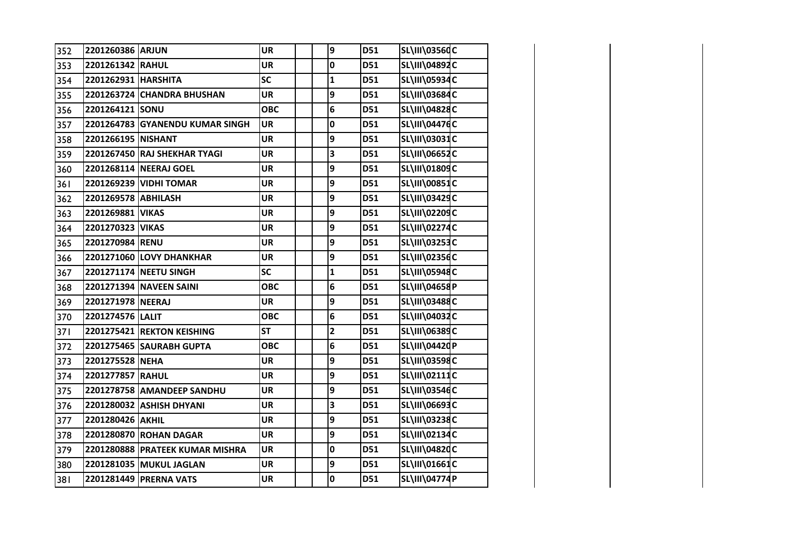| 352 | 2201260386 ARJUN    |                                 | <b>UR</b>  | 9                       | D51 | <b>SL\III\03560C</b> |  |
|-----|---------------------|---------------------------------|------------|-------------------------|-----|----------------------|--|
| 353 | 2201261342 RAHUL    |                                 | <b>UR</b>  | 0                       | D51 | SL\III\04892C        |  |
| 354 | 2201262931 HARSHITA |                                 | <b>SC</b>  | $\mathbf{1}$            | D51 | SL\III\05934C        |  |
| 355 |                     | 2201263724 CHANDRA BHUSHAN      | <b>UR</b>  | 9                       | D51 | SL\III\03684C        |  |
| 356 | 2201264121 SONU     |                                 | <b>OBC</b> | 6                       | D51 | <b>SL\III\04828C</b> |  |
| 357 |                     | 2201264783 GYANENDU KUMAR SINGH | <b>UR</b>  | 0                       | D51 | SL\III\04476C        |  |
| 358 | 2201266195 NISHANT  |                                 | <b>UR</b>  | 9                       | D51 | SL\III\03031C        |  |
| 359 |                     | 2201267450 RAJ SHEKHAR TYAGI    | <b>UR</b>  | 3                       | D51 | SL\III\06652C        |  |
| 360 |                     | 2201268114 NEERAJ GOEL          | <b>UR</b>  | 9                       | D51 | SL\III\01809C        |  |
| 361 |                     | 2201269239 VIDHI TOMAR          | UR         | 9                       | D51 | <b>SL\III\00851C</b> |  |
| 362 | 2201269578 ABHILASH |                                 | <b>UR</b>  | 9                       | D51 | SL\III\03429C        |  |
| 363 | 2201269881          | <b>VIKAS</b>                    | <b>UR</b>  | 9                       | D51 | SL\III\02209C        |  |
| 364 | 2201270323 VIKAS    |                                 | <b>UR</b>  | 9                       | D51 | <b>SL\III\02274C</b> |  |
| 365 | 2201270984 RENU     |                                 | <b>UR</b>  | 9                       | D51 | SL\III\03253C        |  |
| 366 |                     | 2201271060 LOVY DHANKHAR        | <b>UR</b>  | 9                       | D51 | SL\III\02356C        |  |
| 367 |                     | 2201271174 NEETU SINGH          | SC         | $\mathbf{1}$            | D51 | SL\III\05948C        |  |
| 368 |                     | 2201271394 NAVEEN SAINI         | <b>OBC</b> | 6                       | D51 | SL\III\04658P        |  |
| 369 | 2201271978 NEERAJ   |                                 | <b>UR</b>  | 9                       | D51 | SL\III\03488C        |  |
| 370 | 2201274576 LALIT    |                                 | <b>OBC</b> | 6                       | D51 | SL\III\04032C        |  |
| 371 |                     | 2201275421 REKTON KEISHING      | <b>ST</b>  | $\overline{\mathbf{c}}$ | D51 | SL\III\06389C        |  |
| 372 |                     | 2201275465 SAURABH GUPTA        | <b>OBC</b> | 6                       | D51 | SL\III\04420P        |  |
| 373 | 2201275528 NEHA     |                                 | <b>UR</b>  | 9                       | D51 | SL\III\03598C        |  |
| 374 | 2201277857 RAHUL    |                                 | <b>UR</b>  | 9                       | D51 | SL\III\02111C        |  |
| 375 |                     | 2201278758 AMANDEEP SANDHU      | <b>UR</b>  | 9                       | D51 | SL\III\03546C        |  |
| 376 |                     | 2201280032 ASHISH DHYANI        | <b>UR</b>  | 3                       | D51 | SL\III\06693C        |  |
| 377 | 2201280426 AKHIL    |                                 | <b>UR</b>  | 9                       | D51 | SL\III\03238C        |  |
| 378 |                     | 2201280870 ROHAN DAGAR          | <b>UR</b>  | 9                       | D51 | SL\III\02134C        |  |
| 379 |                     | 2201280888 PRATEEK KUMAR MISHRA | <b>UR</b>  | 0                       | D51 | SL\III\04820C        |  |
| 380 |                     | 2201281035 MUKUL JAGLAN         | <b>UR</b>  | 9                       | D51 | SL\III\01661C        |  |
| 381 |                     | 2201281449 PRERNA VATS          | <b>UR</b>  | 0                       | D51 | <b>SL\III\04774P</b> |  |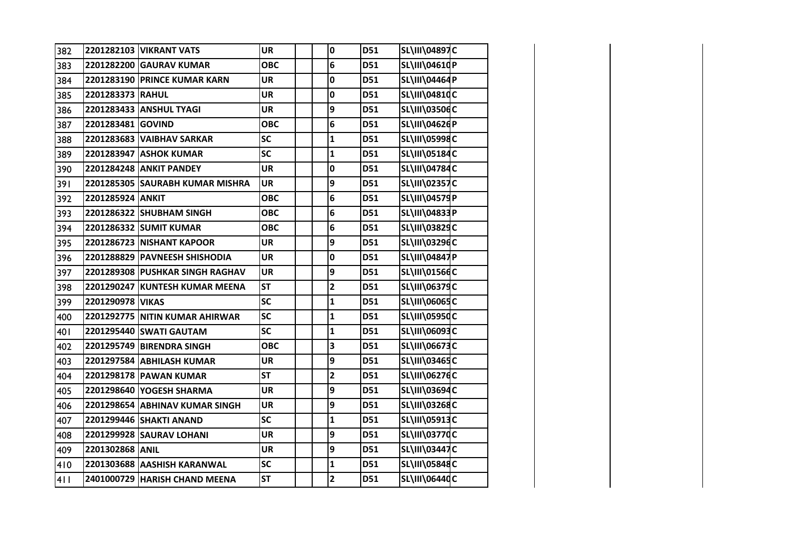| 382 |                   | 2201282103 VIKRANT VATS         | <b>UR</b>  | 0                       | D51 | SL\III\04897C        |  |
|-----|-------------------|---------------------------------|------------|-------------------------|-----|----------------------|--|
| 383 |                   | 2201282200 GAURAV KUMAR         | <b>OBC</b> | 6                       | D51 | SL\III\04610P        |  |
| 384 |                   | 2201283190 PRINCE KUMAR KARN    | <b>UR</b>  | 0                       | D51 | SL\III\04464P        |  |
| 385 | 2201283373 RAHUL  |                                 | <b>UR</b>  | 0                       | D51 | SL\III\04810C        |  |
| 386 |                   | 2201283433 ANSHUL TYAGI         | <b>UR</b>  | 9                       | D51 | <b>SL\III\03506C</b> |  |
| 387 | 2201283481 GOVIND |                                 | <b>OBC</b> | 6                       | D51 | SL\III\04626P        |  |
| 388 |                   | 2201283683 VAIBHAV SARKAR       | <b>SC</b>  | $\mathbf{1}$            | D51 | SL\III\05998C        |  |
| 389 |                   | 2201283947 ASHOK KUMAR          | <b>SC</b>  | $\mathbf{1}$            | D51 | SL\III\05184C        |  |
| 390 |                   | 2201284248 ANKIT PANDEY         | <b>UR</b>  | 0                       | D51 | <b>SL\III\04784C</b> |  |
| 391 |                   | 2201285305 SAURABH KUMAR MISHRA | <b>UR</b>  | 9                       | D51 | SL\III\02357C        |  |
| 392 | 2201285924 ANKIT  |                                 | <b>OBC</b> | 6                       | D51 | SL\III\04579P        |  |
| 393 |                   | 2201286322 SHUBHAM SINGH        | <b>OBC</b> | 6                       | D51 | SL\III\04833P        |  |
| 394 |                   | 2201286332 SUMIT KUMAR          | <b>OBC</b> | 6                       | D51 | SL\III\03829C        |  |
| 395 |                   | 2201286723 NISHANT KAPOOR       | <b>UR</b>  | 9                       | D51 | SL\III\03296C        |  |
| 396 |                   | 2201288829 PAVNEESH SHISHODIA   | <b>UR</b>  | 0                       | D51 | SL\III\04847P        |  |
| 397 |                   | 2201289308 PUSHKAR SINGH RAGHAV | <b>UR</b>  | 9                       | D51 | SL\III\01566C        |  |
| 398 |                   | 2201290247 KUNTESH KUMAR MEENA  | <b>ST</b>  | $\overline{\mathbf{2}}$ | D51 | SL\III\06379C        |  |
| 399 | 2201290978 VIKAS  |                                 | SC         | $\mathbf{1}$            | D51 | SL\III\06065C        |  |
| 400 |                   | 2201292775 NITIN KUMAR AHIRWAR  | SC         | $\mathbf{1}$            | D51 | SL\III\05950C        |  |
| 401 |                   | 2201295440 SWATI GAUTAM         | SC         | $\mathbf{1}$            | D51 | SL\III\06093C        |  |
| 402 |                   | 2201295749 BIRENDRA SINGH       | <b>OBC</b> | 3                       | D51 | SL\III\06673C        |  |
| 403 |                   | 2201297584 ABHILASH KUMAR       | <b>UR</b>  | 9                       | D51 | SL\III\03465C        |  |
| 404 |                   | 2201298178 PAWAN KUMAR          | <b>ST</b>  | $\mathbf{2}$            | D51 | SL\III\06276C        |  |
| 405 |                   | 2201298640 YOGESH SHARMA        | <b>UR</b>  | 9                       | D51 | SL\III\03694C        |  |
| 406 |                   | 2201298654 ABHINAV KUMAR SINGH  | UR         | 9                       | D51 | SL\III\03268C        |  |
| 407 |                   | 2201299446 SHAKTI ANAND         | <b>SC</b>  | $\mathbf{1}$            | D51 | SL\III\05913C        |  |
| 408 |                   | 2201299928 SAURAV LOHANI        | <b>UR</b>  | 9                       | D51 | <b>SL\III\03770C</b> |  |
| 409 | 2201302868 ANIL   |                                 | <b>UR</b>  | 9                       | D51 | SL\III\03447C        |  |
| 410 |                   | 2201303688 AASHISH KARANWAL     | SC         | $\mathbf{1}$            | D51 | SL\III\05848C        |  |
| 411 |                   | 2401000729 HARISH CHAND MEENA   | <b>ST</b>  | $\overline{\mathbf{2}}$ | D51 | SL\III\06440C        |  |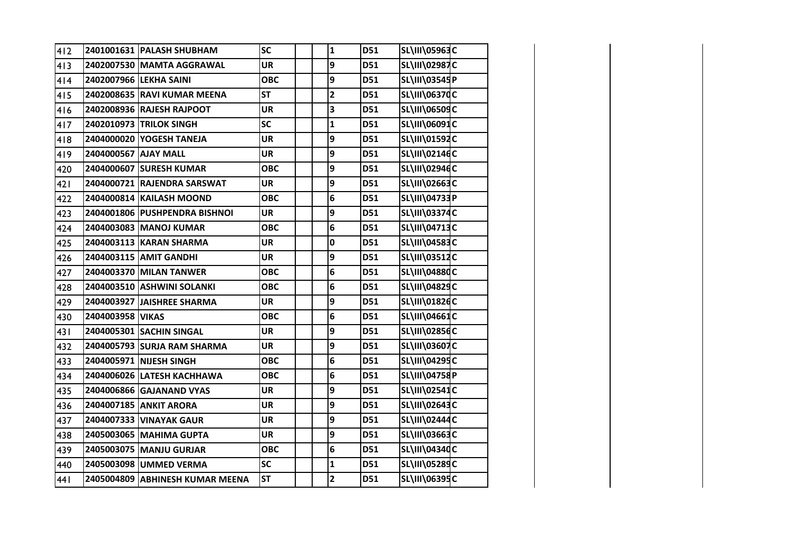| 412 |                      | 2401001631 PALASH SHUBHAM       | SC         | $\mathbf 1$             | D51 | SL\III\05963C        |  |
|-----|----------------------|---------------------------------|------------|-------------------------|-----|----------------------|--|
| 413 |                      | 2402007530 MAMTA AGGRAWAL       | <b>UR</b>  | 9                       | D51 | SL\III\02987C        |  |
| 414 |                      | 2402007966 LEKHA SAINI          | <b>OBC</b> | 9                       | D51 | SL\III\03545P        |  |
| 415 |                      | 2402008635 RAVI KUMAR MEENA     | <b>ST</b>  | $\overline{2}$          | D51 | SL\III\06370C        |  |
| 416 |                      | 2402008936 RAJESH RAJPOOT       | <b>UR</b>  | 3                       | D51 | SL\III\06509C        |  |
| 417 |                      | 2402010973 TRILOK SINGH         | SC         | $\mathbf{1}$            | D51 | SL\III\06091C        |  |
| 418 |                      | 2404000020 YOGESH TANEJA        | <b>UR</b>  | 9                       | D51 | SL\III\01592C        |  |
| 419 | 2404000567 AJAY MALL |                                 | <b>UR</b>  | 9                       | D51 | SL\III\02146C        |  |
| 420 |                      | 2404000607 SURESH KUMAR         | <b>OBC</b> | 9                       | D51 | SL\III\02946C        |  |
| 421 |                      | 2404000721 RAJENDRA SARSWAT     | <b>UR</b>  | 9                       | D51 | SL\III\02663C        |  |
| 422 |                      | 2404000814 KAILASH MOOND        | <b>OBC</b> | 6                       | D51 | SL\III\04733P        |  |
| 423 |                      | 2404001806 PUSHPENDRA BISHNOI   | <b>UR</b>  | 9                       | D51 | SL\III\03374C        |  |
| 424 |                      | 2404003083 MANOJ KUMAR          | <b>OBC</b> | 6                       | D51 | SL\III\04713C        |  |
| 425 |                      | 2404003113 KARAN SHARMA         | <b>UR</b>  | 0                       | D51 | SL\III\04583C        |  |
| 426 |                      | 2404003115 AMIT GANDHI          | <b>UR</b>  | 9                       | D51 | SL\III\03512C        |  |
| 427 |                      | 2404003370 MILAN TANWER         | <b>OBC</b> | 6                       | D51 | <b>SL\III\04880C</b> |  |
| 428 |                      | 2404003510 ASHWINI SOLANKI      | <b>OBC</b> | 6                       | D51 | SL\III\04829C        |  |
| 429 |                      | 2404003927 JAISHREE SHARMA      | <b>UR</b>  | 9                       | D51 | SL\III\01826C        |  |
| 430 | 2404003958 VIKAS     |                                 | <b>OBC</b> | 6                       | D51 | SL\III\04661C        |  |
| 431 |                      | 2404005301 SACHIN SINGAL        | <b>UR</b>  | 9                       | D51 | <b>SL\III\02856C</b> |  |
| 432 |                      | 2404005793 SURJA RAM SHARMA     | <b>UR</b>  | 9                       | D51 | SL\III\03607C        |  |
| 433 |                      | 2404005971 NIJESH SINGH         | <b>OBC</b> | 6                       | D51 | SL\III\04295C        |  |
| 434 |                      | 2404006026 LATESH KACHHAWA      | <b>OBC</b> | 6                       | D51 | SL\III\04758P        |  |
| 435 |                      | 2404006866 GAJANAND VYAS        | <b>UR</b>  | 9                       | D51 | SL\III\02541C        |  |
| 436 |                      | 2404007185 ANKIT ARORA          | <b>UR</b>  | 9                       | D51 | SL\III\02643C        |  |
| 437 |                      | 2404007333 VINAYAK GAUR         | <b>UR</b>  | 9                       | D51 | SL\III\02444C        |  |
| 438 |                      | 2405003065 MAHIMA GUPTA         | <b>UR</b>  | 9                       | D51 | SL\III\03663C        |  |
| 439 |                      | 2405003075 MANJU GURJAR         | <b>OBC</b> | 6                       | D51 | SL\III\04340C        |  |
| 440 |                      | 2405003098 UMMED VERMA          | SC         | $\mathbf 1$             | D51 | SL\III\05289C        |  |
| 441 |                      | 2405004809 ABHINESH KUMAR MEENA | <b>ST</b>  | $\overline{\mathbf{2}}$ | D51 | SL\III\06395C        |  |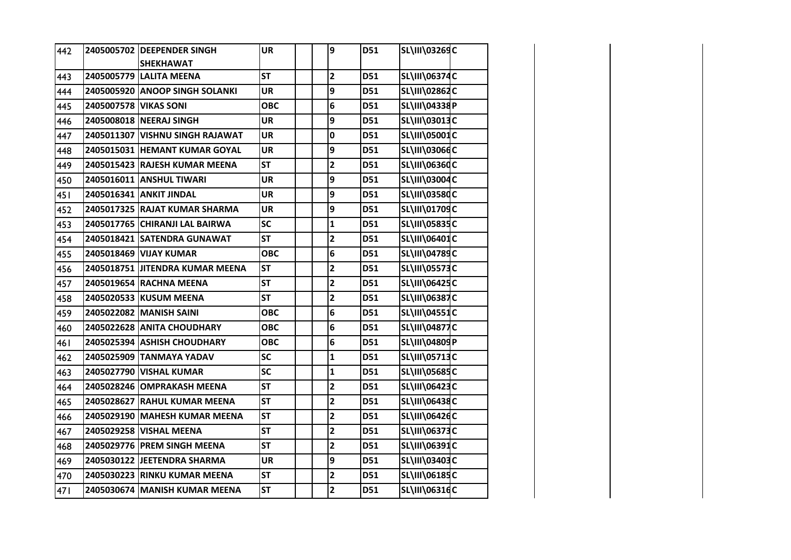| 442  |                       | 2405005702 DEEPENDER SINGH      | <b>UR</b>  | 9                       | D51 | SL\III\03269C        |  |
|------|-----------------------|---------------------------------|------------|-------------------------|-----|----------------------|--|
|      |                       | <b>SHEKHAWAT</b>                |            |                         |     |                      |  |
| 443  |                       | 2405005779 LALITA MEENA         | <b>ST</b>  | $\overline{\mathbf{2}}$ | D51 | SL\III\06374C        |  |
| 444  |                       | 2405005920 ANOOP SINGH SOLANKI  | <b>UR</b>  | 9                       | D51 | SL\III\02862C        |  |
| 445  | 2405007578 VIKAS SONI |                                 | <b>OBC</b> | 6                       | D51 | SL\III\04338P        |  |
| 446  |                       | 2405008018 NEERAJ SINGH         | <b>UR</b>  | 9                       | D51 | SL\III\03013C        |  |
| 447  |                       | 2405011307 VISHNU SINGH RAJAWAT | <b>UR</b>  | 0                       | D51 | SL\III\05001C        |  |
| 448  |                       | 2405015031 HEMANT KUMAR GOYAL   | <b>UR</b>  | 9                       | D51 | SL\III\03066C        |  |
| 449  |                       | 2405015423 RAJESH KUMAR MEENA   | <b>ST</b>  | $\overline{\mathbf{2}}$ | D51 | <b>SL\III\06360C</b> |  |
| 450  |                       | 2405016011 ANSHUL TIWARI        | <b>UR</b>  | 9                       | D51 | SL\III\03004C        |  |
| 451  |                       | 2405016341 ANKIT JINDAL         | <b>UR</b>  | 9                       | D51 | <b>SL\III\03580C</b> |  |
| 452  |                       | 2405017325 RAJAT KUMAR SHARMA   | <b>UR</b>  | 9                       | D51 | <b>SL\III\01709C</b> |  |
| 453  |                       | 2405017765 CHIRANJI LAL BAIRWA  | <b>SC</b>  | $\mathbf{1}$            | D51 | <b>SL\III\05835C</b> |  |
| 454  |                       | 2405018421 SATENDRA GUNAWAT     | <b>ST</b>  | $\mathbf{2}$            | D51 | <b>SL\III\06401C</b> |  |
| 455  |                       | 2405018469 VIJAY KUMAR          | <b>OBC</b> | 6                       | D51 | SL\III\04789C        |  |
| 456  |                       | 2405018751 JITENDRA KUMAR MEENA | <b>ST</b>  | $\overline{\mathbf{c}}$ | D51 | <b>SL\III\05573C</b> |  |
| 457  |                       | 2405019654 RACHNA MEENA         | <b>ST</b>  | $\overline{\mathbf{2}}$ | D51 | SL\III\06425C        |  |
| 458  |                       | 2405020533 KUSUM MEENA          | <b>ST</b>  | $\overline{\mathbf{2}}$ | D51 | <b>SL\III\06387C</b> |  |
| 459  |                       | 2405022082 MANISH SAINI         | <b>OBC</b> | 6                       | D51 | <b>SL\III\04551C</b> |  |
| 460  |                       | 2405022628 ANITA CHOUDHARY      | <b>OBC</b> | 6                       | D51 | <b>SL\III\04877C</b> |  |
| 46 I |                       | 2405025394 ASHISH CHOUDHARY     | <b>OBC</b> | 6                       | D51 | SL\III\04809P        |  |
| 462  |                       | 2405025909 TANMAYA YADAV        | <b>SC</b>  | $\mathbf{1}$            | D51 | SL\III\05713C        |  |
| 463  |                       | 2405027790 VISHAL KUMAR         | <b>SC</b>  | $\mathbf{1}$            | D51 | <b>SL\III\05685C</b> |  |
| 464  |                       | 2405028246 OMPRAKASH MEENA      | <b>ST</b>  | $\overline{\mathbf{2}}$ | D51 | SL\III\06423C        |  |
| 465  |                       | 2405028627 RAHUL KUMAR MEENA    | <b>ST</b>  | $\overline{\mathbf{2}}$ | D51 | SL\III\06438C        |  |
| 466  |                       | 2405029190 MAHESH KUMAR MEENA   | <b>ST</b>  | $\overline{\mathbf{2}}$ | D51 | SL\III\06426C        |  |
| 467  |                       | 2405029258 VISHAL MEENA         | <b>ST</b>  | $\overline{\mathbf{c}}$ | D51 | <b>SL\III\06373C</b> |  |
| 468  |                       | 2405029776 PREM SINGH MEENA     | <b>ST</b>  | $\mathbf{2}$            | D51 | SL\III\06391C        |  |
| 469  |                       | 2405030122 JEETENDRA SHARMA     | <b>UR</b>  | 9                       | D51 | SL\III\03403C        |  |
| 470  |                       | 2405030223 RINKU KUMAR MEENA    | <b>ST</b>  | $\overline{\mathbf{2}}$ | D51 | SL\III\06185C        |  |
| 471  |                       | 2405030674 MANISH KUMAR MEENA   | <b>ST</b>  | $\overline{\mathbf{2}}$ | D51 | SL\III\06316C        |  |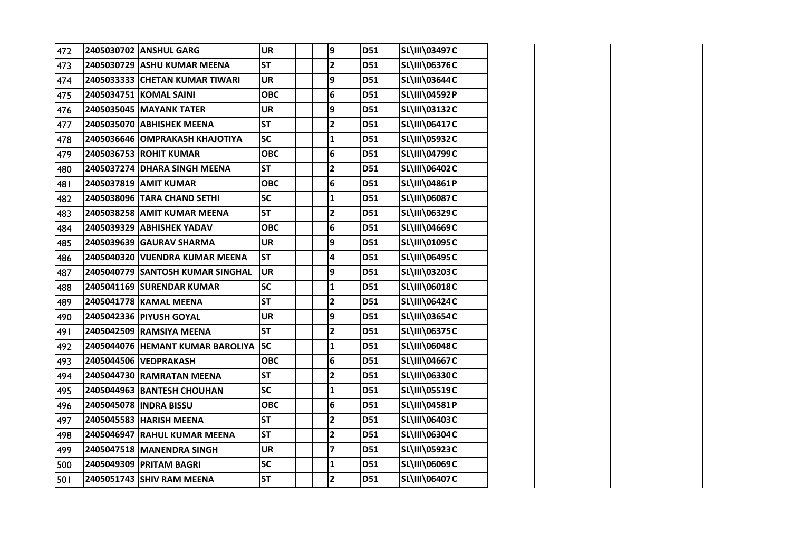| 472 | 2405030702 ANSHUL GARG           | <b>UR</b>                | 9                       | D51 | SL\III\03497C        |  |
|-----|----------------------------------|--------------------------|-------------------------|-----|----------------------|--|
| 473 | 2405030729 ASHU KUMAR MEENA      | <b>ST</b>                | $\overline{\mathbf{2}}$ | D51 | SL\III\06376C        |  |
| 474 | 2405033333 CHETAN KUMAR TIWARI   | <b>UR</b>                | 9                       | D51 | SL\III\03644C        |  |
| 475 | 2405034751 KOMAL SAINI           | <b>OBC</b>               | 6                       | D51 | SL\III\04592P        |  |
| 476 | 2405035045 MAYANK TATER          | UR                       | 9                       | D51 | SL\III\03132C        |  |
| 477 | 2405035070 ABHISHEK MEENA        | <b>ST</b>                | $\overline{\mathbf{2}}$ | D51 | SL\III\06417C        |  |
| 478 | 2405036646 OMPRAKASH KHAJOTIYA   | SC                       | $\mathbf{1}$            | D51 | SL\III\05932C        |  |
| 479 | 2405036753 ROHIT KUMAR           | <b>OBC</b>               | 6                       | D51 | SL\III\04799C        |  |
| 480 | 2405037274 DHARA SINGH MEENA     | <b>ST</b>                | $\overline{2}$          | D51 | <b>SL\III\06402C</b> |  |
| 481 | 2405037819 AMIT KUMAR            | <b>OBC</b>               | 6                       | D51 | SL\III\04861P        |  |
| 482 | 2405038096 TARA CHAND SETHI      | <b>SC</b>                | $\mathbf{1}$            | D51 | SL\III\06087C        |  |
| 483 | 2405038258 AMIT KUMAR MEENA      | <b>ST</b>                | $\overline{\mathbf{2}}$ | D51 | SL\III\06329C        |  |
| 484 | 2405039329 ABHISHEK YADAV        | <b>OBC</b>               | 6                       | D51 | SL\III\04669C        |  |
| 485 | 2405039639 GAURAV SHARMA         | <b>UR</b>                | 9                       | D51 | SL\III\01095C        |  |
| 486 | 2405040320 VIJENDRA KUMAR MEENA  | <b>ST</b>                | 4                       | D51 | SL\III\06495C        |  |
| 487 | 2405040779 SANTOSH KUMAR SINGHAL | <b>UR</b>                | 9                       | D51 | SL\III\03203C        |  |
| 488 | 2405041169 SURENDAR KUMAR        | SC                       | $\mathbf{1}$            | D51 | SL\III\06018C        |  |
| 489 | 2405041778 KAMAL MEENA           | <b>ST</b>                | $\mathbf{2}$            | D51 | SL\III\06424C        |  |
| 490 | 2405042336 PIYUSH GOYAL          | UR                       | 9                       | D51 | SL\III\03654C        |  |
| 491 | 2405042509 RAMSIYA MEENA         | <b>ST</b>                | $\overline{\mathbf{2}}$ | D51 | SL\III\06375C        |  |
| 492 | 2405044076 HEMANT KUMAR BAROLIYA | $\overline{\mathsf{sc}}$ | $\mathbf{1}$            | D51 | SL\III\06048C        |  |
| 493 | 2405044506 VEDPRAKASH            | <b>OBC</b>               | 6                       | D51 | SL\III\04667C        |  |
| 494 | 2405044730 RAMRATAN MEENA        | <b>ST</b>                | $\overline{\mathbf{2}}$ | D51 | SL\III\06330C        |  |
| 495 | 2405044963 BANTESH CHOUHAN       | <b>SC</b>                | $\mathbf{1}$            | D51 | SL\III\05519C        |  |
| 496 | 2405045078 INDRA BISSU           | <b>OBC</b>               | 6                       | D51 | SL\III\04581P        |  |
| 497 | 2405045583 HARISH MEENA          | <b>ST</b>                | $\overline{\mathbf{2}}$ | D51 | SL\III\06403C        |  |
| 498 | 2405046947 RAHUL KUMAR MEENA     | <b>ST</b>                | $\overline{\mathbf{c}}$ | D51 | SL\III\06304C        |  |
| 499 | 2405047518 MANENDRA SINGH        | <b>UR</b>                | $\overline{\mathbf{z}}$ | D51 | SL\III\05923C        |  |
| 500 | 2405049309 PRITAM BAGRI          | SC                       | $\mathbf{1}$            | D51 | SL\III\06069C        |  |
| 501 | 2405051743 SHIV RAM MEENA        | <b>ST</b>                | $\mathbf{2}$            | D51 | <b>SL\III\06407C</b> |  |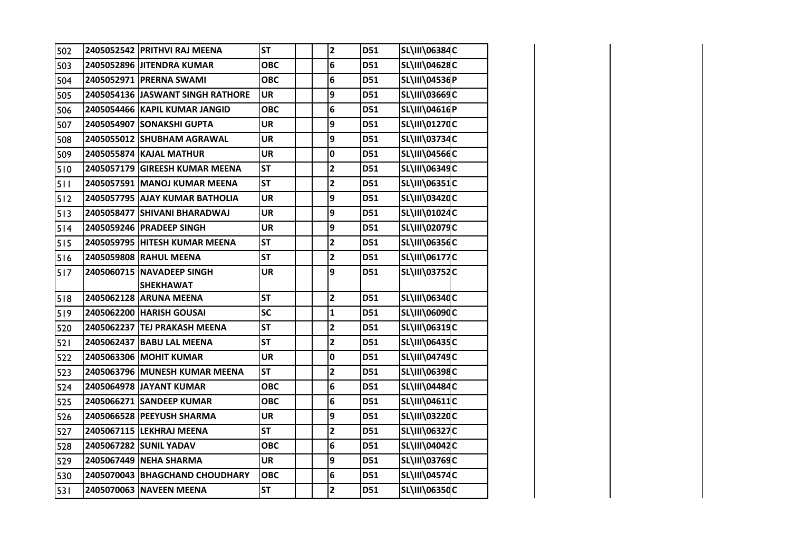| 502 | 2405052542 PRITHVI RAJ MEENA     | <b>ST</b>  | $\overline{\mathbf{c}}$ | D51        | <b>SL\III\06384C</b> |  |
|-----|----------------------------------|------------|-------------------------|------------|----------------------|--|
| 503 | 2405052896 JITENDRA KUMAR        | <b>OBC</b> | 6                       | D51        | SL\III\04628C        |  |
| 504 | 2405052971 PRERNA SWAMI          | <b>OBC</b> | 6                       | D51        | SL\III\04536P        |  |
| 505 | 2405054136 JASWANT SINGH RATHORE | <b>UR</b>  | 9                       | D51        | <b>SL\III\03669C</b> |  |
| 506 | 2405054466 KAPIL KUMAR JANGID    | <b>OBC</b> | 6                       | D51        | SL\III\04616P        |  |
| 507 | 2405054907 SONAKSHI GUPTA        | <b>UR</b>  | 9                       | <b>D51</b> | SL\III\01270C        |  |
| 508 | 2405055012 SHUBHAM AGRAWAL       | <b>UR</b>  | 9                       | D51        | <b>SL\III\03734C</b> |  |
| 509 | 2405055874 KAJAL MATHUR          | <b>UR</b>  | 0                       | D51        | <b>SL\III\04566C</b> |  |
| 510 | 2405057179 GIREESH KUMAR MEENA   | <b>ST</b>  | $\overline{\mathbf{c}}$ | D51        | SL\III\06349C        |  |
| 511 | 2405057591 MANOJ KUMAR MEENA     | <b>ST</b>  | $\overline{\mathbf{c}}$ | D51        | SL\III\06351C        |  |
| 512 | 2405057795 AJAY KUMAR BATHOLIA   | <b>UR</b>  | 9                       | D51        | SL\III\03420C        |  |
| 513 | 2405058477 SHIVANI BHARADWAJ     | <b>UR</b>  | 9                       | D51        | SL\III\01024C        |  |
| 514 | 2405059246 PRADEEP SINGH         | UR         | 9                       | D51        | SL\III\02079C        |  |
| 515 | 2405059795   HITESH KUMAR MEENA  | <b>ST</b>  | $\overline{\mathbf{c}}$ | D51        | SL\III\06356C        |  |
| 516 | 2405059808 RAHUL MEENA           | <b>ST</b>  | $\overline{\mathbf{c}}$ | D51        | SL\III\06177C        |  |
| 517 | 2405060715 NAVADEEP SINGH        | <b>UR</b>  | 9                       | D51        | <b>SL\III\03752C</b> |  |
|     | <b>SHEKHAWAT</b>                 |            |                         |            |                      |  |
| 518 | 2405062128 ARUNA MEENA           | <b>ST</b>  | $\overline{\mathbf{c}}$ | D51        | <b>SL\III\06340C</b> |  |
| 519 | 2405062200 HARISH GOUSAI         | <b>SC</b>  | $\mathbf{1}$            | D51        | <b>SL\III\06090C</b> |  |
| 520 | 2405062237 TEJ PRAKASH MEENA     | <b>ST</b>  | $\overline{\mathbf{c}}$ | D51        | SL\III\06319C        |  |
| 521 | 2405062437 BABU LAL MEENA        | <b>ST</b>  | $\overline{\mathbf{c}}$ | D51        | SL\III\06435C        |  |
| 522 | 2405063306 MOHIT KUMAR           | <b>UR</b>  | 0                       | D51        | SL\III\04749C        |  |
| 523 | 2405063796 MUNESH KUMAR MEENA    | <b>ST</b>  | $\overline{\mathbf{c}}$ | D51        | SL\III\06398C        |  |
| 524 | 2405064978 JAYANT KUMAR          | <b>OBC</b> | 6                       | D51        | SL\III\04484C        |  |
| 525 | 2405066271 SANDEEP KUMAR         | <b>OBC</b> | 6                       | D51        | SL\III\04611C        |  |
| 526 | 2405066528 PEEYUSH SHARMA        | <b>UR</b>  | 9                       | D51        | SL\III\03220C        |  |
| 527 | 2405067115 LEKHRAJ MEENA         | <b>ST</b>  | $\overline{\mathbf{c}}$ | D51        | SL\III\06327C        |  |
| 528 | 2405067282 SUNIL YADAV           | <b>OBC</b> | 6                       | D51        | SL\III\04042C        |  |
| 529 | 2405067449 NEHA SHARMA           | <b>UR</b>  | 9                       | D51        | <b>SL\III\03769C</b> |  |
| 530 | 2405070043 BHAGCHAND CHOUDHARY   | <b>OBC</b> | 6                       | D51        | <b>SL\III\04574C</b> |  |
| 531 | 2405070063 NAVEEN MEENA          | <b>ST</b>  | $\mathbf{2}$            | D51        | SL\III\06350C        |  |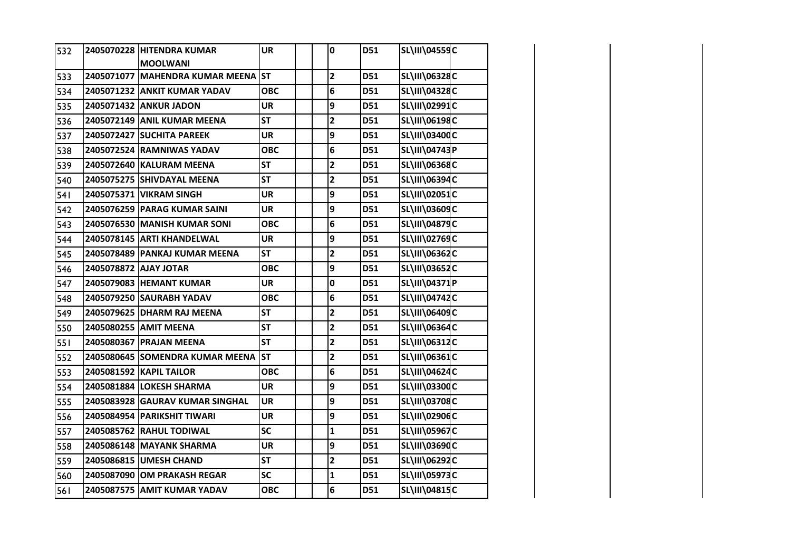| 532        |                       | 2405070228 HITENDRA KUMAR          | <b>UR</b>  | $\mathbf 0$             | D51 | <b>SL\III\04559C</b> |  |
|------------|-----------------------|------------------------------------|------------|-------------------------|-----|----------------------|--|
|            |                       | <b>MOOLWANI</b>                    |            |                         |     |                      |  |
| 533        |                       | 2405071077 MAHENDRA KUMAR MEENA ST |            | $\mathbf{2}$            | D51 | SL\III\06328C        |  |
| 534        |                       | 2405071232 ANKIT KUMAR YADAV       | <b>OBC</b> | 6                       | D51 | SL\III\04328C        |  |
| 535        |                       | 2405071432 ANKUR JADON             | <b>UR</b>  | 9                       | D51 | SL\III\02991C        |  |
| 536        |                       | 2405072149 ANIL KUMAR MEENA        | <b>ST</b>  | $\mathbf{2}$            | D51 | SL\III\06198C        |  |
| 537        |                       | 2405072427 SUCHITA PAREEK          | <b>UR</b>  | 9                       | D51 | SL\III\03400C        |  |
| 538        |                       | 2405072524 RAMNIWAS YADAV          | <b>OBC</b> | 6                       | D51 | SL\III\04743P        |  |
| 539        |                       | 2405072640 KALURAM MEENA           | <b>ST</b>  | $\overline{\mathbf{c}}$ | D51 | SL\III\06368C        |  |
| 540        |                       | 2405075275 SHIVDAYAL MEENA         | <b>ST</b>  | $\overline{\mathbf{2}}$ | D51 | SL\III\06394C        |  |
| <b>541</b> |                       | 2405075371 VIKRAM SINGH            | <b>UR</b>  | 9                       | D51 | SL\III\02051C        |  |
| 542        |                       | 2405076259 PARAG KUMAR SAINI       | UR         | 9                       | D51 | SL\III\03609C        |  |
| 543        |                       | 2405076530 MANISH KUMAR SONI       | <b>OBC</b> | 6                       | D51 | <b>SL\III\04879C</b> |  |
| 544        |                       | 2405078145 ARTI KHANDELWAL         | <b>UR</b>  | 9                       | D51 | SL\III\02769C        |  |
| 545        |                       | 2405078489 PANKAJ KUMAR MEENA      | <b>ST</b>  | $\overline{\mathbf{2}}$ | D51 | SL\III\06362C        |  |
| 546        | 2405078872 AJAY JOTAR |                                    | <b>OBC</b> | 9                       | D51 | SL\III\03652C        |  |
| 547        |                       | 2405079083 HEMANT KUMAR            | <b>UR</b>  | 0                       | D51 | SL\III\04371P        |  |
| 548        |                       | 2405079250 SAURABH YADAV           | <b>OBC</b> | 6                       | D51 | SL\III\04742C        |  |
| 549        |                       | 2405079625 DHARM RAJ MEENA         | <b>ST</b>  | $\mathbf{2}$            | D51 | SL\III\06409C        |  |
| 550        |                       | 2405080255 AMIT MEENA              | <b>ST</b>  | $\overline{\mathbf{c}}$ | D51 | SL\III\06364C        |  |
| 551        |                       | 2405080367 PRAJAN MEENA            | <b>ST</b>  | $\mathbf{2}$            | D51 | SL\III\06312C        |  |
| 552        |                       | 2405080645 SOMENDRA KUMAR MEENA    | <b>ST</b>  | $\overline{\mathbf{c}}$ | D51 | SL\III\06361C        |  |
| 553        |                       | 2405081592 KAPIL TAILOR            | <b>OBC</b> | 6                       | D51 | SL\III\04624C        |  |
| 554        |                       | 2405081884 LOKESH SHARMA           | <b>UR</b>  | 9                       | D51 | SL\III\03300C        |  |
| 555        |                       | 2405083928 GAURAV KUMAR SINGHAL    | <b>UR</b>  | 9                       | D51 | SL\III\03708C        |  |
| 556        |                       | 2405084954 PARIKSHIT TIWARI        | <b>UR</b>  | 9                       | D51 | SL\III\02906C        |  |
| 557        |                       | 2405085762 RAHUL TODIWAL           | <b>SC</b>  | $\mathbf{1}$            | D51 | <b>SL\III\05967C</b> |  |
| 558        |                       | 2405086148 MAYANK SHARMA           | <b>UR</b>  | 9                       | D51 | SL\III\03690C        |  |
| 559        |                       | 2405086815 UMESH CHAND             | <b>ST</b>  | $\mathbf{2}$            | D51 | SL\III\06292C        |  |
| 560        |                       | 2405087090 OM PRAKASH REGAR        | <b>SC</b>  | $\mathbf{1}$            | D51 | <b>SL\III\05973C</b> |  |
| 561        |                       | 2405087575 AMIT KUMAR YADAV        | <b>OBC</b> | 6                       | D51 | SL\III\04815C        |  |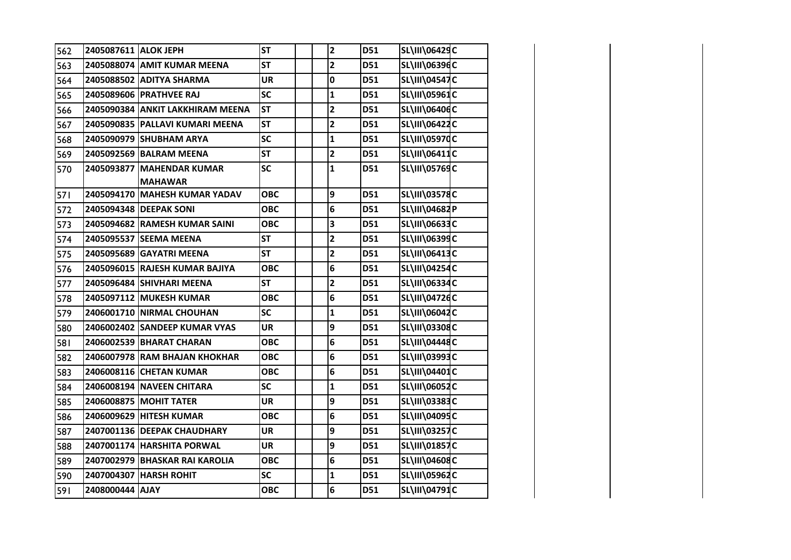| 562 | 2405087611 ALOK JEPH |                                             | <b>ST</b>  | $\overline{\mathbf{c}}$ | D51 | SL\III\06429C        |  |
|-----|----------------------|---------------------------------------------|------------|-------------------------|-----|----------------------|--|
| 563 |                      | 2405088074 AMIT KUMAR MEENA                 | <b>ST</b>  | $\mathbf{2}$            | D51 | SL\III\06396C        |  |
| 564 |                      | 2405088502 ADITYA SHARMA                    | <b>UR</b>  | $\mathbf 0$             | D51 | SL\III\04547C        |  |
| 565 |                      | 2405089606 PRATHVEE RAJ                     | <b>SC</b>  | $\mathbf{1}$            | D51 | <b>SL\III\05961C</b> |  |
| 566 |                      | 2405090384 ANKIT LAKKHIRAM MEENA            | <b>ST</b>  | $\overline{\mathbf{c}}$ | D51 | SL\III\06406C        |  |
| 567 |                      | 2405090835   PALLAVI KUMARI MEENA           | <b>ST</b>  | $\mathbf{2}$            | D51 | <b>SL\III\06422C</b> |  |
| 568 |                      | 2405090979 SHUBHAM ARYA                     | <b>SC</b>  | $\mathbf{1}$            | D51 | SL\III\05970C        |  |
| 569 |                      | 2405092569 BALRAM MEENA                     | <b>ST</b>  | 2                       | D51 | SL\III\06411C        |  |
| 570 |                      | 2405093877 MAHENDAR KUMAR<br><b>MAHAWAR</b> | <b>SC</b>  | $\mathbf{1}$            | D51 | SL\III\05769C        |  |
| 571 |                      | 2405094170 MAHESH KUMAR YADAV               | <b>OBC</b> | 9                       | D51 | SL\III\03578C        |  |
| 572 |                      | 2405094348 DEEPAK SONI                      | ОВС        | 6                       | D51 | SL\III\04682P        |  |
| 573 |                      | 2405094682 RAMESH KUMAR SAINI               | <b>OBC</b> | 3                       | D51 | SL\III\06633C        |  |
| 574 |                      | 2405095537 SEEMA MEENA                      | <b>ST</b>  | 2                       | D51 | SL\III\06399C        |  |
| 575 |                      | 2405095689 GAYATRI MEENA                    | <b>ST</b>  | $\overline{\mathbf{2}}$ | D51 | SL\III\06413C        |  |
| 576 |                      | 2405096015 RAJESH KUMAR BAJIYA              | <b>OBC</b> | 6                       | D51 | SL\III\04254C        |  |
| 577 |                      | 2405096484 SHIVHARI MEENA                   | <b>ST</b>  | $\mathbf{2}$            | D51 | SL\III\06334C        |  |
| 578 |                      | 2405097112 MUKESH KUMAR                     | <b>OBC</b> | 6                       | D51 | SL\III\04726C        |  |
| 579 |                      | 2406001710 NIRMAL CHOUHAN                   | SC         | $\mathbf{1}$            | D51 | SL\III\06042C        |  |
| 580 |                      | 2406002402 SANDEEP KUMAR VYAS               | <b>UR</b>  | 9                       | D51 | <b>SL\III\03308C</b> |  |
| 581 |                      | 2406002539 BHARAT CHARAN                    | ОВС        | 6                       | D51 | <b>SL\III\04448C</b> |  |
| 582 |                      | 2406007978 RAM BHAJAN KHOKHAR               | <b>OBC</b> | 6                       | D51 | SL\III\03993C        |  |
| 583 |                      | 2406008116 CHETAN KUMAR                     | <b>OBC</b> | 6                       | D51 | SL\III\04401C        |  |
| 584 |                      | 2406008194 NAVEEN CHITARA                   | <b>SC</b>  | 1                       | D51 | SL\III\06052C        |  |
| 585 |                      | 2406008875 MOHIT TATER                      | <b>UR</b>  | 9                       | D51 | SL\III\03383C        |  |
| 586 |                      | 2406009629 HITESH KUMAR                     | <b>OBC</b> | 6                       | D51 | SL\III\04095C        |  |
| 587 |                      | 2407001136 DEEPAK CHAUDHARY                 | <b>UR</b>  | 9                       | D51 | <b>SL\III\03257C</b> |  |
| 588 |                      | 2407001174 HARSHITA PORWAL                  | <b>UR</b>  | 9                       | D51 | SL\III\01857C        |  |
| 589 |                      | 2407002979 BHASKAR RAI KAROLIA              | <b>OBC</b> | 6                       | D51 | SL\III\04608C        |  |
| 590 |                      | 2407004307 HARSH ROHIT                      | <b>SC</b>  | $\mathbf{1}$            | D51 | SL\III\05962C        |  |
| 591 | 2408000444 AJAY      |                                             | <b>OBC</b> | 6                       | D51 | SL\III\04791C        |  |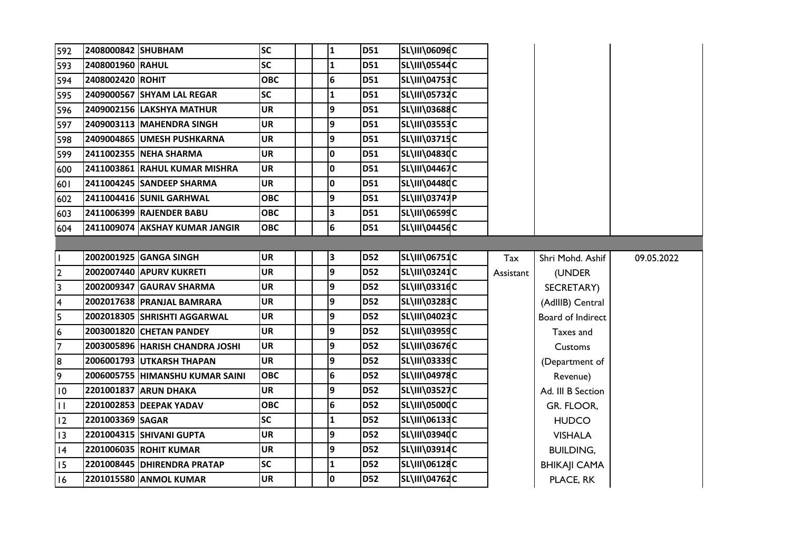| 592            | 2408000842 SHUBHAM |                                 | <b>SC</b>  |  | 1            | <b>D51</b> | SL\III\06096C        |           |                     |            |
|----------------|--------------------|---------------------------------|------------|--|--------------|------------|----------------------|-----------|---------------------|------------|
| 593            | 2408001960 RAHUL   |                                 | <b>SC</b>  |  | $\mathbf{1}$ | D51        | <b>SL\III\05544C</b> |           |                     |            |
| 594            | 2408002420 ROHIT   |                                 | <b>OBC</b> |  | 6            | <b>D51</b> | <b>SL\III\04753C</b> |           |                     |            |
| 595            |                    | 2409000567 SHYAM LAL REGAR      | <b>SC</b>  |  | 1            | <b>D51</b> | <b>SL\III\05732C</b> |           |                     |            |
| 596            |                    | 2409002156 LAKSHYA MATHUR       | <b>UR</b>  |  | 9            | <b>D51</b> | <b>SL\III\03688C</b> |           |                     |            |
| 597            |                    | 2409003113 MAHENDRA SINGH       | <b>UR</b>  |  | 9            | <b>D51</b> | <b>SL\III\03553C</b> |           |                     |            |
| 598            |                    | 2409004865 UMESH PUSHKARNA      | <b>UR</b>  |  | 9            | <b>D51</b> | <b>SL\III\03715C</b> |           |                     |            |
| 599            |                    | 2411002355 NEHA SHARMA          | <b>UR</b>  |  | 0            | <b>D51</b> | <b>SL\III\04830C</b> |           |                     |            |
| 600            |                    | 2411003861 RAHUL KUMAR MISHRA   | <b>UR</b>  |  | 0            | D51        | SL\III\04467C        |           |                     |            |
| 601            |                    | 2411004245 SANDEEP SHARMA       | <b>UR</b>  |  | 0            | <b>D51</b> | SL\III\04480C        |           |                     |            |
| 602            |                    | 2411004416 SUNIL GARHWAL        | <b>OBC</b> |  | 9            | <b>D51</b> | SL\III\03747P        |           |                     |            |
| 603            |                    | 2411006399 RAJENDER BABU        | <b>OBC</b> |  | 3            | <b>D51</b> | SL\III\06599C        |           |                     |            |
| 604            |                    | 2411009074 AKSHAY KUMAR JANGIR  | <b>OBC</b> |  | 6            | <b>D51</b> | SL\III\04456C        |           |                     |            |
|                |                    |                                 |            |  |              |            |                      |           |                     |            |
| H              |                    | 2002001925 GANGA SINGH          | <b>UR</b>  |  | 3            | <b>D52</b> | <b>SL\III\06751C</b> | Tax       | Shri Mohd. Ashif    | 09.05.2022 |
| $\overline{2}$ |                    | 2002007440 APURV KUKRETI        | <b>UR</b>  |  | 9            | <b>D52</b> | <b>SL\III\03241C</b> | Assistant | (UNDER              |            |
| 3              |                    | 2002009347 GAURAV SHARMA        | <b>UR</b>  |  | 9            | <b>D52</b> | SL\III\03316C        |           | SECRETARY)          |            |
| 4              |                    | 2002017638 PRANJAL BAMRARA      | <b>UR</b>  |  | 9            | <b>D52</b> | <b>SL\III\03283C</b> |           | (AdIIIB) Central    |            |
| 5              |                    | 2002018305 SHRISHTI AGGARWAL    | <b>UR</b>  |  | 9            | <b>D52</b> | <b>SL\III\04023C</b> |           | Board of Indirect   |            |
| $\overline{6}$ |                    | 2003001820 CHETAN PANDEY        | <b>UR</b>  |  | 9            | <b>D52</b> | <b>SL\III\03959C</b> |           | Taxes and           |            |
| 7              |                    | 2003005896 HARISH CHANDRA JOSHI | <b>UR</b>  |  | 9            | <b>D52</b> | <b>SL\III\03676C</b> |           | Customs             |            |
| 8              |                    | 2006001793 UTKARSH THAPAN       | <b>UR</b>  |  | 9            | <b>D52</b> | SL\III\03339C        |           | (Department of      |            |
| 9              |                    | 2006005755 HIMANSHU KUMAR SAINI | <b>OBC</b> |  | 6            | <b>D52</b> | <b>SL\III\04978C</b> |           | Revenue)            |            |
| 10             |                    | 2201001837 ARUN DHAKA           | UR         |  | 9            | <b>D52</b> | <b>SL\III\03527C</b> |           | Ad. III B Section   |            |
| $\mathbf{H}$   |                    | 2201002853 DEEPAK YADAV         | <b>OBC</b> |  | 6            | <b>D52</b> | <b>SL\III\05000C</b> |           | GR. FLOOR,          |            |
| 12             | 2201003369 SAGAR   |                                 | <b>SC</b>  |  | 1            | <b>D52</b> | SL\III\06133C        |           | <b>HUDCO</b>        |            |
| 13             |                    | 2201004315 SHIVANI GUPTA        | <b>UR</b>  |  | 9            | <b>D52</b> | SL\III\03940C        |           | <b>VISHALA</b>      |            |
| 4              |                    | 2201006035 ROHIT KUMAR          | <b>UR</b>  |  | 9            | <b>D52</b> | <b>SL\III\03914C</b> |           | <b>BUILDING,</b>    |            |
| 15             |                    | 2201008445 DHIRENDRA PRATAP     | <b>SC</b>  |  | 1            | <b>D52</b> | SL\III\06128C        |           | <b>BHIKAJI CAMA</b> |            |
| 16             |                    | 2201015580 ANMOL KUMAR          | <b>UR</b>  |  | 0            | <b>D52</b> | SL\III\04762C        |           | PLACE, RK           |            |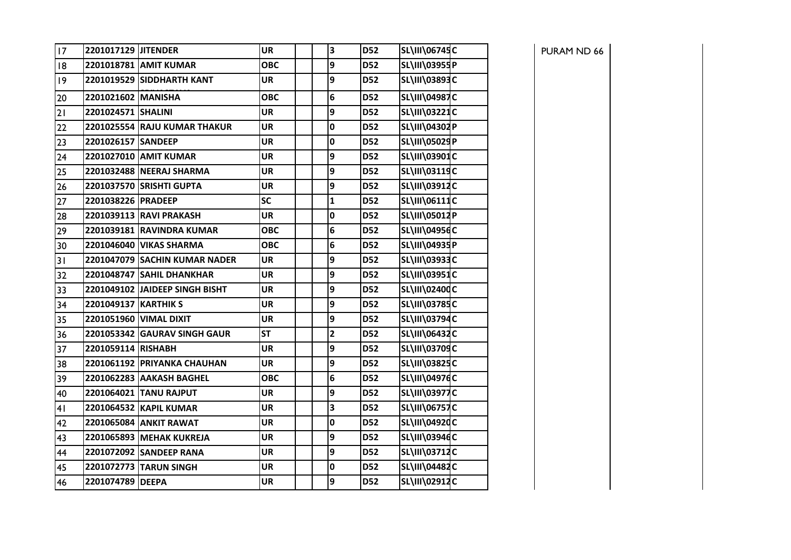| 17 | 2201017129 JITENDER  |                                | <b>UR</b>  | 3                       | <b>D52</b> | SL\III\06745C        |
|----|----------------------|--------------------------------|------------|-------------------------|------------|----------------------|
| 18 |                      | 2201018781 AMIT KUMAR          | <b>OBC</b> | 9                       | <b>D52</b> | SL\III\03955P        |
| 9  |                      | 2201019529 SIDDHARTH KANT      | <b>UR</b>  | 9                       | <b>D52</b> | SL\III\03893C        |
| 20 | 2201021602 MANISHA   |                                | <b>OBC</b> | $6\phantom{1}6$         | <b>D52</b> | SL\III\04987C        |
| 21 | 2201024571 SHALINI   |                                | <b>UR</b>  | 9                       | <b>D52</b> | SL\III\03221C        |
| 22 |                      | 2201025554 RAJU KUMAR THAKUR   | <b>UR</b>  | $\mathbf 0$             | <b>D52</b> | SL\III\04302P        |
| 23 | 2201026157 SANDEEP   |                                | <b>UR</b>  | $\mathbf 0$             | <b>D52</b> | SL\III\05029P        |
| 24 |                      | 2201027010 AMIT KUMAR          | <b>UR</b>  | 9                       | <b>D52</b> | SL\III\03901C        |
| 25 |                      | 2201032488 NEERAJ SHARMA       | <b>UR</b>  | 9                       | <b>D52</b> | SL\III\03119C        |
| 26 |                      | 2201037570 SRISHTI GUPTA       | <b>UR</b>  | 9                       | <b>D52</b> | SL\III\03912C        |
| 27 | 2201038226 PRADEEP   |                                | <b>SC</b>  | $\mathbf{1}$            | <b>D52</b> | SL\III\06111C        |
| 28 |                      | 2201039113 RAVI PRAKASH        | <b>UR</b>  | $\mathbf 0$             | <b>D52</b> | SL\III\05012P        |
| 29 |                      | 2201039181 RAVINDRA KUMAR      | <b>OBC</b> | $\bf 6$                 | <b>D52</b> | SL\III\04956C        |
| 30 |                      | 2201046040 VIKAS SHARMA        | <b>OBC</b> | $6\phantom{1}6$         | <b>D52</b> | SL\III\04935P        |
| 31 |                      | 2201047079 SACHIN KUMAR NADER  | <b>UR</b>  | 9                       | <b>D52</b> | SL\III\03933C        |
| 32 |                      | 2201048747 SAHIL DHANKHAR      | <b>UR</b>  | $\overline{9}$          | <b>D52</b> | SL\III\03951C        |
| 33 |                      | 2201049102 JAIDEEP SINGH BISHT | <b>UR</b>  | 9                       | <b>D52</b> | SL\III\02400C        |
| 34 | 2201049137 KARTHIK S |                                | <b>UR</b>  | 9                       | <b>D52</b> | SL\III\03785C        |
| 35 |                      | 2201051960 VIMAL DIXIT         | UR         | 9                       | <b>D52</b> | SL\III\03794C        |
| 36 |                      | 2201053342 GAURAV SINGH GAUR   | <b>ST</b>  | $\overline{\mathbf{2}}$ | <b>D52</b> | SL\III\06432C        |
| 37 | 2201059114 RISHABH   |                                | <b>UR</b>  | 9                       | <b>D52</b> | SL\III\03709C        |
| 38 |                      | 2201061192 PRIYANKA CHAUHAN    | <b>UR</b>  | 9                       | <b>D52</b> | SL\III\03825C        |
| 39 |                      | 2201062283 AAKASH BAGHEL       | ОВС        | $6\phantom{1}6$         | <b>D52</b> | SL\III\04976C        |
| 40 |                      | 2201064021 TANU RAJPUT         | <b>UR</b>  | 9                       | <b>D52</b> | <b>SL\III\03977C</b> |
| 41 |                      | 2201064532 KAPIL KUMAR         | <b>UR</b>  | 3                       | <b>D52</b> | <b>SL\III\06757C</b> |
| 42 |                      | 2201065084 ANKIT RAWAT         | <b>UR</b>  | $\mathbf 0$             | <b>D52</b> | SL\III\04920C        |
| 43 |                      | 2201065893 MEHAK KUKREJA       | <b>UR</b>  | 9                       | <b>D52</b> | SL\III\03946C        |
| 44 |                      | 2201072092 SANDEEP RANA        | <b>UR</b>  | 9                       | <b>D52</b> | SL\III\03712C        |
| 45 |                      | 2201072773 TARUN SINGH         | <b>UR</b>  | $\pmb{0}$               | <b>D52</b> | SL\III\04482C        |
| 46 | 2201074789 DEEPA     |                                | <b>UR</b>  | 9                       | <b>D52</b> | SL\III\02912C        |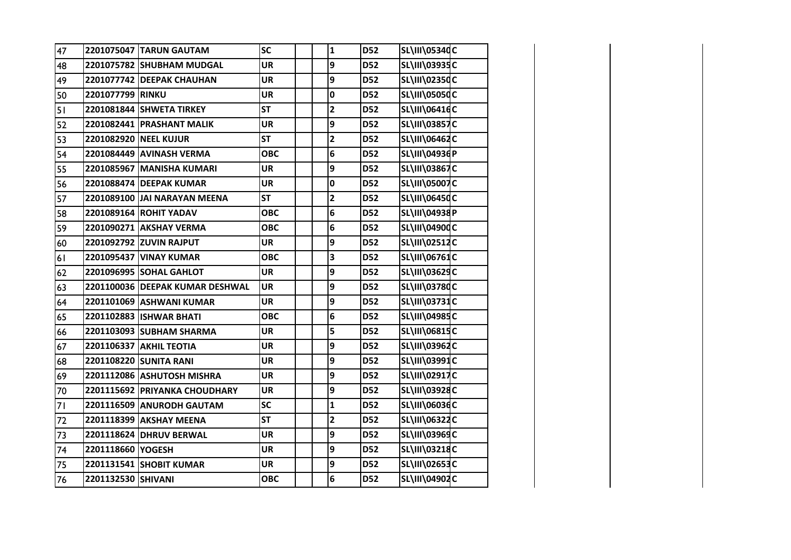| 47 |                    | 2201075047 TARUN GAUTAM         | <b>SC</b>  | $\mathbf{1}$            | <b>D52</b> | SL\III\05340C        |  |
|----|--------------------|---------------------------------|------------|-------------------------|------------|----------------------|--|
| 48 |                    | 2201075782 SHUBHAM MUDGAL       | <b>UR</b>  | 9                       | <b>D52</b> | SL\III\03935C        |  |
| 49 |                    | 2201077742 DEEPAK CHAUHAN       | <b>UR</b>  | 9                       | <b>D52</b> | SL\III\02350C        |  |
| 50 | 2201077799 RINKU   |                                 | <b>UR</b>  | 0                       | <b>D52</b> | <b>SL\III\05050C</b> |  |
| 51 |                    | 2201081844 SHWETA TIRKEY        | <b>ST</b>  | $\overline{\mathbf{c}}$ | <b>D52</b> | SL\III\06416C        |  |
| 52 |                    | 2201082441 PRASHANT MALIK       | <b>UR</b>  | 9                       | <b>D52</b> | <b>SL\III\03857C</b> |  |
| 53 |                    | 2201082920 NEEL KUJUR           | <b>ST</b>  | $\mathbf{2}$            | <b>D52</b> | SL\III\06462C        |  |
| 54 |                    | 2201084449 AVINASH VERMA        | <b>OBC</b> | 6                       | <b>D52</b> | SL\III\04936P        |  |
| 55 |                    | 2201085967 MANISHA KUMARI       | <b>UR</b>  | 9                       | <b>D52</b> | SL\III\03867C        |  |
| 56 |                    | 2201088474 DEEPAK KUMAR         | <b>UR</b>  | $\mathbf 0$             | <b>D52</b> | <b>SL\III\05007C</b> |  |
| 57 |                    | 2201089100 JAI NARAYAN MEENA    | <b>ST</b>  | $\mathbf{2}$            | <b>D52</b> | SL\III\06450C        |  |
| 58 |                    | 2201089164 ROHIT YADAV          | <b>OBC</b> | 6                       | <b>D52</b> | SL\III\04938P        |  |
| 59 |                    | 2201090271 AKSHAY VERMA         | <b>OBC</b> | 6                       | <b>D52</b> | SL\III\04900C        |  |
| 60 |                    | 2201092792 ZUVIN RAJPUT         | <b>UR</b>  | 9                       | <b>D52</b> | <b>SL\III\02512C</b> |  |
| 61 |                    | 2201095437 VINAY KUMAR          | <b>OBC</b> | 3                       | <b>D52</b> | SL\III\06761C        |  |
| 62 |                    | 2201096995 SOHAL GAHLOT         | <b>UR</b>  | 9                       | <b>D52</b> | SL\III\03629C        |  |
| 63 |                    | 2201100036 DEEPAK KUMAR DESHWAL | <b>UR</b>  | 9                       | <b>D52</b> | <b>SL\III\03780C</b> |  |
| 64 |                    | 2201101069 ASHWANI KUMAR        | <b>UR</b>  | 9                       | <b>D52</b> | SL\III\03731C        |  |
| 65 |                    | 2201102883 ISHWAR BHATI         | <b>OBC</b> | 6                       | <b>D52</b> | SL\III\04985C        |  |
| 66 |                    | 2201103093 SUBHAM SHARMA        | <b>UR</b>  | 5                       | <b>D52</b> | SL\III\06815C        |  |
| 67 |                    | 2201106337 AKHIL TEOTIA         | <b>UR</b>  | 9                       | <b>D52</b> | SL\III\03962C        |  |
| 68 |                    | 2201108220 SUNITA RANI          | <b>UR</b>  | 9                       | <b>D52</b> | SL\III\03991C        |  |
| 69 |                    | 2201112086 ASHUTOSH MISHRA      | <b>UR</b>  | 9                       | <b>D52</b> | SL\III\02917C        |  |
| 70 |                    | 2201115692 PRIYANKA CHOUDHARY   | <b>UR</b>  | 9                       | <b>D52</b> | SL\III\03928C        |  |
| 71 |                    | 2201116509 ANURODH GAUTAM       | <b>SC</b>  | $\mathbf{1}$            | <b>D52</b> | SL\III\06036C        |  |
| 72 |                    | 2201118399 AKSHAY MEENA         | <b>ST</b>  | $\mathbf{2}$            | <b>D52</b> | SL\III\06322C        |  |
| 73 |                    | 2201118624 DHRUV BERWAL         | <b>UR</b>  | 9                       | <b>D52</b> | SL\III\03969C        |  |
| 74 | 2201118660 YOGESH  |                                 | UR         | 9                       | <b>D52</b> | SL\III\03218C        |  |
| 75 |                    | 2201131541 SHOBIT KUMAR         | <b>UR</b>  | 9                       | <b>D52</b> | SL\III\02653C        |  |
| 76 | 2201132530 SHIVANI |                                 | <b>OBC</b> | 6                       | <b>D52</b> | SL\III\04902C        |  |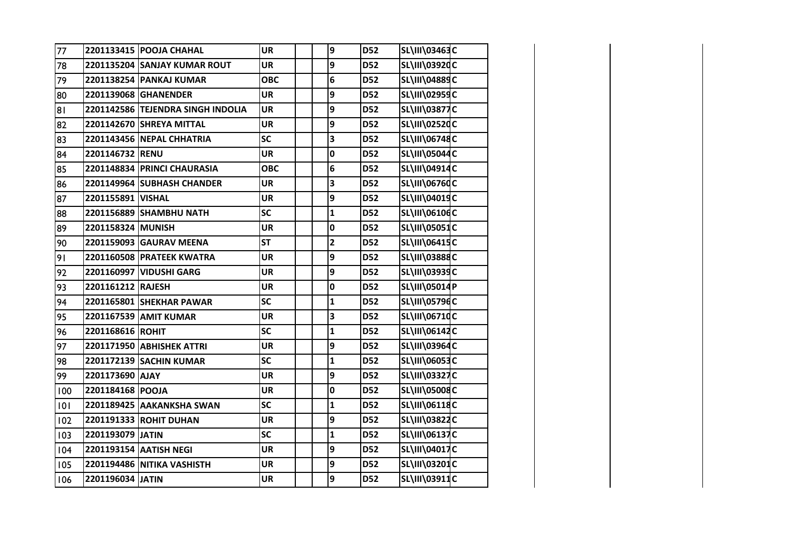| 77  |                   | 2201133415 POOJA CHAHAL           | <b>UR</b>  | 9            | <b>D52</b> | SL\III\03463C        |  |
|-----|-------------------|-----------------------------------|------------|--------------|------------|----------------------|--|
| 78  |                   | 2201135204 SANJAY KUMAR ROUT      | <b>UR</b>  | 9            | <b>D52</b> | SL\III\03920C        |  |
| 79  |                   | 2201138254 PANKAJ KUMAR           | <b>OBC</b> | 6            | <b>D52</b> | SL\III\04889C        |  |
| 80  |                   | 2201139068 GHANENDER              | <b>UR</b>  | 9            | <b>D52</b> | SL\III\02959C        |  |
| 81  |                   | 2201142586 TEJENDRA SINGH INDOLIA | <b>UR</b>  | 9            | <b>D52</b> | <b>SL\III\03877C</b> |  |
| 82  |                   | 2201142670 SHREYA MITTAL          | <b>UR</b>  | 9            | <b>D52</b> | SL\III\02520C        |  |
| 83  |                   | 2201143456 NEPAL CHHATRIA         | SC         | 3            | <b>D52</b> | SL\III\06748C        |  |
| 84  | 2201146732 RENU   |                                   | <b>UR</b>  | 0            | <b>D52</b> | <b>SL\III\05044C</b> |  |
| 85  |                   | 2201148834 PRINCI CHAURASIA       | <b>OBC</b> | 6            | <b>D52</b> | SL\III\04914C        |  |
| 86  |                   | 2201149964 SUBHASH CHANDER        | <b>UR</b>  | 3            | <b>D52</b> | <b>SL\III\06760C</b> |  |
| 87  | 2201155891 VISHAL |                                   | <b>UR</b>  | 9            | <b>D52</b> | SL\III\04019C        |  |
| 88  |                   | 2201156889 SHAMBHU NATH           | <b>SC</b>  | $\mathbf{1}$ | <b>D52</b> | SL\III\06106C        |  |
| 89  | 2201158324 MUNISH |                                   | <b>UR</b>  | 0            | <b>D52</b> | SL\III\05051C        |  |
| 90  |                   | 2201159093 GAURAV MEENA           | <b>ST</b>  | $\mathbf{2}$ | <b>D52</b> | SL\III\06415C        |  |
| 91  |                   | 2201160508 PRATEEK KWATRA         | <b>UR</b>  | 9            | <b>D52</b> | SL\III\03888C        |  |
| 92  |                   | 2201160997 VIDUSHI GARG           | <b>UR</b>  | 9            | <b>D52</b> | SL\III\03939C        |  |
| 93  | 2201161212 RAJESH |                                   | <b>UR</b>  | 0            | <b>D52</b> | SL\III\05014P        |  |
| 94  |                   | 2201165801 SHEKHAR PAWAR          | <b>SC</b>  | $\mathbf 1$  | <b>D52</b> | SL\III\05796C        |  |
| 95  |                   | 2201167539 AMIT KUMAR             | <b>UR</b>  | 3            | <b>D52</b> | SL\III\06710C        |  |
| 96  | 2201168616 ROHIT  |                                   | <b>SC</b>  | $\mathbf{1}$ | <b>D52</b> | SL\III\06142C        |  |
| 97  |                   | 2201171950 ABHISHEK ATTRI         | <b>UR</b>  | 9            | <b>D52</b> | SL\III\03964C        |  |
| 98  |                   | 2201172139 SACHIN KUMAR           | SC         | $\mathbf{1}$ | <b>D52</b> | SL\III\06053C        |  |
| 99  | 2201173690 AJAY   |                                   | <b>UR</b>  | 9            | <b>D52</b> | <b>SL\III\03327C</b> |  |
| 100 | 2201184168 POOJA  |                                   | <b>UR</b>  | 0            | <b>D52</b> | <b>SL\III\05008C</b> |  |
| 101 |                   | 2201189425 AAKANKSHA SWAN         | SC         | $\mathbf{1}$ | <b>D52</b> | SL\III\06118C        |  |
| 102 |                   | 2201191333 ROHIT DUHAN            | <b>UR</b>  | 9            | <b>D52</b> | SL\III\03822C        |  |
| 103 | 2201193079 JATIN  |                                   | SC         | $\mathbf{1}$ | <b>D52</b> | SL\III\06137C        |  |
| 104 |                   | 2201193154 AATISH NEGI            | <b>UR</b>  | 9            | <b>D52</b> | SL\III\04017C        |  |
| 105 |                   | 2201194486 NITIKA VASHISTH        | <b>UR</b>  | 9            | <b>D52</b> | SL\III\03201C        |  |
| 106 | 2201196034 JATIN  |                                   | <b>UR</b>  | 9            | <b>D52</b> | SL\III\03911C        |  |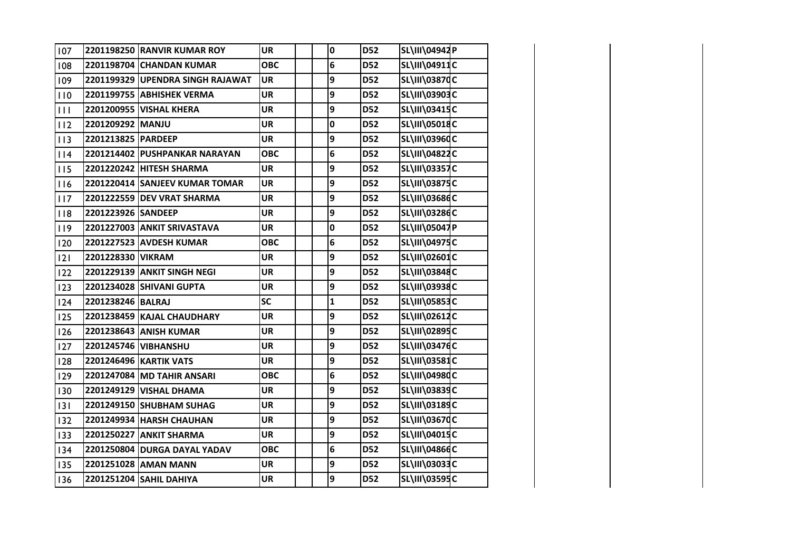| 107 |                    | 2201198250 RANVIR KUMAR ROY      | <b>UR</b>  | $\mathbf 0$  | <b>D52</b> | SL\III\04942P        |  |
|-----|--------------------|----------------------------------|------------|--------------|------------|----------------------|--|
| 108 |                    | 2201198704 CHANDAN KUMAR         | <b>OBC</b> | 6            | <b>D52</b> | SL\III\04911C        |  |
| 109 |                    | 2201199329 UPENDRA SINGH RAJAWAT | <b>UR</b>  | 9            | <b>D52</b> | <b>SL\III\03870C</b> |  |
| 110 |                    | 2201199755 ABHISHEK VERMA        | <b>UR</b>  | 9            | <b>D52</b> | SL\III\03903C        |  |
| 111 |                    | 2201200955 VISHAL KHERA          | <b>UR</b>  | 9            | <b>D52</b> | SL\III\03415C        |  |
| 112 | 2201209292 MANJU   |                                  | <b>UR</b>  | $\mathbf 0$  | <b>D52</b> | SL\III\05018C        |  |
| 113 | 2201213825 PARDEEP |                                  | <b>UR</b>  | 9            | <b>D52</b> | SL\III\03960C        |  |
| 114 |                    | 2201214402 PUSHPANKAR NARAYAN    | <b>OBC</b> | 6            | <b>D52</b> | SL\III\04822C        |  |
| 115 |                    | 2201220242 HITESH SHARMA         | <b>UR</b>  | 9            | <b>D52</b> | <b>SL\III\03357C</b> |  |
| 116 |                    | 2201220414 SANJEEV KUMAR TOMAR   | <b>UR</b>  | 9            | <b>D52</b> | <b>SL\III\03875C</b> |  |
| 117 |                    | 2201222559 DEV VRAT SHARMA       | <b>UR</b>  | 9            | <b>D52</b> | SL\III\03686C        |  |
| 8   | 2201223926 SANDEEP |                                  | <b>UR</b>  | 9            | <b>D52</b> | SL\III\03286C        |  |
| 119 |                    | 2201227003 ANKIT SRIVASTAVA      | <b>UR</b>  | 0            | <b>D52</b> | SL\III\05047P        |  |
| 120 |                    | 2201227523 AVDESH KUMAR          | <b>OBC</b> | 6            | <b>D52</b> | <b>SL\III\04975C</b> |  |
| 2   | 2201228330 VIKRAM  |                                  | <b>UR</b>  | 9            | <b>D52</b> | SL\III\02601C        |  |
| 122 |                    | 2201229139 ANKIT SINGH NEGI      | <b>UR</b>  | 9            | <b>D52</b> | SL\III\03848C        |  |
| 123 |                    | 2201234028 SHIVANI GUPTA         | <b>UR</b>  | 9            | <b>D52</b> | <b>SL\III\03938C</b> |  |
| 124 | 2201238246 BALRAJ  |                                  | <b>SC</b>  | $\mathbf{1}$ | <b>D52</b> | <b>SL\III\05853C</b> |  |
| 125 |                    | 2201238459 KAJAL CHAUDHARY       | <b>UR</b>  | 9            | <b>D52</b> | SL\III\02612C        |  |
| 126 |                    | 2201238643 ANISH KUMAR           | <b>UR</b>  | 9            | <b>D52</b> | SL\III\02895C        |  |
| 127 |                    | 2201245746 VIBHANSHU             | <b>UR</b>  | 9            | <b>D52</b> | <b>SL\III\03476C</b> |  |
| 128 |                    | <b>2201246496 KARTIK VATS</b>    | <b>UR</b>  | 9            | <b>D52</b> | SL\III\03581C        |  |
| 129 |                    | 2201247084 MD TAHIR ANSARI       | <b>OBC</b> | 6            | <b>D52</b> | SL\III\04980C        |  |
| 130 |                    | 2201249129 VISHAL DHAMA          | <b>UR</b>  | 9            | <b>D52</b> | SL\III\03839C        |  |
| 3   |                    | 2201249150 SHUBHAM SUHAG         | <b>UR</b>  | 9            | <b>D52</b> | SL\III\03189C        |  |
| 132 |                    | 2201249934 HARSH CHAUHAN         | <b>UR</b>  | 9            | <b>D52</b> | <b>SL\III\03670C</b> |  |
| 133 |                    | 2201250227 ANKIT SHARMA          | <b>UR</b>  | 9            | <b>D52</b> | SL\III\04015C        |  |
| 134 |                    | 2201250804 DURGA DAYAL YADAV     | <b>OBC</b> | 6            | <b>D52</b> | SL\III\04866C        |  |
| 135 |                    | 2201251028 AMAN MANN             | <b>UR</b>  | 9            | <b>D52</b> | SL\III\03033C        |  |
| 136 |                    | 2201251204 SAHIL DAHIYA          | <b>UR</b>  | 9            | <b>D52</b> | SL\III\03595C        |  |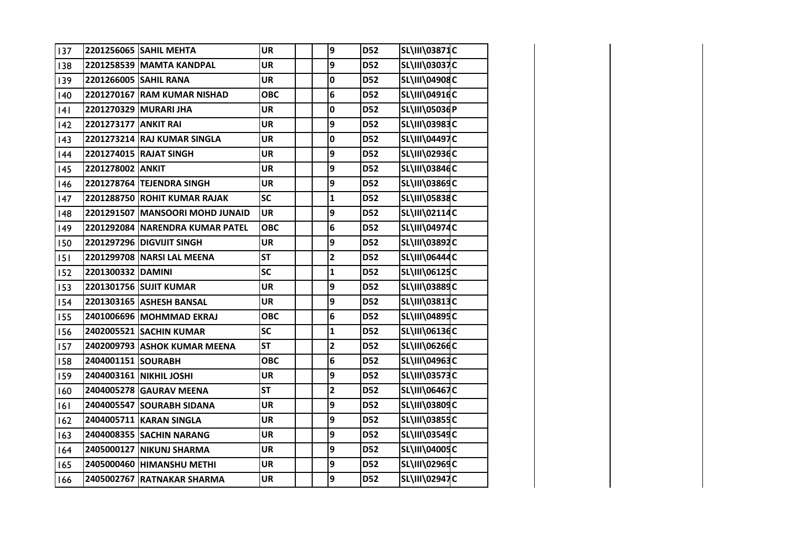| 137 |                      | 2201256065 SAHIL MEHTA          | <b>UR</b>  | 9                       | <b>D52</b> | SL\III\03871C        |  |
|-----|----------------------|---------------------------------|------------|-------------------------|------------|----------------------|--|
| 138 |                      | 2201258539 MAMTA KANDPAL        | <b>UR</b>  | 9                       | <b>D52</b> | SL\III\03037C        |  |
| 139 |                      | 2201266005 SAHIL RANA           | <b>UR</b>  | 0                       | <b>D52</b> | SL\III\04908C        |  |
| 140 |                      | 2201270167 RAM KUMAR NISHAD     | <b>OBC</b> | 6                       | <b>D52</b> | SL\III\04916C        |  |
| 4   |                      | 2201270329 MURARI JHA           | <b>UR</b>  | 0                       | <b>D52</b> | SL\III\05036P        |  |
| 142 | 2201273177 ANKIT RAI |                                 | <b>UR</b>  | 9                       | <b>D52</b> | SL\III\03983C        |  |
| 143 |                      | 2201273214 RAJ KUMAR SINGLA     | <b>UR</b>  | 0                       | <b>D52</b> | SL\III\04497C        |  |
| 144 |                      | 2201274015 RAJAT SINGH          | <b>UR</b>  | 9                       | D52        | SL\III\02936C        |  |
| 145 | 2201278002 ANKIT     |                                 | <b>UR</b>  | 9                       | <b>D52</b> | <b>SL\III\03846C</b> |  |
| 146 |                      | 2201278764 TEJENDRA SINGH       | <b>UR</b>  | 9                       | <b>D52</b> | SL\III\03869C        |  |
| 147 |                      | 2201288750 ROHIT KUMAR RAJAK    | <b>SC</b>  | $\mathbf{1}$            | <b>D52</b> | SL\III\05838C        |  |
| 148 |                      | 2201291507 MANSOORI MOHD JUNAID | <b>UR</b>  | 9                       | <b>D52</b> | SL\III\02114C        |  |
| 149 |                      | 2201292084 NARENDRA KUMAR PATEL | <b>OBC</b> | 6                       | <b>D52</b> | SL\III\04974C        |  |
| 150 |                      | 2201297296 DIGVIJIT SINGH       | <b>UR</b>  | 9                       | <b>D52</b> | SL\III\03892C        |  |
| 151 |                      | 2201299708 NARSI LAL MEENA      | <b>ST</b>  | $\overline{\mathbf{c}}$ | <b>D52</b> | SL\III\06444C        |  |
| 152 | 2201300332 DAMINI    |                                 | <b>SC</b>  | $\mathbf{1}$            | <b>D52</b> | SL\III\06125C        |  |
| 153 |                      | 2201301756 SUJIT KUMAR          | <b>UR</b>  | 9                       | <b>D52</b> | SL\III\03889C        |  |
| 154 |                      | 2201303165 ASHESH BANSAL        | <b>UR</b>  | 9                       | <b>D52</b> | SL\III\03813C        |  |
| 155 |                      | 2401006696 MOHMMAD EKRAJ        | <b>OBC</b> | 6                       | <b>D52</b> | SL\III\04895C        |  |
| 156 |                      | 2402005521 SACHIN KUMAR         | <b>SC</b>  | $\mathbf{1}$            | <b>D52</b> | SL\III\06136C        |  |
| 157 |                      | 2402009793 ASHOK KUMAR MEENA    | <b>ST</b>  | $\mathbf{2}$            | <b>D52</b> | SL\III\06266C        |  |
| 158 | 2404001151 SOURABH   |                                 | <b>OBC</b> | 6                       | <b>D52</b> | SL\III\04963C        |  |
| 159 |                      | 2404003161 NIKHIL JOSHI         | <b>UR</b>  | 9                       | <b>D52</b> | SL\III\03573C        |  |
| 160 |                      | 2404005278 GAURAV MEENA         | <b>ST</b>  | $\overline{\mathbf{2}}$ | D52        | SL\III\06467C        |  |
| 6   |                      | 2404005547 SOURABH SIDANA       | <b>UR</b>  | 9                       | <b>D52</b> | SL\III\03809C        |  |
| 162 |                      | 2404005711 KARAN SINGLA         | <b>UR</b>  | 9                       | <b>D52</b> | SL\III\03855C        |  |
| 163 |                      | 2404008355 SACHIN NARANG        | <b>UR</b>  | 9                       | <b>D52</b> | SL\III\03549C        |  |
| 164 |                      | 2405000127 NIKUNJ SHARMA        | UR         | 9                       | <b>D52</b> | SL\III\04005C        |  |
| 165 |                      | 2405000460 HIMANSHU METHI       | <b>UR</b>  | 9                       | <b>D52</b> | SL\III\02969C        |  |
| 166 |                      | 2405002767 RATNAKAR SHARMA      | <b>UR</b>  | 9                       | <b>D52</b> | SL\III\02947C        |  |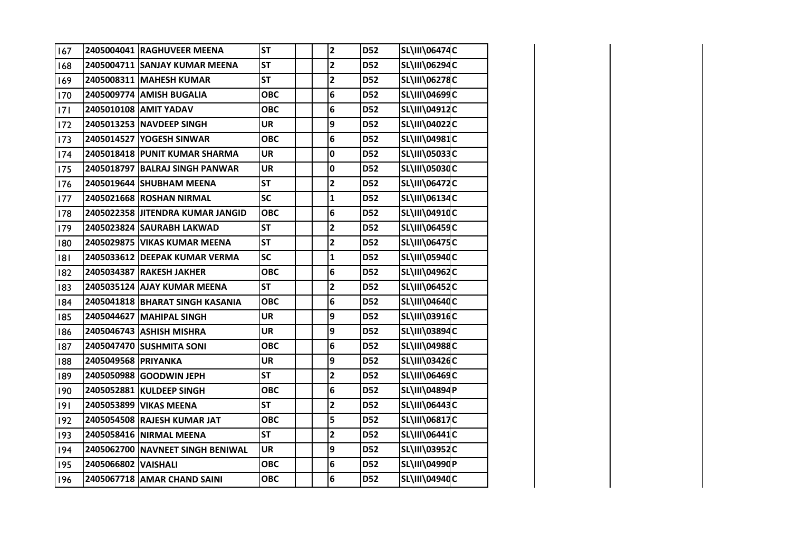| 167 |                     | 2405004041 RAGHUVEER MEENA       | <b>ST</b>  | $\mathbf{2}$            | <b>D52</b> | <b>SL\III\06474C</b> |  |
|-----|---------------------|----------------------------------|------------|-------------------------|------------|----------------------|--|
| 168 |                     | 2405004711 SANJAY KUMAR MEENA    | <b>ST</b>  | $\overline{\mathbf{2}}$ | <b>D52</b> | SL\III\06294C        |  |
| 169 |                     | 2405008311 MAHESH KUMAR          | <b>ST</b>  | $\overline{\mathbf{2}}$ | <b>D52</b> | SL\III\06278C        |  |
| 170 |                     | 2405009774 AMISH BUGALIA         | <b>OBC</b> | 6                       | <b>D52</b> | SL\III\04699C        |  |
| 171 |                     | 2405010108 AMIT YADAV            | <b>OBC</b> | 6                       | <b>D52</b> | SL\III\04912C        |  |
| 172 |                     | 2405013253 NAVDEEP SINGH         | <b>UR</b>  | 9                       | <b>D52</b> | SL\III\04022C        |  |
| 173 |                     | 2405014527 YOGESH SINWAR         | <b>OBC</b> | 6                       | <b>D52</b> | SL\III\04981C        |  |
| 174 |                     | 2405018418 PUNIT KUMAR SHARMA    | <b>UR</b>  | 0                       | <b>D52</b> | SL\III\05033C        |  |
| 175 |                     | 2405018797 BALRAJ SINGH PANWAR   | <b>UR</b>  | 0                       | <b>D52</b> | <b>SL\III\05030C</b> |  |
| 176 |                     | 2405019644 SHUBHAM MEENA         | <b>ST</b>  | $\overline{\mathbf{2}}$ | <b>D52</b> | SL\III\06472C        |  |
| 177 |                     | 2405021668 ROSHAN NIRMAL         | <b>SC</b>  | $\mathbf{1}$            | <b>D52</b> | SL\III\06134C        |  |
| 178 |                     | 2405022358 JITENDRA KUMAR JANGID | <b>OBC</b> | 6                       | <b>D52</b> | SL\III\04910C        |  |
| 179 |                     | 2405023824 SAURABH LAKWAD        | <b>ST</b>  | $\overline{\mathbf{2}}$ | <b>D52</b> | SL\III\06459C        |  |
| 180 |                     | 2405029875 VIKAS KUMAR MEENA     | <b>ST</b>  | $\mathbf{2}$            | <b>D52</b> | SL\III\06475C        |  |
| 181 |                     | 2405033612 DEEPAK KUMAR VERMA    | <b>SC</b>  | $\mathbf{1}$            | <b>D52</b> | SL\III\05940C        |  |
| 182 |                     | 2405034387 RAKESH JAKHER         | <b>OBC</b> | 6                       | <b>D52</b> | SL\III\04962C        |  |
| 183 |                     | 2405035124 AJAY KUMAR MEENA      | <b>ST</b>  | $\overline{\mathbf{2}}$ | <b>D52</b> | SL\III\06452C        |  |
| 184 |                     | 2405041818 BHARAT SINGH KASANIA  | <b>OBC</b> | 6                       | <b>D52</b> | SL\III\04640C        |  |
| 185 |                     | 2405044627 MAHIPAL SINGH         | <b>UR</b>  | 9                       | <b>D52</b> | SL\III\03916C        |  |
| 186 |                     | 2405046743 ASHISH MISHRA         | <b>UR</b>  | 9                       | <b>D52</b> | SL\III\03894C        |  |
| 187 |                     | 2405047470 SUSHMITA SONI         | <b>OBC</b> | 6                       | <b>D52</b> | SL\III\04988C        |  |
| 188 | 2405049568 PRIYANKA |                                  | <b>UR</b>  | 9                       | <b>D52</b> | SL\III\03426C        |  |
| 189 |                     | 2405050988 GOODWIN JEPH          | <b>ST</b>  | $\overline{\mathbf{2}}$ | <b>D52</b> | SL\III\06469C        |  |
| 190 |                     | 2405052881 KULDEEP SINGH         | <b>OBC</b> | 6                       | <b>D52</b> | SL\III\04894P        |  |
| 9   |                     | 2405053899 VIKAS MEENA           | <b>ST</b>  | $\overline{\mathbf{2}}$ | <b>D52</b> | <b>SL\III\06443C</b> |  |
| 192 |                     | 2405054508 RAJESH KUMAR JAT      | <b>OBC</b> | 5                       | <b>D52</b> | SL\III\06817C        |  |
| 193 |                     | 2405058416 NIRMAL MEENA          | <b>ST</b>  | $\overline{\mathbf{c}}$ | <b>D52</b> | SL\III\06441C        |  |
| 194 |                     | 2405062700 NAVNEET SINGH BENIWAL | <b>UR</b>  | 9                       | <b>D52</b> | SL\III\03952C        |  |
| 195 | 2405066802 VAISHALI |                                  | <b>OBC</b> | 6                       | <b>D52</b> | SL\III\04990P        |  |
| 196 |                     | 2405067718 AMAR CHAND SAINI      | <b>OBC</b> | 6                       | <b>D52</b> | SL\III\04940C        |  |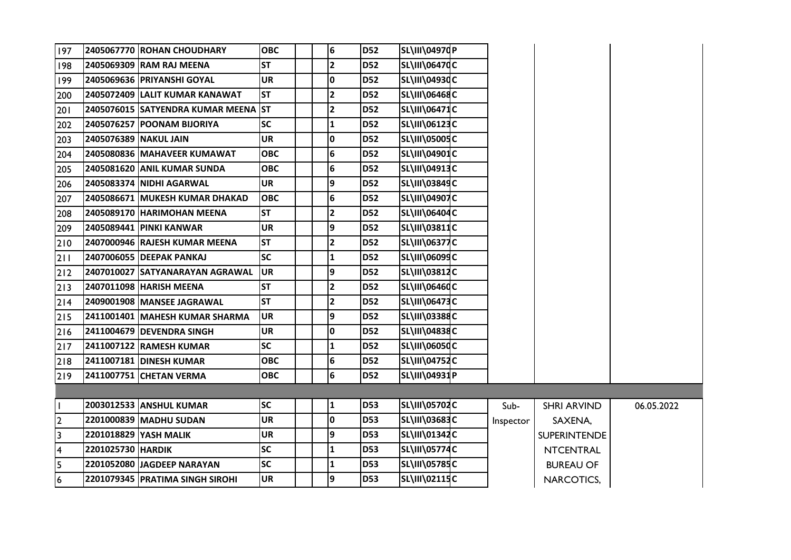| 197                     |                       | 2405067770 ROHAN CHOUDHARY          | <b>OBC</b> |  | 6                       | <b>D52</b> | SL\III\04970P        |           |                     |            |
|-------------------------|-----------------------|-------------------------------------|------------|--|-------------------------|------------|----------------------|-----------|---------------------|------------|
| 198                     |                       | 2405069309 RAM RAJ MEENA            | <b>ST</b>  |  | $\overline{2}$          | <b>D52</b> | SL\III\06470C        |           |                     |            |
| 199                     |                       | 2405069636 PRIYANSHI GOYAL          | <b>UR</b>  |  | 10                      | <b>D52</b> | SL\III\04930C        |           |                     |            |
| 200                     |                       | 2405072409 LALIT KUMAR KANAWAT      | <b>ST</b>  |  | 12                      | <b>D52</b> | SL\III\06468C        |           |                     |            |
| 201                     |                       | 2405076015 SATYENDRA KUMAR MEENA ST |            |  | $\overline{\mathbf{2}}$ | <b>D52</b> | <b>SL\III\06471C</b> |           |                     |            |
| 202                     |                       | 2405076257 POONAM BIJORIYA          | <b>SC</b>  |  | 1                       | <b>D52</b> | SL\III\06123C        |           |                     |            |
| 203                     | 2405076389 NAKUL JAIN |                                     | <b>UR</b>  |  | I٥                      | <b>D52</b> | SL\III\05005C        |           |                     |            |
| 204                     |                       | 2405080836 MAHAVEER KUMAWAT         | <b>OBC</b> |  | 6                       | <b>D52</b> | SL\III\04901C        |           |                     |            |
| 205                     |                       | 2405081620 ANIL KUMAR SUNDA         | <b>OBC</b> |  | 6                       | <b>D52</b> | SL\III\04913C        |           |                     |            |
| 206                     |                       | 2405083374 NIDHI AGARWAL            | <b>UR</b>  |  | 9                       | <b>D52</b> | SL\III\03849C        |           |                     |            |
| 207                     |                       | 2405086671 MUKESH KUMAR DHAKAD      | <b>OBC</b> |  | 6                       | <b>D52</b> | SL\III\04907C        |           |                     |            |
| 208                     |                       | 2405089170 HARIMOHAN MEENA          | <b>ST</b>  |  | $\overline{2}$          | <b>D52</b> | <b>SL\III\06404C</b> |           |                     |            |
| 209                     |                       | 2405089441 PINKI KANWAR             | <b>UR</b>  |  | 9                       | <b>D52</b> | SL\III\03811C        |           |                     |            |
| 210                     |                       | 2407000946 RAJESH KUMAR MEENA       | <b>ST</b>  |  | $\overline{\mathbf{2}}$ | <b>D52</b> | <b>SL\III\06377C</b> |           |                     |            |
| 211                     |                       | 2407006055 DEEPAK PANKAJ            | <b>SC</b>  |  | 1                       | <b>D52</b> | SL\III\06099C        |           |                     |            |
| $212$                   |                       | 2407010027 SATYANARAYAN AGRAWAL     | UR         |  | 9                       | <b>D52</b> | SL\III\03812C        |           |                     |            |
| $213$                   |                       | 2407011098 HARISH MEENA             | <b>ST</b>  |  | $\overline{2}$          | <b>D52</b> | SL\III\06460C        |           |                     |            |
| 214                     |                       | 2409001908 MANSEE JAGRAWAL          | <b>ST</b>  |  | $\overline{2}$          | <b>D52</b> | <b>SL\III\06473C</b> |           |                     |            |
| $215$                   |                       | 2411001401 MAHESH KUMAR SHARMA      | <b>UR</b>  |  | Ι9                      | <b>D52</b> | <b>SL\III\03388C</b> |           |                     |            |
| $216$                   |                       | 2411004679 DEVENDRA SINGH           | <b>UR</b>  |  | I٥                      | <b>D52</b> | <b>SL\III\04838C</b> |           |                     |            |
| 217                     |                       | 2411007122 RAMESH KUMAR             | <b>SC</b>  |  | 1                       | <b>D52</b> | SL\III\0605dC        |           |                     |            |
| 218                     |                       | 2411007181 DINESH KUMAR             | <b>OBC</b> |  | 6                       | <b>D52</b> | SL\III\04752C        |           |                     |            |
| $219$                   |                       | 2411007751 CHETAN VERMA             | <b>OBC</b> |  | 6                       | <b>D52</b> | SL\III\04931P        |           |                     |            |
|                         |                       |                                     |            |  |                         |            |                      |           |                     |            |
| $\mathbf{I}$            |                       | 2003012533 ANSHUL KUMAR             | <b>SC</b>  |  | 1                       | <b>D53</b> | SL\III\05702C        | Sub-      | <b>SHRI ARVIND</b>  | 06.05.2022 |
| $\overline{2}$          |                       | 2201000839 MADHU SUDAN              | <b>UR</b>  |  | 0                       | <b>D53</b> | <b>SL\III\03683C</b> | Inspector | SAXENA,             |            |
| $\overline{\mathbf{3}}$ |                       | 2201018829 YASH MALIK               | <b>UR</b>  |  | 9                       | <b>D53</b> | SL\III\01342C        |           | <b>SUPERINTENDE</b> |            |
| $\overline{\mathbf{4}}$ | 2201025730 HARDIK     |                                     | <b>SC</b>  |  | 1                       | <b>D53</b> | <b>SL\III\05774C</b> |           | <b>NTCENTRAL</b>    |            |
| $\overline{5}$          |                       | 2201052080 JAGDEEP NARAYAN          | <b>SC</b>  |  | 1                       | <b>D53</b> | <b>SL\III\05785C</b> |           | <b>BUREAU OF</b>    |            |
| $\overline{6}$          |                       | 2201079345 PRATIMA SINGH SIROHI     | <b>UR</b>  |  | 9                       | <b>D53</b> | SL\III\02115C        |           | NARCOTICS,          |            |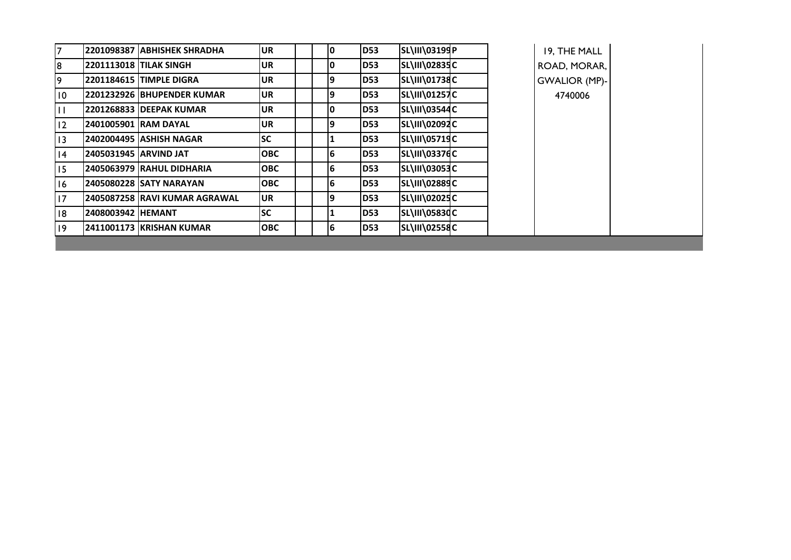| $\overline{7}$  |                              | 2201098387   ABHISHEK SHRADHA   | <b>UR</b>  |   | <b>D53</b>  | SL\III\03199P        |  | 19, THE MALL         |  |
|-----------------|------------------------------|---------------------------------|------------|---|-------------|----------------------|--|----------------------|--|
| 8               |                              | <b>2201113018 TILAK SINGH</b>   | <b>UR</b>  | 0 | <b>D53</b>  | SL\III\02835C        |  | ROAD, MORAR,         |  |
| 9               |                              | <b>2201184615 TIMPLE DIGRA</b>  | <b>UR</b>  | 9 | <b>D53</b>  | SL\III\01738C        |  | <b>GWALIOR (MP)-</b> |  |
| $\overline{10}$ |                              | 2201232926 BHUPENDER KUMAR      | <b>UR</b>  | 9 | <b>D53</b>  | <b>SL\III\01257C</b> |  | 4740006              |  |
| $\mathbf{H}$    |                              | <b>2201268833 IDEEPAK KUMAR</b> | <b>UR</b>  |   | ID53        | SL\III\03544C        |  |                      |  |
| 12              | <b>2401005901 IRAM DAYAL</b> |                                 | <b>UR</b>  | 9 | <b>ID53</b> | SL\III\02092C        |  |                      |  |
| 13              |                              | 2402004495   ASHISH NAGAR       | lsc        |   | <b>ID53</b> | <b>SL\III\05719C</b> |  |                      |  |
| 4               | 2405031945 ARVIND JAT        |                                 | <b>OBC</b> | 6 | <b>D53</b>  | <b>SL\III\03376C</b> |  |                      |  |
| 15              |                              | 2405063979 RAHUL DIDHARIA       | <b>OBC</b> | 6 | <b>ID53</b> | SL\III\03053C        |  |                      |  |
| 16              |                              | 2405080228 ISATY NARAYAN        | <b>OBC</b> | 6 | <b>D53</b>  | <b>SL\III\02889C</b> |  |                      |  |
| 17              |                              | 2405087258 RAVI KUMAR AGRAWAL   | lUR.       | 9 | <b>ID53</b> | SL\III\02025C        |  |                      |  |
| 8               | 2408003942 HEMANT            |                                 | <b>SC</b>  |   | <b>D53</b>  | <b>SL\III\05830C</b> |  |                      |  |
| $ 9\rangle$     |                              | 2411001173 KRISHAN KUMAR        | <b>OBC</b> | 6 | <b>D53</b>  | <b>SL\III\02558C</b> |  |                      |  |
|                 |                              |                                 |            |   |             |                      |  |                      |  |